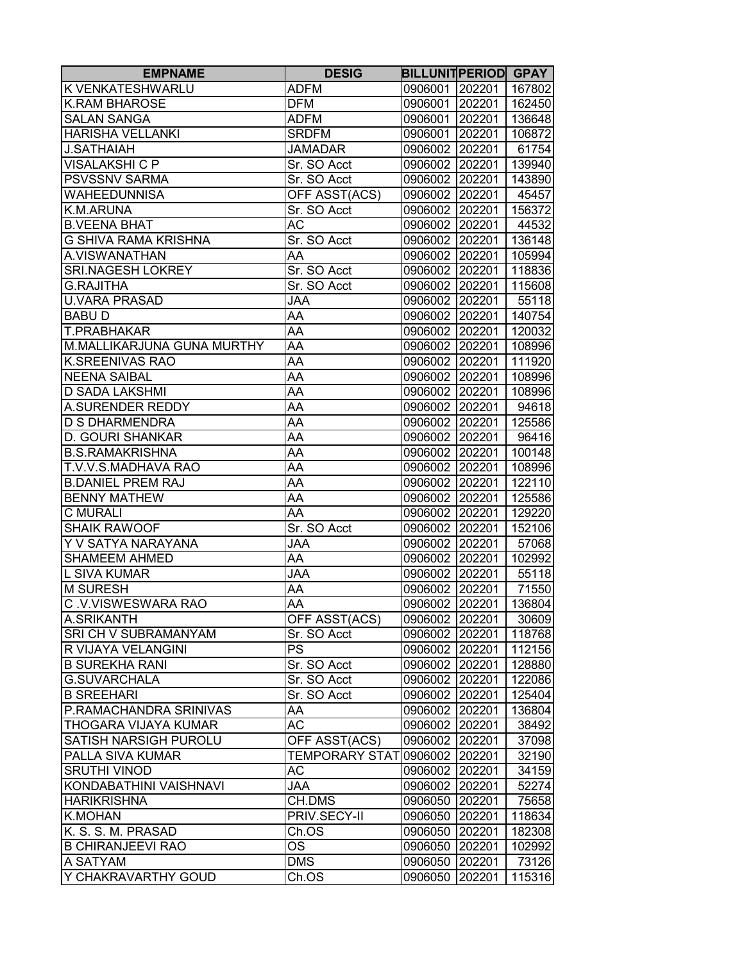| K VENKATESHWARLU<br><b>ADFM</b><br>0906001 202201<br>167802<br>0906001 202201<br><b>K.RAM BHAROSE</b><br><b>DFM</b><br>162450<br><b>SALAN SANGA</b><br><b>ADFM</b><br>0906001 202201<br>136648<br><b>HARISHA VELLANKI</b><br><b>SRDFM</b><br>0906001 202201<br>106872<br><b>J.SATHAIAH</b><br><b>JAMADAR</b><br>0906002 202201<br>61754<br><b>VISALAKSHI C P</b><br>0906002 202201<br>Sr. SO Acct<br>139940<br><b>PSVSSNV SARMA</b><br>Sr. SO Acct<br>0906002 202201<br>143890<br>OFF ASST(ACS)<br><b>WAHEEDUNNISA</b><br>0906002 202201<br>45457<br>K.M.ARUNA<br>Sr. SO Acct<br>0906002 202201<br>156372<br><b>B.VEENA BHAT</b><br>АC<br>0906002 202201<br>44532<br>G SHIVA RAMA KRISHNA<br>Sr. SO Acct<br>0906002 202201<br>136148<br>A.VISWANATHAN<br>AA<br>0906002 202201<br>105994<br><b>SRI.NAGESH LOKREY</b><br>Sr. SO Acct<br>0906002 202201<br>118836<br><b>G.RAJITHA</b><br>Sr. SO Acct<br>0906002 202201<br>U.VARA PRASAD<br><b>JAA</b><br>0906002 202201<br><b>BABUD</b><br>AA<br>0906002 202201<br>T.PRABHAKAR<br>AA<br>0906002 202201<br>AA<br>M.MALLIKARJUNA GUNA MURTHY<br>0906002 202201<br><b>K.SREENIVAS RAO</b><br>AA<br>0906002 202201<br><b>NEENA SAIBAL</b><br>0906002 202201<br>AA<br>0906002 202201<br><b>D SADA LAKSHMI</b><br>AA<br>A.SURENDER REDDY<br>AA<br>0906002 202201<br><b>D S DHARMENDRA</b><br>AA<br>0906002 202201<br>AA<br>D. GOURI SHANKAR<br>0906002 202201<br>AA<br><b>B.S.RAMAKRISHNA</b><br>0906002 202201<br>AA<br>T.V.V.S.MADHAVA RAO<br>0906002 202201<br>AA<br><b>B.DANIEL PREM RAJ</b><br>0906002 202201<br>0906002 202201<br><b>BENNY MATHEW</b><br>AA<br><b>C MURALI</b><br>0906002 202201<br>AA<br><b>SHAIK RAWOOF</b><br>Sr. SO Acct<br>0906002 202201<br>Y V SATYA NARAYANA<br>0906002 202201<br><b>JAA</b><br>0906002 202201<br><b>SHAMEEM AHMED</b><br>AA<br><b>L SIVA KUMAR</b><br><b>JAA</b><br>0906002 202201<br><b>M SURESH</b><br>AA<br>0906002 202201<br>0906002 202201<br>C.V.VISWESWARA RAO<br>AA<br>A.SRIKANTH<br>OFF ASST(ACS)<br>0906002 202201<br>SRI CH V SUBRAMANYAM<br>Sr. SO Acct<br>0906002 202201<br>PS<br>R VIJAYA VELANGINI<br>0906002 202201<br><b>B SUREKHA RANI</b><br>Sr. SO Acct<br>0906002 202201<br><b>G.SUVARCHALA</b><br>Sr. SO Acct<br>0906002 202201<br><b>B SREEHARI</b><br>Sr. SO Acct<br>0906002 202201<br>0906002 202201<br>P.RAMACHANDRA SRINIVAS<br>AA<br><b>THOGARA VIJAYA KUMAR</b><br>АC<br>0906002 202201<br>SATISH NARSIGH PUROLU<br>0906002 202201<br>OFF ASST(ACS)<br>TEMPORARY STAT 0906002 202201<br>PALLA SIVA KUMAR<br><b>SRUTHI VINOD</b><br>АC<br>0906002 202201<br>KONDABATHINI VAISHNAVI<br>JAA<br>0906002 202201<br><b>HARIKRISHNA</b><br>CH.DMS<br>0906050 202201<br><b>K.MOHAN</b><br>PRIV.SECY-II<br>0906050 202201<br>K. S. S. M. PRASAD<br>Ch.OS<br>0906050 202201<br><b>B CHIRANJEEVI RAO</b><br>OS<br>0906050 202201<br>A SATYAM<br><b>DMS</b><br>0906050<br>202201<br>Y CHAKRAVARTHY GOUD<br>Ch.OS<br>0906050<br>202201 | <b>EMPNAME</b> | <b>DESIG</b> | <b>BILLUNITPERIOD GPAY</b> |        |
|----------------------------------------------------------------------------------------------------------------------------------------------------------------------------------------------------------------------------------------------------------------------------------------------------------------------------------------------------------------------------------------------------------------------------------------------------------------------------------------------------------------------------------------------------------------------------------------------------------------------------------------------------------------------------------------------------------------------------------------------------------------------------------------------------------------------------------------------------------------------------------------------------------------------------------------------------------------------------------------------------------------------------------------------------------------------------------------------------------------------------------------------------------------------------------------------------------------------------------------------------------------------------------------------------------------------------------------------------------------------------------------------------------------------------------------------------------------------------------------------------------------------------------------------------------------------------------------------------------------------------------------------------------------------------------------------------------------------------------------------------------------------------------------------------------------------------------------------------------------------------------------------------------------------------------------------------------------------------------------------------------------------------------------------------------------------------------------------------------------------------------------------------------------------------------------------------------------------------------------------------------------------------------------------------------------------------------------------------------------------------------------------------------------------------------------------------------------------------------------------------------------------------------------------------------------------------------------------------------------------------------------------------------------------------------------------------------------------------------------------------------------------------------------------------------------------------------------------------------------------------------------------------------------------------------------------|----------------|--------------|----------------------------|--------|
|                                                                                                                                                                                                                                                                                                                                                                                                                                                                                                                                                                                                                                                                                                                                                                                                                                                                                                                                                                                                                                                                                                                                                                                                                                                                                                                                                                                                                                                                                                                                                                                                                                                                                                                                                                                                                                                                                                                                                                                                                                                                                                                                                                                                                                                                                                                                                                                                                                                                                                                                                                                                                                                                                                                                                                                                                                                                                                                                              |                |              |                            |        |
|                                                                                                                                                                                                                                                                                                                                                                                                                                                                                                                                                                                                                                                                                                                                                                                                                                                                                                                                                                                                                                                                                                                                                                                                                                                                                                                                                                                                                                                                                                                                                                                                                                                                                                                                                                                                                                                                                                                                                                                                                                                                                                                                                                                                                                                                                                                                                                                                                                                                                                                                                                                                                                                                                                                                                                                                                                                                                                                                              |                |              |                            |        |
|                                                                                                                                                                                                                                                                                                                                                                                                                                                                                                                                                                                                                                                                                                                                                                                                                                                                                                                                                                                                                                                                                                                                                                                                                                                                                                                                                                                                                                                                                                                                                                                                                                                                                                                                                                                                                                                                                                                                                                                                                                                                                                                                                                                                                                                                                                                                                                                                                                                                                                                                                                                                                                                                                                                                                                                                                                                                                                                                              |                |              |                            |        |
|                                                                                                                                                                                                                                                                                                                                                                                                                                                                                                                                                                                                                                                                                                                                                                                                                                                                                                                                                                                                                                                                                                                                                                                                                                                                                                                                                                                                                                                                                                                                                                                                                                                                                                                                                                                                                                                                                                                                                                                                                                                                                                                                                                                                                                                                                                                                                                                                                                                                                                                                                                                                                                                                                                                                                                                                                                                                                                                                              |                |              |                            |        |
|                                                                                                                                                                                                                                                                                                                                                                                                                                                                                                                                                                                                                                                                                                                                                                                                                                                                                                                                                                                                                                                                                                                                                                                                                                                                                                                                                                                                                                                                                                                                                                                                                                                                                                                                                                                                                                                                                                                                                                                                                                                                                                                                                                                                                                                                                                                                                                                                                                                                                                                                                                                                                                                                                                                                                                                                                                                                                                                                              |                |              |                            |        |
|                                                                                                                                                                                                                                                                                                                                                                                                                                                                                                                                                                                                                                                                                                                                                                                                                                                                                                                                                                                                                                                                                                                                                                                                                                                                                                                                                                                                                                                                                                                                                                                                                                                                                                                                                                                                                                                                                                                                                                                                                                                                                                                                                                                                                                                                                                                                                                                                                                                                                                                                                                                                                                                                                                                                                                                                                                                                                                                                              |                |              |                            |        |
|                                                                                                                                                                                                                                                                                                                                                                                                                                                                                                                                                                                                                                                                                                                                                                                                                                                                                                                                                                                                                                                                                                                                                                                                                                                                                                                                                                                                                                                                                                                                                                                                                                                                                                                                                                                                                                                                                                                                                                                                                                                                                                                                                                                                                                                                                                                                                                                                                                                                                                                                                                                                                                                                                                                                                                                                                                                                                                                                              |                |              |                            |        |
|                                                                                                                                                                                                                                                                                                                                                                                                                                                                                                                                                                                                                                                                                                                                                                                                                                                                                                                                                                                                                                                                                                                                                                                                                                                                                                                                                                                                                                                                                                                                                                                                                                                                                                                                                                                                                                                                                                                                                                                                                                                                                                                                                                                                                                                                                                                                                                                                                                                                                                                                                                                                                                                                                                                                                                                                                                                                                                                                              |                |              |                            |        |
|                                                                                                                                                                                                                                                                                                                                                                                                                                                                                                                                                                                                                                                                                                                                                                                                                                                                                                                                                                                                                                                                                                                                                                                                                                                                                                                                                                                                                                                                                                                                                                                                                                                                                                                                                                                                                                                                                                                                                                                                                                                                                                                                                                                                                                                                                                                                                                                                                                                                                                                                                                                                                                                                                                                                                                                                                                                                                                                                              |                |              |                            |        |
|                                                                                                                                                                                                                                                                                                                                                                                                                                                                                                                                                                                                                                                                                                                                                                                                                                                                                                                                                                                                                                                                                                                                                                                                                                                                                                                                                                                                                                                                                                                                                                                                                                                                                                                                                                                                                                                                                                                                                                                                                                                                                                                                                                                                                                                                                                                                                                                                                                                                                                                                                                                                                                                                                                                                                                                                                                                                                                                                              |                |              |                            |        |
|                                                                                                                                                                                                                                                                                                                                                                                                                                                                                                                                                                                                                                                                                                                                                                                                                                                                                                                                                                                                                                                                                                                                                                                                                                                                                                                                                                                                                                                                                                                                                                                                                                                                                                                                                                                                                                                                                                                                                                                                                                                                                                                                                                                                                                                                                                                                                                                                                                                                                                                                                                                                                                                                                                                                                                                                                                                                                                                                              |                |              |                            |        |
|                                                                                                                                                                                                                                                                                                                                                                                                                                                                                                                                                                                                                                                                                                                                                                                                                                                                                                                                                                                                                                                                                                                                                                                                                                                                                                                                                                                                                                                                                                                                                                                                                                                                                                                                                                                                                                                                                                                                                                                                                                                                                                                                                                                                                                                                                                                                                                                                                                                                                                                                                                                                                                                                                                                                                                                                                                                                                                                                              |                |              |                            |        |
|                                                                                                                                                                                                                                                                                                                                                                                                                                                                                                                                                                                                                                                                                                                                                                                                                                                                                                                                                                                                                                                                                                                                                                                                                                                                                                                                                                                                                                                                                                                                                                                                                                                                                                                                                                                                                                                                                                                                                                                                                                                                                                                                                                                                                                                                                                                                                                                                                                                                                                                                                                                                                                                                                                                                                                                                                                                                                                                                              |                |              |                            |        |
| 55118<br>140754<br>120032<br>108996<br>111920<br>108996<br>108996<br>94618<br>125586<br>96416<br>100148<br>108996<br>122110<br>125586<br>129220<br>152106<br>57068<br>102992<br>55118<br>71550<br>136804<br>30609<br>118768<br>112156<br>128880<br>122086<br>125404<br>136804<br>38492<br>37098<br>32190<br>34159<br>52274<br>75658<br>118634<br>182308<br>102992<br>73126<br>115316                                                                                                                                                                                                                                                                                                                                                                                                                                                                                                                                                                                                                                                                                                                                                                                                                                                                                                                                                                                                                                                                                                                                                                                                                                                                                                                                                                                                                                                                                                                                                                                                                                                                                                                                                                                                                                                                                                                                                                                                                                                                                                                                                                                                                                                                                                                                                                                                                                                                                                                                                         |                |              |                            | 115608 |
|                                                                                                                                                                                                                                                                                                                                                                                                                                                                                                                                                                                                                                                                                                                                                                                                                                                                                                                                                                                                                                                                                                                                                                                                                                                                                                                                                                                                                                                                                                                                                                                                                                                                                                                                                                                                                                                                                                                                                                                                                                                                                                                                                                                                                                                                                                                                                                                                                                                                                                                                                                                                                                                                                                                                                                                                                                                                                                                                              |                |              |                            |        |
|                                                                                                                                                                                                                                                                                                                                                                                                                                                                                                                                                                                                                                                                                                                                                                                                                                                                                                                                                                                                                                                                                                                                                                                                                                                                                                                                                                                                                                                                                                                                                                                                                                                                                                                                                                                                                                                                                                                                                                                                                                                                                                                                                                                                                                                                                                                                                                                                                                                                                                                                                                                                                                                                                                                                                                                                                                                                                                                                              |                |              |                            |        |
|                                                                                                                                                                                                                                                                                                                                                                                                                                                                                                                                                                                                                                                                                                                                                                                                                                                                                                                                                                                                                                                                                                                                                                                                                                                                                                                                                                                                                                                                                                                                                                                                                                                                                                                                                                                                                                                                                                                                                                                                                                                                                                                                                                                                                                                                                                                                                                                                                                                                                                                                                                                                                                                                                                                                                                                                                                                                                                                                              |                |              |                            |        |
|                                                                                                                                                                                                                                                                                                                                                                                                                                                                                                                                                                                                                                                                                                                                                                                                                                                                                                                                                                                                                                                                                                                                                                                                                                                                                                                                                                                                                                                                                                                                                                                                                                                                                                                                                                                                                                                                                                                                                                                                                                                                                                                                                                                                                                                                                                                                                                                                                                                                                                                                                                                                                                                                                                                                                                                                                                                                                                                                              |                |              |                            |        |
|                                                                                                                                                                                                                                                                                                                                                                                                                                                                                                                                                                                                                                                                                                                                                                                                                                                                                                                                                                                                                                                                                                                                                                                                                                                                                                                                                                                                                                                                                                                                                                                                                                                                                                                                                                                                                                                                                                                                                                                                                                                                                                                                                                                                                                                                                                                                                                                                                                                                                                                                                                                                                                                                                                                                                                                                                                                                                                                                              |                |              |                            |        |
|                                                                                                                                                                                                                                                                                                                                                                                                                                                                                                                                                                                                                                                                                                                                                                                                                                                                                                                                                                                                                                                                                                                                                                                                                                                                                                                                                                                                                                                                                                                                                                                                                                                                                                                                                                                                                                                                                                                                                                                                                                                                                                                                                                                                                                                                                                                                                                                                                                                                                                                                                                                                                                                                                                                                                                                                                                                                                                                                              |                |              |                            |        |
|                                                                                                                                                                                                                                                                                                                                                                                                                                                                                                                                                                                                                                                                                                                                                                                                                                                                                                                                                                                                                                                                                                                                                                                                                                                                                                                                                                                                                                                                                                                                                                                                                                                                                                                                                                                                                                                                                                                                                                                                                                                                                                                                                                                                                                                                                                                                                                                                                                                                                                                                                                                                                                                                                                                                                                                                                                                                                                                                              |                |              |                            |        |
|                                                                                                                                                                                                                                                                                                                                                                                                                                                                                                                                                                                                                                                                                                                                                                                                                                                                                                                                                                                                                                                                                                                                                                                                                                                                                                                                                                                                                                                                                                                                                                                                                                                                                                                                                                                                                                                                                                                                                                                                                                                                                                                                                                                                                                                                                                                                                                                                                                                                                                                                                                                                                                                                                                                                                                                                                                                                                                                                              |                |              |                            |        |
|                                                                                                                                                                                                                                                                                                                                                                                                                                                                                                                                                                                                                                                                                                                                                                                                                                                                                                                                                                                                                                                                                                                                                                                                                                                                                                                                                                                                                                                                                                                                                                                                                                                                                                                                                                                                                                                                                                                                                                                                                                                                                                                                                                                                                                                                                                                                                                                                                                                                                                                                                                                                                                                                                                                                                                                                                                                                                                                                              |                |              |                            |        |
|                                                                                                                                                                                                                                                                                                                                                                                                                                                                                                                                                                                                                                                                                                                                                                                                                                                                                                                                                                                                                                                                                                                                                                                                                                                                                                                                                                                                                                                                                                                                                                                                                                                                                                                                                                                                                                                                                                                                                                                                                                                                                                                                                                                                                                                                                                                                                                                                                                                                                                                                                                                                                                                                                                                                                                                                                                                                                                                                              |                |              |                            |        |
|                                                                                                                                                                                                                                                                                                                                                                                                                                                                                                                                                                                                                                                                                                                                                                                                                                                                                                                                                                                                                                                                                                                                                                                                                                                                                                                                                                                                                                                                                                                                                                                                                                                                                                                                                                                                                                                                                                                                                                                                                                                                                                                                                                                                                                                                                                                                                                                                                                                                                                                                                                                                                                                                                                                                                                                                                                                                                                                                              |                |              |                            |        |
|                                                                                                                                                                                                                                                                                                                                                                                                                                                                                                                                                                                                                                                                                                                                                                                                                                                                                                                                                                                                                                                                                                                                                                                                                                                                                                                                                                                                                                                                                                                                                                                                                                                                                                                                                                                                                                                                                                                                                                                                                                                                                                                                                                                                                                                                                                                                                                                                                                                                                                                                                                                                                                                                                                                                                                                                                                                                                                                                              |                |              |                            |        |
|                                                                                                                                                                                                                                                                                                                                                                                                                                                                                                                                                                                                                                                                                                                                                                                                                                                                                                                                                                                                                                                                                                                                                                                                                                                                                                                                                                                                                                                                                                                                                                                                                                                                                                                                                                                                                                                                                                                                                                                                                                                                                                                                                                                                                                                                                                                                                                                                                                                                                                                                                                                                                                                                                                                                                                                                                                                                                                                                              |                |              |                            |        |
|                                                                                                                                                                                                                                                                                                                                                                                                                                                                                                                                                                                                                                                                                                                                                                                                                                                                                                                                                                                                                                                                                                                                                                                                                                                                                                                                                                                                                                                                                                                                                                                                                                                                                                                                                                                                                                                                                                                                                                                                                                                                                                                                                                                                                                                                                                                                                                                                                                                                                                                                                                                                                                                                                                                                                                                                                                                                                                                                              |                |              |                            |        |
|                                                                                                                                                                                                                                                                                                                                                                                                                                                                                                                                                                                                                                                                                                                                                                                                                                                                                                                                                                                                                                                                                                                                                                                                                                                                                                                                                                                                                                                                                                                                                                                                                                                                                                                                                                                                                                                                                                                                                                                                                                                                                                                                                                                                                                                                                                                                                                                                                                                                                                                                                                                                                                                                                                                                                                                                                                                                                                                                              |                |              |                            |        |
|                                                                                                                                                                                                                                                                                                                                                                                                                                                                                                                                                                                                                                                                                                                                                                                                                                                                                                                                                                                                                                                                                                                                                                                                                                                                                                                                                                                                                                                                                                                                                                                                                                                                                                                                                                                                                                                                                                                                                                                                                                                                                                                                                                                                                                                                                                                                                                                                                                                                                                                                                                                                                                                                                                                                                                                                                                                                                                                                              |                |              |                            |        |
|                                                                                                                                                                                                                                                                                                                                                                                                                                                                                                                                                                                                                                                                                                                                                                                                                                                                                                                                                                                                                                                                                                                                                                                                                                                                                                                                                                                                                                                                                                                                                                                                                                                                                                                                                                                                                                                                                                                                                                                                                                                                                                                                                                                                                                                                                                                                                                                                                                                                                                                                                                                                                                                                                                                                                                                                                                                                                                                                              |                |              |                            |        |
|                                                                                                                                                                                                                                                                                                                                                                                                                                                                                                                                                                                                                                                                                                                                                                                                                                                                                                                                                                                                                                                                                                                                                                                                                                                                                                                                                                                                                                                                                                                                                                                                                                                                                                                                                                                                                                                                                                                                                                                                                                                                                                                                                                                                                                                                                                                                                                                                                                                                                                                                                                                                                                                                                                                                                                                                                                                                                                                                              |                |              |                            |        |
|                                                                                                                                                                                                                                                                                                                                                                                                                                                                                                                                                                                                                                                                                                                                                                                                                                                                                                                                                                                                                                                                                                                                                                                                                                                                                                                                                                                                                                                                                                                                                                                                                                                                                                                                                                                                                                                                                                                                                                                                                                                                                                                                                                                                                                                                                                                                                                                                                                                                                                                                                                                                                                                                                                                                                                                                                                                                                                                                              |                |              |                            |        |
|                                                                                                                                                                                                                                                                                                                                                                                                                                                                                                                                                                                                                                                                                                                                                                                                                                                                                                                                                                                                                                                                                                                                                                                                                                                                                                                                                                                                                                                                                                                                                                                                                                                                                                                                                                                                                                                                                                                                                                                                                                                                                                                                                                                                                                                                                                                                                                                                                                                                                                                                                                                                                                                                                                                                                                                                                                                                                                                                              |                |              |                            |        |
|                                                                                                                                                                                                                                                                                                                                                                                                                                                                                                                                                                                                                                                                                                                                                                                                                                                                                                                                                                                                                                                                                                                                                                                                                                                                                                                                                                                                                                                                                                                                                                                                                                                                                                                                                                                                                                                                                                                                                                                                                                                                                                                                                                                                                                                                                                                                                                                                                                                                                                                                                                                                                                                                                                                                                                                                                                                                                                                                              |                |              |                            |        |
|                                                                                                                                                                                                                                                                                                                                                                                                                                                                                                                                                                                                                                                                                                                                                                                                                                                                                                                                                                                                                                                                                                                                                                                                                                                                                                                                                                                                                                                                                                                                                                                                                                                                                                                                                                                                                                                                                                                                                                                                                                                                                                                                                                                                                                                                                                                                                                                                                                                                                                                                                                                                                                                                                                                                                                                                                                                                                                                                              |                |              |                            |        |
|                                                                                                                                                                                                                                                                                                                                                                                                                                                                                                                                                                                                                                                                                                                                                                                                                                                                                                                                                                                                                                                                                                                                                                                                                                                                                                                                                                                                                                                                                                                                                                                                                                                                                                                                                                                                                                                                                                                                                                                                                                                                                                                                                                                                                                                                                                                                                                                                                                                                                                                                                                                                                                                                                                                                                                                                                                                                                                                                              |                |              |                            |        |
|                                                                                                                                                                                                                                                                                                                                                                                                                                                                                                                                                                                                                                                                                                                                                                                                                                                                                                                                                                                                                                                                                                                                                                                                                                                                                                                                                                                                                                                                                                                                                                                                                                                                                                                                                                                                                                                                                                                                                                                                                                                                                                                                                                                                                                                                                                                                                                                                                                                                                                                                                                                                                                                                                                                                                                                                                                                                                                                                              |                |              |                            |        |
|                                                                                                                                                                                                                                                                                                                                                                                                                                                                                                                                                                                                                                                                                                                                                                                                                                                                                                                                                                                                                                                                                                                                                                                                                                                                                                                                                                                                                                                                                                                                                                                                                                                                                                                                                                                                                                                                                                                                                                                                                                                                                                                                                                                                                                                                                                                                                                                                                                                                                                                                                                                                                                                                                                                                                                                                                                                                                                                                              |                |              |                            |        |
|                                                                                                                                                                                                                                                                                                                                                                                                                                                                                                                                                                                                                                                                                                                                                                                                                                                                                                                                                                                                                                                                                                                                                                                                                                                                                                                                                                                                                                                                                                                                                                                                                                                                                                                                                                                                                                                                                                                                                                                                                                                                                                                                                                                                                                                                                                                                                                                                                                                                                                                                                                                                                                                                                                                                                                                                                                                                                                                                              |                |              |                            |        |
|                                                                                                                                                                                                                                                                                                                                                                                                                                                                                                                                                                                                                                                                                                                                                                                                                                                                                                                                                                                                                                                                                                                                                                                                                                                                                                                                                                                                                                                                                                                                                                                                                                                                                                                                                                                                                                                                                                                                                                                                                                                                                                                                                                                                                                                                                                                                                                                                                                                                                                                                                                                                                                                                                                                                                                                                                                                                                                                                              |                |              |                            |        |
|                                                                                                                                                                                                                                                                                                                                                                                                                                                                                                                                                                                                                                                                                                                                                                                                                                                                                                                                                                                                                                                                                                                                                                                                                                                                                                                                                                                                                                                                                                                                                                                                                                                                                                                                                                                                                                                                                                                                                                                                                                                                                                                                                                                                                                                                                                                                                                                                                                                                                                                                                                                                                                                                                                                                                                                                                                                                                                                                              |                |              |                            |        |
|                                                                                                                                                                                                                                                                                                                                                                                                                                                                                                                                                                                                                                                                                                                                                                                                                                                                                                                                                                                                                                                                                                                                                                                                                                                                                                                                                                                                                                                                                                                                                                                                                                                                                                                                                                                                                                                                                                                                                                                                                                                                                                                                                                                                                                                                                                                                                                                                                                                                                                                                                                                                                                                                                                                                                                                                                                                                                                                                              |                |              |                            |        |
|                                                                                                                                                                                                                                                                                                                                                                                                                                                                                                                                                                                                                                                                                                                                                                                                                                                                                                                                                                                                                                                                                                                                                                                                                                                                                                                                                                                                                                                                                                                                                                                                                                                                                                                                                                                                                                                                                                                                                                                                                                                                                                                                                                                                                                                                                                                                                                                                                                                                                                                                                                                                                                                                                                                                                                                                                                                                                                                                              |                |              |                            |        |
|                                                                                                                                                                                                                                                                                                                                                                                                                                                                                                                                                                                                                                                                                                                                                                                                                                                                                                                                                                                                                                                                                                                                                                                                                                                                                                                                                                                                                                                                                                                                                                                                                                                                                                                                                                                                                                                                                                                                                                                                                                                                                                                                                                                                                                                                                                                                                                                                                                                                                                                                                                                                                                                                                                                                                                                                                                                                                                                                              |                |              |                            |        |
|                                                                                                                                                                                                                                                                                                                                                                                                                                                                                                                                                                                                                                                                                                                                                                                                                                                                                                                                                                                                                                                                                                                                                                                                                                                                                                                                                                                                                                                                                                                                                                                                                                                                                                                                                                                                                                                                                                                                                                                                                                                                                                                                                                                                                                                                                                                                                                                                                                                                                                                                                                                                                                                                                                                                                                                                                                                                                                                                              |                |              |                            |        |
|                                                                                                                                                                                                                                                                                                                                                                                                                                                                                                                                                                                                                                                                                                                                                                                                                                                                                                                                                                                                                                                                                                                                                                                                                                                                                                                                                                                                                                                                                                                                                                                                                                                                                                                                                                                                                                                                                                                                                                                                                                                                                                                                                                                                                                                                                                                                                                                                                                                                                                                                                                                                                                                                                                                                                                                                                                                                                                                                              |                |              |                            |        |
|                                                                                                                                                                                                                                                                                                                                                                                                                                                                                                                                                                                                                                                                                                                                                                                                                                                                                                                                                                                                                                                                                                                                                                                                                                                                                                                                                                                                                                                                                                                                                                                                                                                                                                                                                                                                                                                                                                                                                                                                                                                                                                                                                                                                                                                                                                                                                                                                                                                                                                                                                                                                                                                                                                                                                                                                                                                                                                                                              |                |              |                            |        |
|                                                                                                                                                                                                                                                                                                                                                                                                                                                                                                                                                                                                                                                                                                                                                                                                                                                                                                                                                                                                                                                                                                                                                                                                                                                                                                                                                                                                                                                                                                                                                                                                                                                                                                                                                                                                                                                                                                                                                                                                                                                                                                                                                                                                                                                                                                                                                                                                                                                                                                                                                                                                                                                                                                                                                                                                                                                                                                                                              |                |              |                            |        |
|                                                                                                                                                                                                                                                                                                                                                                                                                                                                                                                                                                                                                                                                                                                                                                                                                                                                                                                                                                                                                                                                                                                                                                                                                                                                                                                                                                                                                                                                                                                                                                                                                                                                                                                                                                                                                                                                                                                                                                                                                                                                                                                                                                                                                                                                                                                                                                                                                                                                                                                                                                                                                                                                                                                                                                                                                                                                                                                                              |                |              |                            |        |
|                                                                                                                                                                                                                                                                                                                                                                                                                                                                                                                                                                                                                                                                                                                                                                                                                                                                                                                                                                                                                                                                                                                                                                                                                                                                                                                                                                                                                                                                                                                                                                                                                                                                                                                                                                                                                                                                                                                                                                                                                                                                                                                                                                                                                                                                                                                                                                                                                                                                                                                                                                                                                                                                                                                                                                                                                                                                                                                                              |                |              |                            |        |
|                                                                                                                                                                                                                                                                                                                                                                                                                                                                                                                                                                                                                                                                                                                                                                                                                                                                                                                                                                                                                                                                                                                                                                                                                                                                                                                                                                                                                                                                                                                                                                                                                                                                                                                                                                                                                                                                                                                                                                                                                                                                                                                                                                                                                                                                                                                                                                                                                                                                                                                                                                                                                                                                                                                                                                                                                                                                                                                                              |                |              |                            |        |
|                                                                                                                                                                                                                                                                                                                                                                                                                                                                                                                                                                                                                                                                                                                                                                                                                                                                                                                                                                                                                                                                                                                                                                                                                                                                                                                                                                                                                                                                                                                                                                                                                                                                                                                                                                                                                                                                                                                                                                                                                                                                                                                                                                                                                                                                                                                                                                                                                                                                                                                                                                                                                                                                                                                                                                                                                                                                                                                                              |                |              |                            |        |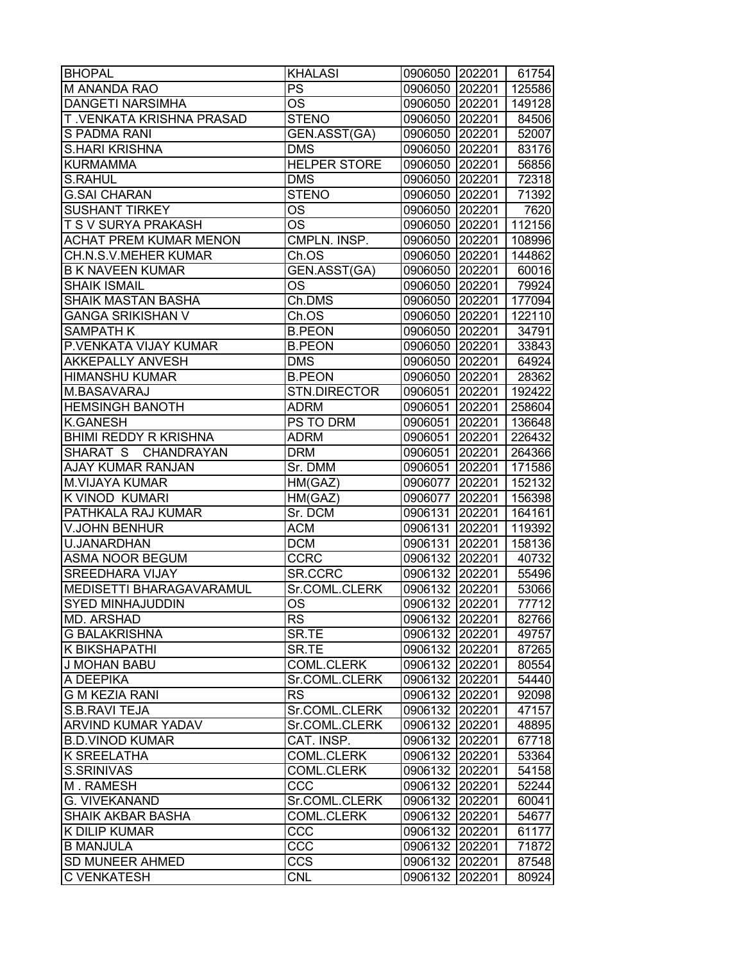| <b>BHOPAL</b>                 | <b>KHALASI</b>      | 0906050 202201 | 61754  |
|-------------------------------|---------------------|----------------|--------|
| M ANANDA RAO                  | <b>PS</b>           | 0906050 202201 | 125586 |
| <b>DANGETI NARSIMHA</b>       | OS                  | 0906050 202201 | 149128 |
| T.VENKATA KRISHNA PRASAD      | <b>STENO</b>        | 0906050 202201 | 84506  |
| S PADMA RANI                  | GEN.ASST(GA)        | 0906050 202201 | 52007  |
| <b>S.HARI KRISHNA</b>         | <b>DMS</b>          | 0906050 202201 | 83176  |
| <b>KURMAMMA</b>               | <b>HELPER STORE</b> | 0906050 202201 | 56856  |
| <b>S.RAHUL</b>                | <b>DMS</b>          | 0906050 202201 | 72318  |
| <b>G.SAI CHARAN</b>           | <b>STENO</b>        | 0906050 202201 | 71392  |
| <b>SUSHANT TIRKEY</b>         | <b>OS</b>           | 0906050 202201 | 7620   |
| <b>T S V SURYA PRAKASH</b>    | <b>OS</b>           | 0906050 202201 | 112156 |
| <b>ACHAT PREM KUMAR MENON</b> | CMPLN. INSP.        | 0906050 202201 | 108996 |
| CH.N.S.V.MEHER KUMAR          | Ch.OS               | 0906050 202201 | 144862 |
| <b>B K NAVEEN KUMAR</b>       | GEN.ASST(GA)        | 0906050 202201 | 60016  |
| <b>SHAIK ISMAIL</b>           | OS                  | 0906050 202201 | 79924  |
| SHAIK MASTAN BASHA            | Ch.DMS              | 0906050 202201 | 177094 |
| <b>GANGA SRIKISHAN V</b>      | Ch.OS               | 0906050 202201 | 122110 |
| <b>SAMPATH K</b>              | <b>B.PEON</b>       | 0906050 202201 | 34791  |
| P.VENKATA VIJAY KUMAR         | <b>B.PEON</b>       | 0906050 202201 | 33843  |
| <b>AKKEPALLY ANVESH</b>       | <b>DMS</b>          | 0906050 202201 | 64924  |
| <b>HIMANSHU KUMAR</b>         | <b>B.PEON</b>       | 0906050 202201 | 28362  |
| M.BASAVARAJ                   |                     |                |        |
|                               | <b>STN.DIRECTOR</b> | 0906051 202201 | 192422 |
| <b>HEMSINGH BANOTH</b>        | <b>ADRM</b>         | 0906051 202201 | 258604 |
| <b>K.GANESH</b>               | PS TO DRM           | 0906051 202201 | 136648 |
| <b>BHIMI REDDY R KRISHNA</b>  | <b>ADRM</b>         | 0906051 202201 | 226432 |
| SHARAT S CHANDRAYAN           | <b>DRM</b>          | 0906051 202201 | 264366 |
| AJAY KUMAR RANJAN             | Sr. DMM             | 0906051 202201 | 171586 |
| <b>M.VIJAYA KUMAR</b>         | HM(GAZ)             | 0906077 202201 | 152132 |
| K VINOD KUMARI                | HM(GAZ)             | 0906077 202201 | 156398 |
| PATHKALA RAJ KUMAR            | Sr. DCM             | 0906131 202201 | 164161 |
| V.JOHN BENHUR                 | ACM                 | 0906131 202201 | 119392 |
| U.JANARDHAN                   | <b>DCM</b>          | 0906131 202201 | 158136 |
| <b>ASMA NOOR BEGUM</b>        | <b>CCRC</b>         | 0906132 202201 | 40732  |
| <b>SREEDHARA VIJAY</b>        | SR.CCRC             | 0906132 202201 | 55496  |
| MEDISETTI BHARAGAVARAMUL      | Sr.COML.CLERK       | 0906132 202201 | 53066  |
| <b>SYED MINHAJUDDIN</b>       | <b>OS</b>           | 0906132 202201 | 77712  |
| MD. ARSHAD                    | <b>RS</b>           | 0906132 202201 | 82766  |
| <b>G BALAKRISHNA</b>          | SR.TE               | 0906132 202201 | 49757  |
| K BIKSHAPATHI                 | SR.TE               | 0906132 202201 | 87265  |
| <b>J MOHAN BABU</b>           | <b>COML.CLERK</b>   | 0906132 202201 | 80554  |
| A DEEPIKA                     | Sr.COML.CLERK       | 0906132 202201 | 54440  |
| <b>G M KEZIA RANI</b>         | <b>RS</b>           | 0906132 202201 | 92098  |
| S.B.RAVI TEJA                 | Sr.COML.CLERK       | 0906132 202201 | 47157  |
| ARVIND KUMAR YADAV            | Sr.COML.CLERK       | 0906132 202201 | 48895  |
| <b>B.D.VINOD KUMAR</b>        | CAT. INSP.          | 0906132 202201 | 67718  |
| K SREELATHA                   | <b>COML.CLERK</b>   | 0906132 202201 | 53364  |
| S.SRINIVAS                    | <b>COML.CLERK</b>   | 0906132 202201 | 54158  |
| M. RAMESH                     | CCC                 | 0906132 202201 | 52244  |
| G. VIVEKANAND                 | Sr.COML.CLERK       | 0906132 202201 | 60041  |
| <b>SHAIK AKBAR BASHA</b>      | <b>COML.CLERK</b>   | 0906132 202201 | 54677  |
| K DILIP KUMAR                 | CCC                 | 0906132 202201 | 61177  |
| <b>B MANJULA</b>              | CCC                 | 0906132 202201 | 71872  |
| SD MUNEER AHMED               | <b>CCS</b>          | 0906132 202201 | 87548  |
| <b>C VENKATESH</b>            | <b>CNL</b>          | 0906132 202201 | 80924  |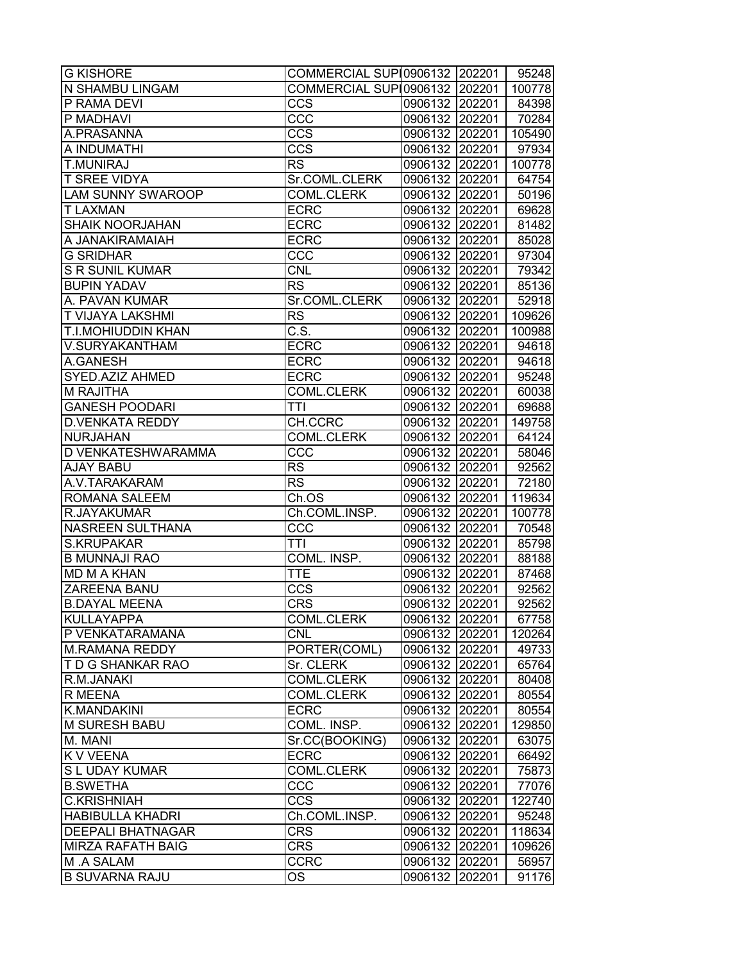| <b>G KISHORE</b>          | COMMERCIAL SUP10906132 202201 |                |        | 95248  |
|---------------------------|-------------------------------|----------------|--------|--------|
| N SHAMBU LINGAM           | COMMERCIAL SUP10906132 202201 |                |        | 100778 |
| P RAMA DEVI               | CCS                           | 0906132 202201 |        | 84398  |
| P MADHAVI                 | CCC                           | 0906132 202201 |        | 70284  |
| A.PRASANNA                | <b>CCS</b>                    | 0906132 202201 |        | 105490 |
| A INDUMATHI               | <b>CCS</b>                    | 0906132 202201 |        | 97934  |
| <b>T.MUNIRAJ</b>          | <b>RS</b>                     | 0906132 202201 |        | 100778 |
| <b>T SREE VIDYA</b>       | Sr.COML.CLERK                 | 0906132 202201 |        | 64754  |
| <b>LAM SUNNY SWAROOP</b>  | <b>COML.CLERK</b>             | 0906132 202201 |        | 50196  |
| <b>T LAXMAN</b>           | <b>ECRC</b>                   | 0906132 202201 |        | 69628  |
| <b>SHAIK NOORJAHAN</b>    | <b>ECRC</b>                   | 0906132 202201 |        | 81482  |
| A JANAKIRAMAIAH           | <b>ECRC</b>                   | 0906132 202201 |        | 85028  |
| <b>G SRIDHAR</b>          | CC <sub>C</sub>               | 0906132 202201 |        | 97304  |
| <b>S R SUNIL KUMAR</b>    | <b>CNL</b>                    | 0906132 202201 |        | 79342  |
| <b>BUPIN YADAV</b>        | <b>RS</b>                     | 0906132 202201 |        | 85136  |
| A. PAVAN KUMAR            | Sr.COML.CLERK                 | 0906132 202201 |        | 52918  |
| <b>T VIJAYA LAKSHMI</b>   | <b>RS</b>                     | 0906132 202201 |        | 109626 |
|                           |                               |                |        |        |
| <b>T.I.MOHIUDDIN KHAN</b> | C.S.                          | 0906132 202201 |        | 100988 |
| V.SURYAKANTHAM            | <b>ECRC</b>                   | 0906132 202201 |        | 94618  |
| A.GANESH                  | <b>ECRC</b>                   | 0906132 202201 |        | 94618  |
| SYED.AZIZ AHMED           | <b>ECRC</b>                   | 0906132 202201 |        | 95248  |
| M RAJITHA                 | <b>COML.CLERK</b>             | 0906132 202201 |        | 60038  |
| <b>GANESH POODARI</b>     | <b>TTI</b>                    | 0906132 202201 |        | 69688  |
| <b>D.VENKATA REDDY</b>    | CH.CCRC                       | 0906132 202201 |        | 149758 |
| <b>NURJAHAN</b>           | <b>COML.CLERK</b>             | 0906132 202201 |        | 64124  |
| D VENKATESHWARAMMA        | CCC                           | 0906132 202201 |        | 58046  |
| <b>AJAY BABU</b>          | <b>RS</b>                     | 0906132 202201 |        | 92562  |
| A.V.TARAKARAM             | <b>RS</b>                     | 0906132 202201 |        | 72180  |
| ROMANA SALEEM             | Ch.OS                         | 0906132 202201 |        | 119634 |
| R.JAYAKUMAR               | Ch.COML.INSP.                 | 0906132 202201 |        | 100778 |
| NASREEN SULTHANA          | CCC                           | 0906132 202201 |        | 70548  |
| <b>S.KRUPAKAR</b>         | TTI                           | 0906132 202201 |        | 85798  |
| <b>B MUNNAJI RAO</b>      | COML. INSP.                   | 0906132 202201 |        | 88188  |
| <b>MD M A KHAN</b>        | <b>TTE</b>                    | 0906132 202201 |        | 87468  |
| <b>ZAREENA BANU</b>       | $\overline{ccs}$              | 0906132 202201 |        | 92562  |
| <b>B.DAYAL MEENA</b>      | <b>CRS</b>                    | 0906132 202201 |        | 92562  |
| KULLAYAPPA                | <b>COML.CLERK</b>             | 0906132 202201 |        | 67758  |
| P VENKATARAMANA           | <b>CNL</b>                    | 0906132 202201 |        | 120264 |
| <b>M.RAMANA REDDY</b>     | PORTER(COML)                  | 0906132 202201 |        | 49733  |
| T D G SHANKAR RAO         | Sr. CLERK                     | 0906132 202201 |        | 65764  |
| R.M.JANAKI                | <b>COML.CLERK</b>             | 0906132 202201 |        | 80408  |
| R MEENA                   | <b>COML.CLERK</b>             | 0906132 202201 |        | 80554  |
| <b>K.MANDAKINI</b>        | <b>ECRC</b>                   | 0906132 202201 |        | 80554  |
| M SURESH BABU             | COML. INSP.                   | 0906132 202201 |        | 129850 |
| M. MANI                   | Sr.CC(BOOKING)                | 0906132 202201 |        | 63075  |
| <b>K V VEENA</b>          | <b>ECRC</b>                   | 0906132 202201 |        | 66492  |
| S L UDAY KUMAR            | <b>COML.CLERK</b>             |                |        |        |
|                           |                               | 0906132 202201 |        | 75873  |
| <b>B.SWETHA</b>           | CCC                           | 0906132 202201 |        | 77076  |
| <b>C.KRISHNIAH</b>        | <b>CCS</b>                    | 0906132 202201 |        | 122740 |
| <b>HABIBULLA KHADRI</b>   | Ch.COML.INSP.                 | 0906132 202201 |        | 95248  |
| <b>DEEPALI BHATNAGAR</b>  | <b>CRS</b>                    | 0906132        | 202201 | 118634 |
| <b>MIRZA RAFATH BAIG</b>  | <b>CRS</b>                    | 0906132        | 202201 | 109626 |
| M .A SALAM                | CCRC                          | 0906132        | 202201 | 56957  |
| <b>B SUVARNA RAJU</b>     | OS                            | 0906132        | 202201 | 91176  |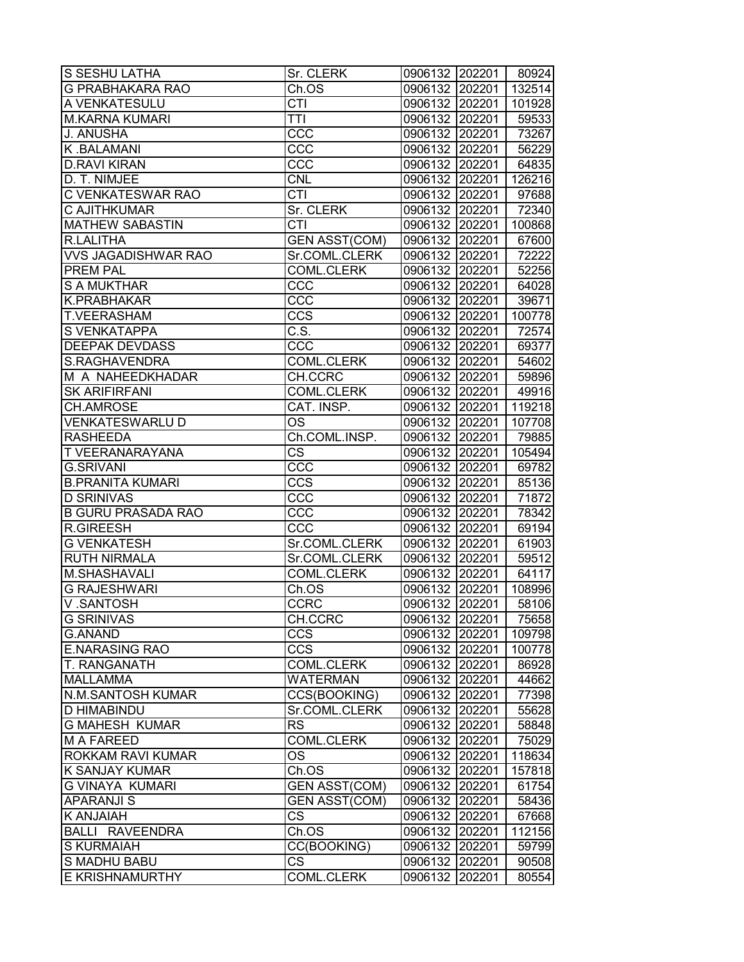| <b>G PRABHAKARA RAO</b><br>132514<br>Ch.OS<br>0906132 202201<br>A VENKATESULU<br>CTI<br>0906132 202201<br>101928<br><b>M.KARNA KUMARI</b><br><b>TTI</b><br>0906132 202201<br>59533<br><b>J. ANUSHA</b><br>CCC<br>0906132 202201<br>73267<br>K.BALAMANI<br>CCC<br>0906132 202201<br>56229<br><b>D.RAVI KIRAN</b><br>CCC<br>0906132 202201<br>64835<br>0906132 202201<br>D. T. NIMJEE<br><b>CNL</b><br>126216<br>C VENKATESWAR RAO<br><b>CTI</b><br>0906132 202201<br>Sr. CLERK<br>C AJITHKUMAR<br>0906132 202201<br>$\overline{\text{CT}}$ l<br>0906132 202201<br><b>MATHEW SABASTIN</b><br>100868<br><b>R.LALITHA</b><br><b>GEN ASST(COM)</b><br>0906132 202201<br><b>VVS JAGADISHWAR RAO</b><br>Sr.COML.CLERK<br>72222<br>0906132 202201<br><b>PREM PAL</b><br>COML.CLERK<br>0906132 202201<br>52256<br><b>S A MUKTHAR</b><br>ccc<br>0906132 202201<br>64028<br>CCC<br>K.PRABHAKAR<br>0906132 202201<br>39671<br><b>T.VEERASHAM</b><br><b>CCS</b><br>0906132 202201<br>100778<br><b>S VENKATAPPA</b><br>C.S.<br>0906132 202201<br>72574<br><b>DEEPAK DEVDASS</b><br>CCC<br>0906132 202201<br>69377<br>S.RAGHAVENDRA<br><b>COML.CLERK</b><br>0906132 202201<br>54602<br>M A NAHEEDKHADAR<br>CH.CCRC<br>0906132 202201<br>59896<br><b>SK ARIFIRFANI</b><br><b>COML.CLERK</b><br>0906132 202201<br>49916<br>CAT. INSP.<br><b>CH.AMROSE</b><br>0906132 202201<br>119218<br><b>VENKATESWARLU D</b><br>0906132 202201<br>ОS<br>107708<br><b>RASHEEDA</b><br>Ch.COML.INSP.<br>0906132 202201<br>79885<br><b>TVEERANARAYANA</b><br>СS<br>0906132 202201<br>105494<br><b>G.SRIVANI</b><br>ccc<br>0906132 202201<br>69782<br>CCS<br><b>B.PRANITA KUMARI</b><br>85136<br>0906132 202201<br><b>D SRINIVAS</b><br>CCC<br>71872<br>0906132 202201<br><b>B GURU PRASADA RAO</b><br>CCC<br>0906132 202201<br>78342<br><b>R.GIREESH</b><br>CCC<br>0906132 202201<br>69194<br><b>G VENKATESH</b><br>Sr.COML.CLERK<br>0906132 202201<br>61903<br>0906132 202201<br>59512<br><b>RUTH NIRMALA</b><br>Sr.COML.CLERK<br>M.SHASHAVALI<br><b>COML.CLERK</b><br>0906132 202201<br>64117<br><b>G RAJESHWARI</b><br>0906132 202201<br>Ch.OS<br>108996<br>0906132 202201<br>V.SANTOSH<br><b>CCRC</b><br>58106<br><b>G SRINIVAS</b><br>CH.CCRC<br>0906132 202201<br>75658<br><b>G.ANAND</b><br>CCS<br>0906132 202201<br>109798<br><b>E.NARASING RAO</b><br><b>CCS</b><br>0906132 202201<br>100778<br><b>T. RANGANATH</b><br>COML.CLERK<br>0906132 202201<br>86928<br><b>MALLAMMA</b><br><b>WATERMAN</b><br>0906132 202201<br>44662<br><b>N.M.SANTOSH KUMAR</b><br>CCS(BOOKING)<br>0906132 202201<br>77398<br><b>D HIMABINDU</b><br>Sr.COML.CLERK<br>0906132 202201<br>55628<br><b>G MAHESH KUMAR</b><br><b>RS</b><br>0906132 202201<br>58848<br>COML.CLERK<br><b>M A FAREED</b><br>0906132 202201<br>75029<br><b>ROKKAM RAVI KUMAR</b><br>OS.<br>0906132 202201<br>118634<br><b>K SANJAY KUMAR</b><br>Ch.OS<br>0906132 202201<br>157818<br><b>G VINAYA KUMARI</b><br><b>GEN ASST(COM)</b><br>0906132 202201<br>61754<br><b>APARANJI S</b><br><b>GEN ASST(COM)</b><br>0906132 202201<br>58436<br>K ANJAIAH<br>CS<br>0906132 202201<br>67668<br>0906132 202201<br><b>BALLI RAVEENDRA</b><br>Ch.OS<br>112156<br><b>S KURMAIAH</b><br>CC(BOOKING)<br>0906132 202201<br>59799<br><b>CS</b><br>S MADHU BABU<br>0906132 202201<br>90508<br>E KRISHNAMURTHY<br>COML.CLERK<br>0906132 202201<br>80554 | S SESHU LATHA | Sr. CLERK | 0906132 202201 | 80924 |
|-----------------------------------------------------------------------------------------------------------------------------------------------------------------------------------------------------------------------------------------------------------------------------------------------------------------------------------------------------------------------------------------------------------------------------------------------------------------------------------------------------------------------------------------------------------------------------------------------------------------------------------------------------------------------------------------------------------------------------------------------------------------------------------------------------------------------------------------------------------------------------------------------------------------------------------------------------------------------------------------------------------------------------------------------------------------------------------------------------------------------------------------------------------------------------------------------------------------------------------------------------------------------------------------------------------------------------------------------------------------------------------------------------------------------------------------------------------------------------------------------------------------------------------------------------------------------------------------------------------------------------------------------------------------------------------------------------------------------------------------------------------------------------------------------------------------------------------------------------------------------------------------------------------------------------------------------------------------------------------------------------------------------------------------------------------------------------------------------------------------------------------------------------------------------------------------------------------------------------------------------------------------------------------------------------------------------------------------------------------------------------------------------------------------------------------------------------------------------------------------------------------------------------------------------------------------------------------------------------------------------------------------------------------------------------------------------------------------------------------------------------------------------------------------------------------------------------------------------------------------------------------------------------------------------------------------------------------------------------------------------------------------------------------------------------------------------------------------------------------------------------------------------------------------------------------------------------------------------------------------------------------------------------------------------------------------------------------------------------------------|---------------|-----------|----------------|-------|
|                                                                                                                                                                                                                                                                                                                                                                                                                                                                                                                                                                                                                                                                                                                                                                                                                                                                                                                                                                                                                                                                                                                                                                                                                                                                                                                                                                                                                                                                                                                                                                                                                                                                                                                                                                                                                                                                                                                                                                                                                                                                                                                                                                                                                                                                                                                                                                                                                                                                                                                                                                                                                                                                                                                                                                                                                                                                                                                                                                                                                                                                                                                                                                                                                                                                                                                                                                 |               |           |                |       |
|                                                                                                                                                                                                                                                                                                                                                                                                                                                                                                                                                                                                                                                                                                                                                                                                                                                                                                                                                                                                                                                                                                                                                                                                                                                                                                                                                                                                                                                                                                                                                                                                                                                                                                                                                                                                                                                                                                                                                                                                                                                                                                                                                                                                                                                                                                                                                                                                                                                                                                                                                                                                                                                                                                                                                                                                                                                                                                                                                                                                                                                                                                                                                                                                                                                                                                                                                                 |               |           |                |       |
|                                                                                                                                                                                                                                                                                                                                                                                                                                                                                                                                                                                                                                                                                                                                                                                                                                                                                                                                                                                                                                                                                                                                                                                                                                                                                                                                                                                                                                                                                                                                                                                                                                                                                                                                                                                                                                                                                                                                                                                                                                                                                                                                                                                                                                                                                                                                                                                                                                                                                                                                                                                                                                                                                                                                                                                                                                                                                                                                                                                                                                                                                                                                                                                                                                                                                                                                                                 |               |           |                |       |
|                                                                                                                                                                                                                                                                                                                                                                                                                                                                                                                                                                                                                                                                                                                                                                                                                                                                                                                                                                                                                                                                                                                                                                                                                                                                                                                                                                                                                                                                                                                                                                                                                                                                                                                                                                                                                                                                                                                                                                                                                                                                                                                                                                                                                                                                                                                                                                                                                                                                                                                                                                                                                                                                                                                                                                                                                                                                                                                                                                                                                                                                                                                                                                                                                                                                                                                                                                 |               |           |                |       |
|                                                                                                                                                                                                                                                                                                                                                                                                                                                                                                                                                                                                                                                                                                                                                                                                                                                                                                                                                                                                                                                                                                                                                                                                                                                                                                                                                                                                                                                                                                                                                                                                                                                                                                                                                                                                                                                                                                                                                                                                                                                                                                                                                                                                                                                                                                                                                                                                                                                                                                                                                                                                                                                                                                                                                                                                                                                                                                                                                                                                                                                                                                                                                                                                                                                                                                                                                                 |               |           |                |       |
|                                                                                                                                                                                                                                                                                                                                                                                                                                                                                                                                                                                                                                                                                                                                                                                                                                                                                                                                                                                                                                                                                                                                                                                                                                                                                                                                                                                                                                                                                                                                                                                                                                                                                                                                                                                                                                                                                                                                                                                                                                                                                                                                                                                                                                                                                                                                                                                                                                                                                                                                                                                                                                                                                                                                                                                                                                                                                                                                                                                                                                                                                                                                                                                                                                                                                                                                                                 |               |           |                |       |
|                                                                                                                                                                                                                                                                                                                                                                                                                                                                                                                                                                                                                                                                                                                                                                                                                                                                                                                                                                                                                                                                                                                                                                                                                                                                                                                                                                                                                                                                                                                                                                                                                                                                                                                                                                                                                                                                                                                                                                                                                                                                                                                                                                                                                                                                                                                                                                                                                                                                                                                                                                                                                                                                                                                                                                                                                                                                                                                                                                                                                                                                                                                                                                                                                                                                                                                                                                 |               |           |                |       |
|                                                                                                                                                                                                                                                                                                                                                                                                                                                                                                                                                                                                                                                                                                                                                                                                                                                                                                                                                                                                                                                                                                                                                                                                                                                                                                                                                                                                                                                                                                                                                                                                                                                                                                                                                                                                                                                                                                                                                                                                                                                                                                                                                                                                                                                                                                                                                                                                                                                                                                                                                                                                                                                                                                                                                                                                                                                                                                                                                                                                                                                                                                                                                                                                                                                                                                                                                                 |               |           |                | 97688 |
|                                                                                                                                                                                                                                                                                                                                                                                                                                                                                                                                                                                                                                                                                                                                                                                                                                                                                                                                                                                                                                                                                                                                                                                                                                                                                                                                                                                                                                                                                                                                                                                                                                                                                                                                                                                                                                                                                                                                                                                                                                                                                                                                                                                                                                                                                                                                                                                                                                                                                                                                                                                                                                                                                                                                                                                                                                                                                                                                                                                                                                                                                                                                                                                                                                                                                                                                                                 |               |           |                | 72340 |
|                                                                                                                                                                                                                                                                                                                                                                                                                                                                                                                                                                                                                                                                                                                                                                                                                                                                                                                                                                                                                                                                                                                                                                                                                                                                                                                                                                                                                                                                                                                                                                                                                                                                                                                                                                                                                                                                                                                                                                                                                                                                                                                                                                                                                                                                                                                                                                                                                                                                                                                                                                                                                                                                                                                                                                                                                                                                                                                                                                                                                                                                                                                                                                                                                                                                                                                                                                 |               |           |                |       |
|                                                                                                                                                                                                                                                                                                                                                                                                                                                                                                                                                                                                                                                                                                                                                                                                                                                                                                                                                                                                                                                                                                                                                                                                                                                                                                                                                                                                                                                                                                                                                                                                                                                                                                                                                                                                                                                                                                                                                                                                                                                                                                                                                                                                                                                                                                                                                                                                                                                                                                                                                                                                                                                                                                                                                                                                                                                                                                                                                                                                                                                                                                                                                                                                                                                                                                                                                                 |               |           |                | 67600 |
|                                                                                                                                                                                                                                                                                                                                                                                                                                                                                                                                                                                                                                                                                                                                                                                                                                                                                                                                                                                                                                                                                                                                                                                                                                                                                                                                                                                                                                                                                                                                                                                                                                                                                                                                                                                                                                                                                                                                                                                                                                                                                                                                                                                                                                                                                                                                                                                                                                                                                                                                                                                                                                                                                                                                                                                                                                                                                                                                                                                                                                                                                                                                                                                                                                                                                                                                                                 |               |           |                |       |
|                                                                                                                                                                                                                                                                                                                                                                                                                                                                                                                                                                                                                                                                                                                                                                                                                                                                                                                                                                                                                                                                                                                                                                                                                                                                                                                                                                                                                                                                                                                                                                                                                                                                                                                                                                                                                                                                                                                                                                                                                                                                                                                                                                                                                                                                                                                                                                                                                                                                                                                                                                                                                                                                                                                                                                                                                                                                                                                                                                                                                                                                                                                                                                                                                                                                                                                                                                 |               |           |                |       |
|                                                                                                                                                                                                                                                                                                                                                                                                                                                                                                                                                                                                                                                                                                                                                                                                                                                                                                                                                                                                                                                                                                                                                                                                                                                                                                                                                                                                                                                                                                                                                                                                                                                                                                                                                                                                                                                                                                                                                                                                                                                                                                                                                                                                                                                                                                                                                                                                                                                                                                                                                                                                                                                                                                                                                                                                                                                                                                                                                                                                                                                                                                                                                                                                                                                                                                                                                                 |               |           |                |       |
|                                                                                                                                                                                                                                                                                                                                                                                                                                                                                                                                                                                                                                                                                                                                                                                                                                                                                                                                                                                                                                                                                                                                                                                                                                                                                                                                                                                                                                                                                                                                                                                                                                                                                                                                                                                                                                                                                                                                                                                                                                                                                                                                                                                                                                                                                                                                                                                                                                                                                                                                                                                                                                                                                                                                                                                                                                                                                                                                                                                                                                                                                                                                                                                                                                                                                                                                                                 |               |           |                |       |
|                                                                                                                                                                                                                                                                                                                                                                                                                                                                                                                                                                                                                                                                                                                                                                                                                                                                                                                                                                                                                                                                                                                                                                                                                                                                                                                                                                                                                                                                                                                                                                                                                                                                                                                                                                                                                                                                                                                                                                                                                                                                                                                                                                                                                                                                                                                                                                                                                                                                                                                                                                                                                                                                                                                                                                                                                                                                                                                                                                                                                                                                                                                                                                                                                                                                                                                                                                 |               |           |                |       |
|                                                                                                                                                                                                                                                                                                                                                                                                                                                                                                                                                                                                                                                                                                                                                                                                                                                                                                                                                                                                                                                                                                                                                                                                                                                                                                                                                                                                                                                                                                                                                                                                                                                                                                                                                                                                                                                                                                                                                                                                                                                                                                                                                                                                                                                                                                                                                                                                                                                                                                                                                                                                                                                                                                                                                                                                                                                                                                                                                                                                                                                                                                                                                                                                                                                                                                                                                                 |               |           |                |       |
|                                                                                                                                                                                                                                                                                                                                                                                                                                                                                                                                                                                                                                                                                                                                                                                                                                                                                                                                                                                                                                                                                                                                                                                                                                                                                                                                                                                                                                                                                                                                                                                                                                                                                                                                                                                                                                                                                                                                                                                                                                                                                                                                                                                                                                                                                                                                                                                                                                                                                                                                                                                                                                                                                                                                                                                                                                                                                                                                                                                                                                                                                                                                                                                                                                                                                                                                                                 |               |           |                |       |
|                                                                                                                                                                                                                                                                                                                                                                                                                                                                                                                                                                                                                                                                                                                                                                                                                                                                                                                                                                                                                                                                                                                                                                                                                                                                                                                                                                                                                                                                                                                                                                                                                                                                                                                                                                                                                                                                                                                                                                                                                                                                                                                                                                                                                                                                                                                                                                                                                                                                                                                                                                                                                                                                                                                                                                                                                                                                                                                                                                                                                                                                                                                                                                                                                                                                                                                                                                 |               |           |                |       |
|                                                                                                                                                                                                                                                                                                                                                                                                                                                                                                                                                                                                                                                                                                                                                                                                                                                                                                                                                                                                                                                                                                                                                                                                                                                                                                                                                                                                                                                                                                                                                                                                                                                                                                                                                                                                                                                                                                                                                                                                                                                                                                                                                                                                                                                                                                                                                                                                                                                                                                                                                                                                                                                                                                                                                                                                                                                                                                                                                                                                                                                                                                                                                                                                                                                                                                                                                                 |               |           |                |       |
|                                                                                                                                                                                                                                                                                                                                                                                                                                                                                                                                                                                                                                                                                                                                                                                                                                                                                                                                                                                                                                                                                                                                                                                                                                                                                                                                                                                                                                                                                                                                                                                                                                                                                                                                                                                                                                                                                                                                                                                                                                                                                                                                                                                                                                                                                                                                                                                                                                                                                                                                                                                                                                                                                                                                                                                                                                                                                                                                                                                                                                                                                                                                                                                                                                                                                                                                                                 |               |           |                |       |
|                                                                                                                                                                                                                                                                                                                                                                                                                                                                                                                                                                                                                                                                                                                                                                                                                                                                                                                                                                                                                                                                                                                                                                                                                                                                                                                                                                                                                                                                                                                                                                                                                                                                                                                                                                                                                                                                                                                                                                                                                                                                                                                                                                                                                                                                                                                                                                                                                                                                                                                                                                                                                                                                                                                                                                                                                                                                                                                                                                                                                                                                                                                                                                                                                                                                                                                                                                 |               |           |                |       |
|                                                                                                                                                                                                                                                                                                                                                                                                                                                                                                                                                                                                                                                                                                                                                                                                                                                                                                                                                                                                                                                                                                                                                                                                                                                                                                                                                                                                                                                                                                                                                                                                                                                                                                                                                                                                                                                                                                                                                                                                                                                                                                                                                                                                                                                                                                                                                                                                                                                                                                                                                                                                                                                                                                                                                                                                                                                                                                                                                                                                                                                                                                                                                                                                                                                                                                                                                                 |               |           |                |       |
|                                                                                                                                                                                                                                                                                                                                                                                                                                                                                                                                                                                                                                                                                                                                                                                                                                                                                                                                                                                                                                                                                                                                                                                                                                                                                                                                                                                                                                                                                                                                                                                                                                                                                                                                                                                                                                                                                                                                                                                                                                                                                                                                                                                                                                                                                                                                                                                                                                                                                                                                                                                                                                                                                                                                                                                                                                                                                                                                                                                                                                                                                                                                                                                                                                                                                                                                                                 |               |           |                |       |
|                                                                                                                                                                                                                                                                                                                                                                                                                                                                                                                                                                                                                                                                                                                                                                                                                                                                                                                                                                                                                                                                                                                                                                                                                                                                                                                                                                                                                                                                                                                                                                                                                                                                                                                                                                                                                                                                                                                                                                                                                                                                                                                                                                                                                                                                                                                                                                                                                                                                                                                                                                                                                                                                                                                                                                                                                                                                                                                                                                                                                                                                                                                                                                                                                                                                                                                                                                 |               |           |                |       |
|                                                                                                                                                                                                                                                                                                                                                                                                                                                                                                                                                                                                                                                                                                                                                                                                                                                                                                                                                                                                                                                                                                                                                                                                                                                                                                                                                                                                                                                                                                                                                                                                                                                                                                                                                                                                                                                                                                                                                                                                                                                                                                                                                                                                                                                                                                                                                                                                                                                                                                                                                                                                                                                                                                                                                                                                                                                                                                                                                                                                                                                                                                                                                                                                                                                                                                                                                                 |               |           |                |       |
|                                                                                                                                                                                                                                                                                                                                                                                                                                                                                                                                                                                                                                                                                                                                                                                                                                                                                                                                                                                                                                                                                                                                                                                                                                                                                                                                                                                                                                                                                                                                                                                                                                                                                                                                                                                                                                                                                                                                                                                                                                                                                                                                                                                                                                                                                                                                                                                                                                                                                                                                                                                                                                                                                                                                                                                                                                                                                                                                                                                                                                                                                                                                                                                                                                                                                                                                                                 |               |           |                |       |
|                                                                                                                                                                                                                                                                                                                                                                                                                                                                                                                                                                                                                                                                                                                                                                                                                                                                                                                                                                                                                                                                                                                                                                                                                                                                                                                                                                                                                                                                                                                                                                                                                                                                                                                                                                                                                                                                                                                                                                                                                                                                                                                                                                                                                                                                                                                                                                                                                                                                                                                                                                                                                                                                                                                                                                                                                                                                                                                                                                                                                                                                                                                                                                                                                                                                                                                                                                 |               |           |                |       |
|                                                                                                                                                                                                                                                                                                                                                                                                                                                                                                                                                                                                                                                                                                                                                                                                                                                                                                                                                                                                                                                                                                                                                                                                                                                                                                                                                                                                                                                                                                                                                                                                                                                                                                                                                                                                                                                                                                                                                                                                                                                                                                                                                                                                                                                                                                                                                                                                                                                                                                                                                                                                                                                                                                                                                                                                                                                                                                                                                                                                                                                                                                                                                                                                                                                                                                                                                                 |               |           |                |       |
|                                                                                                                                                                                                                                                                                                                                                                                                                                                                                                                                                                                                                                                                                                                                                                                                                                                                                                                                                                                                                                                                                                                                                                                                                                                                                                                                                                                                                                                                                                                                                                                                                                                                                                                                                                                                                                                                                                                                                                                                                                                                                                                                                                                                                                                                                                                                                                                                                                                                                                                                                                                                                                                                                                                                                                                                                                                                                                                                                                                                                                                                                                                                                                                                                                                                                                                                                                 |               |           |                |       |
|                                                                                                                                                                                                                                                                                                                                                                                                                                                                                                                                                                                                                                                                                                                                                                                                                                                                                                                                                                                                                                                                                                                                                                                                                                                                                                                                                                                                                                                                                                                                                                                                                                                                                                                                                                                                                                                                                                                                                                                                                                                                                                                                                                                                                                                                                                                                                                                                                                                                                                                                                                                                                                                                                                                                                                                                                                                                                                                                                                                                                                                                                                                                                                                                                                                                                                                                                                 |               |           |                |       |
|                                                                                                                                                                                                                                                                                                                                                                                                                                                                                                                                                                                                                                                                                                                                                                                                                                                                                                                                                                                                                                                                                                                                                                                                                                                                                                                                                                                                                                                                                                                                                                                                                                                                                                                                                                                                                                                                                                                                                                                                                                                                                                                                                                                                                                                                                                                                                                                                                                                                                                                                                                                                                                                                                                                                                                                                                                                                                                                                                                                                                                                                                                                                                                                                                                                                                                                                                                 |               |           |                |       |
|                                                                                                                                                                                                                                                                                                                                                                                                                                                                                                                                                                                                                                                                                                                                                                                                                                                                                                                                                                                                                                                                                                                                                                                                                                                                                                                                                                                                                                                                                                                                                                                                                                                                                                                                                                                                                                                                                                                                                                                                                                                                                                                                                                                                                                                                                                                                                                                                                                                                                                                                                                                                                                                                                                                                                                                                                                                                                                                                                                                                                                                                                                                                                                                                                                                                                                                                                                 |               |           |                |       |
|                                                                                                                                                                                                                                                                                                                                                                                                                                                                                                                                                                                                                                                                                                                                                                                                                                                                                                                                                                                                                                                                                                                                                                                                                                                                                                                                                                                                                                                                                                                                                                                                                                                                                                                                                                                                                                                                                                                                                                                                                                                                                                                                                                                                                                                                                                                                                                                                                                                                                                                                                                                                                                                                                                                                                                                                                                                                                                                                                                                                                                                                                                                                                                                                                                                                                                                                                                 |               |           |                |       |
|                                                                                                                                                                                                                                                                                                                                                                                                                                                                                                                                                                                                                                                                                                                                                                                                                                                                                                                                                                                                                                                                                                                                                                                                                                                                                                                                                                                                                                                                                                                                                                                                                                                                                                                                                                                                                                                                                                                                                                                                                                                                                                                                                                                                                                                                                                                                                                                                                                                                                                                                                                                                                                                                                                                                                                                                                                                                                                                                                                                                                                                                                                                                                                                                                                                                                                                                                                 |               |           |                |       |
|                                                                                                                                                                                                                                                                                                                                                                                                                                                                                                                                                                                                                                                                                                                                                                                                                                                                                                                                                                                                                                                                                                                                                                                                                                                                                                                                                                                                                                                                                                                                                                                                                                                                                                                                                                                                                                                                                                                                                                                                                                                                                                                                                                                                                                                                                                                                                                                                                                                                                                                                                                                                                                                                                                                                                                                                                                                                                                                                                                                                                                                                                                                                                                                                                                                                                                                                                                 |               |           |                |       |
|                                                                                                                                                                                                                                                                                                                                                                                                                                                                                                                                                                                                                                                                                                                                                                                                                                                                                                                                                                                                                                                                                                                                                                                                                                                                                                                                                                                                                                                                                                                                                                                                                                                                                                                                                                                                                                                                                                                                                                                                                                                                                                                                                                                                                                                                                                                                                                                                                                                                                                                                                                                                                                                                                                                                                                                                                                                                                                                                                                                                                                                                                                                                                                                                                                                                                                                                                                 |               |           |                |       |
|                                                                                                                                                                                                                                                                                                                                                                                                                                                                                                                                                                                                                                                                                                                                                                                                                                                                                                                                                                                                                                                                                                                                                                                                                                                                                                                                                                                                                                                                                                                                                                                                                                                                                                                                                                                                                                                                                                                                                                                                                                                                                                                                                                                                                                                                                                                                                                                                                                                                                                                                                                                                                                                                                                                                                                                                                                                                                                                                                                                                                                                                                                                                                                                                                                                                                                                                                                 |               |           |                |       |
|                                                                                                                                                                                                                                                                                                                                                                                                                                                                                                                                                                                                                                                                                                                                                                                                                                                                                                                                                                                                                                                                                                                                                                                                                                                                                                                                                                                                                                                                                                                                                                                                                                                                                                                                                                                                                                                                                                                                                                                                                                                                                                                                                                                                                                                                                                                                                                                                                                                                                                                                                                                                                                                                                                                                                                                                                                                                                                                                                                                                                                                                                                                                                                                                                                                                                                                                                                 |               |           |                |       |
|                                                                                                                                                                                                                                                                                                                                                                                                                                                                                                                                                                                                                                                                                                                                                                                                                                                                                                                                                                                                                                                                                                                                                                                                                                                                                                                                                                                                                                                                                                                                                                                                                                                                                                                                                                                                                                                                                                                                                                                                                                                                                                                                                                                                                                                                                                                                                                                                                                                                                                                                                                                                                                                                                                                                                                                                                                                                                                                                                                                                                                                                                                                                                                                                                                                                                                                                                                 |               |           |                |       |
|                                                                                                                                                                                                                                                                                                                                                                                                                                                                                                                                                                                                                                                                                                                                                                                                                                                                                                                                                                                                                                                                                                                                                                                                                                                                                                                                                                                                                                                                                                                                                                                                                                                                                                                                                                                                                                                                                                                                                                                                                                                                                                                                                                                                                                                                                                                                                                                                                                                                                                                                                                                                                                                                                                                                                                                                                                                                                                                                                                                                                                                                                                                                                                                                                                                                                                                                                                 |               |           |                |       |
|                                                                                                                                                                                                                                                                                                                                                                                                                                                                                                                                                                                                                                                                                                                                                                                                                                                                                                                                                                                                                                                                                                                                                                                                                                                                                                                                                                                                                                                                                                                                                                                                                                                                                                                                                                                                                                                                                                                                                                                                                                                                                                                                                                                                                                                                                                                                                                                                                                                                                                                                                                                                                                                                                                                                                                                                                                                                                                                                                                                                                                                                                                                                                                                                                                                                                                                                                                 |               |           |                |       |
|                                                                                                                                                                                                                                                                                                                                                                                                                                                                                                                                                                                                                                                                                                                                                                                                                                                                                                                                                                                                                                                                                                                                                                                                                                                                                                                                                                                                                                                                                                                                                                                                                                                                                                                                                                                                                                                                                                                                                                                                                                                                                                                                                                                                                                                                                                                                                                                                                                                                                                                                                                                                                                                                                                                                                                                                                                                                                                                                                                                                                                                                                                                                                                                                                                                                                                                                                                 |               |           |                |       |
|                                                                                                                                                                                                                                                                                                                                                                                                                                                                                                                                                                                                                                                                                                                                                                                                                                                                                                                                                                                                                                                                                                                                                                                                                                                                                                                                                                                                                                                                                                                                                                                                                                                                                                                                                                                                                                                                                                                                                                                                                                                                                                                                                                                                                                                                                                                                                                                                                                                                                                                                                                                                                                                                                                                                                                                                                                                                                                                                                                                                                                                                                                                                                                                                                                                                                                                                                                 |               |           |                |       |
|                                                                                                                                                                                                                                                                                                                                                                                                                                                                                                                                                                                                                                                                                                                                                                                                                                                                                                                                                                                                                                                                                                                                                                                                                                                                                                                                                                                                                                                                                                                                                                                                                                                                                                                                                                                                                                                                                                                                                                                                                                                                                                                                                                                                                                                                                                                                                                                                                                                                                                                                                                                                                                                                                                                                                                                                                                                                                                                                                                                                                                                                                                                                                                                                                                                                                                                                                                 |               |           |                |       |
|                                                                                                                                                                                                                                                                                                                                                                                                                                                                                                                                                                                                                                                                                                                                                                                                                                                                                                                                                                                                                                                                                                                                                                                                                                                                                                                                                                                                                                                                                                                                                                                                                                                                                                                                                                                                                                                                                                                                                                                                                                                                                                                                                                                                                                                                                                                                                                                                                                                                                                                                                                                                                                                                                                                                                                                                                                                                                                                                                                                                                                                                                                                                                                                                                                                                                                                                                                 |               |           |                |       |
|                                                                                                                                                                                                                                                                                                                                                                                                                                                                                                                                                                                                                                                                                                                                                                                                                                                                                                                                                                                                                                                                                                                                                                                                                                                                                                                                                                                                                                                                                                                                                                                                                                                                                                                                                                                                                                                                                                                                                                                                                                                                                                                                                                                                                                                                                                                                                                                                                                                                                                                                                                                                                                                                                                                                                                                                                                                                                                                                                                                                                                                                                                                                                                                                                                                                                                                                                                 |               |           |                |       |
|                                                                                                                                                                                                                                                                                                                                                                                                                                                                                                                                                                                                                                                                                                                                                                                                                                                                                                                                                                                                                                                                                                                                                                                                                                                                                                                                                                                                                                                                                                                                                                                                                                                                                                                                                                                                                                                                                                                                                                                                                                                                                                                                                                                                                                                                                                                                                                                                                                                                                                                                                                                                                                                                                                                                                                                                                                                                                                                                                                                                                                                                                                                                                                                                                                                                                                                                                                 |               |           |                |       |
|                                                                                                                                                                                                                                                                                                                                                                                                                                                                                                                                                                                                                                                                                                                                                                                                                                                                                                                                                                                                                                                                                                                                                                                                                                                                                                                                                                                                                                                                                                                                                                                                                                                                                                                                                                                                                                                                                                                                                                                                                                                                                                                                                                                                                                                                                                                                                                                                                                                                                                                                                                                                                                                                                                                                                                                                                                                                                                                                                                                                                                                                                                                                                                                                                                                                                                                                                                 |               |           |                |       |
|                                                                                                                                                                                                                                                                                                                                                                                                                                                                                                                                                                                                                                                                                                                                                                                                                                                                                                                                                                                                                                                                                                                                                                                                                                                                                                                                                                                                                                                                                                                                                                                                                                                                                                                                                                                                                                                                                                                                                                                                                                                                                                                                                                                                                                                                                                                                                                                                                                                                                                                                                                                                                                                                                                                                                                                                                                                                                                                                                                                                                                                                                                                                                                                                                                                                                                                                                                 |               |           |                |       |
|                                                                                                                                                                                                                                                                                                                                                                                                                                                                                                                                                                                                                                                                                                                                                                                                                                                                                                                                                                                                                                                                                                                                                                                                                                                                                                                                                                                                                                                                                                                                                                                                                                                                                                                                                                                                                                                                                                                                                                                                                                                                                                                                                                                                                                                                                                                                                                                                                                                                                                                                                                                                                                                                                                                                                                                                                                                                                                                                                                                                                                                                                                                                                                                                                                                                                                                                                                 |               |           |                |       |
|                                                                                                                                                                                                                                                                                                                                                                                                                                                                                                                                                                                                                                                                                                                                                                                                                                                                                                                                                                                                                                                                                                                                                                                                                                                                                                                                                                                                                                                                                                                                                                                                                                                                                                                                                                                                                                                                                                                                                                                                                                                                                                                                                                                                                                                                                                                                                                                                                                                                                                                                                                                                                                                                                                                                                                                                                                                                                                                                                                                                                                                                                                                                                                                                                                                                                                                                                                 |               |           |                |       |
|                                                                                                                                                                                                                                                                                                                                                                                                                                                                                                                                                                                                                                                                                                                                                                                                                                                                                                                                                                                                                                                                                                                                                                                                                                                                                                                                                                                                                                                                                                                                                                                                                                                                                                                                                                                                                                                                                                                                                                                                                                                                                                                                                                                                                                                                                                                                                                                                                                                                                                                                                                                                                                                                                                                                                                                                                                                                                                                                                                                                                                                                                                                                                                                                                                                                                                                                                                 |               |           |                |       |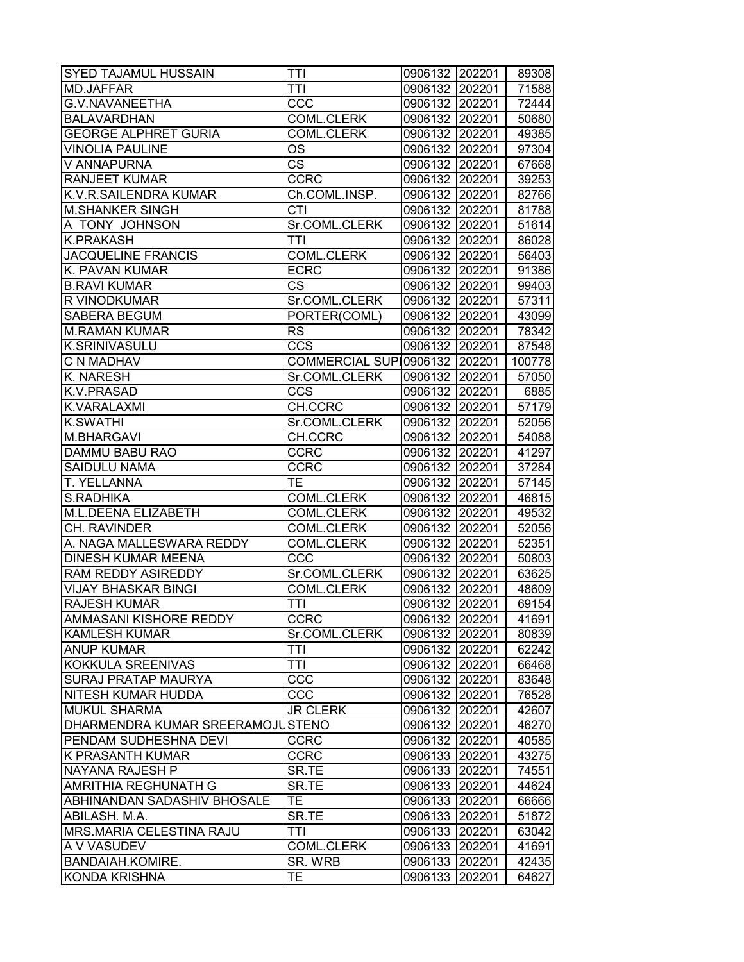| <b>MD.JAFFAR</b><br><b>TTI</b><br>0906132 202201<br><b>G.V.NAVANEETHA</b><br>CCC<br>0906132 202201<br><b>BALAVARDHAN</b><br><b>COML.CLERK</b><br>0906132 202201<br><b>GEORGE ALPHRET GURIA</b><br>0906132 202201<br><b>COML.CLERK</b><br><b>VINOLIA PAULINE</b><br>OS<br>0906132 202201<br>V ANNAPURNA<br><b>CS</b><br>0906132 202201<br><b>RANJEET KUMAR</b><br><b>CCRC</b><br>0906132 202201<br>K.V.R.SAILENDRA KUMAR<br>Ch.COML.INSP.<br>0906132 202201<br>$\overline{CTI}$<br><b>M.SHANKER SINGH</b><br>0906132 202201<br>A TONY JOHNSON<br>Sr.COML.CLERK<br>0906132 202201<br><b>K.PRAKASH</b><br>ĪTI<br>0906132 202201<br>86028<br><b>JACQUELINE FRANCIS</b><br><b>COML.CLERK</b><br>0906132 202201<br>K. PAVAN KUMAR<br><b>ECRC</b><br>0906132 202201<br><b>B.RAVI KUMAR</b><br>CS<br>0906132 202201<br>R VINODKUMAR<br>Sr.COML.CLERK<br>0906132 202201<br><b>SABERA BEGUM</b><br>PORTER(COML)<br>0906132 202201<br><b>RS</b><br><b>M.RAMAN KUMAR</b><br>0906132 202201<br><b>K.SRINIVASULU</b><br><b>CCS</b><br>0906132 202201<br>C N MADHAV<br>COMMERCIAL SUP 0906132 202201<br>K. NARESH<br>Sr.COML.CLERK<br>0906132 202201<br><b>CCS</b><br>K.V.PRASAD<br>0906132 202201<br>CH.CCRC<br>0906132 202201<br>K.VARALAXMI<br><b>K.SWATHI</b><br>Sr.COML.CLERK<br>0906132 202201<br>M.BHARGAVI<br>CH.CCRC<br>0906132 202201<br>DAMMU BABU RAO<br><b>CCRC</b><br>0906132 202201<br><b>SAIDULU NAMA</b><br><b>CCRC</b><br>0906132 202201<br>T. YELLANNA<br>TE<br>0906132 202201<br>S.RADHIKA<br><b>COML.CLERK</b><br>0906132 202201<br>M.L.DEENA ELIZABETH<br><b>COML.CLERK</b><br>0906132 202201<br>CH. RAVINDER<br><b>COML.CLERK</b><br>0906132 202201<br>A. NAGA MALLESWARA REDDY<br><b>COML.CLERK</b><br>0906132 202201<br>0906132 202201<br><b>DINESH KUMAR MEENA</b><br><b>CCC</b><br>RAM REDDY ASIREDDY<br>Sr.COML.CLERK<br>0906132 202201<br><b>VIJAY BHASKAR BINGI</b><br><b>COML.CLERK</b><br>0906132 202201<br>$\overline{\text{T}}$ TI<br><b>RAJESH KUMAR</b><br>202201<br>0906132<br><b>CCRC</b><br>AMMASANI KISHORE REDDY<br>0906132 202201<br><b>KAMLESH KUMAR</b><br>Sr.COML.CLERK<br>0906132 202201<br><b>ANUP KUMAR</b><br><b>TTI</b><br>0906132 202201<br>KOKKULA SREENIVAS<br>TTI<br>0906132<br>202201<br>CCC<br><b>SURAJ PRATAP MAURYA</b><br>0906132 202201<br><b>NITESH KUMAR HUDDA</b><br>CCC<br>0906132 202201<br><b>MUKUL SHARMA</b><br><b>JR CLERK</b><br>0906132 202201<br>42607<br>DHARMENDRA KUMAR SREERAMOJUSTENO<br>0906132 202201<br>46270<br>PENDAM SUDHESHNA DEVI<br><b>CCRC</b><br>0906132 202201<br>40585<br><b>CCRC</b><br>0906133 202201<br><b>K PRASANTH KUMAR</b><br>43275<br>NAYANA RAJESH P<br>SR.TE<br>0906133 202201<br>74551<br>SR.TE<br><b>AMRITHIA REGHUNATH G</b><br>0906133 202201<br><b>TE</b><br><b>ABHINANDAN SADASHIV BHOSALE</b><br>0906133 202201<br>SR.TE<br>ABILASH. M.A.<br>0906133<br>202201<br>51872<br><b>MRS.MARIA CELESTINA RAJU</b><br><b>TTI</b><br>0906133<br>202201<br>A V VASUDEV<br>COML.CLERK<br>0906133<br>202201<br><b>BANDAIAH.KOMIRE.</b><br>SR. WRB<br>0906133<br>202201<br><b>KONDA KRISHNA</b><br><b>TE</b><br>0906133<br>202201 | <b>SYED TAJAMUL HUSSAIN</b> | <b>TTI</b> | 0906132 202201 | 89308 |
|-------------------------------------------------------------------------------------------------------------------------------------------------------------------------------------------------------------------------------------------------------------------------------------------------------------------------------------------------------------------------------------------------------------------------------------------------------------------------------------------------------------------------------------------------------------------------------------------------------------------------------------------------------------------------------------------------------------------------------------------------------------------------------------------------------------------------------------------------------------------------------------------------------------------------------------------------------------------------------------------------------------------------------------------------------------------------------------------------------------------------------------------------------------------------------------------------------------------------------------------------------------------------------------------------------------------------------------------------------------------------------------------------------------------------------------------------------------------------------------------------------------------------------------------------------------------------------------------------------------------------------------------------------------------------------------------------------------------------------------------------------------------------------------------------------------------------------------------------------------------------------------------------------------------------------------------------------------------------------------------------------------------------------------------------------------------------------------------------------------------------------------------------------------------------------------------------------------------------------------------------------------------------------------------------------------------------------------------------------------------------------------------------------------------------------------------------------------------------------------------------------------------------------------------------------------------------------------------------------------------------------------------------------------------------------------------------------------------------------------------------------------------------------------------------------------------------------------------------------------------------------------------------------------------------------------------------------------------------------------------------------------------------------------------------------------------------------------------------------------------|-----------------------------|------------|----------------|-------|
| 91386<br>57311<br>43099<br>78342<br>87548<br>100778<br>57050<br>6885<br>57179<br>52056<br>54088<br>41297<br>37284<br>57145<br>46815<br>49532<br>52056<br>52351<br>50803<br>63625<br>48609<br>69154<br>41691<br>80839<br>62242<br>66468<br>83648<br>76528<br>44624<br>66666<br>63042<br>41691<br>42435                                                                                                                                                                                                                                                                                                                                                                                                                                                                                                                                                                                                                                                                                                                                                                                                                                                                                                                                                                                                                                                                                                                                                                                                                                                                                                                                                                                                                                                                                                                                                                                                                                                                                                                                                                                                                                                                                                                                                                                                                                                                                                                                                                                                                                                                                                                                                                                                                                                                                                                                                                                                                                                                                                                                                                                                             |                             |            |                | 71588 |
|                                                                                                                                                                                                                                                                                                                                                                                                                                                                                                                                                                                                                                                                                                                                                                                                                                                                                                                                                                                                                                                                                                                                                                                                                                                                                                                                                                                                                                                                                                                                                                                                                                                                                                                                                                                                                                                                                                                                                                                                                                                                                                                                                                                                                                                                                                                                                                                                                                                                                                                                                                                                                                                                                                                                                                                                                                                                                                                                                                                                                                                                                                                   |                             |            |                | 72444 |
|                                                                                                                                                                                                                                                                                                                                                                                                                                                                                                                                                                                                                                                                                                                                                                                                                                                                                                                                                                                                                                                                                                                                                                                                                                                                                                                                                                                                                                                                                                                                                                                                                                                                                                                                                                                                                                                                                                                                                                                                                                                                                                                                                                                                                                                                                                                                                                                                                                                                                                                                                                                                                                                                                                                                                                                                                                                                                                                                                                                                                                                                                                                   |                             |            |                | 50680 |
|                                                                                                                                                                                                                                                                                                                                                                                                                                                                                                                                                                                                                                                                                                                                                                                                                                                                                                                                                                                                                                                                                                                                                                                                                                                                                                                                                                                                                                                                                                                                                                                                                                                                                                                                                                                                                                                                                                                                                                                                                                                                                                                                                                                                                                                                                                                                                                                                                                                                                                                                                                                                                                                                                                                                                                                                                                                                                                                                                                                                                                                                                                                   |                             |            |                | 49385 |
|                                                                                                                                                                                                                                                                                                                                                                                                                                                                                                                                                                                                                                                                                                                                                                                                                                                                                                                                                                                                                                                                                                                                                                                                                                                                                                                                                                                                                                                                                                                                                                                                                                                                                                                                                                                                                                                                                                                                                                                                                                                                                                                                                                                                                                                                                                                                                                                                                                                                                                                                                                                                                                                                                                                                                                                                                                                                                                                                                                                                                                                                                                                   |                             |            |                | 97304 |
|                                                                                                                                                                                                                                                                                                                                                                                                                                                                                                                                                                                                                                                                                                                                                                                                                                                                                                                                                                                                                                                                                                                                                                                                                                                                                                                                                                                                                                                                                                                                                                                                                                                                                                                                                                                                                                                                                                                                                                                                                                                                                                                                                                                                                                                                                                                                                                                                                                                                                                                                                                                                                                                                                                                                                                                                                                                                                                                                                                                                                                                                                                                   |                             |            |                | 67668 |
|                                                                                                                                                                                                                                                                                                                                                                                                                                                                                                                                                                                                                                                                                                                                                                                                                                                                                                                                                                                                                                                                                                                                                                                                                                                                                                                                                                                                                                                                                                                                                                                                                                                                                                                                                                                                                                                                                                                                                                                                                                                                                                                                                                                                                                                                                                                                                                                                                                                                                                                                                                                                                                                                                                                                                                                                                                                                                                                                                                                                                                                                                                                   |                             |            |                | 39253 |
|                                                                                                                                                                                                                                                                                                                                                                                                                                                                                                                                                                                                                                                                                                                                                                                                                                                                                                                                                                                                                                                                                                                                                                                                                                                                                                                                                                                                                                                                                                                                                                                                                                                                                                                                                                                                                                                                                                                                                                                                                                                                                                                                                                                                                                                                                                                                                                                                                                                                                                                                                                                                                                                                                                                                                                                                                                                                                                                                                                                                                                                                                                                   |                             |            |                | 82766 |
|                                                                                                                                                                                                                                                                                                                                                                                                                                                                                                                                                                                                                                                                                                                                                                                                                                                                                                                                                                                                                                                                                                                                                                                                                                                                                                                                                                                                                                                                                                                                                                                                                                                                                                                                                                                                                                                                                                                                                                                                                                                                                                                                                                                                                                                                                                                                                                                                                                                                                                                                                                                                                                                                                                                                                                                                                                                                                                                                                                                                                                                                                                                   |                             |            |                | 81788 |
|                                                                                                                                                                                                                                                                                                                                                                                                                                                                                                                                                                                                                                                                                                                                                                                                                                                                                                                                                                                                                                                                                                                                                                                                                                                                                                                                                                                                                                                                                                                                                                                                                                                                                                                                                                                                                                                                                                                                                                                                                                                                                                                                                                                                                                                                                                                                                                                                                                                                                                                                                                                                                                                                                                                                                                                                                                                                                                                                                                                                                                                                                                                   |                             |            |                | 51614 |
|                                                                                                                                                                                                                                                                                                                                                                                                                                                                                                                                                                                                                                                                                                                                                                                                                                                                                                                                                                                                                                                                                                                                                                                                                                                                                                                                                                                                                                                                                                                                                                                                                                                                                                                                                                                                                                                                                                                                                                                                                                                                                                                                                                                                                                                                                                                                                                                                                                                                                                                                                                                                                                                                                                                                                                                                                                                                                                                                                                                                                                                                                                                   |                             |            |                |       |
|                                                                                                                                                                                                                                                                                                                                                                                                                                                                                                                                                                                                                                                                                                                                                                                                                                                                                                                                                                                                                                                                                                                                                                                                                                                                                                                                                                                                                                                                                                                                                                                                                                                                                                                                                                                                                                                                                                                                                                                                                                                                                                                                                                                                                                                                                                                                                                                                                                                                                                                                                                                                                                                                                                                                                                                                                                                                                                                                                                                                                                                                                                                   |                             |            |                | 56403 |
|                                                                                                                                                                                                                                                                                                                                                                                                                                                                                                                                                                                                                                                                                                                                                                                                                                                                                                                                                                                                                                                                                                                                                                                                                                                                                                                                                                                                                                                                                                                                                                                                                                                                                                                                                                                                                                                                                                                                                                                                                                                                                                                                                                                                                                                                                                                                                                                                                                                                                                                                                                                                                                                                                                                                                                                                                                                                                                                                                                                                                                                                                                                   |                             |            |                |       |
|                                                                                                                                                                                                                                                                                                                                                                                                                                                                                                                                                                                                                                                                                                                                                                                                                                                                                                                                                                                                                                                                                                                                                                                                                                                                                                                                                                                                                                                                                                                                                                                                                                                                                                                                                                                                                                                                                                                                                                                                                                                                                                                                                                                                                                                                                                                                                                                                                                                                                                                                                                                                                                                                                                                                                                                                                                                                                                                                                                                                                                                                                                                   |                             |            |                | 99403 |
|                                                                                                                                                                                                                                                                                                                                                                                                                                                                                                                                                                                                                                                                                                                                                                                                                                                                                                                                                                                                                                                                                                                                                                                                                                                                                                                                                                                                                                                                                                                                                                                                                                                                                                                                                                                                                                                                                                                                                                                                                                                                                                                                                                                                                                                                                                                                                                                                                                                                                                                                                                                                                                                                                                                                                                                                                                                                                                                                                                                                                                                                                                                   |                             |            |                |       |
|                                                                                                                                                                                                                                                                                                                                                                                                                                                                                                                                                                                                                                                                                                                                                                                                                                                                                                                                                                                                                                                                                                                                                                                                                                                                                                                                                                                                                                                                                                                                                                                                                                                                                                                                                                                                                                                                                                                                                                                                                                                                                                                                                                                                                                                                                                                                                                                                                                                                                                                                                                                                                                                                                                                                                                                                                                                                                                                                                                                                                                                                                                                   |                             |            |                |       |
|                                                                                                                                                                                                                                                                                                                                                                                                                                                                                                                                                                                                                                                                                                                                                                                                                                                                                                                                                                                                                                                                                                                                                                                                                                                                                                                                                                                                                                                                                                                                                                                                                                                                                                                                                                                                                                                                                                                                                                                                                                                                                                                                                                                                                                                                                                                                                                                                                                                                                                                                                                                                                                                                                                                                                                                                                                                                                                                                                                                                                                                                                                                   |                             |            |                |       |
|                                                                                                                                                                                                                                                                                                                                                                                                                                                                                                                                                                                                                                                                                                                                                                                                                                                                                                                                                                                                                                                                                                                                                                                                                                                                                                                                                                                                                                                                                                                                                                                                                                                                                                                                                                                                                                                                                                                                                                                                                                                                                                                                                                                                                                                                                                                                                                                                                                                                                                                                                                                                                                                                                                                                                                                                                                                                                                                                                                                                                                                                                                                   |                             |            |                |       |
|                                                                                                                                                                                                                                                                                                                                                                                                                                                                                                                                                                                                                                                                                                                                                                                                                                                                                                                                                                                                                                                                                                                                                                                                                                                                                                                                                                                                                                                                                                                                                                                                                                                                                                                                                                                                                                                                                                                                                                                                                                                                                                                                                                                                                                                                                                                                                                                                                                                                                                                                                                                                                                                                                                                                                                                                                                                                                                                                                                                                                                                                                                                   |                             |            |                |       |
|                                                                                                                                                                                                                                                                                                                                                                                                                                                                                                                                                                                                                                                                                                                                                                                                                                                                                                                                                                                                                                                                                                                                                                                                                                                                                                                                                                                                                                                                                                                                                                                                                                                                                                                                                                                                                                                                                                                                                                                                                                                                                                                                                                                                                                                                                                                                                                                                                                                                                                                                                                                                                                                                                                                                                                                                                                                                                                                                                                                                                                                                                                                   |                             |            |                |       |
|                                                                                                                                                                                                                                                                                                                                                                                                                                                                                                                                                                                                                                                                                                                                                                                                                                                                                                                                                                                                                                                                                                                                                                                                                                                                                                                                                                                                                                                                                                                                                                                                                                                                                                                                                                                                                                                                                                                                                                                                                                                                                                                                                                                                                                                                                                                                                                                                                                                                                                                                                                                                                                                                                                                                                                                                                                                                                                                                                                                                                                                                                                                   |                             |            |                |       |
|                                                                                                                                                                                                                                                                                                                                                                                                                                                                                                                                                                                                                                                                                                                                                                                                                                                                                                                                                                                                                                                                                                                                                                                                                                                                                                                                                                                                                                                                                                                                                                                                                                                                                                                                                                                                                                                                                                                                                                                                                                                                                                                                                                                                                                                                                                                                                                                                                                                                                                                                                                                                                                                                                                                                                                                                                                                                                                                                                                                                                                                                                                                   |                             |            |                |       |
|                                                                                                                                                                                                                                                                                                                                                                                                                                                                                                                                                                                                                                                                                                                                                                                                                                                                                                                                                                                                                                                                                                                                                                                                                                                                                                                                                                                                                                                                                                                                                                                                                                                                                                                                                                                                                                                                                                                                                                                                                                                                                                                                                                                                                                                                                                                                                                                                                                                                                                                                                                                                                                                                                                                                                                                                                                                                                                                                                                                                                                                                                                                   |                             |            |                |       |
|                                                                                                                                                                                                                                                                                                                                                                                                                                                                                                                                                                                                                                                                                                                                                                                                                                                                                                                                                                                                                                                                                                                                                                                                                                                                                                                                                                                                                                                                                                                                                                                                                                                                                                                                                                                                                                                                                                                                                                                                                                                                                                                                                                                                                                                                                                                                                                                                                                                                                                                                                                                                                                                                                                                                                                                                                                                                                                                                                                                                                                                                                                                   |                             |            |                |       |
|                                                                                                                                                                                                                                                                                                                                                                                                                                                                                                                                                                                                                                                                                                                                                                                                                                                                                                                                                                                                                                                                                                                                                                                                                                                                                                                                                                                                                                                                                                                                                                                                                                                                                                                                                                                                                                                                                                                                                                                                                                                                                                                                                                                                                                                                                                                                                                                                                                                                                                                                                                                                                                                                                                                                                                                                                                                                                                                                                                                                                                                                                                                   |                             |            |                |       |
|                                                                                                                                                                                                                                                                                                                                                                                                                                                                                                                                                                                                                                                                                                                                                                                                                                                                                                                                                                                                                                                                                                                                                                                                                                                                                                                                                                                                                                                                                                                                                                                                                                                                                                                                                                                                                                                                                                                                                                                                                                                                                                                                                                                                                                                                                                                                                                                                                                                                                                                                                                                                                                                                                                                                                                                                                                                                                                                                                                                                                                                                                                                   |                             |            |                |       |
|                                                                                                                                                                                                                                                                                                                                                                                                                                                                                                                                                                                                                                                                                                                                                                                                                                                                                                                                                                                                                                                                                                                                                                                                                                                                                                                                                                                                                                                                                                                                                                                                                                                                                                                                                                                                                                                                                                                                                                                                                                                                                                                                                                                                                                                                                                                                                                                                                                                                                                                                                                                                                                                                                                                                                                                                                                                                                                                                                                                                                                                                                                                   |                             |            |                |       |
|                                                                                                                                                                                                                                                                                                                                                                                                                                                                                                                                                                                                                                                                                                                                                                                                                                                                                                                                                                                                                                                                                                                                                                                                                                                                                                                                                                                                                                                                                                                                                                                                                                                                                                                                                                                                                                                                                                                                                                                                                                                                                                                                                                                                                                                                                                                                                                                                                                                                                                                                                                                                                                                                                                                                                                                                                                                                                                                                                                                                                                                                                                                   |                             |            |                |       |
|                                                                                                                                                                                                                                                                                                                                                                                                                                                                                                                                                                                                                                                                                                                                                                                                                                                                                                                                                                                                                                                                                                                                                                                                                                                                                                                                                                                                                                                                                                                                                                                                                                                                                                                                                                                                                                                                                                                                                                                                                                                                                                                                                                                                                                                                                                                                                                                                                                                                                                                                                                                                                                                                                                                                                                                                                                                                                                                                                                                                                                                                                                                   |                             |            |                |       |
|                                                                                                                                                                                                                                                                                                                                                                                                                                                                                                                                                                                                                                                                                                                                                                                                                                                                                                                                                                                                                                                                                                                                                                                                                                                                                                                                                                                                                                                                                                                                                                                                                                                                                                                                                                                                                                                                                                                                                                                                                                                                                                                                                                                                                                                                                                                                                                                                                                                                                                                                                                                                                                                                                                                                                                                                                                                                                                                                                                                                                                                                                                                   |                             |            |                |       |
|                                                                                                                                                                                                                                                                                                                                                                                                                                                                                                                                                                                                                                                                                                                                                                                                                                                                                                                                                                                                                                                                                                                                                                                                                                                                                                                                                                                                                                                                                                                                                                                                                                                                                                                                                                                                                                                                                                                                                                                                                                                                                                                                                                                                                                                                                                                                                                                                                                                                                                                                                                                                                                                                                                                                                                                                                                                                                                                                                                                                                                                                                                                   |                             |            |                |       |
|                                                                                                                                                                                                                                                                                                                                                                                                                                                                                                                                                                                                                                                                                                                                                                                                                                                                                                                                                                                                                                                                                                                                                                                                                                                                                                                                                                                                                                                                                                                                                                                                                                                                                                                                                                                                                                                                                                                                                                                                                                                                                                                                                                                                                                                                                                                                                                                                                                                                                                                                                                                                                                                                                                                                                                                                                                                                                                                                                                                                                                                                                                                   |                             |            |                |       |
|                                                                                                                                                                                                                                                                                                                                                                                                                                                                                                                                                                                                                                                                                                                                                                                                                                                                                                                                                                                                                                                                                                                                                                                                                                                                                                                                                                                                                                                                                                                                                                                                                                                                                                                                                                                                                                                                                                                                                                                                                                                                                                                                                                                                                                                                                                                                                                                                                                                                                                                                                                                                                                                                                                                                                                                                                                                                                                                                                                                                                                                                                                                   |                             |            |                |       |
|                                                                                                                                                                                                                                                                                                                                                                                                                                                                                                                                                                                                                                                                                                                                                                                                                                                                                                                                                                                                                                                                                                                                                                                                                                                                                                                                                                                                                                                                                                                                                                                                                                                                                                                                                                                                                                                                                                                                                                                                                                                                                                                                                                                                                                                                                                                                                                                                                                                                                                                                                                                                                                                                                                                                                                                                                                                                                                                                                                                                                                                                                                                   |                             |            |                |       |
|                                                                                                                                                                                                                                                                                                                                                                                                                                                                                                                                                                                                                                                                                                                                                                                                                                                                                                                                                                                                                                                                                                                                                                                                                                                                                                                                                                                                                                                                                                                                                                                                                                                                                                                                                                                                                                                                                                                                                                                                                                                                                                                                                                                                                                                                                                                                                                                                                                                                                                                                                                                                                                                                                                                                                                                                                                                                                                                                                                                                                                                                                                                   |                             |            |                |       |
|                                                                                                                                                                                                                                                                                                                                                                                                                                                                                                                                                                                                                                                                                                                                                                                                                                                                                                                                                                                                                                                                                                                                                                                                                                                                                                                                                                                                                                                                                                                                                                                                                                                                                                                                                                                                                                                                                                                                                                                                                                                                                                                                                                                                                                                                                                                                                                                                                                                                                                                                                                                                                                                                                                                                                                                                                                                                                                                                                                                                                                                                                                                   |                             |            |                |       |
|                                                                                                                                                                                                                                                                                                                                                                                                                                                                                                                                                                                                                                                                                                                                                                                                                                                                                                                                                                                                                                                                                                                                                                                                                                                                                                                                                                                                                                                                                                                                                                                                                                                                                                                                                                                                                                                                                                                                                                                                                                                                                                                                                                                                                                                                                                                                                                                                                                                                                                                                                                                                                                                                                                                                                                                                                                                                                                                                                                                                                                                                                                                   |                             |            |                |       |
|                                                                                                                                                                                                                                                                                                                                                                                                                                                                                                                                                                                                                                                                                                                                                                                                                                                                                                                                                                                                                                                                                                                                                                                                                                                                                                                                                                                                                                                                                                                                                                                                                                                                                                                                                                                                                                                                                                                                                                                                                                                                                                                                                                                                                                                                                                                                                                                                                                                                                                                                                                                                                                                                                                                                                                                                                                                                                                                                                                                                                                                                                                                   |                             |            |                |       |
|                                                                                                                                                                                                                                                                                                                                                                                                                                                                                                                                                                                                                                                                                                                                                                                                                                                                                                                                                                                                                                                                                                                                                                                                                                                                                                                                                                                                                                                                                                                                                                                                                                                                                                                                                                                                                                                                                                                                                                                                                                                                                                                                                                                                                                                                                                                                                                                                                                                                                                                                                                                                                                                                                                                                                                                                                                                                                                                                                                                                                                                                                                                   |                             |            |                |       |
|                                                                                                                                                                                                                                                                                                                                                                                                                                                                                                                                                                                                                                                                                                                                                                                                                                                                                                                                                                                                                                                                                                                                                                                                                                                                                                                                                                                                                                                                                                                                                                                                                                                                                                                                                                                                                                                                                                                                                                                                                                                                                                                                                                                                                                                                                                                                                                                                                                                                                                                                                                                                                                                                                                                                                                                                                                                                                                                                                                                                                                                                                                                   |                             |            |                |       |
|                                                                                                                                                                                                                                                                                                                                                                                                                                                                                                                                                                                                                                                                                                                                                                                                                                                                                                                                                                                                                                                                                                                                                                                                                                                                                                                                                                                                                                                                                                                                                                                                                                                                                                                                                                                                                                                                                                                                                                                                                                                                                                                                                                                                                                                                                                                                                                                                                                                                                                                                                                                                                                                                                                                                                                                                                                                                                                                                                                                                                                                                                                                   |                             |            |                |       |
|                                                                                                                                                                                                                                                                                                                                                                                                                                                                                                                                                                                                                                                                                                                                                                                                                                                                                                                                                                                                                                                                                                                                                                                                                                                                                                                                                                                                                                                                                                                                                                                                                                                                                                                                                                                                                                                                                                                                                                                                                                                                                                                                                                                                                                                                                                                                                                                                                                                                                                                                                                                                                                                                                                                                                                                                                                                                                                                                                                                                                                                                                                                   |                             |            |                |       |
|                                                                                                                                                                                                                                                                                                                                                                                                                                                                                                                                                                                                                                                                                                                                                                                                                                                                                                                                                                                                                                                                                                                                                                                                                                                                                                                                                                                                                                                                                                                                                                                                                                                                                                                                                                                                                                                                                                                                                                                                                                                                                                                                                                                                                                                                                                                                                                                                                                                                                                                                                                                                                                                                                                                                                                                                                                                                                                                                                                                                                                                                                                                   |                             |            |                |       |
|                                                                                                                                                                                                                                                                                                                                                                                                                                                                                                                                                                                                                                                                                                                                                                                                                                                                                                                                                                                                                                                                                                                                                                                                                                                                                                                                                                                                                                                                                                                                                                                                                                                                                                                                                                                                                                                                                                                                                                                                                                                                                                                                                                                                                                                                                                                                                                                                                                                                                                                                                                                                                                                                                                                                                                                                                                                                                                                                                                                                                                                                                                                   |                             |            |                |       |
|                                                                                                                                                                                                                                                                                                                                                                                                                                                                                                                                                                                                                                                                                                                                                                                                                                                                                                                                                                                                                                                                                                                                                                                                                                                                                                                                                                                                                                                                                                                                                                                                                                                                                                                                                                                                                                                                                                                                                                                                                                                                                                                                                                                                                                                                                                                                                                                                                                                                                                                                                                                                                                                                                                                                                                                                                                                                                                                                                                                                                                                                                                                   |                             |            |                |       |
|                                                                                                                                                                                                                                                                                                                                                                                                                                                                                                                                                                                                                                                                                                                                                                                                                                                                                                                                                                                                                                                                                                                                                                                                                                                                                                                                                                                                                                                                                                                                                                                                                                                                                                                                                                                                                                                                                                                                                                                                                                                                                                                                                                                                                                                                                                                                                                                                                                                                                                                                                                                                                                                                                                                                                                                                                                                                                                                                                                                                                                                                                                                   |                             |            |                |       |
|                                                                                                                                                                                                                                                                                                                                                                                                                                                                                                                                                                                                                                                                                                                                                                                                                                                                                                                                                                                                                                                                                                                                                                                                                                                                                                                                                                                                                                                                                                                                                                                                                                                                                                                                                                                                                                                                                                                                                                                                                                                                                                                                                                                                                                                                                                                                                                                                                                                                                                                                                                                                                                                                                                                                                                                                                                                                                                                                                                                                                                                                                                                   |                             |            |                |       |
|                                                                                                                                                                                                                                                                                                                                                                                                                                                                                                                                                                                                                                                                                                                                                                                                                                                                                                                                                                                                                                                                                                                                                                                                                                                                                                                                                                                                                                                                                                                                                                                                                                                                                                                                                                                                                                                                                                                                                                                                                                                                                                                                                                                                                                                                                                                                                                                                                                                                                                                                                                                                                                                                                                                                                                                                                                                                                                                                                                                                                                                                                                                   |                             |            |                |       |
|                                                                                                                                                                                                                                                                                                                                                                                                                                                                                                                                                                                                                                                                                                                                                                                                                                                                                                                                                                                                                                                                                                                                                                                                                                                                                                                                                                                                                                                                                                                                                                                                                                                                                                                                                                                                                                                                                                                                                                                                                                                                                                                                                                                                                                                                                                                                                                                                                                                                                                                                                                                                                                                                                                                                                                                                                                                                                                                                                                                                                                                                                                                   |                             |            |                |       |
|                                                                                                                                                                                                                                                                                                                                                                                                                                                                                                                                                                                                                                                                                                                                                                                                                                                                                                                                                                                                                                                                                                                                                                                                                                                                                                                                                                                                                                                                                                                                                                                                                                                                                                                                                                                                                                                                                                                                                                                                                                                                                                                                                                                                                                                                                                                                                                                                                                                                                                                                                                                                                                                                                                                                                                                                                                                                                                                                                                                                                                                                                                                   |                             |            |                |       |
|                                                                                                                                                                                                                                                                                                                                                                                                                                                                                                                                                                                                                                                                                                                                                                                                                                                                                                                                                                                                                                                                                                                                                                                                                                                                                                                                                                                                                                                                                                                                                                                                                                                                                                                                                                                                                                                                                                                                                                                                                                                                                                                                                                                                                                                                                                                                                                                                                                                                                                                                                                                                                                                                                                                                                                                                                                                                                                                                                                                                                                                                                                                   |                             |            |                |       |
|                                                                                                                                                                                                                                                                                                                                                                                                                                                                                                                                                                                                                                                                                                                                                                                                                                                                                                                                                                                                                                                                                                                                                                                                                                                                                                                                                                                                                                                                                                                                                                                                                                                                                                                                                                                                                                                                                                                                                                                                                                                                                                                                                                                                                                                                                                                                                                                                                                                                                                                                                                                                                                                                                                                                                                                                                                                                                                                                                                                                                                                                                                                   |                             |            |                |       |
|                                                                                                                                                                                                                                                                                                                                                                                                                                                                                                                                                                                                                                                                                                                                                                                                                                                                                                                                                                                                                                                                                                                                                                                                                                                                                                                                                                                                                                                                                                                                                                                                                                                                                                                                                                                                                                                                                                                                                                                                                                                                                                                                                                                                                                                                                                                                                                                                                                                                                                                                                                                                                                                                                                                                                                                                                                                                                                                                                                                                                                                                                                                   |                             |            |                | 64627 |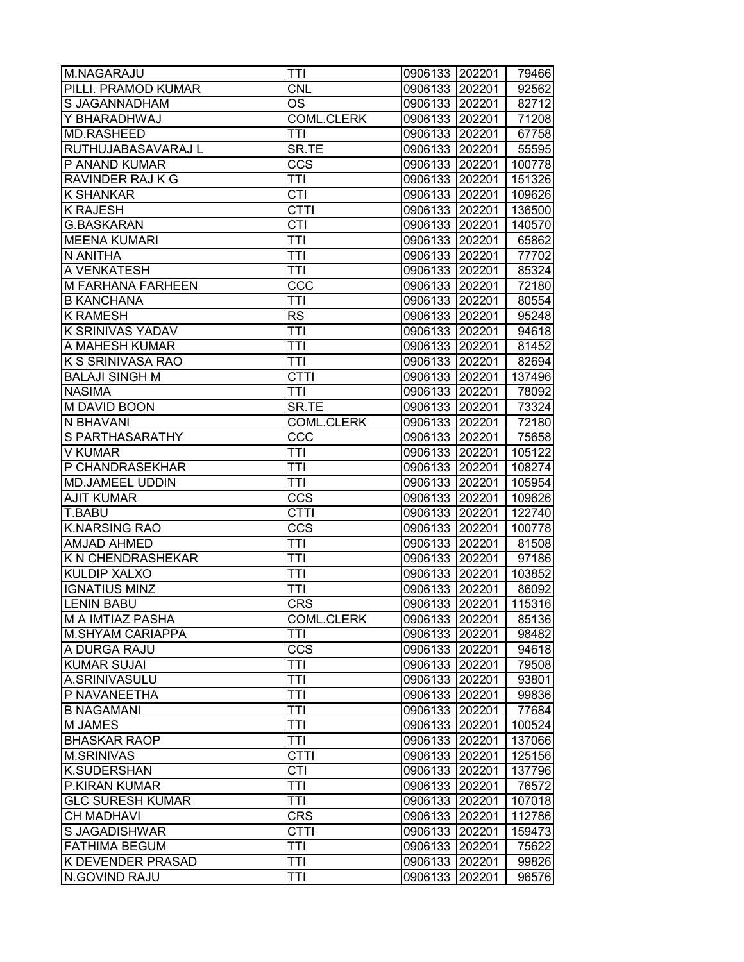| M.NAGARAJU               | <b>TTI</b>        | 0906133 202201 |        | 79466  |
|--------------------------|-------------------|----------------|--------|--------|
| PILLI. PRAMOD KUMAR      | <b>CNL</b>        | 0906133 202201 |        | 92562  |
| S JAGANNADHAM            | ОS                | 0906133 202201 |        | 82712  |
| Y BHARADHWAJ             | <b>COML.CLERK</b> | 0906133 202201 |        | 71208  |
| <b>MD.RASHEED</b>        | <b>TTI</b>        | 0906133 202201 |        | 67758  |
| RUTHUJABASAVARAJ L       | SR.TE             | 0906133 202201 |        | 55595  |
| P ANAND KUMAR            | CCS               | 0906133 202201 |        | 100778 |
| RAVINDER RAJ K G         | <b>TTI</b>        | 0906133 202201 |        | 151326 |
| <b>K SHANKAR</b>         | $\overline{CTI}$  | 0906133 202201 |        | 109626 |
| <b>K RAJESH</b>          | <b>CTTI</b>       | 0906133 202201 |        | 136500 |
| G.BASKARAN               | $\overline{CTI}$  | 0906133 202201 |        | 140570 |
| <b>MEENA KUMARI</b>      | <b>TTI</b>        | 0906133 202201 |        | 65862  |
| N ANITHA                 | <b>TTI</b>        | 0906133 202201 |        | 77702  |
| A VENKATESH              | TTI               | 0906133 202201 |        | 85324  |
| <b>M FARHANA FARHEEN</b> | CCC               | 0906133 202201 |        | 72180  |
| <b>B KANCHANA</b>        | <b>TTI</b>        | 0906133 202201 |        | 80554  |
| <b>K RAMESH</b>          | <b>RS</b>         | 0906133 202201 |        | 95248  |
| <b>K SRINIVAS YADAV</b>  | <b>TTI</b>        | 0906133 202201 |        | 94618  |
| A MAHESH KUMAR           | <b>TTI</b>        | 0906133 202201 |        | 81452  |
| <b>K S SRINIVASA RAO</b> | <b>TTI</b>        | 0906133 202201 |        | 82694  |
| <b>BALAJI SINGH M</b>    | <b>CTTI</b>       | 0906133 202201 |        | 137496 |
| <b>NASIMA</b>            | <b>TTI</b>        | 0906133 202201 |        | 78092  |
| <b>M DAVID BOON</b>      | SR.TE             | 0906133 202201 |        | 73324  |
| N BHAVANI                | <b>COML.CLERK</b> | 0906133 202201 |        | 72180  |
| S PARTHASARATHY          | CCC               | 0906133 202201 |        | 75658  |
| <b>V KUMAR</b>           | <b>TTI</b>        | 0906133 202201 |        | 105122 |
| P CHANDRASEKHAR          | TTI               | 0906133 202201 |        | 108274 |
| <b>MD.JAMEEL UDDIN</b>   | TTI               | 0906133 202201 |        | 105954 |
| <b>AJIT KUMAR</b>        | CCS               | 0906133 202201 |        | 109626 |
| <b>T.BABU</b>            | <b>CTTI</b>       | 0906133 202201 |        | 122740 |
| <b>K.NARSING RAO</b>     | <b>CCS</b>        | 0906133 202201 |        | 100778 |
| <b>AMJAD AHMED</b>       | <b>TTI</b>        | 0906133 202201 |        | 81508  |
| K N CHENDRASHEKAR        | <b>TTI</b>        | 0906133 202201 |        | 97186  |
| <b>KULDIP XALXO</b>      | <b>TTI</b>        | 0906133 202201 |        | 103852 |
| <b>IGNATIUS MINZ</b>     | ĪTI               | 0906133 202201 |        | 86092  |
| <b>LENIN BABU</b>        | <b>CRS</b>        | 0906133 202201 |        | 115316 |
| <b>M A IMTIAZ PASHA</b>  | COML.CLERK        | 0906133 202201 |        | 85136  |
| <b>M.SHYAM CARIAPPA</b>  | <b>TTI</b>        | 0906133        | 202201 | 98482  |
| A DURGA RAJU             | CCS               | 0906133        | 202201 | 94618  |
| <b>KUMAR SUJAI</b>       | TTI               | 0906133        | 202201 | 79508  |
| A.SRINIVASULU            | <b>TTI</b>        | 0906133 202201 |        | 93801  |
| P NAVANEETHA             | <b>TTI</b>        | 0906133 202201 |        | 99836  |
| <b>B NAGAMANI</b>        | <b>TTI</b>        | 0906133 202201 |        | 77684  |
| <b>M JAMES</b>           | <b>TTI</b>        | 0906133 202201 |        | 100524 |
| <b>BHASKAR RAOP</b>      | <b>TTI</b>        | 0906133 202201 |        | 137066 |
| <b>M.SRINIVAS</b>        | <b>CTTI</b>       | 0906133 202201 |        | 125156 |
| <b>K.SUDERSHAN</b>       | <b>CTI</b>        | 0906133 202201 |        | 137796 |
| P.KIRAN KUMAR            | <b>TTI</b>        | 0906133 202201 |        | 76572  |
| <b>GLC SURESH KUMAR</b>  | <b>TTI</b>        | 0906133        | 202201 | 107018 |
| <b>CH MADHAVI</b>        | <b>CRS</b>        | 0906133        | 202201 | 112786 |
| S JAGADISHWAR            | <b>CTTI</b>       | 0906133        | 202201 | 159473 |
| <b>FATHIMA BEGUM</b>     | TTI               | 0906133        | 202201 | 75622  |
| <b>K DEVENDER PRASAD</b> | <b>TTI</b>        | 0906133        | 202201 | 99826  |
| <b>N.GOVIND RAJU</b>     | <b>TTI</b>        | 0906133        | 202201 | 96576  |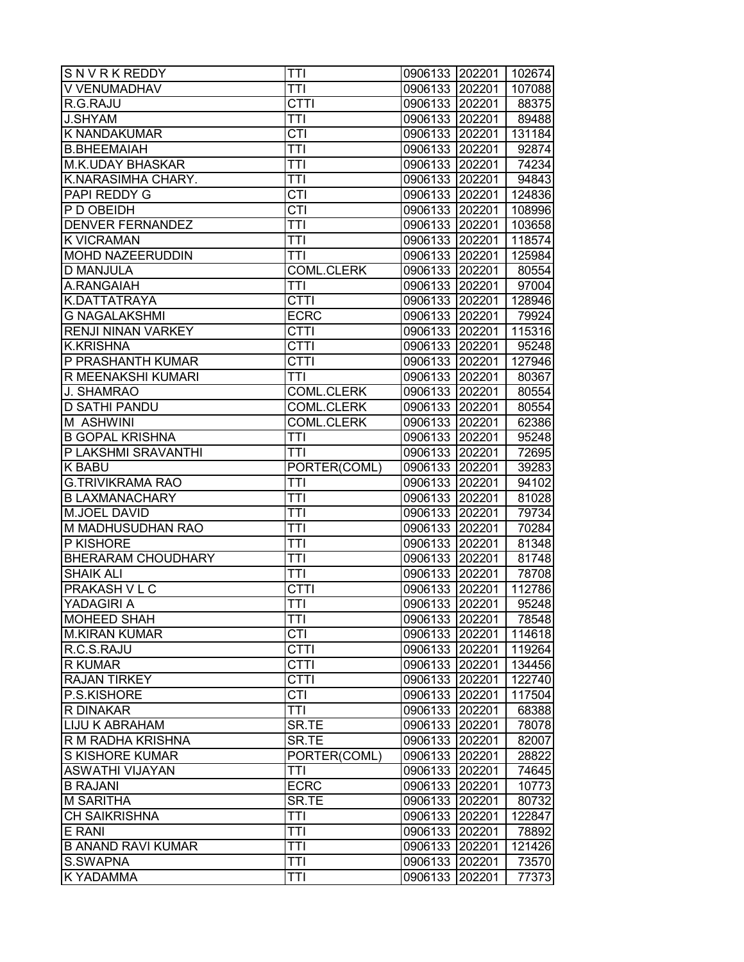| SNVRKREDDY                | <b>TTI</b>        | 0906133 202201   102674 |        |        |
|---------------------------|-------------------|-------------------------|--------|--------|
| V VENUMADHAV              | <b>TTI</b>        | 0906133                 | 202201 | 107088 |
| R.G.RAJU                  | <b>CTTI</b>       | 0906133 202201          |        | 88375  |
| <b>J.SHYAM</b>            | TTI               | 0906133 202201          |        | 89488  |
| <b>K NANDAKUMAR</b>       | CTI               | 0906133 202201          |        | 131184 |
| <b>B.BHEEMAIAH</b>        | <b>TTI</b>        | 0906133 202201          |        | 92874  |
| <b>M.K.UDAY BHASKAR</b>   | <b>TTI</b>        | 0906133 202201          |        | 74234  |
| K.NARASIMHA CHARY.        | <b>TTI</b>        | 0906133 202201          |        | 94843  |
| PAPI REDDY G              | $\overline{CTI}$  | 0906133 202201          |        | 124836 |
| P D OBEIDH                | $\overline{CTI}$  | 0906133 202201          |        | 108996 |
| <b>DENVER FERNANDEZ</b>   | <b>TTI</b>        | 0906133 202201          |        | 103658 |
| <b>K VICRAMAN</b>         | <b>TTI</b>        | 0906133 202201          |        | 118574 |
| <b>MOHD NAZEERUDDIN</b>   | <b>TTI</b>        | 0906133 202201          |        | 125984 |
| <b>D MANJULA</b>          | <b>COML.CLERK</b> | 0906133                 | 202201 | 80554  |
| A.RANGAIAH                | <b>TTI</b>        | 0906133                 | 202201 | 97004  |
| K.DATTATRAYA              | <b>CTTI</b>       | 0906133                 | 202201 | 128946 |
| <b>G NAGALAKSHMI</b>      | <b>ECRC</b>       | 0906133 202201          |        | 79924  |
| <b>RENJI NINAN VARKEY</b> | <b>CTTI</b>       | 0906133 202201          |        | 115316 |
| <b>K.KRISHNA</b>          | <b>CTTI</b>       | 0906133 202201          |        | 95248  |
| P PRASHANTH KUMAR         | <b>CTTI</b>       | 0906133 202201          |        | 127946 |
| R MEENAKSHI KUMARI        | <b>TTI</b>        | 0906133 202201          |        | 80367  |
| J. SHAMRAO                | <b>COML.CLERK</b> | 0906133 202201          |        | 80554  |
| <b>D SATHI PANDU</b>      | <b>COML.CLERK</b> | 0906133 202201          |        | 80554  |
| <b>M ASHWINI</b>          | <b>COML.CLERK</b> | 0906133 202201          |        | 62386  |
| <b>B GOPAL KRISHNA</b>    | <b>TTI</b>        | 0906133 202201          |        | 95248  |
| P LAKSHMI SRAVANTHI       | <b>TTI</b>        | 0906133 202201          |        | 72695  |
| <b>K BABU</b>             | PORTER(COML)      | 0906133                 | 202201 | 39283  |
| <b>G.TRIVIKRAMA RAO</b>   | <b>TTI</b>        | 0906133                 | 202201 | 94102  |
| <b>B LAXMANACHARY</b>     | <b>TTI</b>        | 0906133                 | 202201 | 81028  |
| M.JOEL DAVID              | <b>TTI</b>        | 0906133 202201          |        | 79734  |
| M MADHUSUDHAN RAO         | <b>TTI</b>        | 0906133 202201          |        | 70284  |
| P KISHORE                 | <b>TTI</b>        | 0906133 202201          |        | 81348  |
| <b>BHERARAM CHOUDHARY</b> | <b>TTI</b>        | 0906133 202201          |        | 81748  |
| <b>SHAIK ALI</b>          | ĪTI               | 0906133 202201          |        | 78708  |
| PRAKASH V L C             | <b>CTTI</b>       | 0906133 202201          |        | 112786 |
| YADAGIRI A                | <b>TTI</b>        | 0906133                 | 202201 | 95248  |
| <b>MOHEED SHAH</b>        | TTI               | 0906133 202201          |        | 78548  |
| <b>M.KIRAN KUMAR</b>      | $\overline{CTI}$  | 0906133 202201          |        | 114618 |
| R.C.S.RAJU                | <b>CTTI</b>       | 0906133 202201          |        | 119264 |
| <b>R KUMAR</b>            | <b>CTTI</b>       | 0906133                 | 202201 | 134456 |
| <b>RAJAN TIRKEY</b>       | <b>CTTI</b>       | 0906133                 | 202201 | 122740 |
| P.S.KISHORE               | <b>CTI</b>        | 0906133                 | 202201 | 117504 |
| R DINAKAR                 | <b>TTI</b>        | 0906133 202201          |        | 68388  |
| <b>LIJU K ABRAHAM</b>     | SR.TE             | 0906133 202201          |        | 78078  |
| R M RADHA KRISHNA         | SR.TE             | 0906133 202201          |        | 82007  |
| S KISHORE KUMAR           | PORTER(COML)      | 0906133 202201          |        | 28822  |
| <b>ASWATHI VIJAYAN</b>    | <b>TTI</b>        | 0906133 202201          |        | 74645  |
| <b>B RAJANI</b>           | <b>ECRC</b>       | 0906133                 | 202201 | 10773  |
| <b>M SARITHA</b>          | SR.TE             | 0906133 202201          |        | 80732  |
| <b>CH SAIKRISHNA</b>      | TTI               | 0906133                 | 202201 | 122847 |
| E RANI                    | <b>TTI</b>        | 0906133                 | 202201 | 78892  |
| <b>B ANAND RAVI KUMAR</b> | <b>TTI</b>        | 0906133                 | 202201 | 121426 |
| S.SWAPNA                  | <b>TTI</b>        | 0906133                 | 202201 | 73570  |
| K YADAMMA                 | TTI               | 0906133                 | 202201 | 77373  |
|                           |                   |                         |        |        |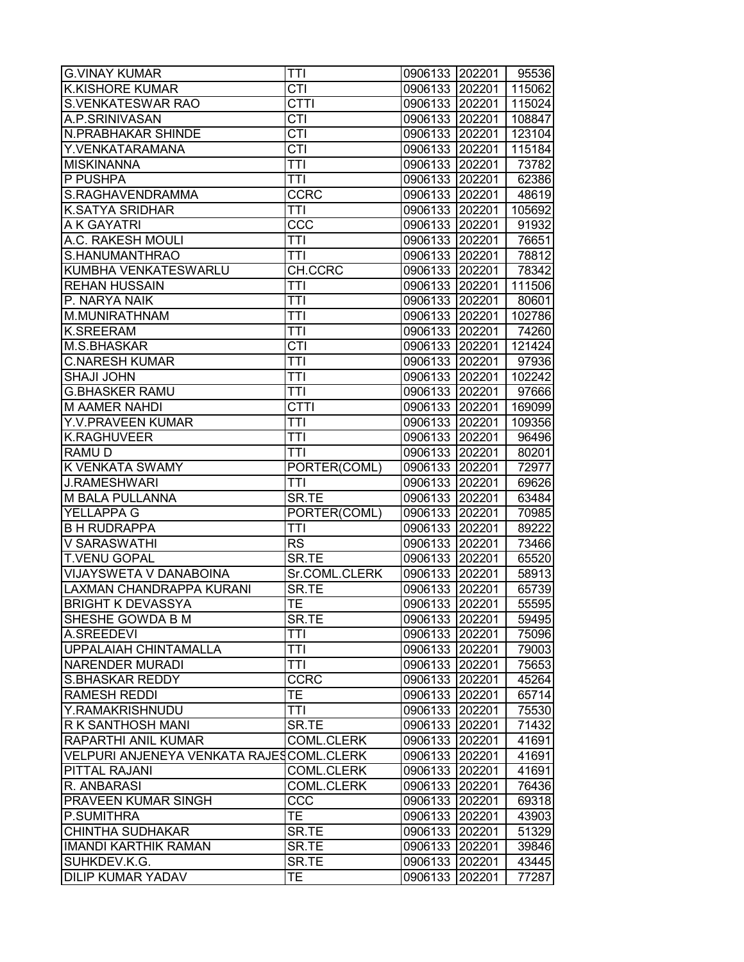| <b>K.KISHORE KUMAR</b><br>CTI<br>0906133 202201<br><b>CTTI</b><br>S.VENKATESWAR RAO<br>0906133 202201<br>CTI<br>A.P.SRINIVASAN<br>0906133 202201<br><b>N.PRABHAKAR SHINDE</b><br>CTI<br>0906133 202201<br>Y.VENKATARAMANA<br><b>CTI</b><br>0906133 202201<br><b>MISKINANNA</b><br><b>TTI</b><br>0906133 202201<br>73782<br>P PUSHPA<br><b>TTI</b><br>0906133 202201<br><b>CCRC</b><br>S.RAGHAVENDRAMMA<br>0906133 202201<br><b>K.SATYA SRIDHAR</b><br><b>TTI</b><br>0906133 202201<br>CCC<br>A K GAYATRI<br>0906133 202201<br><b>TTI</b><br>A.C. RAKESH MOULI<br>0906133 202201<br>76651<br>S.HANUMANTHRAO<br><b>TTI</b><br>0906133 202201<br>KUMBHA VENKATESWARLU<br>CH.CCRC<br>0906133<br>202201<br>78342<br><b>REHAN HUSSAIN</b><br><b>TTI</b><br>0906133<br>202201<br>P. NARYA NAIK<br>TTI<br>0906133<br>202201<br><b>TTI</b><br>M.MUNIRATHNAM<br>0906133 202201<br><b>K.SREERAM</b><br><b>TTI</b><br>0906133 202201<br><b>M.S.BHASKAR</b><br>CTI<br>0906133 202201<br>121424<br><b>C.NARESH KUMAR</b><br><b>TTI</b><br>0906133 202201<br><b>SHAJI JOHN</b><br><b>TTI</b><br>0906133 202201<br>102242<br><b>G.BHASKER RAMU</b><br><b>TTI</b><br>0906133 202201<br><b>CTTI</b><br><b>M AAMER NAHDI</b><br>0906133 202201<br><b>TTI</b><br>Y.V. PRAVEEN KUMAR<br>0906133 202201<br><b>K.RAGHUVEER</b><br><b>TTI</b><br>0906133 202201<br><b>TTI</b><br><b>RAMUD</b><br>0906133 202201<br>K VENKATA SWAMY<br>PORTER(COML)<br>0906133<br>202201<br><b>J.RAMESHWARI</b><br><b>TTI</b><br>0906133<br>202201<br>SR.TE<br>M BALA PULLANNA<br>0906133<br>202201<br>YELLAPPA G<br>PORTER(COML)<br>0906133 202201<br><b>B H RUDRAPPA</b><br><b>TTI</b><br>0906133 202201<br><b>V SARASWATHI</b><br><b>RS</b><br>0906133 202201<br>SR.TE<br><b>T.VENU GOPAL</b><br>0906133 202201<br>VIJAYSWETA V DANABOINA<br>Sr.COML.CLERK<br>0906133 202201<br>SR.TE<br>LAXMAN CHANDRAPPA KURANI<br>0906133 202201<br><b>BRIGHT K DEVASSYA</b><br><b>TE</b><br>202201<br>0906133<br>SHESHE GOWDA B M<br>SR.TE<br>0906133 202201<br>$\overline{T}T$<br>A.SREEDEVI<br>0906133 202201<br><b>TTI</b><br>UPPALAIAH CHINTAMALLA<br>0906133 202201<br><b>NARENDER MURADI</b><br><b>TTI</b><br>0906133<br>202201<br><b>CCRC</b><br><b>S.BHASKAR REDDY</b><br>0906133<br>202201<br><b>TE</b><br><b>RAMESH REDDI</b><br>202201<br>0906133<br>Y.RAMAKRISHNUDU<br><b>TTI</b><br>0906133 202201<br>R K SANTHOSH MANI<br>SR.TE<br>0906133 202201<br><b>RAPARTHI ANIL KUMAR</b><br>COML.CLERK<br>0906133 202201<br>41691<br>VELPURI ANJENEYA VENKATA RAJESCOML.CLERK<br>0906133 202201<br>41691<br>PITTAL RAJANI<br>COML.CLERK<br>0906133 202201<br>41691<br><b>COML.CLERK</b><br>R. ANBARASI<br>0906133<br>202201<br><b>PRAVEEN KUMAR SINGH</b><br>CCC<br>0906133 202201<br><b>TE</b><br>P.SUMITHRA<br>0906133<br>202201<br>43903<br><b>CHINTHA SUDHAKAR</b><br>SR.TE<br>0906133<br>202201<br><b>IMANDI KARTHIK RAMAN</b><br>SR.TE<br>0906133<br>202201<br>SUHKDEV.K.G.<br>SR.TE<br>0906133<br>202201<br><b>TE</b><br><b>DILIP KUMAR YADAV</b><br>0906133<br>202201 | <b>G.VINAY KUMAR</b> | TTI | 0906133 202201   95536 |        |
|----------------------------------------------------------------------------------------------------------------------------------------------------------------------------------------------------------------------------------------------------------------------------------------------------------------------------------------------------------------------------------------------------------------------------------------------------------------------------------------------------------------------------------------------------------------------------------------------------------------------------------------------------------------------------------------------------------------------------------------------------------------------------------------------------------------------------------------------------------------------------------------------------------------------------------------------------------------------------------------------------------------------------------------------------------------------------------------------------------------------------------------------------------------------------------------------------------------------------------------------------------------------------------------------------------------------------------------------------------------------------------------------------------------------------------------------------------------------------------------------------------------------------------------------------------------------------------------------------------------------------------------------------------------------------------------------------------------------------------------------------------------------------------------------------------------------------------------------------------------------------------------------------------------------------------------------------------------------------------------------------------------------------------------------------------------------------------------------------------------------------------------------------------------------------------------------------------------------------------------------------------------------------------------------------------------------------------------------------------------------------------------------------------------------------------------------------------------------------------------------------------------------------------------------------------------------------------------------------------------------------------------------------------------------------------------------------------------------------------------------------------------------------------------------------------------------------------------------------------------------------------------------------------------------------------------------------------------------------------------------------------------------------------|----------------------|-----|------------------------|--------|
| 115024<br>108847<br>123104<br>115184<br>62386<br>48619<br>105692<br>91932<br>78812<br>111506<br>80601<br>102786<br>74260<br>97936<br>97666<br>169099<br>109356<br>96496<br>80201<br>72977<br>69626<br>63484<br>70985<br>89222<br>73466<br>65520<br>58913<br>65739<br>55595<br>59495<br>75096<br>79003<br>75653<br>45264<br>65714<br>75530<br>71432<br>76436<br>69318<br>51329<br>39846<br>43445<br>77287                                                                                                                                                                                                                                                                                                                                                                                                                                                                                                                                                                                                                                                                                                                                                                                                                                                                                                                                                                                                                                                                                                                                                                                                                                                                                                                                                                                                                                                                                                                                                                                                                                                                                                                                                                                                                                                                                                                                                                                                                                                                                                                                                                                                                                                                                                                                                                                                                                                                                                                                                                                                                         |                      |     |                        | 115062 |
|                                                                                                                                                                                                                                                                                                                                                                                                                                                                                                                                                                                                                                                                                                                                                                                                                                                                                                                                                                                                                                                                                                                                                                                                                                                                                                                                                                                                                                                                                                                                                                                                                                                                                                                                                                                                                                                                                                                                                                                                                                                                                                                                                                                                                                                                                                                                                                                                                                                                                                                                                                                                                                                                                                                                                                                                                                                                                                                                                                                                                                  |                      |     |                        |        |
|                                                                                                                                                                                                                                                                                                                                                                                                                                                                                                                                                                                                                                                                                                                                                                                                                                                                                                                                                                                                                                                                                                                                                                                                                                                                                                                                                                                                                                                                                                                                                                                                                                                                                                                                                                                                                                                                                                                                                                                                                                                                                                                                                                                                                                                                                                                                                                                                                                                                                                                                                                                                                                                                                                                                                                                                                                                                                                                                                                                                                                  |                      |     |                        |        |
|                                                                                                                                                                                                                                                                                                                                                                                                                                                                                                                                                                                                                                                                                                                                                                                                                                                                                                                                                                                                                                                                                                                                                                                                                                                                                                                                                                                                                                                                                                                                                                                                                                                                                                                                                                                                                                                                                                                                                                                                                                                                                                                                                                                                                                                                                                                                                                                                                                                                                                                                                                                                                                                                                                                                                                                                                                                                                                                                                                                                                                  |                      |     |                        |        |
|                                                                                                                                                                                                                                                                                                                                                                                                                                                                                                                                                                                                                                                                                                                                                                                                                                                                                                                                                                                                                                                                                                                                                                                                                                                                                                                                                                                                                                                                                                                                                                                                                                                                                                                                                                                                                                                                                                                                                                                                                                                                                                                                                                                                                                                                                                                                                                                                                                                                                                                                                                                                                                                                                                                                                                                                                                                                                                                                                                                                                                  |                      |     |                        |        |
|                                                                                                                                                                                                                                                                                                                                                                                                                                                                                                                                                                                                                                                                                                                                                                                                                                                                                                                                                                                                                                                                                                                                                                                                                                                                                                                                                                                                                                                                                                                                                                                                                                                                                                                                                                                                                                                                                                                                                                                                                                                                                                                                                                                                                                                                                                                                                                                                                                                                                                                                                                                                                                                                                                                                                                                                                                                                                                                                                                                                                                  |                      |     |                        |        |
|                                                                                                                                                                                                                                                                                                                                                                                                                                                                                                                                                                                                                                                                                                                                                                                                                                                                                                                                                                                                                                                                                                                                                                                                                                                                                                                                                                                                                                                                                                                                                                                                                                                                                                                                                                                                                                                                                                                                                                                                                                                                                                                                                                                                                                                                                                                                                                                                                                                                                                                                                                                                                                                                                                                                                                                                                                                                                                                                                                                                                                  |                      |     |                        |        |
|                                                                                                                                                                                                                                                                                                                                                                                                                                                                                                                                                                                                                                                                                                                                                                                                                                                                                                                                                                                                                                                                                                                                                                                                                                                                                                                                                                                                                                                                                                                                                                                                                                                                                                                                                                                                                                                                                                                                                                                                                                                                                                                                                                                                                                                                                                                                                                                                                                                                                                                                                                                                                                                                                                                                                                                                                                                                                                                                                                                                                                  |                      |     |                        |        |
|                                                                                                                                                                                                                                                                                                                                                                                                                                                                                                                                                                                                                                                                                                                                                                                                                                                                                                                                                                                                                                                                                                                                                                                                                                                                                                                                                                                                                                                                                                                                                                                                                                                                                                                                                                                                                                                                                                                                                                                                                                                                                                                                                                                                                                                                                                                                                                                                                                                                                                                                                                                                                                                                                                                                                                                                                                                                                                                                                                                                                                  |                      |     |                        |        |
|                                                                                                                                                                                                                                                                                                                                                                                                                                                                                                                                                                                                                                                                                                                                                                                                                                                                                                                                                                                                                                                                                                                                                                                                                                                                                                                                                                                                                                                                                                                                                                                                                                                                                                                                                                                                                                                                                                                                                                                                                                                                                                                                                                                                                                                                                                                                                                                                                                                                                                                                                                                                                                                                                                                                                                                                                                                                                                                                                                                                                                  |                      |     |                        |        |
|                                                                                                                                                                                                                                                                                                                                                                                                                                                                                                                                                                                                                                                                                                                                                                                                                                                                                                                                                                                                                                                                                                                                                                                                                                                                                                                                                                                                                                                                                                                                                                                                                                                                                                                                                                                                                                                                                                                                                                                                                                                                                                                                                                                                                                                                                                                                                                                                                                                                                                                                                                                                                                                                                                                                                                                                                                                                                                                                                                                                                                  |                      |     |                        |        |
|                                                                                                                                                                                                                                                                                                                                                                                                                                                                                                                                                                                                                                                                                                                                                                                                                                                                                                                                                                                                                                                                                                                                                                                                                                                                                                                                                                                                                                                                                                                                                                                                                                                                                                                                                                                                                                                                                                                                                                                                                                                                                                                                                                                                                                                                                                                                                                                                                                                                                                                                                                                                                                                                                                                                                                                                                                                                                                                                                                                                                                  |                      |     |                        |        |
|                                                                                                                                                                                                                                                                                                                                                                                                                                                                                                                                                                                                                                                                                                                                                                                                                                                                                                                                                                                                                                                                                                                                                                                                                                                                                                                                                                                                                                                                                                                                                                                                                                                                                                                                                                                                                                                                                                                                                                                                                                                                                                                                                                                                                                                                                                                                                                                                                                                                                                                                                                                                                                                                                                                                                                                                                                                                                                                                                                                                                                  |                      |     |                        |        |
|                                                                                                                                                                                                                                                                                                                                                                                                                                                                                                                                                                                                                                                                                                                                                                                                                                                                                                                                                                                                                                                                                                                                                                                                                                                                                                                                                                                                                                                                                                                                                                                                                                                                                                                                                                                                                                                                                                                                                                                                                                                                                                                                                                                                                                                                                                                                                                                                                                                                                                                                                                                                                                                                                                                                                                                                                                                                                                                                                                                                                                  |                      |     |                        |        |
|                                                                                                                                                                                                                                                                                                                                                                                                                                                                                                                                                                                                                                                                                                                                                                                                                                                                                                                                                                                                                                                                                                                                                                                                                                                                                                                                                                                                                                                                                                                                                                                                                                                                                                                                                                                                                                                                                                                                                                                                                                                                                                                                                                                                                                                                                                                                                                                                                                                                                                                                                                                                                                                                                                                                                                                                                                                                                                                                                                                                                                  |                      |     |                        |        |
|                                                                                                                                                                                                                                                                                                                                                                                                                                                                                                                                                                                                                                                                                                                                                                                                                                                                                                                                                                                                                                                                                                                                                                                                                                                                                                                                                                                                                                                                                                                                                                                                                                                                                                                                                                                                                                                                                                                                                                                                                                                                                                                                                                                                                                                                                                                                                                                                                                                                                                                                                                                                                                                                                                                                                                                                                                                                                                                                                                                                                                  |                      |     |                        |        |
|                                                                                                                                                                                                                                                                                                                                                                                                                                                                                                                                                                                                                                                                                                                                                                                                                                                                                                                                                                                                                                                                                                                                                                                                                                                                                                                                                                                                                                                                                                                                                                                                                                                                                                                                                                                                                                                                                                                                                                                                                                                                                                                                                                                                                                                                                                                                                                                                                                                                                                                                                                                                                                                                                                                                                                                                                                                                                                                                                                                                                                  |                      |     |                        |        |
|                                                                                                                                                                                                                                                                                                                                                                                                                                                                                                                                                                                                                                                                                                                                                                                                                                                                                                                                                                                                                                                                                                                                                                                                                                                                                                                                                                                                                                                                                                                                                                                                                                                                                                                                                                                                                                                                                                                                                                                                                                                                                                                                                                                                                                                                                                                                                                                                                                                                                                                                                                                                                                                                                                                                                                                                                                                                                                                                                                                                                                  |                      |     |                        |        |
|                                                                                                                                                                                                                                                                                                                                                                                                                                                                                                                                                                                                                                                                                                                                                                                                                                                                                                                                                                                                                                                                                                                                                                                                                                                                                                                                                                                                                                                                                                                                                                                                                                                                                                                                                                                                                                                                                                                                                                                                                                                                                                                                                                                                                                                                                                                                                                                                                                                                                                                                                                                                                                                                                                                                                                                                                                                                                                                                                                                                                                  |                      |     |                        |        |
|                                                                                                                                                                                                                                                                                                                                                                                                                                                                                                                                                                                                                                                                                                                                                                                                                                                                                                                                                                                                                                                                                                                                                                                                                                                                                                                                                                                                                                                                                                                                                                                                                                                                                                                                                                                                                                                                                                                                                                                                                                                                                                                                                                                                                                                                                                                                                                                                                                                                                                                                                                                                                                                                                                                                                                                                                                                                                                                                                                                                                                  |                      |     |                        |        |
|                                                                                                                                                                                                                                                                                                                                                                                                                                                                                                                                                                                                                                                                                                                                                                                                                                                                                                                                                                                                                                                                                                                                                                                                                                                                                                                                                                                                                                                                                                                                                                                                                                                                                                                                                                                                                                                                                                                                                                                                                                                                                                                                                                                                                                                                                                                                                                                                                                                                                                                                                                                                                                                                                                                                                                                                                                                                                                                                                                                                                                  |                      |     |                        |        |
|                                                                                                                                                                                                                                                                                                                                                                                                                                                                                                                                                                                                                                                                                                                                                                                                                                                                                                                                                                                                                                                                                                                                                                                                                                                                                                                                                                                                                                                                                                                                                                                                                                                                                                                                                                                                                                                                                                                                                                                                                                                                                                                                                                                                                                                                                                                                                                                                                                                                                                                                                                                                                                                                                                                                                                                                                                                                                                                                                                                                                                  |                      |     |                        |        |
|                                                                                                                                                                                                                                                                                                                                                                                                                                                                                                                                                                                                                                                                                                                                                                                                                                                                                                                                                                                                                                                                                                                                                                                                                                                                                                                                                                                                                                                                                                                                                                                                                                                                                                                                                                                                                                                                                                                                                                                                                                                                                                                                                                                                                                                                                                                                                                                                                                                                                                                                                                                                                                                                                                                                                                                                                                                                                                                                                                                                                                  |                      |     |                        |        |
|                                                                                                                                                                                                                                                                                                                                                                                                                                                                                                                                                                                                                                                                                                                                                                                                                                                                                                                                                                                                                                                                                                                                                                                                                                                                                                                                                                                                                                                                                                                                                                                                                                                                                                                                                                                                                                                                                                                                                                                                                                                                                                                                                                                                                                                                                                                                                                                                                                                                                                                                                                                                                                                                                                                                                                                                                                                                                                                                                                                                                                  |                      |     |                        |        |
|                                                                                                                                                                                                                                                                                                                                                                                                                                                                                                                                                                                                                                                                                                                                                                                                                                                                                                                                                                                                                                                                                                                                                                                                                                                                                                                                                                                                                                                                                                                                                                                                                                                                                                                                                                                                                                                                                                                                                                                                                                                                                                                                                                                                                                                                                                                                                                                                                                                                                                                                                                                                                                                                                                                                                                                                                                                                                                                                                                                                                                  |                      |     |                        |        |
|                                                                                                                                                                                                                                                                                                                                                                                                                                                                                                                                                                                                                                                                                                                                                                                                                                                                                                                                                                                                                                                                                                                                                                                                                                                                                                                                                                                                                                                                                                                                                                                                                                                                                                                                                                                                                                                                                                                                                                                                                                                                                                                                                                                                                                                                                                                                                                                                                                                                                                                                                                                                                                                                                                                                                                                                                                                                                                                                                                                                                                  |                      |     |                        |        |
|                                                                                                                                                                                                                                                                                                                                                                                                                                                                                                                                                                                                                                                                                                                                                                                                                                                                                                                                                                                                                                                                                                                                                                                                                                                                                                                                                                                                                                                                                                                                                                                                                                                                                                                                                                                                                                                                                                                                                                                                                                                                                                                                                                                                                                                                                                                                                                                                                                                                                                                                                                                                                                                                                                                                                                                                                                                                                                                                                                                                                                  |                      |     |                        |        |
|                                                                                                                                                                                                                                                                                                                                                                                                                                                                                                                                                                                                                                                                                                                                                                                                                                                                                                                                                                                                                                                                                                                                                                                                                                                                                                                                                                                                                                                                                                                                                                                                                                                                                                                                                                                                                                                                                                                                                                                                                                                                                                                                                                                                                                                                                                                                                                                                                                                                                                                                                                                                                                                                                                                                                                                                                                                                                                                                                                                                                                  |                      |     |                        |        |
|                                                                                                                                                                                                                                                                                                                                                                                                                                                                                                                                                                                                                                                                                                                                                                                                                                                                                                                                                                                                                                                                                                                                                                                                                                                                                                                                                                                                                                                                                                                                                                                                                                                                                                                                                                                                                                                                                                                                                                                                                                                                                                                                                                                                                                                                                                                                                                                                                                                                                                                                                                                                                                                                                                                                                                                                                                                                                                                                                                                                                                  |                      |     |                        |        |
|                                                                                                                                                                                                                                                                                                                                                                                                                                                                                                                                                                                                                                                                                                                                                                                                                                                                                                                                                                                                                                                                                                                                                                                                                                                                                                                                                                                                                                                                                                                                                                                                                                                                                                                                                                                                                                                                                                                                                                                                                                                                                                                                                                                                                                                                                                                                                                                                                                                                                                                                                                                                                                                                                                                                                                                                                                                                                                                                                                                                                                  |                      |     |                        |        |
|                                                                                                                                                                                                                                                                                                                                                                                                                                                                                                                                                                                                                                                                                                                                                                                                                                                                                                                                                                                                                                                                                                                                                                                                                                                                                                                                                                                                                                                                                                                                                                                                                                                                                                                                                                                                                                                                                                                                                                                                                                                                                                                                                                                                                                                                                                                                                                                                                                                                                                                                                                                                                                                                                                                                                                                                                                                                                                                                                                                                                                  |                      |     |                        |        |
|                                                                                                                                                                                                                                                                                                                                                                                                                                                                                                                                                                                                                                                                                                                                                                                                                                                                                                                                                                                                                                                                                                                                                                                                                                                                                                                                                                                                                                                                                                                                                                                                                                                                                                                                                                                                                                                                                                                                                                                                                                                                                                                                                                                                                                                                                                                                                                                                                                                                                                                                                                                                                                                                                                                                                                                                                                                                                                                                                                                                                                  |                      |     |                        |        |
|                                                                                                                                                                                                                                                                                                                                                                                                                                                                                                                                                                                                                                                                                                                                                                                                                                                                                                                                                                                                                                                                                                                                                                                                                                                                                                                                                                                                                                                                                                                                                                                                                                                                                                                                                                                                                                                                                                                                                                                                                                                                                                                                                                                                                                                                                                                                                                                                                                                                                                                                                                                                                                                                                                                                                                                                                                                                                                                                                                                                                                  |                      |     |                        |        |
|                                                                                                                                                                                                                                                                                                                                                                                                                                                                                                                                                                                                                                                                                                                                                                                                                                                                                                                                                                                                                                                                                                                                                                                                                                                                                                                                                                                                                                                                                                                                                                                                                                                                                                                                                                                                                                                                                                                                                                                                                                                                                                                                                                                                                                                                                                                                                                                                                                                                                                                                                                                                                                                                                                                                                                                                                                                                                                                                                                                                                                  |                      |     |                        |        |
|                                                                                                                                                                                                                                                                                                                                                                                                                                                                                                                                                                                                                                                                                                                                                                                                                                                                                                                                                                                                                                                                                                                                                                                                                                                                                                                                                                                                                                                                                                                                                                                                                                                                                                                                                                                                                                                                                                                                                                                                                                                                                                                                                                                                                                                                                                                                                                                                                                                                                                                                                                                                                                                                                                                                                                                                                                                                                                                                                                                                                                  |                      |     |                        |        |
|                                                                                                                                                                                                                                                                                                                                                                                                                                                                                                                                                                                                                                                                                                                                                                                                                                                                                                                                                                                                                                                                                                                                                                                                                                                                                                                                                                                                                                                                                                                                                                                                                                                                                                                                                                                                                                                                                                                                                                                                                                                                                                                                                                                                                                                                                                                                                                                                                                                                                                                                                                                                                                                                                                                                                                                                                                                                                                                                                                                                                                  |                      |     |                        |        |
|                                                                                                                                                                                                                                                                                                                                                                                                                                                                                                                                                                                                                                                                                                                                                                                                                                                                                                                                                                                                                                                                                                                                                                                                                                                                                                                                                                                                                                                                                                                                                                                                                                                                                                                                                                                                                                                                                                                                                                                                                                                                                                                                                                                                                                                                                                                                                                                                                                                                                                                                                                                                                                                                                                                                                                                                                                                                                                                                                                                                                                  |                      |     |                        |        |
|                                                                                                                                                                                                                                                                                                                                                                                                                                                                                                                                                                                                                                                                                                                                                                                                                                                                                                                                                                                                                                                                                                                                                                                                                                                                                                                                                                                                                                                                                                                                                                                                                                                                                                                                                                                                                                                                                                                                                                                                                                                                                                                                                                                                                                                                                                                                                                                                                                                                                                                                                                                                                                                                                                                                                                                                                                                                                                                                                                                                                                  |                      |     |                        |        |
|                                                                                                                                                                                                                                                                                                                                                                                                                                                                                                                                                                                                                                                                                                                                                                                                                                                                                                                                                                                                                                                                                                                                                                                                                                                                                                                                                                                                                                                                                                                                                                                                                                                                                                                                                                                                                                                                                                                                                                                                                                                                                                                                                                                                                                                                                                                                                                                                                                                                                                                                                                                                                                                                                                                                                                                                                                                                                                                                                                                                                                  |                      |     |                        |        |
|                                                                                                                                                                                                                                                                                                                                                                                                                                                                                                                                                                                                                                                                                                                                                                                                                                                                                                                                                                                                                                                                                                                                                                                                                                                                                                                                                                                                                                                                                                                                                                                                                                                                                                                                                                                                                                                                                                                                                                                                                                                                                                                                                                                                                                                                                                                                                                                                                                                                                                                                                                                                                                                                                                                                                                                                                                                                                                                                                                                                                                  |                      |     |                        |        |
|                                                                                                                                                                                                                                                                                                                                                                                                                                                                                                                                                                                                                                                                                                                                                                                                                                                                                                                                                                                                                                                                                                                                                                                                                                                                                                                                                                                                                                                                                                                                                                                                                                                                                                                                                                                                                                                                                                                                                                                                                                                                                                                                                                                                                                                                                                                                                                                                                                                                                                                                                                                                                                                                                                                                                                                                                                                                                                                                                                                                                                  |                      |     |                        |        |
|                                                                                                                                                                                                                                                                                                                                                                                                                                                                                                                                                                                                                                                                                                                                                                                                                                                                                                                                                                                                                                                                                                                                                                                                                                                                                                                                                                                                                                                                                                                                                                                                                                                                                                                                                                                                                                                                                                                                                                                                                                                                                                                                                                                                                                                                                                                                                                                                                                                                                                                                                                                                                                                                                                                                                                                                                                                                                                                                                                                                                                  |                      |     |                        |        |
|                                                                                                                                                                                                                                                                                                                                                                                                                                                                                                                                                                                                                                                                                                                                                                                                                                                                                                                                                                                                                                                                                                                                                                                                                                                                                                                                                                                                                                                                                                                                                                                                                                                                                                                                                                                                                                                                                                                                                                                                                                                                                                                                                                                                                                                                                                                                                                                                                                                                                                                                                                                                                                                                                                                                                                                                                                                                                                                                                                                                                                  |                      |     |                        |        |
|                                                                                                                                                                                                                                                                                                                                                                                                                                                                                                                                                                                                                                                                                                                                                                                                                                                                                                                                                                                                                                                                                                                                                                                                                                                                                                                                                                                                                                                                                                                                                                                                                                                                                                                                                                                                                                                                                                                                                                                                                                                                                                                                                                                                                                                                                                                                                                                                                                                                                                                                                                                                                                                                                                                                                                                                                                                                                                                                                                                                                                  |                      |     |                        |        |
|                                                                                                                                                                                                                                                                                                                                                                                                                                                                                                                                                                                                                                                                                                                                                                                                                                                                                                                                                                                                                                                                                                                                                                                                                                                                                                                                                                                                                                                                                                                                                                                                                                                                                                                                                                                                                                                                                                                                                                                                                                                                                                                                                                                                                                                                                                                                                                                                                                                                                                                                                                                                                                                                                                                                                                                                                                                                                                                                                                                                                                  |                      |     |                        |        |
|                                                                                                                                                                                                                                                                                                                                                                                                                                                                                                                                                                                                                                                                                                                                                                                                                                                                                                                                                                                                                                                                                                                                                                                                                                                                                                                                                                                                                                                                                                                                                                                                                                                                                                                                                                                                                                                                                                                                                                                                                                                                                                                                                                                                                                                                                                                                                                                                                                                                                                                                                                                                                                                                                                                                                                                                                                                                                                                                                                                                                                  |                      |     |                        |        |
|                                                                                                                                                                                                                                                                                                                                                                                                                                                                                                                                                                                                                                                                                                                                                                                                                                                                                                                                                                                                                                                                                                                                                                                                                                                                                                                                                                                                                                                                                                                                                                                                                                                                                                                                                                                                                                                                                                                                                                                                                                                                                                                                                                                                                                                                                                                                                                                                                                                                                                                                                                                                                                                                                                                                                                                                                                                                                                                                                                                                                                  |                      |     |                        |        |
|                                                                                                                                                                                                                                                                                                                                                                                                                                                                                                                                                                                                                                                                                                                                                                                                                                                                                                                                                                                                                                                                                                                                                                                                                                                                                                                                                                                                                                                                                                                                                                                                                                                                                                                                                                                                                                                                                                                                                                                                                                                                                                                                                                                                                                                                                                                                                                                                                                                                                                                                                                                                                                                                                                                                                                                                                                                                                                                                                                                                                                  |                      |     |                        |        |
|                                                                                                                                                                                                                                                                                                                                                                                                                                                                                                                                                                                                                                                                                                                                                                                                                                                                                                                                                                                                                                                                                                                                                                                                                                                                                                                                                                                                                                                                                                                                                                                                                                                                                                                                                                                                                                                                                                                                                                                                                                                                                                                                                                                                                                                                                                                                                                                                                                                                                                                                                                                                                                                                                                                                                                                                                                                                                                                                                                                                                                  |                      |     |                        |        |
|                                                                                                                                                                                                                                                                                                                                                                                                                                                                                                                                                                                                                                                                                                                                                                                                                                                                                                                                                                                                                                                                                                                                                                                                                                                                                                                                                                                                                                                                                                                                                                                                                                                                                                                                                                                                                                                                                                                                                                                                                                                                                                                                                                                                                                                                                                                                                                                                                                                                                                                                                                                                                                                                                                                                                                                                                                                                                                                                                                                                                                  |                      |     |                        |        |
|                                                                                                                                                                                                                                                                                                                                                                                                                                                                                                                                                                                                                                                                                                                                                                                                                                                                                                                                                                                                                                                                                                                                                                                                                                                                                                                                                                                                                                                                                                                                                                                                                                                                                                                                                                                                                                                                                                                                                                                                                                                                                                                                                                                                                                                                                                                                                                                                                                                                                                                                                                                                                                                                                                                                                                                                                                                                                                                                                                                                                                  |                      |     |                        |        |
|                                                                                                                                                                                                                                                                                                                                                                                                                                                                                                                                                                                                                                                                                                                                                                                                                                                                                                                                                                                                                                                                                                                                                                                                                                                                                                                                                                                                                                                                                                                                                                                                                                                                                                                                                                                                                                                                                                                                                                                                                                                                                                                                                                                                                                                                                                                                                                                                                                                                                                                                                                                                                                                                                                                                                                                                                                                                                                                                                                                                                                  |                      |     |                        |        |
|                                                                                                                                                                                                                                                                                                                                                                                                                                                                                                                                                                                                                                                                                                                                                                                                                                                                                                                                                                                                                                                                                                                                                                                                                                                                                                                                                                                                                                                                                                                                                                                                                                                                                                                                                                                                                                                                                                                                                                                                                                                                                                                                                                                                                                                                                                                                                                                                                                                                                                                                                                                                                                                                                                                                                                                                                                                                                                                                                                                                                                  |                      |     |                        |        |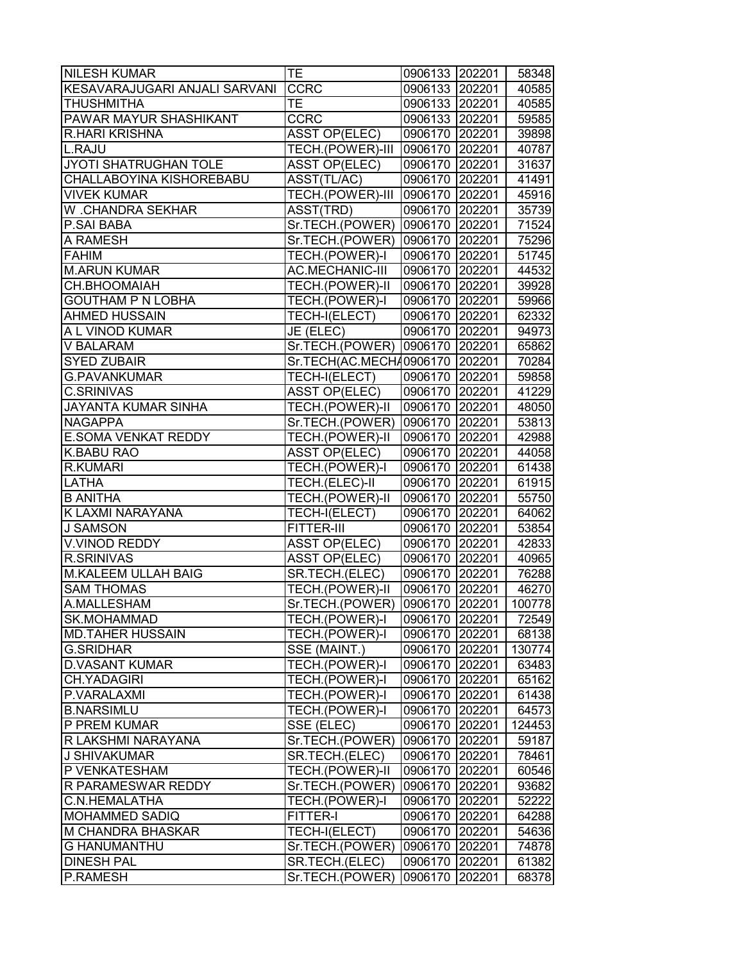| <b>NILESH KUMAR</b>           | TE                             | 0906133 202201 |        | 58348  |
|-------------------------------|--------------------------------|----------------|--------|--------|
| KESAVARAJUGARI ANJALI SARVANI | <b>CCRC</b>                    | 0906133 202201 |        | 40585  |
| <b>THUSHMITHA</b>             | ТE                             | 0906133 202201 |        | 40585  |
| <b>PAWAR MAYUR SHASHIKANT</b> | <b>CCRC</b>                    | 0906133 202201 |        | 59585  |
| R.HARI KRISHNA                | <b>ASST OP(ELEC)</b>           | 0906170 202201 |        | 39898  |
| L.RAJU                        | TECH.(POWER)-III               | 0906170 202201 |        | 40787  |
| JYOTI SHATRUGHAN TOLE         | <b>ASST OP(ELEC)</b>           | 0906170 202201 |        | 31637  |
| CHALLABOYINA KISHOREBABU      | ASST(TL/AC)                    | 0906170 202201 |        | 41491  |
| <b>VIVEK KUMAR</b>            | TECH.(POWER)-III               | 0906170 202201 |        | 45916  |
| W .CHANDRA SEKHAR             | ASST(TRD)                      | 0906170 202201 |        | 35739  |
| P.SAI BABA                    | Sr.TECH.(POWER) 0906170 202201 |                |        | 71524  |
| A RAMESH                      | Sr.TECH.(POWER)                | 0906170 202201 |        | 75296  |
| <b>FAHIM</b>                  | TECH.(POWER)-I                 | 0906170 202201 |        | 51745  |
| <b>M.ARUN KUMAR</b>           | <b>AC.MECHANIC-III</b>         | 0906170 202201 |        | 44532  |
| CH.BHOOMAIAH                  | TECH.(POWER)-II                | 0906170 202201 |        | 39928  |
| <b>GOUTHAM P N LOBHA</b>      | TECH.(POWER)-I                 | 0906170 202201 |        | 59966  |
| <b>AHMED HUSSAIN</b>          | TECH-I(ELECT)                  | 0906170 202201 |        | 62332  |
| A L VINOD KUMAR               | JE (ELEC)                      | 0906170 202201 |        | 94973  |
| <b>V BALARAM</b>              | Sr.TECH.(POWER) 0906170 202201 |                |        | 65862  |
| <b>SYED ZUBAIR</b>            | Sr.TECH(AC.MECH40906170 202201 |                |        | 70284  |
| <b>G.PAVANKUMAR</b>           | TECH-I(ELECT)                  | 0906170 202201 |        | 59858  |
| <b>C.SRINIVAS</b>             | <b>ASST OP(ELEC)</b>           | 0906170 202201 |        | 41229  |
| <b>JAYANTA KUMAR SINHA</b>    | TECH.(POWER)-II                | 0906170 202201 |        | 48050  |
| <b>NAGAPPA</b>                | Sr.TECH.(POWER)                | 0906170 202201 |        | 53813  |
| <b>E.SOMA VENKAT REDDY</b>    | TECH.(POWER)-II                | 0906170 202201 |        | 42988  |
| <b>K.BABU RAO</b>             | <b>ASST OP(ELEC)</b>           | 0906170 202201 |        | 44058  |
| <b>R.KUMARI</b>               | TECH.(POWER)-I                 | 0906170 202201 |        | 61438  |
| <b>LATHA</b>                  | TECH.(ELEC)-II                 | 0906170 202201 |        | 61915  |
| <b>B ANITHA</b>               | TECH.(POWER)-II                | 0906170 202201 |        | 55750  |
| K LAXMI NARAYANA              | TECH-I(ELECT)                  | 0906170 202201 |        | 64062  |
| <b>J SAMSON</b>               | FITTER-III                     | 0906170 202201 |        | 53854  |
| V.VINOD REDDY                 | <b>ASST OP(ELEC)</b>           | 0906170 202201 |        | 42833  |
| <b>R.SRINIVAS</b>             | <b>ASST OP(ELEC)</b>           | 0906170 202201 |        | 40965  |
| <b>M.KALEEM ULLAH BAIG</b>    | SR.TECH.(ELEC)                 | 0906170 202201 |        | 76288  |
| <b>SAM THOMAS</b>             | TECH.(POWER)-II                | 0906170 202201 |        | 46270  |
| A.MALLESHAM                   | Sr.TECH.(POWER) 0906170 202201 |                |        | 100778 |
| SK.MOHAMMAD                   | TECH.(POWER)-I                 | 0906170 202201 |        | 72549  |
| <b>MD.TAHER HUSSAIN</b>       | TECH.(POWER)-I                 | 0906170 202201 |        | 68138  |
| <b>G.SRIDHAR</b>              | SSE (MAINT.)                   | 0906170 202201 |        | 130774 |
| <b>D.VASANT KUMAR</b>         | TECH.(POWER)-I                 | 0906170        | 202201 | 63483  |
| <b>CH.YADAGIRI</b>            | TECH.(POWER)-I                 | 0906170 202201 |        | 65162  |
| P.VARALAXMI                   | TECH.(POWER)-I                 | 0906170 202201 |        | 61438  |
| <b>B.NARSIMLU</b>             | TECH.(POWER)-I                 | 0906170 202201 |        | 64573  |
| P PREM KUMAR                  | SSE (ELEC)                     | 0906170 202201 |        | 124453 |
| R LAKSHMI NARAYANA            | Sr.TECH.(POWER)                | 0906170 202201 |        | 59187  |
| <b>J SHIVAKUMAR</b>           | SR.TECH.(ELEC)                 | 0906170 202201 |        | 78461  |
| P VENKATESHAM                 | TECH.(POWER)-II                | 0906170 202201 |        | 60546  |
| <b>R PARAMESWAR REDDY</b>     | Sr.TECH.(POWER)                | 0906170 202201 |        | 93682  |
| C.N.HEMALATHA                 | TECH.(POWER)-I                 | 0906170 202201 |        | 52222  |
| <b>MOHAMMED SADIQ</b>         | FITTER-I                       | 0906170        | 202201 | 64288  |
| <b>M CHANDRA BHASKAR</b>      | TECH-I(ELECT)                  | 0906170        | 202201 | 54636  |
| <b>G HANUMANTHU</b>           | Sr.TECH.(POWER)                | 0906170        | 202201 | 74878  |
| <b>DINESH PAL</b>             | SR.TECH.(ELEC)                 | 0906170        | 202201 | 61382  |
| P.RAMESH                      | Sr.TECH.(POWER)                | 0906170        | 202201 | 68378  |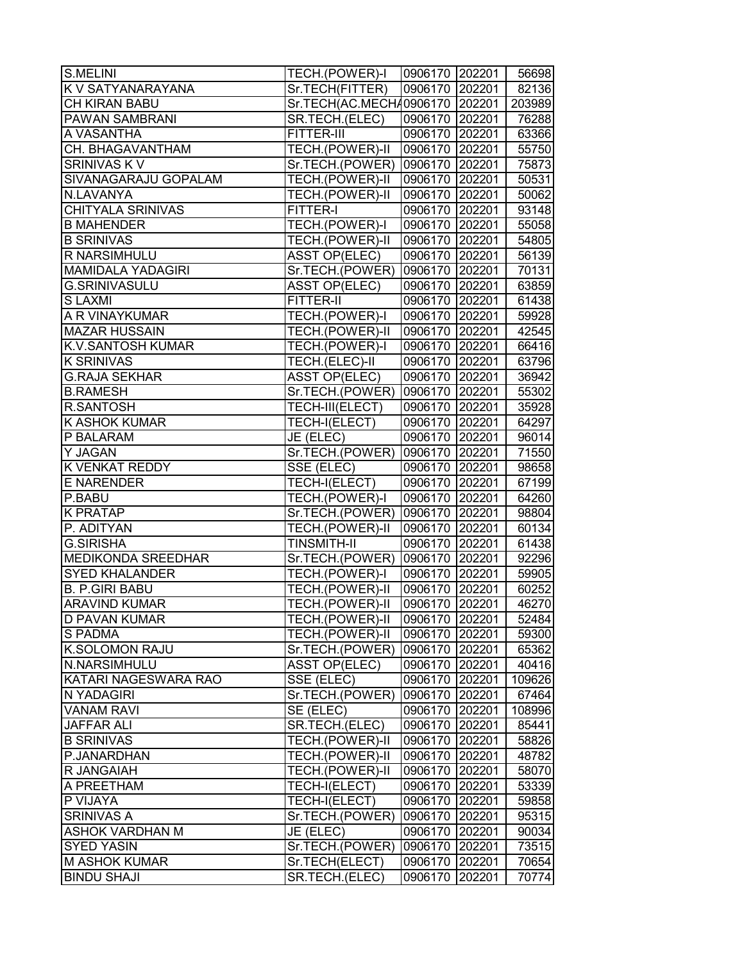| K V SATYANARAYANA<br>Sr.TECH(FITTER)<br>0906170 202201<br><b>CH KIRAN BABU</b><br>Sr.TECH(AC.MECH40906170   202201  <br>PAWAN SAMBRANI<br>0906170 202201<br>SR.TECH.(ELEC)<br>0906170 202201<br>FITTER-III<br>CH. BHAGAVANTHAM<br>TECH.(POWER)-II<br>0906170 202201<br>SRINIVAS K V<br>Sr.TECH.(POWER)<br>0906170 202201<br>75873<br>TECH.(POWER)-II<br>SIVANAGARAJU GOPALAM<br>0906170 202201<br>50531<br>TECH.(POWER)-II<br>N.LAVANYA<br>0906170 202201<br>50062<br><b>CHITYALA SRINIVAS</b><br>93148<br>FITTER-I<br>0906170 202201<br>TECH.(POWER)-I<br>0906170 202201<br><b>B MAHENDER</b><br>55058<br><b>B SRINIVAS</b><br>TECH.(POWER)-II<br>0906170 202201<br>54805<br>R NARSIMHULU<br><b>ASST OP(ELEC)</b><br>0906170 202201<br><b>MAMIDALA YADAGIRI</b><br>Sr.TECH.(POWER)<br>70131<br>0906170 202201<br><b>G.SRINIVASULU</b><br><b>ASST OP(ELEC)</b><br>0906170 202201<br>63859<br><b>SLAXMI</b><br><b>FITTER-II</b><br>0906170 202201<br>61438<br>A R VINAYKUMAR<br>TECH.(POWER)-I<br>0906170 202201<br>TECH.(POWER)-II<br>0906170 202201<br><b>K.V.SANTOSH KUMAR</b><br>TECH.(POWER)-I<br>0906170 202201<br>TECH.(ELEC)-II<br>0906170 202201<br><b>G.RAJA SEKHAR</b><br><b>ASST OP(ELEC)</b><br>0906170 202201<br>36942<br>Sr.TECH.(POWER)<br>0906170 202201<br><b>B.RAMESH</b><br>55302<br>TECH-III(ELECT)<br>35928<br><b>R.SANTOSH</b><br>0906170 202201<br>TECH-I(ELECT)<br>0906170 202201<br>64297<br>P BALARAM<br>JE (ELEC)<br>0906170 202201<br>96014<br>Sr.TECH.(POWER)<br>0906170 202201<br><b>K VENKAT REDDY</b><br>SSE (ELEC)<br>0906170 202201<br><b>E NARENDER</b><br>TECH-I(ELECT)<br>0906170 202201<br>TECH.(POWER)-I<br>P.BABU<br>0906170 202201<br><b>K PRATAP</b><br>Sr.TECH.(POWER)<br>0906170 202201<br>P. ADITYAN<br>TECH.(POWER)-II<br>0906170 202201<br><b>G.SIRISHA</b><br><b>TINSMITH-II</b><br>0906170 202201<br><b>MEDIKONDA SREEDHAR</b><br>Sr.TECH.(POWER)<br>0906170 202201<br><b>SYED KHALANDER</b><br>TECH.(POWER)-I<br>0906170 202201<br><b>B. P.GIRI BABU</b><br>TECH.(POWER)-II<br>0906170 202201<br>TECH.(POWER)-II<br>0906170 202201<br><b>ARAVIND KUMAR</b><br><b>D PAVAN KUMAR</b><br><b>TECH.(POWER)-II</b><br>52484<br>0906170 202201<br>TECH.(POWER)-II<br><b>S PADMA</b><br>0906170 202201<br><b>K.SOLOMON RAJU</b><br>Sr.TECH.(POWER)<br>0906170 202201<br>N.NARSIMHULU<br><b>ASST OP(ELEC)</b><br>0906170<br>202201<br>KATARI NAGESWARA RAO<br>SSE (ELEC)<br>0906170 202201<br>N YADAGIRI<br>Sr.TECH.(POWER)<br>0906170 202201<br><b>VANAM RAVI</b><br>SE (ELEC)<br>0906170 202201<br>SR.TECH.(ELEC)<br>0906170 202201<br><b>JAFFAR ALI</b><br>85441<br><b>B SRINIVAS</b><br>TECH.(POWER)-II<br>0906170 202201<br>P.JANARDHAN<br>TECH.(POWER)-II<br>0906170 202201<br>48782<br>TECH.(POWER)-II<br>R JANGAIAH<br>0906170 202201<br>58070<br>A PREETHAM<br>TECH-I(ELECT)<br>0906170 202201<br>53339<br>TECH-I(ELECT)<br>P VIJAYA<br>0906170 202201<br>59858<br><b>SRINIVAS A</b><br>Sr.TECH.(POWER)<br>0906170<br>202201<br><b>ASHOK VARDHAN M</b><br>JE (ELEC)<br>0906170<br>202201<br><b>SYED YASIN</b><br>Sr.TECH.(POWER)<br>0906170<br>202201<br><b>M ASHOK KUMAR</b><br>Sr.TECH(ELECT)<br>0906170<br>202201<br><b>BINDU SHAJI</b><br>SR.TECH.(ELEC)<br>0906170<br>202201 | <b>S.MELINI</b>      | TECH.(POWER)-I | 0906170 202201 | 56698 |
|-------------------------------------------------------------------------------------------------------------------------------------------------------------------------------------------------------------------------------------------------------------------------------------------------------------------------------------------------------------------------------------------------------------------------------------------------------------------------------------------------------------------------------------------------------------------------------------------------------------------------------------------------------------------------------------------------------------------------------------------------------------------------------------------------------------------------------------------------------------------------------------------------------------------------------------------------------------------------------------------------------------------------------------------------------------------------------------------------------------------------------------------------------------------------------------------------------------------------------------------------------------------------------------------------------------------------------------------------------------------------------------------------------------------------------------------------------------------------------------------------------------------------------------------------------------------------------------------------------------------------------------------------------------------------------------------------------------------------------------------------------------------------------------------------------------------------------------------------------------------------------------------------------------------------------------------------------------------------------------------------------------------------------------------------------------------------------------------------------------------------------------------------------------------------------------------------------------------------------------------------------------------------------------------------------------------------------------------------------------------------------------------------------------------------------------------------------------------------------------------------------------------------------------------------------------------------------------------------------------------------------------------------------------------------------------------------------------------------------------------------------------------------------------------------------------------------------------------------------------------------------------------------------------------------------------------------------------------------------------------------------------------------------------------------------------------------------------------------------------------------------------------------------------------------------------------------------------------------------------|----------------------|----------------|----------------|-------|
| 203989<br>76288<br>63366                                                                                                                                                                                                                                                                                                                                                                                                                                                                                                                                                                                                                                                                                                                                                                                                                                                                                                                                                                                                                                                                                                                                                                                                                                                                                                                                                                                                                                                                                                                                                                                                                                                                                                                                                                                                                                                                                                                                                                                                                                                                                                                                                                                                                                                                                                                                                                                                                                                                                                                                                                                                                                                                                                                                                                                                                                                                                                                                                                                                                                                                                                                                                                                                            |                      |                |                | 82136 |
|                                                                                                                                                                                                                                                                                                                                                                                                                                                                                                                                                                                                                                                                                                                                                                                                                                                                                                                                                                                                                                                                                                                                                                                                                                                                                                                                                                                                                                                                                                                                                                                                                                                                                                                                                                                                                                                                                                                                                                                                                                                                                                                                                                                                                                                                                                                                                                                                                                                                                                                                                                                                                                                                                                                                                                                                                                                                                                                                                                                                                                                                                                                                                                                                                                     |                      |                |                |       |
|                                                                                                                                                                                                                                                                                                                                                                                                                                                                                                                                                                                                                                                                                                                                                                                                                                                                                                                                                                                                                                                                                                                                                                                                                                                                                                                                                                                                                                                                                                                                                                                                                                                                                                                                                                                                                                                                                                                                                                                                                                                                                                                                                                                                                                                                                                                                                                                                                                                                                                                                                                                                                                                                                                                                                                                                                                                                                                                                                                                                                                                                                                                                                                                                                                     |                      |                |                |       |
| 55750<br>56139<br>59928<br>42545<br>66416<br>63796<br>71550<br>98658<br>67199<br>64260<br>98804<br>60134<br>61438<br>92296<br>59905<br>60252<br>46270<br>59300<br>65362<br>40416<br>109626<br>67464<br>108996<br>58826<br>95315<br>90034<br>73515<br>70654<br>70774                                                                                                                                                                                                                                                                                                                                                                                                                                                                                                                                                                                                                                                                                                                                                                                                                                                                                                                                                                                                                                                                                                                                                                                                                                                                                                                                                                                                                                                                                                                                                                                                                                                                                                                                                                                                                                                                                                                                                                                                                                                                                                                                                                                                                                                                                                                                                                                                                                                                                                                                                                                                                                                                                                                                                                                                                                                                                                                                                                 | A VASANTHA           |                |                |       |
|                                                                                                                                                                                                                                                                                                                                                                                                                                                                                                                                                                                                                                                                                                                                                                                                                                                                                                                                                                                                                                                                                                                                                                                                                                                                                                                                                                                                                                                                                                                                                                                                                                                                                                                                                                                                                                                                                                                                                                                                                                                                                                                                                                                                                                                                                                                                                                                                                                                                                                                                                                                                                                                                                                                                                                                                                                                                                                                                                                                                                                                                                                                                                                                                                                     |                      |                |                |       |
|                                                                                                                                                                                                                                                                                                                                                                                                                                                                                                                                                                                                                                                                                                                                                                                                                                                                                                                                                                                                                                                                                                                                                                                                                                                                                                                                                                                                                                                                                                                                                                                                                                                                                                                                                                                                                                                                                                                                                                                                                                                                                                                                                                                                                                                                                                                                                                                                                                                                                                                                                                                                                                                                                                                                                                                                                                                                                                                                                                                                                                                                                                                                                                                                                                     |                      |                |                |       |
|                                                                                                                                                                                                                                                                                                                                                                                                                                                                                                                                                                                                                                                                                                                                                                                                                                                                                                                                                                                                                                                                                                                                                                                                                                                                                                                                                                                                                                                                                                                                                                                                                                                                                                                                                                                                                                                                                                                                                                                                                                                                                                                                                                                                                                                                                                                                                                                                                                                                                                                                                                                                                                                                                                                                                                                                                                                                                                                                                                                                                                                                                                                                                                                                                                     |                      |                |                |       |
|                                                                                                                                                                                                                                                                                                                                                                                                                                                                                                                                                                                                                                                                                                                                                                                                                                                                                                                                                                                                                                                                                                                                                                                                                                                                                                                                                                                                                                                                                                                                                                                                                                                                                                                                                                                                                                                                                                                                                                                                                                                                                                                                                                                                                                                                                                                                                                                                                                                                                                                                                                                                                                                                                                                                                                                                                                                                                                                                                                                                                                                                                                                                                                                                                                     |                      |                |                |       |
|                                                                                                                                                                                                                                                                                                                                                                                                                                                                                                                                                                                                                                                                                                                                                                                                                                                                                                                                                                                                                                                                                                                                                                                                                                                                                                                                                                                                                                                                                                                                                                                                                                                                                                                                                                                                                                                                                                                                                                                                                                                                                                                                                                                                                                                                                                                                                                                                                                                                                                                                                                                                                                                                                                                                                                                                                                                                                                                                                                                                                                                                                                                                                                                                                                     |                      |                |                |       |
|                                                                                                                                                                                                                                                                                                                                                                                                                                                                                                                                                                                                                                                                                                                                                                                                                                                                                                                                                                                                                                                                                                                                                                                                                                                                                                                                                                                                                                                                                                                                                                                                                                                                                                                                                                                                                                                                                                                                                                                                                                                                                                                                                                                                                                                                                                                                                                                                                                                                                                                                                                                                                                                                                                                                                                                                                                                                                                                                                                                                                                                                                                                                                                                                                                     |                      |                |                |       |
|                                                                                                                                                                                                                                                                                                                                                                                                                                                                                                                                                                                                                                                                                                                                                                                                                                                                                                                                                                                                                                                                                                                                                                                                                                                                                                                                                                                                                                                                                                                                                                                                                                                                                                                                                                                                                                                                                                                                                                                                                                                                                                                                                                                                                                                                                                                                                                                                                                                                                                                                                                                                                                                                                                                                                                                                                                                                                                                                                                                                                                                                                                                                                                                                                                     |                      |                |                |       |
|                                                                                                                                                                                                                                                                                                                                                                                                                                                                                                                                                                                                                                                                                                                                                                                                                                                                                                                                                                                                                                                                                                                                                                                                                                                                                                                                                                                                                                                                                                                                                                                                                                                                                                                                                                                                                                                                                                                                                                                                                                                                                                                                                                                                                                                                                                                                                                                                                                                                                                                                                                                                                                                                                                                                                                                                                                                                                                                                                                                                                                                                                                                                                                                                                                     |                      |                |                |       |
|                                                                                                                                                                                                                                                                                                                                                                                                                                                                                                                                                                                                                                                                                                                                                                                                                                                                                                                                                                                                                                                                                                                                                                                                                                                                                                                                                                                                                                                                                                                                                                                                                                                                                                                                                                                                                                                                                                                                                                                                                                                                                                                                                                                                                                                                                                                                                                                                                                                                                                                                                                                                                                                                                                                                                                                                                                                                                                                                                                                                                                                                                                                                                                                                                                     |                      |                |                |       |
|                                                                                                                                                                                                                                                                                                                                                                                                                                                                                                                                                                                                                                                                                                                                                                                                                                                                                                                                                                                                                                                                                                                                                                                                                                                                                                                                                                                                                                                                                                                                                                                                                                                                                                                                                                                                                                                                                                                                                                                                                                                                                                                                                                                                                                                                                                                                                                                                                                                                                                                                                                                                                                                                                                                                                                                                                                                                                                                                                                                                                                                                                                                                                                                                                                     |                      |                |                |       |
|                                                                                                                                                                                                                                                                                                                                                                                                                                                                                                                                                                                                                                                                                                                                                                                                                                                                                                                                                                                                                                                                                                                                                                                                                                                                                                                                                                                                                                                                                                                                                                                                                                                                                                                                                                                                                                                                                                                                                                                                                                                                                                                                                                                                                                                                                                                                                                                                                                                                                                                                                                                                                                                                                                                                                                                                                                                                                                                                                                                                                                                                                                                                                                                                                                     |                      |                |                |       |
|                                                                                                                                                                                                                                                                                                                                                                                                                                                                                                                                                                                                                                                                                                                                                                                                                                                                                                                                                                                                                                                                                                                                                                                                                                                                                                                                                                                                                                                                                                                                                                                                                                                                                                                                                                                                                                                                                                                                                                                                                                                                                                                                                                                                                                                                                                                                                                                                                                                                                                                                                                                                                                                                                                                                                                                                                                                                                                                                                                                                                                                                                                                                                                                                                                     |                      |                |                |       |
|                                                                                                                                                                                                                                                                                                                                                                                                                                                                                                                                                                                                                                                                                                                                                                                                                                                                                                                                                                                                                                                                                                                                                                                                                                                                                                                                                                                                                                                                                                                                                                                                                                                                                                                                                                                                                                                                                                                                                                                                                                                                                                                                                                                                                                                                                                                                                                                                                                                                                                                                                                                                                                                                                                                                                                                                                                                                                                                                                                                                                                                                                                                                                                                                                                     | <b>MAZAR HUSSAIN</b> |                |                |       |
|                                                                                                                                                                                                                                                                                                                                                                                                                                                                                                                                                                                                                                                                                                                                                                                                                                                                                                                                                                                                                                                                                                                                                                                                                                                                                                                                                                                                                                                                                                                                                                                                                                                                                                                                                                                                                                                                                                                                                                                                                                                                                                                                                                                                                                                                                                                                                                                                                                                                                                                                                                                                                                                                                                                                                                                                                                                                                                                                                                                                                                                                                                                                                                                                                                     |                      |                |                |       |
|                                                                                                                                                                                                                                                                                                                                                                                                                                                                                                                                                                                                                                                                                                                                                                                                                                                                                                                                                                                                                                                                                                                                                                                                                                                                                                                                                                                                                                                                                                                                                                                                                                                                                                                                                                                                                                                                                                                                                                                                                                                                                                                                                                                                                                                                                                                                                                                                                                                                                                                                                                                                                                                                                                                                                                                                                                                                                                                                                                                                                                                                                                                                                                                                                                     | <b>K SRINIVAS</b>    |                |                |       |
|                                                                                                                                                                                                                                                                                                                                                                                                                                                                                                                                                                                                                                                                                                                                                                                                                                                                                                                                                                                                                                                                                                                                                                                                                                                                                                                                                                                                                                                                                                                                                                                                                                                                                                                                                                                                                                                                                                                                                                                                                                                                                                                                                                                                                                                                                                                                                                                                                                                                                                                                                                                                                                                                                                                                                                                                                                                                                                                                                                                                                                                                                                                                                                                                                                     |                      |                |                |       |
|                                                                                                                                                                                                                                                                                                                                                                                                                                                                                                                                                                                                                                                                                                                                                                                                                                                                                                                                                                                                                                                                                                                                                                                                                                                                                                                                                                                                                                                                                                                                                                                                                                                                                                                                                                                                                                                                                                                                                                                                                                                                                                                                                                                                                                                                                                                                                                                                                                                                                                                                                                                                                                                                                                                                                                                                                                                                                                                                                                                                                                                                                                                                                                                                                                     |                      |                |                |       |
|                                                                                                                                                                                                                                                                                                                                                                                                                                                                                                                                                                                                                                                                                                                                                                                                                                                                                                                                                                                                                                                                                                                                                                                                                                                                                                                                                                                                                                                                                                                                                                                                                                                                                                                                                                                                                                                                                                                                                                                                                                                                                                                                                                                                                                                                                                                                                                                                                                                                                                                                                                                                                                                                                                                                                                                                                                                                                                                                                                                                                                                                                                                                                                                                                                     |                      |                |                |       |
|                                                                                                                                                                                                                                                                                                                                                                                                                                                                                                                                                                                                                                                                                                                                                                                                                                                                                                                                                                                                                                                                                                                                                                                                                                                                                                                                                                                                                                                                                                                                                                                                                                                                                                                                                                                                                                                                                                                                                                                                                                                                                                                                                                                                                                                                                                                                                                                                                                                                                                                                                                                                                                                                                                                                                                                                                                                                                                                                                                                                                                                                                                                                                                                                                                     | <b>K ASHOK KUMAR</b> |                |                |       |
|                                                                                                                                                                                                                                                                                                                                                                                                                                                                                                                                                                                                                                                                                                                                                                                                                                                                                                                                                                                                                                                                                                                                                                                                                                                                                                                                                                                                                                                                                                                                                                                                                                                                                                                                                                                                                                                                                                                                                                                                                                                                                                                                                                                                                                                                                                                                                                                                                                                                                                                                                                                                                                                                                                                                                                                                                                                                                                                                                                                                                                                                                                                                                                                                                                     |                      |                |                |       |
|                                                                                                                                                                                                                                                                                                                                                                                                                                                                                                                                                                                                                                                                                                                                                                                                                                                                                                                                                                                                                                                                                                                                                                                                                                                                                                                                                                                                                                                                                                                                                                                                                                                                                                                                                                                                                                                                                                                                                                                                                                                                                                                                                                                                                                                                                                                                                                                                                                                                                                                                                                                                                                                                                                                                                                                                                                                                                                                                                                                                                                                                                                                                                                                                                                     | Y JAGAN              |                |                |       |
|                                                                                                                                                                                                                                                                                                                                                                                                                                                                                                                                                                                                                                                                                                                                                                                                                                                                                                                                                                                                                                                                                                                                                                                                                                                                                                                                                                                                                                                                                                                                                                                                                                                                                                                                                                                                                                                                                                                                                                                                                                                                                                                                                                                                                                                                                                                                                                                                                                                                                                                                                                                                                                                                                                                                                                                                                                                                                                                                                                                                                                                                                                                                                                                                                                     |                      |                |                |       |
|                                                                                                                                                                                                                                                                                                                                                                                                                                                                                                                                                                                                                                                                                                                                                                                                                                                                                                                                                                                                                                                                                                                                                                                                                                                                                                                                                                                                                                                                                                                                                                                                                                                                                                                                                                                                                                                                                                                                                                                                                                                                                                                                                                                                                                                                                                                                                                                                                                                                                                                                                                                                                                                                                                                                                                                                                                                                                                                                                                                                                                                                                                                                                                                                                                     |                      |                |                |       |
|                                                                                                                                                                                                                                                                                                                                                                                                                                                                                                                                                                                                                                                                                                                                                                                                                                                                                                                                                                                                                                                                                                                                                                                                                                                                                                                                                                                                                                                                                                                                                                                                                                                                                                                                                                                                                                                                                                                                                                                                                                                                                                                                                                                                                                                                                                                                                                                                                                                                                                                                                                                                                                                                                                                                                                                                                                                                                                                                                                                                                                                                                                                                                                                                                                     |                      |                |                |       |
|                                                                                                                                                                                                                                                                                                                                                                                                                                                                                                                                                                                                                                                                                                                                                                                                                                                                                                                                                                                                                                                                                                                                                                                                                                                                                                                                                                                                                                                                                                                                                                                                                                                                                                                                                                                                                                                                                                                                                                                                                                                                                                                                                                                                                                                                                                                                                                                                                                                                                                                                                                                                                                                                                                                                                                                                                                                                                                                                                                                                                                                                                                                                                                                                                                     |                      |                |                |       |
|                                                                                                                                                                                                                                                                                                                                                                                                                                                                                                                                                                                                                                                                                                                                                                                                                                                                                                                                                                                                                                                                                                                                                                                                                                                                                                                                                                                                                                                                                                                                                                                                                                                                                                                                                                                                                                                                                                                                                                                                                                                                                                                                                                                                                                                                                                                                                                                                                                                                                                                                                                                                                                                                                                                                                                                                                                                                                                                                                                                                                                                                                                                                                                                                                                     |                      |                |                |       |
|                                                                                                                                                                                                                                                                                                                                                                                                                                                                                                                                                                                                                                                                                                                                                                                                                                                                                                                                                                                                                                                                                                                                                                                                                                                                                                                                                                                                                                                                                                                                                                                                                                                                                                                                                                                                                                                                                                                                                                                                                                                                                                                                                                                                                                                                                                                                                                                                                                                                                                                                                                                                                                                                                                                                                                                                                                                                                                                                                                                                                                                                                                                                                                                                                                     |                      |                |                |       |
|                                                                                                                                                                                                                                                                                                                                                                                                                                                                                                                                                                                                                                                                                                                                                                                                                                                                                                                                                                                                                                                                                                                                                                                                                                                                                                                                                                                                                                                                                                                                                                                                                                                                                                                                                                                                                                                                                                                                                                                                                                                                                                                                                                                                                                                                                                                                                                                                                                                                                                                                                                                                                                                                                                                                                                                                                                                                                                                                                                                                                                                                                                                                                                                                                                     |                      |                |                |       |
|                                                                                                                                                                                                                                                                                                                                                                                                                                                                                                                                                                                                                                                                                                                                                                                                                                                                                                                                                                                                                                                                                                                                                                                                                                                                                                                                                                                                                                                                                                                                                                                                                                                                                                                                                                                                                                                                                                                                                                                                                                                                                                                                                                                                                                                                                                                                                                                                                                                                                                                                                                                                                                                                                                                                                                                                                                                                                                                                                                                                                                                                                                                                                                                                                                     |                      |                |                |       |
|                                                                                                                                                                                                                                                                                                                                                                                                                                                                                                                                                                                                                                                                                                                                                                                                                                                                                                                                                                                                                                                                                                                                                                                                                                                                                                                                                                                                                                                                                                                                                                                                                                                                                                                                                                                                                                                                                                                                                                                                                                                                                                                                                                                                                                                                                                                                                                                                                                                                                                                                                                                                                                                                                                                                                                                                                                                                                                                                                                                                                                                                                                                                                                                                                                     |                      |                |                |       |
|                                                                                                                                                                                                                                                                                                                                                                                                                                                                                                                                                                                                                                                                                                                                                                                                                                                                                                                                                                                                                                                                                                                                                                                                                                                                                                                                                                                                                                                                                                                                                                                                                                                                                                                                                                                                                                                                                                                                                                                                                                                                                                                                                                                                                                                                                                                                                                                                                                                                                                                                                                                                                                                                                                                                                                                                                                                                                                                                                                                                                                                                                                                                                                                                                                     |                      |                |                |       |
|                                                                                                                                                                                                                                                                                                                                                                                                                                                                                                                                                                                                                                                                                                                                                                                                                                                                                                                                                                                                                                                                                                                                                                                                                                                                                                                                                                                                                                                                                                                                                                                                                                                                                                                                                                                                                                                                                                                                                                                                                                                                                                                                                                                                                                                                                                                                                                                                                                                                                                                                                                                                                                                                                                                                                                                                                                                                                                                                                                                                                                                                                                                                                                                                                                     |                      |                |                |       |
|                                                                                                                                                                                                                                                                                                                                                                                                                                                                                                                                                                                                                                                                                                                                                                                                                                                                                                                                                                                                                                                                                                                                                                                                                                                                                                                                                                                                                                                                                                                                                                                                                                                                                                                                                                                                                                                                                                                                                                                                                                                                                                                                                                                                                                                                                                                                                                                                                                                                                                                                                                                                                                                                                                                                                                                                                                                                                                                                                                                                                                                                                                                                                                                                                                     |                      |                |                |       |
|                                                                                                                                                                                                                                                                                                                                                                                                                                                                                                                                                                                                                                                                                                                                                                                                                                                                                                                                                                                                                                                                                                                                                                                                                                                                                                                                                                                                                                                                                                                                                                                                                                                                                                                                                                                                                                                                                                                                                                                                                                                                                                                                                                                                                                                                                                                                                                                                                                                                                                                                                                                                                                                                                                                                                                                                                                                                                                                                                                                                                                                                                                                                                                                                                                     |                      |                |                |       |
|                                                                                                                                                                                                                                                                                                                                                                                                                                                                                                                                                                                                                                                                                                                                                                                                                                                                                                                                                                                                                                                                                                                                                                                                                                                                                                                                                                                                                                                                                                                                                                                                                                                                                                                                                                                                                                                                                                                                                                                                                                                                                                                                                                                                                                                                                                                                                                                                                                                                                                                                                                                                                                                                                                                                                                                                                                                                                                                                                                                                                                                                                                                                                                                                                                     |                      |                |                |       |
|                                                                                                                                                                                                                                                                                                                                                                                                                                                                                                                                                                                                                                                                                                                                                                                                                                                                                                                                                                                                                                                                                                                                                                                                                                                                                                                                                                                                                                                                                                                                                                                                                                                                                                                                                                                                                                                                                                                                                                                                                                                                                                                                                                                                                                                                                                                                                                                                                                                                                                                                                                                                                                                                                                                                                                                                                                                                                                                                                                                                                                                                                                                                                                                                                                     |                      |                |                |       |
|                                                                                                                                                                                                                                                                                                                                                                                                                                                                                                                                                                                                                                                                                                                                                                                                                                                                                                                                                                                                                                                                                                                                                                                                                                                                                                                                                                                                                                                                                                                                                                                                                                                                                                                                                                                                                                                                                                                                                                                                                                                                                                                                                                                                                                                                                                                                                                                                                                                                                                                                                                                                                                                                                                                                                                                                                                                                                                                                                                                                                                                                                                                                                                                                                                     |                      |                |                |       |
|                                                                                                                                                                                                                                                                                                                                                                                                                                                                                                                                                                                                                                                                                                                                                                                                                                                                                                                                                                                                                                                                                                                                                                                                                                                                                                                                                                                                                                                                                                                                                                                                                                                                                                                                                                                                                                                                                                                                                                                                                                                                                                                                                                                                                                                                                                                                                                                                                                                                                                                                                                                                                                                                                                                                                                                                                                                                                                                                                                                                                                                                                                                                                                                                                                     |                      |                |                |       |
|                                                                                                                                                                                                                                                                                                                                                                                                                                                                                                                                                                                                                                                                                                                                                                                                                                                                                                                                                                                                                                                                                                                                                                                                                                                                                                                                                                                                                                                                                                                                                                                                                                                                                                                                                                                                                                                                                                                                                                                                                                                                                                                                                                                                                                                                                                                                                                                                                                                                                                                                                                                                                                                                                                                                                                                                                                                                                                                                                                                                                                                                                                                                                                                                                                     |                      |                |                |       |
|                                                                                                                                                                                                                                                                                                                                                                                                                                                                                                                                                                                                                                                                                                                                                                                                                                                                                                                                                                                                                                                                                                                                                                                                                                                                                                                                                                                                                                                                                                                                                                                                                                                                                                                                                                                                                                                                                                                                                                                                                                                                                                                                                                                                                                                                                                                                                                                                                                                                                                                                                                                                                                                                                                                                                                                                                                                                                                                                                                                                                                                                                                                                                                                                                                     |                      |                |                |       |
|                                                                                                                                                                                                                                                                                                                                                                                                                                                                                                                                                                                                                                                                                                                                                                                                                                                                                                                                                                                                                                                                                                                                                                                                                                                                                                                                                                                                                                                                                                                                                                                                                                                                                                                                                                                                                                                                                                                                                                                                                                                                                                                                                                                                                                                                                                                                                                                                                                                                                                                                                                                                                                                                                                                                                                                                                                                                                                                                                                                                                                                                                                                                                                                                                                     |                      |                |                |       |
|                                                                                                                                                                                                                                                                                                                                                                                                                                                                                                                                                                                                                                                                                                                                                                                                                                                                                                                                                                                                                                                                                                                                                                                                                                                                                                                                                                                                                                                                                                                                                                                                                                                                                                                                                                                                                                                                                                                                                                                                                                                                                                                                                                                                                                                                                                                                                                                                                                                                                                                                                                                                                                                                                                                                                                                                                                                                                                                                                                                                                                                                                                                                                                                                                                     |                      |                |                |       |
|                                                                                                                                                                                                                                                                                                                                                                                                                                                                                                                                                                                                                                                                                                                                                                                                                                                                                                                                                                                                                                                                                                                                                                                                                                                                                                                                                                                                                                                                                                                                                                                                                                                                                                                                                                                                                                                                                                                                                                                                                                                                                                                                                                                                                                                                                                                                                                                                                                                                                                                                                                                                                                                                                                                                                                                                                                                                                                                                                                                                                                                                                                                                                                                                                                     |                      |                |                |       |
|                                                                                                                                                                                                                                                                                                                                                                                                                                                                                                                                                                                                                                                                                                                                                                                                                                                                                                                                                                                                                                                                                                                                                                                                                                                                                                                                                                                                                                                                                                                                                                                                                                                                                                                                                                                                                                                                                                                                                                                                                                                                                                                                                                                                                                                                                                                                                                                                                                                                                                                                                                                                                                                                                                                                                                                                                                                                                                                                                                                                                                                                                                                                                                                                                                     |                      |                |                |       |
|                                                                                                                                                                                                                                                                                                                                                                                                                                                                                                                                                                                                                                                                                                                                                                                                                                                                                                                                                                                                                                                                                                                                                                                                                                                                                                                                                                                                                                                                                                                                                                                                                                                                                                                                                                                                                                                                                                                                                                                                                                                                                                                                                                                                                                                                                                                                                                                                                                                                                                                                                                                                                                                                                                                                                                                                                                                                                                                                                                                                                                                                                                                                                                                                                                     |                      |                |                |       |
|                                                                                                                                                                                                                                                                                                                                                                                                                                                                                                                                                                                                                                                                                                                                                                                                                                                                                                                                                                                                                                                                                                                                                                                                                                                                                                                                                                                                                                                                                                                                                                                                                                                                                                                                                                                                                                                                                                                                                                                                                                                                                                                                                                                                                                                                                                                                                                                                                                                                                                                                                                                                                                                                                                                                                                                                                                                                                                                                                                                                                                                                                                                                                                                                                                     |                      |                |                |       |
|                                                                                                                                                                                                                                                                                                                                                                                                                                                                                                                                                                                                                                                                                                                                                                                                                                                                                                                                                                                                                                                                                                                                                                                                                                                                                                                                                                                                                                                                                                                                                                                                                                                                                                                                                                                                                                                                                                                                                                                                                                                                                                                                                                                                                                                                                                                                                                                                                                                                                                                                                                                                                                                                                                                                                                                                                                                                                                                                                                                                                                                                                                                                                                                                                                     |                      |                |                |       |
|                                                                                                                                                                                                                                                                                                                                                                                                                                                                                                                                                                                                                                                                                                                                                                                                                                                                                                                                                                                                                                                                                                                                                                                                                                                                                                                                                                                                                                                                                                                                                                                                                                                                                                                                                                                                                                                                                                                                                                                                                                                                                                                                                                                                                                                                                                                                                                                                                                                                                                                                                                                                                                                                                                                                                                                                                                                                                                                                                                                                                                                                                                                                                                                                                                     |                      |                |                |       |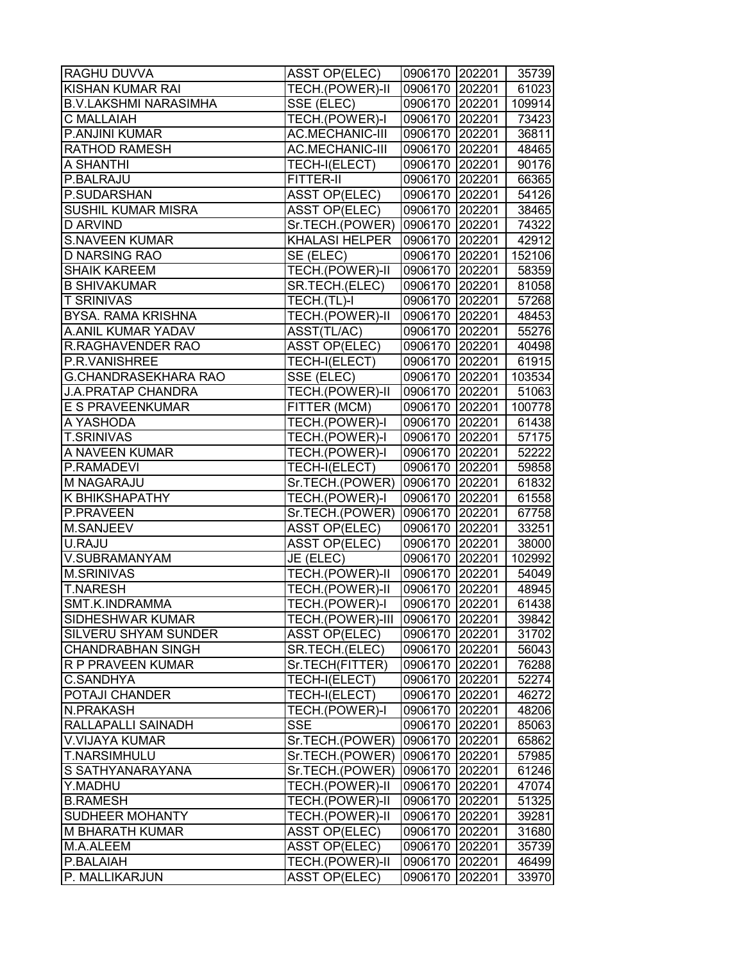| <b>RAGHU DUVVA</b>           | <b>ASST OP(ELEC)</b> | 0906170 202201 |        | 35739  |
|------------------------------|----------------------|----------------|--------|--------|
| KISHAN KUMAR RAI             | TECH.(POWER)-II      | 0906170 202201 |        | 61023  |
| <b>B.V.LAKSHMI NARASIMHA</b> | SSE (ELEC)           | 0906170 202201 |        | 109914 |
| <b>C MALLAIAH</b>            | TECH.(POWER)-I       | 0906170 202201 |        | 73423  |
| <b>P.ANJINI KUMAR</b>        | AC.MECHANIC-III      | 0906170 202201 |        | 36811  |
| <b>RATHOD RAMESH</b>         | AC.MECHANIC-III      | 0906170 202201 |        | 48465  |
| <b>A SHANTHI</b>             | TECH-I(ELECT)        | 0906170 202201 |        | 90176  |
| P.BALRAJU                    | FITTER-II            | 0906170 202201 |        | 66365  |
| P.SUDARSHAN                  | <b>ASST OP(ELEC)</b> | 0906170 202201 |        | 54126  |
| <b>SUSHIL KUMAR MISRA</b>    | <b>ASST OP(ELEC)</b> | 0906170 202201 |        | 38465  |
| <b>D ARVIND</b>              | Sr.TECH.(POWER)      | 0906170 202201 |        | 74322  |
| <b>S.NAVEEN KUMAR</b>        | KHALASI HELPER       | 0906170 202201 |        | 42912  |
| <b>D NARSING RAO</b>         | SE (ELEC)            | 0906170 202201 |        | 152106 |
| <b>SHAIK KAREEM</b>          | TECH.(POWER)-II      | 0906170 202201 |        | 58359  |
| <b>B SHIVAKUMAR</b>          | SR.TECH.(ELEC)       | 0906170 202201 |        | 81058  |
| <b>T SRINIVAS</b>            | TECH.(TL)-I          | 0906170 202201 |        | 57268  |
| <b>BYSA. RAMA KRISHNA</b>    | TECH.(POWER)-II      | 0906170 202201 |        | 48453  |
| A.ANIL KUMAR YADAV           | ASST(TL/AC)          | 0906170 202201 |        | 55276  |
| <b>R.RAGHAVENDER RAO</b>     | <b>ASST OP(ELEC)</b> | 0906170 202201 |        | 40498  |
| P.R.VANISHREE                | TECH-I(ELECT)        | 0906170 202201 |        | 61915  |
| <b>G.CHANDRASEKHARA RAO</b>  | SSE (ELEC)           | 0906170 202201 |        | 103534 |
| <b>J.A.PRATAP CHANDRA</b>    | TECH.(POWER)-II      | 0906170 202201 |        | 51063  |
| <b>E S PRAVEENKUMAR</b>      | FITTER (MCM)         | 0906170 202201 |        | 100778 |
| A YASHODA                    | TECH.(POWER)-I       | 0906170 202201 |        | 61438  |
| <b>T.SRINIVAS</b>            | TECH.(POWER)-I       | 0906170 202201 |        | 57175  |
| A NAVEEN KUMAR               | TECH.(POWER)-I       | 0906170 202201 |        | 52222  |
| P.RAMADEVI                   | TECH-I(ELECT)        | 0906170 202201 |        | 59858  |
| M NAGARAJU                   | Sr.TECH.(POWER)      | 0906170 202201 |        | 61832  |
| <b>K BHIKSHAPATHY</b>        | TECH.(POWER)-I       | 0906170 202201 |        | 61558  |
| P.PRAVEEN                    | Sr.TECH.(POWER)      | 0906170 202201 |        | 67758  |
| M.SANJEEV                    | <b>ASST OP(ELEC)</b> | 0906170 202201 |        | 33251  |
| U.RAJU                       | <b>ASST OP(ELEC)</b> | 0906170 202201 |        | 38000  |
| V.SUBRAMANYAM                | JE (ELEC)            | 0906170 202201 |        | 102992 |
| <b>M.SRINIVAS</b>            | TECH.(POWER)-II      | 0906170 202201 |        | 54049  |
| <b>T.NARESH</b>              | TECH.(POWER)-II      | 0906170 202201 |        | 48945  |
| <b>SMT.K.INDRAMMA</b>        | TECH.(POWER)-I       | 0906170 202201 |        | 61438  |
| SIDHESHWAR KUMAR             | TECH.(POWER)-III     | 0906170 202201 |        | 39842  |
| <b>SILVERU SHYAM SUNDER</b>  | <b>ASST OP(ELEC)</b> | 0906170 202201 |        | 31702  |
| <b>CHANDRABHAN SINGH</b>     | SR.TECH.(ELEC)       | 0906170 202201 |        | 56043  |
| R P PRAVEEN KUMAR            | Sr.TECH(FITTER)      | 0906170 202201 |        | 76288  |
| <b>C.SANDHYA</b>             | TECH-I(ELECT)        | 0906170 202201 |        | 52274  |
| <b>POTAJI CHANDER</b>        | TECH-I(ELECT)        | 0906170 202201 |        | 46272  |
| <b>N.PRAKASH</b>             | TECH.(POWER)-I       | 0906170 202201 |        | 48206  |
| RALLAPALLI SAINADH           | <b>SSE</b>           | 0906170 202201 |        | 85063  |
| <b>V.VIJAYA KUMAR</b>        | Sr.TECH.(POWER)      | 0906170 202201 |        | 65862  |
| <b>T.NARSIMHULU</b>          | Sr.TECH.(POWER)      | 0906170 202201 |        | 57985  |
| S SATHYANARAYANA             | Sr.TECH.(POWER)      | 0906170 202201 |        | 61246  |
| Y.MADHU                      | TECH.(POWER)-II      | 0906170 202201 |        | 47074  |
| <b>B.RAMESH</b>              | TECH.(POWER)-II      | 0906170 202201 |        | 51325  |
| <b>SUDHEER MOHANTY</b>       | TECH.(POWER)-II      | 0906170 202201 |        | 39281  |
| <b>M BHARATH KUMAR</b>       | <b>ASST OP(ELEC)</b> | 0906170 202201 |        | 31680  |
| M.A.ALEEM                    | <b>ASST OP(ELEC)</b> | 0906170        | 202201 | 35739  |
| P.BALAIAH                    | TECH.(POWER)-II      | 0906170 202201 |        | 46499  |
| P. MALLIKARJUN               | <b>ASST OP(ELEC)</b> | 0906170        | 202201 | 33970  |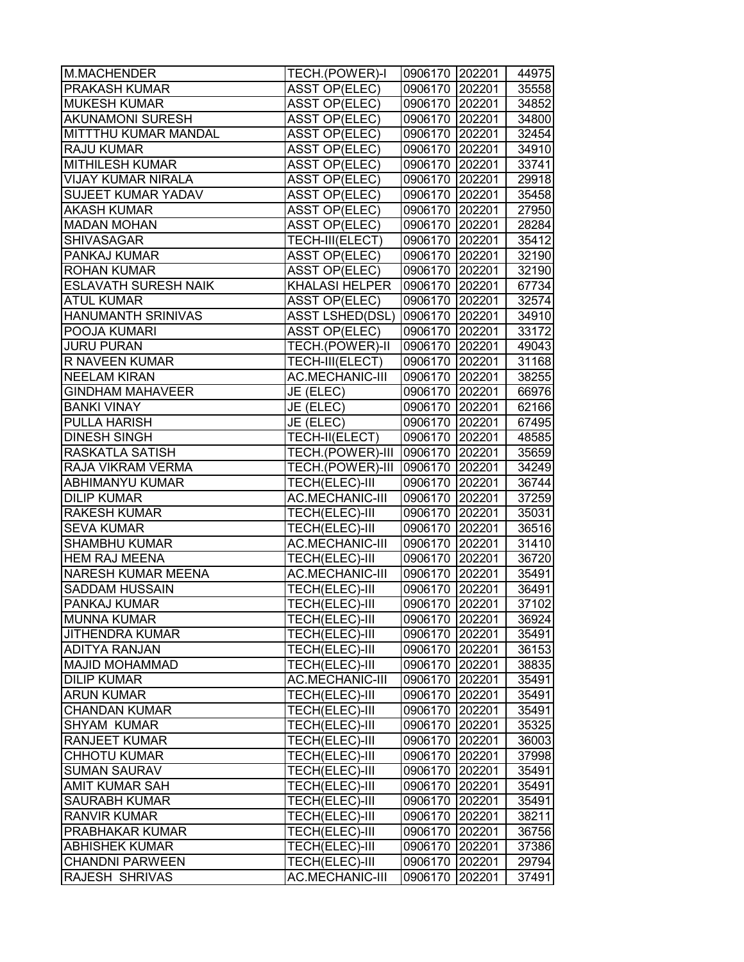| M.MACHENDER                 | TECH.(POWER)-I         | 0906170 202201 |        | 44975 |
|-----------------------------|------------------------|----------------|--------|-------|
| <b>PRAKASH KUMAR</b>        | <b>ASST OP(ELEC)</b>   | 0906170 202201 |        | 35558 |
| <b>MUKESH KUMAR</b>         | <b>ASST OP(ELEC)</b>   | 0906170 202201 |        | 34852 |
| <b>AKUNAMONI SURESH</b>     | <b>ASST OP(ELEC)</b>   | 0906170 202201 |        | 34800 |
| MITTTHU KUMAR MANDAL        | <b>ASST OP(ELEC)</b>   | 0906170 202201 |        | 32454 |
| <b>RAJU KUMAR</b>           | <b>ASST OP(ELEC)</b>   | 0906170 202201 |        | 34910 |
| <b>MITHILESH KUMAR</b>      | <b>ASST OP(ELEC)</b>   | 0906170 202201 |        | 33741 |
| <b>VIJAY KUMAR NIRALA</b>   | <b>ASST OP(ELEC)</b>   | 0906170 202201 |        | 29918 |
| SUJEET KUMAR YADAV          | <b>ASST OP(ELEC)</b>   | 0906170 202201 |        | 35458 |
| <b>AKASH KUMAR</b>          | <b>ASST OP(ELEC)</b>   | 0906170 202201 |        | 27950 |
| <b>MADAN MOHAN</b>          | <b>ASST OP(ELEC)</b>   | 0906170 202201 |        | 28284 |
| <b>SHIVASAGAR</b>           | TECH-III(ELECT)        | 0906170 202201 |        | 35412 |
| PANKAJ KUMAR                | <b>ASST OP(ELEC)</b>   | 0906170 202201 |        | 32190 |
| <b>ROHAN KUMAR</b>          | <b>ASST OP(ELEC)</b>   | 0906170        | 202201 | 32190 |
| <b>ESLAVATH SURESH NAIK</b> | <b>KHALASI HELPER</b>  | 0906170        | 202201 | 67734 |
| <b>ATUL KUMAR</b>           | <b>ASST OP(ELEC)</b>   | 0906170        | 202201 | 32574 |
| <b>HANUMANTH SRINIVAS</b>   | <b>ASST LSHED(DSL)</b> | 0906170 202201 |        | 34910 |
| POOJA KUMARI                | <b>ASST OP(ELEC)</b>   | 0906170 202201 |        | 33172 |
| <b>JURU PURAN</b>           | TECH.(POWER)-II        | 0906170 202201 |        | 49043 |
| <b>R NAVEEN KUMAR</b>       | TECH-III(ELECT)        | 0906170 202201 |        | 31168 |
| <b>NEELAM KIRAN</b>         | AC.MECHANIC-III        | 0906170 202201 |        | 38255 |
| <b>GINDHAM MAHAVEER</b>     | JE (ELEC)              | 0906170 202201 |        | 66976 |
| <b>BANKI VINAY</b>          | JE (ELEC)              | 0906170 202201 |        | 62166 |
| <b>PULLA HARISH</b>         | JE (ELEC)              | 0906170 202201 |        | 67495 |
| <b>DINESH SINGH</b>         | TECH-II(ELECT)         | 0906170 202201 |        | 48585 |
| <b>RASKATLA SATISH</b>      | TECH.(POWER)-III       | 0906170 202201 |        | 35659 |
| RAJA VIKRAM VERMA           | TECH.(POWER)-III       | 0906170        | 202201 | 34249 |
| ABHIMANYU KUMAR             | TECH(ELEC)-III         | 0906170        | 202201 | 36744 |
| <b>DILIP KUMAR</b>          | AC.MECHANIC-III        | 0906170 202201 |        | 37259 |
| <b>RAKESH KUMAR</b>         | TECH(ELEC)-III         | 0906170 202201 |        | 35031 |
| <b>SEVA KUMAR</b>           | TECH(ELEC)-III         | 0906170 202201 |        | 36516 |
| <b>SHAMBHU KUMAR</b>        | AC.MECHANIC-III        | 0906170 202201 |        | 31410 |
| <b>HEM RAJ MEENA</b>        | TECH(ELEC)-III         | 0906170 202201 |        | 36720 |
| <b>NARESH KUMAR MEENA</b>   | AC.MECHANIC-III        | 0906170 202201 |        | 35491 |
| SADDAM HUSSAIN              | TECH(ELEC)-III         | 0906170 202201 |        | 36491 |
| <b>PANKAJ KUMAR</b>         | TECH(ELEC)-III         | 0906170        | 202201 | 37102 |
| <b>MUNNA KUMAR</b>          | TECH(ELEC)-III         | 0906170 202201 |        | 36924 |
| <b>JITHENDRA KUMAR</b>      | TECH(ELEC)-III         | 0906170        | 202201 | 35491 |
| <b>ADITYA RANJAN</b>        | TECH(ELEC)-III         | 0906170        | 202201 | 36153 |
| <b>MAJID MOHAMMAD</b>       | TECH(ELEC)-III         | 0906170        | 202201 | 38835 |
| <b>DILIP KUMAR</b>          | <b>AC.MECHANIC-III</b> | 0906170        | 202201 | 35491 |
| <b>ARUN KUMAR</b>           | TECH(ELEC)-III         | 0906170        | 202201 | 35491 |
| <b>CHANDAN KUMAR</b>        | TECH(ELEC)-III         | 0906170 202201 |        | 35491 |
| <b>SHYAM KUMAR</b>          | TECH(ELEC)-III         | 0906170 202201 |        | 35325 |
| <b>RANJEET KUMAR</b>        | TECH(ELEC)-III         | 0906170 202201 |        | 36003 |
| <b>CHHOTU KUMAR</b>         | TECH(ELEC)-III         | 0906170 202201 |        | 37998 |
| <b>SUMAN SAURAV</b>         | TECH(ELEC)-III         | 0906170        | 202201 | 35491 |
| AMIT KUMAR SAH              | TECH(ELEC)-III         | 0906170        | 202201 | 35491 |
| <b>SAURABH KUMAR</b>        | TECH(ELEC)-III         | 0906170        | 202201 | 35491 |
| <b>RANVIR KUMAR</b>         | TECH(ELEC)-III         | 0906170        | 202201 | 38211 |
| <b>PRABHAKAR KUMAR</b>      | TECH(ELEC)-III         | 0906170        | 202201 | 36756 |
| <b>ABHISHEK KUMAR</b>       | TECH(ELEC)-III         | 0906170        | 202201 | 37386 |
| <b>CHANDNI PARWEEN</b>      | TECH(ELEC)-III         | 0906170        | 202201 | 29794 |
| <b>RAJESH SHRIVAS</b>       | AC.MECHANIC-III        | 0906170        | 202201 | 37491 |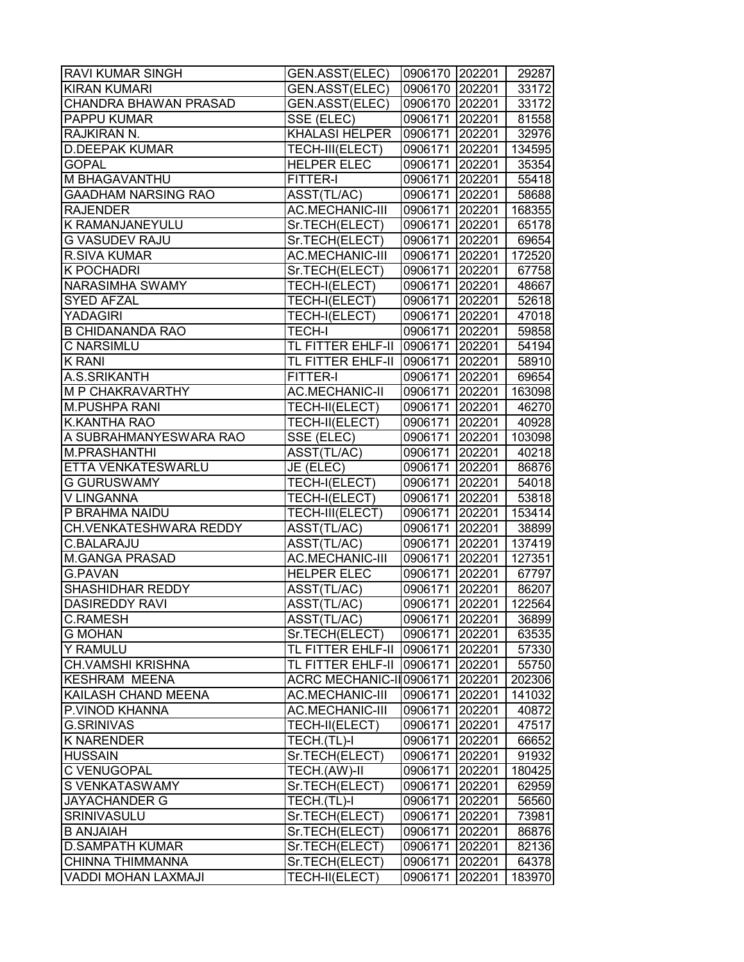| <b>RAVI KUMAR SINGH</b>       | GEN.ASST(ELEC)                 | 0906170 202201        |        | 29287  |
|-------------------------------|--------------------------------|-----------------------|--------|--------|
| <b>KIRAN KUMARI</b>           | GEN.ASST(ELEC)                 | 0906170 202201        |        | 33172  |
| <b>CHANDRA BHAWAN PRASAD</b>  | <b>GEN.ASST(ELEC)</b>          | 0906170 202201        |        | 33172  |
| <b>PAPPU KUMAR</b>            | SSE (ELEC)                     | 0906171 202201        |        | 81558  |
| RAJKIRAN N.                   | <b>KHALASI HELPER</b>          | 0906171 202201        |        | 32976  |
| <b>D.DEEPAK KUMAR</b>         | TECH-III(ELECT)                | 0906171 202201        |        | 134595 |
| <b>GOPAL</b>                  | <b>HELPER ELEC</b>             | 0906171 202201        |        | 35354  |
| M BHAGAVANTHU                 | FITTER-I                       | 0906171 202201        |        | 55418  |
| <b>GAADHAM NARSING RAO</b>    | ASST(TL/AC)                    | 0906171 202201        |        | 58688  |
| <b>RAJENDER</b>               | <b>AC.MECHANIC-III</b>         | 0906171 202201        |        | 168355 |
| <b>K RAMANJANEYULU</b>        | Sr.TECH(ELECT)                 | 0906171 202201        |        | 65178  |
| <b>G VASUDEV RAJU</b>         | Sr.TECH(ELECT)                 | 0906171 202201        |        | 69654  |
| <b>R.SIVA KUMAR</b>           | <b>AC.MECHANIC-III</b>         | 0906171 202201        |        | 172520 |
| <b>K POCHADRI</b>             | Sr.TECH(ELECT)                 | 0906171 202201        |        | 67758  |
| NARASIMHA SWAMY               | TECH-I(ELECT)                  | 0906171 202201        |        | 48667  |
| <b>SYED AFZAL</b>             | TECH-I(ELECT)                  | 0906171 202201        |        | 52618  |
| <b>YADAGIRI</b>               | TECH-I(ELECT)                  | 0906171 202201        |        | 47018  |
| <b>B CHIDANANDA RAO</b>       | <b>TECH-I</b>                  | 0906171 202201        |        | 59858  |
| C NARSIMLU                    | TL FITTER EHLF-II              | 0906171 202201        |        | 54194  |
| <b>K RANI</b>                 | TL FITTER EHLF-II              | 0906171 202201        |        | 58910  |
| A.S.SRIKANTH                  | FITTER-I                       | 0906171 202201        |        | 69654  |
| <b>M P CHAKRAVARTHY</b>       | <b>AC.MECHANIC-II</b>          | 0906171 202201        |        | 163098 |
| <b>M.PUSHPA RANI</b>          | TECH-II(ELECT)                 | 0906171 202201        |        | 46270  |
| <b>K.KANTHA RAO</b>           | TECH-II(ELECT)                 | 0906171 202201        |        | 40928  |
| A SUBRAHMANYESWARA RAO        | SSE (ELEC)                     | 0906171 202201        |        | 103098 |
| M.PRASHANTHI                  | ASST(TL/AC)                    | 0906171 202201        |        | 40218  |
| ETTA VENKATESWARLU            | JE (ELEC)                      | 0906171 202201        |        | 86876  |
| <b>G GURUSWAMY</b>            | TECH-I(ELECT)                  | 0906171 202201        |        | 54018  |
| V LINGANNA                    | TECH-I(ELECT)                  | 0906171 202201        |        | 53818  |
| P BRAHMA NAIDU                | TECH-III(ELECT)                | 0906171 202201        |        | 153414 |
| <b>CH.VENKATESHWARA REDDY</b> | ASST(TL/AC)                    | 0906171 202201        |        | 38899  |
| C.BALARAJU                    | ASST(TL/AC)                    | 0906171 202201        |        | 137419 |
| <b>M.GANGA PRASAD</b>         | AC.MECHANIC-III                | 0906171 202201        |        | 127351 |
| <b>G.PAVAN</b>                | <b>HELPER ELEC</b>             | 0906171 202201        |        | 67797  |
| SHASHIDHAR REDDY              | ASST(TL/AC)                    | 0906171 202201        |        | 86207  |
| <b>DASIREDDY RAVI</b>         | ASST(TL/AC)                    | 0906171 202201 122564 |        |        |
| <b>C.RAMESH</b>               | ASST(TL/AC)                    | 0906171 202201        |        | 36899  |
| <b>G MOHAN</b>                | Sr.TECH(ELECT)                 | 0906171               | 202201 | 63535  |
| <b>Y RAMULU</b>               | TL FITTER EHLF-II              | 0906171 202201        |        | 57330  |
| <b>CH.VAMSHI KRISHNA</b>      | TL FITTER EHLF-II              | 0906171 202201        |        | 55750  |
| <b>KESHRAM MEENA</b>          | ACRC MECHANIC-II0906171 202201 |                       |        | 202306 |
| <b>KAILASH CHAND MEENA</b>    | <b>AC.MECHANIC-III</b>         | 0906171 202201        |        | 141032 |
| P.VINOD KHANNA                | AC.MECHANIC-III                | 0906171 202201        |        | 40872  |
| <b>G.SRINIVAS</b>             | TECH-II(ELECT)                 | 0906171 202201        |        | 47517  |
| <b>K NARENDER</b>             | TECH.(TL)-I                    | 0906171 202201        |        | 66652  |
| <b>HUSSAIN</b>                | Sr.TECH(ELECT)                 | 0906171 202201        |        | 91932  |
| C VENUGOPAL                   | TECH.(AW)-II                   | 0906171 202201        |        | 180425 |
| S VENKATASWAMY                | Sr.TECH(ELECT)                 | 0906171 202201        |        | 62959  |
| JAYACHANDER G                 | TECH.(TL)-I                    | 0906171               | 202201 | 56560  |
| SRINIVASULU                   | Sr.TECH(ELECT)                 | 0906171               | 202201 | 73981  |
| <b>B ANJAIAH</b>              | Sr.TECH(ELECT)                 | 0906171               | 202201 | 86876  |
| <b>D.SAMPATH KUMAR</b>        | Sr.TECH(ELECT)                 | 0906171               | 202201 | 82136  |
| CHINNA THIMMANNA              | Sr.TECH(ELECT)                 | 0906171               | 202201 | 64378  |
| <b>VADDI MOHAN LAXMAJI</b>    | TECH-II(ELECT)                 | 0906171               | 202201 | 183970 |
|                               |                                |                       |        |        |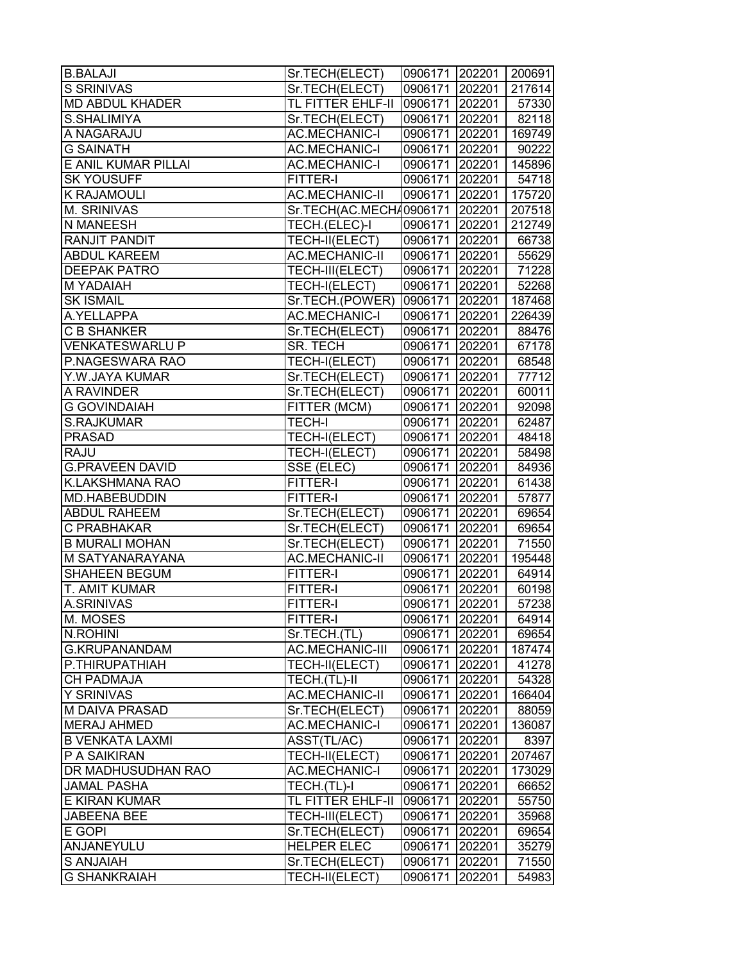| <b>B.BALAJI</b>           | Sr.TECH(ELECT)                 | 0906171 202201 200691 |        |        |
|---------------------------|--------------------------------|-----------------------|--------|--------|
| S SRINIVAS                | Sr.TECH(ELECT)                 | 0906171 202201        |        | 217614 |
| <b>MD ABDUL KHADER</b>    | TL FITTER EHLF-II              | 0906171 202201        |        | 57330  |
| S.SHALIMIYA               | Sr.TECH(ELECT)                 | 0906171 202201        |        | 82118  |
| A NAGARAJU                | <b>AC.MECHANIC-I</b>           | 0906171 202201        |        | 169749 |
| <b>G SAINATH</b>          | <b>AC.MECHANIC-I</b>           | 0906171 202201        |        | 90222  |
| E ANIL KUMAR PILLAI       | <b>AC.MECHANIC-I</b>           | 0906171 202201        |        | 145896 |
| <b>SK YOUSUFF</b>         | FITTER-I                       | 0906171 202201        |        | 54718  |
| <b>K RAJAMOULI</b>        | AC.MECHANIC-II                 | 0906171 202201        |        | 175720 |
| <b>M. SRINIVAS</b>        | Sr.TECH(AC.MECH40906171 202201 |                       |        | 207518 |
| <b>N MANEESH</b>          | TECH.(ELEC)-I                  | 0906171 202201        |        | 212749 |
| <b>RANJIT PANDIT</b>      | TECH-II(ELECT)                 | 0906171 202201        |        | 66738  |
| <b>ABDUL KAREEM</b>       | <b>AC.MECHANIC-II</b>          | 0906171 202201        |        | 55629  |
| <b>DEEPAK PATRO</b>       | TECH-III(ELECT)                | 0906171 202201        |        | 71228  |
| M YADAIAH                 | TECH-I(ELECT)                  | 0906171 202201        |        | 52268  |
| <b>SK ISMAIL</b>          | Sr.TECH.(POWER)                | 0906171 202201        |        | 187468 |
| A.YELLAPPA                | <b>AC.MECHANIC-I</b>           | 0906171 202201        |        | 226439 |
| <b>C B SHANKER</b>        | Sr.TECH(ELECT)                 | 0906171 202201        |        | 88476  |
| <b>VENKATESWARLU P</b>    | SR. TECH                       | 0906171 202201        |        | 67178  |
| P.NAGESWARA RAO           | TECH-I(ELECT)                  | 0906171 202201        |        | 68548  |
| Y.W.JAYA KUMAR            | Sr.TECH(ELECT)                 | 0906171 202201        |        | 77712  |
| A RAVINDER                | Sr.TECH(ELECT)                 | 0906171 202201        |        | 60011  |
| <b>G GOVINDAIAH</b>       | FITTER (MCM)                   | 0906171 202201        |        | 92098  |
| S.RAJKUMAR                | <b>TECH-I</b>                  | 0906171 202201        |        | 62487  |
| <b>PRASAD</b>             | TECH-I(ELECT)                  | 0906171 202201        |        | 48418  |
| <b>RAJU</b>               | TECH-I(ELECT)                  | 0906171 202201        |        | 58498  |
| <b>G.PRAVEEN DAVID</b>    | SSE (ELEC)                     | 0906171 202201        |        | 84936  |
| <b>K.LAKSHMANA RAO</b>    | FITTER-I                       | 0906171 202201        |        | 61438  |
| MD.HABEBUDDIN             | FITTER-I                       | 0906171 202201        |        | 57877  |
| <b>ABDUL RAHEEM</b>       | Sr.TECH(ELECT)                 | 0906171 202201        |        | 69654  |
| C PRABHAKAR               | Sr.TECH(ELECT)                 | 0906171 202201        |        | 69654  |
| <b>B MURALI MOHAN</b>     | Sr.TECH(ELECT)                 | 0906171 202201        |        | 71550  |
| M SATYANARAYANA           | <b>AC.MECHANIC-II</b>          | 0906171 202201        |        | 195448 |
| SHAHEEN BEGUM             | FITTER-I                       | 0906171 202201        |        | 64914  |
| T. AMIT KUMAR             | FITTER-I                       | 0906171 202201        |        | 60198  |
| <b>A.SRINIVAS</b>         | FITTER-I                       | 0906171 202201        |        | 57238  |
| M. MOSES                  | FITTER-I                       | 0906171 202201        |        | 64914  |
| N.ROHINI                  | Sr.TECH.(TL)                   | 0906171               | 202201 | 69654  |
| G.KRUPANANDAM             | AC.MECHANIC-III                | 0906171 202201        |        | 187474 |
| P.THIRUPATHIAH            | TECH-II(ELECT)                 | 0906171 202201        |        | 41278  |
| <b>CH PADMAJA</b>         | TECH.(TL)-II                   | 0906171 202201        |        | 54328  |
| <b>Y SRINIVAS</b>         | <b>AC.MECHANIC-II</b>          | 0906171 202201        |        | 166404 |
| <b>M DAIVA PRASAD</b>     | Sr.TECH(ELECT)                 | 0906171 202201        |        | 88059  |
| <b>MERAJ AHMED</b>        | <b>AC.MECHANIC-I</b>           | 0906171 202201        |        | 136087 |
| <b>B VENKATA LAXMI</b>    | ASST(TL/AC)                    | 0906171 202201        |        | 8397   |
| P A SAIKIRAN              | TECH-II(ELECT)                 | 0906171 202201        |        | 207467 |
| <b>DR MADHUSUDHAN RAO</b> | <b>AC.MECHANIC-I</b>           | 0906171 202201        |        | 173029 |
| <b>JAMAL PASHA</b>        | TECH.(TL)-I                    | 0906171 202201        |        | 66652  |
| <b>E KIRAN KUMAR</b>      | TL FITTER EHLF-II              | 0906171 202201        |        | 55750  |
| <b>JABEENA BEE</b>        | TECH-III(ELECT)                | 0906171               | 202201 | 35968  |
| <b>E GOPI</b>             | Sr.TECH(ELECT)                 | 0906171               | 202201 | 69654  |
| ANJANEYULU                | <b>HELPER ELEC</b>             | 0906171               | 202201 | 35279  |
| S ANJAIAH                 | Sr.TECH(ELECT)                 | 0906171               | 202201 | 71550  |
| <b>G SHANKRAIAH</b>       | TECH-II(ELECT)                 | 0906171               | 202201 | 54983  |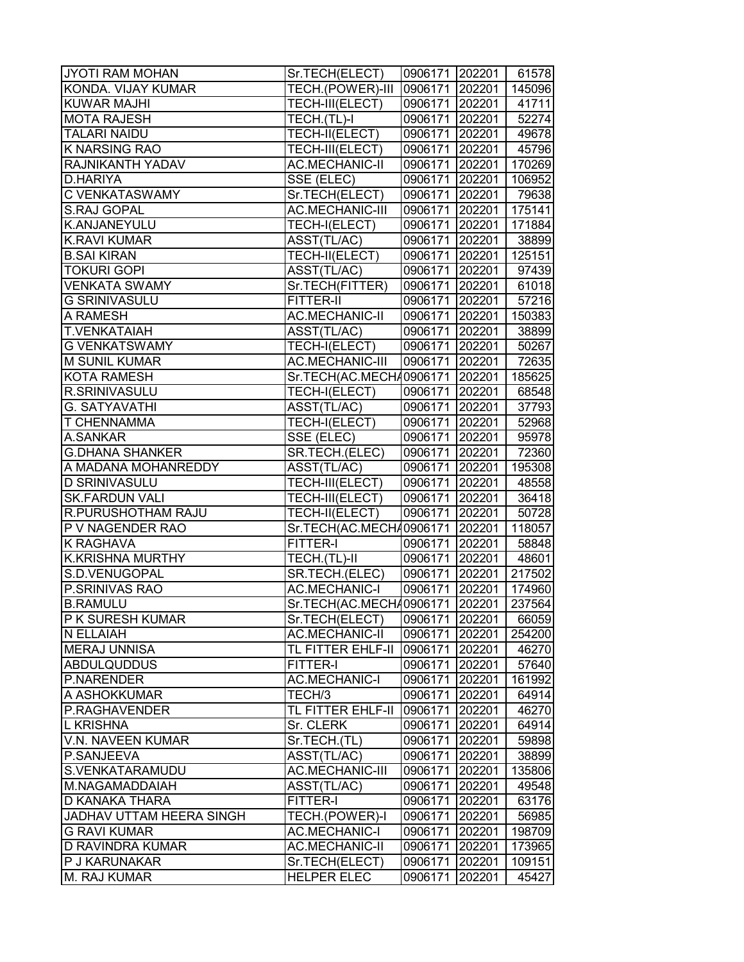| JYOTI RAM MOHAN          | Sr.TECH(ELECT)                 | 0906171 202201 |        | 61578  |
|--------------------------|--------------------------------|----------------|--------|--------|
| KONDA. VIJAY KUMAR       | TECH.(POWER)-III               | 0906171 202201 |        | 145096 |
| <b>KUWAR MAJHI</b>       | TECH-III(ELECT)                | 0906171 202201 |        | 41711  |
| <b>MOTA RAJESH</b>       | TECH.(TL)-I                    | 0906171 202201 |        | 52274  |
| <b>TALARI NAIDU</b>      | TECH-II(ELECT)                 | 0906171 202201 |        | 49678  |
| K NARSING RAO            | TECH-III(ELECT)                | 0906171 202201 |        | 45796  |
| RAJNIKANTH YADAV         | <b>AC.MECHANIC-II</b>          | 0906171 202201 |        | 170269 |
| D.HARIYA                 | SSE (ELEC)                     | 0906171 202201 |        | 106952 |
| <b>C VENKATASWAMY</b>    | Sr.TECH(ELECT)                 | 0906171 202201 |        | 79638  |
| <b>S.RAJ GOPAL</b>       | AC.MECHANIC-III                | 0906171 202201 |        | 175141 |
| K.ANJANEYULU             | TECH-I(ELECT)                  | 0906171 202201 |        | 171884 |
| <b>K.RAVI KUMAR</b>      | ASST(TL/AC)                    | 0906171 202201 |        | 38899  |
| <b>B.SAI KIRAN</b>       | TECH-II(ELECT)                 | 0906171 202201 |        | 125151 |
| <b>TOKURI GOPI</b>       | ASST(TL/AC)                    | 0906171 202201 |        | 97439  |
| <b>VENKATA SWAMY</b>     | Sr.TECH(FITTER)                | 0906171 202201 |        | 61018  |
| <b>G SRINIVASULU</b>     | FITTER-II                      | 0906171 202201 |        | 57216  |
| A RAMESH                 | <b>AC.MECHANIC-II</b>          | 0906171 202201 |        | 150383 |
| <b>T.VENKATAIAH</b>      | ASST(TL/AC)                    | 0906171 202201 |        | 38899  |
| <b>G VENKATSWAMY</b>     | TECH-I(ELECT)                  | 0906171 202201 |        | 50267  |
| <b>M SUNIL KUMAR</b>     | <b>AC.MECHANIC-III</b>         | 0906171 202201 |        | 72635  |
| <b>KOTA RAMESH</b>       | Sr.TECH(AC.MECH40906171 202201 |                |        | 185625 |
| R.SRINIVASULU            | TECH-I(ELECT)                  | 0906171 202201 |        | 68548  |
| <b>G. SATYAVATHI</b>     | ASST(TL/AC)                    | 0906171 202201 |        | 37793  |
| <b>T CHENNAMMA</b>       | TECH-I(ELECT)                  | 0906171 202201 |        | 52968  |
| A.SANKAR                 | SSE (ELEC)                     | 0906171 202201 |        | 95978  |
| <b>G.DHANA SHANKER</b>   | SR.TECH.(ELEC)                 | 0906171 202201 |        | 72360  |
| A MADANA MOHANREDDY      | ASST(TL/AC)                    | 0906171 202201 |        | 195308 |
| <b>D SRINIVASULU</b>     | TECH-III(ELECT)                | 0906171 202201 |        | 48558  |
| <b>SK.FARDUN VALI</b>    | TECH-III(ELECT)                | 0906171 202201 |        | 36418  |
| R.PURUSHOTHAM RAJU       | TECH-II(ELECT)                 | 0906171 202201 |        | 50728  |
| <b>P V NAGENDER RAO</b>  | Sr.TECH(AC.MECH40906171 202201 |                |        | 118057 |
| K RAGHAVA                | FITTER-I                       | 0906171 202201 |        | 58848  |
| <b>K.KRISHNA MURTHY</b>  | TECH.(TL)-II                   | 0906171 202201 |        | 48601  |
| S.D.VENUGOPAL            | SR.TECH.(ELEC)                 | 0906171 202201 |        | 217502 |
| P.SRINIVAS RAO           | <b>AC.MECHANIC-I</b>           | 0906171 202201 |        | 174960 |
| <b>B.RAMULU</b>          | Sr.TECH(AC.MECH40906171 202201 |                |        | 237564 |
| <b>P K SURESH KUMAR</b>  | Sr.TECH(ELECT)                 | 0906171 202201 |        | 66059  |
| N ELLAIAH                | <b>AC.MECHANIC-II</b>          | 0906171        | 202201 | 254200 |
| <b>MERAJ UNNISA</b>      | TL FITTER EHLF-II              | 0906171 202201 |        | 46270  |
| <b>ABDULQUDDUS</b>       | <b>FITTER-I</b>                | 0906171 202201 |        | 57640  |
| <b>P.NARENDER</b>        | <b>AC.MECHANIC-I</b>           | 0906171 202201 |        | 161992 |
| A ASHOKKUMAR             | TECH/3                         | 0906171 202201 |        | 64914  |
| P.RAGHAVENDER            | TL FITTER EHLF-II              | 0906171 202201 |        | 46270  |
| L KRISHNA                | Sr. CLERK                      | 0906171 202201 |        | 64914  |
| V.N. NAVEEN KUMAR        | Sr.TECH.(TL)                   | 0906171 202201 |        | 59898  |
| P.SANJEEVA               | ASST(TL/AC)                    | 0906171 202201 |        | 38899  |
| S.VENKATARAMUDU          | <b>AC.MECHANIC-III</b>         | 0906171 202201 |        | 135806 |
| M.NAGAMADDAIAH           | ASST(TL/AC)                    | 0906171 202201 |        | 49548  |
| D KANAKA THARA           | FITTER-I                       | 0906171 202201 |        | 63176  |
| JADHAV UTTAM HEERA SINGH | TECH.(POWER)-I                 | 0906171        | 202201 | 56985  |
| <b>G RAVI KUMAR</b>      | <b>AC.MECHANIC-I</b>           | 0906171        | 202201 | 198709 |
| D RAVINDRA KUMAR         | <b>AC.MECHANIC-II</b>          | 0906171        | 202201 | 173965 |
| P J KARUNAKAR            | Sr.TECH(ELECT)                 | 0906171        | 202201 | 109151 |
| <b>M. RAJ KUMAR</b>      | <b>HELPER ELEC</b>             | 0906171        | 202201 | 45427  |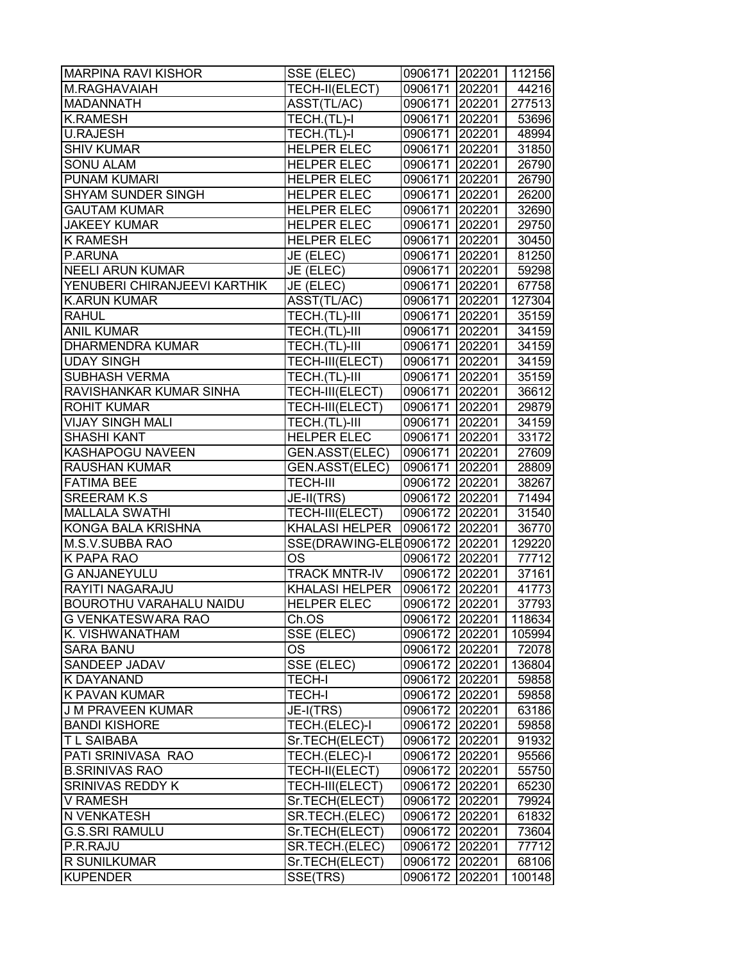| TECH-II(ELECT)<br>M.RAGHAVAIAH<br>0906171 202201<br>44216<br><b>MADANNATH</b><br>ASST(TL/AC)<br>0906171 202201<br><b>K.RAMESH</b><br>TECH.(TL)-I<br>0906171 202201<br><b>U.RAJESH</b><br>TECH.(TL)-I<br>0906171 202201<br><b>SHIV KUMAR</b><br>0906171 202201<br><b>HELPER ELEC</b><br><b>SONU ALAM</b><br><b>HELPER ELEC</b><br>0906171 202201<br>PUNAM KUMARI<br><b>HELPER ELEC</b><br>0906171 202201<br><b>SHYAM SUNDER SINGH</b><br><b>HELPER ELEC</b><br>0906171 202201<br><b>GAUTAM KUMAR</b><br><b>HELPER ELEC</b><br>0906171 202201<br><b>JAKEEY KUMAR</b><br><b>HELPER ELEC</b><br>0906171 202201<br><b>K RAMESH</b><br><b>HELPER ELEC</b><br>0906171 202201<br>P.ARUNA<br>JE (ELEC)<br>0906171 202201<br><b>NEELI ARUN KUMAR</b><br>JE (ELEC)<br>0906171 202201<br>YENUBERI CHIRANJEEVI KARTHIK<br>JE (ELEC)<br>0906171 202201<br><b>K.ARUN KUMAR</b><br>ASST(TL/AC)<br>0906171 202201<br><b>RAHUL</b><br>TECH.(TL)-III<br>0906171 202201<br><b>ANIL KUMAR</b><br>TECH.(TL)-III<br>0906171 202201<br><b>DHARMENDRA KUMAR</b><br>TECH.(TL)-III<br>0906171 202201<br><b>UDAY SINGH</b><br>TECH-III(ELECT)<br>0906171 202201<br><b>SUBHASH VERMA</b><br>TECH.(TL)-III<br>0906171 202201<br>TECH-III(ELECT)<br>RAVISHANKAR KUMAR SINHA<br>0906171 202201<br>TECH-III(ELECT)<br><b>ROHIT KUMAR</b><br>0906171 202201<br><b>VIJAY SINGH MALI</b><br>0906171 202201<br>TECH.(TL)-III<br><b>SHASHI KANT</b><br><b>HELPER ELEC</b><br>0906171 202201<br>KASHAPOGU NAVEEN<br>GEN.ASST(ELEC)<br>0906171 202201<br><b>RAUSHAN KUMAR</b><br>GEN.ASST(ELEC)<br>0906171 202201<br><b>FATIMA BEE</b><br><b>TECH-III</b><br>0906172 202201<br><b>SREERAM K.S</b><br>0906172 202201<br>JE-II(TRS)<br><b>MALLALA SWATHI</b><br>TECH-III(ELECT)<br>0906172 202201<br>KONGA BALA KRISHNA<br><b>KHALASI HELPER</b><br>0906172 202201<br>SSE(DRAWING-ELE0906172   202201<br>M.S.V.SUBBA RAO<br><b>OS</b><br>K PAPA RAO<br>0906172 202201<br><b>TRACK MNTR-IV</b><br><b>G ANJANEYULU</b><br>0906172 202201<br>RAYITI NAGARAJU<br><b>KHALASI HELPER</b><br>0906172 202201<br>0906172 202201<br><b>BOUROTHU VARAHALU NAIDU</b><br><b>HELPER ELEC</b><br><b>G VENKATESWARA RAO</b><br>Ch.OS<br>0906172 202201<br>K. VISHWANATHAM<br>SSE (ELEC)<br>0906172 202201<br>OS<br><b>SARA BANU</b><br>0906172 202201<br>SSE (ELEC)<br><b>SANDEEP JADAV</b><br>0906172 202201<br><b>K DAYANAND</b><br><b>TECH-I</b><br>0906172 202201<br><b>K PAVAN KUMAR</b><br><b>TECH-I</b><br>0906172 202201<br>J M PRAVEEN KUMAR<br>JE-I(TRS)<br>0906172 202201<br><b>BANDI KISHORE</b><br>TECH.(ELEC)-I<br>0906172 202201<br>Sr.TECH(ELECT)<br>0906172 202201<br><b>TL SAIBABA</b><br>PATI SRINIVASA RAO<br>TECH.(ELEC)-I<br>0906172 202201<br><b>B.SRINIVAS RAO</b><br>TECH-II(ELECT)<br>0906172 202201<br><b>SRINIVAS REDDY K</b><br>TECH-III(ELECT)<br>0906172 202201<br><b>V RAMESH</b><br>Sr.TECH(ELECT)<br>0906172 202201<br>N VENKATESH<br>SR.TECH.(ELEC)<br>0906172<br>202201<br><b>G.S.SRI RAMULU</b><br>Sr.TECH(ELECT)<br>0906172<br>202201<br>P.R.RAJU<br>SR.TECH.(ELEC)<br>0906172 202201<br><b>R SUNILKUMAR</b><br>0906172 202201<br>Sr.TECH(ELECT)<br><b>KUPENDER</b><br>SSE(TRS)<br>0906172 202201 | <b>MARPINA RAVI KISHOR</b> | SSE (ELEC) | 0906171 202201 | 112156 |
|-------------------------------------------------------------------------------------------------------------------------------------------------------------------------------------------------------------------------------------------------------------------------------------------------------------------------------------------------------------------------------------------------------------------------------------------------------------------------------------------------------------------------------------------------------------------------------------------------------------------------------------------------------------------------------------------------------------------------------------------------------------------------------------------------------------------------------------------------------------------------------------------------------------------------------------------------------------------------------------------------------------------------------------------------------------------------------------------------------------------------------------------------------------------------------------------------------------------------------------------------------------------------------------------------------------------------------------------------------------------------------------------------------------------------------------------------------------------------------------------------------------------------------------------------------------------------------------------------------------------------------------------------------------------------------------------------------------------------------------------------------------------------------------------------------------------------------------------------------------------------------------------------------------------------------------------------------------------------------------------------------------------------------------------------------------------------------------------------------------------------------------------------------------------------------------------------------------------------------------------------------------------------------------------------------------------------------------------------------------------------------------------------------------------------------------------------------------------------------------------------------------------------------------------------------------------------------------------------------------------------------------------------------------------------------------------------------------------------------------------------------------------------------------------------------------------------------------------------------------------------------------------------------------------------------------------------------------------------------------------------------------------------------------------------------------------------------------------------------------------------------------------------------------------------------|----------------------------|------------|----------------|--------|
|                                                                                                                                                                                                                                                                                                                                                                                                                                                                                                                                                                                                                                                                                                                                                                                                                                                                                                                                                                                                                                                                                                                                                                                                                                                                                                                                                                                                                                                                                                                                                                                                                                                                                                                                                                                                                                                                                                                                                                                                                                                                                                                                                                                                                                                                                                                                                                                                                                                                                                                                                                                                                                                                                                                                                                                                                                                                                                                                                                                                                                                                                                                                                                               |                            |            |                |        |
| 53696<br>48994<br>31850<br>26790<br>26790<br>26200<br>32690<br>29750<br>30450<br>81250<br>59298<br>67758<br>127304<br>35159<br>34159<br>34159<br>34159<br>35159<br>36612<br>29879<br>34159<br>33172<br>27609<br>28809<br>38267<br>71494<br>31540<br>36770<br>129220<br>77712<br>37161<br>41773<br>37793<br>118634<br>105994<br>72078<br>136804<br>59858<br>59858<br>63186<br>59858<br>91932<br>95566                                                                                                                                                                                                                                                                                                                                                                                                                                                                                                                                                                                                                                                                                                                                                                                                                                                                                                                                                                                                                                                                                                                                                                                                                                                                                                                                                                                                                                                                                                                                                                                                                                                                                                                                                                                                                                                                                                                                                                                                                                                                                                                                                                                                                                                                                                                                                                                                                                                                                                                                                                                                                                                                                                                                                                          |                            |            |                | 277513 |
|                                                                                                                                                                                                                                                                                                                                                                                                                                                                                                                                                                                                                                                                                                                                                                                                                                                                                                                                                                                                                                                                                                                                                                                                                                                                                                                                                                                                                                                                                                                                                                                                                                                                                                                                                                                                                                                                                                                                                                                                                                                                                                                                                                                                                                                                                                                                                                                                                                                                                                                                                                                                                                                                                                                                                                                                                                                                                                                                                                                                                                                                                                                                                                               |                            |            |                |        |
|                                                                                                                                                                                                                                                                                                                                                                                                                                                                                                                                                                                                                                                                                                                                                                                                                                                                                                                                                                                                                                                                                                                                                                                                                                                                                                                                                                                                                                                                                                                                                                                                                                                                                                                                                                                                                                                                                                                                                                                                                                                                                                                                                                                                                                                                                                                                                                                                                                                                                                                                                                                                                                                                                                                                                                                                                                                                                                                                                                                                                                                                                                                                                                               |                            |            |                |        |
|                                                                                                                                                                                                                                                                                                                                                                                                                                                                                                                                                                                                                                                                                                                                                                                                                                                                                                                                                                                                                                                                                                                                                                                                                                                                                                                                                                                                                                                                                                                                                                                                                                                                                                                                                                                                                                                                                                                                                                                                                                                                                                                                                                                                                                                                                                                                                                                                                                                                                                                                                                                                                                                                                                                                                                                                                                                                                                                                                                                                                                                                                                                                                                               |                            |            |                |        |
|                                                                                                                                                                                                                                                                                                                                                                                                                                                                                                                                                                                                                                                                                                                                                                                                                                                                                                                                                                                                                                                                                                                                                                                                                                                                                                                                                                                                                                                                                                                                                                                                                                                                                                                                                                                                                                                                                                                                                                                                                                                                                                                                                                                                                                                                                                                                                                                                                                                                                                                                                                                                                                                                                                                                                                                                                                                                                                                                                                                                                                                                                                                                                                               |                            |            |                |        |
|                                                                                                                                                                                                                                                                                                                                                                                                                                                                                                                                                                                                                                                                                                                                                                                                                                                                                                                                                                                                                                                                                                                                                                                                                                                                                                                                                                                                                                                                                                                                                                                                                                                                                                                                                                                                                                                                                                                                                                                                                                                                                                                                                                                                                                                                                                                                                                                                                                                                                                                                                                                                                                                                                                                                                                                                                                                                                                                                                                                                                                                                                                                                                                               |                            |            |                |        |
|                                                                                                                                                                                                                                                                                                                                                                                                                                                                                                                                                                                                                                                                                                                                                                                                                                                                                                                                                                                                                                                                                                                                                                                                                                                                                                                                                                                                                                                                                                                                                                                                                                                                                                                                                                                                                                                                                                                                                                                                                                                                                                                                                                                                                                                                                                                                                                                                                                                                                                                                                                                                                                                                                                                                                                                                                                                                                                                                                                                                                                                                                                                                                                               |                            |            |                |        |
|                                                                                                                                                                                                                                                                                                                                                                                                                                                                                                                                                                                                                                                                                                                                                                                                                                                                                                                                                                                                                                                                                                                                                                                                                                                                                                                                                                                                                                                                                                                                                                                                                                                                                                                                                                                                                                                                                                                                                                                                                                                                                                                                                                                                                                                                                                                                                                                                                                                                                                                                                                                                                                                                                                                                                                                                                                                                                                                                                                                                                                                                                                                                                                               |                            |            |                |        |
|                                                                                                                                                                                                                                                                                                                                                                                                                                                                                                                                                                                                                                                                                                                                                                                                                                                                                                                                                                                                                                                                                                                                                                                                                                                                                                                                                                                                                                                                                                                                                                                                                                                                                                                                                                                                                                                                                                                                                                                                                                                                                                                                                                                                                                                                                                                                                                                                                                                                                                                                                                                                                                                                                                                                                                                                                                                                                                                                                                                                                                                                                                                                                                               |                            |            |                |        |
|                                                                                                                                                                                                                                                                                                                                                                                                                                                                                                                                                                                                                                                                                                                                                                                                                                                                                                                                                                                                                                                                                                                                                                                                                                                                                                                                                                                                                                                                                                                                                                                                                                                                                                                                                                                                                                                                                                                                                                                                                                                                                                                                                                                                                                                                                                                                                                                                                                                                                                                                                                                                                                                                                                                                                                                                                                                                                                                                                                                                                                                                                                                                                                               |                            |            |                |        |
|                                                                                                                                                                                                                                                                                                                                                                                                                                                                                                                                                                                                                                                                                                                                                                                                                                                                                                                                                                                                                                                                                                                                                                                                                                                                                                                                                                                                                                                                                                                                                                                                                                                                                                                                                                                                                                                                                                                                                                                                                                                                                                                                                                                                                                                                                                                                                                                                                                                                                                                                                                                                                                                                                                                                                                                                                                                                                                                                                                                                                                                                                                                                                                               |                            |            |                |        |
|                                                                                                                                                                                                                                                                                                                                                                                                                                                                                                                                                                                                                                                                                                                                                                                                                                                                                                                                                                                                                                                                                                                                                                                                                                                                                                                                                                                                                                                                                                                                                                                                                                                                                                                                                                                                                                                                                                                                                                                                                                                                                                                                                                                                                                                                                                                                                                                                                                                                                                                                                                                                                                                                                                                                                                                                                                                                                                                                                                                                                                                                                                                                                                               |                            |            |                |        |
|                                                                                                                                                                                                                                                                                                                                                                                                                                                                                                                                                                                                                                                                                                                                                                                                                                                                                                                                                                                                                                                                                                                                                                                                                                                                                                                                                                                                                                                                                                                                                                                                                                                                                                                                                                                                                                                                                                                                                                                                                                                                                                                                                                                                                                                                                                                                                                                                                                                                                                                                                                                                                                                                                                                                                                                                                                                                                                                                                                                                                                                                                                                                                                               |                            |            |                |        |
|                                                                                                                                                                                                                                                                                                                                                                                                                                                                                                                                                                                                                                                                                                                                                                                                                                                                                                                                                                                                                                                                                                                                                                                                                                                                                                                                                                                                                                                                                                                                                                                                                                                                                                                                                                                                                                                                                                                                                                                                                                                                                                                                                                                                                                                                                                                                                                                                                                                                                                                                                                                                                                                                                                                                                                                                                                                                                                                                                                                                                                                                                                                                                                               |                            |            |                |        |
|                                                                                                                                                                                                                                                                                                                                                                                                                                                                                                                                                                                                                                                                                                                                                                                                                                                                                                                                                                                                                                                                                                                                                                                                                                                                                                                                                                                                                                                                                                                                                                                                                                                                                                                                                                                                                                                                                                                                                                                                                                                                                                                                                                                                                                                                                                                                                                                                                                                                                                                                                                                                                                                                                                                                                                                                                                                                                                                                                                                                                                                                                                                                                                               |                            |            |                |        |
|                                                                                                                                                                                                                                                                                                                                                                                                                                                                                                                                                                                                                                                                                                                                                                                                                                                                                                                                                                                                                                                                                                                                                                                                                                                                                                                                                                                                                                                                                                                                                                                                                                                                                                                                                                                                                                                                                                                                                                                                                                                                                                                                                                                                                                                                                                                                                                                                                                                                                                                                                                                                                                                                                                                                                                                                                                                                                                                                                                                                                                                                                                                                                                               |                            |            |                |        |
|                                                                                                                                                                                                                                                                                                                                                                                                                                                                                                                                                                                                                                                                                                                                                                                                                                                                                                                                                                                                                                                                                                                                                                                                                                                                                                                                                                                                                                                                                                                                                                                                                                                                                                                                                                                                                                                                                                                                                                                                                                                                                                                                                                                                                                                                                                                                                                                                                                                                                                                                                                                                                                                                                                                                                                                                                                                                                                                                                                                                                                                                                                                                                                               |                            |            |                |        |
|                                                                                                                                                                                                                                                                                                                                                                                                                                                                                                                                                                                                                                                                                                                                                                                                                                                                                                                                                                                                                                                                                                                                                                                                                                                                                                                                                                                                                                                                                                                                                                                                                                                                                                                                                                                                                                                                                                                                                                                                                                                                                                                                                                                                                                                                                                                                                                                                                                                                                                                                                                                                                                                                                                                                                                                                                                                                                                                                                                                                                                                                                                                                                                               |                            |            |                |        |
|                                                                                                                                                                                                                                                                                                                                                                                                                                                                                                                                                                                                                                                                                                                                                                                                                                                                                                                                                                                                                                                                                                                                                                                                                                                                                                                                                                                                                                                                                                                                                                                                                                                                                                                                                                                                                                                                                                                                                                                                                                                                                                                                                                                                                                                                                                                                                                                                                                                                                                                                                                                                                                                                                                                                                                                                                                                                                                                                                                                                                                                                                                                                                                               |                            |            |                |        |
|                                                                                                                                                                                                                                                                                                                                                                                                                                                                                                                                                                                                                                                                                                                                                                                                                                                                                                                                                                                                                                                                                                                                                                                                                                                                                                                                                                                                                                                                                                                                                                                                                                                                                                                                                                                                                                                                                                                                                                                                                                                                                                                                                                                                                                                                                                                                                                                                                                                                                                                                                                                                                                                                                                                                                                                                                                                                                                                                                                                                                                                                                                                                                                               |                            |            |                |        |
|                                                                                                                                                                                                                                                                                                                                                                                                                                                                                                                                                                                                                                                                                                                                                                                                                                                                                                                                                                                                                                                                                                                                                                                                                                                                                                                                                                                                                                                                                                                                                                                                                                                                                                                                                                                                                                                                                                                                                                                                                                                                                                                                                                                                                                                                                                                                                                                                                                                                                                                                                                                                                                                                                                                                                                                                                                                                                                                                                                                                                                                                                                                                                                               |                            |            |                |        |
|                                                                                                                                                                                                                                                                                                                                                                                                                                                                                                                                                                                                                                                                                                                                                                                                                                                                                                                                                                                                                                                                                                                                                                                                                                                                                                                                                                                                                                                                                                                                                                                                                                                                                                                                                                                                                                                                                                                                                                                                                                                                                                                                                                                                                                                                                                                                                                                                                                                                                                                                                                                                                                                                                                                                                                                                                                                                                                                                                                                                                                                                                                                                                                               |                            |            |                |        |
|                                                                                                                                                                                                                                                                                                                                                                                                                                                                                                                                                                                                                                                                                                                                                                                                                                                                                                                                                                                                                                                                                                                                                                                                                                                                                                                                                                                                                                                                                                                                                                                                                                                                                                                                                                                                                                                                                                                                                                                                                                                                                                                                                                                                                                                                                                                                                                                                                                                                                                                                                                                                                                                                                                                                                                                                                                                                                                                                                                                                                                                                                                                                                                               |                            |            |                |        |
|                                                                                                                                                                                                                                                                                                                                                                                                                                                                                                                                                                                                                                                                                                                                                                                                                                                                                                                                                                                                                                                                                                                                                                                                                                                                                                                                                                                                                                                                                                                                                                                                                                                                                                                                                                                                                                                                                                                                                                                                                                                                                                                                                                                                                                                                                                                                                                                                                                                                                                                                                                                                                                                                                                                                                                                                                                                                                                                                                                                                                                                                                                                                                                               |                            |            |                |        |
|                                                                                                                                                                                                                                                                                                                                                                                                                                                                                                                                                                                                                                                                                                                                                                                                                                                                                                                                                                                                                                                                                                                                                                                                                                                                                                                                                                                                                                                                                                                                                                                                                                                                                                                                                                                                                                                                                                                                                                                                                                                                                                                                                                                                                                                                                                                                                                                                                                                                                                                                                                                                                                                                                                                                                                                                                                                                                                                                                                                                                                                                                                                                                                               |                            |            |                |        |
|                                                                                                                                                                                                                                                                                                                                                                                                                                                                                                                                                                                                                                                                                                                                                                                                                                                                                                                                                                                                                                                                                                                                                                                                                                                                                                                                                                                                                                                                                                                                                                                                                                                                                                                                                                                                                                                                                                                                                                                                                                                                                                                                                                                                                                                                                                                                                                                                                                                                                                                                                                                                                                                                                                                                                                                                                                                                                                                                                                                                                                                                                                                                                                               |                            |            |                |        |
|                                                                                                                                                                                                                                                                                                                                                                                                                                                                                                                                                                                                                                                                                                                                                                                                                                                                                                                                                                                                                                                                                                                                                                                                                                                                                                                                                                                                                                                                                                                                                                                                                                                                                                                                                                                                                                                                                                                                                                                                                                                                                                                                                                                                                                                                                                                                                                                                                                                                                                                                                                                                                                                                                                                                                                                                                                                                                                                                                                                                                                                                                                                                                                               |                            |            |                |        |
|                                                                                                                                                                                                                                                                                                                                                                                                                                                                                                                                                                                                                                                                                                                                                                                                                                                                                                                                                                                                                                                                                                                                                                                                                                                                                                                                                                                                                                                                                                                                                                                                                                                                                                                                                                                                                                                                                                                                                                                                                                                                                                                                                                                                                                                                                                                                                                                                                                                                                                                                                                                                                                                                                                                                                                                                                                                                                                                                                                                                                                                                                                                                                                               |                            |            |                |        |
|                                                                                                                                                                                                                                                                                                                                                                                                                                                                                                                                                                                                                                                                                                                                                                                                                                                                                                                                                                                                                                                                                                                                                                                                                                                                                                                                                                                                                                                                                                                                                                                                                                                                                                                                                                                                                                                                                                                                                                                                                                                                                                                                                                                                                                                                                                                                                                                                                                                                                                                                                                                                                                                                                                                                                                                                                                                                                                                                                                                                                                                                                                                                                                               |                            |            |                |        |
|                                                                                                                                                                                                                                                                                                                                                                                                                                                                                                                                                                                                                                                                                                                                                                                                                                                                                                                                                                                                                                                                                                                                                                                                                                                                                                                                                                                                                                                                                                                                                                                                                                                                                                                                                                                                                                                                                                                                                                                                                                                                                                                                                                                                                                                                                                                                                                                                                                                                                                                                                                                                                                                                                                                                                                                                                                                                                                                                                                                                                                                                                                                                                                               |                            |            |                |        |
|                                                                                                                                                                                                                                                                                                                                                                                                                                                                                                                                                                                                                                                                                                                                                                                                                                                                                                                                                                                                                                                                                                                                                                                                                                                                                                                                                                                                                                                                                                                                                                                                                                                                                                                                                                                                                                                                                                                                                                                                                                                                                                                                                                                                                                                                                                                                                                                                                                                                                                                                                                                                                                                                                                                                                                                                                                                                                                                                                                                                                                                                                                                                                                               |                            |            |                |        |
|                                                                                                                                                                                                                                                                                                                                                                                                                                                                                                                                                                                                                                                                                                                                                                                                                                                                                                                                                                                                                                                                                                                                                                                                                                                                                                                                                                                                                                                                                                                                                                                                                                                                                                                                                                                                                                                                                                                                                                                                                                                                                                                                                                                                                                                                                                                                                                                                                                                                                                                                                                                                                                                                                                                                                                                                                                                                                                                                                                                                                                                                                                                                                                               |                            |            |                |        |
|                                                                                                                                                                                                                                                                                                                                                                                                                                                                                                                                                                                                                                                                                                                                                                                                                                                                                                                                                                                                                                                                                                                                                                                                                                                                                                                                                                                                                                                                                                                                                                                                                                                                                                                                                                                                                                                                                                                                                                                                                                                                                                                                                                                                                                                                                                                                                                                                                                                                                                                                                                                                                                                                                                                                                                                                                                                                                                                                                                                                                                                                                                                                                                               |                            |            |                |        |
|                                                                                                                                                                                                                                                                                                                                                                                                                                                                                                                                                                                                                                                                                                                                                                                                                                                                                                                                                                                                                                                                                                                                                                                                                                                                                                                                                                                                                                                                                                                                                                                                                                                                                                                                                                                                                                                                                                                                                                                                                                                                                                                                                                                                                                                                                                                                                                                                                                                                                                                                                                                                                                                                                                                                                                                                                                                                                                                                                                                                                                                                                                                                                                               |                            |            |                |        |
|                                                                                                                                                                                                                                                                                                                                                                                                                                                                                                                                                                                                                                                                                                                                                                                                                                                                                                                                                                                                                                                                                                                                                                                                                                                                                                                                                                                                                                                                                                                                                                                                                                                                                                                                                                                                                                                                                                                                                                                                                                                                                                                                                                                                                                                                                                                                                                                                                                                                                                                                                                                                                                                                                                                                                                                                                                                                                                                                                                                                                                                                                                                                                                               |                            |            |                |        |
|                                                                                                                                                                                                                                                                                                                                                                                                                                                                                                                                                                                                                                                                                                                                                                                                                                                                                                                                                                                                                                                                                                                                                                                                                                                                                                                                                                                                                                                                                                                                                                                                                                                                                                                                                                                                                                                                                                                                                                                                                                                                                                                                                                                                                                                                                                                                                                                                                                                                                                                                                                                                                                                                                                                                                                                                                                                                                                                                                                                                                                                                                                                                                                               |                            |            |                |        |
|                                                                                                                                                                                                                                                                                                                                                                                                                                                                                                                                                                                                                                                                                                                                                                                                                                                                                                                                                                                                                                                                                                                                                                                                                                                                                                                                                                                                                                                                                                                                                                                                                                                                                                                                                                                                                                                                                                                                                                                                                                                                                                                                                                                                                                                                                                                                                                                                                                                                                                                                                                                                                                                                                                                                                                                                                                                                                                                                                                                                                                                                                                                                                                               |                            |            |                |        |
|                                                                                                                                                                                                                                                                                                                                                                                                                                                                                                                                                                                                                                                                                                                                                                                                                                                                                                                                                                                                                                                                                                                                                                                                                                                                                                                                                                                                                                                                                                                                                                                                                                                                                                                                                                                                                                                                                                                                                                                                                                                                                                                                                                                                                                                                                                                                                                                                                                                                                                                                                                                                                                                                                                                                                                                                                                                                                                                                                                                                                                                                                                                                                                               |                            |            |                |        |
|                                                                                                                                                                                                                                                                                                                                                                                                                                                                                                                                                                                                                                                                                                                                                                                                                                                                                                                                                                                                                                                                                                                                                                                                                                                                                                                                                                                                                                                                                                                                                                                                                                                                                                                                                                                                                                                                                                                                                                                                                                                                                                                                                                                                                                                                                                                                                                                                                                                                                                                                                                                                                                                                                                                                                                                                                                                                                                                                                                                                                                                                                                                                                                               |                            |            |                |        |
|                                                                                                                                                                                                                                                                                                                                                                                                                                                                                                                                                                                                                                                                                                                                                                                                                                                                                                                                                                                                                                                                                                                                                                                                                                                                                                                                                                                                                                                                                                                                                                                                                                                                                                                                                                                                                                                                                                                                                                                                                                                                                                                                                                                                                                                                                                                                                                                                                                                                                                                                                                                                                                                                                                                                                                                                                                                                                                                                                                                                                                                                                                                                                                               |                            |            |                |        |
|                                                                                                                                                                                                                                                                                                                                                                                                                                                                                                                                                                                                                                                                                                                                                                                                                                                                                                                                                                                                                                                                                                                                                                                                                                                                                                                                                                                                                                                                                                                                                                                                                                                                                                                                                                                                                                                                                                                                                                                                                                                                                                                                                                                                                                                                                                                                                                                                                                                                                                                                                                                                                                                                                                                                                                                                                                                                                                                                                                                                                                                                                                                                                                               |                            |            |                |        |
|                                                                                                                                                                                                                                                                                                                                                                                                                                                                                                                                                                                                                                                                                                                                                                                                                                                                                                                                                                                                                                                                                                                                                                                                                                                                                                                                                                                                                                                                                                                                                                                                                                                                                                                                                                                                                                                                                                                                                                                                                                                                                                                                                                                                                                                                                                                                                                                                                                                                                                                                                                                                                                                                                                                                                                                                                                                                                                                                                                                                                                                                                                                                                                               |                            |            |                |        |
|                                                                                                                                                                                                                                                                                                                                                                                                                                                                                                                                                                                                                                                                                                                                                                                                                                                                                                                                                                                                                                                                                                                                                                                                                                                                                                                                                                                                                                                                                                                                                                                                                                                                                                                                                                                                                                                                                                                                                                                                                                                                                                                                                                                                                                                                                                                                                                                                                                                                                                                                                                                                                                                                                                                                                                                                                                                                                                                                                                                                                                                                                                                                                                               |                            |            |                |        |
| 55750<br>65230<br>79924<br>61832<br>73604<br>77712<br>68106<br>100148                                                                                                                                                                                                                                                                                                                                                                                                                                                                                                                                                                                                                                                                                                                                                                                                                                                                                                                                                                                                                                                                                                                                                                                                                                                                                                                                                                                                                                                                                                                                                                                                                                                                                                                                                                                                                                                                                                                                                                                                                                                                                                                                                                                                                                                                                                                                                                                                                                                                                                                                                                                                                                                                                                                                                                                                                                                                                                                                                                                                                                                                                                         |                            |            |                |        |
|                                                                                                                                                                                                                                                                                                                                                                                                                                                                                                                                                                                                                                                                                                                                                                                                                                                                                                                                                                                                                                                                                                                                                                                                                                                                                                                                                                                                                                                                                                                                                                                                                                                                                                                                                                                                                                                                                                                                                                                                                                                                                                                                                                                                                                                                                                                                                                                                                                                                                                                                                                                                                                                                                                                                                                                                                                                                                                                                                                                                                                                                                                                                                                               |                            |            |                |        |
|                                                                                                                                                                                                                                                                                                                                                                                                                                                                                                                                                                                                                                                                                                                                                                                                                                                                                                                                                                                                                                                                                                                                                                                                                                                                                                                                                                                                                                                                                                                                                                                                                                                                                                                                                                                                                                                                                                                                                                                                                                                                                                                                                                                                                                                                                                                                                                                                                                                                                                                                                                                                                                                                                                                                                                                                                                                                                                                                                                                                                                                                                                                                                                               |                            |            |                |        |
|                                                                                                                                                                                                                                                                                                                                                                                                                                                                                                                                                                                                                                                                                                                                                                                                                                                                                                                                                                                                                                                                                                                                                                                                                                                                                                                                                                                                                                                                                                                                                                                                                                                                                                                                                                                                                                                                                                                                                                                                                                                                                                                                                                                                                                                                                                                                                                                                                                                                                                                                                                                                                                                                                                                                                                                                                                                                                                                                                                                                                                                                                                                                                                               |                            |            |                |        |
|                                                                                                                                                                                                                                                                                                                                                                                                                                                                                                                                                                                                                                                                                                                                                                                                                                                                                                                                                                                                                                                                                                                                                                                                                                                                                                                                                                                                                                                                                                                                                                                                                                                                                                                                                                                                                                                                                                                                                                                                                                                                                                                                                                                                                                                                                                                                                                                                                                                                                                                                                                                                                                                                                                                                                                                                                                                                                                                                                                                                                                                                                                                                                                               |                            |            |                |        |
|                                                                                                                                                                                                                                                                                                                                                                                                                                                                                                                                                                                                                                                                                                                                                                                                                                                                                                                                                                                                                                                                                                                                                                                                                                                                                                                                                                                                                                                                                                                                                                                                                                                                                                                                                                                                                                                                                                                                                                                                                                                                                                                                                                                                                                                                                                                                                                                                                                                                                                                                                                                                                                                                                                                                                                                                                                                                                                                                                                                                                                                                                                                                                                               |                            |            |                |        |
|                                                                                                                                                                                                                                                                                                                                                                                                                                                                                                                                                                                                                                                                                                                                                                                                                                                                                                                                                                                                                                                                                                                                                                                                                                                                                                                                                                                                                                                                                                                                                                                                                                                                                                                                                                                                                                                                                                                                                                                                                                                                                                                                                                                                                                                                                                                                                                                                                                                                                                                                                                                                                                                                                                                                                                                                                                                                                                                                                                                                                                                                                                                                                                               |                            |            |                |        |
|                                                                                                                                                                                                                                                                                                                                                                                                                                                                                                                                                                                                                                                                                                                                                                                                                                                                                                                                                                                                                                                                                                                                                                                                                                                                                                                                                                                                                                                                                                                                                                                                                                                                                                                                                                                                                                                                                                                                                                                                                                                                                                                                                                                                                                                                                                                                                                                                                                                                                                                                                                                                                                                                                                                                                                                                                                                                                                                                                                                                                                                                                                                                                                               |                            |            |                |        |
|                                                                                                                                                                                                                                                                                                                                                                                                                                                                                                                                                                                                                                                                                                                                                                                                                                                                                                                                                                                                                                                                                                                                                                                                                                                                                                                                                                                                                                                                                                                                                                                                                                                                                                                                                                                                                                                                                                                                                                                                                                                                                                                                                                                                                                                                                                                                                                                                                                                                                                                                                                                                                                                                                                                                                                                                                                                                                                                                                                                                                                                                                                                                                                               |                            |            |                |        |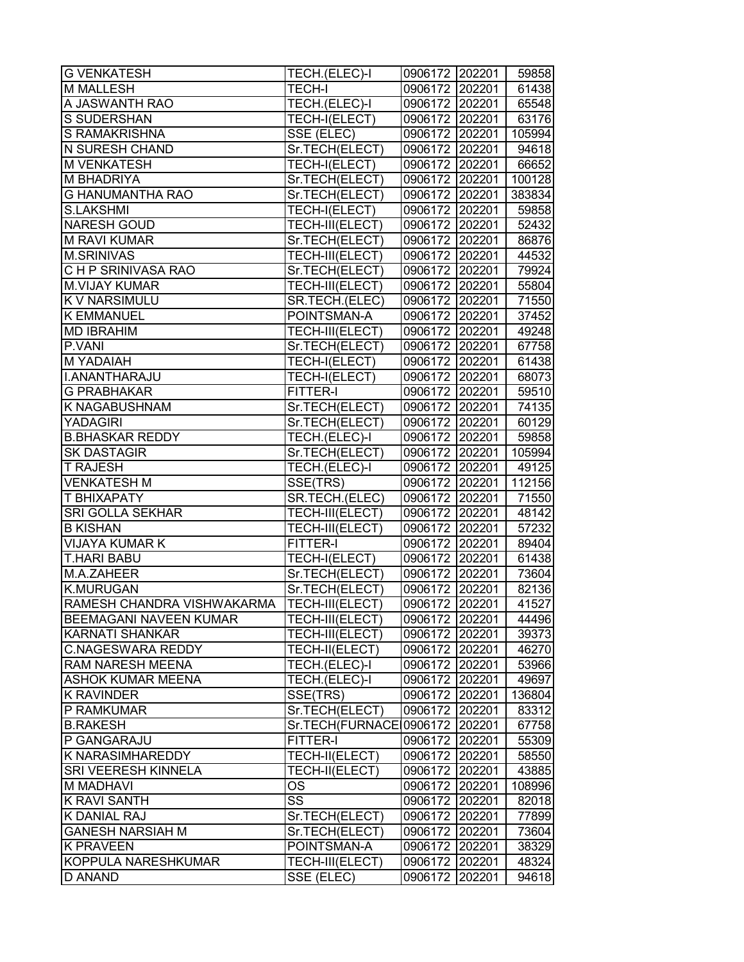| <b>G VENKATESH</b>            | TECH.(ELEC)-I          | 0906172 202201          |        | 59858  |
|-------------------------------|------------------------|-------------------------|--------|--------|
| <b>M MALLESH</b>              | <b>TECH-I</b>          | 0906172 202201          |        | 61438  |
| A JASWANTH RAO                | TECH.(ELEC)-I          | 0906172 202201          |        | 65548  |
| S SUDERSHAN                   | TECH-I(ELECT)          | 0906172 202201          |        | 63176  |
| <b>S RAMAKRISHNA</b>          | SSE (ELEC)             | 0906172 202201   105994 |        |        |
| <b>N SURESH CHAND</b>         | Sr.TECH(ELECT)         | 0906172 202201          |        | 94618  |
| <b>M VENKATESH</b>            | TECH-I(ELECT)          | 0906172 202201          |        | 66652  |
| <b>M BHADRIYA</b>             | Sr.TECH(ELECT)         | 0906172 202201          |        | 100128 |
| <b>G HANUMANTHA RAO</b>       | Sr.TECH(ELECT)         | 0906172 202201          |        | 383834 |
| <b>S.LAKSHMI</b>              | TECH-I(ELECT)          | 0906172 202201          |        | 59858  |
| <b>NARESH GOUD</b>            | TECH-III(ELECT)        | 0906172 202201          |        | 52432  |
| <b>M RAVI KUMAR</b>           | Sr.TECH(ELECT)         | 0906172 202201          |        | 86876  |
| <b>M.SRINIVAS</b>             | TECH-III(ELECT)        | 0906172 202201          |        | 44532  |
| CHP SRINIVASA RAO             | Sr.TECH(ELECT)         | 0906172 202201          |        | 79924  |
| <b>M.VIJAY KUMAR</b>          | TECH-III(ELECT)        | 0906172 202201          |        | 55804  |
| <b>K V NARSIMULU</b>          | SR.TECH.(ELEC)         | 0906172 202201          |        | 71550  |
| <b>K EMMANUEL</b>             | POINTSMAN-A            | 0906172 202201          |        | 37452  |
| <b>MD IBRAHIM</b>             | <b>TECH-III(ELECT)</b> | 0906172 202201          |        | 49248  |
| P.VANI                        | Sr.TECH(ELECT)         | 0906172 202201          |        | 67758  |
| <b>M YADAIAH</b>              | TECH-I(ELECT)          | 0906172 202201          |        | 61438  |
| I.ANANTHARAJU                 | TECH-I(ELECT)          | 0906172 202201          |        | 68073  |
| <b>G PRABHAKAR</b>            | FITTER-I               | 0906172 202201          |        | 59510  |
| <b>K NAGABUSHNAM</b>          | Sr.TECH(ELECT)         | 0906172 202201          |        | 74135  |
| <b>YADAGIRI</b>               | Sr.TECH(ELECT)         | 0906172 202201          |        | 60129  |
| <b>B.BHASKAR REDDY</b>        | TECH.(ELEC)-I          | 0906172 202201          |        | 59858  |
| <b>SK DASTAGIR</b>            | Sr.TECH(ELECT)         | 0906172 202201          |        | 105994 |
| <b>T RAJESH</b>               | TECH.(ELEC)-I          | 0906172 202201          |        | 49125  |
| <b>VENKATESH M</b>            | SSE(TRS)               | 0906172 202201          |        | 112156 |
| <b>T BHIXAPATY</b>            | SR.TECH.(ELEC)         | 0906172 202201          |        | 71550  |
| <b>SRI GOLLA SEKHAR</b>       | TECH-III(ELECT)        | 0906172 202201          |        | 48142  |
| <b>B KISHAN</b>               | TECH-III(ELECT)        | 0906172 202201          |        | 57232  |
| <b>VIJAYA KUMAR K</b>         | FITTER-I               | 0906172 202201          |        | 89404  |
| <b>T.HARI BABU</b>            | TECH-I(ELECT)          | 0906172 202201          |        | 61438  |
| M.A.ZAHEER                    | Sr.TECH(ELECT)         | 0906172 202201          |        | 73604  |
| <b>K.MURUGAN</b>              | Sr.TECH(ELECT)         | 0906172 202201          |        | 82136  |
| RAMESH CHANDRA VISHWAKARMA    | <b>TECH-III(ELECT)</b> | 0906172                 | 202201 | 41527  |
| <b>BEEMAGANI NAVEEN KUMAR</b> | TECH-III(ELECT)        | 0906172 202201          |        | 44496  |
| <b>KARNATI SHANKAR</b>        | TECH-III(ELECT)        | 0906172                 | 202201 | 39373  |
| <b>C.NAGESWARA REDDY</b>      | TECH-II(ELECT)         | 0906172                 | 202201 | 46270  |
| <b>RAM NARESH MEENA</b>       | TECH.(ELEC)-I          | 0906172                 | 202201 | 53966  |
| <b>ASHOK KUMAR MEENA</b>      | TECH.(ELEC)-I          | 0906172                 | 202201 | 49697  |
| <b>K RAVINDER</b>             | SSE(TRS)               | 0906172 202201          |        | 136804 |
| P RAMKUMAR                    | Sr.TECH(ELECT)         | 0906172 202201          |        | 83312  |
| <b>B.RAKESH</b>               | Sr.TECH(FURNACE        | 0906172 202201          |        | 67758  |
| P GANGARAJU                   | FITTER-I               | 0906172 202201          |        | 55309  |
| K NARASIMHAREDDY              | TECH-II(ELECT)         | 0906172                 | 202201 | 58550  |
| SRI VEERESH KINNELA           | TECH-II(ELECT)         | 0906172                 | 202201 | 43885  |
| <b>M MADHAVI</b>              | <b>OS</b>              | 0906172                 | 202201 | 108996 |
| <b>K RAVI SANTH</b>           | $\overline{\text{SS}}$ | 0906172                 | 202201 | 82018  |
| K DANIAL RAJ                  | Sr.TECH(ELECT)         | 0906172                 | 202201 | 77899  |
| <b>GANESH NARSIAH M</b>       | Sr.TECH(ELECT)         | 0906172                 | 202201 | 73604  |
| <b>K PRAVEEN</b>              | POINTSMAN-A            | 0906172                 | 202201 | 38329  |
| KOPPULA NARESHKUMAR           | TECH-III(ELECT)        | 0906172                 | 202201 | 48324  |
| D ANAND                       | SSE (ELEC)             | 0906172                 | 202201 | 94618  |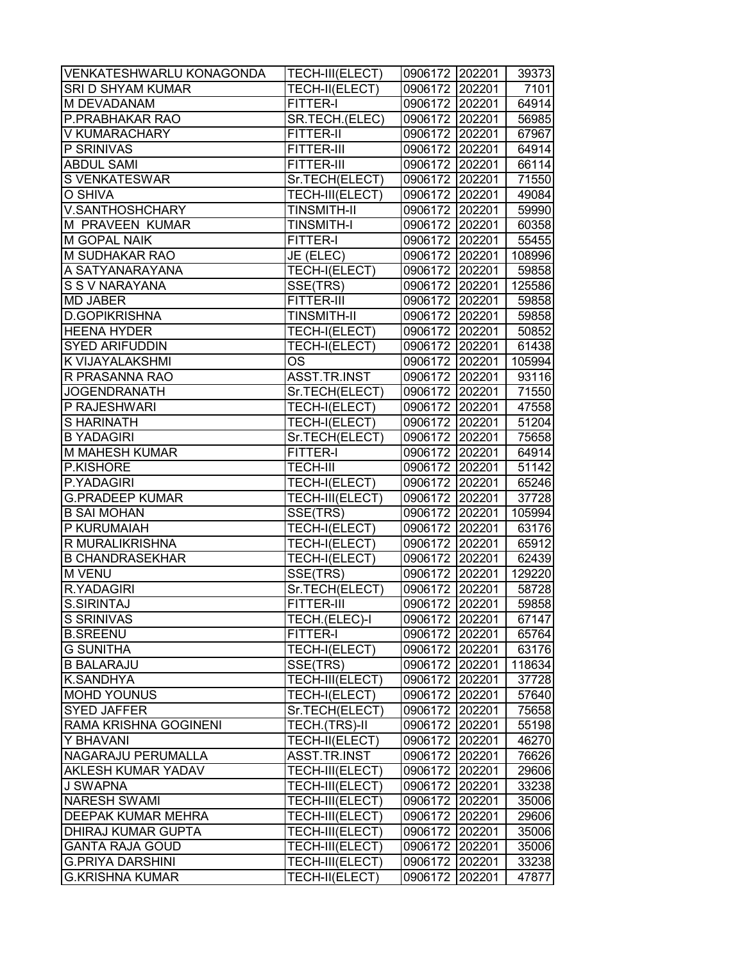| VENKATESHWARLU KONAGONDA  | TECH-III(ELECT)      | 0906172 202201 |        | 39373  |
|---------------------------|----------------------|----------------|--------|--------|
| SRI D SHYAM KUMAR         | TECH-II(ELECT)       | 0906172 202201 |        | 7101   |
| M DEVADANAM               | FITTER-I             | 0906172 202201 |        | 64914  |
| P.PRABHAKAR RAO           | SR.TECH.(ELEC)       | 0906172 202201 |        | 56985  |
| <b>V KUMARACHARY</b>      | <b>FITTER-II</b>     | 0906172 202201 |        | 67967  |
| P SRINIVAS                | FITTER-III           | 0906172 202201 |        | 64914  |
| <b>ABDUL SAMI</b>         | FITTER-III           | 0906172 202201 |        | 66114  |
| S VENKATESWAR             | Sr.TECH(ELECT)       | 0906172 202201 |        | 71550  |
| O SHIVA                   | TECH-III(ELECT)      | 0906172 202201 |        | 49084  |
| V.SANTHOSHCHARY           | <b>TINSMITH-II</b>   | 0906172 202201 |        | 59990  |
| M PRAVEEN KUMAR           | <b>TINSMITH-I</b>    | 0906172 202201 |        | 60358  |
| <b>M GOPAL NAIK</b>       | <b>FITTER-I</b>      | 0906172 202201 |        | 55455  |
| M SUDHAKAR RAO            | JE (ELEC)            | 0906172 202201 |        | 108996 |
| A SATYANARAYANA           | TECH-I(ELECT)        | 0906172 202201 |        | 59858  |
| S S V NARAYANA            | SSE(TRS)             | 0906172 202201 |        | 125586 |
| <b>MD JABER</b>           | <b>FITTER-III</b>    | 0906172 202201 |        | 59858  |
| <b>D.GOPIKRISHNA</b>      | <b>TINSMITH-II</b>   | 0906172 202201 |        | 59858  |
| <b>HEENA HYDER</b>        | <b>TECH-I(ELECT)</b> | 0906172 202201 |        | 50852  |
| <b>SYED ARIFUDDIN</b>     | TECH-I(ELECT)        | 0906172 202201 |        | 61438  |
| K VIJAYALAKSHMI           | <b>OS</b>            | 0906172 202201 |        | 105994 |
| R PRASANNA RAO            | ASST.TR.INST         | 0906172 202201 |        | 93116  |
| <b>JOGENDRANATH</b>       | Sr.TECH(ELECT)       | 0906172 202201 |        | 71550  |
| P RAJESHWARI              | TECH-I(ELECT)        | 0906172 202201 |        | 47558  |
| <b>SHARINATH</b>          | TECH-I(ELECT)        | 0906172 202201 |        | 51204  |
| <b>B YADAGIRI</b>         | Sr.TECH(ELECT)       | 0906172        | 202201 | 75658  |
| <b>M MAHESH KUMAR</b>     | <b>FITTER-I</b>      | 0906172 202201 |        | 64914  |
| P.KISHORE                 | <b>TECH-III</b>      | 0906172 202201 |        | 51142  |
| P.YADAGIRI                | TECH-I(ELECT)        | 0906172        | 202201 | 65246  |
| <b>G.PRADEEP KUMAR</b>    | TECH-III(ELECT)      | 0906172 202201 |        | 37728  |
| <b>B SAI MOHAN</b>        | SSE(TRS)             | 0906172 202201 |        | 105994 |
| P KURUMAIAH               | TECH-I(ELECT)        | 0906172 202201 |        | 63176  |
| R MURALIKRISHNA           | TECH-I(ELECT)        | 0906172 202201 |        | 65912  |
| <b>B CHANDRASEKHAR</b>    | TECH-I(ELECT)        | 0906172 202201 |        | 62439  |
| <b>M VENU</b>             | SSE(TRS)             | 0906172 202201 |        | 129220 |
| R.YADAGIRI                | Sr.TECH(ELECT)       | 0906172 202201 |        | 58728  |
| <b>S.SIRINTAJ</b>         | FITTER-III           | 0906172        | 202201 | 59858  |
| <b>S SRINIVAS</b>         | TECH.(ELEC)-I        | 0906172 202201 |        | 67147  |
| <b>B.SREENU</b>           | FITTER-I             | 0906172        | 202201 | 65764  |
| <b>G SUNITHA</b>          | TECH-I(ELECT)        | 0906172 202201 |        | 63176  |
| <b>B BALARAJU</b>         | SSE(TRS)             | 0906172        | 202201 | 118634 |
| K.SANDHYA                 | TECH-III(ELECT)      | 0906172        | 202201 | 37728  |
| <b>MOHD YOUNUS</b>        | TECH-I(ELECT)        | 0906172 202201 |        | 57640  |
| <b>SYED JAFFER</b>        | Sr.TECH(ELECT)       | 0906172 202201 |        | 75658  |
| RAMA KRISHNA GOGINENI     | TECH.(TRS)-II        | 0906172 202201 |        | 55198  |
| Y BHAVANI                 | TECH-II(ELECT)       | 0906172 202201 |        | 46270  |
| NAGARAJU PERUMALLA        | ASST.TR.INST         | 0906172 202201 |        | 76626  |
| <b>AKLESH KUMAR YADAV</b> | TECH-III(ELECT)      | 0906172        | 202201 | 29606  |
| J SWAPNA                  | TECH-III(ELECT)      | 0906172 202201 |        | 33238  |
| <b>NARESH SWAMI</b>       | TECH-III(ELECT)      | 0906172 202201 |        | 35006  |
| <b>DEEPAK KUMAR MEHRA</b> | TECH-III(ELECT)      | 0906172        | 202201 | 29606  |
| <b>DHIRAJ KUMAR GUPTA</b> | TECH-III(ELECT)      | 0906172        | 202201 | 35006  |
| <b>GANTA RAJA GOUD</b>    | TECH-III(ELECT)      | 0906172        | 202201 | 35006  |
| <b>G.PRIYA DARSHINI</b>   | TECH-III(ELECT)      | 0906172        | 202201 | 33238  |
| <b>G.KRISHNA KUMAR</b>    | TECH-II(ELECT)       | 0906172        | 202201 | 47877  |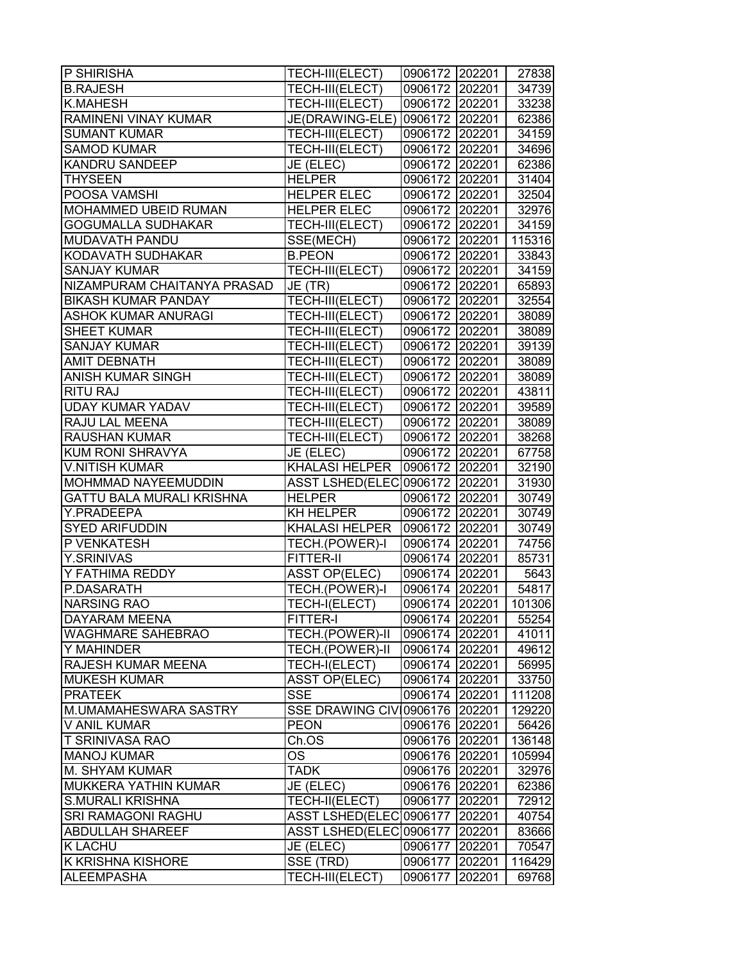| P SHIRISHA                       | TECH-III(ELECT)                  | 0906172 202201 |        | 27838  |
|----------------------------------|----------------------------------|----------------|--------|--------|
| <b>B.RAJESH</b>                  | TECH-III(ELECT)                  | 0906172 202201 |        | 34739  |
| <b>K.MAHESH</b>                  | TECH-III(ELECT)                  | 0906172 202201 |        | 33238  |
| RAMINENI VINAY KUMAR             | JE(DRAWING-ELE) 0906172 202201   |                |        | 62386  |
| <b>SUMANT KUMAR</b>              | TECH-III(ELECT)                  | 0906172 202201 |        | 34159  |
| <b>SAMOD KUMAR</b>               | TECH-III(ELECT)                  | 0906172 202201 |        | 34696  |
| <b>KANDRU SANDEEP</b>            | JE (ELEC)                        | 0906172 202201 |        | 62386  |
| <b>THYSEEN</b>                   | <b>HELPER</b>                    | 0906172 202201 |        | 31404  |
| POOSA VAMSHI                     | <b>HELPER ELEC</b>               | 0906172 202201 |        | 32504  |
| <b>MOHAMMED UBEID RUMAN</b>      | <b>HELPER ELEC</b>               | 0906172 202201 |        | 32976  |
| <b>GOGUMALLA SUDHAKAR</b>        | TECH-III(ELECT)                  | 0906172 202201 |        | 34159  |
| MUDAVATH PANDU                   | SSE(MECH)                        | 0906172 202201 |        | 115316 |
| KODAVATH SUDHAKAR                | <b>B.PEON</b>                    | 0906172 202201 |        | 33843  |
| <b>SANJAY KUMAR</b>              | TECH-III(ELECT)                  | 0906172 202201 |        | 34159  |
| NIZAMPURAM CHAITANYA PRASAD      | JE (TR)                          | 0906172 202201 |        | 65893  |
| <b>BIKASH KUMAR PANDAY</b>       | TECH-III(ELECT)                  | 0906172 202201 |        | 32554  |
| <b>ASHOK KUMAR ANURAGI</b>       | TECH-III(ELECT)                  | 0906172 202201 |        | 38089  |
| <b>SHEET KUMAR</b>               | TECH-III(ELECT)                  | 0906172 202201 |        | 38089  |
| <b>SANJAY KUMAR</b>              | TECH-III(ELECT)                  | 0906172 202201 |        | 39139  |
| <b>AMIT DEBNATH</b>              | TECH-III(ELECT)                  | 0906172 202201 |        | 38089  |
| <b>ANISH KUMAR SINGH</b>         | TECH-III(ELECT)                  | 0906172 202201 |        | 38089  |
| <b>RITU RAJ</b>                  | TECH-III(ELECT)                  | 0906172 202201 |        | 43811  |
| <b>UDAY KUMAR YADAV</b>          | TECH-III(ELECT)                  | 0906172 202201 |        | 39589  |
| <b>RAJU LAL MEENA</b>            | TECH-III(ELECT)                  | 0906172 202201 |        | 38089  |
| <b>RAUSHAN KUMAR</b>             | TECH-III(ELECT)                  | 0906172 202201 |        | 38268  |
| KUM RONI SHRAVYA                 | JE (ELEC)                        | 0906172 202201 |        | 67758  |
| <b>V.NITISH KUMAR</b>            | <b>KHALASI HELPER</b>            | 0906172 202201 |        | 32190  |
| MOHMMAD NAYEEMUDDIN              | ASST LSHED(ELEC 0906172   202201 |                |        | 31930  |
| <b>GATTU BALA MURALI KRISHNA</b> | <b>HELPER</b>                    | 0906172 202201 |        | 30749  |
| Y.PRADEEPA                       | <b>KH HELPER</b>                 | 0906172 202201 |        | 30749  |
| <b>SYED ARIFUDDIN</b>            | <b>KHALASI HELPER</b>            | 0906172 202201 |        | 30749  |
| P VENKATESH                      | TECH.(POWER)-I                   | 0906174 202201 |        | 74756  |
| <b>Y.SRINIVAS</b>                | FITTER-II                        | 0906174 202201 |        | 85731  |
| Y FATHIMA REDDY                  | <b>ASST OP(ELEC)</b>             | 0906174 202201 |        | 5643   |
| P.DASARATH                       | TECH.(POWER)-I                   | 0906174 202201 |        | 54817  |
| <b>NARSING RAO</b>               | TECH-I(ELECT)                    | 0906174 202201 |        | 101306 |
| <b>DAYARAM MEENA</b>             | FITTER-I                         | 0906174 202201 |        | 55254  |
| <b>WAGHMARE SAHEBRAO</b>         | TECH.(POWER)-II                  | 0906174 202201 |        | 41011  |
| Y MAHINDER                       | TECH.(POWER)-II                  | 0906174 202201 |        | 49612  |
| RAJESH KUMAR MEENA               | TECH-I(ELECT)                    | 0906174 202201 |        | 56995  |
| <b>MUKESH KUMAR</b>              | ASST OP(ELEC)                    | 0906174 202201 |        | 33750  |
| <b>PRATEEK</b>                   | <b>SSE</b>                       | 0906174 202201 |        | 111208 |
| M.UMAMAHESWARA SASTRY            | SSE DRAWING CIV 0906176 202201   |                |        | 129220 |
| <b>V ANIL KUMAR</b>              | <b>PEON</b>                      | 0906176 202201 |        | 56426  |
| <b>T SRINIVASA RAO</b>           | Ch.OS                            | 0906176 202201 |        | 136148 |
| <b>MANOJ KUMAR</b>               | OS                               | 0906176 202201 |        | 105994 |
| M. SHYAM KUMAR                   | <b>TADK</b>                      | 0906176 202201 |        | 32976  |
| <b>MUKKERA YATHIN KUMAR</b>      | JE (ELEC)                        | 0906176 202201 |        | 62386  |
| <b>S.MURALI KRISHNA</b>          | TECH-II(ELECT)                   | 0906177 202201 |        | 72912  |
| <b>SRI RAMAGONI RAGHU</b>        | ASST LSHED(ELEC 0906177          |                | 202201 | 40754  |
| <b>ABDULLAH SHAREEF</b>          | ASST LSHED(ELEC 0906177          |                | 202201 | 83666  |
| <b>K LACHU</b>                   | JE (ELEC)                        | 0906177        | 202201 | 70547  |
| K KRISHNA KISHORE                | SSE (TRD)                        | 0906177        | 202201 | 116429 |
| <b>ALEEMPASHA</b>                | TECH-III(ELECT)                  | 0906177        | 202201 | 69768  |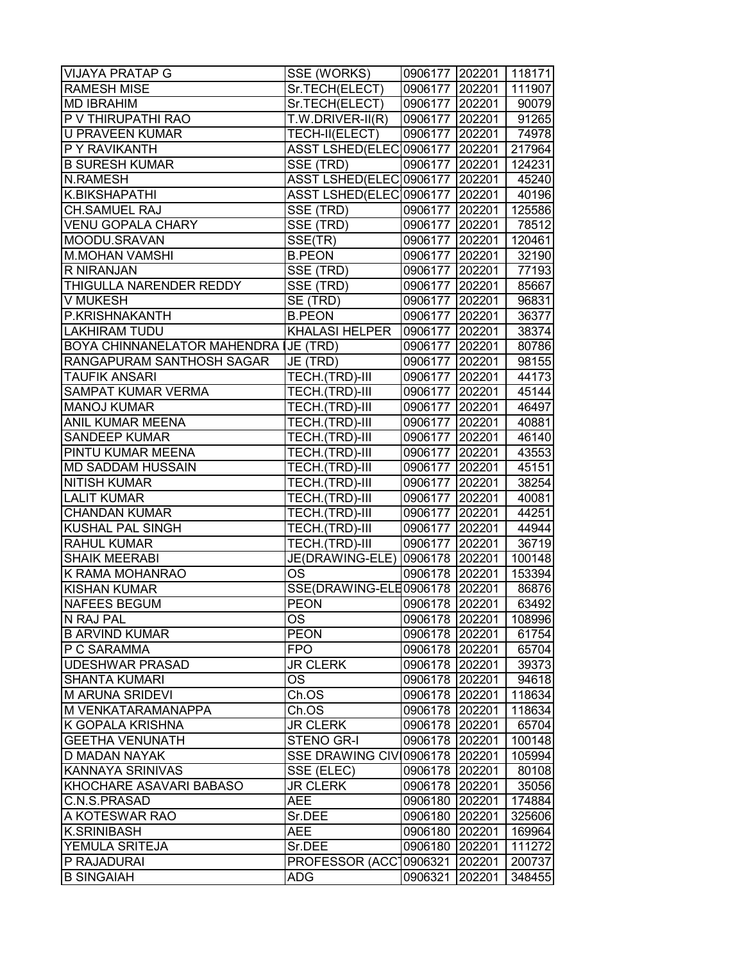| <b>VIJAYA PRATAP G</b>               | SSE (WORKS)                     | 0906177 202201 118171 |        |        |
|--------------------------------------|---------------------------------|-----------------------|--------|--------|
| <b>RAMESH MISE</b>                   | Sr.TECH(ELECT)                  | 0906177 202201        |        | 111907 |
| <b>MD IBRAHIM</b>                    | Sr.TECH(ELECT)                  | 0906177 202201        |        | 90079  |
| P V THIRUPATHI RAO                   | $T.W.DRIVER-II(R)$              | 0906177 202201        |        | 91265  |
| <b>U PRAVEEN KUMAR</b>               | TECH-II(ELECT)                  | 0906177 202201        |        | 74978  |
| P Y RAVIKANTH                        | ASST LSHED(ELEC 0906177 202201  |                       |        | 217964 |
| <b>B SURESH KUMAR</b>                | SSE (TRD)                       | 0906177 202201        |        | 124231 |
| <b>N.RAMESH</b>                      | ASST LSHED(ELEC 0906177 202201  |                       |        | 45240  |
| K.BIKSHAPATHI                        | ASST LSHED(ELEC 0906177 202201  |                       |        | 40196  |
| <b>CH.SAMUEL RAJ</b>                 | SSE (TRD)                       | 0906177 202201        |        | 125586 |
| <b>VENU GOPALA CHARY</b>             | SSE (TRD)                       | 0906177 202201        |        | 78512  |
| MOODU.SRAVAN                         | SSE(TR)                         | 0906177 202201        |        | 120461 |
| <b>M.MOHAN VAMSHI</b>                | <b>B.PEON</b>                   | 0906177 202201        |        | 32190  |
| R NIRANJAN                           | SSE (TRD)                       | 0906177 202201        |        | 77193  |
| THIGULLA NARENDER REDDY              | SSE (TRD)                       | 0906177 202201        |        | 85667  |
| V MUKESH                             | SE (TRD)                        | 0906177 202201        |        | 96831  |
| P.KRISHNAKANTH                       | <b>B.PEON</b>                   | 0906177 202201        |        | 36377  |
| <b>LAKHIRAM TUDU</b>                 | <b>KHALASI HELPER</b>           | 0906177 202201        |        | 38374  |
| <b>BOYA CHINNANELATOR MAHENDRA I</b> | JE (TRD)                        | 0906177 202201        |        | 80786  |
| RANGAPURAM SANTHOSH SAGAR            | JE (TRD)                        | 0906177 202201        |        | 98155  |
| <b>TAUFIK ANSARI</b>                 | TECH.(TRD)-III                  | 0906177 202201        |        | 44173  |
| <b>SAMPAT KUMAR VERMA</b>            | TECH.(TRD)-III                  | 0906177 202201        |        | 45144  |
| <b>MANOJ KUMAR</b>                   | TECH.(TRD)-III                  | 0906177 202201        |        | 46497  |
| ANIL KUMAR MEENA                     | TECH.(TRD)-III                  | 0906177 202201        |        | 40881  |
| <b>SANDEEP KUMAR</b>                 | TECH.(TRD)-III                  | 0906177 202201        |        | 46140  |
| PINTU KUMAR MEENA                    | TECH.(TRD)-III                  | 0906177 202201        |        | 43553  |
| MD SADDAM HUSSAIN                    | TECH.(TRD)-III                  | 0906177 202201        |        | 45151  |
| <b>NITISH KUMAR</b>                  | TECH.(TRD)-III                  | 0906177 202201        |        | 38254  |
| <b>LALIT KUMAR</b>                   | TECH.(TRD)-III                  | 0906177 202201        |        | 40081  |
| <b>CHANDAN KUMAR</b>                 | TECH.(TRD)-III                  | 0906177 202201        |        | 44251  |
| <b>KUSHAL PAL SINGH</b>              | TECH.(TRD)-III                  | 0906177 202201        |        | 44944  |
| <b>RAHUL KUMAR</b>                   | TECH.(TRD)-III                  | 0906177 202201        |        | 36719  |
| <b>SHAIK MEERABI</b>                 | JE(DRAWING-ELE)                 | 0906178 202201        |        | 100148 |
| K RAMA MOHANRAO                      | OS                              | 0906178 202201        |        | 153394 |
| <b>KISHAN KUMAR</b>                  | SSE(DRAWING-ELE0906178   202201 |                       |        | 86876  |
| <b>NAFEES BEGUM</b>                  | <b>PEON</b>                     | 0906178 202201        |        | 63492  |
| N RAJ PAL                            | OS                              | 0906178 202201        |        | 108996 |
| <b>B ARVIND KUMAR</b>                | <b>PEON</b>                     | 0906178 202201        |        | 61754  |
| P C SARAMMA                          | <b>FPO</b>                      | 0906178 202201        |        | 65704  |
| <b>UDESHWAR PRASAD</b>               | <b>JR CLERK</b>                 | 0906178 202201        |        | 39373  |
| <b>SHANTA KUMARI</b>                 | ОS                              | 0906178 202201        |        | 94618  |
| <b>M ARUNA SRIDEVI</b>               | Ch.OS                           | 0906178 202201        |        | 118634 |
| M VENKATARAMANAPPA                   | Ch.OS                           | 0906178 202201        |        | 118634 |
| K GOPALA KRISHNA                     | <b>JR CLERK</b>                 | 0906178 202201        |        | 65704  |
| <b>GEETHA VENUNATH</b>               | <b>STENO GR-I</b>               | 0906178 202201        |        | 100148 |
| D MADAN NAYAK                        | SSE DRAWING CIV 0906178 202201  |                       |        | 105994 |
| <b>KANNAYA SRINIVAS</b>              | SSE (ELEC)                      | 0906178 202201        |        | 80108  |
| KHOCHARE ASAVARI BABASO              | <b>JR CLERK</b>                 | 0906178 202201        |        | 35056  |
| C.N.S.PRASAD                         | <b>AEE</b>                      | 0906180               | 202201 | 174884 |
| A KOTESWAR RAO                       | Sr.DEE                          | 0906180               | 202201 | 325606 |
| <b>K.SRINIBASH</b>                   | AEE                             | 0906180               | 202201 | 169964 |
| YEMULA SRITEJA                       | Sr.DEE                          | 0906180               | 202201 | 111272 |
| P RAJADURAI                          | PROFESSOR (ACCT                 | 0906321               | 202201 | 200737 |
| <b>B SINGAIAH</b>                    | ADG                             | 0906321               | 202201 | 348455 |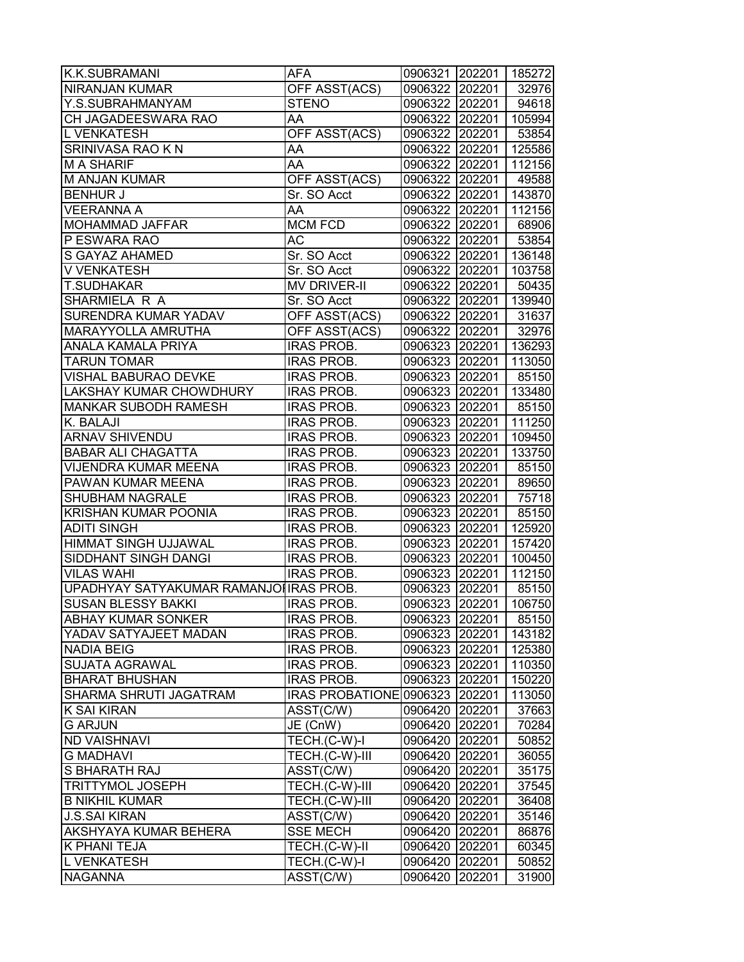| K.K.SUBRAMANI                          | AFA                            | 0906321 202201        |        | 185272 |
|----------------------------------------|--------------------------------|-----------------------|--------|--------|
| <b>NIRANJAN KUMAR</b>                  | OFF ASST(ACS)                  | 0906322 202201        |        | 32976  |
| Y.S.SUBRAHMANYAM                       | <b>STENO</b>                   | 0906322 202201        |        | 94618  |
| CH JAGADEESWARA RAO                    | AA                             | 0906322 202201        |        | 105994 |
| <b>L VENKATESH</b>                     | OFF ASST(ACS)                  | 0906322 202201        |        | 53854  |
| <b>SRINIVASA RAO K N</b>               | AA                             | 0906322 202201 125586 |        |        |
| <b>MASHARIF</b>                        | AA                             | 0906322 202201        |        | 112156 |
| <b>M ANJAN KUMAR</b>                   | OFF ASST(ACS)                  | 0906322 202201        |        | 49588  |
| <b>BENHUR J</b>                        | Sr. SO Acct                    | 0906322 202201        |        | 143870 |
| <b>VEERANNA A</b>                      | AA                             | 0906322 202201        |        | 112156 |
| <b>MOHAMMAD JAFFAR</b>                 | <b>MCM FCD</b>                 | 0906322 202201        |        | 68906  |
| P ESWARA RAO                           | AC                             | 0906322 202201        |        | 53854  |
| S GAYAZ AHAMED                         | Sr. SO Acct                    | 0906322 202201        |        | 136148 |
| <b>V VENKATESH</b>                     | Sr. SO Acct                    | 0906322 202201        |        | 103758 |
| <b>T.SUDHAKAR</b>                      | <b>MV DRIVER-II</b>            | 0906322 202201        |        | 50435  |
| SHARMIELA R A                          | Sr. SO Acct                    | 0906322 202201        |        | 139940 |
| <b>SURENDRA KUMAR YADAV</b>            | OFF ASST(ACS)                  | 0906322 202201        |        | 31637  |
| <b>MARAYYOLLA AMRUTHA</b>              | OFF ASST(ACS)                  | 0906322 202201        |        | 32976  |
| ANALA KAMALA PRIYA                     | <b>IRAS PROB.</b>              | 0906323 202201        |        | 136293 |
| <b>TARUN TOMAR</b>                     | <b>IRAS PROB.</b>              | 0906323 202201        |        | 113050 |
| <b>VISHAL BABURAO DEVKE</b>            | <b>IRAS PROB.</b>              | 0906323 202201        |        | 85150  |
| <b>LAKSHAY KUMAR CHOWDHURY</b>         | <b>IRAS PROB.</b>              | 0906323 202201        |        | 133480 |
| <b>MANKAR SUBODH RAMESH</b>            | <b>IRAS PROB.</b>              | 0906323 202201        |        | 85150  |
| K. BALAJI                              | <b>IRAS PROB.</b>              | 0906323 202201        |        | 111250 |
| <b>ARNAV SHIVENDU</b>                  | <b>IRAS PROB.</b>              |                       |        |        |
|                                        |                                | 0906323 202201        |        | 109450 |
| <b>BABAR ALI CHAGATTA</b>              | <b>IRAS PROB.</b>              | 0906323 202201        |        | 133750 |
| <b>VIJENDRA KUMAR MEENA</b>            | <b>IRAS PROB.</b>              | 0906323 202201        |        | 85150  |
| PAWAN KUMAR MEENA                      | <b>IRAS PROB.</b>              | 0906323 202201        |        | 89650  |
| <b>SHUBHAM NAGRALE</b>                 | <b>IRAS PROB.</b>              | 0906323 202201        |        | 75718  |
| <b>KRISHAN KUMAR POONIA</b>            | <b>IRAS PROB.</b>              | 0906323 202201        |        | 85150  |
| <b>ADITI SINGH</b>                     | <b>IRAS PROB.</b>              | 0906323 202201        |        | 125920 |
| <b>HIMMAT SINGH UJJAWAL</b>            | <b>IRAS PROB.</b>              | 0906323 202201        |        | 157420 |
| SIDDHANT SINGH DANGI                   | <b>IRAS PROB.</b>              | 0906323 202201        |        | 100450 |
| <b>VILAS WAHI</b>                      | <b>IRAS PROB.</b>              | 0906323 202201        |        | 112150 |
| UPADHYAY SATYAKUMAR RAMANJO IRAS PROB. |                                | 0906323 202201        |        | 85150  |
| <b>SUSAN BLESSY BAKKI</b>              | <b>IRAS PROB.</b>              | 0906323 202201        |        | 106750 |
| <b>ABHAY KUMAR SONKER</b>              | <b>IRAS PROB.</b>              | 0906323 202201        |        | 85150  |
| YADAV SATYAJEET MADAN                  | <b>IRAS PROB.</b>              | 0906323 202201        |        | 143182 |
| <b>NADIA BEIG</b>                      | <b>IRAS PROB.</b>              | 0906323 202201        |        | 125380 |
| <b>SUJATA AGRAWAL</b>                  | <b>IRAS PROB.</b>              | 0906323 202201        |        | 110350 |
| <b>BHARAT BHUSHAN</b>                  | <b>IRAS PROB.</b>              | 0906323 202201        |        | 150220 |
| <b>SHARMA SHRUTI JAGATRAM</b>          | IRAS PROBATIONE 0906323 202201 |                       |        | 113050 |
| <b>K SAI KIRAN</b>                     | ASST(C/W)                      | 0906420 202201        |        | 37663  |
| <b>G ARJUN</b>                         | JE (CnW)                       | 0906420 202201        |        | 70284  |
| <b>ND VAISHNAVI</b>                    | TECH.(C-W)-I                   | 0906420 202201        |        | 50852  |
| <b>G MADHAVI</b>                       | TECH.(C-W)-III                 | 0906420 202201        |        | 36055  |
| <b>S BHARATH RAJ</b>                   | ASST(C/W)                      | 0906420 202201        |        | 35175  |
| <b>TRITTYMOL JOSEPH</b>                | TECH.(C-W)-III                 | 0906420 202201        |        | 37545  |
| <b>B NIKHIL KUMAR</b>                  | TECH.(C-W)-III                 | 0906420 202201        |        | 36408  |
| <b>J.S.SAI KIRAN</b>                   | ASST(C/W)                      | 0906420 202201        |        | 35146  |
| <b>AKSHYAYA KUMAR BEHERA</b>           | <b>SSE MECH</b>                | 0906420 202201        |        | 86876  |
| <b>K PHANI TEJA</b>                    | TECH.(C-W)-II                  | 0906420 202201        |        | 60345  |
| <b>L VENKATESH</b>                     | TECH.(C-W)-I                   | 0906420               | 202201 | 50852  |
| <b>NAGANNA</b>                         | ASST(C/W)                      | 0906420 202201        |        | 31900  |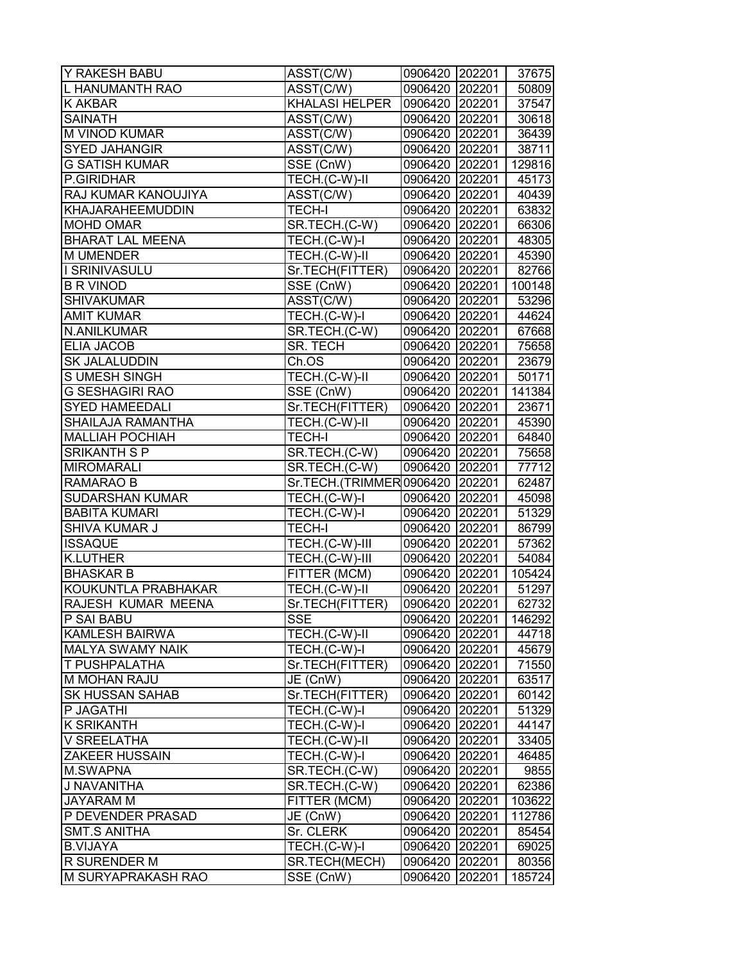| Y RAKESH BABU                         | ASST(C/W)                      | 0906420 202201     |                  | 37675           |
|---------------------------------------|--------------------------------|--------------------|------------------|-----------------|
| L HANUMANTH RAO                       | ASST(C/W)                      | 0906420 202201     |                  | 50809           |
| K AKBAR                               | <b>KHALASI HELPER</b>          | 0906420 202201     |                  | 37547           |
| <b>SAINATH</b>                        | ASST(C/W)                      | 0906420 202201     |                  | 30618           |
| <b>M VINOD KUMAR</b>                  | ASST(C/W)                      | 0906420 202201     |                  | 36439           |
| <b>SYED JAHANGIR</b>                  | ASST(C/W)                      | 0906420 202201     |                  | 38711           |
| <b>G SATISH KUMAR</b>                 | SSE (CnW)                      | 0906420 202201     |                  | 129816          |
| P.GIRIDHAR                            | TECH.(C-W)-II                  | 0906420 202201     |                  | 45173           |
| RAJ KUMAR KANOUJIYA                   | $\overline{\text{ASST}}$ (C/W) | 0906420 202201     |                  | 40439           |
| KHAJARAHEEMUDDIN                      | <b>TECH-I</b>                  | 0906420 202201     |                  | 63832           |
| <b>MOHD OMAR</b>                      | SR.TECH.(C-W)                  | 0906420 202201     |                  | 66306           |
| <b>BHARAT LAL MEENA</b>               | TECH.(C-W)-I                   | 0906420 202201     |                  | 48305           |
| <b>M UMENDER</b>                      | TECH.(C-W)-II                  | 0906420 202201     |                  | 45390           |
| I SRINIVASULU                         | Sr.TECH(FITTER)                | 0906420 202201     |                  | 82766           |
| <b>B R VINOD</b>                      | SSE (CnW)                      | 0906420 202201     |                  | 100148          |
| <b>SHIVAKUMAR</b>                     | ASST(C/W)                      | 0906420 202201     |                  | 53296           |
| <b>AMIT KUMAR</b>                     | TECH.(C-W)-I                   | 0906420 202201     |                  | 44624           |
| N.ANILKUMAR                           | SR.TECH.(C-W)                  | 0906420 202201     |                  | 67668           |
| <b>ELIA JACOB</b>                     | SR. TECH                       | 0906420 202201     |                  | 75658           |
| <b>SK JALALUDDIN</b>                  | Ch.OS                          | 0906420 202201     |                  | 23679           |
| <b>SUMESH SINGH</b>                   | TECH.(C-W)-II                  | 0906420 202201     |                  | 50171           |
| <b>G SESHAGIRI RAO</b>                | $SSE$ (CnW)                    | 0906420 202201     |                  | 141384          |
| <b>SYED HAMEEDALI</b>                 | Sr.TECH(FITTER)                | 0906420 202201     |                  | 23671           |
| SHAILAJA RAMANTHA                     | TECH.(C-W)-II                  | 0906420 202201     |                  | 45390           |
| <b>MALLIAH POCHIAH</b>                | <b>TECH-I</b>                  | 0906420 202201     |                  | 64840           |
| <b>SRIKANTH S P</b>                   | SR.TECH.(C-W)                  | 0906420 202201     |                  | 75658           |
| <b>MIROMARALI</b>                     | SR.TECH.(C-W)                  | 0906420 202201     |                  | 77712           |
| RAMARAO B                             | Sr.TECH.(TRIMMER0906420 202201 |                    |                  | 62487           |
| <b>SUDARSHAN KUMAR</b>                | TECH.(C-W)-I                   | 0906420 202201     |                  | 45098           |
| <b>BABITA KUMARI</b>                  | TECH.(C-W)-I                   | 0906420 202201     |                  | 51329           |
| SHIVA KUMAR J                         | <b>TECH-I</b>                  | 0906420 202201     |                  | 86799           |
| <b>ISSAQUE</b>                        | TECH.(C-W)-III                 | 0906420 202201     |                  | 57362           |
| <b>K.LUTHER</b>                       | TECH.(C-W)-III                 | 0906420 202201     |                  | 54084           |
| <b>BHASKAR B</b>                      | FITTER (MCM)                   | 0906420 202201     |                  | 105424          |
| KOUKUNTLA PRABHAKAR                   | TECH.(C-W)-II                  | 0906420 202201     |                  | 51297           |
| RAJESH KUMAR MEENA                    | Sr.TECH(FITTER)                | 0906420 202201     |                  | 62732           |
| P SAI BABU                            | <b>SSE</b>                     | 0906420 202201     |                  | 146292          |
| <b>KAMLESH BAIRWA</b>                 | TECH.(C-W)-II                  | 0906420 202201     |                  | 44718           |
| <b>MALYA SWAMY NAIK</b>               | TECH.(C-W)-I                   | 0906420 202201     |                  | 45679           |
| T PUSHPALATHA                         | Sr.TECH(FITTER)                | 0906420 202201     |                  | 71550           |
| <b>M MOHAN RAJU</b>                   | JE (CnW)                       | 0906420 202201     |                  | 63517           |
| <b>SK HUSSAN SAHAB</b>                | Sr.TECH(FITTER)                | 0906420 202201     |                  | 60142           |
| P JAGATHI                             | TECH.(C-W)-I                   | 0906420 202201     |                  | 51329           |
| <b>K SRIKANTH</b>                     | TECH.(C-W)-I                   | 0906420 202201     |                  | 44147           |
| V SREELATHA                           | TECH.(C-W)-II                  | 0906420 202201     |                  | 33405           |
| <b>ZAKEER HUSSAIN</b>                 | TECH.(C-W)-I                   | 0906420 202201     |                  | 46485           |
| M.SWAPNA                              | SR.TECH.(C-W)                  | 0906420 202201     |                  | 9855            |
| J NAVANITHA                           | SR.TECH.(C-W)                  | 0906420 202201     |                  | 62386           |
| <b>JAYARAM M</b><br>P DEVENDER PRASAD | FITTER (MCM)                   | 0906420 202201     |                  | 103622          |
| <b>SMT.S ANITHA</b>                   | JE (CnW)<br>Sr. CLERK          | 0906420<br>0906420 | 202201<br>202201 | 112786<br>85454 |
| <b>B.VIJAYA</b>                       | TECH.(C-W)-I                   | 0906420            | 202201           | 69025           |
| R SURENDER M                          | SR.TECH(MECH)                  | 0906420            | 202201           | 80356           |
| M SURYAPRAKASH RAO                    | SSE (CnW)                      | 0906420            | 202201           | 185724          |
|                                       |                                |                    |                  |                 |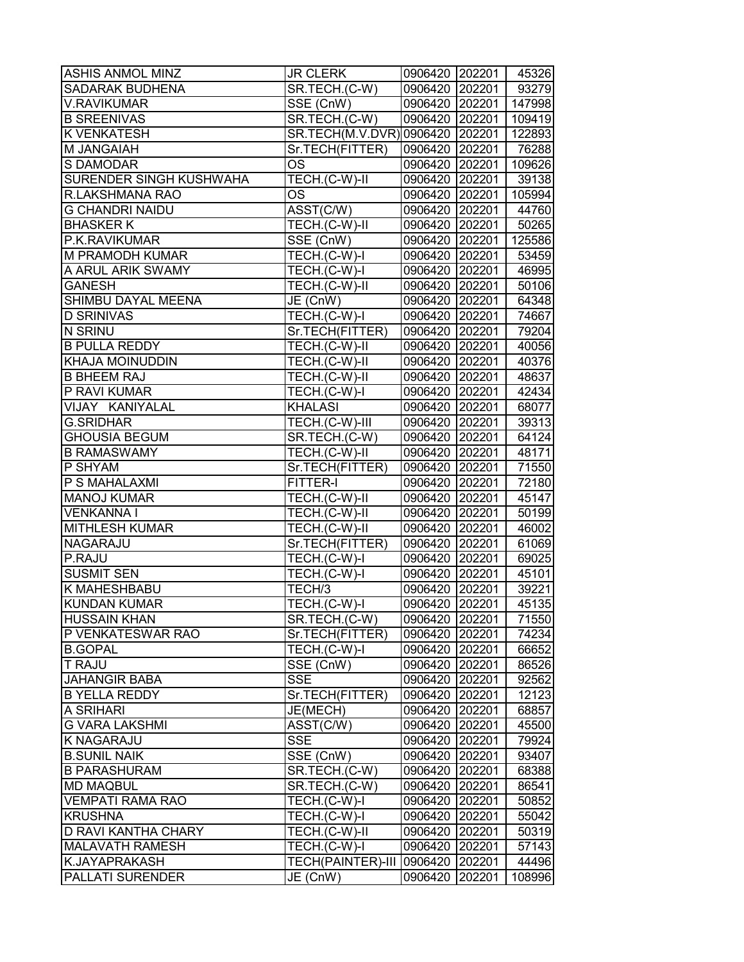| <b>ASHIS ANMOL MINZ</b> | <b>JR CLERK</b>                        | 0906420 202201 |        | 45326  |
|-------------------------|----------------------------------------|----------------|--------|--------|
| SADARAK BUDHENA         | SR.TECH.(C-W)                          | 0906420 202201 |        | 93279  |
| <b>V.RAVIKUMAR</b>      | SSE (CnW)                              | 0906420 202201 |        | 147998 |
| <b>B SREENIVAS</b>      | SR.TECH.(C-W)                          | 0906420 202201 |        | 109419 |
| <b>K VENKATESH</b>      | SR.TECH(M.V.DVR) 0906420 202201 122893 |                |        |        |
| M JANGAIAH              | Sr.TECH(FITTER)                        | 0906420 202201 |        | 76288  |
| S DAMODAR               | <b>OS</b>                              | 0906420 202201 |        | 109626 |
| SURENDER SINGH KUSHWAHA | TECH.(C-W)-II                          | 0906420 202201 |        | 39138  |
| R.LAKSHMANA RAO         | <b>OS</b>                              | 0906420 202201 |        | 105994 |
| <b>G CHANDRI NAIDU</b>  | ASST(C/W)                              | 0906420 202201 |        | 44760  |
| <b>BHASKER K</b>        | TECH.(C-W)-II                          | 0906420 202201 |        | 50265  |
| P.K.RAVIKUMAR           | SSE (CnW)                              | 0906420 202201 |        | 125586 |
| <b>M PRAMODH KUMAR</b>  | TECH.(C-W)-I                           | 0906420 202201 |        | 53459  |
| A ARUL ARIK SWAMY       | TECH.(C-W)-I                           | 0906420 202201 |        | 46995  |
| <b>GANESH</b>           | TECH.(C-W)-II                          | 0906420 202201 |        | 50106  |
| SHIMBU DAYAL MEENA      | JE (CnW)                               | 0906420 202201 |        | 64348  |
| <b>D SRINIVAS</b>       | TECH.(C-W)-I                           | 0906420 202201 |        | 74667  |
| N SRINU                 | Sr.TECH(FITTER)                        | 0906420 202201 |        | 79204  |
| <b>B PULLA REDDY</b>    | TECH.(C-W)-II                          | 0906420 202201 |        | 40056  |
| <b>KHAJA MOINUDDIN</b>  | TECH.(C-W)-II                          | 0906420 202201 |        | 40376  |
| <b>B BHEEM RAJ</b>      | TECH.(C-W)-II                          | 0906420 202201 |        | 48637  |
| P RAVI KUMAR            | TECH.(C-W)-I                           | 0906420 202201 |        | 42434  |
| VIJAY KANIYALAL         | <b>KHALASI</b>                         | 0906420 202201 |        | 68077  |
| <b>G.SRIDHAR</b>        | TECH.(C-W)-III                         | 0906420 202201 |        | 39313  |
| <b>GHOUSIA BEGUM</b>    | SR.TECH.(C-W)                          | 0906420 202201 |        | 64124  |
| <b>B RAMASWAMY</b>      | TECH.(C-W)-II                          | 0906420 202201 |        | 48171  |
| P SHYAM                 | Sr.TECH(FITTER)                        | 0906420 202201 |        | 71550  |
| P S MAHALAXMI           | FITTER-I                               | 0906420 202201 |        | 72180  |
| <b>MANOJ KUMAR</b>      | TECH.(C-W)-II                          | 0906420 202201 |        | 45147  |
| <b>VENKANNAI</b>        | TECH.(C-W)-II                          | 0906420 202201 |        | 50199  |
| <b>MITHLESH KUMAR</b>   | TECH.(C-W)-II                          | 0906420 202201 |        | 46002  |
| <b>NAGARAJU</b>         | Sr.TECH(FITTER)                        | 0906420 202201 |        | 61069  |
| P.RAJU                  | TECH.(C-W)-I                           | 0906420 202201 |        | 69025  |
| <b>SUSMIT SEN</b>       | TECH.(C-W)-I                           | 0906420 202201 |        | 45101  |
| <b>K MAHESHBABU</b>     | TECH/3                                 | 0906420 202201 |        | 39221  |
| <b>KUNDAN KUMAR</b>     | TECH.(C-W)-I                           | 0906420 202201 |        | 45135  |
| <b>HUSSAIN KHAN</b>     | SR.TECH.(C-W)                          | 0906420 202201 |        | 71550  |
| P VENKATESWAR RAO       | Sr.TECH(FITTER)                        | 0906420 202201 |        | 74234  |
| <b>B.GOPAL</b>          | TECH.(C-W)-I                           | 0906420 202201 |        | 66652  |
| <b>T RAJU</b>           | $\overline{\text{SSE}}$ (CnW)          | 0906420 202201 |        | 86526  |
| <b>JAHANGIR BABA</b>    | <b>SSE</b>                             | 0906420 202201 |        | 92562  |
| <b>B YELLA REDDY</b>    | Sr.TECH(FITTER)                        | 0906420 202201 |        | 12123  |
| <b>A SRIHARI</b>        | JE(MECH)                               | 0906420 202201 |        | 68857  |
| <b>G VARA LAKSHMI</b>   | ASST(C/W)                              | 0906420 202201 |        | 45500  |
| <b>K NAGARAJU</b>       | <b>SSE</b>                             | 0906420 202201 |        | 79924  |
| <b>B.SUNIL NAIK</b>     | SSE (CnW)                              | 0906420 202201 |        | 93407  |
| <b>B PARASHURAM</b>     | SR.TECH.(C-W)                          | 0906420 202201 |        | 68388  |
| <b>MD MAQBUL</b>        | SR.TECH.(C-W)                          | 0906420 202201 |        | 86541  |
| <b>VEMPATI RAMA RAO</b> | TECH.(C-W)-I                           | 0906420 202201 |        | 50852  |
| <b>KRUSHNA</b>          | TECH.(C-W)-I                           | 0906420 202201 |        | 55042  |
| D RAVI KANTHA CHARY     | TECH.(C-W)-II                          | 0906420 202201 |        | 50319  |
| <b>MALAVATH RAMESH</b>  | TECH.(C-W)-I                           | 0906420 202201 |        | 57143  |
| K.JAYAPRAKASH           | <b>TECH(PAINTER)-III</b>               | 0906420 202201 |        | 44496  |
| <b>PALLATI SURENDER</b> | JE (CnW)                               | 0906420        | 202201 | 108996 |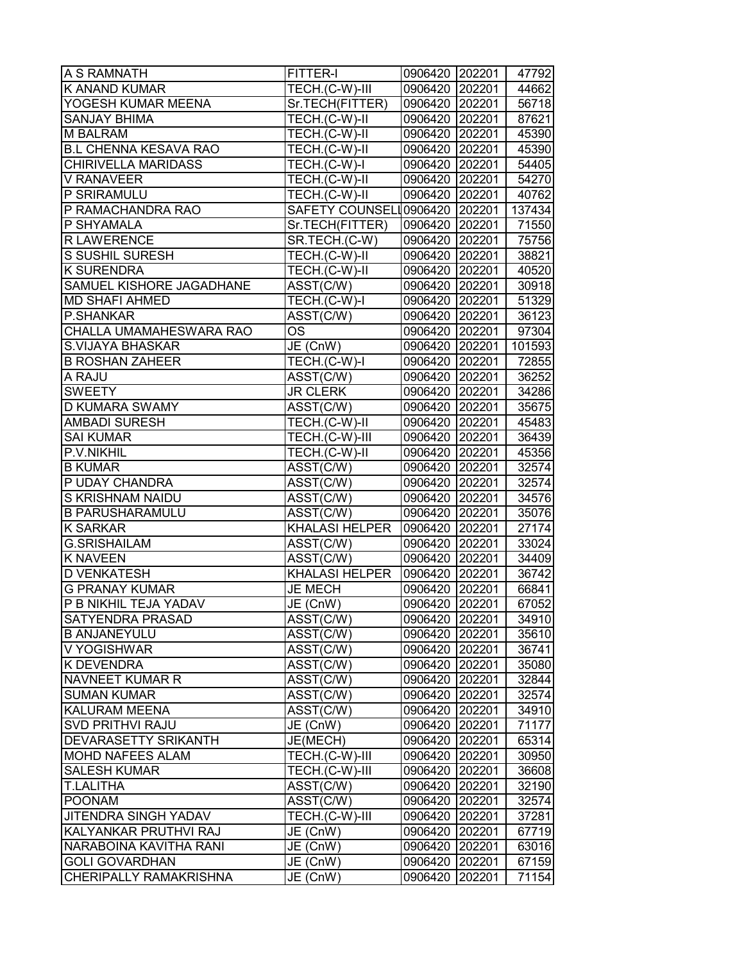| A S RAMNATH                   | FITTER-I                      | 0906420 202201 |        | 47792  |
|-------------------------------|-------------------------------|----------------|--------|--------|
| K ANAND KUMAR                 | TECH.(C-W)-III                | 0906420 202201 |        | 44662  |
| YOGESH KUMAR MEENA            | Sr.TECH(FITTER)               | 0906420 202201 |        | 56718  |
| <b>SANJAY BHIMA</b>           | TECH.(C-W)-II                 | 0906420 202201 |        | 87621  |
| <b>M BALRAM</b>               | TECH.(C-W)-II                 | 0906420 202201 |        | 45390  |
| <b>B.L CHENNA KESAVA RAO</b>  | TECH.(C-W)-II                 | 0906420 202201 |        | 45390  |
| <b>CHIRIVELLA MARIDASS</b>    | TECH.(C-W)-I                  | 0906420 202201 |        | 54405  |
| V RANAVEER                    | TECH.(C-W)-II                 | 0906420 202201 |        | 54270  |
| P SRIRAMULU                   | $TECH.(C-W)-II$               | 0906420 202201 |        | 40762  |
| P RAMACHANDRA RAO             | SAFETY COUNSELL0906420 202201 |                |        | 137434 |
| P SHYAMALA                    | Sr.TECH(FITTER)               | 0906420 202201 |        | 71550  |
| <b>R LAWERENCE</b>            | SR.TECH.(C-W)                 | 0906420 202201 |        | 75756  |
| S SUSHIL SURESH               | TECH.(C-W)-II                 | 0906420 202201 |        | 38821  |
| <b>K SURENDRA</b>             | TECH.(C-W)-II                 | 0906420 202201 |        | 40520  |
| SAMUEL KISHORE JAGADHANE      | ASST(C/W)                     | 0906420 202201 |        | 30918  |
| <b>MD SHAFI AHMED</b>         | TECH.(C-W)-I                  | 0906420 202201 |        | 51329  |
| P.SHANKAR                     | ASST(C/W)                     | 0906420 202201 |        | 36123  |
| CHALLA UMAMAHESWARA RAO       | OS                            | 0906420 202201 |        | 97304  |
| S.VIJAYA BHASKAR              | JE (CnW)                      | 0906420 202201 |        | 101593 |
| <b>B ROSHAN ZAHEER</b>        | TECH.(C-W)-I                  | 0906420 202201 |        | 72855  |
| A RAJU                        | ASST(C/W)                     | 0906420 202201 |        | 36252  |
| <b>SWEETY</b>                 | <b>JR CLERK</b>               | 0906420 202201 |        | 34286  |
| <b>D KUMARA SWAMY</b>         | ASST(C/W)                     | 0906420 202201 |        | 35675  |
| <b>AMBADI SURESH</b>          | TECH.(C-W)-II                 | 0906420 202201 |        | 45483  |
| <b>SAI KUMAR</b>              | TECH.(C-W)-III                | 0906420 202201 |        | 36439  |
| P.V.NIKHIL                    | TECH.(C-W)-II                 | 0906420 202201 |        | 45356  |
| <b>B KUMAR</b>                | ASST(C/W)                     | 0906420 202201 |        | 32574  |
| P UDAY CHANDRA                | ASST(C/W)                     | 0906420 202201 |        | 32574  |
| S KRISHNAM NAIDU              | ASST(C/W)                     | 0906420 202201 |        | 34576  |
| <b>B PARUSHARAMULU</b>        | ASST(C/W)                     | 0906420 202201 |        | 35076  |
| <b>K SARKAR</b>               | <b>KHALASI HELPER</b>         | 0906420 202201 |        | 27174  |
| <b>G.SRISHAILAM</b>           | ASST(C/W)                     | 0906420 202201 |        | 33024  |
| <b>K NAVEEN</b>               | ASST(C/W)                     | 0906420 202201 |        | 34409  |
| <b>D VENKATESH</b>            | <b>KHALASI HELPER</b>         | 0906420 202201 |        | 36742  |
| <b>G PRANAY KUMAR</b>         | <b>JE MECH</b>                | 0906420 202201 |        | 66841  |
| P B NIKHIL TEJA YADAV         | JE (CnW)                      | 0906420 202201 |        | 67052  |
| <b>SATYENDRA PRASAD</b>       | ASST(C/W)                     | 0906420 202201 |        | 34910  |
| <b>B ANJANEYULU</b>           | ASST(C/W)                     | 0906420 202201 |        | 35610  |
| V YOGISHWAR                   | ASST(C/W)                     | 0906420 202201 |        | 36741  |
| <b>K DEVENDRA</b>             | ASST(C/W)                     | 0906420 202201 |        | 35080  |
| <b>NAVNEET KUMAR R</b>        | ASST(C/W)                     | 0906420 202201 |        | 32844  |
| <b>SUMAN KUMAR</b>            | ASST(C/W)                     | 0906420 202201 |        | 32574  |
| <b>KALURAM MEENA</b>          | ASST(C/W)                     | 0906420 202201 |        | 34910  |
| <b>SVD PRITHVI RAJU</b>       | JE (CnW)                      | 0906420 202201 |        | 71177  |
| DEVARASETTY SRIKANTH          | JE(MECH)                      | 0906420 202201 |        | 65314  |
| <b>MOHD NAFEES ALAM</b>       | TECH.(C-W)-III                | 0906420 202201 |        | 30950  |
| <b>SALESH KUMAR</b>           | TECH.(C-W)-III                | 0906420 202201 |        | 36608  |
| <b>T.LALITHA</b>              | ASST(C/W)                     | 0906420 202201 |        | 32190  |
| POONAM                        | ASST(C/W)                     | 0906420 202201 |        | 32574  |
| <b>JITENDRA SINGH YADAV</b>   | TECH.(C-W)-III                | 0906420        | 202201 | 37281  |
| KALYANKAR PRUTHVI RAJ         | JE (CnW)                      | 0906420 202201 |        | 67719  |
| NARABOINA KAVITHA RANI        | JE (CnW)                      | 0906420        | 202201 | 63016  |
| <b>GOLI GOVARDHAN</b>         | JE (CnW)                      | 0906420 202201 |        | 67159  |
| <b>CHERIPALLY RAMAKRISHNA</b> | JE (CnW)                      | 0906420        | 202201 | 71154  |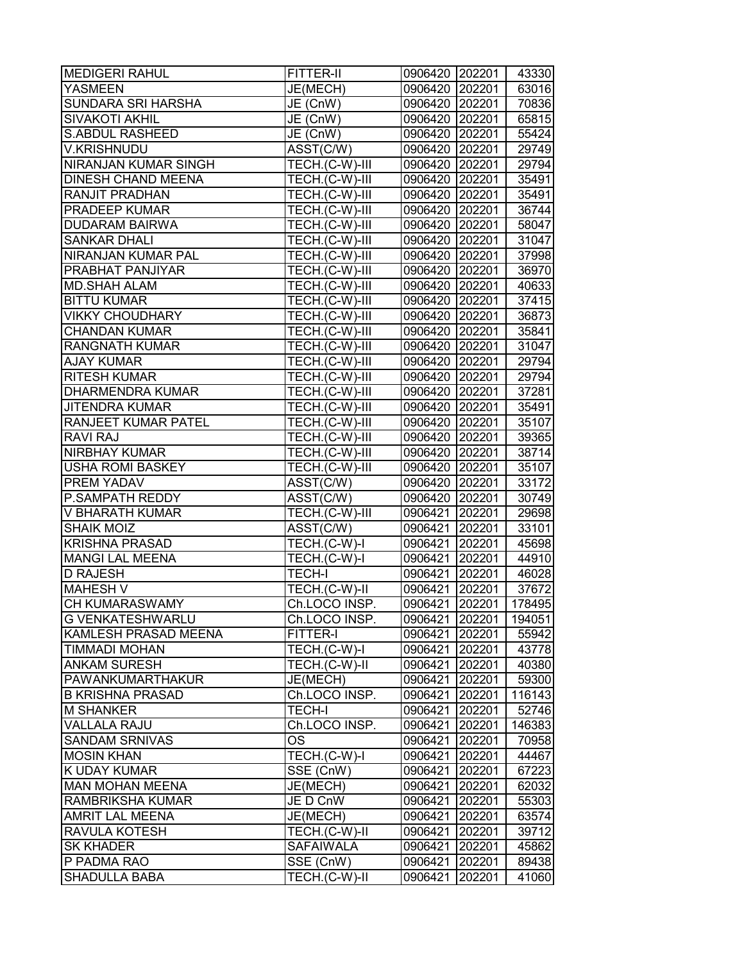| <b>MEDIGERI RAHUL</b>     | FITTER-II        | 0906420 202201 |        | 43330  |
|---------------------------|------------------|----------------|--------|--------|
| YASMEEN                   | JE(MECH)         | 0906420 202201 |        | 63016  |
| SUNDARA SRI HARSHA        | JE (CnW)         | 0906420 202201 |        | 70836  |
| <b>SIVAKOTI AKHIL</b>     | JE (CnW)         | 0906420 202201 |        | 65815  |
| <b>S.ABDUL RASHEED</b>    | JE (CnW)         | 0906420 202201 |        | 55424  |
| <b>V.KRISHNUDU</b>        | ASST(C/W)        | 0906420 202201 |        | 29749  |
| NIRANJAN KUMAR SINGH      | TECH.(C-W)-III   | 0906420 202201 |        | 29794  |
| <b>DINESH CHAND MEENA</b> | TECH.(C-W)-III   | 0906420 202201 |        | 35491  |
| RANJIT PRADHAN            | TECH.(C-W)-III   | 0906420 202201 |        | 35491  |
| PRADEEP KUMAR             | TECH.(C-W)-III   | 0906420 202201 |        | 36744  |
| <b>DUDARAM BAIRWA</b>     | TECH.(C-W)-III   | 0906420 202201 |        | 58047  |
| <b>SANKAR DHALI</b>       | TECH.(C-W)-III   | 0906420 202201 |        | 31047  |
| NIRANJAN KUMAR PAL        | TECH.(C-W)-III   | 0906420 202201 |        | 37998  |
| PRABHAT PANJIYAR          | TECH.(C-W)-III   | 0906420 202201 |        | 36970  |
| <b>MD.SHAH ALAM</b>       | TECH.(C-W)-III   | 0906420 202201 |        | 40633  |
| <b>BITTU KUMAR</b>        | TECH.(C-W)-III   | 0906420 202201 |        | 37415  |
| <b>VIKKY CHOUDHARY</b>    | TECH.(C-W)-III   | 0906420 202201 |        | 36873  |
| <b>CHANDAN KUMAR</b>      | TECH.(C-W)-III   | 0906420 202201 |        | 35841  |
| <b>RANGNATH KUMAR</b>     | TECH.(C-W)-III   | 0906420 202201 |        | 31047  |
| <b>AJAY KUMAR</b>         | TECH.(C-W)-III   | 0906420 202201 |        | 29794  |
| <b>RITESH KUMAR</b>       | TECH.(C-W)-III   | 0906420 202201 |        | 29794  |
| <b>DHARMENDRA KUMAR</b>   | TECH.(C-W)-III   | 0906420 202201 |        | 37281  |
| <b>JITENDRA KUMAR</b>     | TECH.(C-W)-III   | 0906420 202201 |        | 35491  |
| RANJEET KUMAR PATEL       | TECH.(C-W)-III   | 0906420 202201 |        | 35107  |
| RAVI RAJ                  | TECH.(C-W)-III   | 0906420 202201 |        | 39365  |
| NIRBHAY KUMAR             | TECH.(C-W)-III   | 0906420 202201 |        | 38714  |
| <b>USHA ROMI BASKEY</b>   | TECH.(C-W)-III   | 0906420 202201 |        | 35107  |
| PREM YADAV                | ASST(C/W)        | 0906420 202201 |        | 33172  |
| P.SAMPATH REDDY           | ASST(C/W)        | 0906420 202201 |        | 30749  |
| V BHARATH KUMAR           | TECH.(C-W)-III   | 0906421 202201 |        | 29698  |
| <b>SHAIK MOIZ</b>         | ASST(C/W)        | 0906421 202201 |        | 33101  |
| <b>KRISHNA PRASAD</b>     | TECH.(C-W)-I     | 0906421 202201 |        | 45698  |
| <b>MANGI LAL MEENA</b>    | TECH.(C-W)-I     | 0906421 202201 |        | 44910  |
| D RAJESH                  | <b>TECH-I</b>    | 0906421 202201 |        | 46028  |
| <b>MAHESH V</b>           | TECH.(C-W)-II    | 0906421 202201 |        | 37672  |
| <b>CH KUMARASWAMY</b>     | Ch.LOCO INSP.    | 0906421 202201 |        | 178495 |
| <b>G VENKATESHWARLU</b>   | Ch.LOCO INSP.    | 0906421 202201 |        | 194051 |
| KAMLESH PRASAD MEENA      | FITTER-I         | 0906421        | 202201 | 55942  |
| <b>TIMMADI MOHAN</b>      | TECH.(C-W)-I     | 0906421        | 202201 | 43778  |
| <b>ANKAM SURESH</b>       | TECH.(C-W)-II    | 0906421        | 202201 | 40380  |
| PAWANKUMARTHAKUR          | JE(MECH)         | 0906421        | 202201 | 59300  |
| <b>B KRISHNA PRASAD</b>   | Ch.LOCO INSP.    | 0906421        | 202201 | 116143 |
| <b>M SHANKER</b>          | <b>TECH-I</b>    | 0906421        | 202201 | 52746  |
| <b>VALLALA RAJU</b>       | Ch.LOCO INSP.    | 0906421        | 202201 | 146383 |
| <b>SANDAM SRNIVAS</b>     | <b>OS</b>        | 0906421        | 202201 | 70958  |
| <b>MOSIN KHAN</b>         | TECH.(C-W)-I     | 0906421        | 202201 | 44467  |
| K UDAY KUMAR              | SSE (CnW)        | 0906421        | 202201 | 67223  |
| <b>MAN MOHAN MEENA</b>    | JE(MECH)         | 0906421        | 202201 | 62032  |
| RAMBRIKSHA KUMAR          | JE D CnW         | 0906421        | 202201 | 55303  |
| <b>AMRIT LAL MEENA</b>    | JE(MECH)         | 0906421        | 202201 | 63574  |
| RAVULA KOTESH             | TECH.(C-W)-II    | 0906421        | 202201 | 39712  |
| <b>SK KHADER</b>          | <b>SAFAIWALA</b> | 0906421        | 202201 | 45862  |
| P PADMA RAO               | SSE (CnW)        | 0906421        | 202201 | 89438  |
| <b>SHADULLA BABA</b>      | TECH.(C-W)-II    | 0906421        | 202201 | 41060  |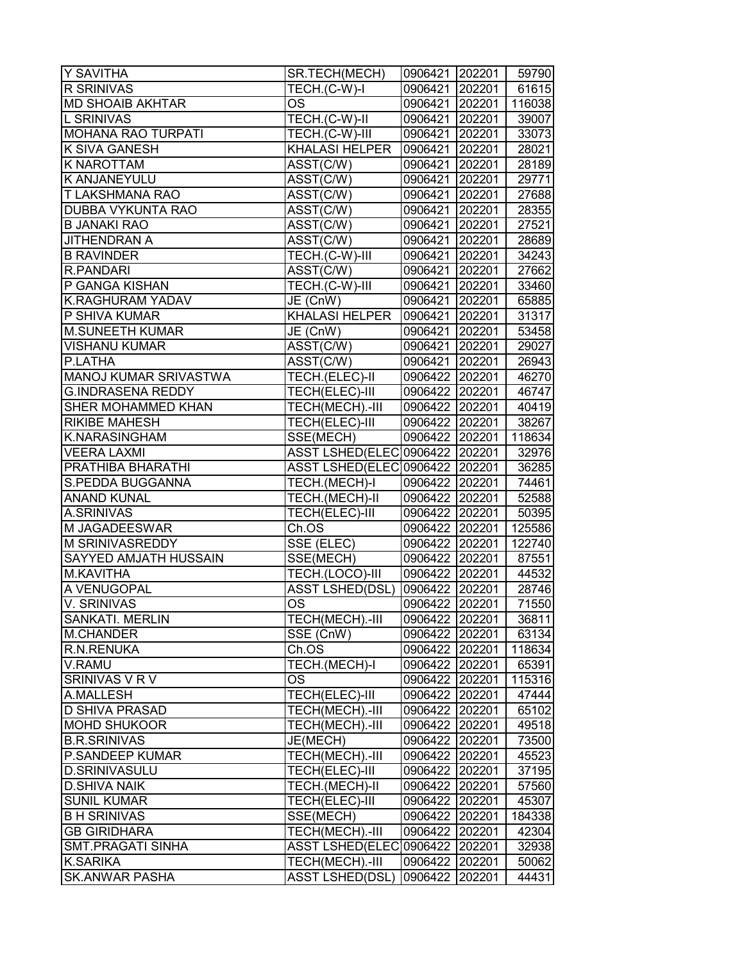| Y SAVITHA                | SR.TECH(MECH)                  | 0906421 202201 |        | 59790  |
|--------------------------|--------------------------------|----------------|--------|--------|
| R SRINIVAS               | TECH.(C-W)-I                   | 0906421        | 202201 | 61615  |
| <b>MD SHOAIB AKHTAR</b>  | OS                             | 0906421 202201 |        | 116038 |
| <b>L SRINIVAS</b>        | TECH.(C-W)-II                  | 0906421 202201 |        | 39007  |
| MOHANA RAO TURPATI       | TECH.(C-W)-III                 | 0906421 202201 |        | 33073  |
| K SIVA GANESH            | <b>KHALASI HELPER</b>          | 0906421 202201 |        | 28021  |
| K NAROTTAM               | ASST(C/W)                      | 0906421 202201 |        | 28189  |
| K ANJANEYULU             | ASST(C/W)                      | 0906421 202201 |        | 29771  |
| T LAKSHMANA RAO          | $\overline{\text{ASST}}$ (C/W) | 0906421 202201 |        | 27688  |
| DUBBA VYKUNTA RAO        | ASST(C/W)                      | 0906421 202201 |        | 28355  |
| <b>B JANAKI RAO</b>      | ASST(C/W)                      | 0906421 202201 |        | 27521  |
| <b>JITHENDRAN A</b>      | ASST(C/W)                      | 0906421 202201 |        | 28689  |
| <b>B RAVINDER</b>        | TECH.(C-W)-III                 | 0906421        | 202201 | 34243  |
| <b>R.PANDARI</b>         | ASST(C/W)                      | 0906421        | 202201 | 27662  |
| P GANGA KISHAN           | TECH.(C-W)-III                 | 0906421        | 202201 | 33460  |
| <b>K.RAGHURAM YADAV</b>  | JE (CnW)                       | 0906421 202201 |        | 65885  |
| P SHIVA KUMAR            | KHALASI HELPER                 | 0906421 202201 |        | 31317  |
| <b>M.SUNEETH KUMAR</b>   | JE (CnW)                       | 0906421 202201 |        | 53458  |
| <b>VISHANU KUMAR</b>     | ASST(C/W)                      | 0906421 202201 |        | 29027  |
| P.LATHA                  | ASST(C/W)                      | 0906421 202201 |        | 26943  |
| MANOJ KUMAR SRIVASTWA    | TECH.(ELEC)-II                 | 0906422 202201 |        | 46270  |
| <b>G.INDRASENA REDDY</b> | TECH(ELEC)-III                 | 0906422 202201 |        | 46747  |
| SHER MOHAMMED KHAN       | TECH(MECH).-III                | 0906422 202201 |        | 40419  |
| <b>RIKIBE MAHESH</b>     | TECH(ELEC)-III                 | 0906422 202201 |        | 38267  |
| K.NARASINGHAM            | SSE(MECH)                      | 0906422        | 202201 | 118634 |
| <b>VEERA LAXMI</b>       | ASST LSHED(ELEC 0906422        |                | 202201 | 32976  |
| PRATHIBA BHARATHI        | ASST LSHED(ELEC 0906422        |                | 202201 | 36285  |
| S.PEDDA BUGGANNA         | TECH.(MECH)-I                  | 0906422 202201 |        | 74461  |
| <b>ANAND KUNAL</b>       | TECH.(MECH)-II                 | 0906422 202201 |        | 52588  |
| A.SRINIVAS               | TECH(ELEC)-III                 | 0906422 202201 |        | 50395  |
| M JAGADEESWAR            | Ch.OS                          | 0906422 202201 |        | 125586 |
| M SRINIVASREDDY          | SSE (ELEC)                     | 0906422 202201 |        | 122740 |
| SAYYED AMJATH HUSSAIN    | SSE(MECH)                      | 0906422 202201 |        | 87551  |
| M.KAVITHA                | TECH.(LOCO)-III                | 0906422 202201 |        | 44532  |
| A VENUGOPAL              | <b>ASST LSHED(DSL)</b>         | 0906422 202201 |        | 28746  |
| V. SRINIVAS              | <b>OS</b>                      | 0906422 202201 |        | 71550  |
| SANKATI. MERLIN          | TECH(MECH).-III                | 0906422 202201 |        | 36811  |
| <b>M.CHANDER</b>         | SSE (CnW)                      | 0906422        | 202201 | 63134  |
| R.N.RENUKA               | Ch.OS                          | 0906422 202201 |        | 118634 |
| V.RAMU                   | TECH.(MECH)-I                  | 0906422        | 202201 | 65391  |
| SRINIVAS V R V           | OS                             | 0906422        | 202201 | 115316 |
| A.MALLESH                | <b>TECH(ELEC)-III</b>          | 0906422 202201 |        | 47444  |
| D SHIVA PRASAD           | TECH(MECH).-III                | 0906422 202201 |        | 65102  |
| MOHD SHUKOOR             | TECH(MECH).-III                | 0906422        | 202201 | 49518  |
| <b>B.R.SRINIVAS</b>      | JE(MECH)                       | 0906422        | 202201 | 73500  |
| P.SANDEEP KUMAR          | TECH(MECH).-III                | 0906422        | 202201 | 45523  |
| <b>D.SRINIVASULU</b>     | TECH(ELEC)-III                 | 0906422        | 202201 | 37195  |
| <b>D.SHIVA NAIK</b>      | TECH.(MECH)-II                 | 0906422 202201 |        | 57560  |
| <b>SUNIL KUMAR</b>       | TECH(ELEC)-III                 | 0906422        | 202201 | 45307  |
| <b>B H SRINIVAS</b>      | SSE(MECH)                      | 0906422        | 202201 | 184338 |
| <b>GB GIRIDHARA</b>      | TECH(MECH).-III                | 0906422        | 202201 | 42304  |
| <b>SMT.PRAGATI SINHA</b> | <b>ASST LSHED(ELEC</b>         | 0906422        | 202201 | 32938  |
| <b>K.SARIKA</b>          | TECH(MECH).-III                | 0906422        | 202201 | 50062  |
| <b>SK.ANWAR PASHA</b>    | <b>ASST LSHED(DSL)</b>         | 0906422        | 202201 | 44431  |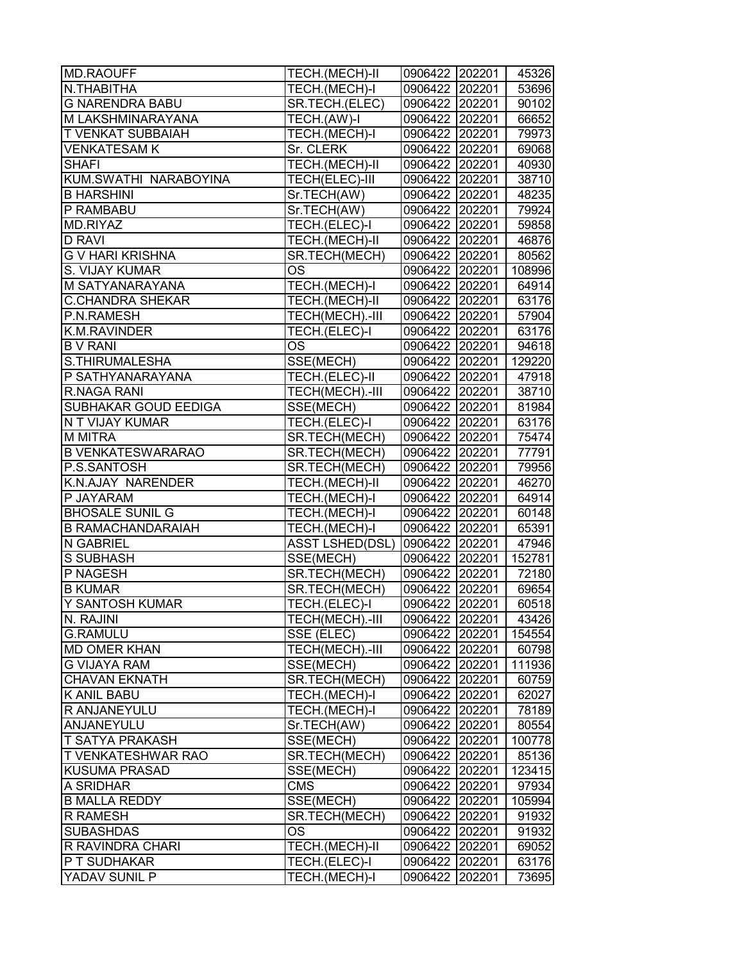| MD.RAOUFF                   | TECH.(MECH)-II         | 0906422 202201 | 45326  |
|-----------------------------|------------------------|----------------|--------|
| N.THABITHA                  | TECH.(MECH)-I          | 0906422 202201 | 53696  |
| <b>G NARENDRA BABU</b>      | SR.TECH.(ELEC)         | 0906422 202201 | 90102  |
| M LAKSHMINARAYANA           | TECH.(AW)-I            | 0906422 202201 | 66652  |
| <b>T VENKAT SUBBAIAH</b>    | TECH.(MECH)-I          | 0906422 202201 | 79973  |
| <b>VENKATESAM K</b>         | Sr. CLERK              | 0906422 202201 | 69068  |
| <b>SHAFI</b>                | TECH.(MECH)-II         | 0906422 202201 | 40930  |
| KUM.SWATHI NARABOYINA       | TECH(ELEC)-III         | 0906422 202201 | 38710  |
| <b>B HARSHINI</b>           | Sr.TECH(AW)            | 0906422 202201 | 48235  |
| P RAMBABU                   | Sr.TECH(AW)            | 0906422 202201 | 79924  |
| MD.RIYAZ                    | TECH.(ELEC)-I          | 0906422 202201 | 59858  |
| <b>D RAVI</b>               | TECH.(MECH)-II         | 0906422 202201 | 46876  |
| <b>G V HARI KRISHNA</b>     | SR.TECH(MECH)          | 0906422 202201 | 80562  |
| S. VIJAY KUMAR              | OS                     | 0906422 202201 | 108996 |
| M SATYANARAYANA             | TECH.(MECH)-I          | 0906422 202201 | 64914  |
| <b>C.CHANDRA SHEKAR</b>     | TECH.(MECH)-II         | 0906422 202201 | 63176  |
| P.N.RAMESH                  | TECH(MECH).-III        | 0906422 202201 | 57904  |
| K.M.RAVINDER                | TECH.(ELEC)-I          | 0906422 202201 | 63176  |
| <b>B V RANI</b>             | OS                     | 0906422 202201 | 94618  |
| S.THIRUMALESHA              | SSE(MECH)              | 0906422 202201 | 129220 |
| P SATHYANARAYANA            | TECH.(ELEC)-II         | 0906422 202201 | 47918  |
| R.NAGA RANI                 | TECH(MECH).-III        | 0906422 202201 | 38710  |
| <b>SUBHAKAR GOUD EEDIGA</b> | SSE(MECH)              | 0906422 202201 | 81984  |
| N T VIJAY KUMAR             | TECH.(ELEC)-I          | 0906422 202201 | 63176  |
| <b>M MITRA</b>              | SR.TECH(MECH)          | 0906422 202201 | 75474  |
| <b>B VENKATESWARARAO</b>    | SR.TECH(MECH)          | 0906422 202201 | 77791  |
| P.S.SANTOSH                 | SR.TECH(MECH)          | 0906422 202201 | 79956  |
| K.N.AJAY NARENDER           | TECH.(MECH)-II         | 0906422 202201 | 46270  |
| P JAYARAM                   | TECH.(MECH)-I          | 0906422 202201 | 64914  |
| <b>BHOSALE SUNIL G</b>      | TECH.(MECH)-I          | 0906422 202201 | 60148  |
| <b>B RAMACHANDARAIAH</b>    | TECH.(MECH)-I          | 0906422 202201 | 65391  |
| <b>N GABRIEL</b>            | <b>ASST LSHED(DSL)</b> | 0906422 202201 | 47946  |
| <b>S SUBHASH</b>            | SSE(MECH)              | 0906422 202201 | 152781 |
| P NAGESH                    | SR.TECH(MECH)          | 0906422 202201 | 72180  |
| <b>B KUMAR</b>              | SR.TECH(MECH)          | 0906422 202201 | 69654  |
| Y SANTOSH KUMAR             | TECH.(ELEC)-I          | 0906422 202201 | 60518  |
| N. RAJINI                   | TECH(MECH).-III        | 0906422 202201 | 43426  |
| <b>G.RAMULU</b>             | SSE (ELEC)             | 0906422 202201 | 154554 |
| <b>MD OMER KHAN</b>         | TECH(MECH).-III        | 0906422 202201 | 60798  |
| <b>G VIJAYA RAM</b>         | SSE(MECH)              | 0906422 202201 | 111936 |
| <b>CHAVAN EKNATH</b>        | SR.TECH(MECH)          | 0906422 202201 | 60759  |
| <b>K ANIL BABU</b>          | TECH.(MECH)-I          | 0906422 202201 | 62027  |
| R ANJANEYULU                | TECH.(MECH)-I          | 0906422 202201 | 78189  |
| ANJANEYULU                  | Sr.TECH(AW)            | 0906422 202201 | 80554  |
| <b>T SATYA PRAKASH</b>      | SSE(MECH)              | 0906422 202201 | 100778 |
| <b>T VENKATESHWAR RAO</b>   | SR.TECH(MECH)          | 0906422 202201 | 85136  |
| <b>KUSUMA PRASAD</b>        | SSE(MECH)              | 0906422 202201 | 123415 |
| A SRIDHAR                   | <b>CMS</b>             | 0906422 202201 | 97934  |
| <b>B MALLA REDDY</b>        | SSE(MECH)              | 0906422 202201 | 105994 |
| <b>R RAMESH</b>             | SR.TECH(MECH)          | 0906422 202201 | 91932  |
| <b>SUBASHDAS</b>            | OS                     | 0906422 202201 | 91932  |
| R RAVINDRA CHARI            | TECH.(MECH)-II         | 0906422 202201 | 69052  |
| P T SUDHAKAR                | TECH.(ELEC)-I          | 0906422 202201 | 63176  |
| YADAV SUNIL P               | TECH.(MECH)-I          | 0906422 202201 | 73695  |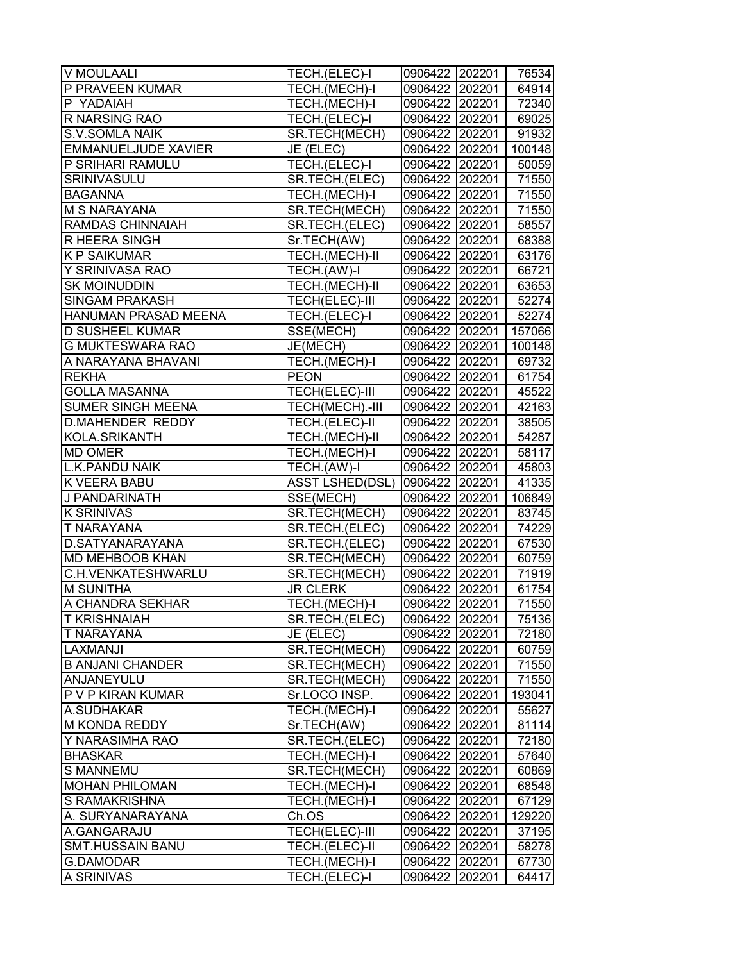| V MOULAALI                  | TECH.(ELEC)-I          | 0906422 202201 | 76534  |
|-----------------------------|------------------------|----------------|--------|
| P PRAVEEN KUMAR             | TECH.(MECH)-I          | 0906422 202201 | 64914  |
| P YADAIAH                   | TECH.(MECH)-I          | 0906422 202201 | 72340  |
| R NARSING RAO               | TECH.(ELEC)-I          | 0906422 202201 | 69025  |
| <b>S.V.SOMLA NAIK</b>       | SR.TECH(MECH)          | 0906422 202201 | 91932  |
| <b>EMMANUELJUDE XAVIER</b>  | JE (ELEC)              | 0906422 202201 | 100148 |
| P SRIHARI RAMULU            | TECH.(ELEC)-I          | 0906422 202201 | 50059  |
| SRINIVASULU                 | SR.TECH.(ELEC)         | 0906422 202201 | 71550  |
| <b>BAGANNA</b>              | TECH.(MECH)-I          | 0906422 202201 | 71550  |
| <b>M S NARAYANA</b>         | SR.TECH(MECH)          | 0906422 202201 | 71550  |
| <b>RAMDAS CHINNAIAH</b>     | SR.TECH.(ELEC)         | 0906422 202201 | 58557  |
| R HEERA SINGH               | Sr.TECH(AW)            | 0906422 202201 | 68388  |
| <b>K P SAIKUMAR</b>         | TECH.(MECH)-II         | 0906422 202201 | 63176  |
| Y SRINIVASA RAO             | TECH.(AW)-I            | 0906422 202201 | 66721  |
| <b>SK MOINUDDIN</b>         | TECH.(MECH)-II         | 0906422 202201 | 63653  |
| <b>SINGAM PRAKASH</b>       | TECH(ELEC)-III         | 0906422 202201 | 52274  |
| <b>HANUMAN PRASAD MEENA</b> | TECH.(ELEC)-I          | 0906422 202201 | 52274  |
| <b>D SUSHEEL KUMAR</b>      | SSE(MECH)              | 0906422 202201 | 157066 |
| <b>G MUKTESWARA RAO</b>     | JE(MECH)               | 0906422 202201 | 100148 |
| A NARAYANA BHAVANI          | TECH.(MECH)-I          | 0906422 202201 | 69732  |
| <b>REKHA</b>                | <b>PEON</b>            | 0906422 202201 | 61754  |
| <b>GOLLA MASANNA</b>        | TECH(ELEC)-III         | 0906422 202201 | 45522  |
| <b>SUMER SINGH MEENA</b>    | TECH(MECH).-III        | 0906422 202201 | 42163  |
| <b>D.MAHENDER REDDY</b>     | TECH.(ELEC)-II         | 0906422 202201 | 38505  |
| KOLA.SRIKANTH               | TECH.(MECH)-II         | 0906422 202201 | 54287  |
| <b>MD OMER</b>              | TECH.(MECH)-I          | 0906422 202201 | 58117  |
| <b>L.K.PANDU NAIK</b>       | TECH.(AW)-I            | 0906422 202201 | 45803  |
| <b>K VEERA BABU</b>         | <b>ASST LSHED(DSL)</b> | 0906422 202201 | 41335  |
| J PANDARINATH               | SSE(MECH)              | 0906422 202201 | 106849 |
| <b>K SRINIVAS</b>           | SR.TECH(MECH)          | 0906422 202201 | 83745  |
| <b>T NARAYANA</b>           | SR.TECH.(ELEC)         | 0906422 202201 | 74229  |
| D.SATYANARAYANA             | SR.TECH.(ELEC)         | 0906422 202201 | 67530  |
| <b>MD MEHBOOB KHAN</b>      | SR.TECH(MECH)          | 0906422 202201 | 60759  |
| C.H.VENKATESHWARLU          | SR.TECH(MECH)          | 0906422 202201 | 71919  |
| <b>M SUNITHA</b>            | <b>JR CLERK</b>        | 0906422 202201 | 61754  |
| A CHANDRA SEKHAR            | TECH.(MECH)-I          | 0906422 202201 | 71550  |
| <b>T KRISHNAIAH</b>         | SR.TECH.(ELEC)         | 0906422 202201 | 75136  |
| T NARAYANA                  | JE (ELEC)              | 0906422 202201 | 72180  |
| ILAXMANJI                   | SR.TECH(MECH)          | 0906422 202201 | 60759  |
| <b>B ANJANI CHANDER</b>     | SR.TECH(MECH)          | 0906422 202201 | 71550  |
| ANJANEYULU                  | SR.TECH(MECH)          | 0906422 202201 | 71550  |
| P V P KIRAN KUMAR           | Sr.LOCO INSP.          | 0906422 202201 | 193041 |
| A.SUDHAKAR                  | TECH.(MECH)-I          | 0906422 202201 | 55627  |
| <b>M KONDA REDDY</b>        | Sr.TECH(AW)            | 0906422 202201 | 81114  |
| Y NARASIMHA RAO             | SR.TECH.(ELEC)         | 0906422 202201 | 72180  |
| <b>BHASKAR</b>              | TECH.(MECH)-I          | 0906422 202201 | 57640  |
| <b>S MANNEMU</b>            | SR.TECH(MECH)          | 0906422 202201 | 60869  |
| <b>MOHAN PHILOMAN</b>       | TECH.(MECH)-I          | 0906422 202201 | 68548  |
| S RAMAKRISHNA               | TECH.(MECH)-I          | 0906422 202201 | 67129  |
| A. SURYANARAYANA            | Ch.OS                  | 0906422 202201 | 129220 |
| A.GANGARAJU                 | <b>TECH(ELEC)-III</b>  | 0906422 202201 | 37195  |
| <b>SMT.HUSSAIN BANU</b>     | TECH.(ELEC)-II         | 0906422 202201 | 58278  |
| G.DAMODAR                   | TECH.(MECH)-I          | 0906422 202201 | 67730  |
| A SRINIVAS                  | TECH.(ELEC)-I          | 0906422 202201 | 64417  |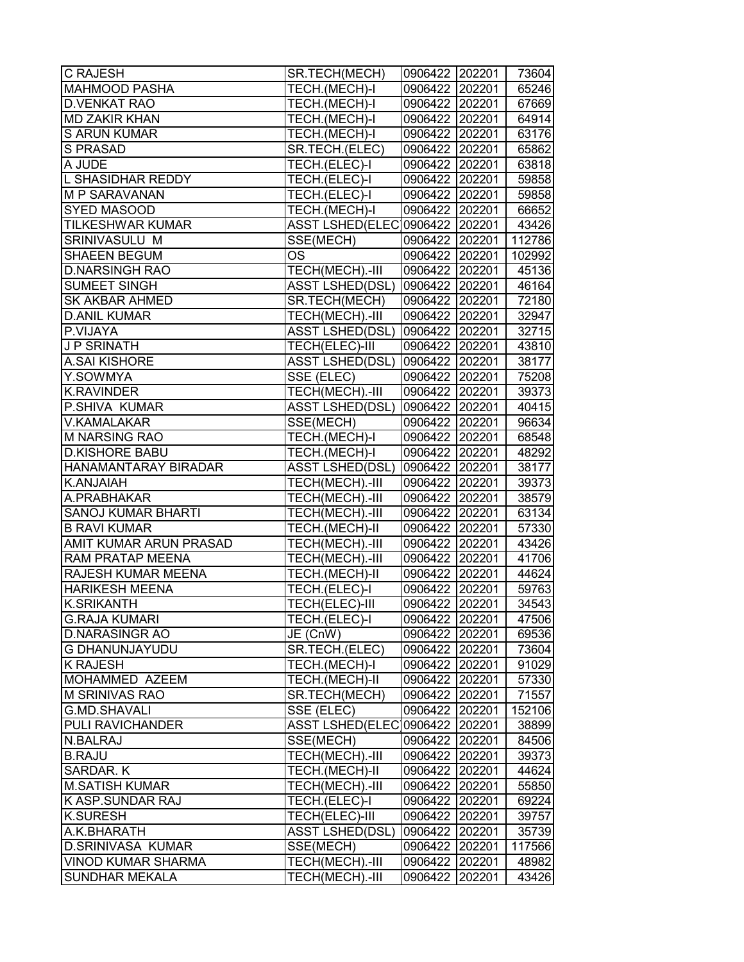| <b>C RAJESH</b>           | SR.TECH(MECH)                  | 0906422 202201 |        | 73604  |
|---------------------------|--------------------------------|----------------|--------|--------|
| <b>MAHMOOD PASHA</b>      | TECH.(MECH)-I                  | 0906422 202201 |        | 65246  |
| <b>D.VENKAT RAO</b>       | TECH.(MECH)-I                  | 0906422 202201 |        | 67669  |
| <b>MD ZAKIR KHAN</b>      | TECH.(MECH)-I                  | 0906422 202201 |        | 64914  |
| <b>S ARUN KUMAR</b>       | TECH.(MECH)-I                  | 0906422 202201 |        | 63176  |
| <b>S PRASAD</b>           | SR.TECH.(ELEC)                 | 0906422 202201 |        | 65862  |
| A JUDE                    | TECH.(ELEC)-I                  | 0906422 202201 |        | 63818  |
| L SHASIDHAR REDDY         | TECH.(ELEC)-I                  | 0906422 202201 |        | 59858  |
| <b>M P SARAVANAN</b>      | TECH.(ELEC)-I                  | 0906422 202201 |        | 59858  |
| <b>SYED MASOOD</b>        | TECH.(MECH)-I                  | 0906422 202201 |        | 66652  |
| <b>TILKESHWAR KUMAR</b>   | ASST LSHED(ELEC 0906422 202201 |                |        | 43426  |
| <b>SRINIVASULU M</b>      | SSE(MECH)                      | 0906422 202201 |        | 112786 |
| SHAEEN BEGUM              | OS                             | 0906422 202201 |        | 102992 |
| <b>D.NARSINGH RAO</b>     | TECH(MECH).-III                | 0906422 202201 |        | 45136  |
| <b>SUMEET SINGH</b>       | <b>ASST LSHED(DSL)</b>         | 0906422 202201 |        | 46164  |
| <b>SK AKBAR AHMED</b>     | SR.TECH(MECH)                  | 0906422 202201 |        | 72180  |
| <b>D.ANIL KUMAR</b>       | TECH(MECH).-III                | 0906422 202201 |        | 32947  |
| P.VIJAYA                  | <b>ASST LSHED(DSL)</b>         | 0906422 202201 |        | 32715  |
| J P SRINATH               | TECH(ELEC)-III                 | 0906422 202201 |        | 43810  |
| <b>A.SAI KISHORE</b>      | <b>ASST LSHED(DSL)</b>         | 0906422 202201 |        | 38177  |
| Y.SOWMYA                  | SSE (ELEC)                     | 0906422 202201 |        | 75208  |
| <b>K.RAVINDER</b>         | TECH(MECH).-III                | 0906422 202201 |        | 39373  |
| <b>P.SHIVA KUMAR</b>      | <b>ASST LSHED(DSL)</b>         | 0906422 202201 |        | 40415  |
| <b>V.KAMALAKAR</b>        | SSE(MECH)                      | 0906422 202201 |        | 96634  |
| <b>M NARSING RAO</b>      | TECH.(MECH)-I                  | 0906422 202201 |        | 68548  |
| <b>D.KISHORE BABU</b>     | TECH.(MECH)-I                  | 0906422 202201 |        | 48292  |
| HANAMANTARAY BIRADAR      | <b>ASST LSHED(DSL)</b>         | 0906422 202201 |        | 38177  |
| K.ANJAIAH                 | TECH(MECH).-III                | 0906422 202201 |        | 39373  |
| A.PRABHAKAR               | TECH(MECH).-III                | 0906422 202201 |        | 38579  |
| <b>SANOJ KUMAR BHARTI</b> | TECH(MECH).-III                | 0906422 202201 |        | 63134  |
| <b>B RAVI KUMAR</b>       | TECH.(MECH)-II                 | 0906422 202201 |        | 57330  |
| AMIT KUMAR ARUN PRASAD    | TECH(MECH).-III                | 0906422 202201 |        | 43426  |
| RAM PRATAP MEENA          | TECH(MECH).-III                | 0906422 202201 |        | 41706  |
| RAJESH KUMAR MEENA        | TECH.(MECH)-II                 | 0906422 202201 |        | 44624  |
| <b>HARIKESH MEENA</b>     | TECH.(ELEC)-I                  | 0906422 202201 |        | 59763  |
| <b>K.SRIKANTH</b>         | <b>TECH(ELEC)-III</b>          | 0906422 202201 |        | 34543  |
| <b>G.RAJA KUMARI</b>      | TECH.(ELEC)-I                  | 0906422 202201 |        | 47506  |
| <b>D.NARASINGR AO</b>     | JE (CnW)                       | 0906422 202201 |        | 69536  |
| <b>G DHANUNJAYUDU</b>     | SR.TECH.(ELEC)                 | 0906422 202201 |        | 73604  |
| <b>K RAJESH</b>           | TECH.(MECH)-I                  | 0906422 202201 |        | 91029  |
| MOHAMMED AZEEM            | TECH.(MECH)-II                 | 0906422 202201 |        | 57330  |
| <b>M SRINIVAS RAO</b>     | SR.TECH(MECH)                  | 0906422 202201 |        | 71557  |
| G.MD.SHAVALI              | SSE (ELEC)                     | 0906422 202201 |        | 152106 |
| PULI RAVICHANDER          | <b>ASST LSHED(ELEC)</b>        | 0906422 202201 |        | 38899  |
| N.BALRAJ                  | SSE(MECH)                      | 0906422 202201 |        | 84506  |
| <b>B.RAJU</b>             | TECH(MECH).-III                | 0906422 202201 |        | 39373  |
| SARDAR. K                 | TECH.(MECH)-II                 | 0906422 202201 |        | 44624  |
| <b>M.SATISH KUMAR</b>     | TECH(MECH).-III                | 0906422 202201 |        | 55850  |
| <b>K ASP.SUNDAR RAJ</b>   | TECH.(ELEC)-I                  | 0906422 202201 |        | 69224  |
| <b>K.SURESH</b>           | TECH(ELEC)-III                 | 0906422 202201 |        | 39757  |
| A.K.BHARATH               | <b>ASST LSHED(DSL)</b>         | 0906422 202201 |        | 35739  |
| D.SRINIVASA KUMAR         | SSE(MECH)                      | 0906422        | 202201 | 117566 |
| <b>VINOD KUMAR SHARMA</b> | TECH(MECH).-III                | 0906422 202201 |        | 48982  |
| <b>SUNDHAR MEKALA</b>     | TECH(MECH).-III                | 0906422        | 202201 | 43426  |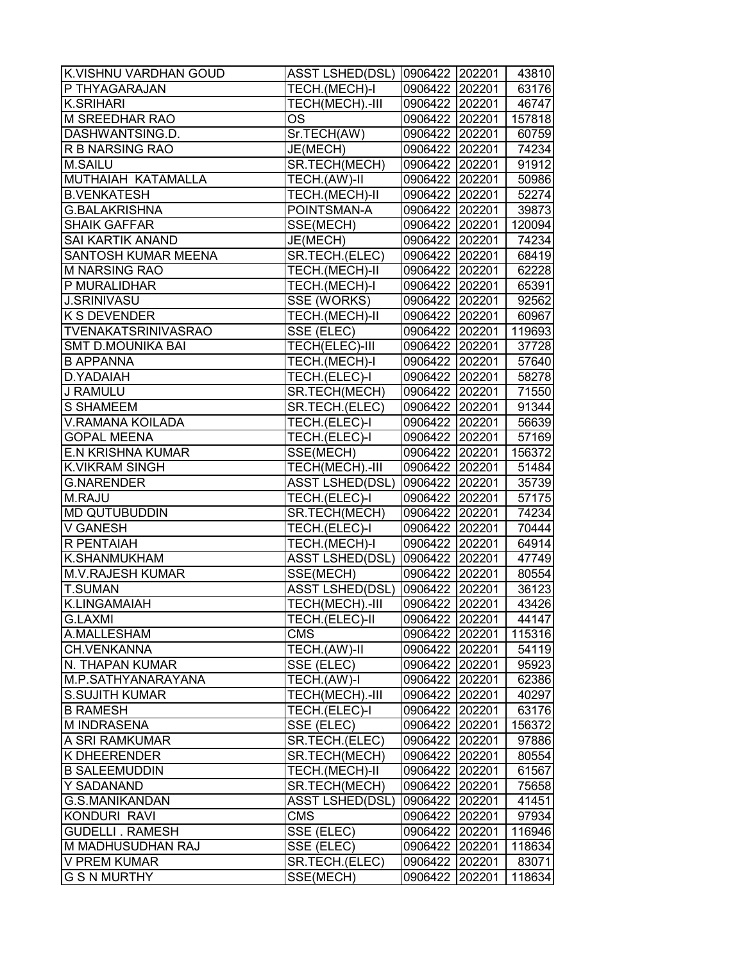| K.VISHNU VARDHAN GOUD      | ASST LSHED(DSL)  0906422  202201 |                |        | 43810  |
|----------------------------|----------------------------------|----------------|--------|--------|
| P THYAGARAJAN              | TECH.(MECH)-I                    | 0906422 202201 |        | 63176  |
| <b>K.SRIHARI</b>           | TECH(MECH).-III                  | 0906422 202201 |        | 46747  |
| <b>M SREEDHAR RAO</b>      | OS                               | 0906422 202201 |        | 157818 |
| DASHWANTSING.D.            | Sr.TECH(AW)                      | 0906422 202201 |        | 60759  |
| <b>R B NARSING RAO</b>     | JE(MECH)                         | 0906422 202201 |        | 74234  |
| <b>M.SAILU</b>             | SR.TECH(MECH)                    | 0906422 202201 |        | 91912  |
| MUTHAIAH KATAMALLA         | TECH.(AW)-II                     | 0906422 202201 |        | 50986  |
| <b>B.VENKATESH</b>         | TECH.(MECH)-II                   | 0906422 202201 |        | 52274  |
| <b>G.BALAKRISHNA</b>       | POINTSMAN-A                      | 0906422 202201 |        | 39873  |
| <b>SHAIK GAFFAR</b>        | SSE(MECH)                        | 0906422 202201 |        | 120094 |
| <b>SAI KARTIK ANAND</b>    | JE(MECH)                         | 0906422 202201 |        | 74234  |
| <b>SANTOSH KUMAR MEENA</b> | SR.TECH.(ELEC)                   | 0906422 202201 |        | 68419  |
| <b>M NARSING RAO</b>       | TECH.(MECH)-II                   | 0906422 202201 |        | 62228  |
| P MURALIDHAR               | TECH.(MECH)-I                    | 0906422 202201 |        | 65391  |
| <b>J.SRINIVASU</b>         | SSE (WORKS)                      | 0906422 202201 |        | 92562  |
| K S DEVENDER               | TECH.(MECH)-II                   | 0906422 202201 |        | 60967  |
| <b>TVENAKATSRINIVASRAO</b> | SSE (ELEC)                       | 0906422 202201 |        | 119693 |
| <b>SMT D.MOUNIKA BAI</b>   | TECH(ELEC)-III                   | 0906422 202201 |        | 37728  |
| <b>B APPANNA</b>           | TECH.(MECH)-I                    | 0906422 202201 |        | 57640  |
| D.YADAIAH                  | TECH.(ELEC)-I                    | 0906422 202201 |        | 58278  |
| J RAMULU                   | SR.TECH(MECH)                    | 0906422 202201 |        | 71550  |
| <b>S SHAMEEM</b>           | SR.TECH.(ELEC)                   | 0906422 202201 |        | 91344  |
| V.RAMANA KOILADA           | TECH.(ELEC)-I                    | 0906422 202201 |        | 56639  |
| <b>GOPAL MEENA</b>         | TECH.(ELEC)-I                    | 0906422 202201 |        | 57169  |
| <b>E.N KRISHNA KUMAR</b>   | SSE(MECH)                        | 0906422 202201 |        | 156372 |
| <b>K.VIKRAM SINGH</b>      | TECH(MECH).-III                  | 0906422 202201 |        | 51484  |
| <b>G.NARENDER</b>          | <b>ASST LSHED(DSL)</b>           | 0906422 202201 |        | 35739  |
| M.RAJU                     | TECH.(ELEC)-I                    | 0906422 202201 |        | 57175  |
| <b>MD QUTUBUDDIN</b>       | SR.TECH(MECH)                    | 0906422 202201 |        | 74234  |
| <b>V GANESH</b>            | TECH.(ELEC)-I                    | 0906422 202201 |        | 70444  |
| R PENTAIAH                 | TECH.(MECH)-I                    | 0906422 202201 |        | 64914  |
| K.SHANMUKHAM               | <b>ASST LSHED(DSL)</b>           | 0906422 202201 |        | 47749  |
| M.V.RAJESH KUMAR           | SSE(MECH)                        | 0906422 202201 |        | 80554  |
| <b>T.SUMAN</b>             | <b>ASST LSHED(DSL)</b>           | 0906422 202201 |        | 36123  |
| K.LINGAMAIAH               | TECH(MECH).-III                  | 0906422 202201 |        | 43426  |
| <b>G.LAXMI</b>             | TECH.(ELEC)-II                   | 0906422 202201 |        | 44147  |
| A.MALLESHAM                | <b>CMS</b>                       | 0906422 202201 |        | 115316 |
| CH.VENKANNA                | TECH.(AW)-II                     | 0906422 202201 |        | 54119  |
| N. THAPAN KUMAR            | SSE (ELEC)                       | 0906422 202201 |        | 95923  |
| M.P.SATHYANARAYANA         | TECH.(AW)-I                      | 0906422 202201 |        | 62386  |
| <b>S.SUJITH KUMAR</b>      | TECH(MECH).-III                  | 0906422 202201 |        | 40297  |
| <b>B RAMESH</b>            | TECH.(ELEC)-I                    | 0906422 202201 |        | 63176  |
| <b>M INDRASENA</b>         | SSE (ELEC)                       | 0906422 202201 |        | 156372 |
| A SRI RAMKUMAR             | SR.TECH.(ELEC)                   | 0906422 202201 |        | 97886  |
| <b>K DHEERENDER</b>        | SR.TECH(MECH)                    | 0906422 202201 |        | 80554  |
| <b>B SALEEMUDDIN</b>       | TECH.(MECH)-II                   | 0906422 202201 |        | 61567  |
| Y SADANAND                 | SR.TECH(MECH)                    | 0906422 202201 |        | 75658  |
| G.S.MANIKANDAN             | <b>ASST LSHED(DSL)</b>           | 0906422 202201 |        | 41451  |
| <b>KONDURI RAVI</b>        | <b>CMS</b>                       | 0906422 202201 |        | 97934  |
| <b>GUDELLI . RAMESH</b>    | SSE (ELEC)                       | 0906422 202201 |        | 116946 |
| M MADHUSUDHAN RAJ          | SSE (ELEC)                       | 0906422 202201 |        | 118634 |
| V PREM KUMAR               | SR.TECH.(ELEC)                   | 0906422 202201 |        | 83071  |
| <b>G S N MURTHY</b>        | SSE(MECH)                        | 0906422        | 202201 | 118634 |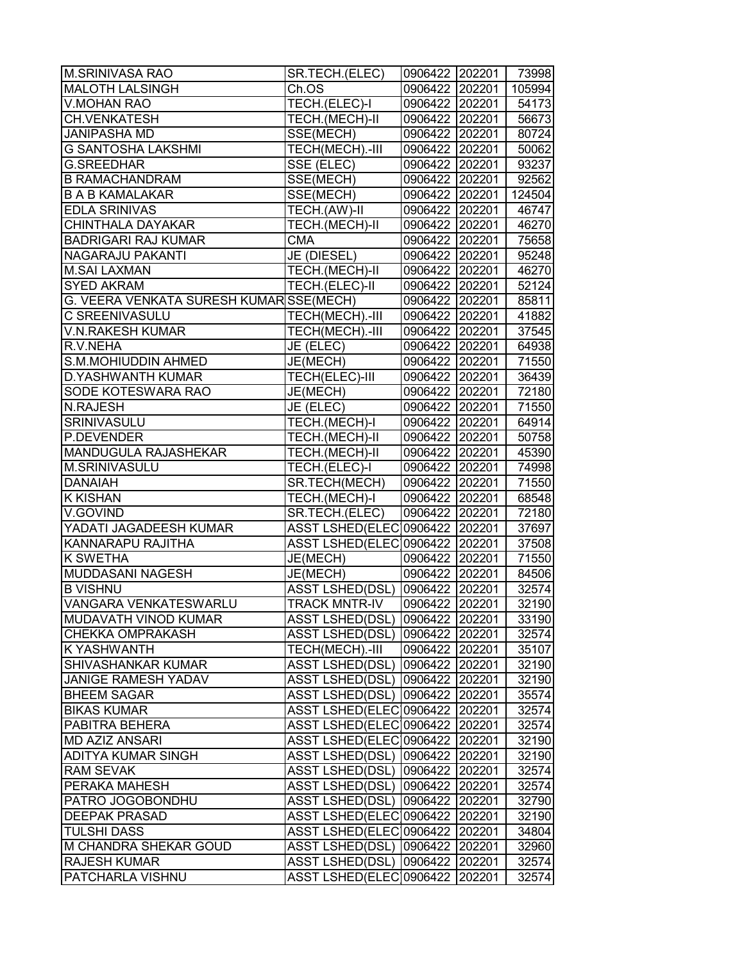| <b>M.SRINIVASA RAO</b>                  | SR.TECH.(ELEC)                   | 0906422 202201 |        | 73998  |
|-----------------------------------------|----------------------------------|----------------|--------|--------|
| <b>MALOTH LALSINGH</b>                  | Ch.OS                            | 0906422 202201 |        | 105994 |
| <b>V.MOHAN RAO</b>                      | TECH.(ELEC)-I                    | 0906422 202201 |        | 54173  |
| <b>CH.VENKATESH</b>                     | TECH.(MECH)-II                   | 0906422 202201 |        | 56673  |
| <b>JANIPASHA MD</b>                     | SSE(MECH)                        | 0906422 202201 |        | 80724  |
| <b>G SANTOSHA LAKSHMI</b>               | TECH(MECH).-III                  | 0906422 202201 |        | 50062  |
| <b>G.SREEDHAR</b>                       | SSE (ELEC)                       | 0906422 202201 |        | 93237  |
| <b>B RAMACHANDRAM</b>                   | SSE(MECH)                        | 0906422 202201 |        | 92562  |
| <b>B A B KAMALAKAR</b>                  | SSE(MECH)                        | 0906422 202201 |        | 124504 |
| <b>EDLA SRINIVAS</b>                    | TECH.(AW)-II                     | 0906422 202201 |        | 46747  |
| CHINTHALA DAYAKAR                       | TECH.(MECH)-II                   | 0906422 202201 |        | 46270  |
| <b>BADRIGARI RAJ KUMAR</b>              | <b>CMA</b>                       | 0906422 202201 |        | 75658  |
| <b>NAGARAJU PAKANTI</b>                 | JE (DIESEL)                      | 0906422 202201 |        | 95248  |
| <b>M.SAI LAXMAN</b>                     | TECH.(MECH)-II                   | 0906422 202201 |        | 46270  |
| <b>SYED AKRAM</b>                       | TECH.(ELEC)-II                   | 0906422 202201 |        | 52124  |
| G. VEERA VENKATA SURESH KUMAR SSE(MECH) |                                  | 0906422 202201 |        | 85811  |
| C SREENIVASULU                          | TECH(MECH).-III                  | 0906422 202201 |        | 41882  |
| <b>V.N.RAKESH KUMAR</b>                 | TECH(MECH).-III                  | 0906422 202201 |        | 37545  |
| R.V.NEHA                                | JE (ELEC)                        | 0906422 202201 |        | 64938  |
| S.M.MOHIUDDIN AHMED                     | JE(MECH)                         | 0906422 202201 |        | 71550  |
| <b>D.YASHWANTH KUMAR</b>                | TECH(ELEC)-III                   | 0906422 202201 |        | 36439  |
| SODE KOTESWARA RAO                      | JE(MECH)                         | 0906422 202201 |        | 72180  |
| <b>N.RAJESH</b>                         | JE (ELEC)                        | 0906422 202201 |        | 71550  |
| SRINIVASULU                             |                                  |                |        |        |
|                                         | TECH.(MECH)-I                    | 0906422 202201 |        | 64914  |
| P.DEVENDER                              | TECH.(MECH)-II                   | 0906422 202201 |        | 50758  |
| <b>MANDUGULA RAJASHEKAR</b>             | TECH.(MECH)-II                   | 0906422 202201 |        | 45390  |
| M.SRINIVASULU                           | TECH.(ELEC)-I                    | 0906422 202201 |        | 74998  |
| <b>DANAIAH</b>                          | SR.TECH(MECH)                    | 0906422 202201 |        | 71550  |
| <b>K KISHAN</b>                         | TECH.(MECH)-I                    | 0906422 202201 |        | 68548  |
| V.GOVIND                                | SR.TECH.(ELEC)                   | 0906422 202201 |        | 72180  |
| YADATI JAGADEESH KUMAR                  | ASST LSHED(ELEC 0906422 202201   |                |        | 37697  |
| <b>KANNARAPU RAJITHA</b>                | ASST LSHED(ELEC 0906422 202201   |                |        | 37508  |
| <b>K SWETHA</b>                         | JE(MECH)                         | 0906422 202201 |        | 71550  |
| MUDDASANI NAGESH                        | JE(MECH)                         | 0906422 202201 |        | 84506  |
| <b>B VISHNU</b>                         | <b>ASST LSHED(DSL)</b>           | 0906422 202201 |        | 32574  |
| VANGARA VENKATESWARLU                   | <b>TRACK MNTR-IV</b>             | 0906422 202201 |        | 32190  |
| MUDAVATH VINOD KUMAR                    | <b>ASST LSHED(DSL)</b>           | 0906422 202201 |        | 33190  |
| <b>CHEKKA OMPRAKASH</b>                 | <b>ASST LSHED(DSL)</b>           | 0906422 202201 |        | 32574  |
| <b>K YASHWANTH</b>                      | TECH(MECH).-III                  | 0906422 202201 |        | 35107  |
| SHIVASHANKAR KUMAR                      | <b>ASST LSHED(DSL)</b>           | 0906422 202201 |        | 32190  |
| <b>JANIGE RAMESH YADAV</b>              | <b>ASST LSHED(DSL)</b>           | 0906422 202201 |        | 32190  |
| <b>BHEEM SAGAR</b>                      | ASST LSHED(DSL) 0906422 202201   |                |        | 35574  |
| <b>BIKAS KUMAR</b>                      | ASST LSHED(ELEC 0906422 202201   |                |        | 32574  |
| PABITRA BEHERA                          | ASST LSHED(ELEC 0906422 202201   |                |        | 32574  |
| <b>MD AZIZ ANSARI</b>                   | ASST LSHED(ELEC 0906422 202201   |                |        | 32190  |
| ADITYA KUMAR SINGH                      | <b>ASST LSHED(DSL)</b>           | 0906422 202201 |        | 32190  |
| <b>RAM SEVAK</b>                        | <b>ASST LSHED(DSL)</b>           | 0906422 202201 |        | 32574  |
| PERAKA MAHESH                           | <b>ASST LSHED(DSL)</b>           | 0906422 202201 |        | 32574  |
| PATRO JOGOBONDHU                        | ASST LSHED(DSL)  0906422  202201 |                |        | 32790  |
| <b>DEEPAK PRASAD</b>                    | ASST LSHED(ELEC 0906422          |                | 202201 | 32190  |
| <b>TULSHI DASS</b>                      | ASST LSHED(ELEC 0906422          |                | 202201 | 34804  |
| <b>M CHANDRA SHEKAR GOUD</b>            | <b>ASST LSHED(DSL)</b>           | 0906422        | 202201 | 32960  |
| <b>RAJESH KUMAR</b>                     | <b>ASST LSHED(DSL)</b>           | 0906422        | 202201 | 32574  |
| <b>PATCHARLA VISHNU</b>                 | ASST LSHED(ELEC 0906422          |                | 202201 | 32574  |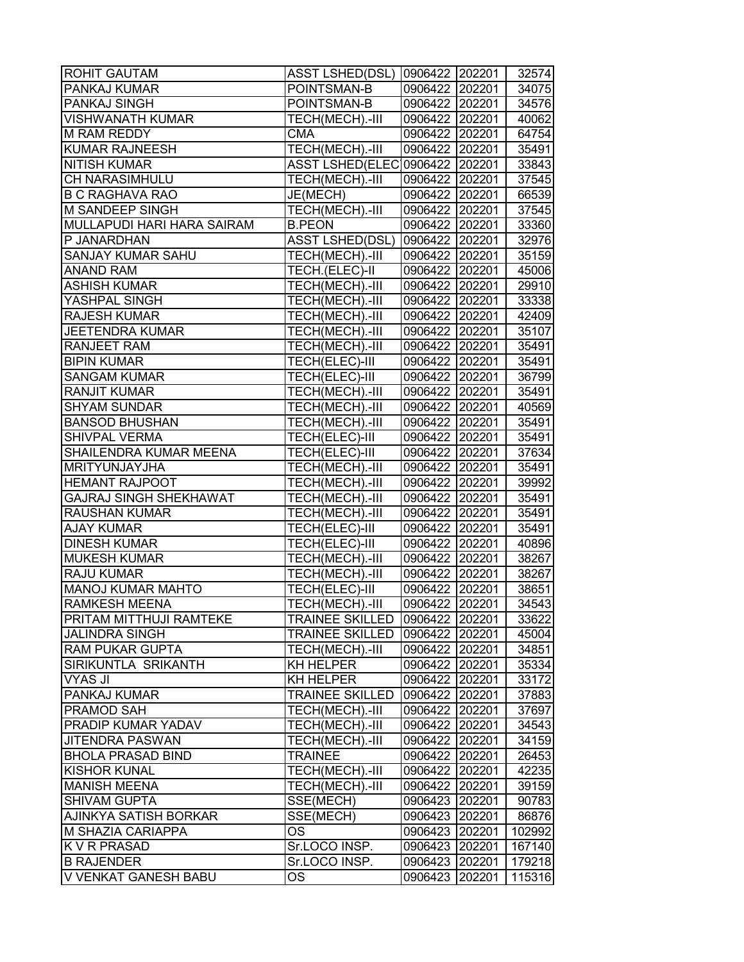| <b>ROHIT GAUTAM</b>           | <b>ASST LSHED(DSL)</b>         | 0906422 202201 |        | 32574  |
|-------------------------------|--------------------------------|----------------|--------|--------|
| PANKAJ KUMAR                  | POINTSMAN-B                    | 0906422 202201 |        | 34075  |
| PANKAJ SINGH                  | POINTSMAN-B                    | 0906422 202201 |        | 34576  |
| <b>VISHWANATH KUMAR</b>       | TECH(MECH).-III                | 0906422 202201 |        | 40062  |
| <b>M RAM REDDY</b>            | <b>CMA</b>                     | 0906422 202201 |        | 64754  |
| <b>KUMAR RAJNEESH</b>         | TECH(MECH).-III                | 0906422 202201 |        | 35491  |
| <b>NITISH KUMAR</b>           | ASST LSHED(ELEC 0906422 202201 |                |        | 33843  |
| CH NARASIMHULU                | TECH(MECH).-III                | 0906422 202201 |        | 37545  |
| <b>B C RAGHAVA RAO</b>        | JE(MECH)                       | 0906422 202201 |        | 66539  |
| M SANDEEP SINGH               | TECH(MECH).-III                | 0906422 202201 |        | 37545  |
| MULLAPUDI HARI HARA SAIRAM    | <b>B.PEON</b>                  | 0906422 202201 |        | 33360  |
| P JANARDHAN                   | <b>ASST LSHED(DSL)</b>         | 0906422 202201 |        | 32976  |
| SANJAY KUMAR SAHU             | TECH(MECH).-III                | 0906422 202201 |        | 35159  |
| <b>ANAND RAM</b>              | TECH.(ELEC)-II                 | 0906422 202201 |        | 45006  |
| ASHISH KUMAR                  | TECH(MECH).-III                | 0906422 202201 |        | 29910  |
| YASHPAL SINGH                 | TECH(MECH).-III                | 0906422 202201 |        | 33338  |
| <b>RAJESH KUMAR</b>           | TECH(MECH).-III                | 0906422 202201 |        | 42409  |
| <b>JEETENDRA KUMAR</b>        | TECH(MECH).-III                | 0906422 202201 |        | 35107  |
| <b>RANJEET RAM</b>            | TECH(MECH).-III                | 0906422 202201 |        | 35491  |
| <b>BIPIN KUMAR</b>            | TECH(ELEC)-III                 | 0906422 202201 |        | 35491  |
| <b>SANGAM KUMAR</b>           | TECH(ELEC)-III                 | 0906422 202201 |        | 36799  |
| <b>RANJIT KUMAR</b>           | TECH(MECH).-III                | 0906422 202201 |        | 35491  |
| <b>SHYAM SUNDAR</b>           | TECH(MECH).-III                | 0906422 202201 |        | 40569  |
| <b>BANSOD BHUSHAN</b>         | TECH(MECH).-III                | 0906422 202201 |        | 35491  |
| <b>SHIVPAL VERMA</b>          | TECH(ELEC)-III                 | 0906422 202201 |        | 35491  |
| SHAILENDRA KUMAR MEENA        | TECH(ELEC)-III                 | 0906422 202201 |        | 37634  |
| <b>MRITYUNJAYJHA</b>          | TECH(MECH).-III                | 0906422 202201 |        | 35491  |
| <b>HEMANT RAJPOOT</b>         | TECH(MECH).-III                | 0906422 202201 |        | 39992  |
| <b>GAJRAJ SINGH SHEKHAWAT</b> | TECH(MECH).-III                | 0906422 202201 |        | 35491  |
| RAUSHAN KUMAR                 | TECH(MECH).-III                | 0906422 202201 |        | 35491  |
| <b>AJAY KUMAR</b>             | TECH(ELEC)-III                 | 0906422 202201 |        | 35491  |
| <b>DINESH KUMAR</b>           | TECH(ELEC)-III                 | 0906422 202201 |        | 40896  |
| <b>MUKESH KUMAR</b>           | TECH(MECH).-III                | 0906422 202201 |        | 38267  |
| <b>RAJU KUMAR</b>             | TECH(MECH).-III                | 0906422 202201 |        | 38267  |
| <b>MANOJ KUMAR MAHTO</b>      | TECH(ELEC)-III                 | 0906422 202201 |        | 38651  |
| <b>RAMKESH MEENA</b>          | TECH(MECH).-III                | 0906422 202201 |        | 34543  |
| PRITAM MITTHUJI RAMTEKE       | <b>TRAINEE SKILLED</b>         | 0906422 202201 |        | 33622  |
| <b>JALINDRA SINGH</b>         | <b>TRAINEE SKILLED</b>         | 0906422        | 202201 | 45004  |
| <b>RAM PUKAR GUPTA</b>        | TECH(MECH).-III                | 0906422        | 202201 | 34851  |
| SIRIKUNTLA SRIKANTH           | <b>KH HELPER</b>               | 0906422        | 202201 | 35334  |
| VYAS JI                       | KH HELPER                      | 0906422        | 202201 | 33172  |
| PANKAJ KUMAR                  | <b>TRAINEE SKILLED</b>         | 0906422 202201 |        | 37883  |
| PRAMOD SAH                    | TECH(MECH).-III                | 0906422 202201 |        | 37697  |
| PRADIP KUMAR YADAV            | TECH(MECH).-III                | 0906422 202201 |        | 34543  |
| JITENDRA PASWAN               | TECH(MECH).-III                | 0906422        | 202201 | 34159  |
| <b>BHOLA PRASAD BIND</b>      | <b>TRAINEE</b>                 | 0906422        | 202201 | 26453  |
| <b>KISHOR KUNAL</b>           | TECH(MECH).-III                | 0906422        | 202201 | 42235  |
| <b>MANISH MEENA</b>           | TECH(MECH).-III                | 0906422 202201 |        | 39159  |
| <b>SHIVAM GUPTA</b>           | SSE(MECH)                      | 0906423 202201 |        | 90783  |
| AJINKYA SATISH BORKAR         | SSE(MECH)                      | 0906423        | 202201 | 86876  |
| M SHAZIA CARIAPPA             | ОS                             | 0906423        | 202201 | 102992 |
| K V R PRASAD                  | Sr.LOCO INSP.                  | 0906423        | 202201 | 167140 |
| <b>B RAJENDER</b>             | Sr.LOCO INSP.                  | 0906423        | 202201 | 179218 |
| V VENKAT GANESH BABU          | ОS                             | 0906423        | 202201 | 115316 |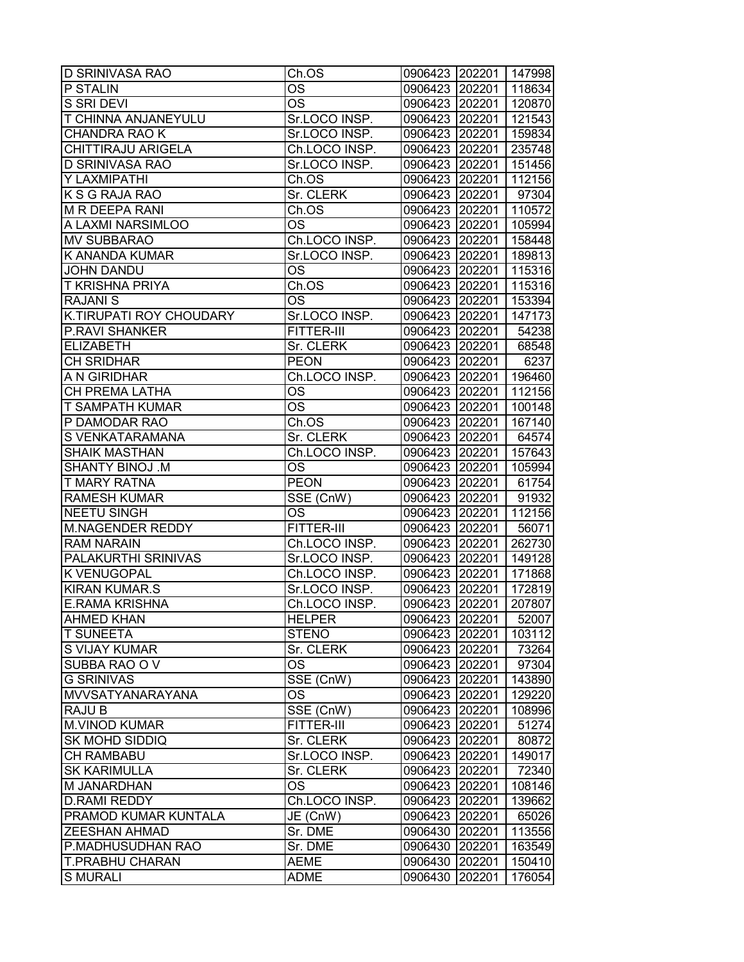| <b>D SRINIVASA RAO</b>     | Ch.OS                          | 0906423 202201 147998 |        |                  |
|----------------------------|--------------------------------|-----------------------|--------|------------------|
| P STALIN                   | ОS                             | 0906423 202201        |        | 118634           |
| S SRI DEVI                 | ОS                             | 0906423 202201        |        | 120870           |
| <b>T CHINNA ANJANEYULU</b> | Sr.LOCO INSP.                  | 0906423 202201        |        | 121543           |
| <b>CHANDRA RAO K</b>       | Sr.LOCO INSP.                  | 0906423 202201        |        | 159834           |
| CHITTIRAJU ARIGELA         | Ch.LOCO INSP.                  | 0906423 202201        |        | 235748           |
| <b>D SRINIVASA RAO</b>     | Sr.LOCO INSP.                  | 0906423 202201        |        | 151456           |
| Y LAXMIPATHI               | Ch.OS                          | 0906423 202201        |        | 112156           |
| K S G RAJA RAO             | Sr. CLERK                      | 0906423 202201        |        | 97304            |
| <b>M R DEEPA RANI</b>      | Ch.OS                          | 0906423 202201        |        | 110572           |
| A LAXMI NARSIMLOO          | OS                             | 0906423 202201        |        | 105994           |
| <b>MV SUBBARAO</b>         | Ch.LOCO INSP.                  | 0906423 202201        |        | 158448           |
| K ANANDA KUMAR             | Sr.LOCO INSP.                  | 0906423 202201        |        | 189813           |
| <b>JOHN DANDU</b>          | OS                             | 0906423 202201        |        | 115316           |
| <b>T KRISHNA PRIYA</b>     | Ch.OS                          | 0906423 202201        |        | 115316           |
| <b>RAJANIS</b>             | OS                             | 0906423 202201        |        | 153394           |
| K.TIRUPATI ROY CHOUDARY    | Sr.LOCO INSP.                  | 0906423 202201        |        | 147173           |
| <b>P.RAVI SHANKER</b>      | <b>FITTER-III</b>              | 0906423 202201        |        | 54238            |
| <b>ELIZABETH</b>           | Sr. CLERK                      | 0906423 202201        |        | 68548            |
| <b>CH SRIDHAR</b>          | <b>PEON</b>                    | 0906423 202201        |        | 6237             |
| A N GIRIDHAR               | Ch.LOCO INSP.                  | 0906423 202201        |        | 196460           |
| CH PREMA LATHA             | OS                             | 0906423 202201        |        | 112156           |
| <b>T SAMPATH KUMAR</b>     | OS                             | 0906423 202201        |        | 100148           |
| P DAMODAR RAO              | Ch.OS                          | 0906423 202201        |        | 167140           |
| S VENKATARAMANA            | Sr. CLERK                      | 0906423 202201        |        | 64574            |
| <b>SHAIK MASTHAN</b>       | Ch.LOCO INSP.                  | 0906423 202201        |        | 157643           |
| SHANTY BINOJ .M            | OS                             | 0906423 202201        |        | 105994           |
| <b>T MARY RATNA</b>        | <b>PEON</b>                    | 0906423 202201        |        | 61754            |
| <b>RAMESH KUMAR</b>        | SSE (CnW)                      |                       |        | 91932            |
| <b>NEETU SINGH</b>         |                                | 0906423 202201        |        |                  |
| <b>M.NAGENDER REDDY</b>    | ОS<br>FITTER-III               | 0906423 202201        |        | 112156           |
| <b>RAM NARAIN</b>          | Ch.LOCO INSP.                  | 0906423 202201        |        | 56071            |
| PALAKURTHI SRINIVAS        |                                | 0906423 202201        |        | 262730           |
| <b>K VENUGOPAL</b>         | Sr.LOCO INSP.                  | 0906423 202201        |        | 149128           |
|                            | Ch.LOCO INSP.<br>Sr.LOCO INSP. | 0906423 202201        |        | 171868<br>172819 |
| <b>KIRAN KUMAR.S</b>       |                                | 0906423 202201        |        |                  |
| <b>E.RAMA KRISHNA</b>      | Ch.LOCO INSP.                  | 0906423 202201        |        | 207807           |
| <b>AHMED KHAN</b>          | <b>HELPER</b>                  | 0906423 202201        |        | 52007            |
| <b>T SUNEETA</b>           | <b>STENO</b>                   | 0906423 202201        |        | 103112           |
| S VIJAY KUMAR              | Sr. CLERK                      | 0906423 202201        |        | 73264            |
| SUBBA RAO O V              | OS                             | 0906423 202201        |        | 97304            |
| <b>G SRINIVAS</b>          | SSE (CnW)                      | 0906423 202201        |        | 143890           |
| MVVSATYANARAYANA           | OS                             | 0906423 202201        |        | 129220           |
| <b>RAJU B</b>              | SSE (CnW)                      | 0906423 202201        |        | 108996           |
| <b>M.VINOD KUMAR</b>       | <b>FITTER-III</b>              | 0906423 202201        |        | 51274            |
| SK MOHD SIDDIQ             | Sr. CLERK                      | 0906423 202201        |        | 80872            |
| <b>CH RAMBABU</b>          | Sr.LOCO INSP.                  | 0906423 202201        |        | 149017           |
| <b>SK KARIMULLA</b>        | Sr. CLERK                      | 0906423               | 202201 | 72340            |
| M JANARDHAN                | OS                             | 0906423 202201        |        | 108146           |
| <b>D.RAMI REDDY</b>        | Ch.LOCO INSP.                  | 0906423 202201        |        | 139662           |
| PRAMOD KUMAR KUNTALA       | JE (CnW)                       | 0906423               | 202201 | 65026            |
| <b>ZEESHAN AHMAD</b>       | Sr. DME                        | 0906430 202201        |        | 113556           |
| P.MADHUSUDHAN RAO          | Sr. DME                        | 0906430               | 202201 | 163549           |
| <b>T.PRABHU CHARAN</b>     | <b>AEME</b>                    | 0906430               | 202201 | 150410           |
| <b>S MURALI</b>            | <b>ADME</b>                    | 0906430               | 202201 | 176054           |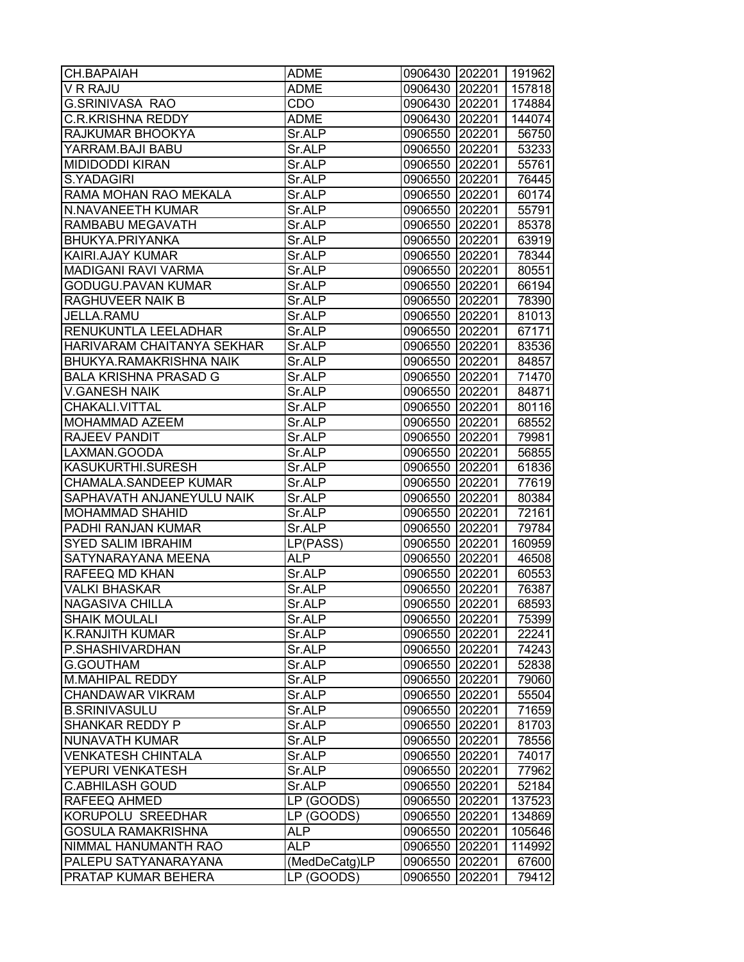| CH.BAPAIAH                     | <b>ADME</b>   | 0906430 202201 |        | 191962 |
|--------------------------------|---------------|----------------|--------|--------|
| V R RAJU                       | ADME          | 0906430        | 202201 | 157818 |
| G.SRINIVASA RAO                | CDO           | 0906430 202201 |        | 174884 |
| <b>C.R.KRISHNA REDDY</b>       | <b>ADME</b>   | 0906430 202201 |        | 144074 |
| RAJKUMAR BHOOKYA               | Sr.ALP        | 0906550 202201 |        | 56750  |
| YARRAM.BAJI BABU               | Sr.ALP        | 0906550 202201 |        | 53233  |
| <b>MIDIDODDI KIRAN</b>         | Sr.ALP        | 0906550 202201 |        | 55761  |
| S.YADAGIRI                     | Sr.ALP        | 0906550 202201 |        | 76445  |
| RAMA MOHAN RAO MEKALA          | Sr.ALP        | 0906550 202201 |        | 60174  |
| N.NAVANEETH KUMAR              | Sr.ALP        | 0906550 202201 |        | 55791  |
| RAMBABU MEGAVATH               | Sr.ALP        | 0906550 202201 |        | 85378  |
| BHUKYA.PRIYANKA                | Sr.ALP        | 0906550 202201 |        | 63919  |
| KAIRI.AJAY KUMAR               | Sr.ALP        | 0906550        | 202201 | 78344  |
| <b>MADIGANI RAVI VARMA</b>     | Sr.ALP        | 0906550        | 202201 | 80551  |
| GODUGU.PAVAN KUMAR             | Sr.ALP        | 0906550        | 202201 | 66194  |
| RAGHUVEER NAIK B               | Sr.ALP        | 0906550 202201 |        | 78390  |
| JELLA.RAMU                     | Sr.ALP        | 0906550 202201 |        | 81013  |
| RENUKUNTLA LEELADHAR           | Sr.ALP        | 0906550 202201 |        | 67171  |
| HARIVARAM CHAITANYA SEKHAR     | Sr.ALP        | 0906550 202201 |        | 83536  |
| <b>BHUKYA.RAMAKRISHNA NAIK</b> | Sr.ALP        | 0906550        | 202201 | 84857  |
| <b>BALA KRISHNA PRASAD G</b>   | Sr.ALP        | 0906550        | 202201 | 71470  |
| <b>V.GANESH NAIK</b>           | Sr.ALP        | 0906550        | 202201 | 84871  |
| CHAKALI.VITTAL                 | Sr.ALP        | 0906550 202201 |        | 80116  |
| MOHAMMAD AZEEM                 | Sr.ALP        | 0906550 202201 |        | 68552  |
| RAJEEV PANDIT                  | Sr.ALP        | 0906550        | 202201 | 79981  |
| LAXMAN.GOODA                   | Sr.ALP        | 0906550        | 202201 | 56855  |
| KASUKURTHI.SURESH              | Sr.ALP        | 0906550        | 202201 | 61836  |
| CHAMALA.SANDEEP KUMAR          | Sr.ALP        | 0906550        | 202201 | 77619  |
| SAPHAVATH ANJANEYULU NAIK      | Sr.ALP        | 0906550        | 202201 | 80384  |
| <b>MOHAMMAD SHAHID</b>         | Sr.ALP        | 0906550 202201 |        | 72161  |
| PADHI RANJAN KUMAR             | Sr.ALP        | 0906550 202201 |        | 79784  |
| <b>SYED SALIM IBRAHIM</b>      | LP(PASS)      | 0906550        | 202201 | 160959 |
| SATYNARAYANA MEENA             | <b>ALP</b>    | 0906550        | 202201 | 46508  |
| RAFEEQ MD KHAN                 | Sr.ALP        | 0906550 202201 |        | 60553  |
| <b>VALKI BHASKAR</b>           | Sr.ALP        | 0906550 202201 |        | 76387  |
| <b>NAGASIVA CHILLA</b>         | Sr.ALP        | 0906550        | 202201 | 68593  |
| <b>SHAIK MOULALI</b>           | Sr.ALP        | 0906550 202201 |        | 75399  |
| <b>K.RANJITH KUMAR</b>         | Sr.ALP        | 0906550 202201 |        | 22241  |
| P.SHASHIVARDHAN                | Sr.ALP        | 0906550 202201 |        | 74243  |
| G.GOUTHAM                      | Sr.ALP        | 0906550        | 202201 | 52838  |
| <b>M.MAHIPAL REDDY</b>         | Sr.ALP        | 0906550 202201 |        | 79060  |
| <b>CHANDAWAR VIKRAM</b>        | Sr.ALP        | 0906550 202201 |        | 55504  |
| <b>B.SRINIVASULU</b>           | Sr.ALP        | 0906550 202201 |        | 71659  |
| SHANKAR REDDY P                | Sr.ALP        | 0906550 202201 |        | 81703  |
| NUNAVATH KUMAR                 | Sr.ALP        | 0906550 202201 |        | 78556  |
| <b>VENKATESH CHINTALA</b>      | Sr.ALP        | 0906550        | 202201 | 74017  |
| YEPURI VENKATESH               | Sr.ALP        | 0906550        | 202201 | 77962  |
| <b>C.ABHILASH GOUD</b>         | Sr.ALP        | 0906550 202201 |        | 52184  |
| RAFEEQ AHMED                   | LP (GOODS)    | 0906550 202201 |        | 137523 |
| KORUPOLU SREEDHAR              | LP (GOODS)    | 0906550        | 202201 | 134869 |
| GOSULA RAMAKRISHNA             | <b>ALP</b>    | 0906550        | 202201 | 105646 |
| NIMMAL HANUMANTH RAO           | <b>ALP</b>    | 0906550        | 202201 | 114992 |
| PALEPU SATYANARAYANA           | (MedDeCatg)LP | 0906550        | 202201 | 67600  |
| PRATAP KUMAR BEHERA            | LP (GOODS)    | 0906550        | 202201 | 79412  |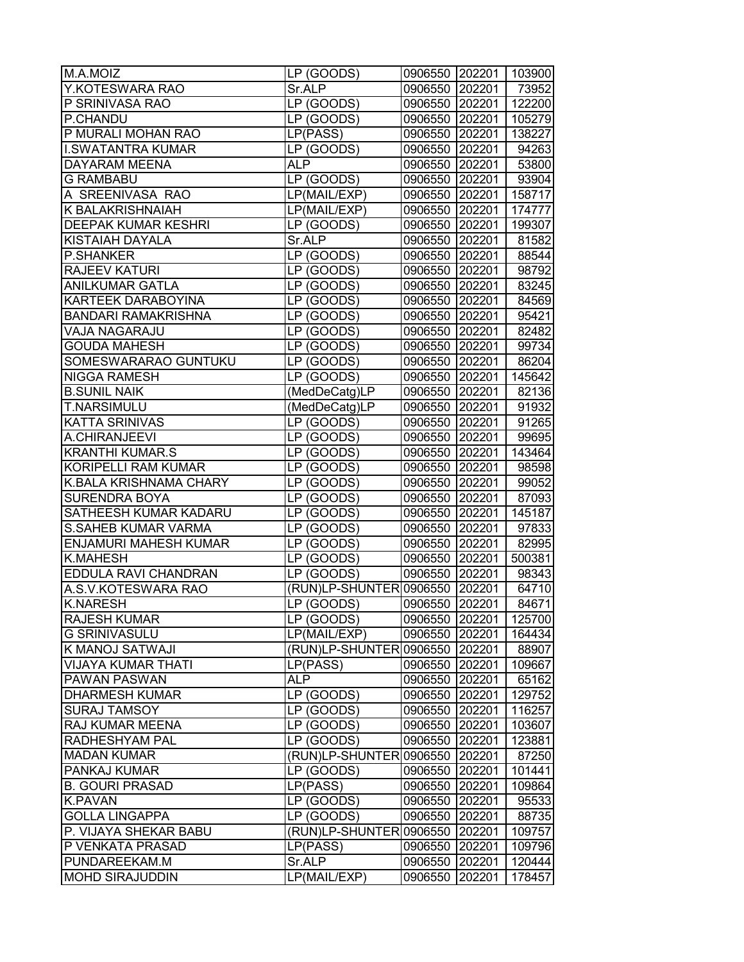| M.A.MOIZ                     | LP (GOODS)                       | 0906550 202201 |        | 103900 |
|------------------------------|----------------------------------|----------------|--------|--------|
| Y.KOTESWARA RAO              | Sr.ALP                           | 0906550 202201 |        | 73952  |
| P SRINIVASA RAO              | LP (GOODS)                       | 0906550 202201 |        | 122200 |
| P.CHANDU                     | LP (GOODS)                       | 0906550 202201 |        | 105279 |
| P MURALI MOHAN RAO           | LP(PASS)                         | 0906550 202201 |        | 138227 |
| <b>I.SWATANTRA KUMAR</b>     | LP (GOODS)                       | 0906550 202201 |        | 94263  |
| DAYARAM MEENA                | <b>ALP</b>                       | 0906550 202201 |        | 53800  |
| <b>G RAMBABU</b>             | LP (GOODS)                       | 0906550 202201 |        | 93904  |
| A SREENIVASA RAO             | LP(MAIL/EXP)                     | 0906550 202201 |        | 158717 |
| K BALAKRISHNAIAH             | LP(MAIL/EXP)                     | 0906550 202201 |        | 174777 |
| <b>DEEPAK KUMAR KESHRI</b>   | LP (GOODS)                       | 0906550 202201 |        | 199307 |
| KISTAIAH DAYALA              | Sr.ALP                           | 0906550 202201 |        | 81582  |
| <b>P.SHANKER</b>             | LP (GOODS)                       | 0906550 202201 |        | 88544  |
| <b>RAJEEV KATURI</b>         | LP (GOODS)                       | 0906550 202201 |        | 98792  |
| <b>ANILKUMAR GATLA</b>       | LP (GOODS)                       | 0906550        | 202201 | 83245  |
| KARTEEK DARABOYINA           | LP (GOODS)                       | 0906550 202201 |        | 84569  |
| <b>BANDARI RAMAKRISHNA</b>   | LP (GOODS)                       | 0906550 202201 |        | 95421  |
| VAJA NAGARAJU                | LP (GOODS)                       | 0906550 202201 |        | 82482  |
| <b>GOUDA MAHESH</b>          | LP (GOODS)                       | 0906550 202201 |        | 99734  |
| SOMESWARARAO GUNTUKU         | LP (GOODS)                       | 0906550 202201 |        | 86204  |
| <b>NIGGA RAMESH</b>          | LP (GOODS)                       | 0906550 202201 |        | 145642 |
| <b>B.SUNIL NAIK</b>          | (MedDeCatg)LP                    | 0906550 202201 |        | 82136  |
| <b>T.NARSIMULU</b>           | (MedDeCatg)LP                    | 0906550 202201 |        | 91932  |
| <b>KATTA SRINIVAS</b>        | LP (GOODS)                       | 0906550 202201 |        | 91265  |
| A.CHIRANJEEVI                | LP (GOODS)                       | 0906550 202201 |        | 99695  |
| <b>KRANTHI KUMAR.S</b>       | LP (GOODS)                       | 0906550 202201 |        | 143464 |
| <b>KORIPELLI RAM KUMAR</b>   |                                  |                |        |        |
| K.BALA KRISHNAMA CHARY       | LP (GOODS)                       | 0906550 202201 |        | 98598  |
| <b>SURENDRA BOYA</b>         | LP (GOODS)                       | 0906550        | 202201 | 99052  |
| SATHEESH KUMAR KADARU        | LP (GOODS)                       | 0906550 202201 |        | 87093  |
| <b>S.SAHEB KUMAR VARMA</b>   | LP (GOODS)                       | 0906550 202201 |        | 145187 |
|                              | LP (GOODS)                       | 0906550 202201 |        | 97833  |
| <b>ENJAMURI MAHESH KUMAR</b> | LP (GOODS)                       | 0906550 202201 |        | 82995  |
| K.MAHESH                     | LP (GOODS)                       | 0906550 202201 |        | 500381 |
| EDDULA RAVI CHANDRAN         | LP (GOODS)                       | 0906550 202201 |        | 98343  |
| A.S.V.KOTESWARA RAO          | (RUN)LP-SHUNTER 0906550 202201   |                |        | 64710  |
| <b>K.NARESH</b>              | LP (GOODS)                       | 0906550 202201 |        | 84671  |
| <b>RAJESH KUMAR</b>          | LP (GOODS)                       | 0906550 202201 |        | 125700 |
| <b>G SRINIVASULU</b>         | LP(MAIL/EXP)                     | 0906550 202201 |        | 164434 |
| K MANOJ SATWAJI              | (RUN)LP-SHUNTER 0906550   202201 |                |        | 88907  |
| <b>VIJAYA KUMAR THATI</b>    | LP(PASS)                         | 0906550        | 202201 | 109667 |
| PAWAN PASWAN                 | ALP                              | 0906550 202201 |        | 65162  |
| <b>DHARMESH KUMAR</b>        | LP (GOODS)                       | 0906550 202201 |        | 129752 |
| <b>SURAJ TAMSOY</b>          | LP (GOODS)                       | 0906550 202201 |        | 116257 |
| RAJ KUMAR MEENA              | LP (GOODS)                       | 0906550 202201 |        | 103607 |
| RADHESHYAM PAL               | LP (GOODS)                       | 0906550        | 202201 | 123881 |
| <b>MADAN KUMAR</b>           | (RUN)LP-SHUNTER 0906550          |                | 202201 | 87250  |
| PANKAJ KUMAR                 | LP (GOODS)                       | 0906550        | 202201 | 101441 |
| <b>B. GOURI PRASAD</b>       | LP(PASS)                         | 0906550 202201 |        | 109864 |
| <b>K.PAVAN</b>               | LP (GOODS)                       | 0906550 202201 |        | 95533  |
| <b>GOLLA LINGAPPA</b>        | LP (GOODS)                       | 0906550        | 202201 | 88735  |
| P. VIJAYA SHEKAR BABU        | (RUN)LP-SHUNTER 0906550          |                | 202201 | 109757 |
| P VENKATA PRASAD             | LP(PASS)                         | 0906550        | 202201 | 109796 |
| PUNDAREEKAM.M                | Sr.ALP                           | 0906550        | 202201 | 120444 |
| <b>MOHD SIRAJUDDIN</b>       | LP(MAIL/EXP)                     | 0906550        | 202201 | 178457 |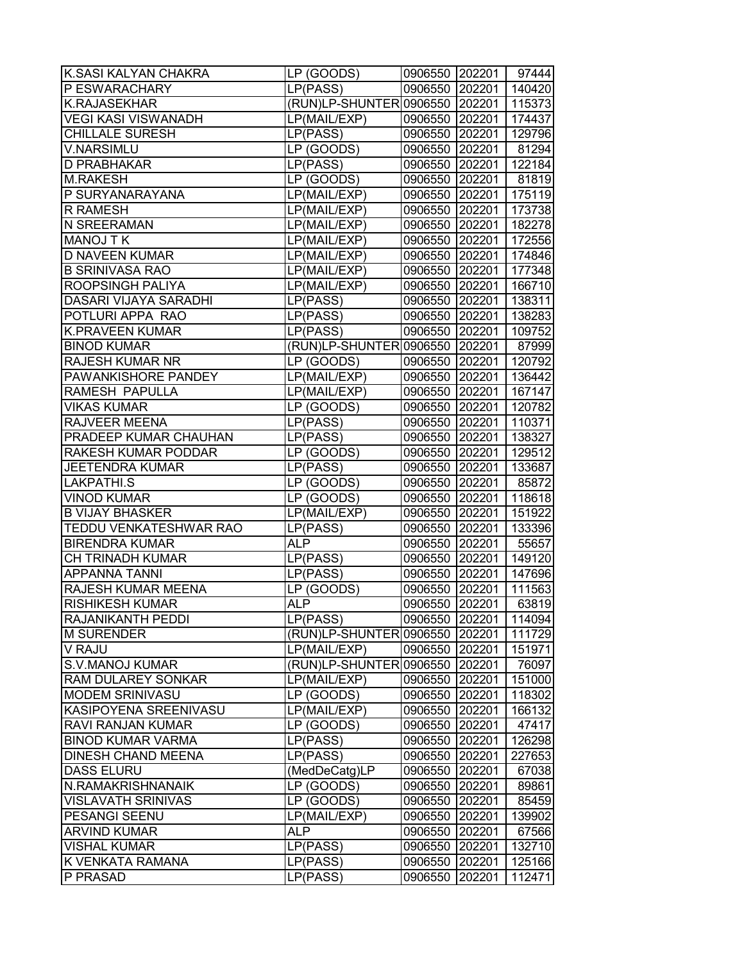| K.SASI KALYAN CHAKRA          | LP (GOODS)                     | 0906550 202201 |        | 97444  |
|-------------------------------|--------------------------------|----------------|--------|--------|
| P ESWARACHARY                 | LP(PASS)                       | 0906550 202201 |        | 140420 |
| <b>K.RAJASEKHAR</b>           | (RUN)LP-SHUNTER 0906550 202201 |                |        | 115373 |
| <b>VEGI KASI VISWANADH</b>    | LP(MAIL/EXP)                   | 0906550 202201 |        | 174437 |
| <b>CHILLALE SURESH</b>        | LP(PASS)                       | 0906550 202201 |        | 129796 |
| V.NARSIMLU                    | LP (GOODS)                     | 0906550 202201 |        | 81294  |
| <b>D PRABHAKAR</b>            | LP(PASS)                       | 0906550 202201 |        | 122184 |
| <b>M.RAKESH</b>               | LP (GOODS)                     | 0906550 202201 |        | 81819  |
| P SURYANARAYANA               | LP(MAIL/EXP)                   | 0906550 202201 |        | 175119 |
| R RAMESH                      | LP(MAIL/EXP)                   | 0906550 202201 |        | 173738 |
| <b>N SREERAMAN</b>            | LP(MAIL/EXP)                   | 0906550 202201 |        | 182278 |
| <b>MANOJ T K</b>              | LP(MAIL/EXP)                   | 0906550 202201 |        | 172556 |
| <b>D NAVEEN KUMAR</b>         | LP(MAIL/EXP)                   | 0906550 202201 |        | 174846 |
| <b>B SRINIVASA RAO</b>        | LP(MAIL/EXP)                   | 0906550 202201 |        | 177348 |
| ROOPSINGH PALIYA              | LP(MAIL/EXP)                   | 0906550 202201 |        | 166710 |
| DASARI VIJAYA SARADHI         | LP(PASS)                       | 0906550 202201 |        | 138311 |
| POTLURI APPA RAO              | LP(PASS)                       | 0906550 202201 |        | 138283 |
| <b>K.PRAVEEN KUMAR</b>        | LP(PASS)                       | 0906550 202201 |        | 109752 |
| <b>BINOD KUMAR</b>            | (RUN)LP-SHUNTER 0906550 202201 |                |        | 87999  |
| <b>RAJESH KUMAR NR</b>        | LP (GOODS)                     | 0906550 202201 |        | 120792 |
| PAWANKISHORE PANDEY           | LP(MAIL/EXP)                   | 0906550 202201 |        | 136442 |
| RAMESH PAPULLA                | LP(MAIL/EXP)                   | 0906550 202201 |        | 167147 |
| <b>VIKAS KUMAR</b>            | LP (GOODS)                     | 0906550 202201 |        | 120782 |
| <b>RAJVEER MEENA</b>          | LP(PASS)                       | 0906550 202201 |        | 110371 |
| PRADEEP KUMAR CHAUHAN         | LP(PASS)                       | 0906550 202201 |        | 138327 |
| <b>RAKESH KUMAR PODDAR</b>    | LP (GOODS)                     | 0906550 202201 |        | 129512 |
| <b>JEETENDRA KUMAR</b>        | LP(PASS)                       | 0906550 202201 |        | 133687 |
| LAKPATHI.S                    | LP (GOODS)                     | 0906550 202201 |        | 85872  |
| <b>VINOD KUMAR</b>            | LP (GOODS)                     | 0906550 202201 |        | 118618 |
| <b>B VIJAY BHASKER</b>        | LP(MAIL/EXP)                   | 0906550 202201 |        | 151922 |
| <b>TEDDU VENKATESHWAR RAO</b> | LP(PASS)                       | 0906550 202201 |        | 133396 |
| <b>BIRENDRA KUMAR</b>         | <b>ALP</b>                     | 0906550 202201 |        | 55657  |
| CH TRINADH KUMAR              | LP(PASS)                       | 0906550 202201 |        | 149120 |
| <b>APPANNA TANNI</b>          | LP(PASS)                       | 0906550 202201 |        | 147696 |
| RAJESH KUMAR MEENA            | LP (GOODS)                     | 0906550 202201 |        | 111563 |
| <b>RISHIKESH KUMAR</b>        | ALP.                           | 0906550 202201 |        | 63819  |
| <b>RAJANIKANTH PEDDI</b>      | LP(PASS)                       | 0906550 202201 |        | 114094 |
| <b>M SURENDER</b>             | (RUN)LP-SHUNTER 0906550 202201 |                |        | 111729 |
| V RAJU                        | LP(MAIL/EXP)                   | 0906550 202201 |        | 151971 |
| S.V.MANOJ KUMAR               | (RUN)LP-SHUNTER 0906550 202201 |                |        | 76097  |
| RAM DULAREY SONKAR            | LP(MAIL/EXP)                   | 0906550 202201 |        | 151000 |
| <b>MODEM SRINIVASU</b>        | LP (GOODS)                     | 0906550 202201 |        | 118302 |
| KASIPOYENA SREENIVASU         | LP(MAIL/EXP)                   | 0906550 202201 |        | 166132 |
| <b>RAVI RANJAN KUMAR</b>      | LP (GOODS)                     | 0906550 202201 |        | 47417  |
| <b>BINOD KUMAR VARMA</b>      | LP(PASS)                       | 0906550 202201 |        | 126298 |
| <b>DINESH CHAND MEENA</b>     | LP(PASS)                       | 0906550 202201 |        | 227653 |
| <b>DASS ELURU</b>             | (MedDeCatg)LP                  | 0906550 202201 |        | 67038  |
| N.RAMAKRISHNANAIK             | LP (GOODS)                     | 0906550 202201 |        | 89861  |
| <b>VISLAVATH SRINIVAS</b>     | LP (GOODS)                     | 0906550 202201 |        | 85459  |
| PESANGI SEENU                 | LP(MAIL/EXP)                   | 0906550 202201 |        | 139902 |
| <b>ARVIND KUMAR</b>           | <b>ALP</b>                     | 0906550 202201 |        | 67566  |
| <b>VISHAL KUMAR</b>           | LP(PASS)                       | 0906550        | 202201 | 132710 |
| K VENKATA RAMANA              | LP(PASS)                       | 0906550        | 202201 | 125166 |
| P PRASAD                      | LP(PASS)                       | 0906550        | 202201 | 112471 |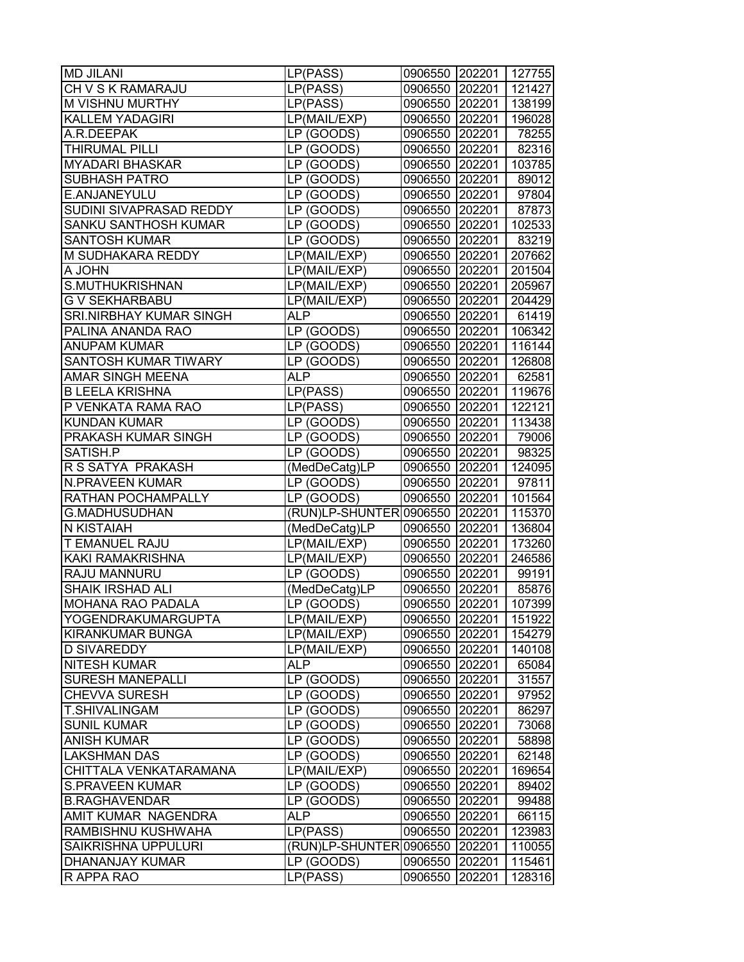| <b>MD JILANI</b>         | LP(PASS)                       | 0906550 202201 127755 |        |        |
|--------------------------|--------------------------------|-----------------------|--------|--------|
| CH V S K RAMARAJU        | LP(PASS)                       | 0906550               | 202201 | 121427 |
| <b>M VISHNU MURTHY</b>   | LP(PASS)                       | 0906550 202201        |        | 138199 |
| <b>KALLEM YADAGIRI</b>   | LP(MAIL/EXP)                   | 0906550 202201        |        | 196028 |
| A.R.DEEPAK               | LP (GOODS)                     | 0906550 202201        |        | 78255  |
| THIRUMAL PILLI           | LP (GOODS)                     | 0906550 202201        |        | 82316  |
| <b>MYADARI BHASKAR</b>   | LP (GOODS)                     | 0906550 202201        |        | 103785 |
| <b>SUBHASH PATRO</b>     | LP (GOODS)                     | 0906550 202201        |        | 89012  |
| E.ANJANEYULU             | LP (GOODS)                     | 0906550 202201        |        | 97804  |
| SUDINI SIVAPRASAD REDDY  | LP (GOODS)                     | 0906550 202201        |        | 87873  |
| SANKU SANTHOSH KUMAR     | LP (GOODS)                     | 0906550 202201        |        | 102533 |
| <b>SANTOSH KUMAR</b>     | LP (GOODS)                     | 0906550 202201        |        | 83219  |
| M SUDHAKARA REDDY        | LP(MAIL/EXP)                   | 0906550 202201        |        | 207662 |
| A JOHN                   | LP(MAIL/EXP)                   | 0906550               | 202201 | 201504 |
| S.MUTHUKRISHNAN          | LP(MAIL/EXP)                   | 0906550               | 202201 | 205967 |
| G V SEKHARBABU           | LP(MAIL/EXP)                   | 0906550               | 202201 | 204429 |
| SRI.NIRBHAY KUMAR SINGH  | ALP.                           | 0906550 202201        |        | 61419  |
| PALINA ANANDA RAO        | LP (GOODS)                     | 0906550 202201        |        | 106342 |
| <b>ANUPAM KUMAR</b>      | LP (GOODS)                     | 0906550 202201        |        | 116144 |
| SANTOSH KUMAR TIWARY     | LP (GOODS)                     | 0906550 202201        |        | 126808 |
| AMAR SINGH MEENA         | <b>ALP</b>                     | 0906550 202201        |        | 62581  |
| <b>B LEELA KRISHNA</b>   | LP(PASS)                       | 0906550 202201        |        | 119676 |
| P VENKATA RAMA RAO       | LP(PASS)                       | 0906550 202201        |        | 122121 |
| <b>KUNDAN KUMAR</b>      | LP (GOODS)                     | 0906550 202201        |        | 113438 |
| PRAKASH KUMAR SINGH      | LP (GOODS)                     | 0906550 202201        |        | 79006  |
| SATISH.P                 | LP (GOODS)                     | 0906550 202201        |        | 98325  |
| R S SATYA PRAKASH        | (MedDeCatg)LP                  | 0906550               | 202201 | 124095 |
| <b>N.PRAVEEN KUMAR</b>   | LP (GOODS)                     | 0906550               | 202201 | 97811  |
| RATHAN POCHAMPALLY       | LP (GOODS)                     | 0906550               | 202201 | 101564 |
| <b>G.MADHUSUDHAN</b>     | (RUN)LP-SHUNTER 0906550 202201 |                       |        | 115370 |
| N KISTAIAH               | (MedDeCatg)LP                  | 0906550 202201        |        | 136804 |
| T EMANUEL RAJU           | LP(MAIL/EXP)                   | 0906550 202201        |        | 173260 |
| KAKI RAMAKRISHNA         | LP(MAIL/EXP)                   | 0906550               | 202201 | 246586 |
| RAJU MANNURU             | LP (GOODS)                     | 0906550               | 202201 | 99191  |
| <b>SHAIK IRSHAD ALI</b>  | (MedDeCatg)LP                  | 0906550 202201        |        | 85876  |
| <b>MOHANA RAO PADALA</b> | LP (GOODS)                     | 0906550               | 202201 | 107399 |
| YOGENDRAKUMARGUPTA       | LP(MAIL/EXP)                   | 0906550 202201        |        | 151922 |
| KIRANKUMAR BUNGA         | LP(MAIL/EXP)                   | 0906550               | 202201 | 154279 |
| <b>D SIVAREDDY</b>       | LP(MAIL/EXP)                   | 0906550               | 202201 | 140108 |
| <b>NITESH KUMAR</b>      | ALP                            | 0906550               | 202201 | 65084  |
| <b>SURESH MANEPALLI</b>  | LP (GOODS)                     | 0906550               | 202201 | 31557  |
| CHEVVA SURESH            | LP (GOODS)                     | 0906550               | 202201 | 97952  |
| T.SHIVALINGAM            | LP (GOODS)                     | 0906550 202201        |        | 86297  |
| <b>SUNIL KUMAR</b>       | LP (GOODS)                     | 0906550 202201        |        | 73068  |
| <b>ANISH KUMAR</b>       | LP (GOODS)                     | 0906550               | 202201 | 58898  |
| LAKSHMAN DAS             | LP (GOODS)                     | 0906550               | 202201 | 62148  |
| CHITTALA VENKATARAMANA   | LP(MAIL/EXP)                   | 0906550               | 202201 | 169654 |
| <b>S.PRAVEEN KUMAR</b>   | LP (GOODS)                     | 0906550               | 202201 | 89402  |
| <b>B.RAGHAVENDAR</b>     | LP (GOODS)                     | 0906550 202201        |        | 99488  |
| AMIT KUMAR NAGENDRA      | <b>ALP</b>                     | 0906550               | 202201 | 66115  |
| RAMBISHNU KUSHWAHA       | LP(PASS)                       | 0906550               | 202201 | 123983 |
| SAIKRISHNA UPPULURI      | (RUN)LP-SHUNTER 0906550        |                       | 202201 | 110055 |
| DHANANJAY KUMAR          | LP (GOODS)                     | 0906550               | 202201 | 115461 |
| R APPA RAO               | LP(PASS)                       | 0906550               | 202201 | 128316 |
|                          |                                |                       |        |        |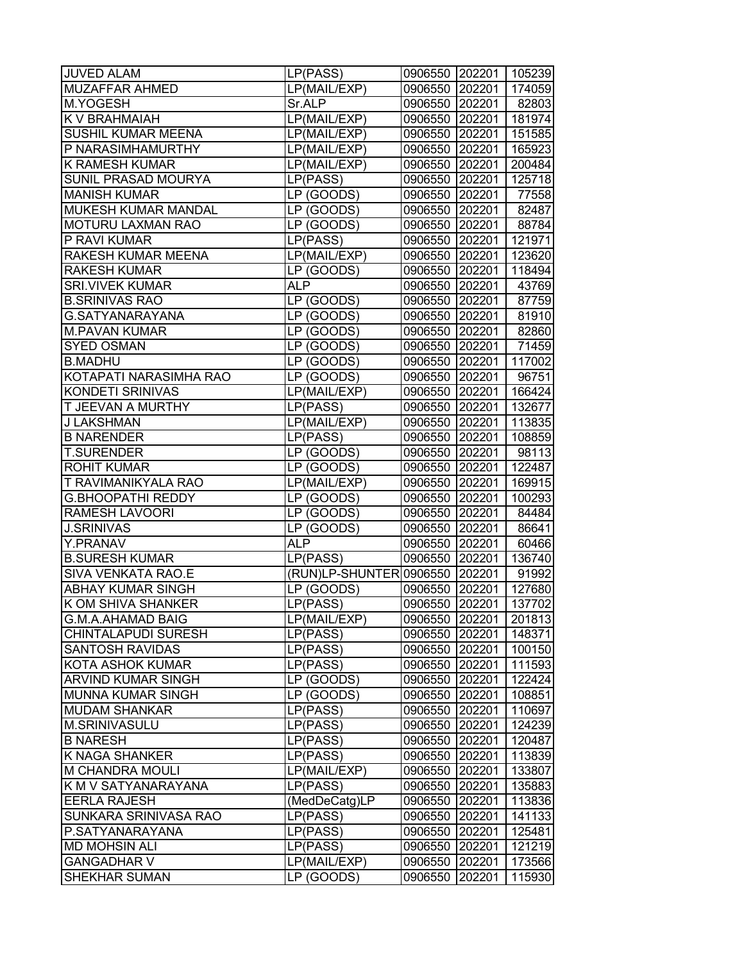| <b>JUVED ALAM</b>          | LP(PASS)                       | 0906550 202201 105239 |        |        |
|----------------------------|--------------------------------|-----------------------|--------|--------|
| <b>MUZAFFAR AHMED</b>      | LP(MAIL/EXP)                   | 0906550 202201        |        | 174059 |
| M.YOGESH                   | Sr.ALP                         | 0906550 202201        |        | 82803  |
| K V BRAHMAIAH              | LP(MAIL/EXP)                   | 0906550 202201        |        | 181974 |
| SUSHIL KUMAR MEENA         | LP(MAIL/EXP)                   | 0906550 202201        |        | 151585 |
| P NARASIMHAMURTHY          | LP(MAIL/EXP)                   | 0906550 202201        |        | 165923 |
| <b>K RAMESH KUMAR</b>      | LP(MAIL/EXP)                   | 0906550 202201        |        | 200484 |
| SUNIL PRASAD MOURYA        | LP(PASS)                       | 0906550 202201        |        | 125718 |
| <b>MANISH KUMAR</b>        | LP (GOODS)                     | 0906550 202201        |        | 77558  |
| MUKESH KUMAR MANDAL        | LP (GOODS)                     | 0906550 202201        |        | 82487  |
| MOTURU LAXMAN RAO          | LP (GOODS)                     | 0906550 202201        |        | 88784  |
| P RAVI KUMAR               | LP(PASS)                       | 0906550 202201        |        | 121971 |
| RAKESH KUMAR MEENA         | LP(MAIL/EXP)                   | 0906550 202201        |        | 123620 |
| <b>RAKESH KUMAR</b>        | LP (GOODS)                     | 0906550 202201        |        | 118494 |
| <b>SRI.VIVEK KUMAR</b>     | <b>ALP</b>                     | 0906550 202201        |        | 43769  |
| <b>B.SRINIVAS RAO</b>      | LP (GOODS)                     | 0906550 202201        |        | 87759  |
| G.SATYANARAYANA            | LP (GOODS)                     | 0906550 202201        |        | 81910  |
| <b>M.PAVAN KUMAR</b>       | LP (GOODS)                     | 0906550 202201        |        | 82860  |
| <b>SYED OSMAN</b>          | LP (GOODS)                     | 0906550 202201        |        | 71459  |
| <b>B.MADHU</b>             | LP (GOODS)                     | 0906550 202201        |        | 117002 |
| KOTAPATI NARASIMHA RAO     | LP (GOODS)                     | 0906550 202201        |        | 96751  |
| KONDETI SRINIVAS           | LP(MAIL/EXP)                   | 0906550 202201        |        | 166424 |
| <b>T JEEVAN A MURTHY</b>   | LP(PASS)                       | 0906550 202201        |        | 132677 |
| <b>J LAKSHMAN</b>          | LP(MAIL/EXP)                   | 0906550 202201        |        | 113835 |
| <b>B NARENDER</b>          | LP(PASS)                       | 0906550 202201        |        | 108859 |
| <b>T.SURENDER</b>          | LP (GOODS)                     | 0906550 202201        |        | 98113  |
| <b>ROHIT KUMAR</b>         | LP (GOODS)                     | 0906550 202201        |        | 122487 |
| T RAVIMANIKYALA RAO        | LP(MAIL/EXP)                   | 0906550 202201        |        | 169915 |
| <b>G.BHOOPATHI REDDY</b>   | LP (GOODS)                     | 0906550 202201        |        | 100293 |
| <b>RAMESH LAVOORI</b>      | LP (GOODS)                     | 0906550 202201        |        | 84484  |
| <b>J.SRINIVAS</b>          | LP (GOODS)                     | 0906550 202201        |        | 86641  |
| Y.PRANAV                   | <b>ALP</b>                     | 0906550 202201        |        | 60466  |
| <b>B.SURESH KUMAR</b>      | LP(PASS)                       | 0906550 202201        |        | 136740 |
| SIVA VENKATA RAO.E         | (RUN)LP-SHUNTER 0906550 202201 |                       |        | 91992  |
| <b>ABHAY KUMAR SINGH</b>   | LP (GOODS)                     | 0906550 202201        |        | 127680 |
| <b>K OM SHIVA SHANKER</b>  | LP(PASS)                       | 0906550 202201        |        | 137702 |
| G.M.A.AHAMAD BAIG          | LP(MAIL/EXP)                   | 0906550 202201        |        | 201813 |
| <b>CHINTALAPUDI SURESH</b> | LP(PASS)                       | 0906550 202201        |        | 148371 |
| <b>SANTOSH RAVIDAS</b>     | LP(PASS)                       | 0906550 202201        |        | 100150 |
| <b>KOTA ASHOK KUMAR</b>    | LP(PASS)                       | 0906550 202201        |        | 111593 |
| <b>ARVIND KUMAR SINGH</b>  | LP (GOODS)                     | 0906550 202201        |        | 122424 |
| <b>MUNNA KUMAR SINGH</b>   | LP (GOODS)                     | 0906550 202201        |        | 108851 |
| <b>MUDAM SHANKAR</b>       | LP(PASS)                       | 0906550 202201        |        | 110697 |
| M.SRINIVASULU              | LP(PASS)                       | 0906550 202201        |        | 124239 |
| <b>B NARESH</b>            | LP(PASS)                       | 0906550 202201        |        | 120487 |
| <b>K NAGA SHANKER</b>      | LP(PASS)                       | 0906550 202201        |        | 113839 |
| M CHANDRA MOULI            | LP(MAIL/EXP)                   | 0906550 202201        |        | 133807 |
| K M V SATYANARAYANA        | LP(PASS)                       | 0906550 202201        |        | 135883 |
| <b>EERLA RAJESH</b>        | (MedDeCatg)LP                  | 0906550 202201        |        | 113836 |
| SUNKARA SRINIVASA RAO      | LP(PASS)                       | 0906550 202201        |        | 141133 |
| P.SATYANARAYANA            | LP(PASS)                       | 0906550 202201        |        | 125481 |
| <b>MD MOHSIN ALI</b>       | LP(PASS)                       | 0906550               | 202201 | 121219 |
| <b>GANGADHAR V</b>         | LP(MAIL/EXP)                   | 0906550               | 202201 | 173566 |
| SHEKHAR SUMAN              | LP (GOODS)                     | 0906550               | 202201 | 115930 |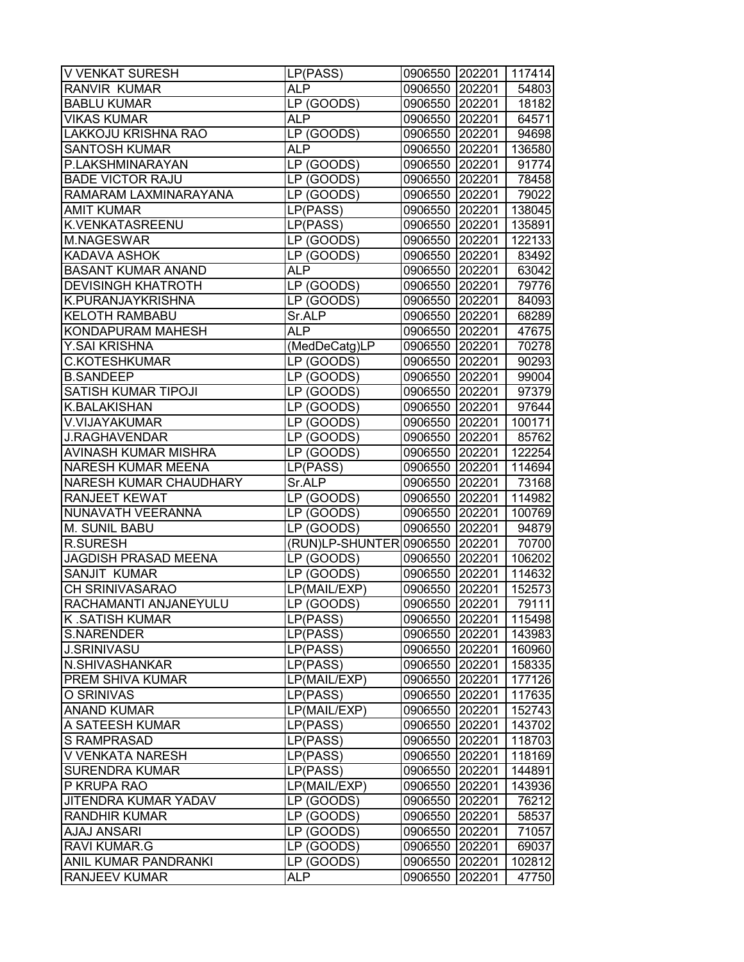| <b>V VENKAT SURESH</b>        | LP(PASS)                       | 0906550 202201 117414 |        |        |
|-------------------------------|--------------------------------|-----------------------|--------|--------|
| <b>RANVIR KUMAR</b>           | <b>ALP</b>                     | 0906550 202201        |        | 54803  |
| <b>BABLU KUMAR</b>            | LP (GOODS)                     | 0906550 202201        |        | 18182  |
| <b>VIKAS KUMAR</b>            | <b>ALP</b>                     | 0906550 202201        |        | 64571  |
| <b>LAKKOJU KRISHNA RAO</b>    | LP (GOODS)                     | 0906550 202201        |        | 94698  |
| <b>SANTOSH KUMAR</b>          | <b>ALP</b>                     | 0906550 202201        |        | 136580 |
| P.LAKSHMINARAYAN              | LP (GOODS)                     | 0906550 202201        |        | 91774  |
| <b>BADE VICTOR RAJU</b>       | LP (GOODS)                     | 0906550 202201        |        | 78458  |
| RAMARAM LAXMINARAYANA         | LP (GOODS)                     | 0906550 202201        |        | 79022  |
| AMIT KUMAR                    | LP(PASS)                       | 0906550 202201        |        | 138045 |
| K.VENKATASREENU               | LP(PASS)                       | 0906550 202201        |        | 135891 |
| M.NAGESWAR                    | LP (GOODS)                     | 0906550 202201        |        | 122133 |
| <b>KADAVA ASHOK</b>           | LP (GOODS)                     | 0906550 202201        |        | 83492  |
| <b>BASANT KUMAR ANAND</b>     | <b>ALP</b>                     | 0906550 202201        |        | 63042  |
| <b>DEVISINGH KHATROTH</b>     | LP (GOODS)                     | 0906550 202201        |        | 79776  |
| K.PURANJAYKRISHNA             | LP (GOODS)                     | 0906550 202201        |        | 84093  |
| <b>KELOTH RAMBABU</b>         | Sr.ALP                         | 0906550 202201        |        | 68289  |
| KONDAPURAM MAHESH             | ALP                            | 0906550 202201        |        | 47675  |
| Y.SAI KRISHNA                 | (MedDeCatg)LP                  | 0906550 202201        |        | 70278  |
| <b>C.KOTESHKUMAR</b>          | LP (GOODS)                     | 0906550 202201        |        | 90293  |
| <b>B.SANDEEP</b>              | LP (GOODS)                     | 0906550 202201        |        | 99004  |
| <b>SATISH KUMAR TIPOJI</b>    | LP (GOODS)                     | 0906550 202201        |        | 97379  |
| K.BALAKISHAN                  | LP (GOODS)                     | 0906550 202201        |        | 97644  |
| V.VIJAYAKUMAR                 |                                | 0906550 202201        |        |        |
|                               | LP (GOODS)                     |                       |        | 100171 |
| <b>J.RAGHAVENDAR</b>          | LP (GOODS)                     | 0906550 202201        |        | 85762  |
| AVINASH KUMAR MISHRA          | LP (GOODS)                     | 0906550 202201        |        | 122254 |
| <b>NARESH KUMAR MEENA</b>     | LP(PASS)                       | 0906550 202201        |        | 114694 |
| <b>NARESH KUMAR CHAUDHARY</b> | Sr.ALP                         | 0906550 202201        |        | 73168  |
| RANJEET KEWAT                 | LP (GOODS)                     | 0906550 202201        |        | 114982 |
| NUNAVATH VEERANNA             | LP (GOODS)                     | 0906550 202201        |        | 100769 |
| M. SUNIL BABU                 | LP (GOODS)                     | 0906550 202201        |        | 94879  |
| <b>R.SURESH</b>               | (RUN)LP-SHUNTER 0906550 202201 |                       |        | 70700  |
| <b>JAGDISH PRASAD MEENA</b>   | LP (GOODS)                     | 0906550 202201        |        | 106202 |
| <b>SANJIT KUMAR</b>           | LP (GOODS)                     | 0906550 202201        |        | 114632 |
| CH SRINIVASARAO               | LP(MAIL/EXP)                   | 0906550 202201        |        | 152573 |
| RACHAMANTI ANJANEYULU         | LP (GOODS)                     | 0906550 202201        |        | 79111  |
| K.SATISH KUMAR                | LP(PASS)                       | 0906550 202201        |        | 115498 |
| <b>S.NARENDER</b>             | LP(PASS)                       | 0906550 202201        |        | 143983 |
| <b>J.SRINIVASU</b>            | LP(PASS)                       | 0906550 202201        |        | 160960 |
| N.SHIVASHANKAR                | LP(PASS)                       | 0906550 202201        |        | 158335 |
| PREM SHIVA KUMAR              | LP(MAIL/EXP)                   | 0906550               | 202201 | 177126 |
| O SRINIVAS                    | LP(PASS)                       | 0906550 202201        |        | 117635 |
| <b>ANAND KUMAR</b>            | LP(MAIL/EXP)                   | 0906550 202201        |        | 152743 |
| A SATEESH KUMAR               | LP(PASS)                       | 0906550 202201        |        | 143702 |
| S RAMPRASAD                   | LP(PASS)                       | 0906550 202201        |        | 118703 |
| V VENKATA NARESH              | LP(PASS)                       | 0906550 202201        |        | 118169 |
| <b>SURENDRA KUMAR</b>         | LP(PASS)                       | 0906550               | 202201 | 144891 |
| P KRUPA RAO                   | LP(MAIL/EXP)                   | 0906550               | 202201 | 143936 |
| <b>JITENDRA KUMAR YADAV</b>   | LP (GOODS)                     | 0906550 202201        |        | 76212  |
| <b>RANDHIR KUMAR</b>          | LP (GOODS)                     | 0906550 202201        |        | 58537  |
| <b>AJAJ ANSARI</b>            | LP (GOODS)                     | 0906550 202201        |        | 71057  |
| RAVI KUMAR.G                  | LP (GOODS)                     | 0906550               | 202201 | 69037  |
| ANIL KUMAR PANDRANKI          | LP (GOODS)                     | 0906550               | 202201 | 102812 |
| <b>RANJEEV KUMAR</b>          | <b>ALP</b>                     | 0906550               | 202201 | 47750  |
|                               |                                |                       |        |        |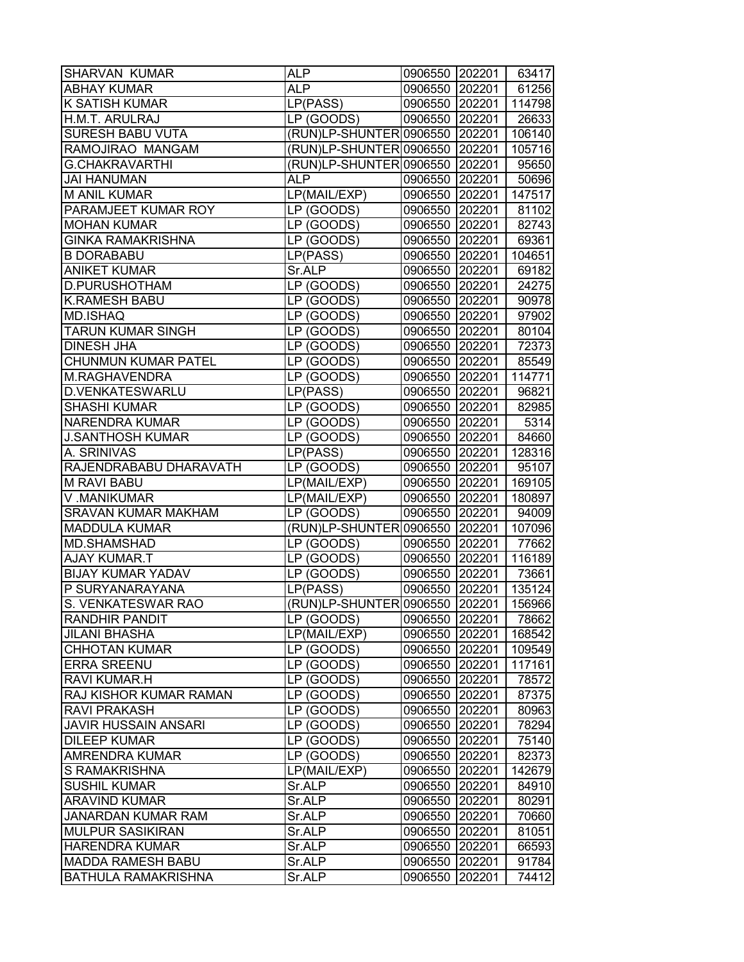| <b>SHARVAN KUMAR</b>          | <b>ALP</b>                                   | 0906550 202201 |        | 63417  |
|-------------------------------|----------------------------------------------|----------------|--------|--------|
| <b>ABHAY KUMAR</b>            | ALP.                                         | 0906550 202201 |        | 61256  |
| <b>K SATISH KUMAR</b>         | LP(PASS)                                     | 0906550 202201 |        | 114798 |
| H.M.T. ARULRAJ                | LP (GOODS)                                   | 0906550 202201 |        | 26633  |
| <b>SURESH BABU VUTA</b>       | (RUN)LP-SHUNTER 0906550 202201               |                |        | 106140 |
| RAMOJIRAO MANGAM              | (RUN)LP-SHUNTER 0906550 202201               |                |        | 105716 |
| <b>G.CHAKRAVARTHI</b>         | (RUN)LP-SHUNTER 0906550 202201               |                |        | 95650  |
| <b>JAI HANUMAN</b>            | ALP                                          | 0906550 202201 |        | 50696  |
| <b>M ANIL KUMAR</b>           | LP(MAIL/EXP)                                 | 0906550 202201 |        | 147517 |
| PARAMJEET KUMAR ROY           | LP (GOODS)                                   | 0906550 202201 |        | 81102  |
| <b>MOHAN KUMAR</b>            | LP (GOODS)                                   | 0906550 202201 |        | 82743  |
| <b>GINKA RAMAKRISHNA</b>      | LP (GOODS)                                   | 0906550 202201 |        | 69361  |
| <b>B DORABABU</b>             | LP(PASS)                                     | 0906550 202201 |        | 104651 |
| <b>ANIKET KUMAR</b>           | Sr.ALP                                       | 0906550 202201 |        | 69182  |
| D.PURUSHOTHAM                 | LP (GOODS)                                   | 0906550 202201 |        | 24275  |
| <b>K.RAMESH BABU</b>          | LP (GOODS)                                   | 0906550 202201 |        | 90978  |
| <b>MD.ISHAQ</b>               | LP (GOODS)                                   | 0906550 202201 |        | 97902  |
| <b>TARUN KUMAR SINGH</b>      | LP (GOODS)                                   | 0906550 202201 |        | 80104  |
| <b>DINESH JHA</b>             | LP (GOODS)                                   | 0906550 202201 |        | 72373  |
| <b>CHUNMUN KUMAR PATEL</b>    | LP (GOODS)                                   | 0906550 202201 |        | 85549  |
| M.RAGHAVENDRA                 | LP (GOODS)                                   | 0906550 202201 |        | 114771 |
| <b>D.VENKATESWARLU</b>        | LP(PASS)                                     | 0906550 202201 |        | 96821  |
| <b>SHASHI KUMAR</b>           | LP (GOODS)                                   | 0906550 202201 |        | 82985  |
| <b>NARENDRA KUMAR</b>         | LP (GOODS)                                   | 0906550 202201 |        | 5314   |
| <b>J.SANTHOSH KUMAR</b>       | LP (GOODS)                                   | 0906550 202201 |        | 84660  |
| A. SRINIVAS                   | LP(PASS)                                     | 0906550 202201 |        | 128316 |
| RAJENDRABABU DHARAVATH        | LP (GOODS)                                   | 0906550 202201 |        | 95107  |
| <b>M RAVI BABU</b>            | LP(MAIL/EXP)                                 | 0906550 202201 |        | 169105 |
|                               |                                              |                |        |        |
| V.MANIKUMAR                   | LP(MAIL/EXP)                                 | 0906550 202201 |        | 180897 |
| <b>SRAVAN KUMAR MAKHAM</b>    | LP (GOODS)<br>(RUN)LP-SHUNTER 0906550 202201 | 0906550 202201 |        | 94009  |
| <b>MADDULA KUMAR</b>          |                                              |                |        | 107096 |
| MD.SHAMSHAD                   | LP (GOODS)                                   | 0906550 202201 |        | 77662  |
| <b>AJAY KUMAR.T</b>           | LP (GOODS)                                   | 0906550 202201 |        | 116189 |
| <b>BIJAY KUMAR YADAV</b>      | LP (GOODS)                                   | 0906550 202201 |        | 73661  |
| P SURYANARAYANA               | LP(PASS)                                     | 0906550 202201 |        | 135124 |
| S. VENKATESWAR RAO            | (RUN)LP-SHUNTER 0906550 202201               |                |        | 156966 |
| <b>RANDHIR PANDIT</b>         | LP (GOODS)                                   | 0906550 202201 |        | 78662  |
| <b>JILANI BHASHA</b>          | LP(MAIL/EXP)                                 | 0906550 202201 |        | 168542 |
| <b>CHHOTAN KUMAR</b>          | LP (GOODS)                                   | 0906550 202201 |        | 109549 |
| <b>ERRA SREENU</b>            | LP (GOODS)                                   | 0906550 202201 |        | 117161 |
| <b>RAVI KUMAR.H</b>           | LP (GOODS)                                   | 0906550 202201 |        | 78572  |
| <b>RAJ KISHOR KUMAR RAMAN</b> | LP (GOODS)                                   | 0906550 202201 |        | 87375  |
| <b>RAVI PRAKASH</b>           | LP (GOODS)                                   | 0906550 202201 |        | 80963  |
| <b>JAVIR HUSSAIN ANSARI</b>   | LP (GOODS)                                   | 0906550 202201 |        | 78294  |
| <b>DILEEP KUMAR</b>           | LP (GOODS)                                   | 0906550 202201 |        | 75140  |
| AMRENDRA KUMAR                | LP (GOODS)                                   | 0906550 202201 |        | 82373  |
| S RAMAKRISHNA                 | LP(MAIL/EXP)                                 | 0906550 202201 |        | 142679 |
| <b>SUSHIL KUMAR</b>           | Sr.ALP                                       | 0906550 202201 |        | 84910  |
| <b>ARAVIND KUMAR</b>          | Sr.ALP                                       | 0906550 202201 |        | 80291  |
| <b>JANARDAN KUMAR RAM</b>     | Sr.ALP                                       | 0906550 202201 |        | 70660  |
| <b>MULPUR SASIKIRAN</b>       | Sr.ALP                                       | 0906550 202201 |        | 81051  |
| <b>HARENDRA KUMAR</b>         | Sr.ALP                                       | 0906550 202201 |        | 66593  |
| <b>MADDA RAMESH BABU</b>      | Sr.ALP                                       | 0906550        | 202201 | 91784  |
| <b>BATHULA RAMAKRISHNA</b>    | Sr.ALP                                       | 0906550        | 202201 | 74412  |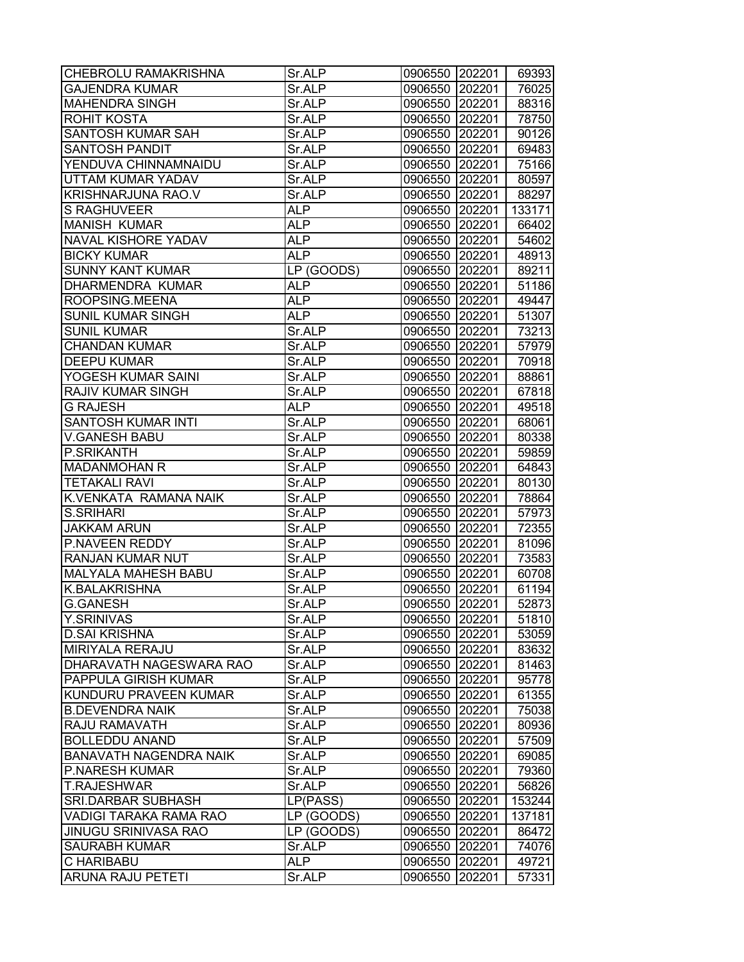| <b>CHEBROLU RAMAKRISHNA</b>   | Sr.ALP     | 0906550 202201 |        | 69393  |
|-------------------------------|------------|----------------|--------|--------|
| <b>GAJENDRA KUMAR</b>         | Sr.ALP     | 0906550        | 202201 | 76025  |
| <b>MAHENDRA SINGH</b>         | Sr.ALP     | 0906550 202201 |        | 88316  |
| ROHIT KOSTA                   | Sr.ALP     | 0906550        | 202201 | 78750  |
| SANTOSH KUMAR SAH             | Sr.ALP     | 0906550 202201 |        | 90126  |
| <b>SANTOSH PANDIT</b>         | Sr.ALP     | 0906550 202201 |        | 69483  |
| YENDUVA CHINNAMNAIDU          | Sr.ALP     | 0906550 202201 |        | 75166  |
| UTTAM KUMAR YADAV             | Sr.ALP     | 0906550 202201 |        | 80597  |
| KRISHNARJUNA RAO.V            | Sr.ALP     | 0906550 202201 |        | 88297  |
| S RAGHUVEER                   | <b>ALP</b> | 0906550 202201 |        | 133171 |
| <b>MANISH KUMAR</b>           | ALP        | 0906550 202201 |        | 66402  |
| <b>NAVAL KISHORE YADAV</b>    | <b>ALP</b> | 0906550 202201 |        | 54602  |
| <b>BICKY KUMAR</b>            | <b>ALP</b> | 0906550        | 202201 | 48913  |
| <b>SUNNY KANT KUMAR</b>       | LP (GOODS) | 0906550        | 202201 | 89211  |
| DHARMENDRA KUMAR              | <b>ALP</b> | 0906550        | 202201 | 51186  |
| ROOPSING.MEENA                | ALP        | 0906550        | 202201 | 49447  |
| <b>SUNIL KUMAR SINGH</b>      | <b>ALP</b> | 0906550        | 202201 | 51307  |
| <b>SUNIL KUMAR</b>            | Sr.ALP     | 0906550 202201 |        | 73213  |
| <b>CHANDAN KUMAR</b>          | Sr.ALP     | 0906550 202201 |        | 57979  |
| <b>DEEPU KUMAR</b>            | Sr.ALP     | 0906550 202201 |        | 70918  |
| YOGESH KUMAR SAINI            | Sr.ALP     | 0906550 202201 |        | 88861  |
| <b>RAJIV KUMAR SINGH</b>      | Sr.ALP     | 0906550 202201 |        | 67818  |
| <b>G RAJESH</b>               | ALP.       | 0906550 202201 |        | 49518  |
| SANTOSH KUMAR INTI            | Sr.ALP     | 0906550 202201 |        | 68061  |
| V.GANESH BABU                 | Sr.ALP     | 0906550        | 202201 | 80338  |
| P.SRIKANTH                    | Sr.ALP     | 0906550        | 202201 | 59859  |
| <b>MADANMOHAN R</b>           | Sr.ALP     | 0906550        | 202201 | 64843  |
| <b>TETAKALI RAVI</b>          | Sr.ALP     | 0906550        | 202201 | 80130  |
| K.VENKATA RAMANA NAIK         | Sr.ALP     | 0906550        | 202201 | 78864  |
| S.SRIHARI                     | Sr.ALP     | 0906550 202201 |        | 57973  |
| <b>JAKKAM ARUN</b>            | Sr.ALP     | 0906550 202201 |        | 72355  |
| P.NAVEEN REDDY                | Sr.ALP     | 0906550 202201 |        | 81096  |
| RANJAN KUMAR NUT              | Sr.ALP     | 0906550        | 202201 | 73583  |
| <b>MALYALA MAHESH BABU</b>    | Sr.ALP     | 0906550        | 202201 | 60708  |
| <b>K.BALAKRISHNA</b>          | Sr.ALP     | 0906550        | 202201 | 61194  |
| <b>G.GANESH</b>               | Sr.ALP     | 0906550        | 202201 | 52873  |
| <b>Y.SRINIVAS</b>             | Sr.ALP     | 0906550 202201 |        | 51810  |
| <b>D.SAI KRISHNA</b>          | Sr.ALP     | 0906550        | 202201 | 53059  |
| <b>MIRIYALA RERAJU</b>        | Sr.ALP     | 0906550        | 202201 | 83632  |
| DHARAVATH NAGESWARA RAO       | Sr.ALP     | 0906550        | 202201 | 81463  |
| PAPPULA GIRISH KUMAR          | Sr.ALP     | 0906550        | 202201 | 95778  |
| KUNDURU PRAVEEN KUMAR         | Sr.ALP     | 0906550        | 202201 | 61355  |
| <b>B.DEVENDRA NAIK</b>        | Sr.ALP     | 0906550 202201 |        | 75038  |
| <b>RAJU RAMAVATH</b>          | Sr.ALP     | 0906550 202201 |        | 80936  |
| <b>BOLLEDDU ANAND</b>         | Sr.ALP     | 0906550        | 202201 | 57509  |
| <b>BANAVATH NAGENDRA NAIK</b> | Sr.ALP     | 0906550        | 202201 | 69085  |
| <b>P.NARESH KUMAR</b>         | Sr.ALP     | 0906550        | 202201 | 79360  |
| <b>T.RAJESHWAR</b>            | Sr.ALP     | 0906550        | 202201 | 56826  |
| <b>SRI.DARBAR SUBHASH</b>     | LP(PASS)   | 0906550        | 202201 | 153244 |
| VADIGI TARAKA RAMA RAO        | LP (GOODS) | 0906550        | 202201 | 137181 |
| JINUGU SRINIVASA RAO          | LP (GOODS) | 0906550        | 202201 | 86472  |
| <b>SAURABH KUMAR</b>          | Sr.ALP     | 0906550        | 202201 | 74076  |
| C HARIBABU                    | <b>ALP</b> | 0906550        | 202201 | 49721  |
| <b>ARUNA RAJU PETETI</b>      | Sr.ALP     | 0906550        | 202201 | 57331  |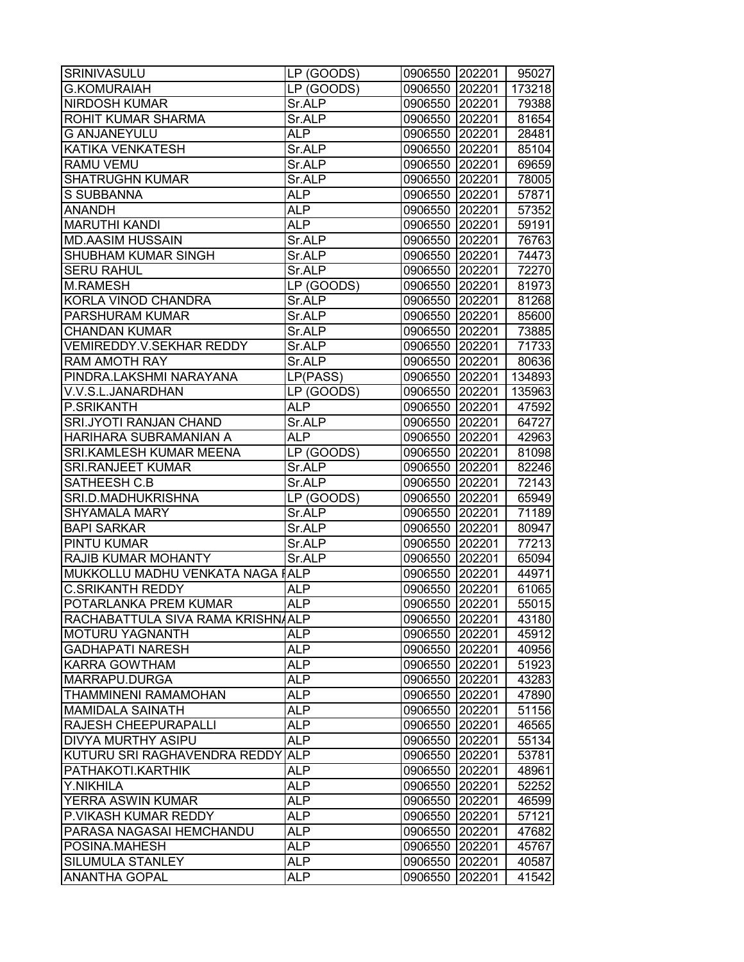| <b>SRINIVASULU</b>               | LP (GOODS) | 0906550 202201 |        | 95027  |
|----------------------------------|------------|----------------|--------|--------|
| <b>G.KOMURAIAH</b>               | LP (GOODS) | 0906550 202201 |        | 173218 |
| <b>NIRDOSH KUMAR</b>             | Sr.ALP     | 0906550 202201 |        | 79388  |
| ROHIT KUMAR SHARMA               | Sr.ALP     | 0906550 202201 |        | 81654  |
| <b>G ANJANEYULU</b>              | <b>ALP</b> | 0906550 202201 |        | 28481  |
| KATIKA VENKATESH                 | Sr.ALP     | 0906550 202201 |        | 85104  |
| RAMU VEMU                        | Sr.ALP     | 0906550 202201 |        | 69659  |
| <b>SHATRUGHN KUMAR</b>           | Sr.ALP     | 0906550 202201 |        | 78005  |
| S SUBBANNA                       | <b>ALP</b> | 0906550 202201 |        | 57871  |
| <b>ANANDH</b>                    | <b>ALP</b> | 0906550 202201 |        | 57352  |
| <b>MARUTHI KANDI</b>             | <b>ALP</b> | 0906550 202201 |        | 59191  |
| <b>MD.AASIM HUSSAIN</b>          | Sr.ALP     | 0906550 202201 |        | 76763  |
| SHUBHAM KUMAR SINGH              | Sr.ALP     | 0906550 202201 |        | 74473  |
| <b>SERU RAHUL</b>                | Sr.ALP     | 0906550 202201 |        | 72270  |
| <b>M.RAMESH</b>                  | LP (GOODS) | 0906550 202201 |        | 81973  |
| KORLA VINOD CHANDRA              | Sr.ALP     | 0906550 202201 |        | 81268  |
| PARSHURAM KUMAR                  | Sr.ALP     | 0906550 202201 |        | 85600  |
| <b>CHANDAN KUMAR</b>             | Sr.ALP     | 0906550 202201 |        | 73885  |
| <b>VEMIREDDY.V.SEKHAR REDDY</b>  | Sr.ALP     | 0906550 202201 |        | 71733  |
| <b>RAM AMOTH RAY</b>             | Sr.ALP     | 0906550 202201 |        | 80636  |
| PINDRA.LAKSHMI NARAYANA          | LP(PASS)   | 0906550 202201 |        | 134893 |
| V.V.S.L.JANARDHAN                | LP (GOODS) | 0906550 202201 |        | 135963 |
| P.SRIKANTH                       | <b>ALP</b> | 0906550 202201 |        | 47592  |
| <b>SRI.JYOTI RANJAN CHAND</b>    | Sr.ALP     | 0906550 202201 |        | 64727  |
| HARIHARA SUBRAMANIAN A           | <b>ALP</b> | 0906550 202201 |        | 42963  |
| SRI.KAMLESH KUMAR MEENA          | LP (GOODS) | 0906550 202201 |        | 81098  |
| <b>SRI.RANJEET KUMAR</b>         | Sr.ALP     | 0906550 202201 |        | 82246  |
| SATHEESH C.B                     | Sr.ALP     | 0906550 202201 |        | 72143  |
| SRI.D.MADHUKRISHNA               | LP (GOODS) | 0906550 202201 |        | 65949  |
| <b>SHYAMALA MARY</b>             | Sr.ALP     | 0906550 202201 |        | 71189  |
| <b>BAPI SARKAR</b>               | Sr.ALP     | 0906550 202201 |        | 80947  |
| PINTU KUMAR                      | Sr.ALP     | 0906550 202201 |        | 77213  |
| RAJIB KUMAR MOHANTY              | Sr.ALP     | 0906550 202201 |        | 65094  |
| MUKKOLLU MADHU VENKATA NAGA IALP |            | 0906550 202201 |        | 44971  |
| <b>C.SRIKANTH REDDY</b>          | ALP        | 0906550 202201 |        | 61065  |
| POTARLANKA PREM KUMAR            | <b>ALP</b> | 0906550 202201 |        | 55015  |
| RACHABATTULA SIVA RAMA KRISHNALP |            | 0906550 202201 |        | 43180  |
| <b>MOTURU YAGNANTH</b>           | <b>ALP</b> | 0906550 202201 |        | 45912  |
| <b>GADHAPATI NARESH</b>          | <b>ALP</b> | 0906550 202201 |        | 40956  |
| KARRA GOWTHAM                    | <b>ALP</b> | 0906550 202201 |        | 51923  |
| MARRAPU.DURGA                    | ALP        | 0906550 202201 |        | 43283  |
| <b>THAMMINENI RAMAMOHAN</b>      | <b>ALP</b> | 0906550 202201 |        | 47890  |
| <b>MAMIDALA SAINATH</b>          | <b>ALP</b> | 0906550 202201 |        | 51156  |
| <b>RAJESH CHEEPURAPALLI</b>      | <b>ALP</b> | 0906550 202201 |        | 46565  |
| <b>DIVYA MURTHY ASIPU</b>        | <b>ALP</b> | 0906550 202201 |        | 55134  |
| KUTURU SRI RAGHAVENDRA REDDY     | <b>ALP</b> | 0906550 202201 |        | 53781  |
| PATHAKOTI.KARTHIK                | <b>ALP</b> | 0906550 202201 |        | 48961  |
| Y.NIKHILA                        | <b>ALP</b> | 0906550 202201 |        | 52252  |
| <b>YERRA ASWIN KUMAR</b>         | <b>ALP</b> | 0906550 202201 |        | 46599  |
| P.VIKASH KUMAR REDDY             | <b>ALP</b> | 0906550 202201 |        | 57121  |
| PARASA NAGASAI HEMCHANDU         | <b>ALP</b> | 0906550 202201 |        | 47682  |
| POSINA.MAHESH                    | <b>ALP</b> | 0906550        | 202201 | 45767  |
| <b>SILUMULA STANLEY</b>          | <b>ALP</b> | 0906550        | 202201 | 40587  |
| <b>ANANTHA GOPAL</b>             | <b>ALP</b> | 0906550        | 202201 | 41542  |
|                                  |            |                |        |        |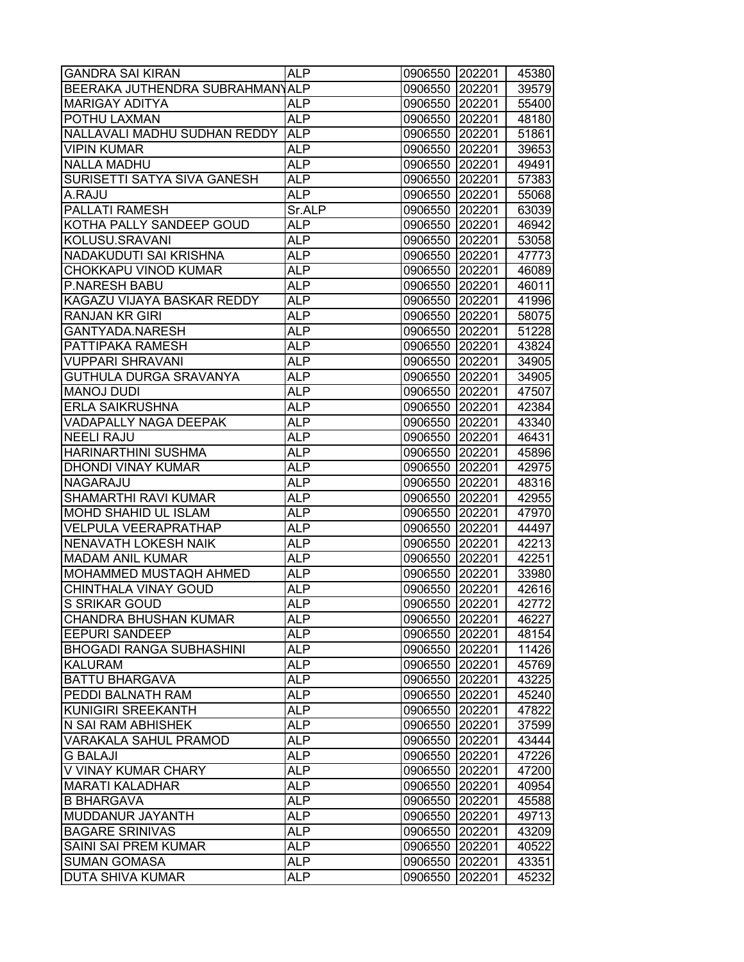| <b>GANDRA SAI KIRAN</b>         | <b>ALP</b>        | 0906550        | 202201           | 45380 |
|---------------------------------|-------------------|----------------|------------------|-------|
| BEERAKA JUTHENDRA SUBRAHMANYALP |                   | 0906550        | 202201           | 39579 |
| MARIGAY ADITYA                  | ALP               | 0906550        | 202201           | 55400 |
| POTHU LAXMAN                    | ALP               | 0906550 202201 |                  | 48180 |
| NALLAVALI MADHU SUDHAN REDDY    | <b>ALP</b>        | 0906550 202201 |                  | 51861 |
| <b>VIPIN KUMAR</b>              | <b>ALP</b>        | 0906550 202201 |                  | 39653 |
| <b>NALLA MADHU</b>              | <b>ALP</b>        | 0906550 202201 |                  | 49491 |
| SURISETTI SATYA SIVA GANESH     | <b>ALP</b>        | 0906550 202201 |                  | 57383 |
| A.RAJU                          | <b>ALP</b>        | 0906550        | 202201           | 55068 |
| PALLATI RAMESH                  | Sr.ALP            | 0906550 202201 |                  | 63039 |
| KOTHA PALLY SANDEEP GOUD        | <b>ALP</b>        | 0906550 202201 |                  | 46942 |
| KOLUSU.SRAVANI                  | <b>ALP</b>        | 0906550        | 202201           | 53058 |
| NADAKUDUTI SAI KRISHNA          | <b>ALP</b>        | 0906550        | 202201           | 47773 |
| CHOKKAPU VINOD KUMAR            | <b>ALP</b>        | 0906550        | 202201           | 46089 |
| <b>P.NARESH BABU</b>            | ALP               | 0906550        | 202201           | 46011 |
| KAGAZU VIJAYA BASKAR REDDY      | ALP               | 0906550        | 202201           | 41996 |
| RANJAN KR GIRI                  | ALP               | 0906550 202201 |                  | 58075 |
| GANTYADA.NARESH                 | <b>ALP</b>        | 0906550 202201 |                  | 51228 |
| PATTIPAKA RAMESH                | <b>ALP</b>        | 0906550 202201 |                  | 43824 |
| <b>VUPPARI SHRAVANI</b>         | <b>ALP</b>        | 0906550        | 202201           | 34905 |
| GUTHULA DURGA SRAVANYA          | <b>ALP</b>        | 0906550        | 202201           | 34905 |
| <b>MANOJ DUDI</b>               | <b>ALP</b>        | 0906550        | 202201           | 47507 |
| <b>ERLA SAIKRUSHNA</b>          | <b>ALP</b>        | 0906550 202201 |                  | 42384 |
| VADAPALLY NAGA DEEPAK           | ALP               | 0906550 202201 |                  | 43340 |
| <b>NEELI RAJU</b>               | <b>ALP</b>        | 0906550        | 202201           | 46431 |
| HARINARTHINI SUSHMA             | <b>ALP</b>        | 0906550        | 202201           | 45896 |
| DHONDI VINAY KUMAR              | ALP               | 0906550        | 202201           | 42975 |
| NAGARAJU                        | ALP               | 0906550        | 202201           | 48316 |
| SHAMARTHI RAVI KUMAR            | ALP               | 0906550        | 202201           | 42955 |
| MOHD SHAHID UL ISLAM            | ALP               | 0906550 202201 |                  | 47970 |
| VELPULA VEERAPRATHAP            | <b>ALP</b>        | 0906550 202201 |                  | 44497 |
| <b>NENAVATH LOKESH NAIK</b>     | <b>ALP</b>        |                |                  | 42213 |
| <b>MADAM ANIL KUMAR</b>         | <b>ALP</b>        | 0906550        | 202201<br>202201 | 42251 |
| MOHAMMED MUSTAQH AHMED          | <b>ALP</b>        | 0906550        | 202201           | 33980 |
| CHINTHALA VINAY GOUD            | ALP               | 0906550        | 202201           | 42616 |
| S SRIKAR GOUD                   |                   | 0906550        | 202201           | 42772 |
|                                 | ALP               | 0906550        |                  |       |
| <b>CHANDRA BHUSHAN KUMAR</b>    | <b>ALP</b><br>ALP | 0906550 202201 |                  | 46227 |
| <b>EEPURI SANDEEP</b>           |                   | 0906550 202201 |                  | 48154 |
| <b>BHOGADI RANGA SUBHASHINI</b> | <b>ALP</b>        | 0906550        | 202201           | 11426 |
| KALURAM                         | <b>ALP</b>        | 0906550        | 202201           | 45769 |
| <b>BATTU BHARGAVA</b>           | ALP               | 0906550        | 202201           | 43225 |
| PEDDI BALNATH RAM               | <b>ALP</b>        | 0906550 202201 |                  | 45240 |
| KUNIGIRI SREEKANTH              | <b>ALP</b>        | 0906550 202201 |                  | 47822 |
| N SAI RAM ABHISHEK              | ALP               | 0906550 202201 |                  | 37599 |
| <b>VARAKALA SAHUL PRAMOD</b>    | <b>ALP</b>        | 0906550        | 202201           | 43444 |
| <b>G BALAJI</b>                 | AL <sub>P</sub>   | 0906550        | 202201           | 47226 |
| V VINAY KUMAR CHARY             | ALP               | 0906550        | 202201           | 47200 |
| <b>MARATI KALADHAR</b>          | <b>ALP</b>        | 0906550        | 202201           | 40954 |
| <b>B BHARGAVA</b>               | <b>ALP</b>        | 0906550        | 202201           | 45588 |
| MUDDANUR JAYANTH                | <b>ALP</b>        | 0906550        | 202201           | 49713 |
| <b>BAGARE SRINIVAS</b>          | <b>ALP</b>        | 0906550        | 202201           | 43209 |
| SAINI SAI PREM KUMAR            | <b>ALP</b>        | 0906550        | 202201           | 40522 |
| <b>SUMAN GOMASA</b>             | AL <sub>P</sub>   | 0906550        | 202201           | 43351 |
| <b>DUTA SHIVA KUMAR</b>         | ALP               | 0906550        | 202201           | 45232 |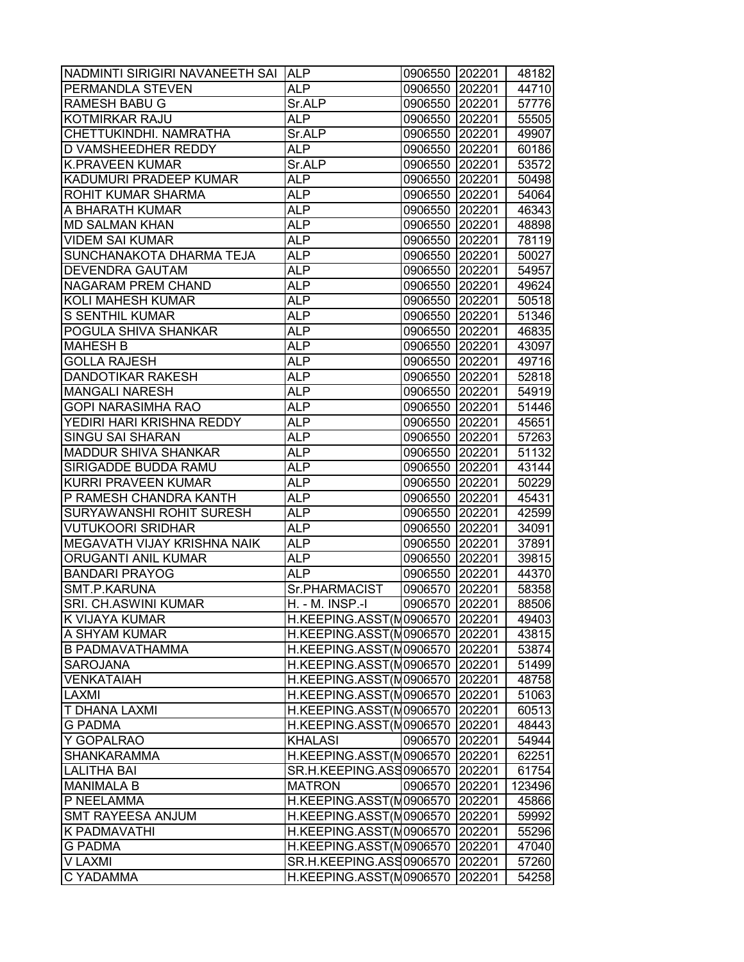| NADMINTI SIRIGIRI NAVANEETH SAI | <b>ALP</b>                     | 0906550 202201 |        | 48182  |
|---------------------------------|--------------------------------|----------------|--------|--------|
| PERMANDLA STEVEN                | <b>ALP</b>                     | 0906550 202201 |        | 44710  |
| <b>RAMESH BABU G</b>            | Sr.ALP                         | 0906550 202201 |        | 57776  |
| <b>KOTMIRKAR RAJU</b>           | ALP                            | 0906550 202201 |        | 55505  |
| CHETTUKINDHI. NAMRATHA          | Sr.ALP                         | 0906550 202201 |        | 49907  |
| <b>D VAMSHEEDHER REDDY</b>      | <b>ALP</b>                     | 0906550 202201 |        | 60186  |
| <b>K.PRAVEEN KUMAR</b>          | Sr.ALP                         | 0906550 202201 |        | 53572  |
| KADUMURI PRADEEP KUMAR          | <b>ALP</b>                     | 0906550        | 202201 | 50498  |
| ROHIT KUMAR SHARMA              | <b>ALP</b>                     | 0906550        | 202201 | 54064  |
| A BHARATH KUMAR                 | ALP                            | 0906550 202201 |        | 46343  |
| <b>MD SALMAN KHAN</b>           | <b>ALP</b>                     | 0906550 202201 |        | 48898  |
| <b>VIDEM SAI KUMAR</b>          | <b>ALP</b>                     | 0906550 202201 |        | 78119  |
| SUNCHANAKOTA DHARMA TEJA        | ALP                            | 0906550 202201 |        | 50027  |
| <b>DEVENDRA GAUTAM</b>          | <b>ALP</b>                     | 0906550        | 202201 | 54957  |
| NAGARAM PREM CHAND              | ALP                            | 0906550        | 202201 | 49624  |
| <b>KOLI MAHESH KUMAR</b>        | <b>ALP</b>                     | 0906550 202201 |        | 50518  |
| <b>S SENTHIL KUMAR</b>          | ALP                            | 0906550 202201 |        | 51346  |
| POGULA SHIVA SHANKAR            | <b>ALP</b>                     | 0906550 202201 |        | 46835  |
| <b>MAHESH B</b>                 | <b>ALP</b>                     | 0906550        | 202201 | 43097  |
| <b>GOLLA RAJESH</b>             | <b>ALP</b>                     | 0906550        | 202201 | 49716  |
| <b>DANDOTIKAR RAKESH</b>        | <b>ALP</b>                     | 0906550        | 202201 | 52818  |
| <b>MANGALI NARESH</b>           | ALP                            | 0906550        | 202201 | 54919  |
| <b>GOPI NARASIMHA RAO</b>       | ALP                            | 0906550 202201 |        | 51446  |
| YEDIRI HARI KRISHNA REDDY       | ALP                            | 0906550 202201 |        | 45651  |
| <b>SINGU SAI SHARAN</b>         | <b>ALP</b>                     | 0906550 202201 |        | 57263  |
| <b>MADDUR SHIVA SHANKAR</b>     | ALP                            | 0906550        | 202201 | 51132  |
| SIRIGADDE BUDDA RAMU            | ALP                            | 0906550        | 202201 | 43144  |
| <b>KURRI PRAVEEN KUMAR</b>      | ALP                            | 0906550        | 202201 | 50229  |
| P RAMESH CHANDRA KANTH          | ALP                            | 0906550 202201 |        | 45431  |
| <b>SURYAWANSHI ROHIT SURESH</b> | <b>ALP</b>                     | 0906550 202201 |        | 42599  |
| <b>VUTUKOORI SRIDHAR</b>        | <b>ALP</b>                     | 0906550 202201 |        | 34091  |
| MEGAVATH VIJAY KRISHNA NAIK     | <b>ALP</b>                     | 0906550        | 202201 | 37891  |
| ORUGANTI ANIL KUMAR             | <b>ALP</b>                     | 0906550        | 202201 | 39815  |
| <b>BANDARI PRAYOG</b>           | <b>ALP</b>                     | 0906550        | 202201 | 44370  |
| SMT.P.KARUNA                    | Sr.PHARMACIST                  | 0906570        | 202201 | 58358  |
| <b>SRI. CH.ASWINI KUMAR</b>     | H. - M. INSP.-I                | 0906570 202201 |        | 88506  |
| K VIJAYA KUMAR                  | H.KEEPING.ASST(M0906570        |                | 202201 | 49403  |
| A SHYAM KUMAR                   | H.KEEPING.ASST(M0906570        |                | 202201 | 43815  |
| <b>B PADMAVATHAMMA</b>          | H.KEEPING.ASST(M0906570        |                | 202201 | 53874  |
| <b>SAROJANA</b>                 | H.KEEPING.ASST(M0906570        |                | 202201 | 51499  |
| <b>VENKATAIAH</b>               | H.KEEPING.ASST(M0906570        |                | 202201 | 48758  |
| <b>LAXMI</b>                    | H.KEEPING.ASST(M0906570 202201 |                |        | 51063  |
| <b>T DHANA LAXMI</b>            | H.KEEPING.ASST(M0906570        |                | 202201 | 60513  |
| <b>G PADMA</b>                  | H.KEEPING.ASST(M0906570        |                | 202201 | 48443  |
| Y GOPALRAO                      | <b>KHALASI</b>                 | 0906570        | 202201 | 54944  |
| <b>SHANKARAMMA</b>              | H.KEEPING.ASST(M0906570        |                | 202201 | 62251  |
| <b>LALITHA BAI</b>              | SR.H.KEEPING.ASS0906570        |                | 202201 | 61754  |
| <b>MANIMALA B</b>               | <b>MATRON</b>                  | 0906570 202201 |        | 123496 |
| P NEELAMMA                      | H.KEEPING.ASST(M0906570 202201 |                |        | 45866  |
| <b>SMT RAYEESA ANJUM</b>        | H.KEEPING.ASST(M0906570        |                | 202201 | 59992  |
| K PADMAVATHI                    | H.KEEPING.ASST(M0906570        |                | 202201 | 55296  |
| <b>G PADMA</b>                  | H.KEEPING.ASST(M0906570        |                | 202201 | 47040  |
| V LAXMI                         | SR.H.KEEPING.ASS0906570        |                | 202201 | 57260  |
| C YADAMMA                       | H.KEEPING.ASST(M0906570        |                | 202201 | 54258  |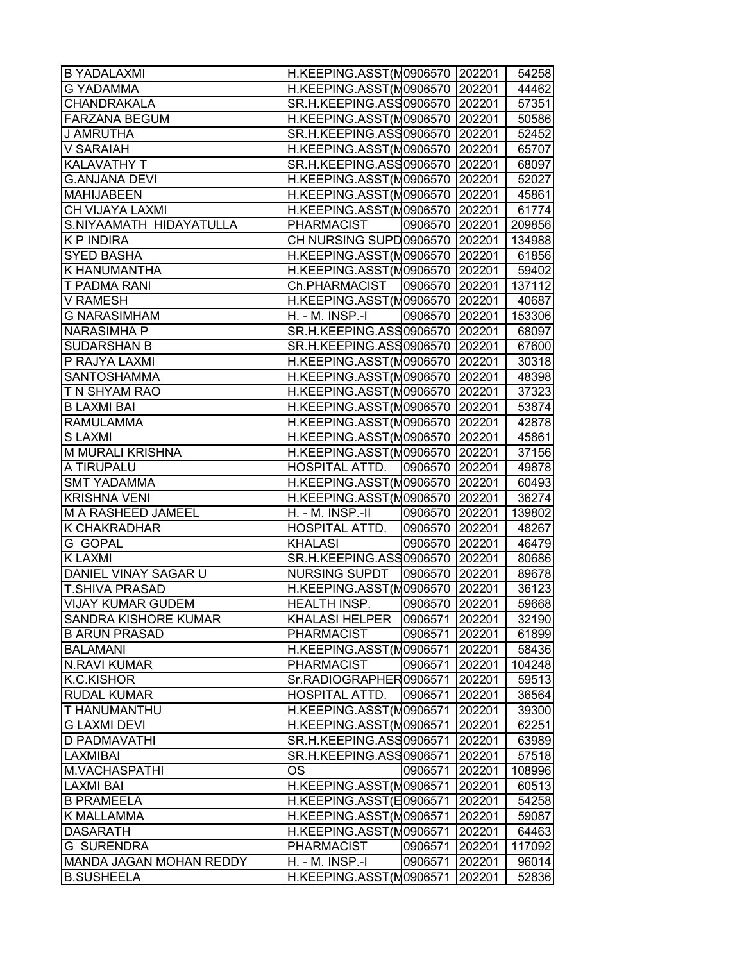| <b>B YADALAXMI</b>       | H.KEEPING.ASST(M0906570 202201 |                |        | 54258  |
|--------------------------|--------------------------------|----------------|--------|--------|
| <b>G YADAMMA</b>         | H.KEEPING.ASST(M0906570        |                | 202201 | 44462  |
| CHANDRAKALA              | SR.H.KEEPING.ASS0906570        |                | 202201 | 57351  |
| <b>FARZANA BEGUM</b>     | H.KEEPING.ASST(M0906570 202201 |                |        | 50586  |
| J AMRUTHA                | SR.H.KEEPING.ASS0906570 202201 |                |        | 52452  |
| V SARAIAH                | H.KEEPING.ASST(M0906570 202201 |                |        | 65707  |
| KALAVATHY T              | SR.H.KEEPING.ASS0906570 202201 |                |        | 68097  |
| <b>G.ANJANA DEVI</b>     | H.KEEPING.ASST(N0906570 202201 |                |        | 52027  |
| <b>MAHIJABEEN</b>        | H.KEEPING.ASST(M0906570 202201 |                |        | 45861  |
| CH VIJAYA LAXMI          | H.KEEPING.ASST(N0906570 202201 |                |        | 61774  |
| S.NIYAAMATH HIDAYATULLA  | PHARMACIST                     | 0906570 202201 |        | 209856 |
| <b>KP INDIRA</b>         | CH NURSING SUPD 0906570        |                | 202201 | 134988 |
| <b>SYED BASHA</b>        | H.KEEPING.ASST(M0906570        |                | 202201 | 61856  |
| K HANUMANTHA             | H.KEEPING.ASST(M0906570        |                | 202201 | 59402  |
| T PADMA RANI             | Ch.PHARMACIST 0906570          |                | 202201 | 137112 |
| V RAMESH                 | H.KEEPING.ASST(M0906570        |                | 202201 | 40687  |
| <b>G NARASIMHAM</b>      | H. - M. INSP.-I                | 0906570 202201 |        | 153306 |
| <b>NARASIMHA P</b>       | SR.H.KEEPING.ASS0906570 202201 |                |        | 68097  |
| <b>SUDARSHAN B</b>       | SR.H.KEEPING.ASS0906570 202201 |                |        | 67600  |
| P RAJYA LAXMI            | H.KEEPING.ASST(M0906570 202201 |                |        | 30318  |
| <b>SANTOSHAMMA</b>       | H.KEEPING.ASST(M0906570 202201 |                |        | 48398  |
| T N SHYAM RAO            | H.KEEPING.ASST(N0906570        |                | 202201 | 37323  |
| <b>B LAXMI BAI</b>       | H.KEEPING.ASST(M0906570 202201 |                |        | 53874  |
| <b>RAMULAMMA</b>         | H.KEEPING.ASST(M0906570 202201 |                |        | 42878  |
| <b>SLAXMI</b>            | H.KEEPING.ASST(M0906570        |                | 202201 | 45861  |
| M MURALI KRISHNA         | H.KEEPING.ASST(M0906570        |                | 202201 | 37156  |
| A TIRUPALU               | HOSPITAL ATTD.                 | 0906570        | 202201 | 49878  |
| <b>SMT YADAMMA</b>       | H.KEEPING.ASST(M0906570        |                | 202201 | 60493  |
| <b>KRISHNA VENI</b>      | H.KEEPING.ASST(M0906570        |                | 202201 | 36274  |
| M A RASHEED JAMEEL       | H. - M. INSP.-II               | 0906570 202201 |        | 139802 |
| K CHAKRADHAR             | HOSPITAL ATTD.                 | 0906570 202201 |        | 48267  |
| G GOPAL                  | <b>KHALASI</b>                 | 0906570 202201 |        | 46479  |
| <b>K LAXMI</b>           | SR.H.KEEPING.ASS0906570 202201 |                |        | 80686  |
| DANIEL VINAY SAGAR U     | <b>NURSING SUPDT</b>           | 0906570 202201 |        | 89678  |
| <b>T.SHIVA PRASAD</b>    | H.KEEPING.ASST(M0906570 202201 |                |        | 36123  |
| <b>VIJAY KUMAR GUDEM</b> | <b>HEALTH INSP.</b>            | 0906570        | 202201 | 59668  |
| SANDRA KISHORE KUMAR     | <b>KHALASI HELPER</b>          | 0906571        | 202201 | 32190  |
| <b>B ARUN PRASAD</b>     | <b>PHARMACIST</b>              | 0906571        | 202201 | 61899  |
| <b>BALAMANI</b>          | H.KEEPING.ASST(M0906571        |                | 202201 | 58436  |
| <b>N.RAVI KUMAR</b>      | <b>PHARMACIST</b>              | 0906571        | 202201 | 104248 |
| <b>K.C.KISHOR</b>        | Sr.RADIOGRAPHER0906571         |                | 202201 | 59513  |
| <b>RUDAL KUMAR</b>       | HOSPITAL ATTD.                 | 0906571        | 202201 | 36564  |
| T HANUMANTHU             | H.KEEPING.ASST(M0906571        |                | 202201 | 39300  |
| <b>G LAXMI DEVI</b>      | H.KEEPING.ASST(M0906571        |                | 202201 | 62251  |
| D PADMAVATHI             | SR.H.KEEPING.ASS0906571        |                | 202201 | 63989  |
| LAXMIBAI                 | SR.H.KEEPING.ASS0906571        |                | 202201 | 57518  |
| M.VACHASPATHI            | OS                             | 0906571        | 202201 | 108996 |
| <b>LAXMI BAI</b>         | H.KEEPING.ASST(M0906571        |                | 202201 | 60513  |
| <b>B PRAMEELA</b>        | H.KEEPING.ASST(E0906571        |                | 202201 | 54258  |
| K MALLAMMA               | H.KEEPING.ASST(M0906571        |                | 202201 | 59087  |
| <b>DASARATH</b>          | H.KEEPING.ASST(M0906571        |                | 202201 | 64463  |
| <b>G SURENDRA</b>        | <b>PHARMACIST</b>              | 0906571        | 202201 | 117092 |
| MANDA JAGAN MOHAN REDDY  | H. - M. INSP.-I                | 0906571        | 202201 | 96014  |
| <b>B.SUSHEELA</b>        | H.KEEPING.ASST(M0906571        |                | 202201 | 52836  |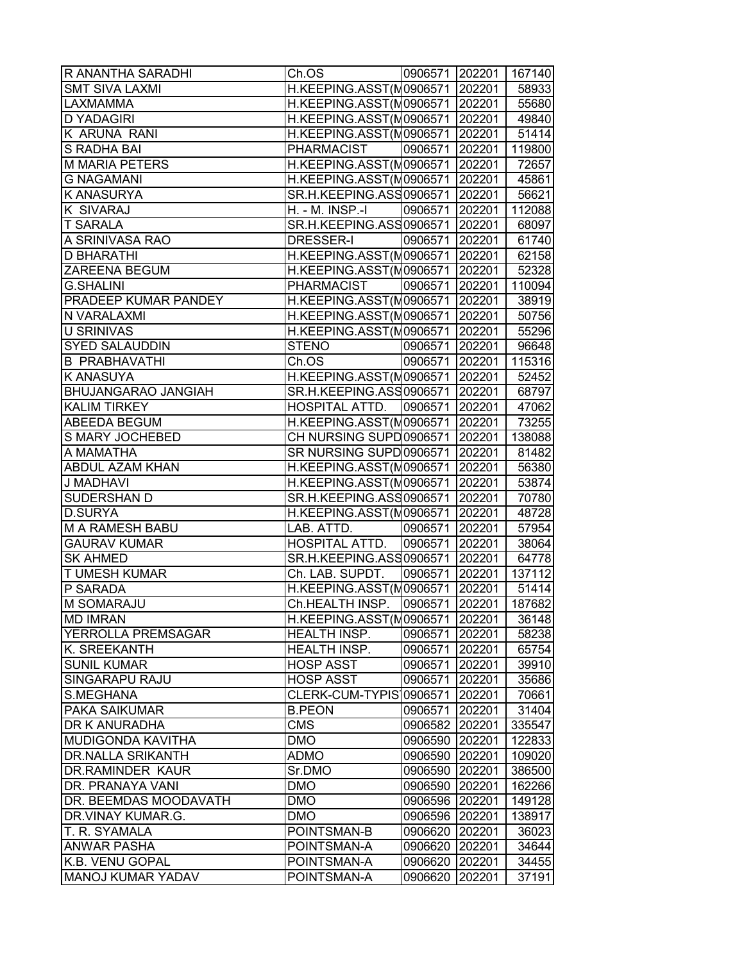| R ANANTHA SARADHI           | Ch.OS                                  | 0906571 202201 167140 |        |        |
|-----------------------------|----------------------------------------|-----------------------|--------|--------|
| <b>SMT SIVA LAXMI</b>       | H.KEEPING.ASST(N0906571 202201         |                       |        | 58933  |
| <b>LAXMAMMA</b>             | H.KEEPING.ASST(M0906571 202201         |                       |        | 55680  |
| <b>D YADAGIRI</b>           | H.KEEPING.ASST(M0906571 202201   49840 |                       |        |        |
| K ARUNA RANI                | H.KEEPING.ASST(M0906571 202201         |                       |        | 51414  |
| S RADHA BAI                 | <b>PHARMACIST</b>                      | 0906571 202201        |        | 119800 |
| <b>M MARIA PETERS</b>       | H.KEEPING.ASST(N0906571 202201         |                       |        | 72657  |
| <b>G NAGAMANI</b>           | H.KEEPING.ASST(N0906571 202201         |                       |        | 45861  |
| <b>K ANASURYA</b>           | SR.H.KEEPING.ASS0906571 202201         |                       |        | 56621  |
| <b>K SIVARAJ</b>            | H. - M. INSP.-I                        | 0906571 202201        |        | 112088 |
| <b>T SARALA</b>             | SR.H.KEEPING.ASS0906571 202201         |                       |        | 68097  |
| A SRINIVASA RAO             | DRESSER-I                              | 0906571 202201        |        | 61740  |
| <b>D BHARATHI</b>           | H.KEEPING.ASST(N0906571 202201         |                       |        | 62158  |
| <b>ZAREENA BEGUM</b>        | H.KEEPING.ASST(N0906571 202201         |                       |        | 52328  |
| <b>G.SHALINI</b>            | PHARMACIST                             | 0906571 202201        |        | 110094 |
| <b>PRADEEP KUMAR PANDEY</b> | H.KEEPING.ASST(M0906571 202201         |                       |        | 38919  |
| N VARALAXMI                 | H.KEEPING.ASST(M0906571 202201         |                       |        | 50756  |
| <b>U SRINIVAS</b>           | H.KEEPING.ASST(N0906571 202201         |                       |        | 55296  |
| <b>SYED SALAUDDIN</b>       | <b>STENO</b>                           | 0906571 202201        |        | 96648  |
| <b>B PRABHAVATHI</b>        | Ch.OS                                  | 0906571 202201        |        | 115316 |
| K ANASUYA                   | H.KEEPING.ASST(N0906571 202201         |                       |        | 52452  |
| <b>BHUJANGARAO JANGIAH</b>  | SR.H.KEEPING.ASS0906571 202201         |                       |        | 68797  |
| <b>KALIM TIRKEY</b>         | HOSPITAL ATTD.                         | 0906571 202201        |        | 47062  |
| <b>ABEEDA BEGUM</b>         | H.KEEPING.ASST(N0906571 202201         |                       |        | 73255  |
| <b>S MARY JOCHEBED</b>      | CH NURSING SUPD 0906571 202201         |                       |        | 138088 |
| A MAMATHA                   | SR NURSING SUPD 0906571 202201         |                       |        | 81482  |
| <b>ABDUL AZAM KHAN</b>      | H.KEEPING.ASST(M0906571 202201         |                       |        | 56380  |
| J MADHAVI                   | H.KEEPING.ASST(N0906571 202201         |                       |        | 53874  |
| <b>SUDERSHAN D</b>          | SR.H.KEEPING.ASS0906571 202201         |                       |        | 70780  |
| <b>D.SURYA</b>              | H.KEEPING.ASST(N0906571 202201         |                       |        | 48728  |
| <b>M A RAMESH BABU</b>      | LAB. ATTD.                             | 0906571 202201        |        | 57954  |
| <b>GAURAV KUMAR</b>         | HOSPITAL ATTD.                         | 0906571 202201        |        | 38064  |
| <b>SK AHMED</b>             | SR.H.KEEPING.ASS0906571 202201         |                       |        | 64778  |
| <b>T UMESH KUMAR</b>        | Ch. LAB. SUPDT.                        | 0906571 202201        |        | 137112 |
| P SARADA                    | H.KEEPING.ASST(N0906571 202201         |                       |        | 51414  |
| <b>M SOMARAJU</b>           | Ch.HEALTH INSP.                        | 0906571 202201        |        | 187682 |
| <b>MD IMRAN</b>             | H.KEEPING.ASST(M0906571 202201         |                       |        | 36148  |
| YERROLLA PREMSAGAR          | <b>HEALTH INSP.</b>                    | 0906571               | 202201 | 58238  |
| K. SREEKANTH                | HEALTH INSP.                           | 0906571               | 202201 | 65754  |
| <b>SUNIL KUMAR</b>          | <b>HOSP ASST</b>                       | 0906571 202201        |        | 39910  |
| <b>SINGARAPU RAJU</b>       | <b>HOSP ASST</b>                       | 0906571               | 202201 | 35686  |
| S.MEGHANA                   | CLERK-CUM-TYPIS 0906571 202201         |                       |        | 70661  |
| <b>PAKA SAIKUMAR</b>        | <b>B.PEON</b>                          | 0906571               | 202201 | 31404  |
| DR K ANURADHA               | <b>CMS</b>                             | 0906582 202201        |        | 335547 |
| <b>MUDIGONDA KAVITHA</b>    | <b>DMO</b>                             | 0906590 202201        |        | 122833 |
| DR.NALLA SRIKANTH           | <b>ADMO</b>                            | 0906590 202201        |        | 109020 |
| <b>DR.RAMINDER KAUR</b>     | Sr.DMO                                 | 0906590 202201        |        | 386500 |
| DR. PRANAYA VANI            | <b>DMO</b>                             | 0906590 202201        |        | 162266 |
| DR. BEEMDAS MOODAVATH       | <b>DMO</b>                             | 0906596 202201        |        | 149128 |
| DR.VINAY KUMAR.G.           | <b>DMO</b>                             | 0906596 202201        |        | 138917 |
| T. R. SYAMALA               | POINTSMAN-B                            | 0906620               | 202201 | 36023  |
| <b>ANWAR PASHA</b>          | POINTSMAN-A                            | 0906620               | 202201 | 34644  |
| <b>K.B. VENU GOPAL</b>      | POINTSMAN-A                            | 0906620               | 202201 | 34455  |
| <b>MANOJ KUMAR YADAV</b>    | POINTSMAN-A                            | 0906620               | 202201 | 37191  |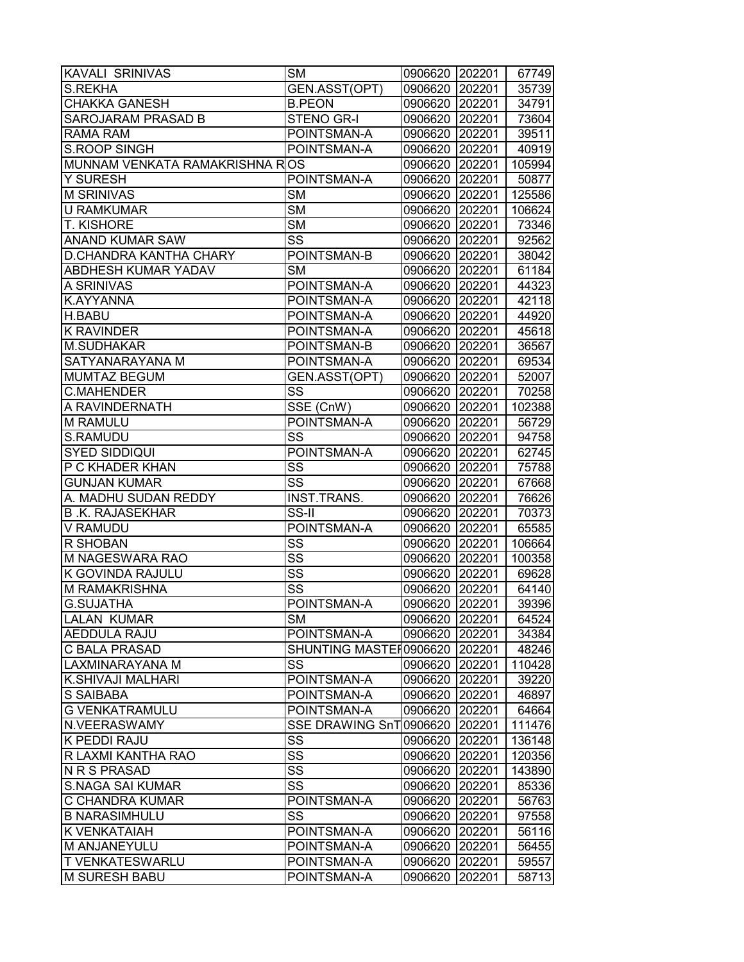| KAVALI SRINIVAS                | <b>SM</b>                     | 0906620 202201 |        | 67749  |
|--------------------------------|-------------------------------|----------------|--------|--------|
| <b>S.REKHA</b>                 | GEN.ASST(OPT)                 | 0906620        | 202201 | 35739  |
| <b>CHAKKA GANESH</b>           | <b>B.PEON</b>                 | 0906620 202201 |        | 34791  |
| SAROJARAM PRASAD B             | <b>STENO GR-I</b>             | 0906620 202201 |        | 73604  |
| <b>RAMA RAM</b>                | POINTSMAN-A                   | 0906620 202201 |        | 39511  |
| <b>S.ROOP SINGH</b>            | POINTSMAN-A                   | 0906620        | 202201 | 40919  |
| MUNNAM VENKATA RAMAKRISHNA ROS |                               | 0906620        | 202201 | 105994 |
| Y SURESH                       | POINTSMAN-A                   | 0906620        | 202201 | 50877  |
| <b>M SRINIVAS</b>              | $\overline{\text{SM}}$        | 0906620        | 202201 | 125586 |
| <b>U RAMKUMAR</b>              | $\overline{\text{SM}}$        | 0906620 202201 |        | 106624 |
| <b>T. KISHORE</b>              | $\overline{\text{SM}}$        | 0906620 202201 |        | 73346  |
| <b>ANAND KUMAR SAW</b>         | SS                            | 0906620        | 202201 | 92562  |
| D.CHANDRA KANTHA CHARY         | POINTSMAN-B                   | 0906620        | 202201 | 38042  |
| ABDHESH KUMAR YADAV            | <b>SM</b>                     | 0906620        | 202201 | 61184  |
| A SRINIVAS                     | POINTSMAN-A                   | 0906620        | 202201 | 44323  |
| K.AYYANNA                      | POINTSMAN-A                   | 0906620 202201 |        | 42118  |
| H.BABU                         | POINTSMAN-A                   | 0906620 202201 |        | 44920  |
| <b>K RAVINDER</b>              | POINTSMAN-A                   | 0906620        | 202201 | 45618  |
| <b>M.SUDHAKAR</b>              | POINTSMAN-B                   | 0906620        | 202201 | 36567  |
| SATYANARAYANA M                | POINTSMAN-A                   | 0906620        | 202201 | 69534  |
| <b>MUMTAZ BEGUM</b>            | GEN.ASST(OPT)                 | 0906620        | 202201 | 52007  |
| <b>C.MAHENDER</b>              | SS                            | 0906620 202201 |        | 70258  |
| A RAVINDERNATH                 | $\overline{\text{SSE}}$ (CnW) | 0906620 202201 |        | 102388 |
| M RAMULU                       | POINTSMAN-A                   | 0906620 202201 |        | 56729  |
| S.RAMUDU                       | SS                            | 0906620        | 202201 | 94758  |
| <b>SYED SIDDIQUI</b>           | POINTSMAN-A                   | 0906620        | 202201 | 62745  |
| P C KHADER KHAN                | SS                            | 0906620        | 202201 | 75788  |
| GUNJAN KUMAR                   | SS                            | 0906620 202201 |        | 67668  |
| A. MADHU SUDAN REDDY           | <b>INST.TRANS.</b>            | 0906620 202201 |        | 76626  |
| <b>B.K. RAJASEKHAR</b>         | SS-II                         | 0906620 202201 |        | 70373  |
| V RAMUDU                       | POINTSMAN-A                   | 0906620        | 202201 | 65585  |
| R SHOBAN                       | SS                            | 0906620        | 202201 | 106664 |
| M NAGESWARA RAO                | $\overline{\text{SS}}$        | 0906620        | 202201 | 100358 |
| K GOVINDA RAJULU               | $\overline{\text{SS}}$        | 0906620        | 202201 | 69628  |
| M RAMAKRISHNA                  | $\overline{\text{SS}}$        | 0906620 202201 |        | 64140  |
| <b>G.SUJATHA</b>               | POINTSMAN-A                   | 0906620 202201 |        | 39396  |
| <b>LALAN KUMAR</b>             | <b>SM</b>                     | 0906620 202201 |        | 64524  |
| AEDDULA RAJU                   | POINTSMAN-A                   | 0906620        | 202201 | 34384  |
| C BALA PRASAD                  | SHUNTING MASTER0906620        |                | 202201 | 48246  |
| LAXMINARAYANA M                | SS                            | 0906620        | 202201 | 110428 |
| K.SHIVAJI MALHARI              | POINTSMAN-A                   | 0906620        | 202201 | 39220  |
| S SAIBABA                      | POINTSMAN-A                   | 0906620        | 202201 | 46897  |
| <b>G VENKATRAMULU</b>          | POINTSMAN-A                   | 0906620        | 202201 | 64664  |
| N.VEERASWAMY                   | <b>SSE DRAWING SnT</b>        | 0906620        | 202201 | 111476 |
| K PEDDI RAJU                   | SS                            | 0906620        | 202201 | 136148 |
| R LAXMI KANTHA RAO             | $\overline{\text{SS}}$        | 0906620        | 202201 | 120356 |
| N R S PRASAD                   | SS                            | 0906620        | 202201 | 143890 |
| <b>S.NAGA SAI KUMAR</b>        | SS                            | 0906620        | 202201 | 85336  |
| C CHANDRA KUMAR                | POINTSMAN-A                   | 0906620        | 202201 | 56763  |
| <b>B NARASIMHULU</b>           | SS                            | 0906620        | 202201 | 97558  |
| K VENKATAIAH                   | POINTSMAN-A                   | 0906620        | 202201 | 56116  |
| M ANJANEYULU                   | POINTSMAN-A                   | 0906620        | 202201 | 56455  |
| T VENKATESWARLU                | POINTSMAN-A                   | 0906620        | 202201 | 59557  |
| <b>M SURESH BABU</b>           | POINTSMAN-A                   | 0906620        | 202201 | 58713  |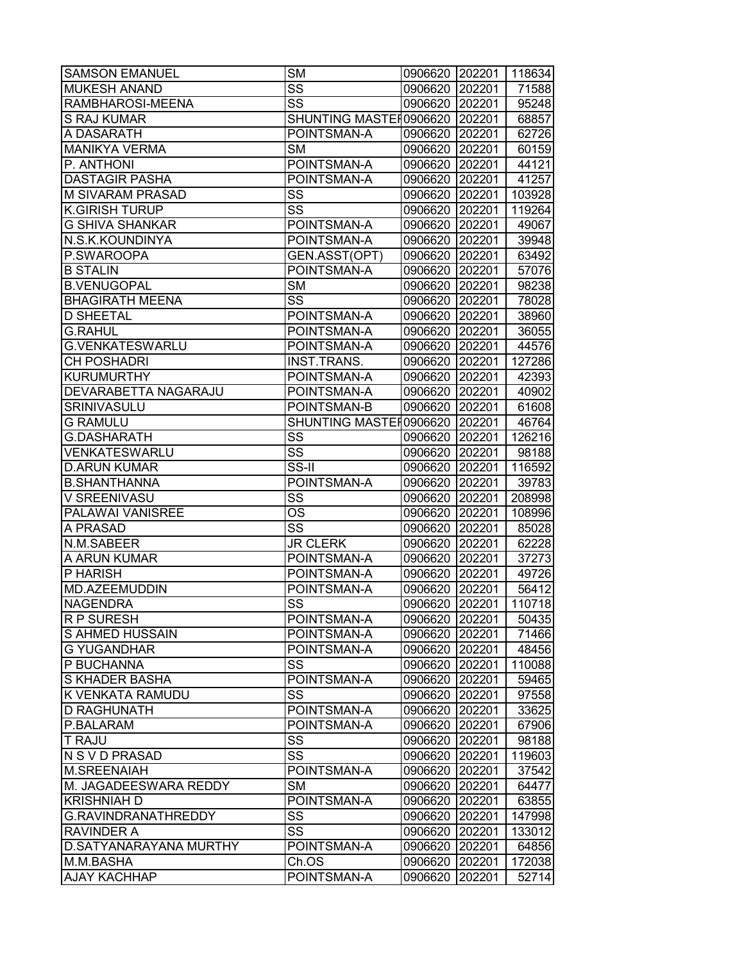| $\overline{\text{SS}}$<br><b>MUKESH ANAND</b><br>0906620 202201<br>71588<br>SS<br>RAMBHAROSI-MEENA<br>0906620 202201<br>95248<br><b>S RAJ KUMAR</b><br>SHUNTING MASTER0906620 202201<br>A DASARATH<br>POINTSMAN-A<br>0906620 202201<br><b>MANIKYA VERMA</b><br><b>SM</b><br>0906620 202201<br>P. ANTHONI<br>POINTSMAN-A<br>0906620 202201<br><b>DASTAGIR PASHA</b><br>POINTSMAN-A<br>0906620 202201<br>$\overline{\text{SS}}$<br><b>M SIVARAM PRASAD</b><br>0906620 202201<br>SS<br><b>K.GIRISH TURUP</b><br>0906620 202201<br><b>G SHIVA SHANKAR</b><br>0906620 202201<br>POINTSMAN-A<br>N.S.K.KOUNDINYA<br>POINTSMAN-A<br>0906620 202201<br>P.SWAROOPA<br>GEN.ASST(OPT)<br>202201<br>0906620<br><b>B STALIN</b><br>POINTSMAN-A<br>0906620<br>202201<br><b>SM</b><br><b>B.VENUGOPAL</b><br>0906620 202201<br><b>BHAGIRATH MEENA</b><br>SS<br>0906620 202201<br><b>D SHEETAL</b><br>POINTSMAN-A<br>0906620 202201<br><b>G.RAHUL</b><br>POINTSMAN-A<br>0906620 202201<br><b>G.VENKATESWARLU</b><br>POINTSMAN-A<br>0906620 202201<br><b>CH POSHADRI</b><br><b>INST.TRANS.</b><br>0906620 202201<br><b>KURUMURTHY</b><br>POINTSMAN-A<br>0906620 202201<br><b>DEVARABETTA NAGARAJU</b><br>POINTSMAN-A<br>0906620 202201<br>SRINIVASULU<br>POINTSMAN-B<br>0906620 202201<br><b>G RAMULU</b><br>SHUNTING MASTER0906620 202201<br>SS<br><b>G.DASHARATH</b><br>0906620<br>202201<br>$\overline{\text{SS}}$<br>VENKATESWARLU<br>0906620 202201<br>$\overline{\text{SS-I}}$<br><b>D.ARUN KUMAR</b><br>0906620<br>202201<br><b>B.SHANTHANNA</b><br>POINTSMAN-A<br>0906620 202201<br>SS<br>V SREENIVASU<br>0906620 202201<br>PALAWAI VANISREE<br>ОS<br>0906620 202201<br>SS<br>A PRASAD<br>0906620 202201<br><b>JR CLERK</b><br>N.M.SABEER<br>0906620 202201<br>A ARUN KUMAR<br>POINTSMAN-A<br>0906620 202201<br>P HARISH<br>POINTSMAN-A<br>0906620 202201<br><b>MD.AZEEMUDDIN</b><br>POINTSMAN-A<br>0906620 202201<br>SS<br>0906620 202201<br><b>NAGENDRA</b><br>R P SURESH<br>POINTSMAN-A<br>0906620 202201<br>S AHMED HUSSAIN<br>POINTSMAN-A<br>0906620<br>202201<br><b>G YUGANDHAR</b><br>POINTSMAN-A<br>0906620 202201<br>P BUCHANNA<br>SS<br>0906620 202201 |
|-------------------------------------------------------------------------------------------------------------------------------------------------------------------------------------------------------------------------------------------------------------------------------------------------------------------------------------------------------------------------------------------------------------------------------------------------------------------------------------------------------------------------------------------------------------------------------------------------------------------------------------------------------------------------------------------------------------------------------------------------------------------------------------------------------------------------------------------------------------------------------------------------------------------------------------------------------------------------------------------------------------------------------------------------------------------------------------------------------------------------------------------------------------------------------------------------------------------------------------------------------------------------------------------------------------------------------------------------------------------------------------------------------------------------------------------------------------------------------------------------------------------------------------------------------------------------------------------------------------------------------------------------------------------------------------------------------------------------------------------------------------------------------------------------------------------------------------------------------------------------------------------------------------------------------------------------------------------------------------------------------------------------------------------------------------------------------------------------------------------------------------------------------|
|                                                                                                                                                                                                                                                                                                                                                                                                                                                                                                                                                                                                                                                                                                                                                                                                                                                                                                                                                                                                                                                                                                                                                                                                                                                                                                                                                                                                                                                                                                                                                                                                                                                                                                                                                                                                                                                                                                                                                                                                                                                                                                                                                       |
| 68857<br>62726<br>60159<br>44121<br>41257<br>103928<br>119264<br>49067<br>39948<br>63492<br>57076<br>98238<br>78028<br>38960<br>36055<br>44576<br>127286<br>42393<br>40902<br>61608<br>46764<br>126216<br>98188<br>116592<br>39783<br>208998<br>108996<br>85028<br>62228<br>37273<br>49726<br>56412<br>110718<br>50435<br>71466<br>48456<br>110088                                                                                                                                                                                                                                                                                                                                                                                                                                                                                                                                                                                                                                                                                                                                                                                                                                                                                                                                                                                                                                                                                                                                                                                                                                                                                                                                                                                                                                                                                                                                                                                                                                                                                                                                                                                                    |
|                                                                                                                                                                                                                                                                                                                                                                                                                                                                                                                                                                                                                                                                                                                                                                                                                                                                                                                                                                                                                                                                                                                                                                                                                                                                                                                                                                                                                                                                                                                                                                                                                                                                                                                                                                                                                                                                                                                                                                                                                                                                                                                                                       |
|                                                                                                                                                                                                                                                                                                                                                                                                                                                                                                                                                                                                                                                                                                                                                                                                                                                                                                                                                                                                                                                                                                                                                                                                                                                                                                                                                                                                                                                                                                                                                                                                                                                                                                                                                                                                                                                                                                                                                                                                                                                                                                                                                       |
|                                                                                                                                                                                                                                                                                                                                                                                                                                                                                                                                                                                                                                                                                                                                                                                                                                                                                                                                                                                                                                                                                                                                                                                                                                                                                                                                                                                                                                                                                                                                                                                                                                                                                                                                                                                                                                                                                                                                                                                                                                                                                                                                                       |
|                                                                                                                                                                                                                                                                                                                                                                                                                                                                                                                                                                                                                                                                                                                                                                                                                                                                                                                                                                                                                                                                                                                                                                                                                                                                                                                                                                                                                                                                                                                                                                                                                                                                                                                                                                                                                                                                                                                                                                                                                                                                                                                                                       |
|                                                                                                                                                                                                                                                                                                                                                                                                                                                                                                                                                                                                                                                                                                                                                                                                                                                                                                                                                                                                                                                                                                                                                                                                                                                                                                                                                                                                                                                                                                                                                                                                                                                                                                                                                                                                                                                                                                                                                                                                                                                                                                                                                       |
|                                                                                                                                                                                                                                                                                                                                                                                                                                                                                                                                                                                                                                                                                                                                                                                                                                                                                                                                                                                                                                                                                                                                                                                                                                                                                                                                                                                                                                                                                                                                                                                                                                                                                                                                                                                                                                                                                                                                                                                                                                                                                                                                                       |
|                                                                                                                                                                                                                                                                                                                                                                                                                                                                                                                                                                                                                                                                                                                                                                                                                                                                                                                                                                                                                                                                                                                                                                                                                                                                                                                                                                                                                                                                                                                                                                                                                                                                                                                                                                                                                                                                                                                                                                                                                                                                                                                                                       |
|                                                                                                                                                                                                                                                                                                                                                                                                                                                                                                                                                                                                                                                                                                                                                                                                                                                                                                                                                                                                                                                                                                                                                                                                                                                                                                                                                                                                                                                                                                                                                                                                                                                                                                                                                                                                                                                                                                                                                                                                                                                                                                                                                       |
|                                                                                                                                                                                                                                                                                                                                                                                                                                                                                                                                                                                                                                                                                                                                                                                                                                                                                                                                                                                                                                                                                                                                                                                                                                                                                                                                                                                                                                                                                                                                                                                                                                                                                                                                                                                                                                                                                                                                                                                                                                                                                                                                                       |
|                                                                                                                                                                                                                                                                                                                                                                                                                                                                                                                                                                                                                                                                                                                                                                                                                                                                                                                                                                                                                                                                                                                                                                                                                                                                                                                                                                                                                                                                                                                                                                                                                                                                                                                                                                                                                                                                                                                                                                                                                                                                                                                                                       |
|                                                                                                                                                                                                                                                                                                                                                                                                                                                                                                                                                                                                                                                                                                                                                                                                                                                                                                                                                                                                                                                                                                                                                                                                                                                                                                                                                                                                                                                                                                                                                                                                                                                                                                                                                                                                                                                                                                                                                                                                                                                                                                                                                       |
|                                                                                                                                                                                                                                                                                                                                                                                                                                                                                                                                                                                                                                                                                                                                                                                                                                                                                                                                                                                                                                                                                                                                                                                                                                                                                                                                                                                                                                                                                                                                                                                                                                                                                                                                                                                                                                                                                                                                                                                                                                                                                                                                                       |
|                                                                                                                                                                                                                                                                                                                                                                                                                                                                                                                                                                                                                                                                                                                                                                                                                                                                                                                                                                                                                                                                                                                                                                                                                                                                                                                                                                                                                                                                                                                                                                                                                                                                                                                                                                                                                                                                                                                                                                                                                                                                                                                                                       |
|                                                                                                                                                                                                                                                                                                                                                                                                                                                                                                                                                                                                                                                                                                                                                                                                                                                                                                                                                                                                                                                                                                                                                                                                                                                                                                                                                                                                                                                                                                                                                                                                                                                                                                                                                                                                                                                                                                                                                                                                                                                                                                                                                       |
|                                                                                                                                                                                                                                                                                                                                                                                                                                                                                                                                                                                                                                                                                                                                                                                                                                                                                                                                                                                                                                                                                                                                                                                                                                                                                                                                                                                                                                                                                                                                                                                                                                                                                                                                                                                                                                                                                                                                                                                                                                                                                                                                                       |
|                                                                                                                                                                                                                                                                                                                                                                                                                                                                                                                                                                                                                                                                                                                                                                                                                                                                                                                                                                                                                                                                                                                                                                                                                                                                                                                                                                                                                                                                                                                                                                                                                                                                                                                                                                                                                                                                                                                                                                                                                                                                                                                                                       |
|                                                                                                                                                                                                                                                                                                                                                                                                                                                                                                                                                                                                                                                                                                                                                                                                                                                                                                                                                                                                                                                                                                                                                                                                                                                                                                                                                                                                                                                                                                                                                                                                                                                                                                                                                                                                                                                                                                                                                                                                                                                                                                                                                       |
|                                                                                                                                                                                                                                                                                                                                                                                                                                                                                                                                                                                                                                                                                                                                                                                                                                                                                                                                                                                                                                                                                                                                                                                                                                                                                                                                                                                                                                                                                                                                                                                                                                                                                                                                                                                                                                                                                                                                                                                                                                                                                                                                                       |
|                                                                                                                                                                                                                                                                                                                                                                                                                                                                                                                                                                                                                                                                                                                                                                                                                                                                                                                                                                                                                                                                                                                                                                                                                                                                                                                                                                                                                                                                                                                                                                                                                                                                                                                                                                                                                                                                                                                                                                                                                                                                                                                                                       |
|                                                                                                                                                                                                                                                                                                                                                                                                                                                                                                                                                                                                                                                                                                                                                                                                                                                                                                                                                                                                                                                                                                                                                                                                                                                                                                                                                                                                                                                                                                                                                                                                                                                                                                                                                                                                                                                                                                                                                                                                                                                                                                                                                       |
|                                                                                                                                                                                                                                                                                                                                                                                                                                                                                                                                                                                                                                                                                                                                                                                                                                                                                                                                                                                                                                                                                                                                                                                                                                                                                                                                                                                                                                                                                                                                                                                                                                                                                                                                                                                                                                                                                                                                                                                                                                                                                                                                                       |
|                                                                                                                                                                                                                                                                                                                                                                                                                                                                                                                                                                                                                                                                                                                                                                                                                                                                                                                                                                                                                                                                                                                                                                                                                                                                                                                                                                                                                                                                                                                                                                                                                                                                                                                                                                                                                                                                                                                                                                                                                                                                                                                                                       |
|                                                                                                                                                                                                                                                                                                                                                                                                                                                                                                                                                                                                                                                                                                                                                                                                                                                                                                                                                                                                                                                                                                                                                                                                                                                                                                                                                                                                                                                                                                                                                                                                                                                                                                                                                                                                                                                                                                                                                                                                                                                                                                                                                       |
|                                                                                                                                                                                                                                                                                                                                                                                                                                                                                                                                                                                                                                                                                                                                                                                                                                                                                                                                                                                                                                                                                                                                                                                                                                                                                                                                                                                                                                                                                                                                                                                                                                                                                                                                                                                                                                                                                                                                                                                                                                                                                                                                                       |
|                                                                                                                                                                                                                                                                                                                                                                                                                                                                                                                                                                                                                                                                                                                                                                                                                                                                                                                                                                                                                                                                                                                                                                                                                                                                                                                                                                                                                                                                                                                                                                                                                                                                                                                                                                                                                                                                                                                                                                                                                                                                                                                                                       |
|                                                                                                                                                                                                                                                                                                                                                                                                                                                                                                                                                                                                                                                                                                                                                                                                                                                                                                                                                                                                                                                                                                                                                                                                                                                                                                                                                                                                                                                                                                                                                                                                                                                                                                                                                                                                                                                                                                                                                                                                                                                                                                                                                       |
|                                                                                                                                                                                                                                                                                                                                                                                                                                                                                                                                                                                                                                                                                                                                                                                                                                                                                                                                                                                                                                                                                                                                                                                                                                                                                                                                                                                                                                                                                                                                                                                                                                                                                                                                                                                                                                                                                                                                                                                                                                                                                                                                                       |
|                                                                                                                                                                                                                                                                                                                                                                                                                                                                                                                                                                                                                                                                                                                                                                                                                                                                                                                                                                                                                                                                                                                                                                                                                                                                                                                                                                                                                                                                                                                                                                                                                                                                                                                                                                                                                                                                                                                                                                                                                                                                                                                                                       |
|                                                                                                                                                                                                                                                                                                                                                                                                                                                                                                                                                                                                                                                                                                                                                                                                                                                                                                                                                                                                                                                                                                                                                                                                                                                                                                                                                                                                                                                                                                                                                                                                                                                                                                                                                                                                                                                                                                                                                                                                                                                                                                                                                       |
|                                                                                                                                                                                                                                                                                                                                                                                                                                                                                                                                                                                                                                                                                                                                                                                                                                                                                                                                                                                                                                                                                                                                                                                                                                                                                                                                                                                                                                                                                                                                                                                                                                                                                                                                                                                                                                                                                                                                                                                                                                                                                                                                                       |
|                                                                                                                                                                                                                                                                                                                                                                                                                                                                                                                                                                                                                                                                                                                                                                                                                                                                                                                                                                                                                                                                                                                                                                                                                                                                                                                                                                                                                                                                                                                                                                                                                                                                                                                                                                                                                                                                                                                                                                                                                                                                                                                                                       |
|                                                                                                                                                                                                                                                                                                                                                                                                                                                                                                                                                                                                                                                                                                                                                                                                                                                                                                                                                                                                                                                                                                                                                                                                                                                                                                                                                                                                                                                                                                                                                                                                                                                                                                                                                                                                                                                                                                                                                                                                                                                                                                                                                       |
|                                                                                                                                                                                                                                                                                                                                                                                                                                                                                                                                                                                                                                                                                                                                                                                                                                                                                                                                                                                                                                                                                                                                                                                                                                                                                                                                                                                                                                                                                                                                                                                                                                                                                                                                                                                                                                                                                                                                                                                                                                                                                                                                                       |
|                                                                                                                                                                                                                                                                                                                                                                                                                                                                                                                                                                                                                                                                                                                                                                                                                                                                                                                                                                                                                                                                                                                                                                                                                                                                                                                                                                                                                                                                                                                                                                                                                                                                                                                                                                                                                                                                                                                                                                                                                                                                                                                                                       |
|                                                                                                                                                                                                                                                                                                                                                                                                                                                                                                                                                                                                                                                                                                                                                                                                                                                                                                                                                                                                                                                                                                                                                                                                                                                                                                                                                                                                                                                                                                                                                                                                                                                                                                                                                                                                                                                                                                                                                                                                                                                                                                                                                       |
|                                                                                                                                                                                                                                                                                                                                                                                                                                                                                                                                                                                                                                                                                                                                                                                                                                                                                                                                                                                                                                                                                                                                                                                                                                                                                                                                                                                                                                                                                                                                                                                                                                                                                                                                                                                                                                                                                                                                                                                                                                                                                                                                                       |
|                                                                                                                                                                                                                                                                                                                                                                                                                                                                                                                                                                                                                                                                                                                                                                                                                                                                                                                                                                                                                                                                                                                                                                                                                                                                                                                                                                                                                                                                                                                                                                                                                                                                                                                                                                                                                                                                                                                                                                                                                                                                                                                                                       |
| <b>S KHADER BASHA</b><br>POINTSMAN-A<br>0906620 202201<br>59465                                                                                                                                                                                                                                                                                                                                                                                                                                                                                                                                                                                                                                                                                                                                                                                                                                                                                                                                                                                                                                                                                                                                                                                                                                                                                                                                                                                                                                                                                                                                                                                                                                                                                                                                                                                                                                                                                                                                                                                                                                                                                       |
| <b>K VENKATA RAMUDU</b><br>SS<br>0906620 202201<br>97558                                                                                                                                                                                                                                                                                                                                                                                                                                                                                                                                                                                                                                                                                                                                                                                                                                                                                                                                                                                                                                                                                                                                                                                                                                                                                                                                                                                                                                                                                                                                                                                                                                                                                                                                                                                                                                                                                                                                                                                                                                                                                              |
| <b>D RAGHUNATH</b><br>0906620 202201<br>33625<br>POINTSMAN-A                                                                                                                                                                                                                                                                                                                                                                                                                                                                                                                                                                                                                                                                                                                                                                                                                                                                                                                                                                                                                                                                                                                                                                                                                                                                                                                                                                                                                                                                                                                                                                                                                                                                                                                                                                                                                                                                                                                                                                                                                                                                                          |
| P.BALARAM<br>POINTSMAN-A<br>0906620<br>202201<br>67906                                                                                                                                                                                                                                                                                                                                                                                                                                                                                                                                                                                                                                                                                                                                                                                                                                                                                                                                                                                                                                                                                                                                                                                                                                                                                                                                                                                                                                                                                                                                                                                                                                                                                                                                                                                                                                                                                                                                                                                                                                                                                                |
| SS<br>202201<br><b>T RAJU</b><br>0906620<br>98188                                                                                                                                                                                                                                                                                                                                                                                                                                                                                                                                                                                                                                                                                                                                                                                                                                                                                                                                                                                                                                                                                                                                                                                                                                                                                                                                                                                                                                                                                                                                                                                                                                                                                                                                                                                                                                                                                                                                                                                                                                                                                                     |
| SS<br>N S V D PRASAD<br>0906620 202201<br>119603                                                                                                                                                                                                                                                                                                                                                                                                                                                                                                                                                                                                                                                                                                                                                                                                                                                                                                                                                                                                                                                                                                                                                                                                                                                                                                                                                                                                                                                                                                                                                                                                                                                                                                                                                                                                                                                                                                                                                                                                                                                                                                      |
| <b>M.SREENAIAH</b><br>POINTSMAN-A<br>0906620 202201<br>37542                                                                                                                                                                                                                                                                                                                                                                                                                                                                                                                                                                                                                                                                                                                                                                                                                                                                                                                                                                                                                                                                                                                                                                                                                                                                                                                                                                                                                                                                                                                                                                                                                                                                                                                                                                                                                                                                                                                                                                                                                                                                                          |
| M. JAGADEESWARA REDDY<br><b>SM</b><br>0906620 202201<br>64477                                                                                                                                                                                                                                                                                                                                                                                                                                                                                                                                                                                                                                                                                                                                                                                                                                                                                                                                                                                                                                                                                                                                                                                                                                                                                                                                                                                                                                                                                                                                                                                                                                                                                                                                                                                                                                                                                                                                                                                                                                                                                         |
| <b>KRISHNIAH D</b><br>POINTSMAN-A<br>0906620 202201<br>63855                                                                                                                                                                                                                                                                                                                                                                                                                                                                                                                                                                                                                                                                                                                                                                                                                                                                                                                                                                                                                                                                                                                                                                                                                                                                                                                                                                                                                                                                                                                                                                                                                                                                                                                                                                                                                                                                                                                                                                                                                                                                                          |
| SS<br>G.RAVINDRANATHREDDY<br>0906620<br>202201<br>147998                                                                                                                                                                                                                                                                                                                                                                                                                                                                                                                                                                                                                                                                                                                                                                                                                                                                                                                                                                                                                                                                                                                                                                                                                                                                                                                                                                                                                                                                                                                                                                                                                                                                                                                                                                                                                                                                                                                                                                                                                                                                                              |
| SS<br><b>RAVINDER A</b><br>0906620<br>202201<br>133012                                                                                                                                                                                                                                                                                                                                                                                                                                                                                                                                                                                                                                                                                                                                                                                                                                                                                                                                                                                                                                                                                                                                                                                                                                                                                                                                                                                                                                                                                                                                                                                                                                                                                                                                                                                                                                                                                                                                                                                                                                                                                                |
| D.SATYANARAYANA MURTHY<br>POINTSMAN-A<br>0906620<br>202201<br>64856                                                                                                                                                                                                                                                                                                                                                                                                                                                                                                                                                                                                                                                                                                                                                                                                                                                                                                                                                                                                                                                                                                                                                                                                                                                                                                                                                                                                                                                                                                                                                                                                                                                                                                                                                                                                                                                                                                                                                                                                                                                                                   |
| M.M.BASHA<br>Ch.OS<br>0906620<br>172038<br>202201                                                                                                                                                                                                                                                                                                                                                                                                                                                                                                                                                                                                                                                                                                                                                                                                                                                                                                                                                                                                                                                                                                                                                                                                                                                                                                                                                                                                                                                                                                                                                                                                                                                                                                                                                                                                                                                                                                                                                                                                                                                                                                     |
| <b>AJAY KACHHAP</b><br>POINTSMAN-A<br>52714<br>0906620<br>202201                                                                                                                                                                                                                                                                                                                                                                                                                                                                                                                                                                                                                                                                                                                                                                                                                                                                                                                                                                                                                                                                                                                                                                                                                                                                                                                                                                                                                                                                                                                                                                                                                                                                                                                                                                                                                                                                                                                                                                                                                                                                                      |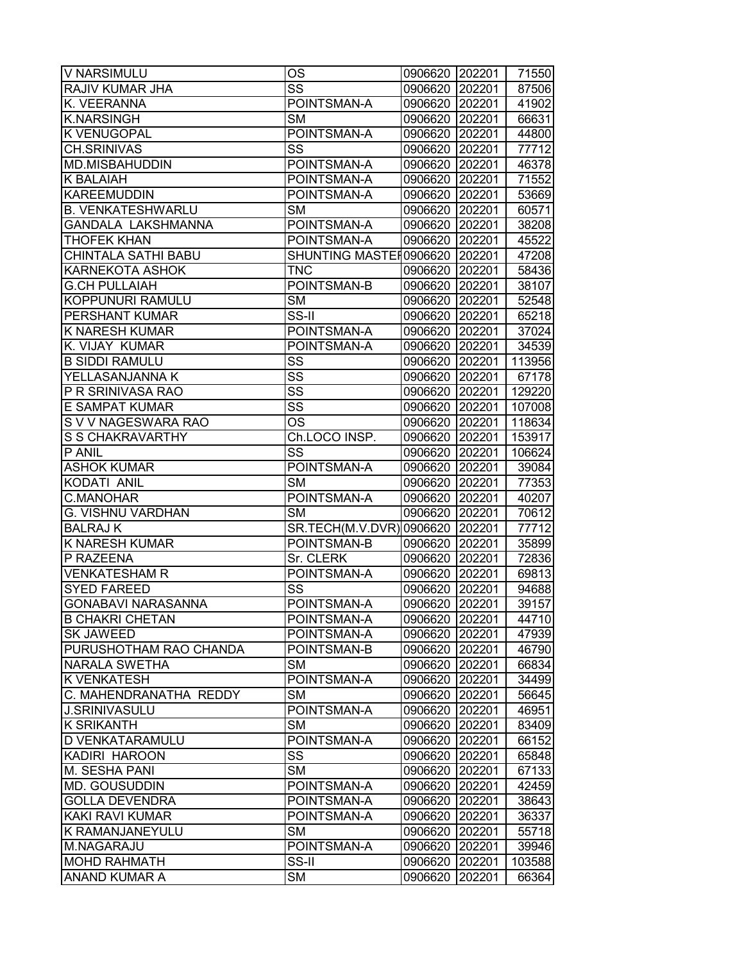| V NARSIMULU                | <b>OS</b>                       | 0906620 202201 |        | 71550  |
|----------------------------|---------------------------------|----------------|--------|--------|
| RAJIV KUMAR JHA            | SS                              | 0906620        | 202201 | 87506  |
| K. VEERANNA                | POINTSMAN-A                     | 0906620 202201 |        | 41902  |
| <b>K.NARSINGH</b>          | <b>SM</b>                       | 0906620 202201 |        | 66631  |
| K VENUGOPAL                | POINTSMAN-A                     | 0906620 202201 |        | 44800  |
| <b>CH.SRINIVAS</b>         | SS                              | 0906620 202201 |        | 77712  |
| MD.MISBAHUDDIN             | POINTSMAN-A                     | 0906620 202201 |        | 46378  |
| <b>K BALAIAH</b>           | POINTSMAN-A                     | 0906620 202201 |        | 71552  |
| KAREEMUDDIN                | POINTSMAN-A                     | 0906620 202201 |        | 53669  |
| <b>B. VENKATESHWARLU</b>   | <b>SM</b>                       | 0906620 202201 |        | 60571  |
| GANDALA LAKSHMANNA         | POINTSMAN-A                     | 0906620 202201 |        | 38208  |
| <b>THOFEK KHAN</b>         | POINTSMAN-A                     | 0906620 202201 |        | 45522  |
| <b>CHINTALA SATHI BABU</b> | SHUNTING MASTER0906620          |                | 202201 | 47208  |
| <b>KARNEKOTA ASHOK</b>     | <b>TNC</b>                      | 0906620        | 202201 | 58436  |
| <b>G.CH PULLAIAH</b>       | POINTSMAN-B                     | 0906620        | 202201 | 38107  |
| KOPPUNURI RAMULU           | <b>SM</b>                       | 0906620 202201 |        | 52548  |
| PERSHANT KUMAR             | SS-II                           | 0906620 202201 |        | 65218  |
| K NARESH KUMAR             | POINTSMAN-A                     | 0906620 202201 |        | 37024  |
| K. VIJAY KUMAR             | POINTSMAN-A                     | 0906620 202201 |        | 34539  |
| <b>B SIDDI RAMULU</b>      | SS                              | 0906620        | 202201 | 113956 |
| YELLASANJANNA K            | $\overline{\text{SS}}$          | 0906620        | 202201 | 67178  |
| P R SRINIVASA RAO          | $\overline{\text{SS}}$          | 0906620 202201 |        | 129220 |
| E SAMPAT KUMAR             | $\overline{\text{SS}}$          | 0906620 202201 |        | 107008 |
| S V V NAGESWARA RAO        | OS                              | 0906620 202201 |        | 118634 |
| <b>S S CHAKRAVARTHY</b>    | Ch.LOCO INSP.                   | 0906620        | 202201 | 153917 |
| P ANIL                     | SS                              | 0906620        | 202201 | 106624 |
| <b>ASHOK KUMAR</b>         | POINTSMAN-A                     | 0906620        | 202201 | 39084  |
| KODATI ANIL                | <b>SM</b>                       | 0906620        | 202201 | 77353  |
| <b>C.MANOHAR</b>           | POINTSMAN-A                     | 0906620        | 202201 | 40207  |
| G. VISHNU VARDHAN          | <b>SM</b>                       | 0906620 202201 |        | 70612  |
| <b>BALRAJK</b>             | SR.TECH(M.V.DVR) 0906620 202201 |                |        | 77712  |
| <b>K NARESH KUMAR</b>      | POINTSMAN-B                     | 0906620        | 202201 | 35899  |
| P RAZEENA                  | Sr. CLERK                       | 0906620        | 202201 | 72836  |
| <b>VENKATESHAM R</b>       | POINTSMAN-A                     | 0906620 202201 |        | 69813  |
| <b>SYED FAREED</b>         | $\overline{\text{SS}}$          | 0906620 202201 |        | 94688  |
| <b>GONABAVI NARASANNA</b>  | POINTSMAN-A                     | 0906620 202201 |        | 39157  |
| <b>B CHAKRI CHETAN</b>     | POINTSMAN-A                     | 0906620 202201 |        | 44710  |
| <b>SK JAWEED</b>           | POINTSMAN-A                     | 0906620 202201 |        | 47939  |
| PURUSHOTHAM RAO CHANDA     | POINTSMAN-B                     | 0906620 202201 |        | 46790  |
| NARALA SWETHA              | SM                              | 0906620        | 202201 | 66834  |
| <b>K VENKATESH</b>         | POINTSMAN-A                     | 0906620 202201 |        | 34499  |
| C. MAHENDRANATHA REDDY     | <b>SM</b>                       | 0906620 202201 |        | 56645  |
| <b>J.SRINIVASULU</b>       | POINTSMAN-A                     | 0906620 202201 |        | 46951  |
| <b>K SRIKANTH</b>          | <b>SM</b>                       | 0906620 202201 |        | 83409  |
| D VENKATARAMULU            | POINTSMAN-A                     | 0906620        | 202201 | 66152  |
| KADIRI HAROON              | SS                              | 0906620        | 202201 | 65848  |
| M. SESHA PANI              | <b>SM</b>                       | 0906620        | 202201 | 67133  |
| <b>MD. GOUSUDDIN</b>       | POINTSMAN-A                     | 0906620 202201 |        | 42459  |
| <b>GOLLA DEVENDRA</b>      | POINTSMAN-A                     | 0906620        | 202201 | 38643  |
| KAKI RAVI KUMAR            | POINTSMAN-A                     | 0906620        | 202201 | 36337  |
| K RAMANJANEYULU            | <b>SM</b>                       | 0906620        | 202201 | 55718  |
| M.NAGARAJU                 | POINTSMAN-A                     | 0906620        | 202201 | 39946  |
| <b>MOHD RAHMATH</b>        | $SS-II$                         | 0906620        | 202201 | 103588 |
| ANAND KUMAR A              | <b>SM</b>                       | 0906620        | 202201 | 66364  |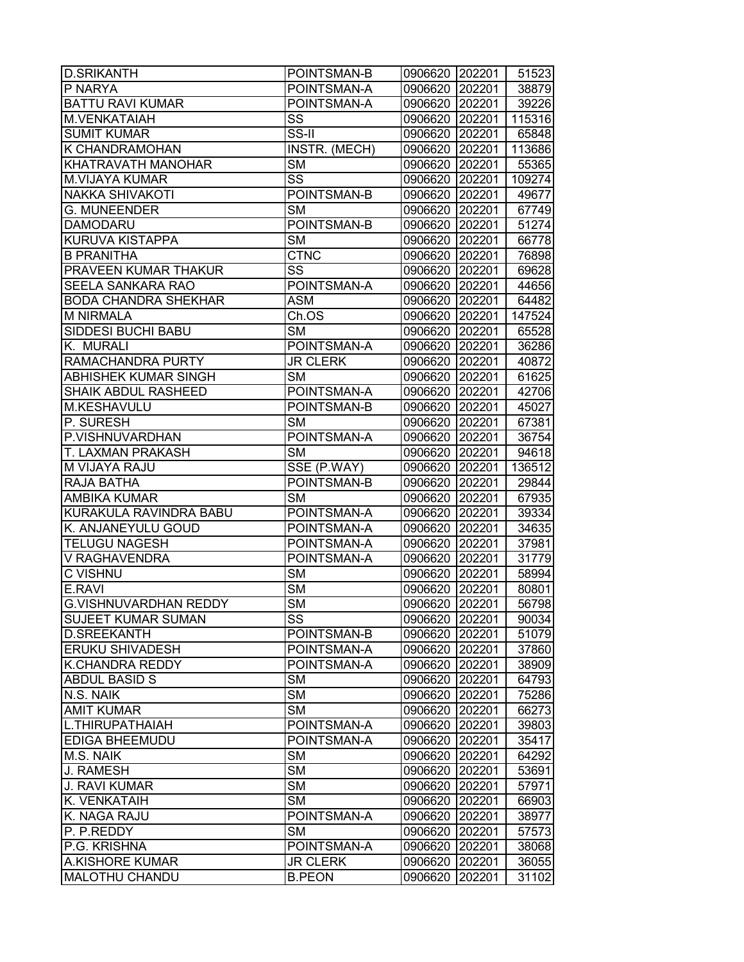| <b>D.SRIKANTH</b>            | POINTSMAN-B            | 0906620 202201                   |        | 51523  |
|------------------------------|------------------------|----------------------------------|--------|--------|
| P NARYA                      | POINTSMAN-A            | 0906620 202201                   |        | 38879  |
| <b>BATTU RAVI KUMAR</b>      | POINTSMAN-A            | 0906620 202201                   |        | 39226  |
| <b>M.VENKATAIAH</b>          | SS                     | 0906620 202201                   |        | 115316 |
| <b>SUMIT KUMAR</b>           | SS-II                  | 0906620 202201                   |        | 65848  |
| K CHANDRAMOHAN               | <b>INSTR.</b> (MECH)   | 0906620 202201                   |        | 113686 |
| KHATRAVATH MANOHAR           | <b>SM</b>              | 0906620 202201                   |        | 55365  |
| <b>M.VIJAYA KUMAR</b>        | SS                     | 0906620 202201                   |        | 109274 |
| <b>NAKKA SHIVAKOTI</b>       | POINTSMAN-B            | 0906620 202201                   |        | 49677  |
| <b>G. MUNEENDER</b>          | <b>SM</b>              | 0906620 202201                   |        | 67749  |
| <b>DAMODARU</b>              | POINTSMAN-B            | 0906620 202201                   |        | 51274  |
| <b>KURUVA KISTAPPA</b>       | <b>SM</b>              | 0906620 202201                   |        | 66778  |
| <b>B PRANITHA</b>            | <b>CTNC</b>            | 0906620 202201                   |        | 76898  |
| PRAVEEN KUMAR THAKUR         | SS                     | 0906620 202201                   |        | 69628  |
| SEELA SANKARA RAO            | POINTSMAN-A            | 0906620 202201                   |        | 44656  |
| <b>BODA CHANDRA SHEKHAR</b>  | <b>ASM</b>             | 0906620 202201                   |        | 64482  |
| <b>M NIRMALA</b>             | Ch.OS                  | 0906620 202201                   |        | 147524 |
| SIDDESI BUCHI BABU           | $\overline{\text{SM}}$ | 0906620 202201                   |        | 65528  |
| K. MURALI                    | POINTSMAN-A            | 0906620 202201                   |        | 36286  |
| RAMACHANDRA PURTY            | <b>JR CLERK</b>        | 0906620 202201                   |        | 40872  |
| ABHISHEK KUMAR SINGH         | <b>SM</b>              | 0906620 202201                   |        | 61625  |
| <b>SHAIK ABDUL RASHEED</b>   | POINTSMAN-A            |                                  |        |        |
|                              |                        | 0906620 202201<br>0906620 202201 |        | 42706  |
| M.KESHAVULU                  | POINTSMAN-B            |                                  |        | 45027  |
| P. SURESH                    | <b>SM</b>              | 0906620 202201                   |        | 67381  |
| P.VISHNUVARDHAN              | POINTSMAN-A            | 0906620 202201                   |        | 36754  |
| T. LAXMAN PRAKASH            | <b>SM</b>              | 0906620 202201                   |        | 94618  |
| M VIJAYA RAJU                | SSE (P.WAY)            | 0906620 202201                   |        | 136512 |
| RAJA BATHA                   | POINTSMAN-B            | 0906620 202201                   |        | 29844  |
| <b>AMBIKA KUMAR</b>          | <b>SM</b>              | 0906620 202201                   |        | 67935  |
| KURAKULA RAVINDRA BABU       | POINTSMAN-A            | 0906620 202201                   |        | 39334  |
| K. ANJANEYULU GOUD           | POINTSMAN-A            | 0906620 202201                   |        | 34635  |
| <b>TELUGU NAGESH</b>         | POINTSMAN-A            | 0906620 202201                   |        | 37981  |
| V RAGHAVENDRA                | POINTSMAN-A            | 0906620 202201                   |        | 31779  |
| <b>C VISHNU</b>              | $\overline{\text{SM}}$ | 0906620 202201                   |        | 58994  |
| E.RAVI                       | $\overline{\text{SM}}$ | 0906620 202201                   |        | 80801  |
| <b>G.VISHNUVARDHAN REDDY</b> | $\overline{\text{SM}}$ | 0906620 202201                   |        | 56798  |
| SUJEET KUMAR SUMAN           | SS                     | 0906620 202201                   |        | 90034  |
| <b>D.SREEKANTH</b>           | POINTSMAN-B            | 0906620 202201                   |        | 51079  |
| ERUKU SHIVADESH              | POINTSMAN-A            | 0906620 202201                   |        | 37860  |
| K.CHANDRA REDDY              | POINTSMAN-A            | 0906620 202201                   |        | 38909  |
| <b>ABDUL BASID S</b>         | <b>SM</b>              | 0906620 202201                   |        | 64793  |
| N.S. NAIK                    | <b>SM</b>              | 0906620 202201                   |        | 75286  |
| <b>AMIT KUMAR</b>            | <b>SM</b>              | 0906620 202201                   |        | 66273  |
| L.THIRUPATHAIAH              | POINTSMAN-A            | 0906620 202201                   |        | 39803  |
| <b>EDIGA BHEEMUDU</b>        | POINTSMAN-A            | 0906620 202201                   |        | 35417  |
| M.S. NAIK                    | <b>SM</b>              | 0906620 202201                   |        | 64292  |
| J. RAMESH                    | <b>SM</b>              | 0906620                          | 202201 | 53691  |
| J. RAVI KUMAR                | <b>SM</b>              | 0906620 202201                   |        | 57971  |
| K. VENKATAIH                 | <b>SM</b>              | 0906620 202201                   |        | 66903  |
| K. NAGA RAJU                 | POINTSMAN-A            | 0906620 202201                   |        | 38977  |
| P. P.REDDY                   | <b>SM</b>              | 0906620                          | 202201 | 57573  |
| P.G. KRISHNA                 | POINTSMAN-A            | 0906620                          | 202201 | 38068  |
| A.KISHORE KUMAR              | <b>JR CLERK</b>        | 0906620                          | 202201 | 36055  |
| <b>MALOTHU CHANDU</b>        | <b>B.PEON</b>          | 0906620                          | 202201 | 31102  |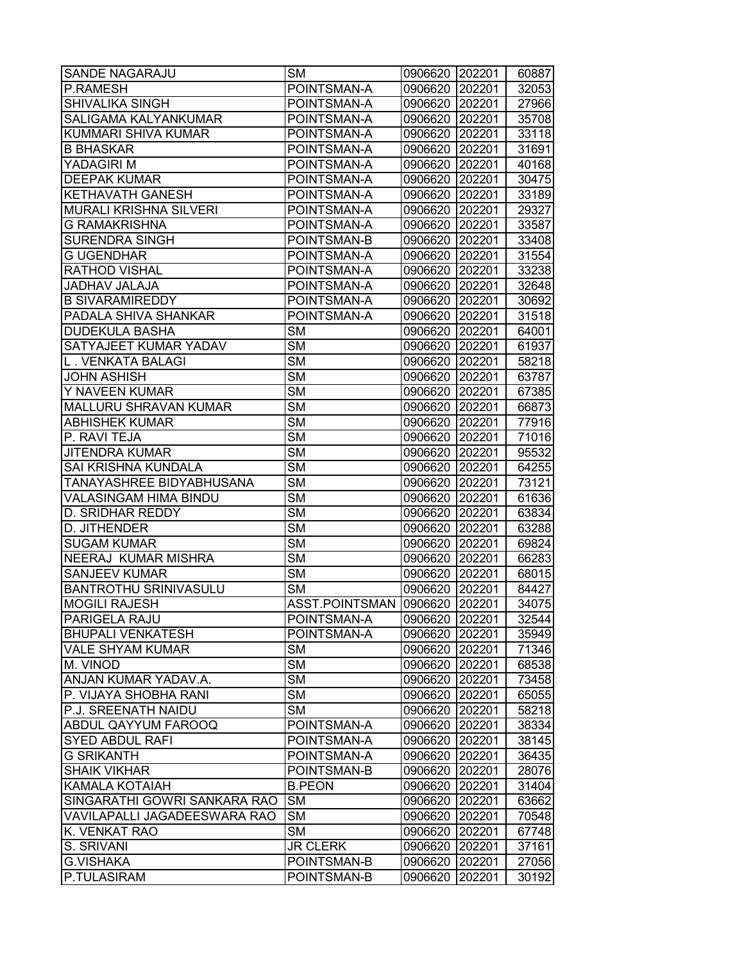| <b>SANDE NAGARAJU</b>         | <b>SM</b>              | 0906620 202201 |        | 60887 |
|-------------------------------|------------------------|----------------|--------|-------|
| P.RAMESH                      | POINTSMAN-A            | 0906620        | 202201 | 32053 |
| SHIVALIKA SINGH               | POINTSMAN-A            | 0906620 202201 |        | 27966 |
| <b>SALIGAMA KALYANKUMAR</b>   | POINTSMAN-A            | 0906620 202201 |        | 35708 |
| KUMMARI SHIVA KUMAR           | POINTSMAN-A            | 0906620        | 202201 | 33118 |
| <b>B BHASKAR</b>              | POINTSMAN-A            | 0906620        | 202201 | 31691 |
| YADAGIRI M                    | POINTSMAN-A            | 0906620        | 202201 | 40168 |
| <b>DEEPAK KUMAR</b>           | POINTSMAN-A            | 0906620        | 202201 | 30475 |
| <b>KETHAVATH GANESH</b>       | POINTSMAN-A            | 0906620 202201 |        | 33189 |
| <b>MURALI KRISHNA SILVERI</b> | POINTSMAN-A            | 0906620        | 202201 | 29327 |
| <b>G RAMAKRISHNA</b>          | POINTSMAN-A            | 0906620        | 202201 | 33587 |
| <b>SURENDRA SINGH</b>         | POINTSMAN-B            | 0906620        | 202201 | 33408 |
| <b>G UGENDHAR</b>             | POINTSMAN-A            | 0906620        | 202201 | 31554 |
| <b>RATHOD VISHAL</b>          | POINTSMAN-A            | 0906620        | 202201 | 33238 |
| JADHAV JALAJA                 | POINTSMAN-A            | 0906620 202201 |        | 32648 |
| <b>B SIVARAMIREDDY</b>        | POINTSMAN-A            | 0906620 202201 |        | 30692 |
| PADALA SHIVA SHANKAR          | POINTSMAN-A            | 0906620        | 202201 | 31518 |
| <b>DUDEKULA BASHA</b>         | <b>SM</b>              | 0906620        | 202201 | 64001 |
| SATYAJEET KUMAR YADAV         | $\overline{\text{SM}}$ | 0906620        | 202201 | 61937 |
| L. VENKATA BALAGI             | $\overline{\text{SM}}$ | 0906620        | 202201 | 58218 |
| <b>JOHN ASHISH</b>            | <b>SM</b>              | 0906620 202201 |        | 63787 |
| Y NAVEEN KUMAR                | $\overline{\text{SM}}$ | 0906620 202201 |        | 67385 |
| <b>MALLURU SHRAVAN KUMAR</b>  | $\overline{\text{SM}}$ | 0906620        | 202201 | 66873 |
| <b>ABHISHEK KUMAR</b>         | $\overline{\text{SM}}$ | 0906620        | 202201 | 77916 |
| P. RAVI TEJA                  | <b>SM</b>              | 0906620        | 202201 | 71016 |
| <b>JITENDRA KUMAR</b>         | <b>SM</b>              | 0906620        | 202201 | 95532 |
| SAI KRISHNA KUNDALA           | <b>SM</b>              | 0906620        | 202201 | 64255 |
| TANAYASHREE BIDYABHUSANA      | <b>SM</b>              | 0906620 202201 |        | 73121 |
| VALASINGAM HIMA BINDU         | <b>SM</b>              | 0906620 202201 |        | 61636 |
| <b>D. SRIDHAR REDDY</b>       | <b>SM</b>              | 0906620        | 202201 | 63834 |
| D. JITHENDER                  | $\overline{\text{SM}}$ | 0906620        | 202201 | 63288 |
| <b>SUGAM KUMAR</b>            | <b>SM</b>              | 0906620        | 202201 | 69824 |
| <b>NEERAJ KUMAR MISHRA</b>    | $\overline{\text{SM}}$ | 0906620        | 202201 | 66283 |
| <b>SANJEEV KUMAR</b>          | <b>SM</b>              | 0906620 202201 |        | 68015 |
| <b>BANTROTHU SRINIVASULU</b>  | <b>SM</b>              | 0906620        | 202201 | 84427 |
| <b>MOGILI RAJESH</b>          | ASST.POINTSMAN 0906620 |                | 202201 | 34075 |
| PARIGELA RAJU                 | POINTSMAN-A            | 0906620        | 202201 | 32544 |
| <b>BHUPALI VENKATESH</b>      | POINTSMAN-A            | 0906620        | 202201 | 35949 |
| <b>VALE SHYAM KUMAR</b>       | <b>SM</b>              | 0906620        | 202201 | 71346 |
| <b>M. VINOD</b>               | <b>SM</b>              | 0906620        | 202201 | 68538 |
| ANJAN KUMAR YADAV.A.          | <b>SM</b>              | 0906620 202201 |        | 73458 |
| P. VIJAYA SHOBHA RANI         | <b>SM</b>              | 0906620 202201 |        | 65055 |
| P.J. SREENATH NAIDU           | <b>SM</b>              | 0906620        | 202201 | 58218 |
| <b>ABDUL QAYYUM FAROOQ</b>    | POINTSMAN-A            | 0906620        | 202201 | 38334 |
| <b>SYED ABDUL RAFI</b>        | POINTSMAN-A            | 0906620        | 202201 | 38145 |
| <b>G SRIKANTH</b>             | POINTSMAN-A            | 0906620        | 202201 | 36435 |
| <b>SHAIK VIKHAR</b>           | POINTSMAN-B            | 0906620 202201 |        | 28076 |
| <b>KAMALA KOTAIAH</b>         | <b>B.PEON</b>          | 0906620        | 202201 | 31404 |
| SINGARATHI GOWRI SANKARA RAO  | <b>SM</b>              | 0906620        | 202201 | 63662 |
| VAVILAPALLI JAGADEESWARA RAO  | <b>SM</b>              | 0906620        | 202201 | 70548 |
| K. VENKAT RAO                 | <b>SM</b>              | 0906620        | 202201 | 67748 |
| S. SRIVANI                    | <b>JR CLERK</b>        | 0906620        | 202201 | 37161 |
| <b>G.VISHAKA</b>              | POINTSMAN-B            | 0906620        | 202201 | 27056 |
| P.TULASIRAM                   | POINTSMAN-B            | 0906620        | 202201 | 30192 |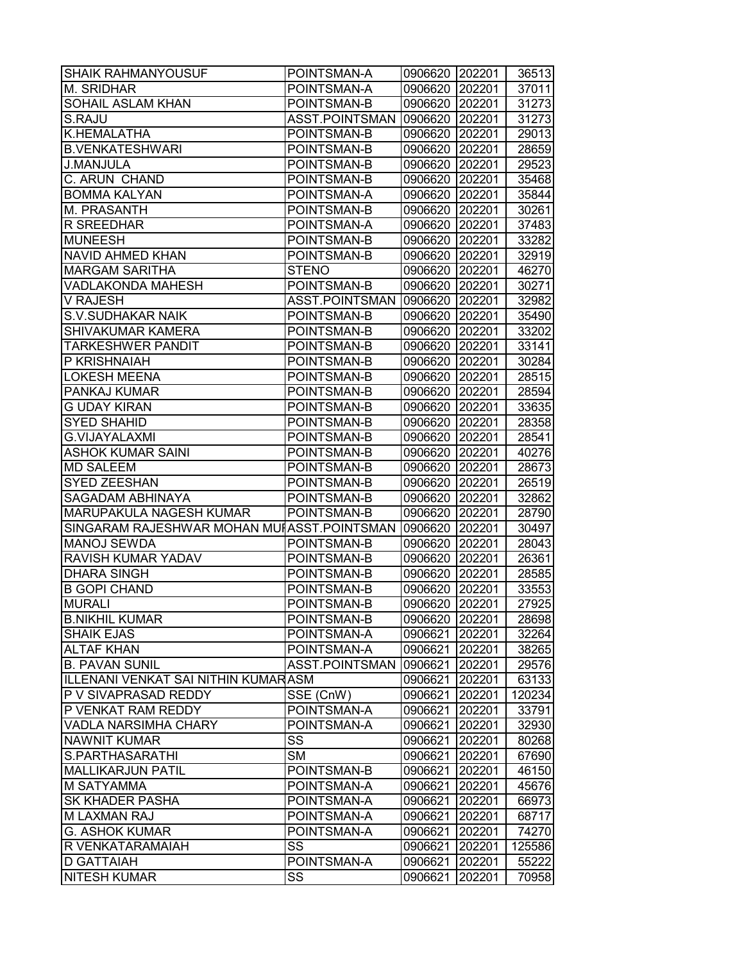| <b>SHAIK RAHMANYOUSUF</b>                    | POINTSMAN-A            | 0906620 202201 |        | 36513  |
|----------------------------------------------|------------------------|----------------|--------|--------|
| M. SRIDHAR                                   | POINTSMAN-A            | 0906620        | 202201 | 37011  |
| SOHAIL ASLAM KHAN                            | POINTSMAN-B            | 0906620        | 202201 | 31273  |
| S.RAJU                                       | ASST.POINTSMAN         | 0906620        | 202201 | 31273  |
| K.HEMALATHA                                  | POINTSMAN-B            | 0906620 202201 |        | 29013  |
| <b>B.VENKATESHWARI</b>                       | POINTSMAN-B            | 0906620 202201 |        | 28659  |
| <b>J.MANJULA</b>                             | POINTSMAN-B            | 0906620        | 202201 | 29523  |
| C. ARUN CHAND                                | POINTSMAN-B            | 0906620 202201 |        | 35468  |
| <b>BOMMA KALYAN</b>                          | POINTSMAN-A            | 0906620        | 202201 | 35844  |
| M. PRASANTH                                  | POINTSMAN-B            | 0906620 202201 |        | 30261  |
| <b>R SREEDHAR</b>                            | POINTSMAN-A            | 0906620 202201 |        | 37483  |
| <b>MUNEESH</b>                               | POINTSMAN-B            | 0906620        | 202201 | 33282  |
| <b>NAVID AHMED KHAN</b>                      | POINTSMAN-B            | 0906620        | 202201 | 32919  |
| <b>MARGAM SARITHA</b>                        | <b>STENO</b>           | 0906620        | 202201 | 46270  |
| <b>VADLAKONDA MAHESH</b>                     | POINTSMAN-B            | 0906620        | 202201 | 30271  |
| V RAJESH                                     | ASST.POINTSMAN         | 0906620        | 202201 | 32982  |
| <b>S.V.SUDHAKAR NAIK</b>                     | POINTSMAN-B            | 0906620 202201 |        | 35490  |
| <b>SHIVAKUMAR KAMERA</b>                     | POINTSMAN-B            | 0906620 202201 |        | 33202  |
| <b>TARKESHWER PANDIT</b>                     | POINTSMAN-B            | 0906620 202201 |        | 33141  |
| P KRISHNAIAH                                 | POINTSMAN-B            | 0906620        | 202201 | 30284  |
| <b>LOKESH MEENA</b>                          | POINTSMAN-B            | 0906620        | 202201 | 28515  |
| PANKAJ KUMAR                                 | POINTSMAN-B            | 0906620        | 202201 | 28594  |
| <b>G UDAY KIRAN</b>                          | POINTSMAN-B            | 0906620 202201 |        | 33635  |
| <b>SYED SHAHID</b>                           | POINTSMAN-B            | 0906620 202201 |        | 28358  |
| <b>G.VIJAYALAXMI</b>                         | POINTSMAN-B            | 0906620        | 202201 | 28541  |
| <b>ASHOK KUMAR SAINI</b>                     | POINTSMAN-B            | 0906620        | 202201 | 40276  |
| <b>MD SALEEM</b>                             | POINTSMAN-B            | 0906620        | 202201 | 28673  |
| <b>SYED ZEESHAN</b>                          | POINTSMAN-B            | 0906620        | 202201 | 26519  |
| SAGADAM ABHINAYA                             | POINTSMAN-B            | 0906620        | 202201 | 32862  |
| <b>MARUPAKULA NAGESH KUMAR</b>               | POINTSMAN-B            | 0906620 202201 |        | 28790  |
| SINGARAM RAJESHWAR MOHAN MUI ASST. POINTSMAN |                        | 0906620        | 202201 | 30497  |
| <b>MANOJ SEWDA</b>                           | POINTSMAN-B            | 0906620        | 202201 | 28043  |
| RAVISH KUMAR YADAV                           | POINTSMAN-B            | 0906620        | 202201 | 26361  |
| <b>DHARA SINGH</b>                           | POINTSMAN-B            | 0906620        | 202201 | 28585  |
| <b>B GOPI CHAND</b>                          | POINTSMAN-B            | 0906620        | 202201 | 33553  |
| <b>MURALI</b>                                | POINTSMAN-B            | 0906620        | 202201 | 27925  |
| <b>B.NIKHIL KUMAR</b>                        | POINTSMAN-B            | 0906620 202201 |        | 28698  |
| <b>SHAIK EJAS</b>                            | POINTSMAN-A            | 0906621        | 202201 | 32264  |
| <b>ALTAF KHAN</b>                            | POINTSMAN-A            | 0906621        | 202201 | 38265  |
| <b>B. PAVAN SUNIL</b>                        | ASST.POINTSMAN         | 0906621        | 202201 | 29576  |
| ILLENANI VENKAT SAI NITHIN KUMARASM          |                        | 0906621        | 202201 | 63133  |
| P V SIVAPRASAD REDDY                         | SSE (CnW)              | 0906621        | 202201 | 120234 |
| P VENKAT RAM REDDY                           | POINTSMAN-A            | 0906621        | 202201 | 33791  |
| <b>VADLA NARSIMHA CHARY</b>                  | POINTSMAN-A            | 0906621        | 202201 | 32930  |
| NAWNIT KUMAR                                 | SS                     | 0906621        | 202201 | 80268  |
| S.PARTHASARATHI                              | $\overline{\text{SM}}$ | 0906621        | 202201 | 67690  |
| <b>MALLIKARJUN PATIL</b>                     | POINTSMAN-B            | 0906621        | 202201 | 46150  |
| <b>M SATYAMMA</b>                            | POINTSMAN-A            | 0906621        | 202201 | 45676  |
| <b>SK KHADER PASHA</b>                       | POINTSMAN-A            | 0906621        | 202201 | 66973  |
| <b>M LAXMAN RAJ</b>                          | POINTSMAN-A            | 0906621        | 202201 | 68717  |
| <b>G. ASHOK KUMAR</b>                        | POINTSMAN-A            | 0906621        | 202201 | 74270  |
| R VENKATARAMAIAH                             | SS                     | 0906621        | 202201 | 125586 |
| <b>D GATTAIAH</b>                            | POINTSMAN-A            | 0906621        | 202201 | 55222  |
| <b>NITESH KUMAR</b>                          | SS                     | 0906621        | 202201 | 70958  |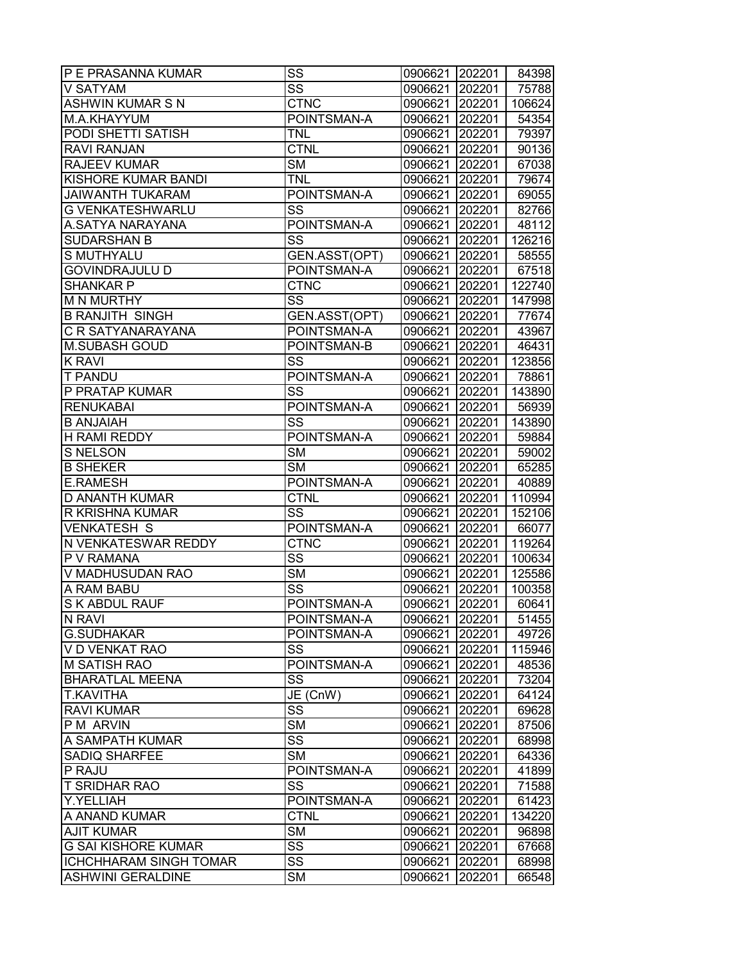| <b>P E PRASANNA KUMAR</b>     | SS                     | 0906621 202201 |        | 84398  |
|-------------------------------|------------------------|----------------|--------|--------|
| V SATYAM                      | SS                     | 0906621 202201 |        | 75788  |
| <b>ASHWIN KUMAR S N</b>       | <b>CTNC</b>            | 0906621 202201 |        | 106624 |
| M.A.KHAYYUM                   | POINTSMAN-A            | 0906621 202201 |        | 54354  |
| PODI SHETTI SATISH            | <b>TNL</b>             | 0906621 202201 |        | 79397  |
| <b>RAVI RANJAN</b>            | <b>CTNL</b>            | 0906621 202201 |        | 90136  |
| <b>RAJEEV KUMAR</b>           | <b>SM</b>              | 0906621 202201 |        | 67038  |
| KISHORE KUMAR BANDI           | <b>TNL</b>             | 0906621 202201 |        | 79674  |
| <b>JAIWANTH TUKARAM</b>       | POINTSMAN-A            | 0906621 202201 |        | 69055  |
| <b>G VENKATESHWARLU</b>       | $\overline{\text{SS}}$ | 0906621 202201 |        | 82766  |
| A.SATYA NARAYANA              | POINTSMAN-A            | 0906621 202201 |        | 48112  |
| <b>SUDARSHAN B</b>            | SS                     | 0906621 202201 |        | 126216 |
| S MUTHYALU                    | GEN.ASST(OPT)          | 0906621 202201 |        | 58555  |
| <b>GOVINDRAJULU D</b>         | POINTSMAN-A            | 0906621 202201 |        | 67518  |
| <b>SHANKAR P</b>              | <b>CTNC</b>            | 0906621 202201 |        | 122740 |
| <b>M N MURTHY</b>             | SS                     | 0906621 202201 |        | 147998 |
| <b>B RANJITH SINGH</b>        | GEN.ASST(OPT)          | 0906621 202201 |        | 77674  |
| C R SATYANARAYANA             | POINTSMAN-A            | 0906621 202201 |        | 43967  |
| <b>M.SUBASH GOUD</b>          | POINTSMAN-B            | 0906621 202201 |        | 46431  |
| <b>K RAVI</b>                 | SS                     | 0906621 202201 |        | 123856 |
| <b>T PANDU</b>                | POINTSMAN-A            | 0906621 202201 |        | 78861  |
| P PRATAP KUMAR                | $\overline{\text{ss}}$ | 0906621 202201 |        | 143890 |
| <b>RENUKABAI</b>              | POINTSMAN-A            | 0906621 202201 |        | 56939  |
| <b>B ANJAIAH</b>              | SS                     | 0906621 202201 |        | 143890 |
| <b>H RAMI REDDY</b>           | POINTSMAN-A            | 0906621 202201 |        | 59884  |
| S NELSON                      | <b>SM</b>              | 0906621 202201 |        | 59002  |
| <b>B SHEKER</b>               | <b>SM</b>              | 0906621 202201 |        | 65285  |
| <b>E.RAMESH</b>               | POINTSMAN-A            | 0906621 202201 |        | 40889  |
| <b>D ANANTH KUMAR</b>         | <b>CTNL</b>            | 0906621 202201 |        | 110994 |
| <b>R KRISHNA KUMAR</b>        | SS                     | 0906621 202201 |        | 152106 |
| <b>VENKATESH S</b>            | POINTSMAN-A            | 0906621 202201 |        | 66077  |
| N VENKATESWAR REDDY           | <b>CTNC</b>            | 0906621 202201 |        | 119264 |
| P V RAMANA                    | $\overline{\text{SS}}$ | 0906621 202201 |        | 100634 |
| V MADHUSUDAN RAO              | <b>SM</b>              | 0906621 202201 |        | 125586 |
| A RAM BABU                    | $\overline{\text{SS}}$ | 0906621        | 202201 | 100358 |
| <b>S K ABDUL RAUF</b>         | POINTSMAN-A            | 0906621 202201 |        | 60641  |
| N RAVI                        | POINTSMAN-A            | 0906621 202201 |        | 51455  |
| <b>G.SUDHAKAR</b>             | POINTSMAN-A            | 0906621 202201 |        | 49726  |
| V D VENKAT RAO                | SS                     | 0906621 202201 |        | 115946 |
| <b>M SATISH RAO</b>           | POINTSMAN-A            | 0906621        | 202201 | 48536  |
| <b>BHARATLAL MEENA</b>        | SS                     | 0906621 202201 |        | 73204  |
| <b>T.KAVITHA</b>              | JE (CnW)               | 0906621 202201 |        | 64124  |
| <b>RAVI KUMAR</b>             | SS                     | 0906621        | 202201 | 69628  |
| P M ARVIN                     | <b>SM</b>              | 0906621        | 202201 | 87506  |
| A SAMPATH KUMAR               | SS                     | 0906621        | 202201 | 68998  |
| <b>SADIQ SHARFEE</b>          | <b>SM</b>              | 0906621        | 202201 | 64336  |
| <b>P RAJU</b>                 | POINTSMAN-A            | 0906621        | 202201 | 41899  |
| <b>T SRIDHAR RAO</b>          | SS                     | 0906621        | 202201 | 71588  |
| Y.YELLIAH                     | POINTSMAN-A            | 0906621        | 202201 | 61423  |
| A ANAND KUMAR                 | <b>CTNL</b>            | 0906621        | 202201 | 134220 |
| <b>AJIT KUMAR</b>             | <b>SM</b>              | 0906621        | 202201 | 96898  |
| <b>G SAI KISHORE KUMAR</b>    | SS                     | 0906621        | 202201 | 67668  |
| <b>ICHCHHARAM SINGH TOMAR</b> | $\overline{\text{SS}}$ | 0906621        | 202201 | 68998  |
| <b>ASHWINI GERALDINE</b>      | SM                     | 0906621        | 202201 | 66548  |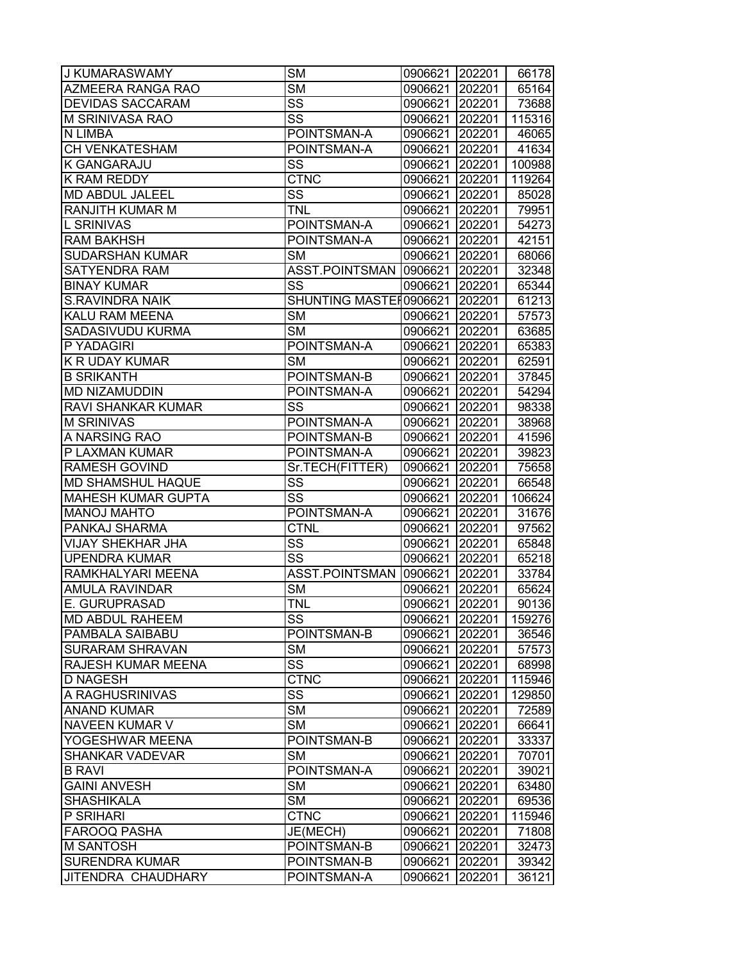| J KUMARASWAMY             | <b>SM</b>              | 0906621        | 202201 | 66178  |
|---------------------------|------------------------|----------------|--------|--------|
| AZMEERA RANGA RAO         | <b>SM</b>              | 0906621        | 202201 | 65164  |
| <b>DEVIDAS SACCARAM</b>   | $\overline{\text{ss}}$ | 0906621        | 202201 | 73688  |
| M SRINIVASA RAO           | SS                     | 0906621        | 202201 | 115316 |
| N LIMBA                   | POINTSMAN-A            | 0906621 202201 |        | 46065  |
| CH VENKATESHAM            | POINTSMAN-A            | 0906621 202201 |        | 41634  |
| <b>K GANGARAJU</b>        | SS                     | 0906621        | 202201 | 100988 |
| K RAM REDDY               | <b>CTNC</b>            | 0906621        | 202201 | 119264 |
| MD ABDUL JALEEL           | $\overline{\text{SS}}$ | 0906621        | 202201 | 85028  |
| RANJITH KUMAR M           | <b>TNL</b>             | 0906621        | 202201 | 79951  |
| <b>L SRINIVAS</b>         | POINTSMAN-A            | 0906621        | 202201 | 54273  |
| <b>RAM BAKHSH</b>         | POINTSMAN-A            | 0906621        | 202201 | 42151  |
| <b>SUDARSHAN KUMAR</b>    | <b>SM</b>              | 0906621        | 202201 | 68066  |
| <b>SATYENDRA RAM</b>      | ASST.POINTSMAN 0906621 |                | 202201 | 32348  |
| <b>BINAY KUMAR</b>        | SS                     | 0906621        | 202201 | 65344  |
| S.RAVINDRA NAIK           | SHUNTING MASTER0906621 |                | 202201 | 61213  |
| KALU RAM MEENA            | <b>SM</b>              | 0906621 202201 |        | 57573  |
| SADASIVUDU KURMA          | $\overline{\text{SM}}$ | 0906621        | 202201 | 63685  |
| P YADAGIRI                | POINTSMAN-A            | 0906621        | 202201 | 65383  |
| <b>K R UDAY KUMAR</b>     | <b>SM</b>              | 0906621        | 202201 | 62591  |
| <b>B SRIKANTH</b>         | POINTSMAN-B            | 0906621        | 202201 | 37845  |
| MD NIZAMUDDIN             | POINTSMAN-A            | 0906621        | 202201 | 54294  |
| RAVI SHANKAR KUMAR        | SS                     | 0906621        | 202201 | 98338  |
| <b>M SRINIVAS</b>         | POINTSMAN-A            | 0906621        | 202201 | 38968  |
| A NARSING RAO             | POINTSMAN-B            | 0906621        | 202201 | 41596  |
| P LAXMAN KUMAR            | POINTSMAN-A            | 0906621        | 202201 | 39823  |
| RAMESH GOVIND             | Sr.TECH(FITTER)        | 0906621        | 202201 | 75658  |
| MD SHAMSHUL HAQUE         | SS                     | 0906621        | 202201 | 66548  |
| <b>MAHESH KUMAR GUPTA</b> | SS                     | 0906621        | 202201 | 106624 |
| <b>MANOJ MAHTO</b>        | POINTSMAN-A            | 0906621 202201 |        | 31676  |
| PANKAJ SHARMA             | <b>CTNL</b>            | 0906621 202201 |        | 97562  |
| <b>VIJAY SHEKHAR JHA</b>  | SS                     | 0906621        | 202201 | 65848  |
| <b>UPENDRA KUMAR</b>      | $\overline{\text{SS}}$ | 0906621        | 202201 | 65218  |
| RAMKHALYARI MEENA         | ASST.POINTSMAN 0906621 |                | 202201 | 33784  |
| <b>AMULA RAVINDAR</b>     | <b>SM</b>              | 0906621        | 202201 | 65624  |
| E. GURUPRASAD             | <b>TNL</b>             | 0906621        | 202201 | 90136  |
| <b>MD ABDUL RAHEEM</b>    | SS                     | 0906621 202201 |        | 159276 |
| PAMBALA SAIBABU           | POINTSMAN-B            | 0906621        | 202201 | 36546  |
| <b>SURARAM SHRAVAN</b>    | <b>SM</b>              | 0906621        | 202201 | 57573  |
| RAJESH KUMAR MEENA        | SS                     | 0906621        | 202201 | 68998  |
| <b>D NAGESH</b>           | <b>CTNC</b>            | 0906621        | 202201 | 115946 |
| A RAGHUSRINIVAS           | SS                     | 0906621        | 202201 | 129850 |
| <b>ANAND KUMAR</b>        | <b>SM</b>              | 0906621        | 202201 | 72589  |
| <b>NAVEEN KUMAR V</b>     | <b>SM</b>              | 0906621        | 202201 | 66641  |
| YOGESHWAR MEENA           | POINTSMAN-B            | 0906621        | 202201 | 33337  |
| <b>SHANKAR VADEVAR</b>    | <b>SM</b>              | 0906621        | 202201 | 70701  |
| <b>B RAVI</b>             | POINTSMAN-A            | 0906621        | 202201 | 39021  |
| <b>GAINI ANVESH</b>       | <b>SM</b>              | 0906621        | 202201 | 63480  |
| <b>SHASHIKALA</b>         | <b>SM</b>              | 0906621        | 202201 | 69536  |
| P SRIHARI                 | <b>CTNC</b>            | 0906621        | 202201 | 115946 |
| <b>FAROOQ PASHA</b>       | JE(MECH)               | 0906621        | 202201 | 71808  |
| <b>M SANTOSH</b>          | POINTSMAN-B            | 0906621        | 202201 | 32473  |
| <b>SURENDRA KUMAR</b>     | POINTSMAN-B            | 0906621        | 202201 | 39342  |
| JITENDRA CHAUDHARY        | POINTSMAN-A            | 0906621        | 202201 | 36121  |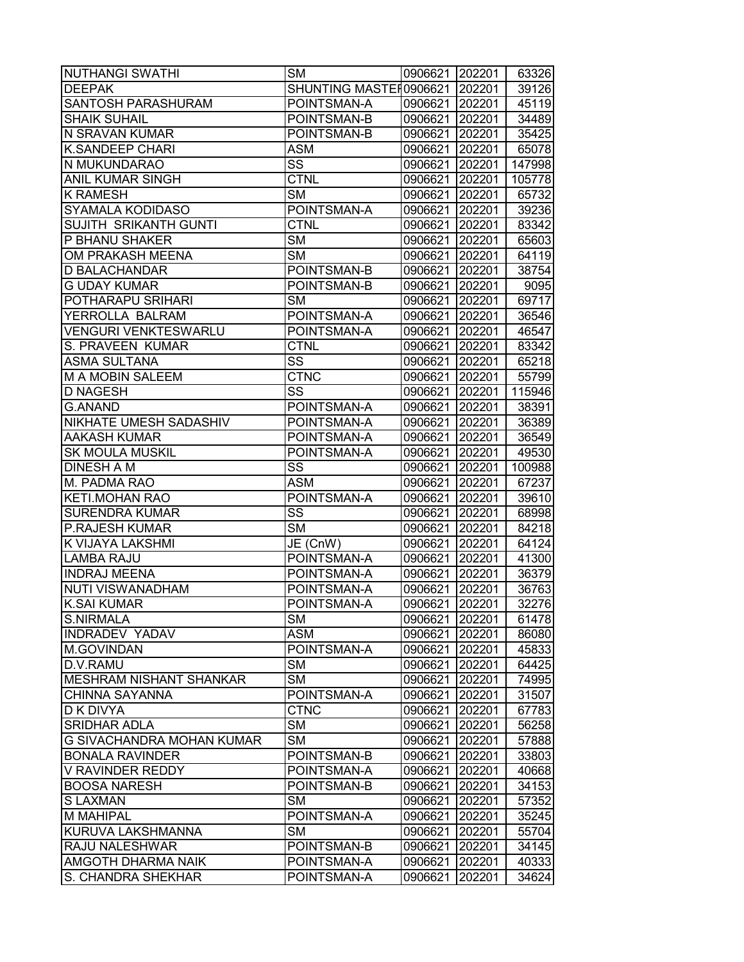| <b>NUTHANGI SWATHI</b>         | <b>SM</b>                | 0906621 202201 |        | 63326  |
|--------------------------------|--------------------------|----------------|--------|--------|
| <b>DEEPAK</b>                  | SHUNTING MASTER0906621   |                | 202201 | 39126  |
| <b>SANTOSH PARASHURAM</b>      | POINTSMAN-A              | 0906621 202201 |        | 45119  |
| <b>SHAIK SUHAIL</b>            | POINTSMAN-B              | 0906621        | 202201 | 34489  |
| N SRAVAN KUMAR                 | POINTSMAN-B              | 0906621        | 202201 | 35425  |
| <b>K.SANDEEP CHARI</b>         | <b>ASM</b>               | 0906621        | 202201 | 65078  |
| N MUKUNDARAO                   | SS                       | 0906621        | 202201 | 147998 |
| <b>ANIL KUMAR SINGH</b>        | <b>CTNL</b>              | 0906621        | 202201 | 105778 |
| <b>K RAMESH</b>                | <b>SM</b>                | 0906621        | 202201 | 65732  |
| SYAMALA KODIDASO               | POINTSMAN-A              | 0906621        | 202201 | 39236  |
| SUJITH SRIKANTH GUNTI          | <b>CTNL</b>              | 0906621        | 202201 | 83342  |
| P BHANU SHAKER                 | <b>SM</b>                | 0906621        | 202201 | 65603  |
| OM PRAKASH MEENA               | <b>SM</b>                | 0906621        | 202201 | 64119  |
| D BALACHANDAR                  | POINTSMAN-B              | 0906621        | 202201 | 38754  |
| <b>G UDAY KUMAR</b>            | POINTSMAN-B              | 0906621        | 202201 | 9095   |
| POTHARAPU SRIHARI              | <b>SM</b>                | 0906621 202201 |        | 69717  |
| YERROLLA BALRAM                | POINTSMAN-A              | 0906621        | 202201 | 36546  |
| <b>VENGURI VENKTESWARLU</b>    | POINTSMAN-A              | 0906621        | 202201 | 46547  |
| S. PRAVEEN KUMAR               | <b>CTNL</b>              | 0906621        | 202201 | 83342  |
| <b>ASMA SULTANA</b>            | SS                       | 0906621        | 202201 | 65218  |
| M A MOBIN SALEEM               | $\overline{\text{CTNC}}$ | 0906621        | 202201 | 55799  |
| <b>D NAGESH</b>                | $\overline{\text{ss}}$   | 0906621        | 202201 | 115946 |
| <b>G.ANAND</b>                 | POINTSMAN-A              | 0906621        | 202201 | 38391  |
| NIKHATE UMESH SADASHIV         | POINTSMAN-A              | 0906621        | 202201 | 36389  |
| <b>AAKASH KUMAR</b>            | POINTSMAN-A              | 0906621        | 202201 | 36549  |
| <b>SK MOULA MUSKIL</b>         | POINTSMAN-A              | 0906621        | 202201 | 49530  |
| DINESH A M                     | SS                       | 0906621        | 202201 | 100988 |
| M. PADMA RAO                   | ASM                      | 0906621        | 202201 | 67237  |
| <b>KETI.MOHAN RAO</b>          | POINTSMAN-A              | 0906621        | 202201 | 39610  |
| <b>SURENDRA KUMAR</b>          | SS                       | 0906621        | 202201 | 68998  |
| P.RAJESH KUMAR                 | <b>SM</b>                | 0906621        | 202201 | 84218  |
| K VIJAYA LAKSHMI               | JE (CnW)                 | 0906621        | 202201 | 64124  |
| <b>LAMBA RAJU</b>              | POINTSMAN-A              | 0906621        | 202201 | 41300  |
| <b>INDRAJ MEENA</b>            | POINTSMAN-A              | 0906621        | 202201 | 36379  |
| <b>NUTI VISWANADHAM</b>        | POINTSMAN-A              | 0906621        | 202201 | 36763  |
| <b>K.SAI KUMAR</b>             | POINTSMAN-A              | 0906621        | 202201 | 32276  |
| <b>S.NIRMALA</b>               | <b>SM</b>                | 0906621        | 202201 | 61478  |
| INDRADEV YADAV                 | <b>ASM</b>               | 0906621        | 202201 | 86080  |
| M.GOVINDAN                     | POINTSMAN-A              | 0906621        | 202201 | 45833  |
| D.V.RAMU                       | <b>SM</b>                | 0906621        | 202201 | 64425  |
| <b>MESHRAM NISHANT SHANKAR</b> | <b>SM</b>                | 0906621        | 202201 | 74995  |
| <b>CHINNA SAYANNA</b>          | POINTSMAN-A              | 0906621        | 202201 | 31507  |
| D K DIVYA                      | <b>CTNC</b>              | 0906621        | 202201 | 67783  |
| <b>SRIDHAR ADLA</b>            | <b>SM</b>                | 0906621        | 202201 | 56258  |
| G SIVACHANDRA MOHAN KUMAR      | <b>SM</b>                | 0906621        | 202201 | 57888  |
| <b>BONALA RAVINDER</b>         | POINTSMAN-B              | 0906621        | 202201 | 33803  |
| <b>V RAVINDER REDDY</b>        | POINTSMAN-A              | 0906621        | 202201 | 40668  |
| <b>BOOSA NARESH</b>            | POINTSMAN-B              | 0906621        | 202201 | 34153  |
| <b>SLAXMAN</b>                 | <b>SM</b>                | 0906621        | 202201 | 57352  |
| M MAHIPAL                      | POINTSMAN-A              | 0906621        | 202201 | 35245  |
| KURUVA LAKSHMANNA              | <b>SM</b>                | 0906621        | 202201 | 55704  |
| RAJU NALESHWAR                 | POINTSMAN-B              | 0906621        | 202201 | 34145  |
| AMGOTH DHARMA NAIK             | POINTSMAN-A              | 0906621        | 202201 | 40333  |
| S. CHANDRA SHEKHAR             | POINTSMAN-A              | 0906621        | 202201 | 34624  |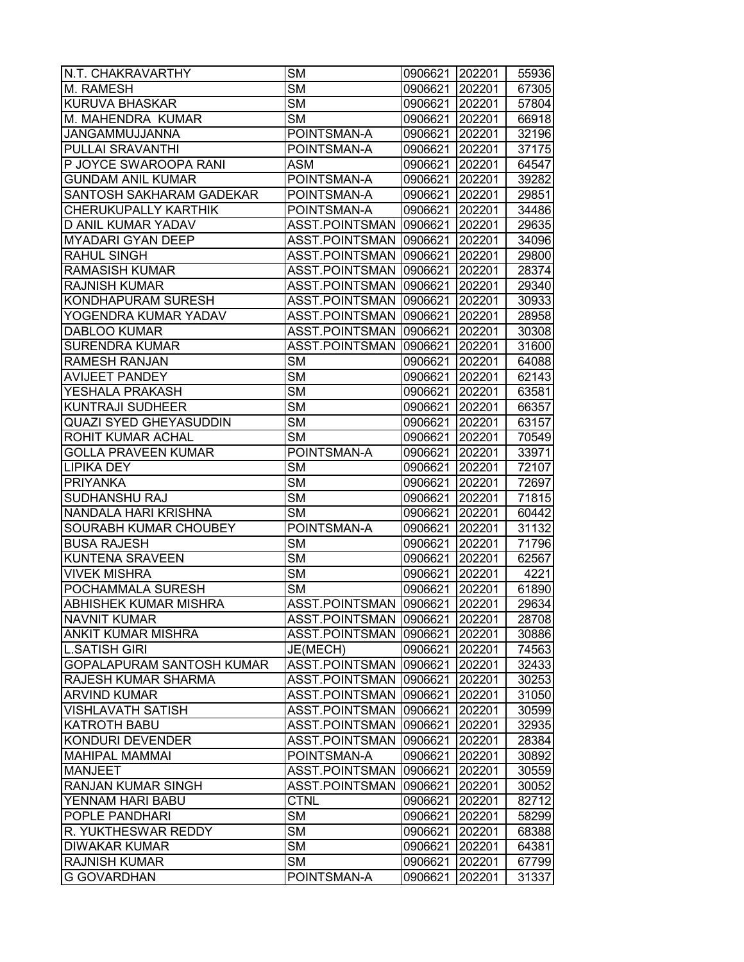| N.T. CHAKRAVARTHY            | <b>SM</b>              | 0906621        | 202201 | 55936 |
|------------------------------|------------------------|----------------|--------|-------|
| M. RAMESH                    | <b>SM</b>              | 0906621        | 202201 | 67305 |
| KURUVA BHASKAR               | <b>SM</b>              | 0906621        | 202201 | 57804 |
| M. MAHENDRA KUMAR            | <b>SM</b>              | 0906621 202201 |        | 66918 |
| JANGAMMUJJANNA               | POINTSMAN-A            | 0906621 202201 |        | 32196 |
| PULLAI SRAVANTHI             | POINTSMAN-A            | 0906621        | 202201 | 37175 |
| P JOYCE SWAROOPA RANI        | <b>ASM</b>             | 0906621        | 202201 | 64547 |
| <b>GUNDAM ANIL KUMAR</b>     | POINTSMAN-A            | 0906621        | 202201 | 39282 |
| SANTOSH SAKHARAM GADEKAR     | POINTSMAN-A            | 0906621        | 202201 | 29851 |
| CHERUKUPALLY KARTHIK         | POINTSMAN-A            | 0906621 202201 |        | 34486 |
| D ANIL KUMAR YADAV           | ASST.POINTSMAN 0906621 |                | 202201 | 29635 |
| <b>MYADARI GYAN DEEP</b>     | ASST.POINTSMAN 0906621 |                | 202201 | 34096 |
| RAHUL SINGH                  | ASST.POINTSMAN         | 0906621        | 202201 | 29800 |
| RAMASISH KUMAR               | ASST.POINTSMAN         | 0906621        | 202201 | 28374 |
| RAJNISH KUMAR                | ASST.POINTSMAN         | 0906621        | 202201 | 29340 |
| KONDHAPURAM SURESH           | ASST.POINTSMAN         | 0906621        | 202201 | 30933 |
| YOGENDRA KUMAR YADAV         | ASST.POINTSMAN         | 0906621        | 202201 | 28958 |
| <b>DABLOO KUMAR</b>          | ASST.POINTSMAN         | 0906621        | 202201 | 30308 |
| <b>SURENDRA KUMAR</b>        | <b>ASST.POINTSMAN</b>  | 0906621        | 202201 | 31600 |
| RAMESH RANJAN                | $\overline{\text{SM}}$ | 0906621        | 202201 | 64088 |
| <b>AVIJEET PANDEY</b>        | $\overline{\text{SM}}$ | 0906621        | 202201 | 62143 |
| YESHALA PRAKASH              | <b>SM</b>              | 0906621        | 202201 | 63581 |
| <b>KUNTRAJI SUDHEER</b>      | $\overline{\text{SM}}$ | 0906621        | 202201 | 66357 |
| QUAZI SYED GHEYASUDDIN       | $\overline{\text{SM}}$ | 0906621        | 202201 | 63157 |
| ROHIT KUMAR ACHAL            | <b>SM</b>              | 0906621        | 202201 | 70549 |
| GOLLA PRAVEEN KUMAR          | POINTSMAN-A            | 0906621        | 202201 | 33971 |
| LIPIKA DEY                   | <b>SM</b>              | 0906621        | 202201 | 72107 |
| <b>PRIYANKA</b>              | <b>SM</b>              | 0906621        | 202201 | 72697 |
| SUDHANSHU RAJ                | <b>SM</b>              | 0906621 202201 |        | 71815 |
| NANDALA HARI KRISHNA         | <b>SM</b>              | 0906621 202201 |        | 60442 |
| SOURABH KUMAR CHOUBEY        | POINTSMAN-A            | 0906621        | 202201 | 31132 |
| <b>BUSA RAJESH</b>           | <b>SM</b>              | 0906621        | 202201 | 71796 |
| <b>KUNTENA SRAVEEN</b>       | $\overline{\text{SM}}$ | 0906621        | 202201 | 62567 |
| <b>VIVEK MISHRA</b>          | <b>SM</b>              | 0906621        | 202201 | 4221  |
| POCHAMMALA SURESH            | <b>SM</b>              | 0906621        | 202201 | 61890 |
| <b>ABHISHEK KUMAR MISHRA</b> | ASST.POINTSMAN 0906621 |                | 202201 | 29634 |
| <b>NAVNIT KUMAR</b>          | ASST.POINTSMAN 0906621 |                | 202201 | 28708 |
| ANKIT KUMAR MISHRA           | ASST.POINTSMAN         | 0906621        | 202201 | 30886 |
| <b>L.SATISH GIRI</b>         | JE(MECH)               | 0906621        | 202201 | 74563 |
| GOPALAPURAM SANTOSH KUMAR    | ASST.POINTSMAN         | 0906621        | 202201 | 32433 |
| RAJESH KUMAR SHARMA          | ASST.POINTSMAN         | 0906621        | 202201 | 30253 |
| <b>ARVIND KUMAR</b>          | ASST.POINTSMAN         | 0906621        | 202201 | 31050 |
| <b>VISHLAVATH SATISH</b>     | <b>ASST.POINTSMAN</b>  | 0906621        | 202201 | 30599 |
| <b>KATROTH BABU</b>          | <b>ASST.POINTSMAN</b>  | 0906621        | 202201 | 32935 |
| KONDURI DEVENDER             | ASST.POINTSMAN         | 0906621        | 202201 | 28384 |
| <b>MAHIPAL MAMMAI</b>        | POINTSMAN-A            | 0906621        | 202201 | 30892 |
| <b>MANJEET</b>               | ASST.POINTSMAN         | 0906621        | 202201 | 30559 |
| RANJAN KUMAR SINGH           | ASST.POINTSMAN         | 0906621        | 202201 | 30052 |
| YENNAM HARI BABU             | <b>CTNL</b>            | 0906621        | 202201 | 82712 |
| POPLE PANDHARI               | <b>SM</b>              | 0906621        | 202201 | 58299 |
| R. YUKTHESWAR REDDY          | <b>SM</b>              | 0906621        | 202201 | 68388 |
| <b>DIWAKAR KUMAR</b>         | <b>SM</b>              | 0906621        | 202201 | 64381 |
| <b>RAJNISH KUMAR</b>         | SM                     | 0906621        | 202201 | 67799 |
| <b>G GOVARDHAN</b>           | POINTSMAN-A            | 0906621        | 202201 | 31337 |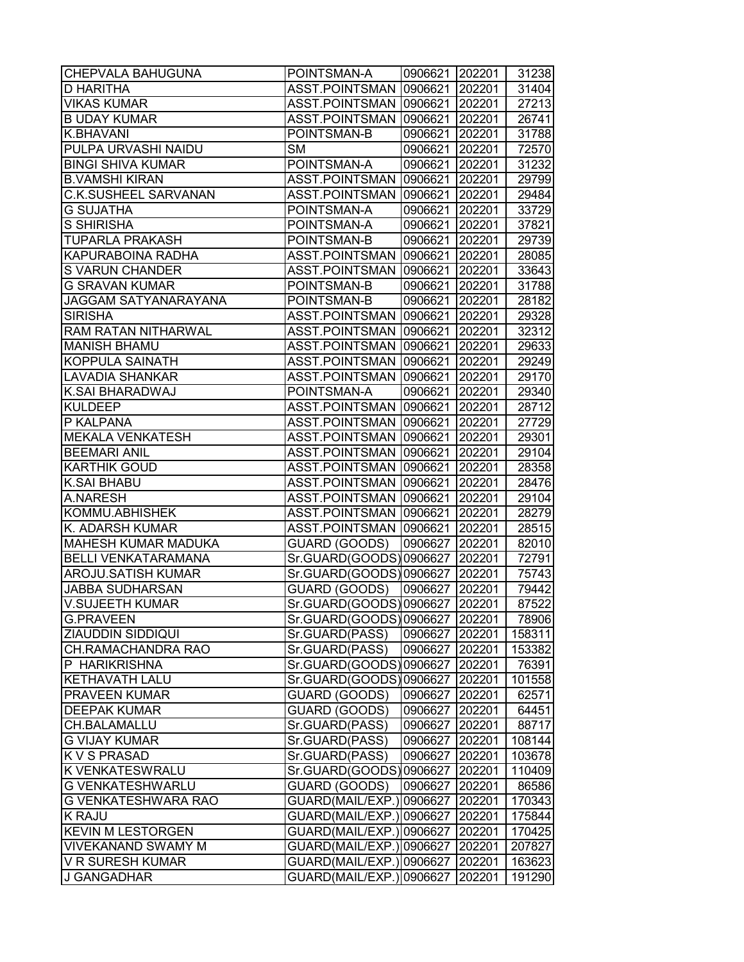| <b>CHEPVALA BAHUGUNA</b>    | POINTSMAN-A                   | 0906621 202201 |        | 31238  |
|-----------------------------|-------------------------------|----------------|--------|--------|
| D HARITHA                   | ASST.POINTSMAN 0906621        |                | 202201 | 31404  |
| <b>VIKAS KUMAR</b>          | ASST.POINTSMAN   0906621      |                | 202201 | 27213  |
| <b>B UDAY KUMAR</b>         | ASST.POINTSMAN                | 0906621 202201 |        | 26741  |
| <b>K.BHAVANI</b>            | POINTSMAN-B                   | 0906621 202201 |        | 31788  |
| PULPA URVASHI NAIDU         | <b>SM</b>                     | 0906621 202201 |        | 72570  |
| <b>BINGI SHIVA KUMAR</b>    | POINTSMAN-A                   | 0906621        | 202201 | 31232  |
| <b>B.VAMSHI KIRAN</b>       | ASST.POINTSMAN 0906621        |                | 202201 | 29799  |
| <b>C.K.SUSHEEL SARVANAN</b> | ASST.POINTSMAN                | 0906621 202201 |        | 29484  |
| <b>G SUJATHA</b>            | POINTSMAN-A                   | 0906621 202201 |        | 33729  |
| S SHIRISHA                  | POINTSMAN-A                   | 0906621 202201 |        | 37821  |
| <b>TUPARLA PRAKASH</b>      | POINTSMAN-B                   | 0906621        | 202201 | 29739  |
| <b>KAPURABOINA RADHA</b>    | ASST.POINTSMAN   0906621      |                | 202201 | 28085  |
| S VARUN CHANDER             | ASST.POINTSMAN                | 0906621        | 202201 | 33643  |
| <b>G SRAVAN KUMAR</b>       | POINTSMAN-B                   | 0906621        | 202201 | 31788  |
| JAGGAM SATYANARAYANA        | POINTSMAN-B                   | 0906621        | 202201 | 28182  |
| <b>SIRISHA</b>              | ASST.POINTSMAN 0906621 202201 |                |        | 29328  |
| <b>RAM RATAN NITHARWAL</b>  | ASST.POINTSMAN                | 0906621 202201 |        | 32312  |
| <b>MANISH BHAMU</b>         | ASST.POINTSMAN                | 0906621        | 202201 | 29633  |
| <b>KOPPULA SAINATH</b>      | ASST.POINTSMAN                | 0906621        | 202201 | 29249  |
| <b>LAVADIA SHANKAR</b>      | ASST.POINTSMAN                | 0906621        | 202201 | 29170  |
| <b>K.SAI BHARADWAJ</b>      | POINTSMAN-A                   | 0906621        | 202201 | 29340  |
| <b>KULDEEP</b>              | ASST.POINTSMAN 0906621        |                | 202201 | 28712  |
| P KALPANA                   | ASST.POINTSMAN 0906621        |                | 202201 | 27729  |
| <b>MEKALA VENKATESH</b>     | ASST.POINTSMAN 0906621        |                | 202201 | 29301  |
| <b>BEEMARI ANIL</b>         | ASST.POINTSMAN 0906621        |                | 202201 | 29104  |
| <b>KARTHIK GOUD</b>         | ASST.POINTSMAN                | 0906621        | 202201 | 28358  |
| <b>K.SAI BHABU</b>          | ASST.POINTSMAN                | 0906621        | 202201 | 28476  |
| A.NARESH                    | ASST.POINTSMAN                | 0906621        | 202201 | 29104  |
| KOMMU.ABHISHEK              | ASST.POINTSMAN 0906621 202201 |                |        | 28279  |
| K. ADARSH KUMAR             | ASST.POINTSMAN                | 0906621 202201 |        | 28515  |
| <b>MAHESH KUMAR MADUKA</b>  | GUARD (GOODS)                 | 0906627        | 202201 | 82010  |
| <b>BELLI VENKATARAMANA</b>  | Sr.GUARD(GOODS)0906627        |                | 202201 | 72791  |
| AROJU.SATISH KUMAR          | Sr.GUARD(GOODS)0906627        |                | 202201 | 75743  |
| <b>JABBA SUDHARSAN</b>      | GUARD (GOODS)                 | 0906627        | 202201 | 79442  |
| <b>V.SUJEETH KUMAR</b>      | Sr.GUARD(GOODS)0906627        |                | 202201 | 87522  |
| <b>G.PRAVEEN</b>            | Sr.GUARD(GOODS) 0906627       |                | 202201 | 78906  |
| <b>ZIAUDDIN SIDDIQUI</b>    | Sr.GUARD(PASS)                | 0906627        | 202201 | 158311 |
| CH.RAMACHANDRA RAO          | Sr.GUARD(PASS)                | 0906627        | 202201 | 153382 |
| P HARIKRISHNA               | Sr.GUARD(GOODS)               | 0906627        | 202201 | 76391  |
| <b>KETHAVATH LALU</b>       | Sr.GUARD(GOODS)               | 0906627        | 202201 | 101558 |
| <b>PRAVEEN KUMAR</b>        | GUARD (GOODS)                 | 0906627        | 202201 | 62571  |
| <b>DEEPAK KUMAR</b>         | GUARD (GOODS)                 | 0906627        | 202201 | 64451  |
| <b>CH.BALAMALLU</b>         | Sr.GUARD(PASS)                | 0906627        | 202201 | 88717  |
| <b>G VIJAY KUMAR</b>        | Sr.GUARD(PASS)                | 0906627        | 202201 | 108144 |
| <b>KVS PRASAD</b>           | Sr.GUARD(PASS)                | 0906627        | 202201 | 103678 |
| <b>K VENKATESWRALU</b>      | Sr.GUARD(GOODS)0906627        |                | 202201 | 110409 |
| <b>G VENKATESHWARLU</b>     | GUARD (GOODS)                 | 0906627        | 202201 | 86586  |
| <b>G VENKATESHWARA RAO</b>  | GUARD(MAIL/EXP.) 0906627      |                | 202201 | 170343 |
| <b>K RAJU</b>               | GUARD(MAIL/EXP.) 0906627      |                | 202201 | 175844 |
| <b>KEVIN M LESTORGEN</b>    | GUARD(MAIL/EXP.)              | 0906627        | 202201 | 170425 |
| <b>VIVEKANAND SWAMY M</b>   | GUARD(MAIL/EXP.)              | 0906627        | 202201 | 207827 |
| V R SURESH KUMAR            | GUARD(MAIL/EXP.)              | 0906627        | 202201 | 163623 |
| J GANGADHAR                 | GUARD(MAIL/EXP.) 0906627      |                | 202201 | 191290 |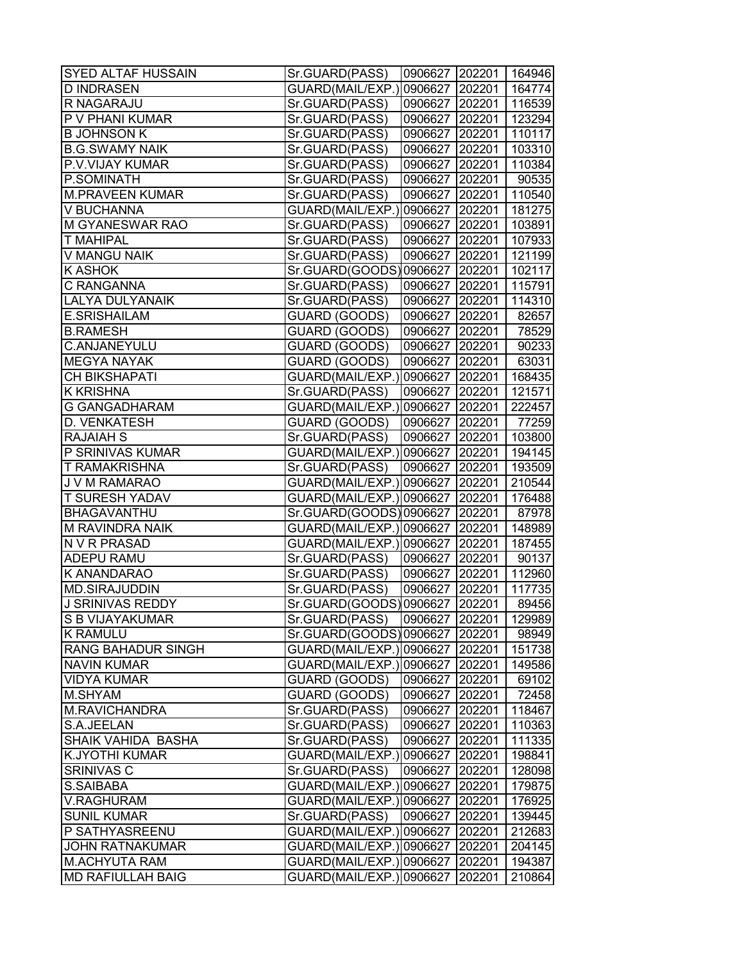| <b>SYED ALTAF HUSSAIN</b> | Sr.GUARD(PASS)                   | 0906627 202201 164946 |        |        |
|---------------------------|----------------------------------|-----------------------|--------|--------|
| <b>D INDRASEN</b>         | GUARD(MAIL/EXP.)                 | 0906627 202201        |        | 164774 |
| R NAGARAJU                | Sr.GUARD(PASS)                   | 0906627 202201        |        | 116539 |
| P V PHANI KUMAR           | Sr.GUARD(PASS)                   | 0906627 202201        |        | 123294 |
| <b>B JOHNSON K</b>        | Sr.GUARD(PASS)                   | 0906627 202201        |        | 110117 |
| <b>B.G.SWAMY NAIK</b>     | Sr.GUARD(PASS)                   | 0906627 202201        |        | 103310 |
| P.V.VIJAY KUMAR           | Sr.GUARD(PASS)                   | 0906627 202201        |        | 110384 |
| P.SOMINATH                | Sr.GUARD(PASS)                   | 0906627 202201        |        | 90535  |
| <b>M.PRAVEEN KUMAR</b>    | Sr.GUARD(PASS)                   | 0906627 202201        |        | 110540 |
| V BUCHANNA                | GUARD(MAIL/EXP.) 0906627 202201  |                       |        | 181275 |
| <b>M GYANESWAR RAO</b>    | Sr.GUARD(PASS)                   | 0906627 202201        |        | 103891 |
| <b>T MAHIPAL</b>          | Sr.GUARD(PASS)                   | 0906627 202201        |        | 107933 |
| V MANGU NAIK              | Sr.GUARD(PASS)                   | 0906627 202201        |        | 121199 |
| <b>K ASHOK</b>            | Sr.GUARD(GOODS) 0906627   202201 |                       |        | 102117 |
| C RANGANNA                | Sr.GUARD(PASS)                   | 0906627 202201        |        | 115791 |
| <b>LALYA DULYANAIK</b>    | Sr.GUARD(PASS)                   | 0906627 202201        |        | 114310 |
| E.SRISHAILAM              | GUARD (GOODS)                    | 0906627 202201        |        | 82657  |
| <b>B.RAMESH</b>           | GUARD (GOODS)                    | 0906627 202201        |        | 78529  |
| <b>C.ANJANEYULU</b>       | GUARD (GOODS)                    | 0906627 202201        |        | 90233  |
| <b>MEGYA NAYAK</b>        | GUARD (GOODS)                    | 0906627 202201        |        | 63031  |
| <b>CH BIKSHAPATI</b>      | GUARD(MAIL/EXP.) 0906627 202201  |                       |        | 168435 |
| <b>K KRISHNA</b>          | Sr.GUARD(PASS)                   | 0906627 202201        |        | 121571 |
| <b>G GANGADHARAM</b>      | GUARD(MAIL/EXP.)0906627 202201   |                       |        | 222457 |
| D. VENKATESH              | GUARD (GOODS)                    | 0906627 202201        |        | 77259  |
| <b>RAJAIAH S</b>          | Sr.GUARD(PASS)                   | 0906627 202201        |        | 103800 |
| P SRINIVAS KUMAR          | GUARD(MAIL/EXP.) 0906627 202201  |                       |        | 194145 |
| <b>T RAMAKRISHNA</b>      | Sr.GUARD(PASS)                   | 0906627 202201        |        | 193509 |
| J V M RAMARAO             | GUARD(MAIL/EXP.) 0906627 202201  |                       |        | 210544 |
| <b>T SURESH YADAV</b>     | GUARD(MAIL/EXP.) 0906627  202201 |                       |        | 176488 |
| BHAGAVANTHU               | Sr.GUARD(GOODS)0906627 202201    |                       |        | 87978  |
| M RAVINDRA NAIK           | GUARD(MAIL/EXP.)0906627 202201   |                       |        | 148989 |
| N V R PRASAD              | GUARD(MAIL/EXP.) 0906627 202201  |                       |        | 187455 |
| <b>ADEPU RAMU</b>         | Sr.GUARD(PASS)                   | 0906627 202201        |        | 90137  |
| K ANANDARAO               | Sr.GUARD(PASS)                   | 0906627 202201        |        | 112960 |
| <b>MD.SIRAJUDDIN</b>      | Sr.GUARD(PASS)                   | 0906627 202201        |        | 117735 |
| J SRINIVAS REDDY          | Sr.GUARD(GOODS)0906627 202201    |                       |        | 89456  |
| <b>S B VIJAYAKUMAR</b>    | Sr.GUARD(PASS)                   | 0906627 202201        |        | 129989 |
| <b>K RAMULU</b>           | Sr.GUARD(GOODS) 0906627          |                       | 202201 | 98949  |
| <b>RANG BAHADUR SINGH</b> | GUARD(MAIL/EXP.) 0906627 202201  |                       |        | 151738 |
| <b>NAVIN KUMAR</b>        | GUARD(MAIL/EXP.)                 | 0906627               | 202201 | 149586 |
| <b>VIDYA KUMAR</b>        | GUARD (GOODS)                    | 0906627 202201        |        | 69102  |
| M.SHYAM                   | GUARD (GOODS)                    | 0906627 202201        |        | 72458  |
| M.RAVICHANDRA             | Sr.GUARD(PASS)                   | 0906627 202201        |        | 118467 |
| S.A.JEELAN                | Sr.GUARD(PASS)                   | 0906627               | 202201 | 110363 |
| SHAIK VAHIDA BASHA        | Sr.GUARD(PASS)                   | 0906627 202201        |        | 111335 |
| <b>K.JYOTHI KUMAR</b>     | GUARD(MAIL/EXP.)                 | 0906627 202201        |        | 198841 |
| SRINIVAS C                | Sr.GUARD(PASS)                   | 0906627               | 202201 | 128098 |
| S.SAIBABA                 | GUARD(MAIL/EXP.) 0906627 202201  |                       |        | 179875 |
| <b>V.RAGHURAM</b>         | GUARD(MAIL/EXP.) 0906627 202201  |                       |        | 176925 |
| <b>SUNIL KUMAR</b>        | Sr.GUARD(PASS)                   | 0906627               | 202201 | 139445 |
| P SATHYASREENU            | GUARD(MAIL/EXP.) 0906627         |                       | 202201 | 212683 |
| <b>JOHN RATNAKUMAR</b>    | GUARD(MAIL/EXP.) 0906627         |                       | 202201 | 204145 |
| <b>M.ACHYUTA RAM</b>      | GUARD(MAIL/EXP.) 0906627         |                       | 202201 | 194387 |
| <b>MD RAFIULLAH BAIG</b>  | GUARD(MAIL/EXP.) 0906627         |                       | 202201 | 210864 |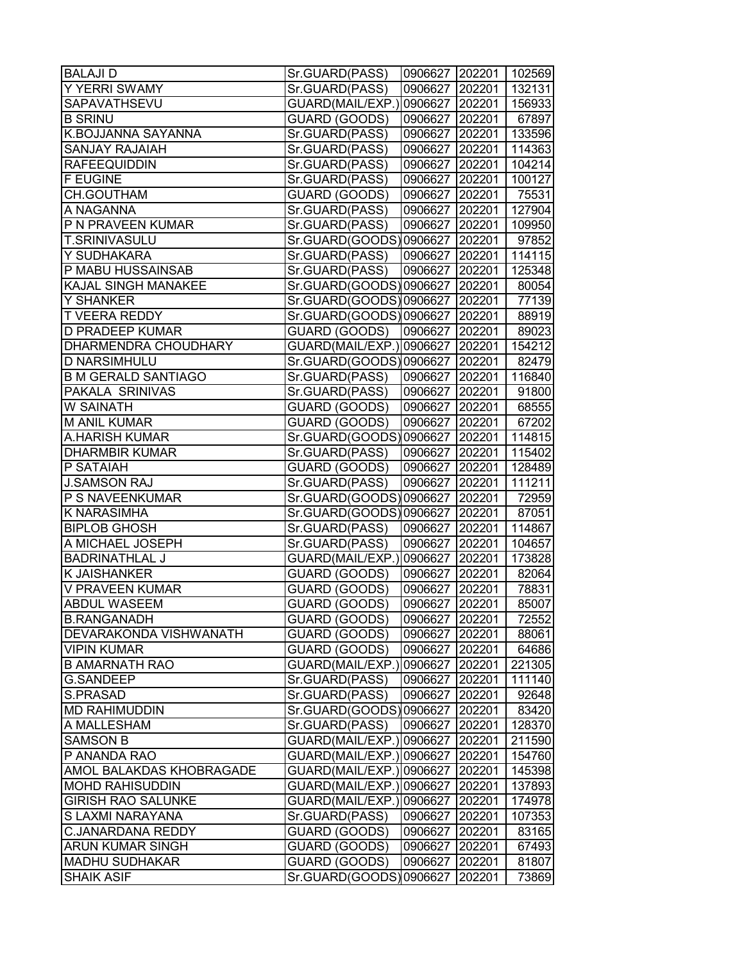| <b>BALAJI D</b>            | Sr.GUARD(PASS)                | 0906627 202201 102569 |        |        |
|----------------------------|-------------------------------|-----------------------|--------|--------|
| Y YERRI SWAMY              | Sr.GUARD(PASS)                | 0906627               | 202201 | 132131 |
| SAPAVATHSEVU               | GUARD(MAIL/EXP.)              | 0906627               | 202201 | 156933 |
| <b>B SRINU</b>             | GUARD (GOODS)                 | 0906627 202201        |        | 67897  |
| K.BOJJANNA SAYANNA         | Sr.GUARD(PASS)                | 0906627 202201 133596 |        |        |
| <b>SANJAY RAJAIAH</b>      | Sr.GUARD(PASS)                | 0906627 202201        |        | 114363 |
| <b>RAFEEQUIDDIN</b>        | Sr.GUARD(PASS)                | 0906627               | 202201 | 104214 |
| <b>F EUGINE</b>            | Sr.GUARD(PASS)                | 0906627               | 202201 | 100127 |
| CH.GOUTHAM                 | GUARD (GOODS)                 | 0906627 202201        |        | 75531  |
| A NAGANNA                  | Sr.GUARD(PASS)                | 0906627 202201        |        | 127904 |
| P N PRAVEEN KUMAR          | Sr.GUARD(PASS)                | 0906627 202201        |        | 109950 |
| T.SRINIVASULU              | Sr.GUARD(GOODS)0906627 202201 |                       |        | 97852  |
| Y SUDHAKARA                | Sr.GUARD(PASS)                | 0906627               | 202201 | 114115 |
| P MABU HUSSAINSAB          | Sr.GUARD(PASS)                | 0906627               | 202201 | 125348 |
| KAJAL SINGH MANAKEE        | Sr.GUARD(GOODS)0906627        |                       | 202201 | 80054  |
| <b>Y SHANKER</b>           | Sr.GUARD(GOODS)0906627        |                       | 202201 | 77139  |
| <b>T VEERA REDDY</b>       | Sr.GUARD(GOODS)0906627 202201 |                       |        | 88919  |
| <b>D PRADEEP KUMAR</b>     | GUARD (GOODS)                 | 0906627               | 202201 | 89023  |
| DHARMENDRA CHOUDHARY       | GUARD(MAIL/EXP.) 0906627      |                       | 202201 | 154212 |
| <b>D NARSIMHULU</b>        | Sr.GUARD(GOODS)0906627        |                       | 202201 | 82479  |
| <b>B M GERALD SANTIAGO</b> | Sr.GUARD(PASS)                | 0906627               | 202201 | 116840 |
| <b>PAKALA SRINIVAS</b>     | Sr.GUARD(PASS)                | 0906627               | 202201 | 91800  |
| W SAINATH                  | GUARD (GOODS)                 | 0906627 202201        |        | 68555  |
| <b>M ANIL KUMAR</b>        | GUARD (GOODS)                 | 0906627               | 202201 | 67202  |
| A.HARISH KUMAR             | Sr.GUARD(GOODS)0906627        |                       | 202201 | 114815 |
| <b>DHARMBIR KUMAR</b>      | Sr.GUARD(PASS)                | 0906627               | 202201 | 115402 |
| P SATAIAH                  | GUARD (GOODS)                 | 0906627               | 202201 | 128489 |
| <b>J.SAMSON RAJ</b>        | Sr.GUARD(PASS)                | 0906627               | 202201 | 111211 |
| P S NAVEENKUMAR            | Sr.GUARD(GOODS)0906627        |                       | 202201 | 72959  |
| K NARASIMHA                | Sr.GUARD(GOODS)0906627 202201 |                       |        | 87051  |
| <b>BIPLOB GHOSH</b>        | Sr.GUARD(PASS)                | 0906627               | 202201 | 114867 |
| A MICHAEL JOSEPH           | Sr.GUARD(PASS)                | 0906627               | 202201 | 104657 |
| <b>BADRINATHLAL J</b>      | GUARD(MAIL/EXP.)              | 0906627               | 202201 | 173828 |
| K JAISHANKER               | GUARD (GOODS)                 | 0906627               | 202201 | 82064  |
| V PRAVEEN KUMAR            | GUARD (GOODS)                 | 0906627               | 202201 | 78831  |
| <b>ABDUL WASEEM</b>        | GUARD (GOODS)                 | 0906627 202201        |        | 85007  |
| <b>B.RANGANADH</b>         | GUARD (GOODS)                 | 0906627 202201        |        | 72552  |
| DEVARAKONDA VISHWANATH     | GUARD (GOODS)                 | 0906627               | 202201 | 88061  |
| <b>VIPIN KUMAR</b>         | GUARD (GOODS)                 | 0906627               | 202201 | 64686  |
| <b>B AMARNATH RAO</b>      | GUARD(MAIL/EXP.)              | 0906627               | 202201 | 221305 |
| <b>G.SANDEEP</b>           | Sr.GUARD(PASS)                | 0906627               | 202201 | 111140 |
| S.PRASAD                   | Sr.GUARD(PASS)                | 0906627               | 202201 | 92648  |
| <b>MD RAHIMUDDIN</b>       | Sr.GUARD(GOODS)0906627        |                       | 202201 | 83420  |
| A MALLESHAM                | Sr.GUARD(PASS)                | 0906627               | 202201 | 128370 |
| <b>SAMSON B</b>            | GUARD(MAIL/EXP.)              | 0906627               | 202201 | 211590 |
| P ANANDA RAO               | GUARD(MAIL/EXP.)              | 0906627               | 202201 | 154760 |
| AMOL BALAKDAS KHOBRAGADE   | GUARD(MAIL/EXP.) 0906627      |                       | 202201 | 145398 |
| <b>MOHD RAHISUDDIN</b>     | GUARD(MAIL/EXP.)              | 0906627               | 202201 | 137893 |
| <b>GIRISH RAO SALUNKE</b>  | GUARD(MAIL/EXP.)              | 0906627               | 202201 | 174978 |
| S LAXMI NARAYANA           | Sr.GUARD(PASS)                | 0906627               | 202201 | 107353 |
| <b>C.JANARDANA REDDY</b>   | GUARD (GOODS)                 | 0906627               | 202201 | 83165  |
| <b>ARUN KUMAR SINGH</b>    | GUARD (GOODS)                 | 0906627               | 202201 | 67493  |
| <b>MADHU SUDHAKAR</b>      | GUARD (GOODS)                 | 0906627               | 202201 | 81807  |
| <b>SHAIK ASIF</b>          | Sr.GUARD(GOODS)0906627        |                       | 202201 | 73869  |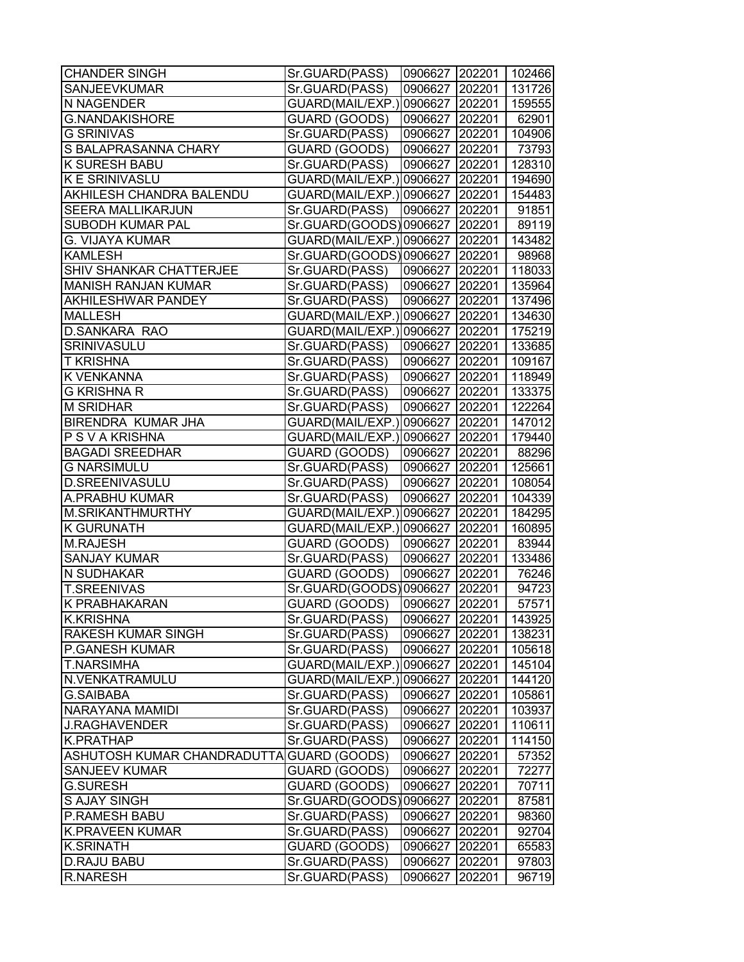| <b>CHANDER SINGH</b>                      | Sr.GUARD(PASS)                   | 0906627 202201 102466 |        |                |
|-------------------------------------------|----------------------------------|-----------------------|--------|----------------|
| SANJEEVKUMAR                              | Sr.GUARD(PASS)                   | 0906627               | 202201 | 131726         |
| <b>N NAGENDER</b>                         | GUARD(MAIL/EXP.)                 | 0906627 202201        |        | 159555         |
| <b>G.NANDAKISHORE</b>                     | GUARD (GOODS)                    | 0906627 202201        |        | 62901          |
| <b>G SRINIVAS</b>                         | Sr.GUARD(PASS)                   | 0906627 202201        |        | 104906         |
| S BALAPRASANNA CHARY                      | GUARD (GOODS)                    | 0906627 202201        |        | 73793          |
| <b>K SURESH BABU</b>                      | Sr.GUARD(PASS)                   | 0906627 202201        |        | 128310         |
| <b>K E SRINIVASLU</b>                     | GUARD(MAIL/EXP.)                 | 0906627 202201        |        | 194690         |
| AKHILESH CHANDRA BALENDU                  | GUARD(MAIL/EXP.) 0906627  202201 |                       |        | 154483         |
| SEERA MALLIKARJUN                         | Sr.GUARD(PASS)                   | 0906627 202201        |        | 91851          |
| SUBODH KUMAR PAL                          | Sr.GUARD(GOODS)0906627 202201    |                       |        | 89119          |
| G. VIJAYA KUMAR                           | GUARD(MAIL/EXP.) 0906627  202201 |                       |        | 143482         |
| <b>KAMLESH</b>                            | Sr.GUARD(GOODS)0906627 202201    |                       |        | 98968          |
| <b>SHIV SHANKAR CHATTERJEE</b>            | Sr.GUARD(PASS)                   | 0906627               | 202201 | 118033         |
| <b>MANISH RANJAN KUMAR</b>                | Sr.GUARD(PASS)                   | 0906627               | 202201 | 135964         |
| <b>AKHILESHWAR PANDEY</b>                 | Sr.GUARD(PASS)                   | 0906627               | 202201 | 137496         |
| <b>MALLESH</b>                            | GUARD(MAIL/EXP.) 0906627 202201  |                       |        | 134630         |
| <b>D.SANKARA RAO</b>                      | GUARD(MAIL/EXP.) 0906627 202201  |                       |        | 175219         |
| SRINIVASULU                               | Sr.GUARD(PASS)                   | 0906627 202201        |        | 133685         |
| <b>T KRISHNA</b>                          | Sr.GUARD(PASS)                   | 0906627               | 202201 | 109167         |
| <b>K VENKANNA</b>                         | Sr.GUARD(PASS)                   | 0906627 202201        |        | 118949         |
| <b>G KRISHNA R</b>                        | Sr.GUARD(PASS)                   | 0906627 202201        |        | 133375         |
| <b>M SRIDHAR</b>                          | Sr.GUARD(PASS)                   | 0906627 202201        |        | 122264         |
| <b>BIRENDRA KUMAR JHA</b>                 | GUARD(MAIL/EXP.) 0906627 202201  |                       |        | 147012         |
| P S V A KRISHNA                           | GUARD(MAIL/EXP.) 0906627         |                       | 202201 | 179440         |
| <b>BAGADI SREEDHAR</b>                    | GUARD (GOODS)                    | 0906627               | 202201 | 88296          |
| <b>G NARSIMULU</b>                        | Sr.GUARD(PASS)                   | 0906627               | 202201 | 125661         |
| D.SREENIVASULU                            | Sr.GUARD(PASS)                   | 0906627               | 202201 | 108054         |
| A.PRABHU KUMAR                            | Sr.GUARD(PASS)                   | 0906627               | 202201 | 104339         |
| M.SRIKANTHMURTHY                          | GUARD(MAIL/EXP.) 0906627 202201  |                       |        | 184295         |
| <b>K GURUNATH</b>                         | GUARD(MAIL/EXP.) 0906627 202201  |                       |        | 160895         |
| <b>M.RAJESH</b>                           | GUARD (GOODS)                    | 0906627               | 202201 | 83944          |
| <b>SANJAY KUMAR</b>                       | Sr.GUARD(PASS)                   | 0906627 202201        |        | 133486         |
| N SUDHAKAR                                | GUARD (GOODS)                    | 0906627 202201        |        | 76246          |
| <b>T.SREENIVAS</b>                        | Sr.GUARD(GOODS)0906627           |                       | 202201 | 94723          |
| <b>K PRABHAKARAN</b>                      | GUARD (GOODS)                    | 0906627 202201        |        | 57571          |
| <b>K.KRISHNA</b>                          | Sr.GUARD(PASS)                   | 0906627 202201        |        | 143925         |
| <b>RAKESH KUMAR SINGH</b>                 | Sr.GUARD(PASS)                   | 0906627               | 202201 | 138231         |
| <b>P.GANESH KUMAR</b>                     | Sr.GUARD(PASS)                   | 0906627               | 202201 | 105618         |
| <b>T.NARSIMHA</b>                         | GUARD(MAIL/EXP.)                 | 0906627               | 202201 | 145104         |
| N.VENKATRAMULU                            | GUARD(MAIL/EXP.)                 | 0906627               | 202201 | 144120         |
| <b>G.SAIBABA</b>                          | Sr.GUARD(PASS)                   | 0906627               | 202201 | 105861         |
| <b>NARAYANA MAMIDI</b>                    | Sr.GUARD(PASS)                   | 0906627               | 202201 | 103937         |
| <b>J.RAGHAVENDER</b>                      | Sr.GUARD(PASS)                   | 0906627               | 202201 | 110611         |
| <b>K.PRATHAP</b>                          | Sr.GUARD(PASS)                   | 0906627               | 202201 | 114150         |
| ASHUTOSH KUMAR CHANDRADUTTA GUARD (GOODS) |                                  | 0906627 202201        |        | 57352          |
| <b>SANJEEV KUMAR</b>                      | GUARD (GOODS)                    | 0906627               | 202201 | 72277          |
| G.SURESH                                  | GUARD (GOODS)                    | 0906627               | 202201 | 70711          |
| S AJAY SINGH                              | Sr.GUARD(GOODS)                  | 0906627 202201        |        | 87581          |
| <b>P.RAMESH BABU</b>                      | Sr.GUARD(PASS)                   |                       | 202201 |                |
| <b>K.PRAVEEN KUMAR</b>                    | Sr.GUARD(PASS)                   | 0906627<br>0906627    | 202201 | 98360<br>92704 |
| <b>K.SRINATH</b>                          | GUARD (GOODS)                    | 0906627               | 202201 | 65583          |
| <b>D.RAJU BABU</b>                        | Sr.GUARD(PASS)                   | 0906627               | 202201 | 97803          |
| <b>R.NARESH</b>                           |                                  |                       |        |                |
|                                           | Sr.GUARD(PASS)                   | 0906627               | 202201 | 96719          |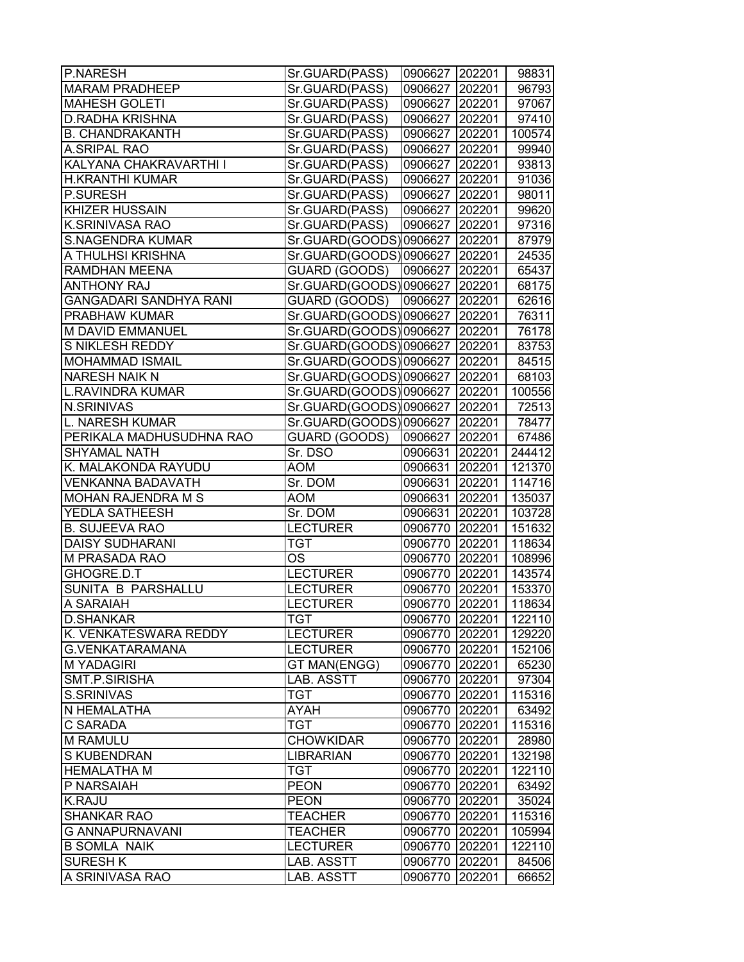| P.NARESH                      | Sr.GUARD(PASS)                | 0906627 202201 |        | 98831  |
|-------------------------------|-------------------------------|----------------|--------|--------|
| <b>MARAM PRADHEEP</b>         | Sr.GUARD(PASS)                | 0906627        | 202201 | 96793  |
| <b>MAHESH GOLETI</b>          | Sr.GUARD(PASS)                | 0906627 202201 |        | 97067  |
| <b>D.RADHA KRISHNA</b>        | Sr.GUARD(PASS)                | 0906627        | 202201 | 97410  |
| <b>B. CHANDRAKANTH</b>        | Sr.GUARD(PASS)                | 0906627 202201 |        | 100574 |
| <b>A.SRIPAL RAO</b>           | Sr.GUARD(PASS)                | 0906627 202201 |        | 99940  |
| KALYANA CHAKRAVARTHI I        | Sr.GUARD(PASS)                | 0906627 202201 |        | 93813  |
| H.KRANTHI KUMAR               | Sr.GUARD(PASS)                | 0906627 202201 |        | 91036  |
| P.SURESH                      | Sr.GUARD(PASS)                | 0906627 202201 |        | 98011  |
| <b>KHIZER HUSSAIN</b>         | Sr.GUARD(PASS)                | 0906627 202201 |        | 99620  |
| <b>K.SRINIVASA RAO</b>        | Sr.GUARD(PASS)                | 0906627 202201 |        | 97316  |
| <b>S.NAGENDRA KUMAR</b>       | Sr.GUARD(GOODS)0906627 202201 |                |        | 87979  |
| A THULHSI KRISHNA             | Sr.GUARD(GOODS)0906627        |                | 202201 | 24535  |
| <b>RAMDHAN MEENA</b>          | GUARD (GOODS)                 | 0906627        | 202201 | 65437  |
| <b>ANTHONY RAJ</b>            | Sr.GUARD(GOODS) 0906627       |                | 202201 | 68175  |
| <b>GANGADARI SANDHYA RANI</b> | GUARD (GOODS)                 | 0906627        | 202201 | 62616  |
| PRABHAW KUMAR                 | Sr.GUARD(GOODS)0906627        |                | 202201 | 76311  |
| <b>M DAVID EMMANUEL</b>       | Sr.GUARD(GOODS)0906627        |                | 202201 | 76178  |
| S NIKLESH REDDY               | Sr.GUARD(GOODS)0906627 202201 |                |        | 83753  |
| <b>MOHAMMAD ISMAIL</b>        | Sr.GUARD(GOODS)0906627 202201 |                |        | 84515  |
| <b>NARESH NAIK N</b>          | Sr.GUARD(GOODS)0906627 202201 |                |        | 68103  |
| <b>L.RAVINDRA KUMAR</b>       | Sr.GUARD(GOODS) 0906627       |                | 202201 | 100556 |
| <b>N.SRINIVAS</b>             | Sr.GUARD(GOODS)0906627        |                | 202201 | 72513  |
| L. NARESH KUMAR               | Sr.GUARD(GOODS)0906627        |                | 202201 | 78477  |
| PERIKALA MADHUSUDHNA RAO      | GUARD (GOODS)                 | 0906627        | 202201 | 67486  |
| <b>SHYAMAL NATH</b>           | Sr. DSO                       | 0906631        | 202201 | 244412 |
| K. MALAKONDA RAYUDU           | <b>AOM</b>                    | 0906631        | 202201 | 121370 |
| <b>VENKANNA BADAVATH</b>      | Sr. DOM                       | 0906631        | 202201 | 114716 |
| <b>MOHAN RAJENDRA M S</b>     | <b>AOM</b>                    | 0906631        | 202201 | 135037 |
| YEDLA SATHEESH                | Sr. DOM                       | 0906631 202201 |        | 103728 |
| <b>B. SUJEEVA RAO</b>         | <b>LECTURER</b>               | 0906770 202201 |        | 151632 |
| <b>DAISY SUDHARANI</b>        | <b>TGT</b>                    | 0906770 202201 |        | 118634 |
| <b>M PRASADA RAO</b>          | OS                            | 0906770 202201 |        | 108996 |
| GHOGRE.D.T                    | <b>LECTURER</b>               | 0906770 202201 |        | 143574 |
| SUNITA B PARSHALLU            | <b>LECTURER</b>               | 0906770 202201 |        | 153370 |
| A SARAIAH                     | <b>LECTURER</b>               | 0906770        | 202201 | 118634 |
| <b>D.SHANKAR</b>              | TGT                           | 0906770 202201 |        | 122110 |
| K. VENKATESWARA REDDY         | <b>LECTURER</b>               | 0906770 202201 |        | 129220 |
| G.VENKATARAMANA               | <b>LECTURER</b>               | 0906770        | 202201 | 152106 |
| <b>M YADAGIRI</b>             | GT MAN(ENGG)                  | 0906770        | 202201 | 65230  |
| SMT.P.SIRISHA                 | LAB. ASSTT                    | 0906770        | 202201 | 97304  |
| S.SRINIVAS                    | TGT                           | 0906770        | 202201 | 115316 |
| N HEMALATHA                   | <b>AYAH</b>                   | 0906770 202201 |        | 63492  |
| <b>C SARADA</b>               | <b>TGT</b>                    | 0906770 202201 |        | 115316 |
| <b>M RAMULU</b>               | <b>CHOWKIDAR</b>              | 0906770 202201 |        | 28980  |
| S KUBENDRAN                   | <b>LIBRARIAN</b>              | 0906770 202201 |        | 132198 |
| <b>HEMALATHA M</b>            | <b>TGT</b>                    | 0906770 202201 |        | 122110 |
| P NARSAIAH                    | <b>PEON</b>                   | 0906770 202201 |        | 63492  |
| K.RAJU                        | <b>PEON</b>                   | 0906770 202201 |        | 35024  |
| <b>SHANKAR RAO</b>            | <b>TEACHER</b>                | 0906770        | 202201 | 115316 |
| <b>G ANNAPURNAVANI</b>        | <b>TEACHER</b>                | 0906770        | 202201 | 105994 |
| <b>B SOMLA NAIK</b>           | <b>LECTURER</b>               | 0906770        | 202201 | 122110 |
| <b>SURESH K</b>               | LAB. ASSTT                    | 0906770        | 202201 | 84506  |
| A SRINIVASA RAO               | LAB. ASSTT                    | 0906770        | 202201 | 66652  |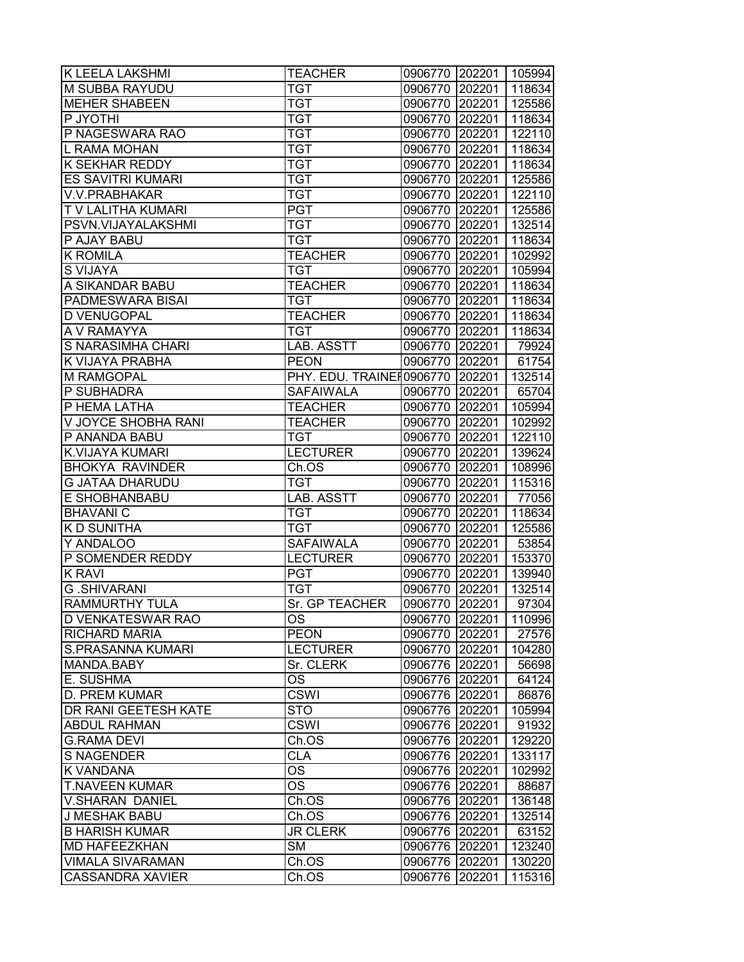| M SUBBA RAYUDU<br><b>TGT</b><br>0906770<br>202201<br>118634<br><b>TGT</b><br><b>MEHER SHABEEN</b><br>0906770 202201<br>125586<br>P JYOTHI<br><b>TGT</b><br>0906770<br>202201<br>118634<br>P NAGESWARA RAO<br>0906770<br>202201<br>122110<br><b>TGT</b><br>L RAMA MOHAN<br><b>TGT</b><br>0906770 202201<br>118634<br>K SEKHAR REDDY<br><b>TGT</b><br>0906770 202201<br>118634<br><b>ES SAVITRI KUMARI</b><br><b>TGT</b><br>0906770<br>202201<br>125586<br><b>TGT</b><br>V.V.PRABHAKAR<br>0906770<br>202201<br>122110<br><b>PGT</b><br>T V LALITHA KUMARI<br>0906770 202201<br>125586<br><b>TGT</b><br>PSVN.VIJAYALAKSHMI<br>0906770 202201<br>132514<br>P AJAY BABU<br><b>TGT</b><br>0906770 202201<br>118634<br><b>K ROMILA</b><br><b>TEACHER</b><br>0906770 202201<br>102992<br><b>S VIJAYA</b><br><b>TGT</b><br>202201<br>105994<br>0906770<br>A SIKANDAR BABU<br><b>TEACHER</b><br>0906770<br>202201<br>118634<br>PADMESWARA BISAI<br>TGT<br>0906770<br>202201<br>118634<br>D VENUGOPAL<br><b>TEACHER</b><br>0906770<br>202201<br>118634<br>A V RAMAYYA<br><b>TGT</b><br>0906770 202201<br>118634<br>S NARASIMHA CHARI<br>0906770 202201<br>LAB. ASSTT<br>79924<br>K VIJAYA PRABHA<br><b>PEON</b><br>0906770 202201<br>61754<br>PHY. EDU. TRAINE 10906770   202201<br>132514<br>M RAMGOPAL<br>0906770 202201<br>P SUBHADRA<br><b>SAFAIWALA</b><br>65704<br>P HEMA LATHA<br><b>TEACHER</b><br>0906770 202201<br>105994<br>V JOYCE SHOBHA RANI<br><b>TEACHER</b><br>0906770 202201<br>102992<br>P ANANDA BABU<br>0906770 202201<br>122110<br><b>TGT</b><br><b>LECTURER</b><br>K.VIJAYA KUMARI<br>202201<br>139624<br>0906770<br><b>BHOKYA RAVINDER</b><br>Ch.OS<br>202201<br>0906770<br>108996<br><b>TGT</b><br>0906770<br>115316<br>G JATAA DHARUDU<br>202201<br>E SHOBHANBABU<br>LAB. ASSTT<br>0906770<br>202201<br>77056<br>202201<br>118634<br><b>BHAVANIC</b><br>TGT<br>0906770<br><b>KD SUNITHA</b><br>0906770 202201<br>125586<br>TGT<br>Y ANDALOO<br><b>SAFAIWALA</b><br>0906770 202201<br>53854<br><b>LECTURER</b><br>P SOMENDER REDDY<br>0906770<br>202201<br>153370<br><b>K RAVI</b><br><b>PGT</b><br>0906770 202201<br>139940<br><b>G.SHIVARANI</b><br><b>TGT</b><br>0906770 202201<br>132514<br>Sr. GP TEACHER<br>202201<br>RAMMURTHY TULA<br>97304<br>0906770<br>D VENKATESWAR RAO<br>OS.<br>0906770 202201<br>110996<br>RICHARD MARIA<br><b>PEON</b><br>0906770 202201<br>27576<br>S.PRASANNA KUMARI<br><b>LECTURER</b><br>0906770 202201<br>104280<br>Sr. CLERK<br>MANDA.BABY<br>0906776 202201<br>E. SUSHMA<br><b>OS</b><br>0906776 202201<br><b>CSWI</b><br>D. PREM KUMAR<br>0906776 202201<br>DR RANI GEETESH KATE<br><b>STO</b><br>0906776 202201<br><b>ABDUL RAHMAN</b><br><b>CSWI</b><br>0906776 202201<br><b>G.RAMA DEVI</b><br>Ch.OS<br>0906776 202201<br><b>CLA</b><br><b>S NAGENDER</b><br>0906776 202201<br>OS<br>0906776 202201<br>K VANDANA<br>OS<br><b>T.NAVEEN KUMAR</b><br>0906776 202201 | K LEELA LAKSHMI | <b>TEACHER</b> | 0906770 202201 105994 |       |
|----------------------------------------------------------------------------------------------------------------------------------------------------------------------------------------------------------------------------------------------------------------------------------------------------------------------------------------------------------------------------------------------------------------------------------------------------------------------------------------------------------------------------------------------------------------------------------------------------------------------------------------------------------------------------------------------------------------------------------------------------------------------------------------------------------------------------------------------------------------------------------------------------------------------------------------------------------------------------------------------------------------------------------------------------------------------------------------------------------------------------------------------------------------------------------------------------------------------------------------------------------------------------------------------------------------------------------------------------------------------------------------------------------------------------------------------------------------------------------------------------------------------------------------------------------------------------------------------------------------------------------------------------------------------------------------------------------------------------------------------------------------------------------------------------------------------------------------------------------------------------------------------------------------------------------------------------------------------------------------------------------------------------------------------------------------------------------------------------------------------------------------------------------------------------------------------------------------------------------------------------------------------------------------------------------------------------------------------------------------------------------------------------------------------------------------------------------------------------------------------------------------------------------------------------------------------------------------------------------------------------------------------------------------------------------------------------------------------------------------------------------------------------------------------------------------------------------------------------------------------------------------------------------------------------|-----------------|----------------|-----------------------|-------|
|                                                                                                                                                                                                                                                                                                                                                                                                                                                                                                                                                                                                                                                                                                                                                                                                                                                                                                                                                                                                                                                                                                                                                                                                                                                                                                                                                                                                                                                                                                                                                                                                                                                                                                                                                                                                                                                                                                                                                                                                                                                                                                                                                                                                                                                                                                                                                                                                                                                                                                                                                                                                                                                                                                                                                                                                                                                                                                                            |                 |                |                       |       |
|                                                                                                                                                                                                                                                                                                                                                                                                                                                                                                                                                                                                                                                                                                                                                                                                                                                                                                                                                                                                                                                                                                                                                                                                                                                                                                                                                                                                                                                                                                                                                                                                                                                                                                                                                                                                                                                                                                                                                                                                                                                                                                                                                                                                                                                                                                                                                                                                                                                                                                                                                                                                                                                                                                                                                                                                                                                                                                                            |                 |                |                       |       |
|                                                                                                                                                                                                                                                                                                                                                                                                                                                                                                                                                                                                                                                                                                                                                                                                                                                                                                                                                                                                                                                                                                                                                                                                                                                                                                                                                                                                                                                                                                                                                                                                                                                                                                                                                                                                                                                                                                                                                                                                                                                                                                                                                                                                                                                                                                                                                                                                                                                                                                                                                                                                                                                                                                                                                                                                                                                                                                                            |                 |                |                       |       |
|                                                                                                                                                                                                                                                                                                                                                                                                                                                                                                                                                                                                                                                                                                                                                                                                                                                                                                                                                                                                                                                                                                                                                                                                                                                                                                                                                                                                                                                                                                                                                                                                                                                                                                                                                                                                                                                                                                                                                                                                                                                                                                                                                                                                                                                                                                                                                                                                                                                                                                                                                                                                                                                                                                                                                                                                                                                                                                                            |                 |                |                       |       |
|                                                                                                                                                                                                                                                                                                                                                                                                                                                                                                                                                                                                                                                                                                                                                                                                                                                                                                                                                                                                                                                                                                                                                                                                                                                                                                                                                                                                                                                                                                                                                                                                                                                                                                                                                                                                                                                                                                                                                                                                                                                                                                                                                                                                                                                                                                                                                                                                                                                                                                                                                                                                                                                                                                                                                                                                                                                                                                                            |                 |                |                       |       |
|                                                                                                                                                                                                                                                                                                                                                                                                                                                                                                                                                                                                                                                                                                                                                                                                                                                                                                                                                                                                                                                                                                                                                                                                                                                                                                                                                                                                                                                                                                                                                                                                                                                                                                                                                                                                                                                                                                                                                                                                                                                                                                                                                                                                                                                                                                                                                                                                                                                                                                                                                                                                                                                                                                                                                                                                                                                                                                                            |                 |                |                       |       |
|                                                                                                                                                                                                                                                                                                                                                                                                                                                                                                                                                                                                                                                                                                                                                                                                                                                                                                                                                                                                                                                                                                                                                                                                                                                                                                                                                                                                                                                                                                                                                                                                                                                                                                                                                                                                                                                                                                                                                                                                                                                                                                                                                                                                                                                                                                                                                                                                                                                                                                                                                                                                                                                                                                                                                                                                                                                                                                                            |                 |                |                       |       |
|                                                                                                                                                                                                                                                                                                                                                                                                                                                                                                                                                                                                                                                                                                                                                                                                                                                                                                                                                                                                                                                                                                                                                                                                                                                                                                                                                                                                                                                                                                                                                                                                                                                                                                                                                                                                                                                                                                                                                                                                                                                                                                                                                                                                                                                                                                                                                                                                                                                                                                                                                                                                                                                                                                                                                                                                                                                                                                                            |                 |                |                       |       |
|                                                                                                                                                                                                                                                                                                                                                                                                                                                                                                                                                                                                                                                                                                                                                                                                                                                                                                                                                                                                                                                                                                                                                                                                                                                                                                                                                                                                                                                                                                                                                                                                                                                                                                                                                                                                                                                                                                                                                                                                                                                                                                                                                                                                                                                                                                                                                                                                                                                                                                                                                                                                                                                                                                                                                                                                                                                                                                                            |                 |                |                       |       |
|                                                                                                                                                                                                                                                                                                                                                                                                                                                                                                                                                                                                                                                                                                                                                                                                                                                                                                                                                                                                                                                                                                                                                                                                                                                                                                                                                                                                                                                                                                                                                                                                                                                                                                                                                                                                                                                                                                                                                                                                                                                                                                                                                                                                                                                                                                                                                                                                                                                                                                                                                                                                                                                                                                                                                                                                                                                                                                                            |                 |                |                       |       |
|                                                                                                                                                                                                                                                                                                                                                                                                                                                                                                                                                                                                                                                                                                                                                                                                                                                                                                                                                                                                                                                                                                                                                                                                                                                                                                                                                                                                                                                                                                                                                                                                                                                                                                                                                                                                                                                                                                                                                                                                                                                                                                                                                                                                                                                                                                                                                                                                                                                                                                                                                                                                                                                                                                                                                                                                                                                                                                                            |                 |                |                       |       |
|                                                                                                                                                                                                                                                                                                                                                                                                                                                                                                                                                                                                                                                                                                                                                                                                                                                                                                                                                                                                                                                                                                                                                                                                                                                                                                                                                                                                                                                                                                                                                                                                                                                                                                                                                                                                                                                                                                                                                                                                                                                                                                                                                                                                                                                                                                                                                                                                                                                                                                                                                                                                                                                                                                                                                                                                                                                                                                                            |                 |                |                       |       |
|                                                                                                                                                                                                                                                                                                                                                                                                                                                                                                                                                                                                                                                                                                                                                                                                                                                                                                                                                                                                                                                                                                                                                                                                                                                                                                                                                                                                                                                                                                                                                                                                                                                                                                                                                                                                                                                                                                                                                                                                                                                                                                                                                                                                                                                                                                                                                                                                                                                                                                                                                                                                                                                                                                                                                                                                                                                                                                                            |                 |                |                       |       |
|                                                                                                                                                                                                                                                                                                                                                                                                                                                                                                                                                                                                                                                                                                                                                                                                                                                                                                                                                                                                                                                                                                                                                                                                                                                                                                                                                                                                                                                                                                                                                                                                                                                                                                                                                                                                                                                                                                                                                                                                                                                                                                                                                                                                                                                                                                                                                                                                                                                                                                                                                                                                                                                                                                                                                                                                                                                                                                                            |                 |                |                       |       |
|                                                                                                                                                                                                                                                                                                                                                                                                                                                                                                                                                                                                                                                                                                                                                                                                                                                                                                                                                                                                                                                                                                                                                                                                                                                                                                                                                                                                                                                                                                                                                                                                                                                                                                                                                                                                                                                                                                                                                                                                                                                                                                                                                                                                                                                                                                                                                                                                                                                                                                                                                                                                                                                                                                                                                                                                                                                                                                                            |                 |                |                       |       |
|                                                                                                                                                                                                                                                                                                                                                                                                                                                                                                                                                                                                                                                                                                                                                                                                                                                                                                                                                                                                                                                                                                                                                                                                                                                                                                                                                                                                                                                                                                                                                                                                                                                                                                                                                                                                                                                                                                                                                                                                                                                                                                                                                                                                                                                                                                                                                                                                                                                                                                                                                                                                                                                                                                                                                                                                                                                                                                                            |                 |                |                       |       |
|                                                                                                                                                                                                                                                                                                                                                                                                                                                                                                                                                                                                                                                                                                                                                                                                                                                                                                                                                                                                                                                                                                                                                                                                                                                                                                                                                                                                                                                                                                                                                                                                                                                                                                                                                                                                                                                                                                                                                                                                                                                                                                                                                                                                                                                                                                                                                                                                                                                                                                                                                                                                                                                                                                                                                                                                                                                                                                                            |                 |                |                       |       |
|                                                                                                                                                                                                                                                                                                                                                                                                                                                                                                                                                                                                                                                                                                                                                                                                                                                                                                                                                                                                                                                                                                                                                                                                                                                                                                                                                                                                                                                                                                                                                                                                                                                                                                                                                                                                                                                                                                                                                                                                                                                                                                                                                                                                                                                                                                                                                                                                                                                                                                                                                                                                                                                                                                                                                                                                                                                                                                                            |                 |                |                       |       |
|                                                                                                                                                                                                                                                                                                                                                                                                                                                                                                                                                                                                                                                                                                                                                                                                                                                                                                                                                                                                                                                                                                                                                                                                                                                                                                                                                                                                                                                                                                                                                                                                                                                                                                                                                                                                                                                                                                                                                                                                                                                                                                                                                                                                                                                                                                                                                                                                                                                                                                                                                                                                                                                                                                                                                                                                                                                                                                                            |                 |                |                       |       |
|                                                                                                                                                                                                                                                                                                                                                                                                                                                                                                                                                                                                                                                                                                                                                                                                                                                                                                                                                                                                                                                                                                                                                                                                                                                                                                                                                                                                                                                                                                                                                                                                                                                                                                                                                                                                                                                                                                                                                                                                                                                                                                                                                                                                                                                                                                                                                                                                                                                                                                                                                                                                                                                                                                                                                                                                                                                                                                                            |                 |                |                       |       |
|                                                                                                                                                                                                                                                                                                                                                                                                                                                                                                                                                                                                                                                                                                                                                                                                                                                                                                                                                                                                                                                                                                                                                                                                                                                                                                                                                                                                                                                                                                                                                                                                                                                                                                                                                                                                                                                                                                                                                                                                                                                                                                                                                                                                                                                                                                                                                                                                                                                                                                                                                                                                                                                                                                                                                                                                                                                                                                                            |                 |                |                       |       |
|                                                                                                                                                                                                                                                                                                                                                                                                                                                                                                                                                                                                                                                                                                                                                                                                                                                                                                                                                                                                                                                                                                                                                                                                                                                                                                                                                                                                                                                                                                                                                                                                                                                                                                                                                                                                                                                                                                                                                                                                                                                                                                                                                                                                                                                                                                                                                                                                                                                                                                                                                                                                                                                                                                                                                                                                                                                                                                                            |                 |                |                       |       |
|                                                                                                                                                                                                                                                                                                                                                                                                                                                                                                                                                                                                                                                                                                                                                                                                                                                                                                                                                                                                                                                                                                                                                                                                                                                                                                                                                                                                                                                                                                                                                                                                                                                                                                                                                                                                                                                                                                                                                                                                                                                                                                                                                                                                                                                                                                                                                                                                                                                                                                                                                                                                                                                                                                                                                                                                                                                                                                                            |                 |                |                       |       |
|                                                                                                                                                                                                                                                                                                                                                                                                                                                                                                                                                                                                                                                                                                                                                                                                                                                                                                                                                                                                                                                                                                                                                                                                                                                                                                                                                                                                                                                                                                                                                                                                                                                                                                                                                                                                                                                                                                                                                                                                                                                                                                                                                                                                                                                                                                                                                                                                                                                                                                                                                                                                                                                                                                                                                                                                                                                                                                                            |                 |                |                       |       |
|                                                                                                                                                                                                                                                                                                                                                                                                                                                                                                                                                                                                                                                                                                                                                                                                                                                                                                                                                                                                                                                                                                                                                                                                                                                                                                                                                                                                                                                                                                                                                                                                                                                                                                                                                                                                                                                                                                                                                                                                                                                                                                                                                                                                                                                                                                                                                                                                                                                                                                                                                                                                                                                                                                                                                                                                                                                                                                                            |                 |                |                       |       |
|                                                                                                                                                                                                                                                                                                                                                                                                                                                                                                                                                                                                                                                                                                                                                                                                                                                                                                                                                                                                                                                                                                                                                                                                                                                                                                                                                                                                                                                                                                                                                                                                                                                                                                                                                                                                                                                                                                                                                                                                                                                                                                                                                                                                                                                                                                                                                                                                                                                                                                                                                                                                                                                                                                                                                                                                                                                                                                                            |                 |                |                       |       |
|                                                                                                                                                                                                                                                                                                                                                                                                                                                                                                                                                                                                                                                                                                                                                                                                                                                                                                                                                                                                                                                                                                                                                                                                                                                                                                                                                                                                                                                                                                                                                                                                                                                                                                                                                                                                                                                                                                                                                                                                                                                                                                                                                                                                                                                                                                                                                                                                                                                                                                                                                                                                                                                                                                                                                                                                                                                                                                                            |                 |                |                       |       |
|                                                                                                                                                                                                                                                                                                                                                                                                                                                                                                                                                                                                                                                                                                                                                                                                                                                                                                                                                                                                                                                                                                                                                                                                                                                                                                                                                                                                                                                                                                                                                                                                                                                                                                                                                                                                                                                                                                                                                                                                                                                                                                                                                                                                                                                                                                                                                                                                                                                                                                                                                                                                                                                                                                                                                                                                                                                                                                                            |                 |                |                       |       |
|                                                                                                                                                                                                                                                                                                                                                                                                                                                                                                                                                                                                                                                                                                                                                                                                                                                                                                                                                                                                                                                                                                                                                                                                                                                                                                                                                                                                                                                                                                                                                                                                                                                                                                                                                                                                                                                                                                                                                                                                                                                                                                                                                                                                                                                                                                                                                                                                                                                                                                                                                                                                                                                                                                                                                                                                                                                                                                                            |                 |                |                       |       |
|                                                                                                                                                                                                                                                                                                                                                                                                                                                                                                                                                                                                                                                                                                                                                                                                                                                                                                                                                                                                                                                                                                                                                                                                                                                                                                                                                                                                                                                                                                                                                                                                                                                                                                                                                                                                                                                                                                                                                                                                                                                                                                                                                                                                                                                                                                                                                                                                                                                                                                                                                                                                                                                                                                                                                                                                                                                                                                                            |                 |                |                       |       |
|                                                                                                                                                                                                                                                                                                                                                                                                                                                                                                                                                                                                                                                                                                                                                                                                                                                                                                                                                                                                                                                                                                                                                                                                                                                                                                                                                                                                                                                                                                                                                                                                                                                                                                                                                                                                                                                                                                                                                                                                                                                                                                                                                                                                                                                                                                                                                                                                                                                                                                                                                                                                                                                                                                                                                                                                                                                                                                                            |                 |                |                       |       |
|                                                                                                                                                                                                                                                                                                                                                                                                                                                                                                                                                                                                                                                                                                                                                                                                                                                                                                                                                                                                                                                                                                                                                                                                                                                                                                                                                                                                                                                                                                                                                                                                                                                                                                                                                                                                                                                                                                                                                                                                                                                                                                                                                                                                                                                                                                                                                                                                                                                                                                                                                                                                                                                                                                                                                                                                                                                                                                                            |                 |                |                       |       |
|                                                                                                                                                                                                                                                                                                                                                                                                                                                                                                                                                                                                                                                                                                                                                                                                                                                                                                                                                                                                                                                                                                                                                                                                                                                                                                                                                                                                                                                                                                                                                                                                                                                                                                                                                                                                                                                                                                                                                                                                                                                                                                                                                                                                                                                                                                                                                                                                                                                                                                                                                                                                                                                                                                                                                                                                                                                                                                                            |                 |                |                       |       |
|                                                                                                                                                                                                                                                                                                                                                                                                                                                                                                                                                                                                                                                                                                                                                                                                                                                                                                                                                                                                                                                                                                                                                                                                                                                                                                                                                                                                                                                                                                                                                                                                                                                                                                                                                                                                                                                                                                                                                                                                                                                                                                                                                                                                                                                                                                                                                                                                                                                                                                                                                                                                                                                                                                                                                                                                                                                                                                                            |                 |                |                       |       |
|                                                                                                                                                                                                                                                                                                                                                                                                                                                                                                                                                                                                                                                                                                                                                                                                                                                                                                                                                                                                                                                                                                                                                                                                                                                                                                                                                                                                                                                                                                                                                                                                                                                                                                                                                                                                                                                                                                                                                                                                                                                                                                                                                                                                                                                                                                                                                                                                                                                                                                                                                                                                                                                                                                                                                                                                                                                                                                                            |                 |                |                       |       |
|                                                                                                                                                                                                                                                                                                                                                                                                                                                                                                                                                                                                                                                                                                                                                                                                                                                                                                                                                                                                                                                                                                                                                                                                                                                                                                                                                                                                                                                                                                                                                                                                                                                                                                                                                                                                                                                                                                                                                                                                                                                                                                                                                                                                                                                                                                                                                                                                                                                                                                                                                                                                                                                                                                                                                                                                                                                                                                                            |                 |                |                       |       |
|                                                                                                                                                                                                                                                                                                                                                                                                                                                                                                                                                                                                                                                                                                                                                                                                                                                                                                                                                                                                                                                                                                                                                                                                                                                                                                                                                                                                                                                                                                                                                                                                                                                                                                                                                                                                                                                                                                                                                                                                                                                                                                                                                                                                                                                                                                                                                                                                                                                                                                                                                                                                                                                                                                                                                                                                                                                                                                                            |                 |                |                       |       |
| 56698<br>64124<br>86876<br>105994<br>91932<br>129220                                                                                                                                                                                                                                                                                                                                                                                                                                                                                                                                                                                                                                                                                                                                                                                                                                                                                                                                                                                                                                                                                                                                                                                                                                                                                                                                                                                                                                                                                                                                                                                                                                                                                                                                                                                                                                                                                                                                                                                                                                                                                                                                                                                                                                                                                                                                                                                                                                                                                                                                                                                                                                                                                                                                                                                                                                                                       |                 |                |                       |       |
|                                                                                                                                                                                                                                                                                                                                                                                                                                                                                                                                                                                                                                                                                                                                                                                                                                                                                                                                                                                                                                                                                                                                                                                                                                                                                                                                                                                                                                                                                                                                                                                                                                                                                                                                                                                                                                                                                                                                                                                                                                                                                                                                                                                                                                                                                                                                                                                                                                                                                                                                                                                                                                                                                                                                                                                                                                                                                                                            |                 |                |                       |       |
|                                                                                                                                                                                                                                                                                                                                                                                                                                                                                                                                                                                                                                                                                                                                                                                                                                                                                                                                                                                                                                                                                                                                                                                                                                                                                                                                                                                                                                                                                                                                                                                                                                                                                                                                                                                                                                                                                                                                                                                                                                                                                                                                                                                                                                                                                                                                                                                                                                                                                                                                                                                                                                                                                                                                                                                                                                                                                                                            |                 |                |                       |       |
|                                                                                                                                                                                                                                                                                                                                                                                                                                                                                                                                                                                                                                                                                                                                                                                                                                                                                                                                                                                                                                                                                                                                                                                                                                                                                                                                                                                                                                                                                                                                                                                                                                                                                                                                                                                                                                                                                                                                                                                                                                                                                                                                                                                                                                                                                                                                                                                                                                                                                                                                                                                                                                                                                                                                                                                                                                                                                                                            |                 |                |                       |       |
|                                                                                                                                                                                                                                                                                                                                                                                                                                                                                                                                                                                                                                                                                                                                                                                                                                                                                                                                                                                                                                                                                                                                                                                                                                                                                                                                                                                                                                                                                                                                                                                                                                                                                                                                                                                                                                                                                                                                                                                                                                                                                                                                                                                                                                                                                                                                                                                                                                                                                                                                                                                                                                                                                                                                                                                                                                                                                                                            |                 |                |                       |       |
|                                                                                                                                                                                                                                                                                                                                                                                                                                                                                                                                                                                                                                                                                                                                                                                                                                                                                                                                                                                                                                                                                                                                                                                                                                                                                                                                                                                                                                                                                                                                                                                                                                                                                                                                                                                                                                                                                                                                                                                                                                                                                                                                                                                                                                                                                                                                                                                                                                                                                                                                                                                                                                                                                                                                                                                                                                                                                                                            |                 |                |                       |       |
| 133117<br>102992                                                                                                                                                                                                                                                                                                                                                                                                                                                                                                                                                                                                                                                                                                                                                                                                                                                                                                                                                                                                                                                                                                                                                                                                                                                                                                                                                                                                                                                                                                                                                                                                                                                                                                                                                                                                                                                                                                                                                                                                                                                                                                                                                                                                                                                                                                                                                                                                                                                                                                                                                                                                                                                                                                                                                                                                                                                                                                           |                 |                |                       |       |
|                                                                                                                                                                                                                                                                                                                                                                                                                                                                                                                                                                                                                                                                                                                                                                                                                                                                                                                                                                                                                                                                                                                                                                                                                                                                                                                                                                                                                                                                                                                                                                                                                                                                                                                                                                                                                                                                                                                                                                                                                                                                                                                                                                                                                                                                                                                                                                                                                                                                                                                                                                                                                                                                                                                                                                                                                                                                                                                            |                 |                |                       |       |
|                                                                                                                                                                                                                                                                                                                                                                                                                                                                                                                                                                                                                                                                                                                                                                                                                                                                                                                                                                                                                                                                                                                                                                                                                                                                                                                                                                                                                                                                                                                                                                                                                                                                                                                                                                                                                                                                                                                                                                                                                                                                                                                                                                                                                                                                                                                                                                                                                                                                                                                                                                                                                                                                                                                                                                                                                                                                                                                            |                 |                |                       |       |
|                                                                                                                                                                                                                                                                                                                                                                                                                                                                                                                                                                                                                                                                                                                                                                                                                                                                                                                                                                                                                                                                                                                                                                                                                                                                                                                                                                                                                                                                                                                                                                                                                                                                                                                                                                                                                                                                                                                                                                                                                                                                                                                                                                                                                                                                                                                                                                                                                                                                                                                                                                                                                                                                                                                                                                                                                                                                                                                            |                 |                |                       | 88687 |
| <b>V.SHARAN DANIEL</b><br>Ch.OS<br>0906776 202201<br>136148                                                                                                                                                                                                                                                                                                                                                                                                                                                                                                                                                                                                                                                                                                                                                                                                                                                                                                                                                                                                                                                                                                                                                                                                                                                                                                                                                                                                                                                                                                                                                                                                                                                                                                                                                                                                                                                                                                                                                                                                                                                                                                                                                                                                                                                                                                                                                                                                                                                                                                                                                                                                                                                                                                                                                                                                                                                                |                 |                |                       |       |
| <b>J MESHAK BABU</b><br>132514<br>Ch.OS<br>0906776 202201                                                                                                                                                                                                                                                                                                                                                                                                                                                                                                                                                                                                                                                                                                                                                                                                                                                                                                                                                                                                                                                                                                                                                                                                                                                                                                                                                                                                                                                                                                                                                                                                                                                                                                                                                                                                                                                                                                                                                                                                                                                                                                                                                                                                                                                                                                                                                                                                                                                                                                                                                                                                                                                                                                                                                                                                                                                                  |                 |                |                       |       |
| <b>B HARISH KUMAR</b><br><b>JR CLERK</b><br>0906776 202201<br>63152                                                                                                                                                                                                                                                                                                                                                                                                                                                                                                                                                                                                                                                                                                                                                                                                                                                                                                                                                                                                                                                                                                                                                                                                                                                                                                                                                                                                                                                                                                                                                                                                                                                                                                                                                                                                                                                                                                                                                                                                                                                                                                                                                                                                                                                                                                                                                                                                                                                                                                                                                                                                                                                                                                                                                                                                                                                        |                 |                |                       |       |
| MD HAFEEZKHAN<br><b>SM</b><br>123240<br>0906776<br>202201                                                                                                                                                                                                                                                                                                                                                                                                                                                                                                                                                                                                                                                                                                                                                                                                                                                                                                                                                                                                                                                                                                                                                                                                                                                                                                                                                                                                                                                                                                                                                                                                                                                                                                                                                                                                                                                                                                                                                                                                                                                                                                                                                                                                                                                                                                                                                                                                                                                                                                                                                                                                                                                                                                                                                                                                                                                                  |                 |                |                       |       |
| <b>VIMALA SIVARAMAN</b><br>Ch.OS<br>0906776<br>202201<br>130220                                                                                                                                                                                                                                                                                                                                                                                                                                                                                                                                                                                                                                                                                                                                                                                                                                                                                                                                                                                                                                                                                                                                                                                                                                                                                                                                                                                                                                                                                                                                                                                                                                                                                                                                                                                                                                                                                                                                                                                                                                                                                                                                                                                                                                                                                                                                                                                                                                                                                                                                                                                                                                                                                                                                                                                                                                                            |                 |                |                       |       |
| <b>CASSANDRA XAVIER</b><br>Ch.OS<br>0906776<br>202201<br>115316                                                                                                                                                                                                                                                                                                                                                                                                                                                                                                                                                                                                                                                                                                                                                                                                                                                                                                                                                                                                                                                                                                                                                                                                                                                                                                                                                                                                                                                                                                                                                                                                                                                                                                                                                                                                                                                                                                                                                                                                                                                                                                                                                                                                                                                                                                                                                                                                                                                                                                                                                                                                                                                                                                                                                                                                                                                            |                 |                |                       |       |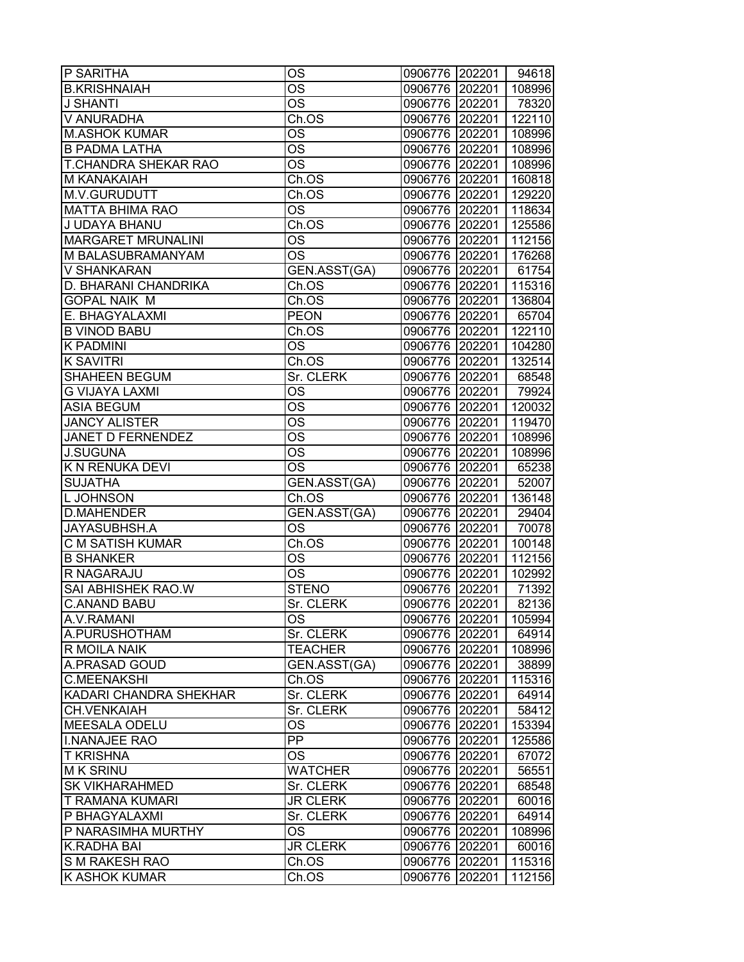| P SARITHA                 | OS                     | 0906776 202201 |        | 94618  |
|---------------------------|------------------------|----------------|--------|--------|
| <b>B.KRISHNAIAH</b>       | OS                     | 0906776        | 202201 | 108996 |
| <b>J SHANTI</b>           | <b>OS</b>              | 0906776 202201 |        | 78320  |
| V ANURADHA                | Ch.OS                  | 0906776 202201 |        | 122110 |
| <b>M.ASHOK KUMAR</b>      | OS                     | 0906776 202201 |        | 108996 |
| <b>B PADMA LATHA</b>      | <b>OS</b>              | 0906776 202201 |        | 108996 |
| T.CHANDRA SHEKAR RAO      | <b>OS</b>              | 0906776 202201 |        | 108996 |
| M KANAKAIAH               | Ch.OS                  | 0906776 202201 |        | 160818 |
| M.V.GURUDUTT              | Ch.OS                  | 0906776 202201 |        | 129220 |
| <b>MATTA BHIMA RAO</b>    | <b>OS</b>              | 0906776 202201 |        | 118634 |
| J UDAYA BHANU             | Ch.OS                  | 0906776 202201 |        | 125586 |
| <b>MARGARET MRUNALINI</b> | <b>OS</b>              | 0906776 202201 |        | 112156 |
| M BALASUBRAMANYAM         | <b>OS</b>              | 0906776        | 202201 | 176268 |
| V SHANKARAN               | GEN.ASST(GA)           | 0906776        | 202201 | 61754  |
| D. BHARANI CHANDRIKA      | Ch.OS                  | 0906776        | 202201 | 115316 |
| GOPAL NAIK M              | Ch.OS                  | 0906776 202201 |        | 136804 |
| E. BHAGYALAXMI            | <b>PEON</b>            | 0906776 202201 |        | 65704  |
| <b>B VINOD BABU</b>       | Ch.OS                  | 0906776 202201 |        | 122110 |
| <b>K PADMINI</b>          | <b>OS</b>              | 0906776 202201 |        | 104280 |
| <b>K SAVITRI</b>          | Ch.OS                  | 0906776 202201 |        | 132514 |
| <b>SHAHEEN BEGUM</b>      | Sr. CLERK              | 0906776 202201 |        | 68548  |
| <b>G VIJAYA LAXMI</b>     | $\overline{\text{OS}}$ | 0906776 202201 |        | 79924  |
| <b>ASIA BEGUM</b>         | <b>OS</b>              | 0906776 202201 |        | 120032 |
| <b>JANCY ALISTER</b>      | $\overline{\text{OS}}$ | 0906776 202201 |        | 119470 |
| JANET D FERNENDEZ         | $\overline{\text{OS}}$ | 0906776        | 202201 | 108996 |
| <b>J.SUGUNA</b>           | <b>OS</b>              | 0906776        | 202201 | 108996 |
| K N RENUKA DEVI           | <b>OS</b>              | 0906776        | 202201 | 65238  |
| <b>SUJATHA</b>            | GEN.ASST(GA)           | 0906776        | 202201 | 52007  |
| L JOHNSON                 | Ch.OS                  | 0906776 202201 |        | 136148 |
| <b>D.MAHENDER</b>         | GEN.ASST(GA)           | 0906776 202201 |        | 29404  |
| <b>JAYASUBHSH.A</b>       | <b>OS</b>              | 0906776 202201 |        | 70078  |
| C M SATISH KUMAR          | Ch.OS                  | 0906776 202201 |        | 100148 |
| <b>B SHANKER</b>          | <b>OS</b>              | 0906776 202201 |        | 112156 |
| R NAGARAJU                | <b>OS</b>              | 0906776 202201 |        | 102992 |
| <b>SAI ABHISHEK RAO.W</b> | <b>STENO</b>           | 0906776 202201 |        | 71392  |
| <b>C.ANAND BABU</b>       | Sr. CLERK              | 0906776 202201 |        | 82136  |
| A.V.RAMANI                | OS.                    | 0906776 202201 |        | 105994 |
| A.PURUSHOTHAM             | Sr. CLERK              | 0906776 202201 |        | 64914  |
| R MOILA NAIK              | <b>TEACHER</b>         | 0906776 202201 |        | 108996 |
| A.PRASAD GOUD             | GEN.ASST(GA)           | 0906776 202201 |        | 38899  |
| <b>C.MEENAKSHI</b>        | Ch.OS                  | 0906776 202201 |        | 115316 |
| KADARI CHANDRA SHEKHAR    | Sr. CLERK              | 0906776 202201 |        | 64914  |
| <b>CH.VENKAIAH</b>        | Sr. CLERK              | 0906776 202201 |        | 58412  |
| <b>MEESALA ODELU</b>      | <b>OS</b>              | 0906776 202201 |        | 153394 |
| <b>I.NANAJEE RAO</b>      | <b>PP</b>              | 0906776 202201 |        | 125586 |
| <b>T KRISHNA</b>          | <b>OS</b>              | 0906776 202201 |        | 67072  |
| <b>MK SRINU</b>           | <b>WATCHER</b>         | 0906776 202201 |        | 56551  |
| <b>SK VIKHARAHMED</b>     | Sr. CLERK              | 0906776 202201 |        | 68548  |
| T RAMANA KUMARI           | <b>JR CLERK</b>        | 0906776 202201 |        | 60016  |
| P BHAGYALAXMI             | Sr. CLERK              | 0906776        | 202201 | 64914  |
| P NARASIMHA MURTHY        | OS                     | 0906776        | 202201 | 108996 |
| K.RADHA BAI               | <b>JR CLERK</b>        | 0906776        | 202201 | 60016  |
| S M RAKESH RAO            | Ch.OS                  | 0906776        | 202201 | 115316 |
| K ASHOK KUMAR             | Ch.OS                  | 0906776        | 202201 | 112156 |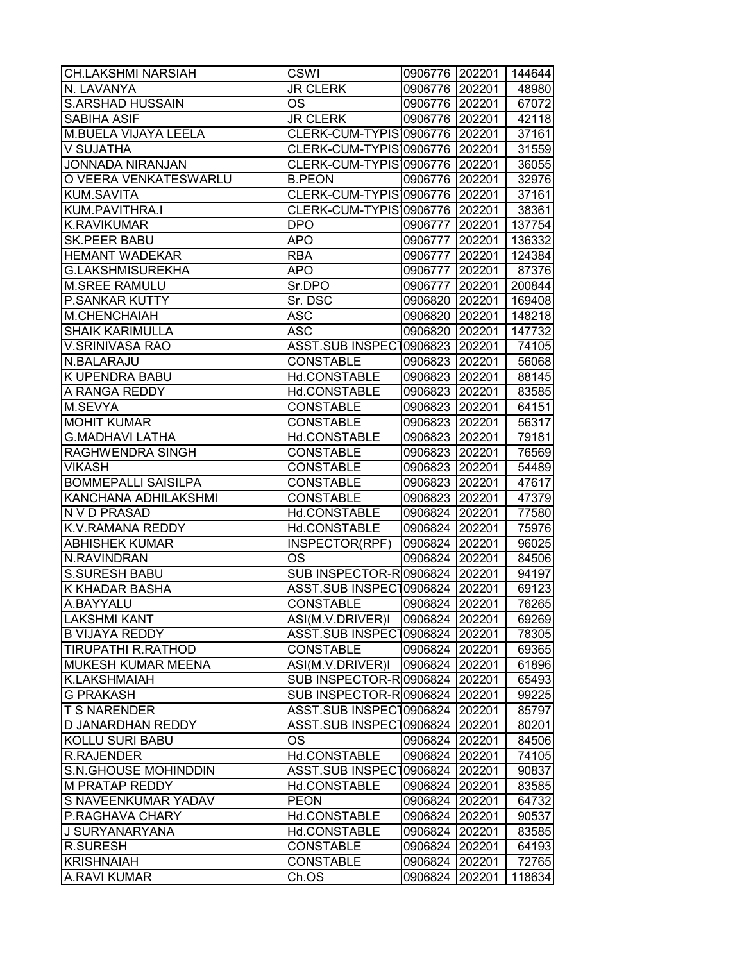| <b>CH.LAKSHMI NARSIAH</b>   | <b>CSWI</b>                    | 0906776 202201 |        | 144644 |
|-----------------------------|--------------------------------|----------------|--------|--------|
| N. LAVANYA                  | <b>JR CLERK</b>                | 0906776        | 202201 | 48980  |
| <b>S.ARSHAD HUSSAIN</b>     | <b>OS</b>                      | 0906776 202201 |        | 67072  |
| <b>SABIHA ASIF</b>          | <b>JR CLERK</b>                | 0906776 202201 |        | 42118  |
| M.BUELA VIJAYA LEELA        | CLERK-CUM-TYPIS 0906776 202201 |                |        | 37161  |
| V SUJATHA                   | CLERK-CUM-TYPIS 0906776 202201 |                |        | 31559  |
| <b>JONNADA NIRANJAN</b>     | CLERK-CUM-TYPIS 0906776 202201 |                |        | 36055  |
| O VEERA VENKATESWARLU       | <b>B.PEON</b>                  | 0906776 202201 |        | 32976  |
| KUM.SAVITA                  | CLERK-CUM-TYPIS 0906776        |                | 202201 | 37161  |
| KUM.PAVITHRA.I              | CLERK-CUM-TYPIS 0906776 202201 |                |        | 38361  |
| <b>K.RAVIKUMAR</b>          | <b>DPO</b>                     | 0906777 202201 |        | 137754 |
| <b>SK.PEER BABU</b>         | <b>APO</b>                     | 0906777        | 202201 | 136332 |
| <b>HEMANT WADEKAR</b>       | <b>RBA</b>                     | 0906777        | 202201 | 124384 |
| <b>G.LAKSHMISUREKHA</b>     | <b>APO</b>                     | 0906777        | 202201 | 87376  |
| <b>M.SREE RAMULU</b>        | Sr.DPO                         | 0906777        | 202201 | 200844 |
| P.SANKAR KUTTY              | Sr. DSC                        | 0906820 202201 |        | 169408 |
| M.CHENCHAIAH                | ASC                            | 0906820 202201 |        | 148218 |
| <b>SHAIK KARIMULLA</b>      | <b>ASC</b>                     | 0906820 202201 |        | 147732 |
| V.SRINIVASA RAO             | ASST.SUB INSPEC10906823 202201 |                |        | 74105  |
| N.BALARAJU                  | <b>CONSTABLE</b>               | 0906823 202201 |        | 56068  |
| K UPENDRA BABU              | Hd.CONSTABLE                   | 0906823 202201 |        | 88145  |
| A RANGA REDDY               | Hd.CONSTABLE                   | 0906823 202201 |        | 83585  |
| M.SEVYA                     | <b>CONSTABLE</b>               | 0906823 202201 |        | 64151  |
| <b>MOHIT KUMAR</b>          | <b>CONSTABLE</b>               | 0906823 202201 |        | 56317  |
| <b>G.MADHAVI LATHA</b>      | Hd.CONSTABLE                   | 0906823        | 202201 | 79181  |
| RAGHWENDRA SINGH            | <b>CONSTABLE</b>               |                |        | 76569  |
| <b>VIKASH</b>               | <b>CONSTABLE</b>               | 0906823        | 202201 |        |
| <b>BOMMEPALLI SAISILPA</b>  | <b>CONSTABLE</b>               | 0906823        | 202201 | 54489  |
|                             |                                | 0906823        | 202201 | 47617  |
| KANCHANA ADHILAKSHMI        | <b>CONSTABLE</b>               | 0906823 202201 |        | 47379  |
| N V D PRASAD                | Hd.CONSTABLE                   | 0906824 202201 |        | 77580  |
| K.V.RAMANA REDDY            | Hd.CONSTABLE                   | 0906824 202201 |        | 75976  |
| <b>ABHISHEK KUMAR</b>       | INSPECTOR(RPF)                 | 0906824 202201 |        | 96025  |
| N.RAVINDRAN                 | <b>OS</b>                      | 0906824 202201 |        | 84506  |
| <b>S.SURESH BABU</b>        | SUB INSPECTOR-R0906824         |                | 202201 | 94197  |
| <b>K KHADAR BASHA</b>       | <b>ASST.SUB INSPECT</b>        | 0906824        | 202201 | 69123  |
| A.BAYYALU                   | <b>CONSTABLE</b>               | 0906824        | 202201 | 76265  |
| <b>LAKSHMI KANT</b>         | ASI(M.V.DRIVER)I               | 0906824 202201 |        | 69269  |
| <b>B VIJAYA REDDY</b>       | <b>ASST.SUB INSPECT</b>        | 0906824        | 202201 | 78305  |
| <b>TIRUPATHI R.RATHOD</b>   | <b>CONSTABLE</b>               | 0906824        | 202201 | 69365  |
| <b>MUKESH KUMAR MEENA</b>   | ASI(M.V.DRIVER)I               | 0906824        | 202201 | 61896  |
| <b>K.LAKSHMAIAH</b>         | SUB INSPECTOR-R0906824         |                | 202201 | 65493  |
| <b>G PRAKASH</b>            | SUB INSPECTOR-R0906824         |                | 202201 | 99225  |
| <b>T S NARENDER</b>         | ASST.SUB INSPEC10906824        |                | 202201 | 85797  |
| <b>D JANARDHAN REDDY</b>    | ASST.SUB INSPEC10906824 202201 |                |        | 80201  |
| <b>KOLLU SURI BABU</b>      | <b>OS</b>                      | 0906824        | 202201 | 84506  |
| <b>R.RAJENDER</b>           | Hd.CONSTABLE                   | 0906824 202201 |        | 74105  |
| <b>S.N.GHOUSE MOHINDDIN</b> | <b>ASST.SUB INSPECT</b>        | 0906824        | 202201 | 90837  |
| <b>M PRATAP REDDY</b>       | Hd.CONSTABLE                   | 0906824 202201 |        | 83585  |
| S NAVEENKUMAR YADAV         | <b>PEON</b>                    | 0906824        | 202201 | 64732  |
| P.RAGHAVA CHARY             | Hd.CONSTABLE                   | 0906824        | 202201 | 90537  |
| J SURYANARYANA              | Hd.CONSTABLE                   | 0906824        | 202201 | 83585  |
| <b>R.SURESH</b>             | <b>CONSTABLE</b>               | 0906824        | 202201 | 64193  |
| <b>KRISHNAIAH</b>           | <b>CONSTABLE</b>               | 0906824        | 202201 | 72765  |
| <b>A.RAVI KUMAR</b>         | Ch.OS                          | 0906824        | 202201 | 118634 |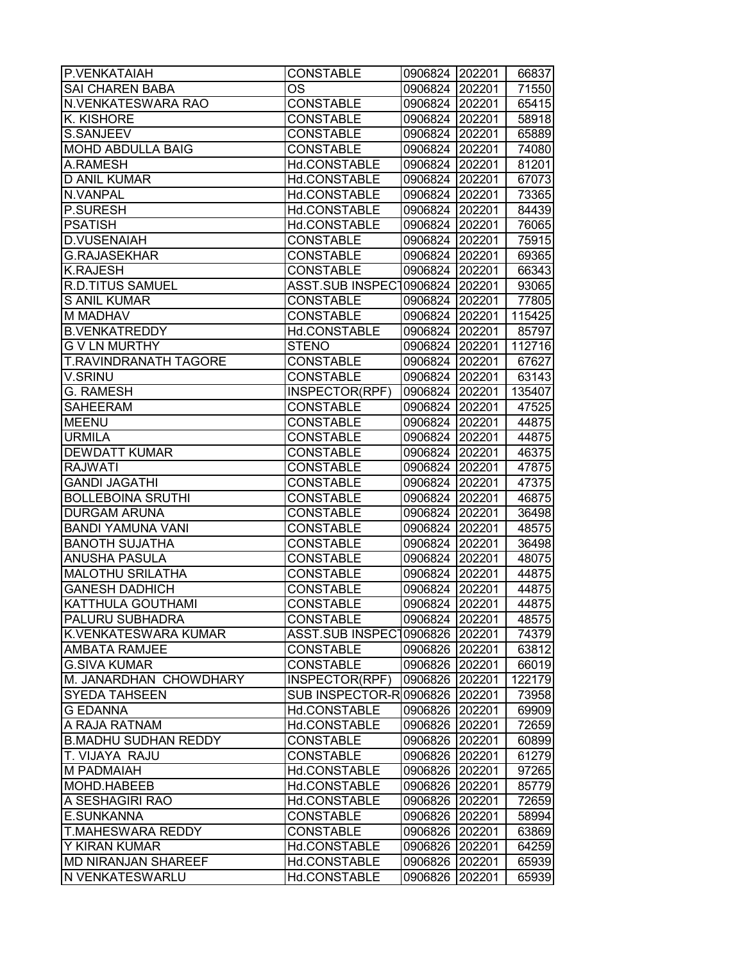| P.VENKATAIAH                                 | <b>CONSTABLE</b>                 | 0906824 202201            |        | 66837          |
|----------------------------------------------|----------------------------------|---------------------------|--------|----------------|
| <b>SAI CHAREN BABA</b>                       | ОS                               | 0906824                   | 202201 | 71550          |
| N.VENKATESWARA RAO                           | <b>CONSTABLE</b>                 | 0906824                   | 202201 | 65415          |
| K. KISHORE                                   | <b>CONSTABLE</b>                 | 0906824                   | 202201 | 58918          |
| S.SANJEEV                                    | <b>CONSTABLE</b>                 | 0906824 202201            |        | 65889          |
| <b>MOHD ABDULLA BAIG</b>                     | <b>CONSTABLE</b>                 | 0906824 202201            |        | 74080          |
| A.RAMESH                                     | Hd.CONSTABLE                     | 0906824 202201            |        | 81201          |
| <b>D ANIL KUMAR</b>                          | Hd.CONSTABLE                     | 0906824                   | 202201 | 67073          |
| N.VANPAL                                     | Hd.CONSTABLE                     | 0906824 202201            |        | 73365          |
| P.SURESH                                     | Hd.CONSTABLE                     | 0906824 202201            |        | 84439          |
| <b>PSATISH</b>                               | Hd.CONSTABLE                     | 0906824 202201            |        | 76065          |
| <b>D.VUSENAIAH</b>                           | <b>CONSTABLE</b>                 | 0906824 202201            |        | 75915          |
| <b>G.RAJASEKHAR</b>                          | <b>CONSTABLE</b>                 | 0906824                   | 202201 | 69365          |
| <b>K.RAJESH</b>                              | <b>CONSTABLE</b>                 | 0906824                   | 202201 | 66343          |
| <b>R.D.TITUS SAMUEL</b>                      | <b>ASST.SUB INSPECT</b>          | 0906824                   | 202201 | 93065          |
| <b>S ANIL KUMAR</b>                          | <b>CONSTABLE</b>                 | 0906824                   | 202201 | 77805          |
| <b>M MADHAV</b>                              | <b>CONSTABLE</b>                 | 0906824                   | 202201 | 115425         |
| <b>B.VENKATREDDY</b>                         | Hd.CONSTABLE                     | 0906824 202201            |        | 85797          |
| <b>G V LN MURTHY</b>                         | <b>STENO</b>                     | 0906824 202201            |        | 112716         |
| T.RAVINDRANATH TAGORE                        | <b>CONSTABLE</b>                 | 0906824 202201            |        | 67627          |
| V.SRINU                                      | <b>CONSTABLE</b>                 | 0906824 202201            |        | 63143          |
| <b>G. RAMESH</b>                             | INSPECTOR(RPF)                   | 0906824 202201            |        | 135407         |
| <b>SAHEERAM</b>                              | <b>CONSTABLE</b>                 | 0906824                   | 202201 | 47525          |
| <b>MEENU</b>                                 | <b>CONSTABLE</b>                 | 0906824 202201            |        | 44875          |
| <b>URMILA</b>                                | <b>CONSTABLE</b>                 | 0906824                   | 202201 | 44875          |
| <b>DEWDATT KUMAR</b>                         | <b>CONSTABLE</b>                 | 0906824                   | 202201 | 46375          |
| <b>RAJWATI</b>                               | <b>CONSTABLE</b>                 | 0906824                   | 202201 | 47875          |
| <b>GANDI JAGATHI</b>                         | <b>CONSTABLE</b>                 | 0906824                   | 202201 | 47375          |
| <b>BOLLEBOINA SRUTHI</b>                     | <b>CONSTABLE</b>                 | 0906824                   | 202201 | 46875          |
| <b>DURGAM ARUNA</b>                          | <b>CONSTABLE</b>                 | 0906824                   | 202201 | 36498          |
| <b>BANDI YAMUNA VANI</b>                     | <b>CONSTABLE</b>                 | 0906824 202201            |        | 48575          |
| <b>BANOTH SUJATHA</b>                        | <b>CONSTABLE</b>                 | 0906824 202201            |        | 36498          |
| ANUSHA PASULA                                | <b>CONSTABLE</b>                 | 0906824                   | 202201 | 48075          |
| <b>MALOTHU SRILATHA</b>                      | <b>CONSTABLE</b>                 | 0906824 202201            |        | 44875          |
| <b>GANESH DADHICH</b>                        | <b>CONSTABLE</b>                 | 0906824                   | 202201 | 44875          |
| <b>KATTHULA GOUTHAMI</b>                     | <b>CONSTABLE</b>                 | 0906824                   | 202201 | 44875          |
| PALURU SUBHADRA                              | <b>CONSTABLE</b>                 | 0906824 202201            |        | 48575          |
| K.VENKATESWARA KUMAR                         | <b>ASST.SUB INSPECT</b>          | 0906826                   | 202201 | 74379          |
| <b>AMBATA RAMJEE</b>                         | <b>CONSTABLE</b>                 | 0906826                   | 202201 | 63812          |
| <b>G.SIVA KUMAR</b>                          | <b>CONSTABLE</b>                 | 0906826                   | 202201 | 66019          |
| M. JANARDHAN CHOWDHARY                       | INSPECTOR(RPF)                   | 0906826                   | 202201 | 122179         |
| <b>SYEDA TAHSEEN</b><br><b>G EDANNA</b>      | SUB INSPECTOR-R0906826           |                           | 202201 | 73958          |
|                                              | Hd.CONSTABLE                     | 0906826 202201            |        | 69909          |
| A RAJA RATNAM<br><b>B.MADHU SUDHAN REDDY</b> | Hd.CONSTABLE                     | 0906826 202201            |        | 72659          |
|                                              | <b>CONSTABLE</b>                 | 0906826 202201            |        | 60899          |
| T. VIJAYA RAJU                               | <b>CONSTABLE</b>                 | 0906826 202201            |        | 61279          |
| <b>M PADMAIAH</b><br>MOHD.HABEEB             | Hd.CONSTABLE<br>Hd.CONSTABLE     | 0906826                   | 202201 | 97265          |
| A SESHAGIRI RAO                              |                                  | 0906826                   | 202201 | 85779          |
| <b>E.SUNKANNA</b>                            | Hd.CONSTABLE<br><b>CONSTABLE</b> | 0906826 202201<br>0906826 | 202201 | 72659<br>58994 |
| <b>T.MAHESWARA REDDY</b>                     | <b>CONSTABLE</b>                 | 0906826                   | 202201 | 63869          |
| Y KIRAN KUMAR                                | Hd.CONSTABLE                     | 0906826                   | 202201 | 64259          |
| <b>MD NIRANJAN SHAREEF</b>                   | Hd.CONSTABLE                     | 0906826                   | 202201 | 65939          |
| N VENKATESWARLU                              | Hd.CONSTABLE                     | 0906826                   | 202201 | 65939          |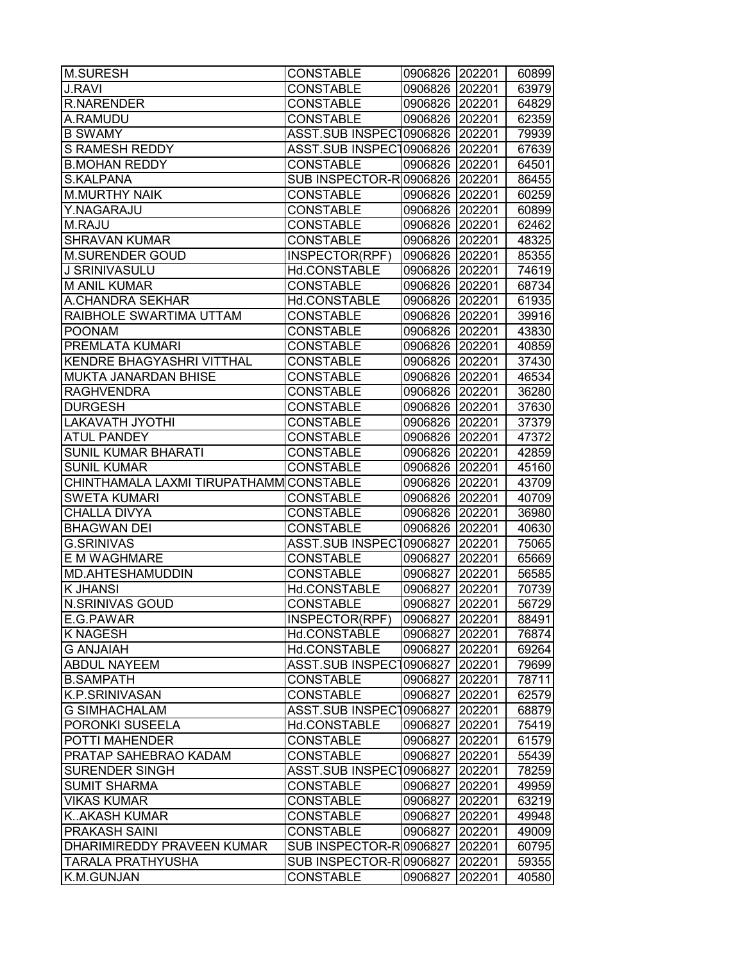| <b>M.SURESH</b>                         | <b>CONSTABLE</b>               | 0906826 202201 |        | 60899 |
|-----------------------------------------|--------------------------------|----------------|--------|-------|
| <b>J.RAVI</b>                           | <b>CONSTABLE</b>               | 0906826 202201 |        | 63979 |
| <b>R.NARENDER</b>                       | <b>CONSTABLE</b>               | 0906826 202201 |        | 64829 |
| A.RAMUDU                                | <b>CONSTABLE</b>               | 0906826 202201 |        | 62359 |
| <b>B SWAMY</b>                          | ASST.SUB INSPEC10906826 202201 |                |        | 79939 |
| <b>S RAMESH REDDY</b>                   | ASST.SUB INSPEC10906826 202201 |                |        | 67639 |
| <b>B.MOHAN REDDY</b>                    | <b>CONSTABLE</b>               | 0906826 202201 |        | 64501 |
| S.KALPANA                               | SUB INSPECTOR-R 0906826 202201 |                |        | 86455 |
| <b>M.MURTHY NAIK</b>                    | <b>CONSTABLE</b>               | 0906826 202201 |        | 60259 |
| Y.NAGARAJU                              | <b>CONSTABLE</b>               | 0906826 202201 |        | 60899 |
| M.RAJU                                  | <b>CONSTABLE</b>               | 0906826 202201 |        | 62462 |
| <b>SHRAVAN KUMAR</b>                    | <b>CONSTABLE</b>               | 0906826 202201 |        | 48325 |
| <b>M.SURENDER GOUD</b>                  | INSPECTOR(RPF)                 | 0906826 202201 |        | 85355 |
| J SRINIVASULU                           | Hd.CONSTABLE                   | 0906826 202201 |        | 74619 |
| <b>M ANIL KUMAR</b>                     | <b>CONSTABLE</b>               | 0906826        | 202201 | 68734 |
| A.CHANDRA SEKHAR                        | Hd.CONSTABLE                   | 0906826 202201 |        | 61935 |
| RAIBHOLE SWARTIMA UTTAM                 | <b>CONSTABLE</b>               | 0906826 202201 |        | 39916 |
| <b>POONAM</b>                           | <b>CONSTABLE</b>               | 0906826 202201 |        | 43830 |
| PREMLATA KUMARI                         | <b>CONSTABLE</b>               | 0906826 202201 |        | 40859 |
| KENDRE BHAGYASHRI VITTHAL               | <b>CONSTABLE</b>               | 0906826 202201 |        | 37430 |
| MUKTA JANARDAN BHISE                    | <b>CONSTABLE</b>               | 0906826 202201 |        | 46534 |
| <b>RAGHVENDRA</b>                       | <b>CONSTABLE</b>               | 0906826 202201 |        | 36280 |
| <b>DURGESH</b>                          | <b>CONSTABLE</b>               | 0906826 202201 |        | 37630 |
| <b>LAKAVATH JYOTHI</b>                  | <b>CONSTABLE</b>               | 0906826 202201 |        | 37379 |
| <b>ATUL PANDEY</b>                      | <b>CONSTABLE</b>               | 0906826 202201 |        | 47372 |
| <b>SUNIL KUMAR BHARATI</b>              | <b>CONSTABLE</b>               | 0906826 202201 |        | 42859 |
| <b>SUNIL KUMAR</b>                      | <b>CONSTABLE</b>               | 0906826 202201 |        | 45160 |
| CHINTHAMALA LAXMI TIRUPATHAMM CONSTABLE |                                | 0906826        | 202201 | 43709 |
| <b>SWETA KUMARI</b>                     | <b>CONSTABLE</b>               | 0906826 202201 |        | 40709 |
| CHALLA DIVYA                            | <b>CONSTABLE</b>               | 0906826 202201 |        | 36980 |
| <b>BHAGWAN DEI</b>                      | <b>CONSTABLE</b>               | 0906826 202201 |        | 40630 |
| <b>G.SRINIVAS</b>                       | ASST.SUB INSPEC10906827        |                | 202201 | 75065 |
| <b>E M WAGHMARE</b>                     | <b>CONSTABLE</b>               | 0906827 202201 |        | 65669 |
| MD.AHTESHAMUDDIN                        | <b>CONSTABLE</b>               | 0906827        | 202201 | 56585 |
| <b>K JHANSI</b>                         | Hd.CONSTABLE                   | 0906827        | 202201 | 70739 |
| N.SRINIVAS GOUD                         | <b>CONSTABLE</b>               | 0906827        | 202201 | 56729 |
| E.G.PAWAR                               | INSPECTOR(RPF)                 | 0906827 202201 |        | 88491 |
| K NAGESH                                | Hd.CONSTABLE                   | 0906827        | 202201 | 76874 |
| <b>G ANJAIAH</b>                        | Hd.CONSTABLE                   | 0906827        | 202201 | 69264 |
| <b>ABDUL NAYEEM</b>                     | <b>ASST.SUB INSPECT</b>        | 0906827        | 202201 | 79699 |
| <b>B.SAMPATH</b>                        | <b>CONSTABLE</b>               | 0906827        | 202201 | 78711 |
| K.P.SRINIVASAN                          | <b>CONSTABLE</b>               | 0906827        | 202201 | 62579 |
| <b>G SIMHACHALAM</b>                    | ASST.SUB INSPECT0906827        |                | 202201 | 68879 |
| PORONKI SUSEELA                         | Hd.CONSTABLE                   | 0906827        | 202201 | 75419 |
| POTTI MAHENDER                          | <b>CONSTABLE</b>               | 0906827        | 202201 | 61579 |
| PRATAP SAHEBRAO KADAM                   | <b>CONSTABLE</b>               | 0906827        | 202201 | 55439 |
| <b>SURENDER SINGH</b>                   | <b>ASST.SUB INSPECT</b>        | 0906827        | 202201 | 78259 |
| <b>SUMIT SHARMA</b>                     | <b>CONSTABLE</b>               | 0906827        | 202201 | 49959 |
| <b>VIKAS KUMAR</b>                      | <b>CONSTABLE</b>               | 0906827        | 202201 | 63219 |
| KAKASH KUMAR                            | <b>CONSTABLE</b>               | 0906827        | 202201 | 49948 |
| PRAKASH SAINI                           | <b>CONSTABLE</b>               | 0906827        | 202201 | 49009 |
| DHARIMIREDDY PRAVEEN KUMAR              | SUB INSPECTOR-R0906827         |                | 202201 | 60795 |
| TARALA PRATHYUSHA                       | SUB INSPECTOR-R0906827         |                | 202201 | 59355 |
| K.M.GUNJAN                              | CONSTABLE                      | 0906827        | 202201 | 40580 |
|                                         |                                |                |        |       |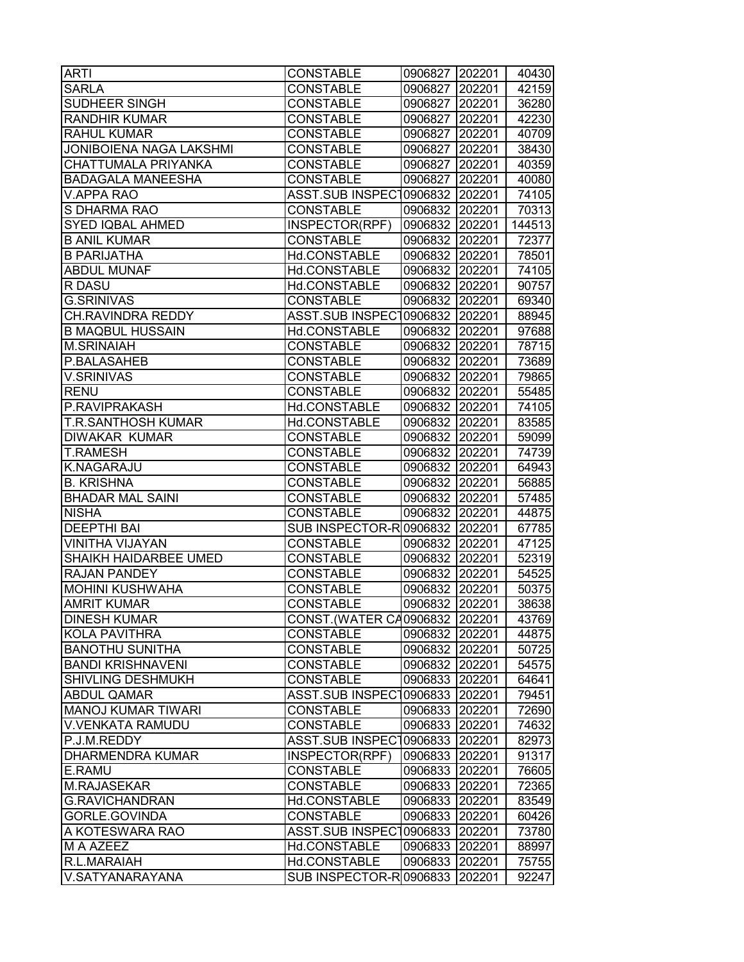| <b>ARTI</b>               | <b>CONSTABLE</b>                 | 0906827 202201 |        | 40430  |
|---------------------------|----------------------------------|----------------|--------|--------|
| <b>SARLA</b>              | <b>CONSTABLE</b>                 | 0906827        | 202201 | 42159  |
| SUDHEER SINGH             | <b>CONSTABLE</b>                 | 0906827 202201 |        | 36280  |
| <b>RANDHIR KUMAR</b>      | <b>CONSTABLE</b>                 | 0906827        | 202201 | 42230  |
| <b>RAHUL KUMAR</b>        | <b>CONSTABLE</b>                 | 0906827        | 202201 | 40709  |
| JONIBOIENA NAGA LAKSHMI   | <b>CONSTABLE</b>                 | 0906827        | 202201 | 38430  |
| CHATTUMALA PRIYANKA       | <b>CONSTABLE</b>                 | 0906827        | 202201 | 40359  |
| <b>BADAGALA MANEESHA</b>  | <b>CONSTABLE</b>                 | 0906827        | 202201 | 40080  |
| <b>V.APPA RAO</b>         | ASST.SUB INSPEC10906832   202201 |                |        | 74105  |
| S DHARMA RAO              | <b>CONSTABLE</b>                 | 0906832 202201 |        | 70313  |
| <b>SYED IQBAL AHMED</b>   | INSPECTOR(RPF)                   | 0906832        | 202201 | 144513 |
| <b>B ANIL KUMAR</b>       | <b>CONSTABLE</b>                 | 0906832        | 202201 | 72377  |
| <b>B PARIJATHA</b>        | Hd.CONSTABLE                     | 0906832        | 202201 | 78501  |
| <b>ABDUL MUNAF</b>        | Hd.CONSTABLE                     | 0906832        | 202201 | 74105  |
| R DASU                    | Hd.CONSTABLE                     | 0906832 202201 |        | 90757  |
| <b>G.SRINIVAS</b>         | <b>CONSTABLE</b>                 | 0906832 202201 |        | 69340  |
| CH.RAVINDRA REDDY         | ASST.SUB INSPEC10906832 202201   |                |        | 88945  |
| <b>B MAQBUL HUSSAIN</b>   | Hd.CONSTABLE                     | 0906832        | 202201 | 97688  |
| <b>M.SRINAIAH</b>         | <b>CONSTABLE</b>                 | 0906832        | 202201 | 78715  |
| P.BALASAHEB               | <b>CONSTABLE</b>                 | 0906832        | 202201 | 73689  |
| <b>V.SRINIVAS</b>         | <b>CONSTABLE</b>                 | 0906832 202201 |        | 79865  |
| <b>RENU</b>               | <b>CONSTABLE</b>                 | 0906832 202201 |        | 55485  |
| P.RAVIPRAKASH             | Hd.CONSTABLE                     | 0906832 202201 |        | 74105  |
| T.R.SANTHOSH KUMAR        | Hd.CONSTABLE                     | 0906832        | 202201 | 83585  |
| <b>DIWAKAR KUMAR</b>      | <b>CONSTABLE</b>                 | 0906832        | 202201 | 59099  |
| <b>T.RAMESH</b>           | <b>CONSTABLE</b>                 | 0906832        | 202201 | 74739  |
| K.NAGARAJU                | <b>CONSTABLE</b>                 | 0906832 202201 |        | 64943  |
| <b>B. KRISHNA</b>         | <b>CONSTABLE</b>                 | 0906832 202201 |        | 56885  |
| <b>BHADAR MAL SAINI</b>   | <b>CONSTABLE</b>                 | 0906832 202201 |        | 57485  |
| <b>NISHA</b>              | <b>CONSTABLE</b>                 | 0906832        | 202201 | 44875  |
| <b>DEEPTHI BAI</b>        | SUB INSPECTOR-R0906832           |                | 202201 | 67785  |
| VINITHA VIJAYAN           | <b>CONSTABLE</b>                 | 0906832        | 202201 | 47125  |
| SHAIKH HAIDARBEE UMED     | <b>CONSTABLE</b>                 | 0906832        | 202201 | 52319  |
| <b>RAJAN PANDEY</b>       | <b>CONSTABLE</b>                 | 0906832 202201 |        | 54525  |
| <b>MOHINI KUSHWAHA</b>    | <b>CONSTABLE</b>                 | 0906832        | 202201 | 50375  |
| <b>AMRIT KUMAR</b>        | <b>CONSTABLE</b>                 | 0906832 202201 |        | 38638  |
| <b>DINESH KUMAR</b>       | CONST. (WATER CA0906832 202201   |                |        | 43769  |
| KOLA PAVITHRA             | <b>CONSTABLE</b>                 | 0906832        | 202201 | 44875  |
| <b>BANOTHU SUNITHA</b>    | <b>CONSTABLE</b>                 | 0906832 202201 |        | 50725  |
| <b>BANDI KRISHNAVENI</b>  | <b>CONSTABLE</b>                 | 0906832 202201 |        | 54575  |
| SHIVLING DESHMUKH         | <b>CONSTABLE</b>                 | 0906833 202201 |        | 64641  |
| <b>ABDUL QAMAR</b>        | ASST.SUB INSPEC10906833  202201  |                |        | 79451  |
| <b>MANOJ KUMAR TIWARI</b> | <b>CONSTABLE</b>                 | 0906833 202201 |        | 72690  |
| V.VENKATA RAMUDU          | <b>CONSTABLE</b>                 | 0906833 202201 |        | 74632  |
| P.J.M.REDDY               | ASST.SUB INSPEC10906833 202201   |                |        | 82973  |
| DHARMENDRA KUMAR          | INSPECTOR(RPF)                   | 0906833 202201 |        | 91317  |
| E.RAMU                    | <b>CONSTABLE</b>                 | 0906833 202201 |        | 76605  |
| M.RAJASEKAR               | <b>CONSTABLE</b>                 | 0906833 202201 |        | 72365  |
| <b>G.RAVICHANDRAN</b>     | Hd.CONSTABLE                     | 0906833 202201 |        | 83549  |
| <b>GORLE.GOVINDA</b>      | <b>CONSTABLE</b>                 | 0906833        | 202201 | 60426  |
| A KOTESWARA RAO           | ASST.SUB INSPEC10906833          |                | 202201 | 73780  |
| M A AZEEZ                 | Hd.CONSTABLE                     | 0906833 202201 |        | 88997  |
| R.L.MARAIAH               | Hd.CONSTABLE                     | 0906833 202201 |        | 75755  |
| V.SATYANARAYANA           | SUB INSPECTOR-R0906833           |                | 202201 | 92247  |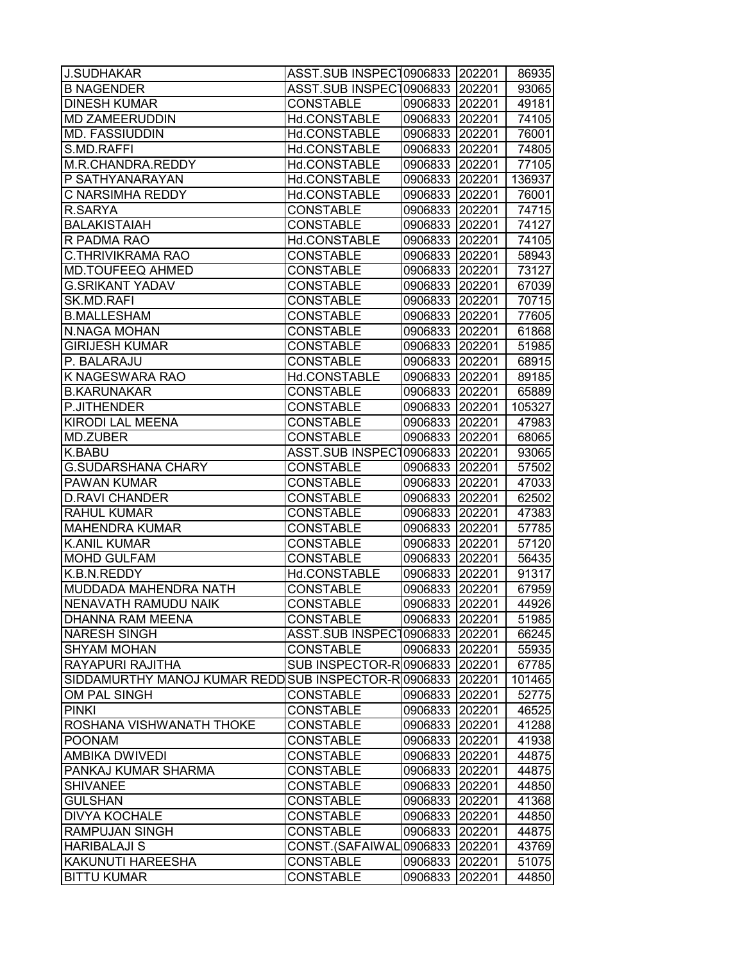| <b>J.SUDHAKAR</b>                             | ASST.SUB INSPEC10906833 202201       |                           |        | 86935          |
|-----------------------------------------------|--------------------------------------|---------------------------|--------|----------------|
| <b>B NAGENDER</b>                             | ASST.SUB INSPEC10906833              |                           | 202201 | 93065          |
| <b>DINESH KUMAR</b>                           | <b>CONSTABLE</b>                     | 0906833 202201            |        | 49181          |
| <b>MD ZAMEERUDDIN</b>                         | Hd.CONSTABLE                         | 0906833 202201            |        | 74105          |
| <b>MD. FASSIUDDIN</b>                         | Hd.CONSTABLE                         | 0906833 202201            |        | 76001          |
| S.MD.RAFFI                                    | Hd.CONSTABLE                         | 0906833 202201            |        | 74805          |
| M.R.CHANDRA.REDDY                             | Hd.CONSTABLE                         | 0906833 202201            |        | 77105          |
| P SATHYANARAYAN                               | Hd.CONSTABLE                         | 0906833 202201            |        | 136937         |
| C NARSIMHA REDDY                              | Hd.CONSTABLE                         | 0906833 202201            |        | 76001          |
| R.SARYA                                       | <b>CONSTABLE</b>                     | 0906833 202201            |        | 74715          |
| <b>BALAKISTAIAH</b>                           | <b>CONSTABLE</b>                     | 0906833 202201            |        | 74127          |
| R PADMA RAO                                   | Hd.CONSTABLE                         | 0906833 202201            |        | 74105          |
| <b>C.THRIVIKRAMA RAO</b>                      | <b>CONSTABLE</b>                     | 0906833 202201            |        | 58943          |
| <b>MD.TOUFEEQ AHMED</b>                       | <b>CONSTABLE</b>                     | 0906833 202201            |        | 73127          |
| <b>G.SRIKANT YADAV</b>                        | <b>CONSTABLE</b>                     | 0906833 202201            |        | 67039          |
| SK.MD.RAFI                                    | <b>CONSTABLE</b>                     | 0906833 202201            |        | 70715          |
| <b>B.MALLESHAM</b>                            | <b>CONSTABLE</b>                     | 0906833 202201            |        | 77605          |
| <b>N.NAGA MOHAN</b>                           | <b>CONSTABLE</b>                     | 0906833 202201            |        | 61868          |
| <b>GIRIJESH KUMAR</b>                         | <b>CONSTABLE</b>                     | 0906833 202201            |        | 51985          |
| P. BALARAJU                                   | <b>CONSTABLE</b>                     | 0906833 202201            |        | 68915          |
| K NAGESWARA RAO                               | Hd.CONSTABLE                         | 0906833 202201            |        | 89185          |
| <b>B.KARUNAKAR</b>                            | <b>CONSTABLE</b>                     | 0906833 202201            |        | 65889          |
| P.JITHENDER                                   | <b>CONSTABLE</b>                     | 0906833 202201            |        | 105327         |
| <b>KIRODI LAL MEENA</b>                       | <b>CONSTABLE</b>                     | 0906833 202201            |        | 47983          |
| MD.ZUBER                                      | <b>CONSTABLE</b>                     | 0906833 202201            |        | 68065          |
| K.BABU                                        | ASST.SUB INSPEC10906833 202201       |                           |        | 93065          |
| <b>G.SUDARSHANA CHARY</b>                     | <b>CONSTABLE</b>                     | 0906833 202201            |        | 57502          |
| PAWAN KUMAR                                   | <b>CONSTABLE</b>                     | 0906833 202201            |        | 47033          |
| <b>D.RAVI CHANDER</b>                         | <b>CONSTABLE</b>                     | 0906833 202201            |        | 62502          |
| <b>RAHUL KUMAR</b>                            | <b>CONSTABLE</b>                     | 0906833 202201            |        | 47383          |
| <b>MAHENDRA KUMAR</b>                         | <b>CONSTABLE</b>                     | 0906833 202201            |        | 57785          |
| <b>K.ANIL KUMAR</b>                           | <b>CONSTABLE</b>                     | 0906833 202201            |        | 57120          |
| <b>MOHD GULFAM</b>                            | <b>CONSTABLE</b>                     | 0906833 202201            |        | 56435          |
| K.B.N.REDDY                                   | Hd.CONSTABLE                         | 0906833 202201            |        | 91317          |
| MUDDADA MAHENDRA NATH                         | <b>CONSTABLE</b>                     | 0906833 202201            |        | 67959          |
| NENAVATH RAMUDU NAIK                          | <b>CONSTABLE</b>                     | 0906833 202201            |        | 44926          |
| <b>DHANNA RAM MEENA</b>                       | <b>CONSTABLE</b>                     | 0906833 202201            |        | 51985          |
| <b>NARESH SINGH</b>                           | ASST.SUB INSPEC10906833   202201     |                           |        | 66245          |
| <b>SHYAM MOHAN</b>                            | <b>CONSTABLE</b>                     | 0906833 202201            |        | 55935          |
| RAYAPURI RAJITHA                              | SUB INSPECTOR-R 0906833 202201       |                           |        | 67785          |
| SIDDAMURTHY MANOJ KUMAR REDD                  | SUB INSPECTOR-R0906833 202201        |                           |        | 101465         |
| OM PAL SINGH                                  | <b>CONSTABLE</b>                     | 0906833 202201            |        | 52775          |
| <b>PINKI</b>                                  | <b>CONSTABLE</b>                     | 0906833 202201            |        | 46525          |
| ROSHANA VISHWANATH THOKE                      | <b>CONSTABLE</b>                     | 0906833 202201            |        | 41288          |
| <b>POONAM</b>                                 | <b>CONSTABLE</b>                     | 0906833 202201            |        | 41938          |
| <b>AMBIKA DWIVEDI</b>                         | <b>CONSTABLE</b>                     | 0906833 202201            |        | 44875          |
| PANKAJ KUMAR SHARMA                           | <b>CONSTABLE</b>                     | 0906833 202201            |        | 44875          |
| <b>SHIVANEE</b>                               | <b>CONSTABLE</b>                     | 0906833 202201            |        | 44850          |
| <b>GULSHAN</b>                                | <b>CONSTABLE</b>                     | 0906833 202201            |        | 41368          |
| <b>DIVYA KOCHALE</b><br><b>RAMPUJAN SINGH</b> | <b>CONSTABLE</b><br><b>CONSTABLE</b> | 0906833 202201            |        | 44850          |
| <b>HARIBALAJI S</b>                           | CONST.(SAFAIWAL                      | 0906833 202201<br>0906833 | 202201 | 44875<br>43769 |
| KAKUNUTI HAREESHA                             | <b>CONSTABLE</b>                     | 0906833                   | 202201 | 51075          |
| <b>BITTU KUMAR</b>                            | <b>CONSTABLE</b>                     | 0906833                   | 202201 | 44850          |
|                                               |                                      |                           |        |                |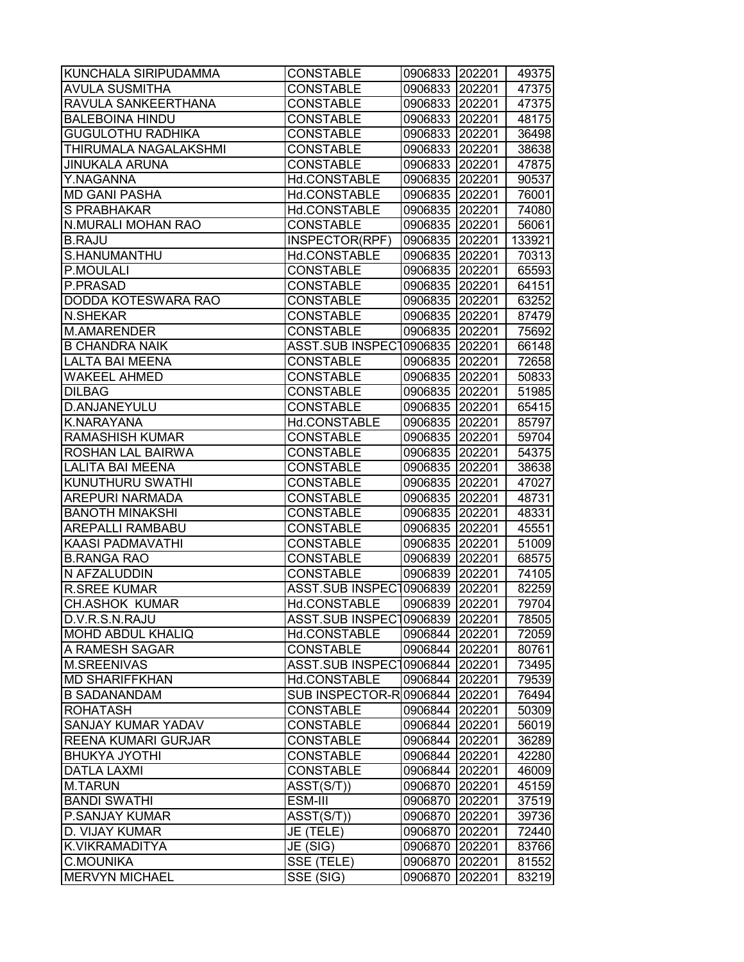| <b>KUNCHALA SIRIPUDAMMA</b>  | <b>CONSTABLE</b>               | 0906833 202201 |        | 49375  |
|------------------------------|--------------------------------|----------------|--------|--------|
| <b>AVULA SUSMITHA</b>        | <b>CONSTABLE</b>               | 0906833        | 202201 | 47375  |
| RAVULA SANKEERTHANA          | <b>CONSTABLE</b>               | 0906833 202201 |        | 47375  |
| <b>BALEBOINA HINDU</b>       | <b>CONSTABLE</b>               | 0906833 202201 |        | 48175  |
| <b>GUGULOTHU RADHIKA</b>     | <b>CONSTABLE</b>               | 0906833 202201 |        | 36498  |
| <b>THIRUMALA NAGALAKSHMI</b> | <b>CONSTABLE</b>               | 0906833 202201 |        | 38638  |
| <b>JINUKALA ARUNA</b>        | <b>CONSTABLE</b>               | 0906833 202201 |        | 47875  |
| Y.NAGANNA                    | Hd.CONSTABLE                   | 0906835        | 202201 | 90537  |
| <b>MD GANI PASHA</b>         | Hd.CONSTABLE                   | 0906835        | 202201 | 76001  |
| S PRABHAKAR                  | Hd.CONSTABLE                   | 0906835 202201 |        | 74080  |
| N.MURALI MOHAN RAO           | <b>CONSTABLE</b>               | 0906835        | 202201 | 56061  |
| <b>B.RAJU</b>                | INSPECTOR(RPF)                 | 0906835        | 202201 | 133921 |
| S.HANUMANTHU                 | Hd.CONSTABLE                   | 0906835        | 202201 | 70313  |
| P.MOULALI                    | <b>CONSTABLE</b>               | 0906835        | 202201 | 65593  |
| P.PRASAD                     | <b>CONSTABLE</b>               | 0906835        | 202201 | 64151  |
| DODDA KOTESWARA RAO          | <b>CONSTABLE</b>               | 0906835        | 202201 | 63252  |
| <b>N.SHEKAR</b>              | <b>CONSTABLE</b>               | 0906835 202201 |        | 87479  |
| <b>M.AMARENDER</b>           | <b>CONSTABLE</b>               | 0906835 202201 |        | 75692  |
| <b>B CHANDRA NAIK</b>        | <b>ASST.SUB INSPECT</b>        | 0906835        | 202201 | 66148  |
| <b>LALTA BAI MEENA</b>       | <b>CONSTABLE</b>               | 0906835        | 202201 | 72658  |
| <b>WAKEEL AHMED</b>          | <b>CONSTABLE</b>               | 0906835        | 202201 | 50833  |
| <b>DILBAG</b>                | <b>CONSTABLE</b>               | 0906835 202201 |        | 51985  |
| D.ANJANEYULU                 | <b>CONSTABLE</b>               | 0906835        | 202201 | 65415  |
| K.NARAYANA                   | Hd.CONSTABLE                   | 0906835        | 202201 | 85797  |
| <b>RAMASHISH KUMAR</b>       | <b>CONSTABLE</b>               | 0906835        | 202201 | 59704  |
| ROSHAN LAL BAIRWA            | <b>CONSTABLE</b>               | 0906835        | 202201 | 54375  |
| LALITA BAI MEENA             | <b>CONSTABLE</b>               | 0906835        | 202201 | 38638  |
| <b>KUNUTHURU SWATHI</b>      | <b>CONSTABLE</b>               | 0906835        | 202201 | 47027  |
| AREPURI NARMADA              | <b>CONSTABLE</b>               | 0906835 202201 |        | 48731  |
| <b>BANOTH MINAKSHI</b>       | <b>CONSTABLE</b>               | 0906835 202201 |        | 48331  |
| AREPALLI RAMBABU             | <b>CONSTABLE</b>               | 0906835        | 202201 | 45551  |
| <b>KAASI PADMAVATHI</b>      | <b>CONSTABLE</b>               | 0906835        | 202201 | 51009  |
| <b>B.RANGA RAO</b>           | <b>CONSTABLE</b>               | 0906839        | 202201 | 68575  |
| N AFZALUDDIN                 | <b>CONSTABLE</b>               | 0906839        | 202201 | 74105  |
| <b>R.SREE KUMAR</b>          | <b>ASST.SUB INSPECT</b>        | 0906839        | 202201 | 82259  |
| <b>CH.ASHOK KUMAR</b>        | Hd.CONSTABLE                   | 0906839        | 202201 | 79704  |
| D.V.R.S.N.RAJU               | ASST.SUB INSPEC10906839 202201 |                |        | 78505  |
| <b>MOHD ABDUL KHALIQ</b>     | Hd.CONSTABLE                   | 0906844        | 202201 | 72059  |
| A RAMESH SAGAR               | <b>CONSTABLE</b>               | 0906844        | 202201 | 80761  |
| <b>M.SREENIVAS</b>           | ASST.SUB INSPEC10906844        |                | 202201 | 73495  |
| <b>MD SHARIFFKHAN</b>        | Hd.CONSTABLE                   | 0906844 202201 |        | 79539  |
| <b>B SADANANDAM</b>          | SUB INSPECTOR-R0906844 202201  |                |        | 76494  |
| <b>ROHATASH</b>              | <b>CONSTABLE</b>               | 0906844 202201 |        | 50309  |
| <b>SANJAY KUMAR YADAV</b>    | <b>CONSTABLE</b>               | 0906844 202201 |        | 56019  |
| <b>REENA KUMARI GURJAR</b>   | <b>CONSTABLE</b>               | 0906844 202201 |        | 36289  |
| <b>BHUKYA JYOTHI</b>         | <b>CONSTABLE</b>               | 0906844 202201 |        | 42280  |
| <b>DATLA LAXMI</b>           | <b>CONSTABLE</b>               | 0906844 202201 |        | 46009  |
| <b>M.TARUN</b>               | ASST(S/T))                     | 0906870 202201 |        | 45159  |
| <b>BANDI SWATHI</b>          | ESM-III                        | 0906870        | 202201 | 37519  |
| P.SANJAY KUMAR               | ASST(S/T))                     | 0906870        | 202201 | 39736  |
| D. VIJAY KUMAR               | JE (TELE)                      | 0906870        | 202201 | 72440  |
| K.VIKRAMADITYA               | JE (SIG)                       | 0906870        | 202201 | 83766  |
| C.MOUNIKA                    | SSE (TELE)                     | 0906870        | 202201 | 81552  |
| <b>MERVYN MICHAEL</b>        | SSE (SIG)                      | 0906870        | 202201 | 83219  |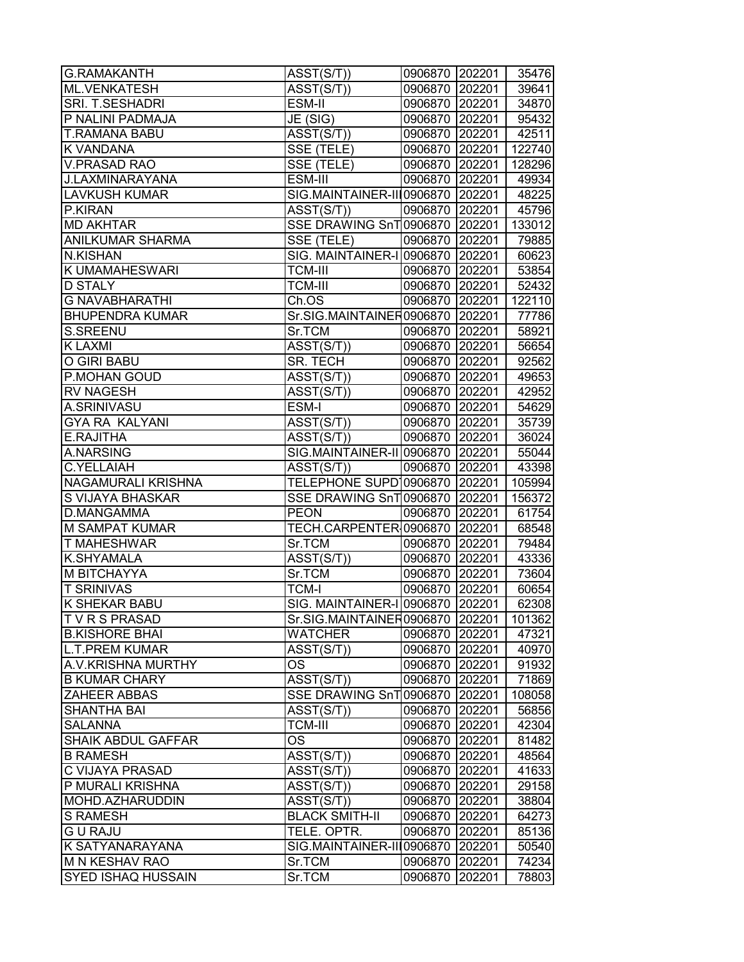| <b>G.RAMAKANTH</b>        | $\overline{\text{ASST}}(\text{S/T})$ | 0906870 202201 |        | 35476  |
|---------------------------|--------------------------------------|----------------|--------|--------|
| ML.VENKATESH              | $\overline{A}SST(S/T))$              | 0906870 202201 |        | 39641  |
| SRI. T.SESHADRI           | ESM-II                               | 0906870 202201 |        | 34870  |
| P NALINI PADMAJA          | JE (SIG)                             | 0906870 202201 |        | 95432  |
| <b>T.RAMANA BABU</b>      | $\overline{A}SST(S/T)$               | 0906870 202201 |        | 42511  |
| <b>K VANDANA</b>          | SSE (TELE)                           | 0906870 202201 |        | 122740 |
| <b>V.PRASAD RAO</b>       | SSE (TELE)                           | 0906870 202201 |        | 128296 |
| J.LAXMINARAYANA           | ESM-III                              | 0906870 202201 |        | 49934  |
| <b>LAVKUSH KUMAR</b>      | SIG.MAINTAINER-III0906870 202201     |                |        | 48225  |
| P.KIRAN                   | ASST(S/T))                           | 0906870 202201 |        | 45796  |
| <b>MD AKHTAR</b>          | SSE DRAWING SnT 0906870 202201       |                |        | 133012 |
| <b>ANILKUMAR SHARMA</b>   | SSE (TELE)                           | 0906870 202201 |        | 79885  |
| <b>N.KISHAN</b>           | SIG. MAINTAINER-I 0906870 202201     |                |        | 60623  |
| <b>K UMAMAHESWARI</b>     | <b>TCM-III</b>                       | 0906870 202201 |        | 53854  |
| <b>D STALY</b>            | <b>TCM-III</b>                       | 0906870 202201 |        | 52432  |
| <b>G NAVABHARATHI</b>     | Ch.OS                                | 0906870 202201 |        | 122110 |
| <b>BHUPENDRA KUMAR</b>    | Sr.SIG.MAINTAINER0906870 202201      |                |        | 77786  |
| S.SREENU                  | Sr.TCM                               | 0906870 202201 |        | 58921  |
| <b>K LAXMI</b>            | ASST(S/T))                           | 0906870 202201 |        | 56654  |
| O GIRI BABU               | SR. TECH                             | 0906870 202201 |        | 92562  |
| P.MOHAN GOUD              | ASST(S/T))                           | 0906870 202201 |        | 49653  |
| <b>RV NAGESH</b>          | ASST(S/T))                           | 0906870 202201 |        | 42952  |
| A.SRINIVASU               | ESM-I                                | 0906870 202201 |        | 54629  |
| <b>GYA RA KALYANI</b>     | ASST(S/T))                           | 0906870 202201 |        | 35739  |
| E.RAJITHA                 | ASST(S/T))                           | 0906870 202201 |        | 36024  |
| A.NARSING                 | SIG.MAINTAINER-II 0906870 202201     |                |        | 55044  |
| <b>C.YELLAIAH</b>         | ASST(S/T))                           | 0906870 202201 |        | 43398  |
| NAGAMURALI KRISHNA        | TELEPHONE SUPD10906870  202201       |                |        | 105994 |
| S VIJAYA BHASKAR          | SSE DRAWING SnT 0906870 202201       |                |        | 156372 |
| <b>D.MANGAMMA</b>         | <b>PEON</b>                          | 0906870 202201 |        | 61754  |
| <b>M SAMPAT KUMAR</b>     | TECH.CARPENTER 0906870 202201        |                |        | 68548  |
| <b>T MAHESHWAR</b>        | Sr.TCM                               | 0906870 202201 |        | 79484  |
| <b>K.SHYAMALA</b>         | ASST(S/T))                           | 0906870 202201 |        | 43336  |
| <b>M BITCHAYYA</b>        | Sr.TCM                               | 0906870 202201 |        | 73604  |
| <b>T SRINIVAS</b>         | <b>TCM-I</b>                         | 0906870 202201 |        | 60654  |
| <b>K SHEKAR BABU</b>      | SIG. MAINTAINER-I 0906870 202201     |                |        | 62308  |
| <b>TVRSPRASAD</b>         | Sr.SIG.MAINTAINER0906870 202201      |                |        | 101362 |
| <b>B.KISHORE BHAI</b>     | <b>WATCHER</b>                       | 0906870 202201 |        | 47321  |
| <b>L.T.PREM KUMAR</b>     | ASST(S/T))                           | 0906870 202201 |        | 40970  |
| <b>A.V.KRISHNA MURTHY</b> | ОS                                   | 0906870 202201 |        | 91932  |
| <b>B KUMAR CHARY</b>      | ASST(S/T))                           | 0906870 202201 |        | 71869  |
| <b>ZAHEER ABBAS</b>       | SSE DRAWING SnT0906870 202201        |                |        | 108058 |
| <b>SHANTHA BAI</b>        | ASST(S/T))                           | 0906870 202201 |        | 56856  |
| <b>SALANNA</b>            | <b>TCM-III</b>                       | 0906870 202201 |        | 42304  |
| SHAIK ABDUL GAFFAR        | OS                                   | 0906870 202201 |        | 81482  |
| <b>B RAMESH</b>           | ASST(S/T))                           | 0906870 202201 |        | 48564  |
| C VIJAYA PRASAD           | ASST(S/T))                           | 0906870 202201 |        | 41633  |
| P MURALI KRISHNA          | $\overline{A}SST(S/T))$              | 0906870 202201 |        | 29158  |
| MOHD.AZHARUDDIN           | ASST(S/T))                           | 0906870 202201 |        | 38804  |
| <b>S RAMESH</b>           | <b>BLACK SMITH-II</b>                | 0906870 202201 |        | 64273  |
| <b>GURAJU</b>             | TELE. OPTR.                          | 0906870 202201 |        | 85136  |
| K SATYANARAYANA           | SIG.MAINTAINER-III0906870            |                | 202201 | 50540  |
| M N KESHAV RAO            | Sr.TCM                               | 0906870        | 202201 | 74234  |
| <b>SYED ISHAQ HUSSAIN</b> | Sr.TCM                               | 0906870        | 202201 | 78803  |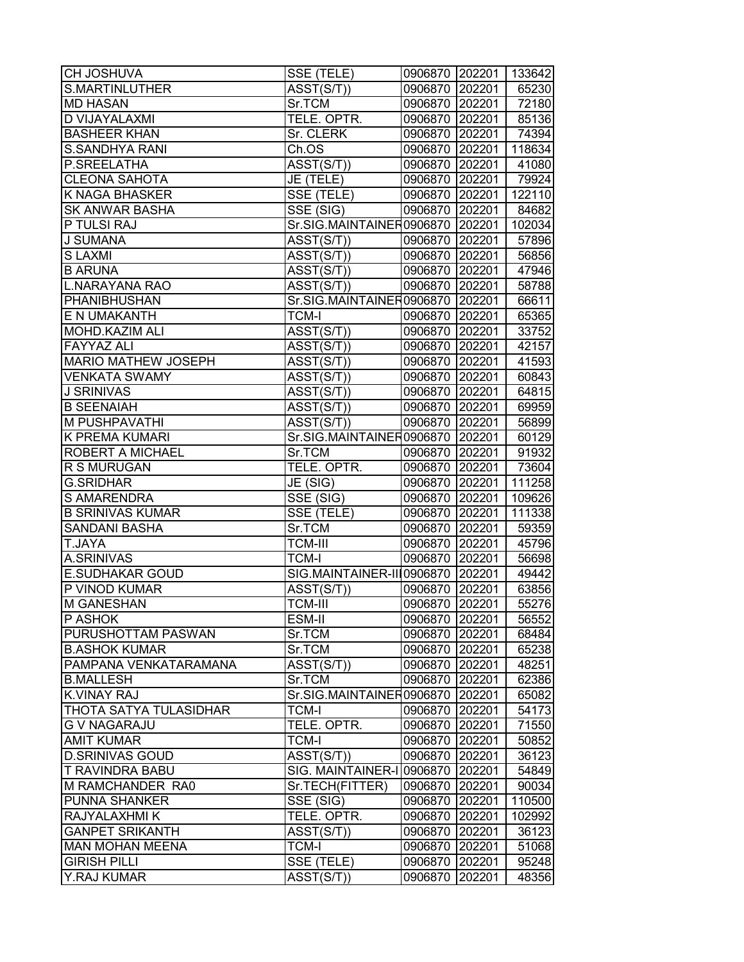| <b>CH JOSHUVA</b>             | SSE (TELE)                           | 0906870 202201 |        | 133642 |
|-------------------------------|--------------------------------------|----------------|--------|--------|
| <b>S.MARTINLUTHER</b>         | ASST(S/T))                           | 0906870 202201 |        | 65230  |
| <b>MD HASAN</b>               | Sr.TCM                               | 0906870 202201 |        | 72180  |
| D VIJAYALAXMI                 | TELE. OPTR.                          | 0906870 202201 |        | 85136  |
| <b>BASHEER KHAN</b>           | Sr. CLERK                            | 0906870 202201 |        | 74394  |
| <b>S.SANDHYA RANI</b>         | Ch.OS                                | 0906870 202201 |        | 118634 |
| P.SREELATHA                   | ASST(S/T))                           | 0906870 202201 |        | 41080  |
| <b>CLEONA SAHOTA</b>          | JE (TELE)                            | 0906870 202201 |        | 79924  |
| K NAGA BHASKER                | SSE (TELE)                           | 0906870 202201 |        | 122110 |
| <b>SK ANWAR BASHA</b>         | $\overline{\text{SSE}}$ (SIG)        | 0906870 202201 |        | 84682  |
| P TULSI RAJ                   | Sr.SIG.MAINTAINER0906870 202201      |                |        | 102034 |
| <b>J SUMANA</b>               | ASST(S/T))                           | 0906870 202201 |        | 57896  |
| <b>SLAXMI</b>                 | ASST(S/T))                           | 0906870 202201 |        | 56856  |
| <b>B ARUNA</b>                | ASST(S/T))                           | 0906870 202201 |        | 47946  |
| <b>L.NARAYANA RAO</b>         | ASST(S/T))                           | 0906870 202201 |        | 58788  |
| PHANIBHUSHAN                  | Sr.SIG.MAINTAINER0906870 202201      |                |        | 66611  |
| E N UMAKANTH                  | <b>TCM-I</b>                         | 0906870 202201 |        | 65365  |
| MOHD.KAZIM ALI                | $\overline{A}SST(S/T)$               | 0906870 202201 |        | 33752  |
| <b>FAYYAZ ALI</b>             | ASST(S/T))                           | 0906870 202201 |        | 42157  |
| <b>MARIO MATHEW JOSEPH</b>    | $\overline{\text{ASST}}(\text{S/T})$ | 0906870 202201 |        | 41593  |
| <b>VENKATA SWAMY</b>          | ASST(S/T))                           | 0906870 202201 |        | 60843  |
| <b>J SRINIVAS</b>             | ASST(S/T))                           | 0906870 202201 |        | 64815  |
| <b>B SEENAIAH</b>             | $\overline{\text{ASST}(\text{S/T})}$ | 0906870 202201 |        | 69959  |
| <b>M PUSHPAVATHI</b>          | $\overline{\text{ASST}}(\text{S/T})$ | 0906870 202201 |        | 56899  |
| <b>K PREMA KUMARI</b>         | Sr.SIG.MAINTAINER0906870 202201      |                |        | 60129  |
| ROBERT A MICHAEL              | Sr.TCM                               | 0906870 202201 |        | 91932  |
| R S MURUGAN                   | TELE. OPTR.                          | 0906870 202201 |        | 73604  |
| <b>G.SRIDHAR</b>              | JE (SIG)                             | 0906870 202201 |        | 111258 |
| <b>S AMARENDRA</b>            | SSE (SIG)                            | 0906870 202201 |        | 109626 |
| <b>B SRINIVAS KUMAR</b>       | SSE (TELE)                           | 0906870 202201 |        | 111338 |
| <b>SANDANI BASHA</b>          | Sr.TCM                               | 0906870 202201 |        | 59359  |
| T.JAYA                        | <b>TCM-III</b>                       | 0906870 202201 |        | 45796  |
| <b>A.SRINIVAS</b>             | <b>TCM-I</b>                         | 0906870 202201 |        | 56698  |
| <b>E.SUDHAKAR GOUD</b>        | SIG.MAINTAINER-III0906870 202201     |                |        | 49442  |
| P VINOD KUMAR                 | ASST(S/T))                           | 0906870 202201 |        | 63856  |
| <b>M GANESHAN</b>             | <b>TCM-III</b>                       | 0906870 202201 |        | 55276  |
| P ASHOK                       | ESM-II                               | 0906870 202201 |        | 56552  |
| PURUSHOTTAM PASWAN            | Sr.TCM                               | 0906870 202201 |        | 68484  |
| <b>B.ASHOK KUMAR</b>          | Sr.TCM                               | 0906870 202201 |        | 65238  |
| PAMPANA VENKATARAMANA         | ASST(S/T))                           | 0906870 202201 |        | 48251  |
| <b>B.MALLESH</b>              | Sr.TCM                               | 0906870 202201 |        | 62386  |
| <b>K.VINAY RAJ</b>            | Sr.SIG.MAINTAINER0906870 202201      |                |        | 65082  |
| <b>THOTA SATYA TULASIDHAR</b> | <b>TCM-I</b>                         | 0906870 202201 |        | 54173  |
| <b>G V NAGARAJU</b>           | TELE. OPTR.                          | 0906870 202201 |        | 71550  |
| <b>AMIT KUMAR</b>             | <b>TCM-I</b>                         | 0906870 202201 |        | 50852  |
| <b>D.SRINIVAS GOUD</b>        | ASST(S/T))                           | 0906870 202201 |        | 36123  |
| T RAVINDRA BABU               | SIG. MAINTAINER-I 0906870 202201     |                |        | 54849  |
| M RAMCHANDER RA0              | Sr.TECH(FITTER)                      | 0906870 202201 |        | 90034  |
| PUNNA SHANKER                 | SSE (SIG)                            | 0906870 202201 |        | 110500 |
| RAJYALAXHMI K                 | TELE. OPTR.                          | 0906870 202201 |        | 102992 |
| <b>GANPET SRIKANTH</b>        | $\overline{A}SST(S/T))$              | 0906870        | 202201 | 36123  |
| <b>MAN MOHAN MEENA</b>        | <b>TCM-I</b>                         | 0906870        | 202201 | 51068  |
| <b>GIRISH PILLI</b>           | SSE (TELE)                           | 0906870        | 202201 | 95248  |
| Y.RAJ KUMAR                   | ASST(S/T))                           | 0906870        | 202201 | 48356  |
|                               |                                      |                |        |        |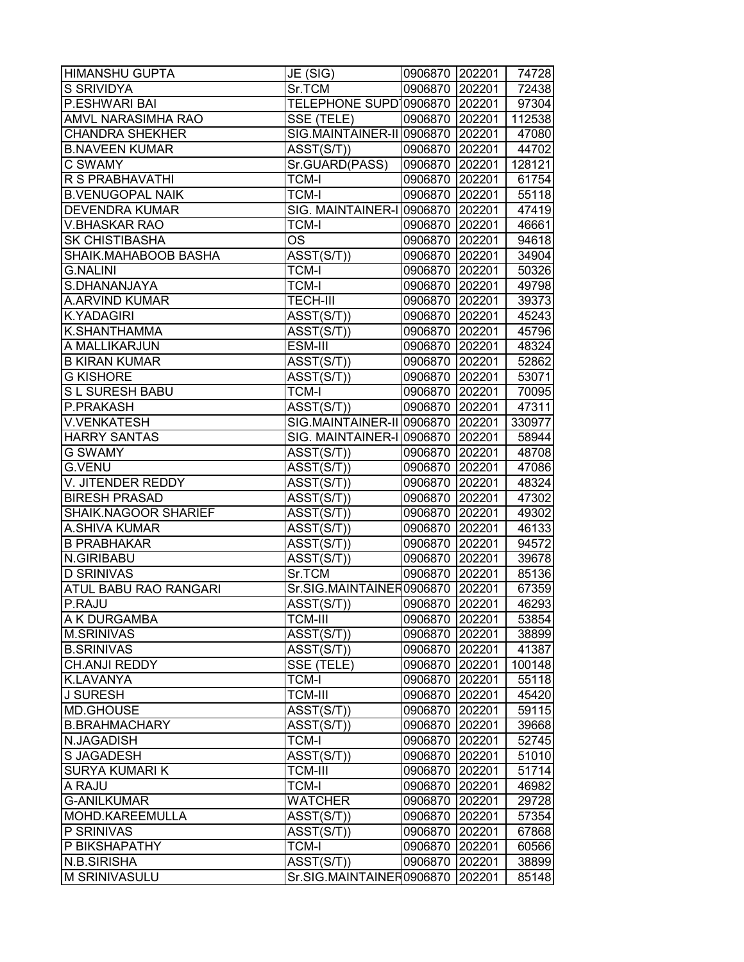| HIMANSHU GUPTA                | JE (SIG)                             | 0906870 202201            |        | 74728          |
|-------------------------------|--------------------------------------|---------------------------|--------|----------------|
| S SRIVIDYA                    | Sr.TCM                               | 0906870 202201            |        | 72438          |
| P.ESHWARI BAI                 | TELEPHONE SUPD 0906870 202201        |                           |        | 97304          |
| AMVL NARASIMHA RAO            | SSE (TELE)                           | 0906870 202201            |        | 112538         |
| <b>CHANDRA SHEKHER</b>        | SIG.MAINTAINER-II 0906870 202201     |                           |        | 47080          |
| <b>B.NAVEEN KUMAR</b>         | ASST(S/T))                           | 0906870 202201            |        | 44702          |
| C SWAMY                       | Sr.GUARD(PASS)                       | 0906870 202201            |        | 128121         |
| <b>R S PRABHAVATHI</b>        | <b>TCM-I</b>                         | 0906870 202201            |        | 61754          |
| <b>B.VENUGOPAL NAIK</b>       | <b>TCM-I</b>                         | 0906870 202201            |        | 55118          |
| DEVENDRA KUMAR                | SIG. MAINTAINER-I 0906870 202201     |                           |        | 47419          |
| <b>V.BHASKAR RAO</b>          | <b>TCM-I</b>                         | 0906870 202201            |        | 46661          |
| <b>SK CHISTIBASHA</b>         | <b>OS</b>                            | 0906870 202201            |        | 94618          |
| SHAIK.MAHABOOB BASHA          | ASST(S/T))                           | 0906870 202201            |        | 34904          |
| <b>G.NALINI</b>               | <b>TCM-I</b>                         | 0906870 202201            |        | 50326          |
| S.DHANANJAYA                  | <b>TCM-I</b>                         | 0906870 202201            |        | 49798          |
| A.ARVIND KUMAR                | <b>TECH-III</b>                      | 0906870 202201            |        | 39373          |
| <b>K.YADAGIRI</b>             | ASST(S/T))                           | 0906870 202201            |        | 45243          |
| K.SHANTHAMMA                  | $\overline{A}SST(S/T))$              | 0906870 202201            |        | 45796          |
| A MALLIKARJUN                 | ESM-III                              | 0906870 202201            |        | 48324          |
| <b>B KIRAN KUMAR</b>          | ASST(S/T))                           | 0906870 202201            |        | 52862          |
| <b>G KISHORE</b>              | ASST(S/T))                           | 0906870 202201            |        | 53071          |
| <b>SL SURESH BABU</b>         | <b>TCM-I</b>                         | 0906870 202201            |        | 70095          |
| P.PRAKASH                     | ASST(S/T))                           | 0906870 202201            |        | 47311          |
| V.VENKATESH                   | SIG.MAINTAINER-II 0906870 202201     |                           |        | 330977         |
| <b>HARRY SANTAS</b>           | SIG. MAINTAINER-I 0906870 202201     |                           |        | 58944          |
| <b>G SWAMY</b>                | ASST(S/T))                           | 0906870 202201            |        | 48708          |
| <b>G.VENU</b>                 | ASST(S/T))                           | 0906870 202201            |        | 47086          |
| V. JITENDER REDDY             | ASST(S/T))                           | 0906870 202201            |        | 48324          |
| <b>BIRESH PRASAD</b>          | ASST(S/T))                           | 0906870 202201            |        | 47302          |
| SHAIK.NAGOOR SHARIEF          | ASST(S/T))                           | 0906870 202201            |        | 49302          |
| <b>A.SHIVA KUMAR</b>          | ASST(S/T))                           | 0906870 202201            |        | 46133          |
| <b>B PRABHAKAR</b>            | ASST(S/T))                           | 0906870 202201            |        | 94572          |
| N.GIRIBABU                    | ASST(S/T))                           | 0906870 202201            |        | 39678          |
| <b>D SRINIVAS</b>             | Sr.TCM                               | 0906870 202201            |        | 85136          |
| ATUL BABU RAO RANGARI         | Sr.SIG.MAINTAINER0906870 202201      |                           |        | 67359          |
| P.RAJU                        | ASST(S/T))                           | 0906870 202201            |        | 46293          |
| A K DURGAMBA                  | <b>TCM-III</b>                       | 0906870 202201            |        | 53854          |
| <b>M.SRINIVAS</b>             | ASST(S/T))                           | 0906870 202201            |        | 38899          |
| <b>B.SRINIVAS</b>             | ASST(S/T))                           | 0906870 202201            |        | 41387          |
| <b>CH.ANJI REDDY</b>          | SSE (TELE)                           | 0906870 202201            |        | 100148         |
| <b>K.LAVANYA</b>              | <b>TCM-I</b>                         | 0906870 202201            |        | 55118          |
| <b>J SURESH</b>               | <b>TCM-III</b>                       | 0906870 202201            |        | 45420          |
| MD.GHOUSE                     | $\overline{\text{ASST}}(\text{S/T})$ | 0906870 202201            |        | 59115          |
| <b>B.BRAHMACHARY</b>          | ASST(S/T))                           | 0906870 202201            |        | 39668          |
| N.JAGADISH                    | TCM-I                                | 0906870 202201            |        | 52745          |
| <b>S JAGADESH</b>             | ASST(S/T))                           | 0906870 202201            |        | 51010          |
| <b>SURYA KUMARI K</b>         | <b>TCM-III</b>                       | 0906870 202201            |        | 51714          |
| A RAJU                        | <b>TCM-I</b>                         | 0906870 202201            |        | 46982          |
| <b>G-ANILKUMAR</b>            | <b>WATCHER</b>                       | 0906870 202201            |        | 29728          |
| MOHD.KAREEMULLA<br>P SRINIVAS | ASST(S/T))                           | 0906870 202201            |        | 57354          |
| P BIKSHAPATHY                 | ASST(S/T))<br><b>TCM-I</b>           | 0906870 202201<br>0906870 | 202201 | 67868<br>60566 |
| N.B.SIRISHA                   | ASST(S/T))                           | 0906870                   | 202201 | 38899          |
| M SRINIVASULU                 | Sr.SIG.MAINTAINER0906870             |                           | 202201 | 85148          |
|                               |                                      |                           |        |                |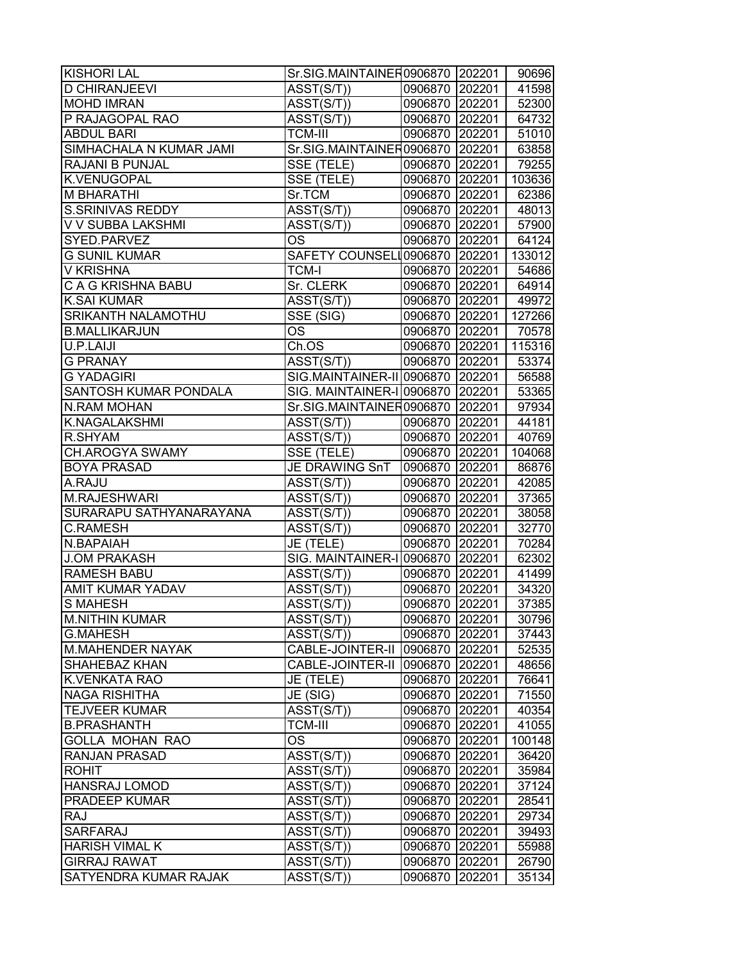| <b>KISHORI LAL</b>        | Sr.SIG.MAINTAINER0906870 202201      |                |        | 90696  |
|---------------------------|--------------------------------------|----------------|--------|--------|
| <b>D CHIRANJEEVI</b>      | ASST(S/T))                           | 0906870 202201 |        | 41598  |
| <b>MOHD IMRAN</b>         | ASST(S/T))                           | 0906870 202201 |        | 52300  |
| P RAJAGOPAL RAO           | ASST(S/T))                           | 0906870 202201 |        | 64732  |
| <b>ABDUL BARI</b>         | <b>TCM-III</b>                       | 0906870 202201 |        | 51010  |
| SIMHACHALA N KUMAR JAMI   | Sr.SIG.MAINTAINER0906870 202201      |                |        | 63858  |
| RAJANI B PUNJAL           | SSE (TELE)                           | 0906870 202201 |        | 79255  |
| <b>K.VENUGOPAL</b>        | SSE (TELE)                           | 0906870 202201 |        | 103636 |
| <b>M BHARATHI</b>         | Sr.TCM                               | 0906870 202201 |        | 62386  |
| <b>S.SRINIVAS REDDY</b>   | ASST(S/T))                           | 0906870 202201 |        | 48013  |
| V V SUBBA LAKSHMI         | ASST(S/T))                           | 0906870 202201 |        | 57900  |
| SYED.PARVEZ               | <b>OS</b>                            | 0906870 202201 |        | 64124  |
| <b>G SUNIL KUMAR</b>      | SAFETY COUNSELI 0906870 202201       |                |        | 133012 |
| <b>V KRISHNA</b>          | <b>TCM-I</b>                         | 0906870 202201 |        | 54686  |
| C A G KRISHNA BABU        | Sr. CLERK                            | 0906870 202201 |        | 64914  |
| <b>K.SAI KUMAR</b>        | ASST(S/T))                           | 0906870 202201 |        | 49972  |
| <b>SRIKANTH NALAMOTHU</b> | SSE (SIG)                            | 0906870 202201 |        | 127266 |
| <b>B.MALLIKARJUN</b>      | OS                                   | 0906870 202201 |        | 70578  |
| U.P.LAIJI                 | Ch.OS                                | 0906870 202201 |        | 115316 |
| <b>G PRANAY</b>           | ASST(S/T))                           | 0906870 202201 |        | 53374  |
| <b>G YADAGIRI</b>         | SIG.MAINTAINER-II 0906870 202201     |                |        | 56588  |
| SANTOSH KUMAR PONDALA     | SIG. MAINTAINER-I 0906870 202201     |                |        | 53365  |
| <b>N.RAM MOHAN</b>        | Sr.SIG.MAINTAINER0906870 202201      |                |        | 97934  |
| <b>K.NAGALAKSHMI</b>      | ASST(S/T))                           | 0906870 202201 |        | 44181  |
| R.SHYAM                   | ASST(S/T))                           | 0906870 202201 |        | 40769  |
| CH.AROGYA SWAMY           | SSE (TELE)                           | 0906870 202201 |        | 104068 |
| <b>BOYA PRASAD</b>        | JE DRAWING SnT                       | 0906870 202201 |        | 86876  |
| A.RAJU                    | ASST(S/T))                           | 0906870 202201 |        | 42085  |
| M.RAJESHWARI              | ASST(S/T))                           | 0906870 202201 |        | 37365  |
| SURARAPU SATHYANARAYANA   | ASST(S/T))                           | 0906870 202201 |        | 38058  |
| <b>C.RAMESH</b>           | ASST(S/T))                           | 0906870 202201 |        | 32770  |
| N.BAPAIAH                 | JE (TELE)                            | 0906870 202201 |        | 70284  |
| <b>J.OM PRAKASH</b>       | SIG. MAINTAINER-I 0906870 202201     |                |        | 62302  |
| <b>RAMESH BABU</b>        | ASST(S/T))                           | 0906870 202201 |        | 41499  |
| <b>AMIT KUMAR YADAV</b>   | $\overline{\text{ASST}}(\text{S/T})$ | 0906870 202201 |        | 34320  |
| <b>S MAHESH</b>           | $\overline{\text{ASST}}(\text{S/T})$ | 0906870 202201 |        | 37385  |
| <b>M.NITHIN KUMAR</b>     | ASST(S/T))                           | 0906870 202201 |        | 30796  |
| <b>G.MAHESH</b>           | ASST(S/T))                           | 0906870 202201 |        | 37443  |
| <b>M.MAHENDER NAYAK</b>   | CABLE-JOINTER-II                     | 0906870 202201 |        | 52535  |
| SHAHEBAZ KHAN             | CABLE-JOINTER-II                     | 0906870 202201 |        | 48656  |
| <b>K.VENKATA RAO</b>      | JE (TELE)                            | 0906870 202201 |        | 76641  |
| <b>NAGA RISHITHA</b>      | JE (SIG)                             | 0906870 202201 |        | 71550  |
| <b>TEJVEER KUMAR</b>      | ASST(S/T))                           | 0906870 202201 |        | 40354  |
| <b>B.PRASHANTH</b>        | <b>TCM-III</b>                       | 0906870 202201 |        | 41055  |
| <b>GOLLA MOHAN RAO</b>    | OS                                   | 0906870 202201 |        | 100148 |
| <b>RANJAN PRASAD</b>      | ASST(S/T))                           | 0906870 202201 |        | 36420  |
| <b>ROHIT</b>              | ASST(S/T))                           | 0906870 202201 |        | 35984  |
| <b>HANSRAJ LOMOD</b>      | ASST(S/T))                           | 0906870 202201 |        | 37124  |
| <b>PRADEEP KUMAR</b>      | ASST(S/T))                           | 0906870 202201 |        | 28541  |
| <b>RAJ</b>                | ASST(S/T))                           | 0906870 202201 |        | 29734  |
| SARFARAJ                  | ASST(S/T))                           | 0906870        | 202201 | 39493  |
| <b>HARISH VIMAL K</b>     | ASST(S/T))                           | 0906870        | 202201 | 55988  |
| <b>GIRRAJ RAWAT</b>       | ASST(S/T))                           | 0906870 202201 |        | 26790  |
| SATYENDRA KUMAR RAJAK     | ASST(S/T))                           | 0906870 202201 |        | 35134  |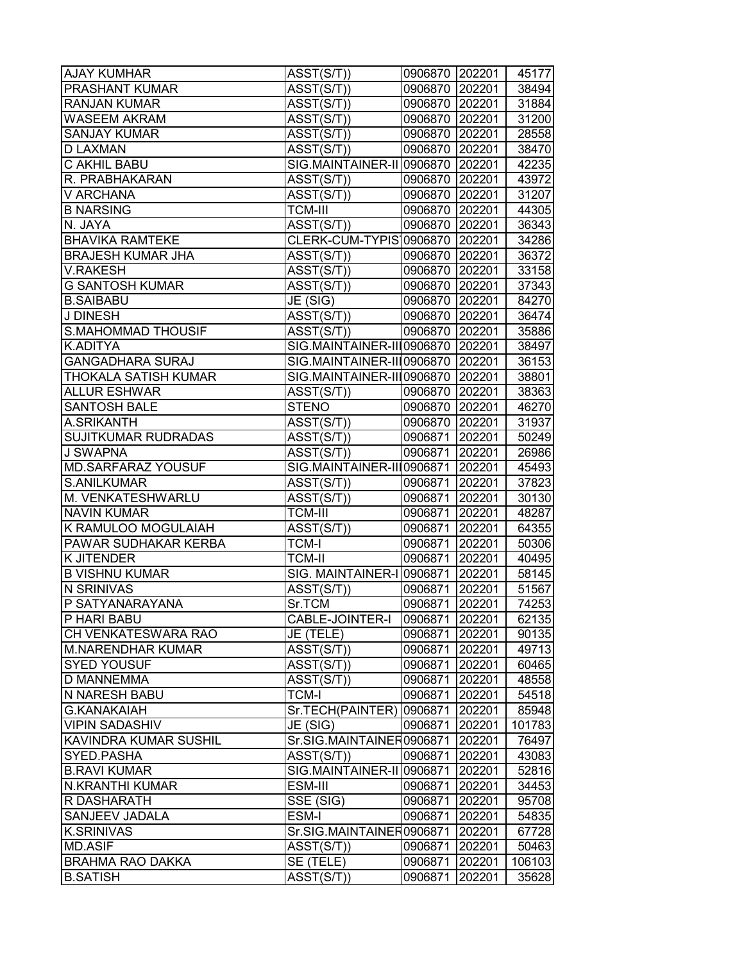| <b>AJAY KUMHAR</b>         | ASST(S/T))                           | 0906870 202201 |        | 45177  |
|----------------------------|--------------------------------------|----------------|--------|--------|
| PRASHANT KUMAR             | ASST(S/T))                           | 0906870 202201 |        | 38494  |
| <b>RANJAN KUMAR</b>        | ASST(S/T))                           | 0906870 202201 |        | 31884  |
| WASEEM AKRAM               | ASST(S/T))                           | 0906870 202201 |        | 31200  |
| <b>SANJAY KUMAR</b>        | ASST(S/T))                           | 0906870 202201 |        | 28558  |
| <b>D LAXMAN</b>            | ASST(S/T))                           | 0906870 202201 |        | 38470  |
| C AKHIL BABU               | SIG.MAINTAINER-II 0906870 202201     |                |        | 42235  |
| R. PRABHAKARAN             | ASST(S/T))                           | 0906870 202201 |        | 43972  |
| V ARCHANA                  | ASST(S/T))                           | 0906870 202201 |        | 31207  |
| <b>B NARSING</b>           | <b>TCM-III</b>                       | 0906870 202201 |        | 44305  |
| N. JAYA                    | ASST(S/T))                           | 0906870 202201 |        | 36343  |
| <b>BHAVIKA RAMTEKE</b>     | CLERK-CUM-TYPIS 0906870 202201       |                |        | 34286  |
| <b>BRAJESH KUMAR JHA</b>   | ASST(S/T))                           | 0906870 202201 |        | 36372  |
| <b>V.RAKESH</b>            | ASST(S/T))                           | 0906870 202201 |        | 33158  |
| G SANTOSH KUMAR            | $\overline{A}SST(S/T)$               | 0906870 202201 |        | 37343  |
| <b>B.SAIBABU</b>           | JE (SIG)                             | 0906870 202201 |        | 84270  |
| J DINESH                   | ASST(S/T))                           | 0906870 202201 |        | 36474  |
| <b>S.MAHOMMAD THOUSIF</b>  | ASST(S/T))                           | 0906870 202201 |        | 35886  |
| K.ADITYA                   | SIG.MAINTAINER-III0906870 202201     |                |        | 38497  |
| <b>GANGADHARA SURAJ</b>    | SIG.MAINTAINER-III0906870 202201     |                |        | 36153  |
| THOKALA SATISH KUMAR       | SIG.MAINTAINER-II 0906870 202201     |                |        | 38801  |
| <b>ALLUR ESHWAR</b>        | ASST(S/T))                           | 0906870 202201 |        | 38363  |
| <b>SANTOSH BALE</b>        | <b>STENO</b>                         | 0906870 202201 |        | 46270  |
| A.SRIKANTH                 | ASST(S/T))                           | 0906870 202201 |        | 31937  |
| <b>SUJITKUMAR RUDRADAS</b> | ASST(S/T))                           | 0906871        | 202201 | 50249  |
| <b>J SWAPNA</b>            | $\overline{\text{ASST}}(\text{S/T})$ | 0906871        | 202201 | 26986  |
| <b>MD.SARFARAZ YOUSUF</b>  | SIG.MAINTAINER-III0906871            |                | 202201 | 45493  |
| S.ANILKUMAR                | ASST(S/T))                           | 0906871        | 202201 | 37823  |
| M. VENKATESHWARLU          | ASST(S/T))                           | 0906871 202201 |        | 30130  |
| <b>NAVIN KUMAR</b>         | <b>TCM-III</b>                       | 0906871 202201 |        | 48287  |
| K RAMULOO MOGULAIAH        | ASST(S/T))                           | 0906871 202201 |        | 64355  |
| PAWAR SUDHAKAR KERBA       | <b>TCM-I</b>                         | 0906871 202201 |        | 50306  |
| <b>K JITENDER</b>          | <b>TCM-II</b>                        | 0906871 202201 |        | 40495  |
| <b>B VISHNU KUMAR</b>      | SIG. MAINTAINER-I 0906871 202201     |                |        | 58145  |
| N SRINIVAS                 | ASST(S/T))                           | 0906871 202201 |        | 51567  |
| P SATYANARAYANA            | Sr.TCM                               | 0906871        | 202201 | 74253  |
| P HARI BABU                | CABLE-JOINTER-I                      | 0906871 202201 |        | 62135  |
| CH VENKATESWARA RAO        | JE (TELE)                            | 0906871        | 202201 | 90135  |
| <b>M.NARENDHAR KUMAR</b>   | ASST(S/T))                           | 0906871        | 202201 | 49713  |
| <b>SYED YOUSUF</b>         | ASST(S/T))                           | 0906871        | 202201 | 60465  |
| D MANNEMMA                 | ASST(S/T))                           | 0906871        | 202201 | 48558  |
| N NARESH BABU              | <b>TCM-I</b>                         | 0906871        | 202201 | 54518  |
| <b>G.KANAKAIAH</b>         | Sr.TECH(PAINTER)                     | 0906871        | 202201 | 85948  |
| <b>VIPIN SADASHIV</b>      | JE (SIG)                             | 0906871        | 202201 | 101783 |
| KAVINDRA KUMAR SUSHIL      | Sr.SIG.MAINTAINER0906871             |                | 202201 | 76497  |
| SYED.PASHA                 | ASST(S/T))                           | 0906871        | 202201 | 43083  |
| <b>B.RAVI KUMAR</b>        | SIG.MAINTAINER-II 0906871            |                | 202201 | 52816  |
| N.KRANTHI KUMAR            | ESM-III                              | 0906871        | 202201 | 34453  |
| R DASHARATH                | SSE (SIG)                            | 0906871        | 202201 | 95708  |
| SANJEEV JADALA             | ESM-I                                | 0906871        | 202201 | 54835  |
| <b>K.SRINIVAS</b>          | Sr.SIG.MAINTAINER0906871             |                | 202201 | 67728  |
| <b>MD.ASIF</b>             | ASST(S/T))                           | 0906871        | 202201 | 50463  |
| <b>BRAHMA RAO DAKKA</b>    | SE (TELE)                            | 0906871        | 202201 | 106103 |
| <b>B.SATISH</b>            | ASST(S/T))                           | 0906871        | 202201 | 35628  |
|                            |                                      |                |        |        |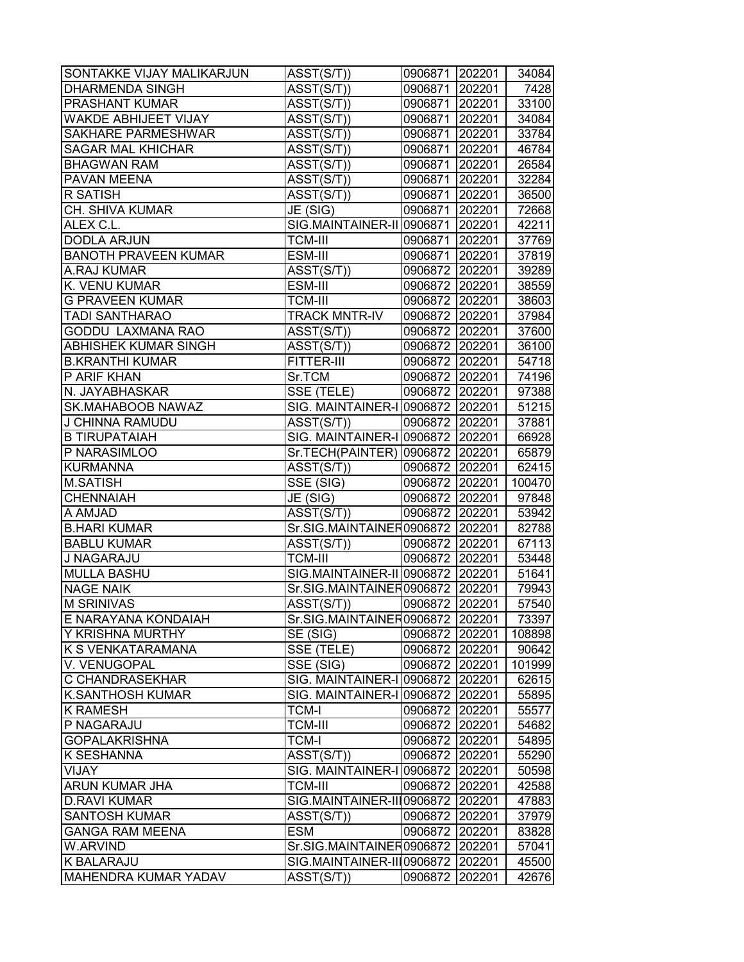| SONTAKKE VIJAY MALIKARJUN   | ASST(S/T))                           | 0906871 202201 |        | 34084  |
|-----------------------------|--------------------------------------|----------------|--------|--------|
| <b>DHARMENDA SINGH</b>      | $\overline{A}SST(S/T))$              | 0906871 202201 |        | 7428   |
| <b>PRASHANT KUMAR</b>       | ASST(S/T))                           | 0906871 202201 |        | 33100  |
| WAKDE ABHIJEET VIJAY        | ASST(S/T))                           | 0906871 202201 |        | 34084  |
| <b>SAKHARE PARMESHWAR</b>   | $\overline{A}SST(S/T))$              | 0906871 202201 |        | 33784  |
| <b>SAGAR MAL KHICHAR</b>    | $\overline{\text{ASST}}(\text{S/T})$ | 0906871 202201 |        | 46784  |
| <b>BHAGWAN RAM</b>          | ASST(S/T))                           | 0906871 202201 |        | 26584  |
| PAVAN MEENA                 | ASST(S/T))                           | 0906871 202201 |        | 32284  |
| R SATISH                    | $\overline{\text{ASST}}(\text{S/T})$ | 0906871 202201 |        | 36500  |
| CH. SHIVA KUMAR             | JE (SIG)                             | 0906871 202201 |        | 72668  |
| ALEX C.L.                   | SIG.MAINTAINER-II 0906871 202201     |                |        | 42211  |
| <b>DODLA ARJUN</b>          | <b>TCM-III</b>                       | 0906871 202201 |        | 37769  |
| <b>BANOTH PRAVEEN KUMAR</b> | ESM-III                              | 0906871 202201 |        | 37819  |
| A.RAJ KUMAR                 | ASST(S/T))                           | 0906872 202201 |        | 39289  |
| K. VENU KUMAR               | ESM-III                              | 0906872 202201 |        | 38559  |
| <b>G PRAVEEN KUMAR</b>      | <b>TCM-III</b>                       | 0906872 202201 |        | 38603  |
| <b>TADI SANTHARAO</b>       | <b>TRACK MNTR-IV</b>                 | 0906872 202201 |        | 37984  |
| <b>GODDU LAXMANA RAO</b>    | ASST(S/T))                           | 0906872 202201 |        | 37600  |
| <b>ABHISHEK KUMAR SINGH</b> | ASST(S/T))                           | 0906872 202201 |        | 36100  |
| <b>B.KRANTHI KUMAR</b>      | FITTER-III                           | 0906872 202201 |        | 54718  |
| P ARIF KHAN                 | Sr.TCM                               | 0906872 202201 |        | 74196  |
| N. JAYABHASKAR              | $SSE$ (TELE)                         | 0906872 202201 |        | 97388  |
| <b>SK.MAHABOOB NAWAZ</b>    | SIG. MAINTAINER-I 0906872 202201     |                |        | 51215  |
| J CHINNA RAMUDU             | ASST(S/T))                           | 0906872 202201 |        | 37881  |
| <b>B TIRUPATAIAH</b>        | SIG. MAINTAINER-I 0906872 202201     |                |        | 66928  |
| P NARASIMLOO                | Sr.TECH(PAINTER) 0906872 202201      |                |        | 65879  |
| <b>KURMANNA</b>             | ASST(S/T))                           | 0906872 202201 |        | 62415  |
| <b>M.SATISH</b>             | $\overline{\text{SSE}}$ (SIG)        | 0906872 202201 |        | 100470 |
| CHENNAIAH                   | JE (SIG)                             | 0906872 202201 |        | 97848  |
| A AMJAD                     | ASST(S/T))                           | 0906872 202201 |        | 53942  |
| <b>B.HARI KUMAR</b>         | Sr.SIG.MAINTAINER0906872 202201      |                |        | 82788  |
| <b>BABLU KUMAR</b>          | ASST(S/T))                           | 0906872 202201 |        | 67113  |
| J NAGARAJU                  | <b>TCM-III</b>                       | 0906872 202201 |        | 53448  |
| <b>MULLA BASHU</b>          | SIG.MAINTAINER-II 0906872 202201     |                |        | 51641  |
| <b>NAGE NAIK</b>            | Sr.SIG.MAINTAINER0906872 202201      |                |        | 79943  |
| <b>M SRINIVAS</b>           | ASST(S/T))                           | 0906872        | 202201 | 57540  |
| E NARAYANA KONDAIAH         | Sr.SIG.MAINTAINER0906872 202201      |                |        | 73397  |
| Y KRISHNA MURTHY            | SE (SIG)                             | 0906872        | 202201 | 108898 |
| K S VENKATARAMANA           | SSE (TELE)                           | 0906872        | 202201 | 90642  |
| V. VENUGOPAL                | SSE (SIG)                            | 0906872        | 202201 | 101999 |
| C CHANDRASEKHAR             | SIG. MAINTAINER-I 0906872            |                | 202201 | 62615  |
| <b>K.SANTHOSH KUMAR</b>     | SIG. MAINTAINER-I 0906872 202201     |                |        | 55895  |
| <b>K RAMESH</b>             | <b>TCM-I</b>                         | 0906872 202201 |        | 55577  |
| P NAGARAJU                  | <b>TCM-III</b>                       | 0906872        | 202201 | 54682  |
| <b>GOPALAKRISHNA</b>        | <b>TCM-I</b>                         | 0906872        | 202201 | 54895  |
| <b>K SESHANNA</b>           | ASST(S/T))                           | 0906872        | 202201 | 55290  |
| <b>VIJAY</b>                | SIG. MAINTAINER-I 0906872            |                | 202201 | 50598  |
| <b>ARUN KUMAR JHA</b>       | <b>TCM-III</b>                       | 0906872        | 202201 | 42588  |
| <b>D.RAVI KUMAR</b>         | SIG.MAINTAINER-III0906872            |                | 202201 | 47883  |
| <b>SANTOSH KUMAR</b>        | ASST(S/T))                           | 0906872        | 202201 | 37979  |
| <b>GANGA RAM MEENA</b>      | <b>ESM</b>                           | 0906872        | 202201 | 83828  |
| W.ARVIND                    | Sr.SIG.MAINTAINER0906872             |                | 202201 | 57041  |
| K BALARAJU                  | SIG.MAINTAINER-III0906872            |                | 202201 | 45500  |
| <b>MAHENDRA KUMAR YADAV</b> | ASST(S/T))                           | 0906872        | 202201 | 42676  |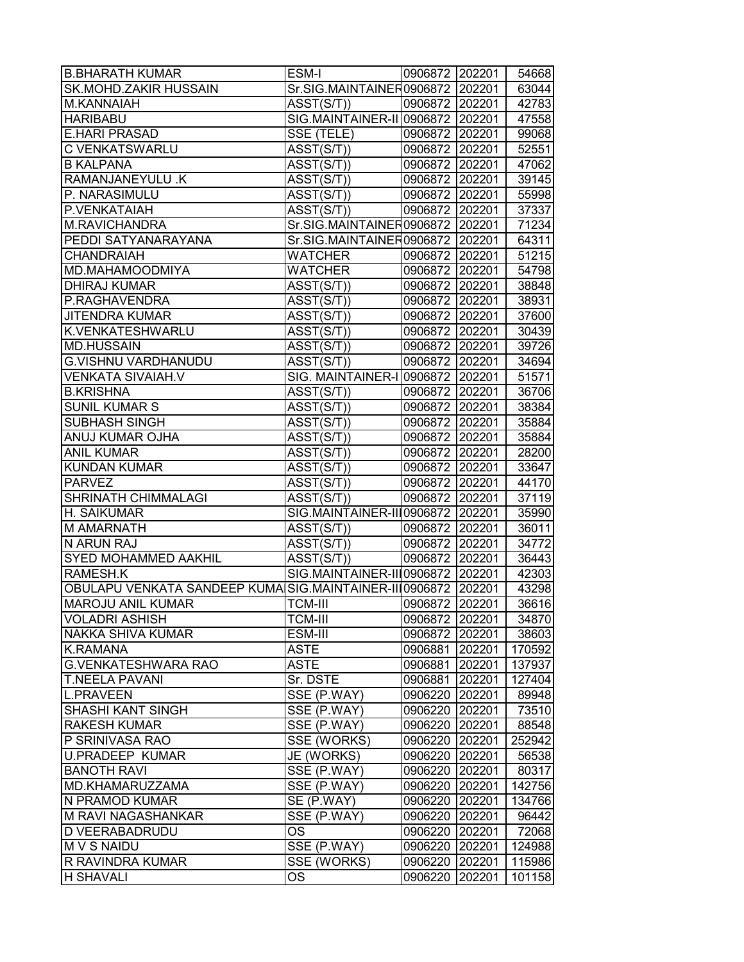| <b>B.BHARATH KUMAR</b>                                        | ESM-I                                | 0906872 202201 |        | 54668  |
|---------------------------------------------------------------|--------------------------------------|----------------|--------|--------|
| SK.MOHD.ZAKIR HUSSAIN                                         | Sr.SIG.MAINTAINER0906872 202201      |                |        | 63044  |
| M.KANNAIAH                                                    | ASST(S/T))                           | 0906872 202201 |        | 42783  |
| <b>HARIBABU</b>                                               | SIG.MAINTAINER-II 0906872 202201     |                |        | 47558  |
| <b>E.HARI PRASAD</b>                                          | SSE (TELE)                           | 0906872 202201 |        | 99068  |
| C VENKATSWARLU                                                | ASST(S/T))                           | 0906872 202201 |        | 52551  |
| <b>B KALPANA</b>                                              | ASST(S/T))                           | 0906872 202201 |        | 47062  |
| RAMANJANEYULU .K                                              | $\overline{\text{ASST}}(\text{S/T})$ | 0906872 202201 |        | 39145  |
| P. NARASIMULU                                                 | ASST(S/T))                           | 0906872 202201 |        | 55998  |
| P.VENKATAIAH                                                  | ASST(S/T))                           | 0906872 202201 |        | 37337  |
| M.RAVICHANDRA                                                 | Sr.SIG.MAINTAINER0906872 202201      |                |        | 71234  |
| PEDDI SATYANARAYANA                                           | Sr.SIG.MAINTAINER0906872 202201      |                |        | 64311  |
| <b>CHANDRAIAH</b>                                             | <b>WATCHER</b>                       | 0906872 202201 |        | 51215  |
| MD.MAHAMOODMIYA                                               | <b>WATCHER</b>                       | 0906872 202201 |        | 54798  |
| <b>DHIRAJ KUMAR</b>                                           | ASST(S/T))                           | 0906872 202201 |        | 38848  |
| P.RAGHAVENDRA                                                 | ASST(S/T))                           | 0906872 202201 |        | 38931  |
| <b>JITENDRA KUMAR</b>                                         | ASST(S/T))                           | 0906872 202201 |        | 37600  |
| K.VENKATESHWARLU                                              | $\overline{\text{ASST}}(\text{S/T})$ | 0906872 202201 |        | 30439  |
| <b>MD.HUSSAIN</b>                                             | ASST(S/T))                           | 0906872 202201 |        | 39726  |
| <b>G.VISHNU VARDHANUDU</b>                                    | ASST(S/T))                           | 0906872 202201 |        | 34694  |
| <b>VENKATA SIVAIAH.V</b>                                      | SIG. MAINTAINER-I 0906872 202201     |                |        | 51571  |
| <b>B.KRISHNA</b>                                              | ASST(S/T))                           | 0906872 202201 |        | 36706  |
| <b>SUNIL KUMAR S</b>                                          | ASST(S/T))                           | 0906872 202201 |        | 38384  |
| <b>SUBHASH SINGH</b>                                          | ASST(S/T))                           | 0906872 202201 |        | 35884  |
| ANUJ KUMAR OJHA                                               | ASST(S/T))                           | 0906872 202201 |        | 35884  |
| <b>ANIL KUMAR</b>                                             | ASST(S/T))                           | 0906872 202201 |        | 28200  |
| <b>KUNDAN KUMAR</b>                                           | ASST(S/T))                           | 0906872 202201 |        | 33647  |
| <b>PARVEZ</b>                                                 | ASST(S/T))                           | 0906872 202201 |        | 44170  |
| <b>SHRINATH CHIMMALAGI</b>                                    | ASST(S/T))                           | 0906872 202201 |        | 37119  |
| H. SAIKUMAR                                                   | SIG.MAINTAINER-III0906872 202201     |                |        | 35990  |
| <b>M AMARNATH</b>                                             | ASST(S/T))                           | 0906872 202201 |        | 36011  |
| N ARUN RAJ                                                    | ASST(S/T))                           | 0906872 202201 |        | 34772  |
| <b>SYED MOHAMMED AAKHIL</b>                                   | ASST(S/T))                           | 0906872 202201 |        | 36443  |
| RAMESH.K                                                      | SIG.MAINTAINER-III0906872 202201     |                |        | 42303  |
| OBULAPU VENKATA SANDEEP KUMA SIG.MAINTAINER-II 0906872 202201 |                                      |                |        | 43298  |
| <b>MAROJU ANIL KUMAR</b>                                      | TCM-III                              | 0906872        | 202201 | 36616  |
| <b>VOLADRI ASHISH</b>                                         | <b>TCM-III</b>                       | 0906872 202201 |        | 34870  |
| NAKKA SHIVA KUMAR                                             | ESM-III                              | 0906872        | 202201 | 38603  |
| <b>K.RAMANA</b>                                               | <b>ASTE</b>                          | 0906881        | 202201 | 170592 |
| <b>G.VENKATESHWARA RAO</b>                                    | <b>ASTE</b>                          | 0906881        | 202201 | 137937 |
| <b>T.NEELA PAVANI</b>                                         | Sr. DSTE                             | 0906881        | 202201 | 127404 |
| <b>L.PRAVEEN</b>                                              | SSE (P.WAY)                          | 0906220 202201 |        | 89948  |
| <b>SHASHI KANT SINGH</b>                                      | SSE (P.WAY)                          | 0906220 202201 |        | 73510  |
| <b>RAKESH KUMAR</b>                                           | SSE (P.WAY)                          | 0906220 202201 |        | 88548  |
| P SRINIVASA RAO                                               | SSE (WORKS)                          | 0906220        | 202201 | 252942 |
| <b>U.PRADEEP KUMAR</b>                                        | JE (WORKS)                           | 0906220        | 202201 | 56538  |
| <b>BANOTH RAVI</b>                                            | SSE (P.WAY)                          | 0906220        | 202201 | 80317  |
| MD.KHAMARUZZAMA                                               | SSE (P.WAY)                          | 0906220 202201 |        | 142756 |
| N PRAMOD KUMAR                                                | SE (P.WAY)                           | 0906220 202201 |        | 134766 |
| M RAVI NAGASHANKAR                                            | SSE (P.WAY)                          | 0906220        | 202201 | 96442  |
| D VEERABADRUDU                                                | OS                                   | 0906220        | 202201 | 72068  |
| <b>M V S NAIDU</b>                                            | SSE (P.WAY)                          | 0906220        | 202201 | 124988 |
| R RAVINDRA KUMAR                                              | SSE (WORKS)                          | 0906220        | 202201 | 115986 |
| <b>H SHAVALI</b>                                              | <b>OS</b>                            | 0906220        | 202201 | 101158 |
|                                                               |                                      |                |        |        |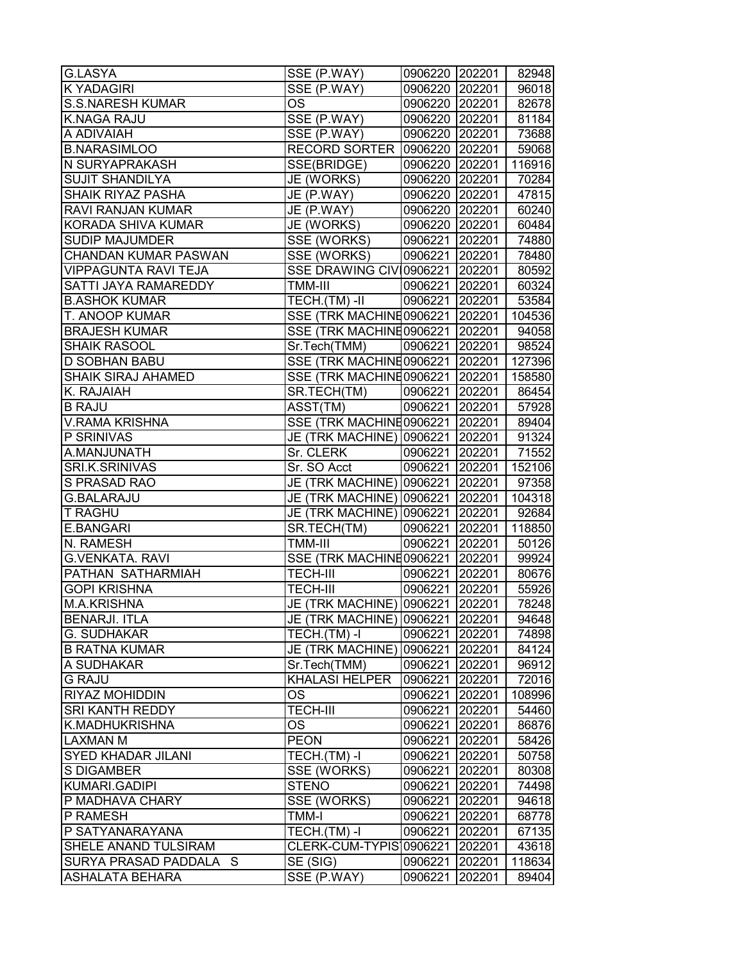| G.LASYA                     | SSE (P.WAY)                         | 0906220 202201 |        | 82948  |
|-----------------------------|-------------------------------------|----------------|--------|--------|
| <b>K YADAGIRI</b>           | SSE (P.WAY)                         | 0906220 202201 |        | 96018  |
| <b>S.S.NARESH KUMAR</b>     | OS                                  | 0906220 202201 |        | 82678  |
| <b>K.NAGA RAJU</b>          | SSE (P.WAY)                         | 0906220 202201 |        | 81184  |
| A ADIVAIAH                  | SSE (P.WAY)                         | 0906220 202201 |        | 73688  |
| <b>B.NARASIMLOO</b>         | RECORD SORTER  0906220  202201      |                |        | 59068  |
| N SURYAPRAKASH              | SSE(BRIDGE)                         | 0906220 202201 |        | 116916 |
| <b>SUJIT SHANDILYA</b>      | JE (WORKS)                          | 0906220 202201 |        | 70284  |
| <b>SHAIK RIYAZ PASHA</b>    | JE (P.WAY)                          | 0906220 202201 |        | 47815  |
| RAVI RANJAN KUMAR           | JE (P.WAY)                          | 0906220 202201 |        | 60240  |
| KORADA SHIVA KUMAR          | JE (WORKS)                          | 0906220 202201 |        | 60484  |
| <b>SUDIP MAJUMDER</b>       | <b>SSE (WORKS)</b>                  | 0906221 202201 |        | 74880  |
| CHANDAN KUMAR PASWAN        | SSE (WORKS)                         | 0906221 202201 |        | 78480  |
| <b>VIPPAGUNTA RAVI TEJA</b> | SSE DRAWING CIV 0906221 202201      |                |        | 80592  |
| SATTI JAYA RAMAREDDY        | TMM-III                             | 0906221 202201 |        | 60324  |
| <b>B.ASHOK KUMAR</b>        | TECH.(TM)-II                        | 0906221 202201 |        | 53584  |
| T. ANOOP KUMAR              | SSE (TRK MACHINE0906221 202201      |                |        | 104536 |
| <b>BRAJESH KUMAR</b>        | SSE (TRK MACHINE0906221   202201    |                |        | 94058  |
| <b>SHAIK RASOOL</b>         | Sr.Tech(TMM)                        | 0906221 202201 |        | 98524  |
| <b>D SOBHAN BABU</b>        | SSE (TRK MACHINE0906221 202201      |                |        | 127396 |
| <b>SHAIK SIRAJ AHAMED</b>   | SSE (TRK MACHINE0906221 202201      |                |        | 158580 |
| K. RAJAIAH                  | SR.TECH(TM)                         | 0906221 202201 |        | 86454  |
| <b>B RAJU</b>               | ASST(TM)                            | 0906221 202201 |        | 57928  |
| <b>V.RAMA KRISHNA</b>       | SSE (TRK MACHINE0906221 202201      |                |        | 89404  |
| P SRINIVAS                  | JE (TRK MACHINE) 0906221 202201     |                |        | 91324  |
| A.MANJUNATH                 | Sr. CLERK                           | 0906221 202201 |        | 71552  |
| SRI.K.SRINIVAS              | Sr. SO Acct                         | 0906221 202201 |        | 152106 |
| S PRASAD RAO                | JE (TRK MACHINE)   0906221   202201 |                |        | 97358  |
| <b>G.BALARAJU</b>           | JE (TRK MACHINE) 0906221 202201     |                |        | 104318 |
| <b>T RAGHU</b>              | JE (TRK MACHINE) 0906221 202201     |                |        | 92684  |
| E.BANGARI                   | SR.TECH(TM)                         | 0906221 202201 |        | 118850 |
| N. RAMESH                   | TMM-III                             | 0906221 202201 |        | 50126  |
| <b>G.VENKATA. RAVI</b>      | SSE (TRK MACHINE0906221 202201      |                |        | 99924  |
| PATHAN SATHARMIAH           | <b>TECH-III</b>                     | 0906221 202201 |        | 80676  |
| <b>GOPI KRISHNA</b>         | <b>TECH-III</b>                     | 0906221 202201 |        | 55926  |
| <b>M.A.KRISHNA</b>          | JE (TRK MACHINE) 0906221 202201     |                |        | 78248  |
| <b>BENARJI. ITLA</b>        | JE (TRK MACHINE) 0906221 202201     |                |        | 94648  |
| G. SUDHAKAR                 | TECH.(TM)-I                         | 0906221        | 202201 | 74898  |
| <b>B RATNA KUMAR</b>        | JE (TRK MACHINE)                    | 0906221        | 202201 | 84124  |
| A SUDHAKAR                  | Sr.Tech(TMM)                        | 0906221 202201 |        | 96912  |
| <b>G RAJU</b>               | <b>KHALASI HELPER</b>               | 0906221 202201 |        | 72016  |
| <b>RIYAZ MOHIDDIN</b>       | ОS                                  | 0906221 202201 |        | 108996 |
| <b>SRI KANTH REDDY</b>      | <b>TECH-III</b>                     | 0906221 202201 |        | 54460  |
| K.MADHUKRISHNA              | OS                                  | 0906221        | 202201 | 86876  |
| <b>LAXMAN M</b>             | <b>PEON</b>                         | 0906221 202201 |        | 58426  |
| <b>SYED KHADAR JILANI</b>   | TECH.(TM)-I                         | 0906221 202201 |        | 50758  |
| S DIGAMBER                  | SSE (WORKS)                         | 0906221 202201 |        | 80308  |
| KUMARI.GADIPI               | <b>STENO</b>                        | 0906221 202201 |        | 74498  |
| P MADHAVA CHARY             | SSE (WORKS)                         | 0906221        | 202201 | 94618  |
| P RAMESH                    | <b>TMM-I</b>                        | 0906221        | 202201 | 68778  |
| P SATYANARAYANA             | TECH.(TM)-I                         | 0906221        | 202201 | 67135  |
| SHELE ANAND TULSIRAM        | CLERK-CUM-TYPIS 0906221             |                | 202201 | 43618  |
| SURYA PRASAD PADDALA<br>S   | SE (SIG)                            | 0906221        | 202201 | 118634 |
| <b>ASHALATA BEHARA</b>      | SSE (P.WAY)                         | 0906221        | 202201 | 89404  |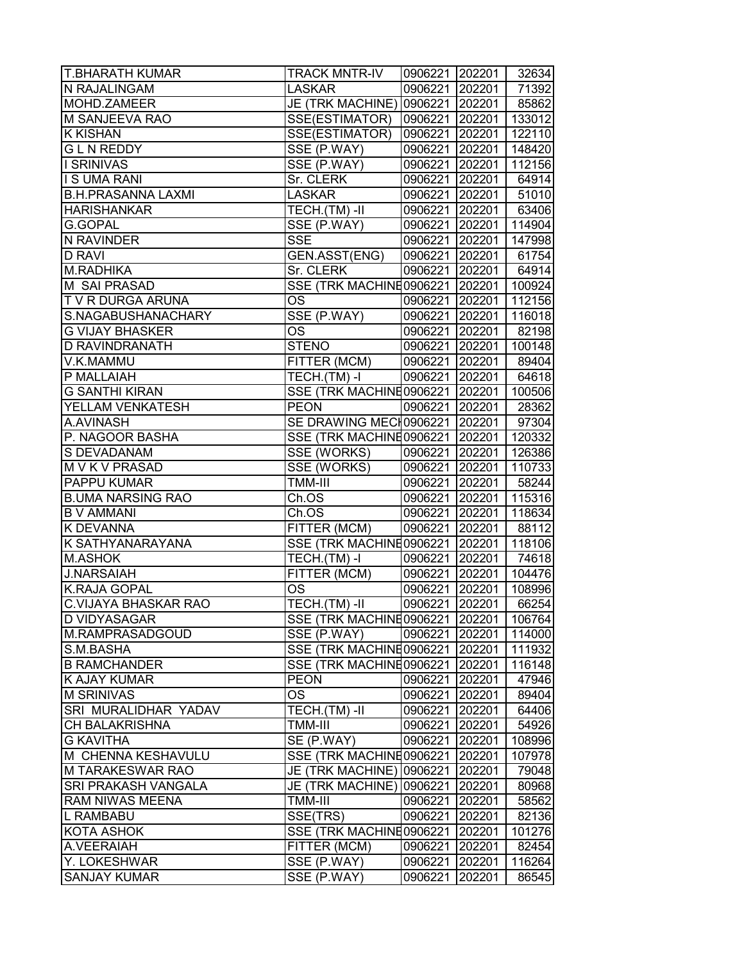| <b>T.BHARATH KUMAR</b>      | <b>TRACK MNTR-IV</b>             | 0906221 202201 |        | 32634  |
|-----------------------------|----------------------------------|----------------|--------|--------|
| N RAJALINGAM                | <b>LASKAR</b>                    | 0906221 202201 |        | 71392  |
| MOHD.ZAMEER                 | JE (TRK MACHINE)                 | 0906221 202201 |        | 85862  |
| M SANJEEVA RAO              | SSE(ESTIMATOR)                   | 0906221 202201 |        | 133012 |
| <b>K KISHAN</b>             | SSE(ESTIMATOR)                   | 0906221 202201 |        | 122110 |
| <b>GLN REDDY</b>            | SSE (P.WAY)                      | 0906221 202201 |        | 148420 |
| I SRINIVAS                  | SSE (P.WAY)                      | 0906221 202201 |        | 112156 |
| <b>IS UMA RANI</b>          | Sr. CLERK                        | 0906221 202201 |        | 64914  |
| <b>B.H.PRASANNA LAXMI</b>   | <b>LASKAR</b>                    | 0906221 202201 |        | 51010  |
| <b>HARISHANKAR</b>          | $TECH.$ $\overline{(TM)}$ -II    | 0906221 202201 |        | 63406  |
| <b>G.GOPAL</b>              | SSE (P.WAY)                      | 0906221 202201 |        | 114904 |
| N RAVINDER                  | <b>SSE</b>                       | 0906221 202201 |        | 147998 |
| <b>D RAVI</b>               | GEN.ASST(ENG)                    | 0906221 202201 |        | 61754  |
| M.RADHIKA                   | Sr. CLERK                        | 0906221 202201 |        | 64914  |
| M SAI PRASAD                | SSE (TRK MACHINE0906221   202201 |                |        | 100924 |
| T V R DURGA ARUNA           | OS                               | 0906221 202201 |        | 112156 |
| S.NAGABUSHANACHARY          | SSE (P.WAY)                      | 0906221 202201 |        | 116018 |
| <b>G VIJAY BHASKER</b>      | OS                               | 0906221 202201 |        | 82198  |
| <b>D RAVINDRANATH</b>       | <b>STENO</b>                     | 0906221 202201 |        | 100148 |
| V.K.MAMMU                   | FITTER (MCM)                     | 0906221 202201 |        | 89404  |
| P MALLAIAH                  | TECH.(TM) -I                     | 0906221 202201 |        | 64618  |
| <b>G SANTHI KIRAN</b>       | SSE (TRK MACHINE0906221 202201   |                |        | 100506 |
| YELLAM VENKATESH            | <b>PEON</b>                      | 0906221 202201 |        | 28362  |
| A.AVINASH                   | SE DRAWING MECH0906221 202201    |                |        | 97304  |
| P. NAGOOR BASHA             | SSE (TRK MACHINE0906221   202201 |                |        | 120332 |
| S DEVADANAM                 | SSE (WORKS)                      | 0906221 202201 |        | 126386 |
| M V K V PRASAD              | SSE (WORKS)                      | 0906221 202201 |        | 110733 |
| PAPPU KUMAR                 | TMM-III                          | 0906221 202201 |        | 58244  |
| <b>B.UMA NARSING RAO</b>    | Ch.OS                            | 0906221 202201 |        | 115316 |
| <b>B V AMMANI</b>           | Ch.OS                            | 0906221 202201 |        | 118634 |
| <b>K DEVANNA</b>            | FITTER (MCM)                     | 0906221 202201 |        | 88112  |
| K SATHYANARAYANA            | SSE (TRK MACHINE0906221 202201   |                |        | 118106 |
| <b>M.ASHOK</b>              | TECH.(TM) -I                     | 0906221 202201 |        | 74618  |
| <b>J.NARSAIAH</b>           | FITTER (MCM)                     | 0906221 202201 |        | 104476 |
| <b>K.RAJA GOPAL</b>         | <b>OS</b>                        | 0906221 202201 |        | 108996 |
| <b>C.VIJAYA BHASKAR RAO</b> | TECH.(TM)-II                     | 0906221 202201 |        | 66254  |
| D VIDYASAGAR                | SSE (TRK MACHINE0906221   202201 |                |        | 106764 |
| M.RAMPRASADGOUD             | SSE (P.WAY)                      | 0906221 202201 |        | 114000 |
| S.M.BASHA                   | SSE (TRK MACHINE0906221 202201   |                |        | 111932 |
| <b>B RAMCHANDER</b>         | SSE (TRK MACHINE0906221   202201 |                |        | 116148 |
| K AJAY KUMAR                | <b>PEON</b>                      | 0906221 202201 |        | 47946  |
| <b>M SRINIVAS</b>           | OS                               | 0906221 202201 |        | 89404  |
| SRI MURALIDHAR YADAV        | TECH.(TM)-II                     | 0906221 202201 |        | 64406  |
| <b>CH BALAKRISHNA</b>       | TMM-III                          | 0906221 202201 |        | 54926  |
| <b>G KAVITHA</b>            | SE (P.WAY)                       | 0906221 202201 |        | 108996 |
| M CHENNA KESHAVULU          | SSE (TRK MACHINE0906221   202201 |                |        | 107978 |
| M TARAKESWAR RAO            | JE (TRK MACHINE)                 | 0906221 202201 |        | 79048  |
| <b>SRI PRAKASH VANGALA</b>  | JE (TRK MACHINE)                 | 0906221 202201 |        | 80968  |
| <b>RAM NIWAS MEENA</b>      | TMM-III                          | 0906221 202201 |        | 58562  |
| L RAMBABU                   | SSE(TRS)                         | 0906221 202201 |        | 82136  |
| <b>KOTA ASHOK</b>           | SSE (TRK MACHINE0906221   202201 |                |        | 101276 |
| A.VEERAIAH                  | FITTER (MCM)                     | 0906221        | 202201 | 82454  |
| Y. LOKESHWAR                | SSE (P.WAY)                      | 0906221        | 202201 | 116264 |
| <b>SANJAY KUMAR</b>         | SSE (P.WAY)                      | 0906221        | 202201 | 86545  |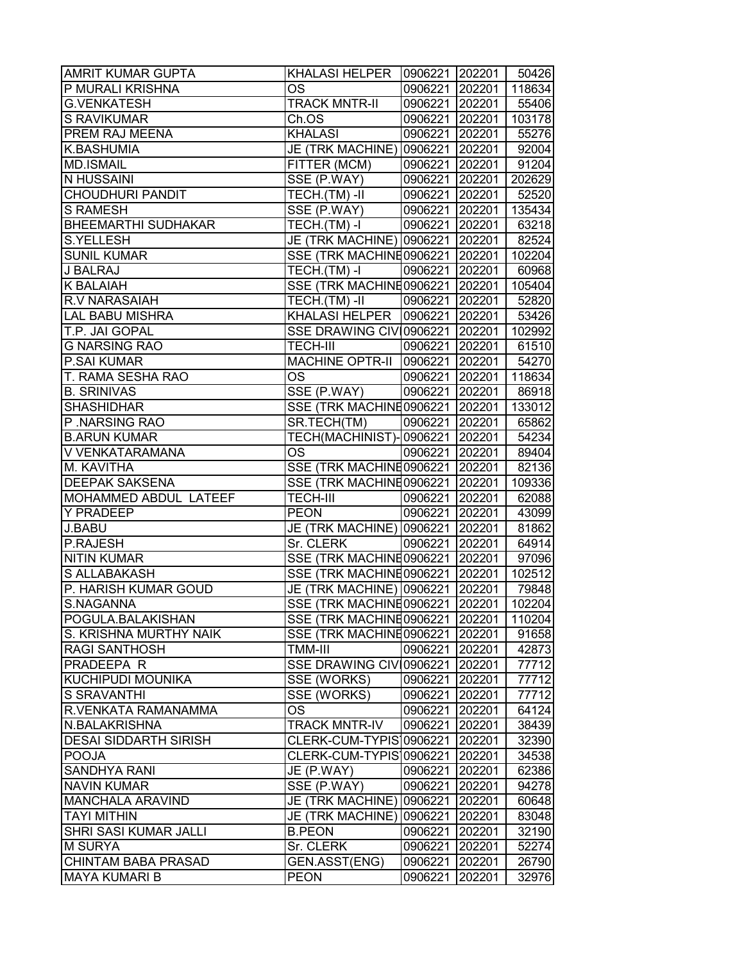| <b>AMRIT KUMAR GUPTA</b>     | KHALASI HELPER                    | 0906221 202201 |        | 50426  |
|------------------------------|-----------------------------------|----------------|--------|--------|
| P MURALI KRISHNA             | ОS                                | 0906221 202201 |        | 118634 |
| <b>G.VENKATESH</b>           | <b>TRACK MNTR-II</b>              | 0906221 202201 |        | 55406  |
| <b>S RAVIKUMAR</b>           | Ch.OS                             | 0906221 202201 |        | 103178 |
| PREM RAJ MEENA               | <b>KHALASI</b>                    | 0906221 202201 |        | 55276  |
| <b>K.BASHUMIA</b>            | JE (TRK MACHINE) 0906221 202201   |                |        | 92004  |
| <b>MD.ISMAIL</b>             | FITTER (MCM)                      | 0906221 202201 |        | 91204  |
| N HUSSAINI                   | SSE (P.WAY)                       | 0906221 202201 |        | 202629 |
| <b>CHOUDHURI PANDIT</b>      | TECH.(TM) -II                     | 0906221 202201 |        | 52520  |
| <b>S RAMESH</b>              | $SSE$ (P.WAY)                     | 0906221 202201 |        | 135434 |
| <b>BHEEMARTHI SUDHAKAR</b>   | $TECH.(TM) - I$                   | 0906221 202201 |        | 63218  |
| <b>S.YELLESH</b>             | JE (TRK MACHINE) 0906221 202201   |                |        | 82524  |
| <b>SUNIL KUMAR</b>           | SSE (TRK MACHINE0906221   202201  |                |        | 102204 |
| J BALRAJ                     | TECH.(TM) -I                      | 0906221 202201 |        | 60968  |
| <b>K BALAIAH</b>             | SSE (TRK MACHINE0906221 202201    |                |        | 105404 |
| <b>R.V NARASAIAH</b>         | TECH.(TM) -II                     | 0906221 202201 |        | 52820  |
| <b>LAL BABU MISHRA</b>       | KHALASI HELPER   0906221   202201 |                |        | 53426  |
| T.P. JAI GOPAL               | SSE DRAWING CIV 0906221 202201    |                |        | 102992 |
| <b>G NARSING RAO</b>         | <b>TECH-III</b>                   | 0906221 202201 |        | 61510  |
| <b>P.SAI KUMAR</b>           | <b>MACHINE OPTR-II</b>            | 0906221 202201 |        | 54270  |
| T. RAMA SESHA RAO            | OS                                | 0906221 202201 |        | 118634 |
| <b>B. SRINIVAS</b>           | SSE (P.WAY)                       | 0906221 202201 |        | 86918  |
| <b>SHASHIDHAR</b>            | SSE (TRK MACHINE0906221 202201    |                |        | 133012 |
| P.NARSING RAO                | SR.TECH(TM)                       | 0906221 202201 |        | 65862  |
| <b>B.ARUN KUMAR</b>          | TECH(MACHINIST)-0906221 202201    |                |        | 54234  |
| V VENKATARAMANA              | OS                                | 0906221 202201 |        | 89404  |
| M. KAVITHA                   | SSE (TRK MACHINE0906221 202201    |                |        | 82136  |
| <b>DEEPAK SAKSENA</b>        | SSE (TRK MACHINE0906221 202201    |                |        | 109336 |
| MOHAMMED ABDUL LATEEF        | <b>TECH-III</b>                   | 0906221 202201 |        | 62088  |
| <b>Y PRADEEP</b>             | <b>PEON</b>                       | 0906221 202201 |        | 43099  |
| J.BABU                       | JE (TRK MACHINE) 0906221 202201   |                |        | 81862  |
| P.RAJESH                     | Sr. CLERK                         | 0906221 202201 |        | 64914  |
| <b>NITIN KUMAR</b>           | SSE (TRK MACHINE0906221 202201    |                |        | 97096  |
| S ALLABAKASH                 | SSE (TRK MACHINE0906221 202201    |                |        | 102512 |
| P. HARISH KUMAR GOUD         | JE (TRK MACHINE) 0906221 202201   |                |        | 79848  |
| S.NAGANNA                    | SSE (TRK MACHINE0906221 202201    |                |        | 102204 |
| POGULA.BALAKISHAN            | SSE (TRK MACHINE0906221           |                | 202201 | 110204 |
| S. KRISHNA MURTHY NAIK       | SSE (TRK MACHINE0906221           |                | 202201 | 91658  |
| <b>RAGI SANTHOSH</b>         | TMM-III                           | 0906221        | 202201 | 42873  |
| PRADEEPA R                   | SSE DRAWING CIVI0906221           |                | 202201 | 77712  |
| KUCHIPUDI MOUNIKA            | SSE (WORKS)                       | 0906221        | 202201 | 77712  |
| <b>S SRAVANTHI</b>           | SSE (WORKS)                       | 0906221 202201 |        | 77712  |
| R.VENKATA RAMANAMMA          | OS                                | 0906221        | 202201 | 64124  |
| N.BALAKRISHNA                | <b>TRACK MNTR-IV</b>              | 0906221 202201 |        | 38439  |
| <b>DESAI SIDDARTH SIRISH</b> | CLERK-CUM-TYPIS 0906221 202201    |                |        | 32390  |
| <b>POOJA</b>                 | CLERK-CUM-TYPIS 0906221 202201    |                |        | 34538  |
| <b>SANDHYA RANI</b>          | JE (P.WAY)                        | 0906221        | 202201 | 62386  |
| <b>NAVIN KUMAR</b>           | SSE (P.WAY)                       | 0906221 202201 |        | 94278  |
| <b>MANCHALA ARAVIND</b>      | JE (TRK MACHINE)                  | 0906221        | 202201 | 60648  |
| <b>TAYI MITHIN</b>           | JE (TRK MACHINE)                  | 0906221        | 202201 | 83048  |
| SHRI SASI KUMAR JALLI        | <b>B.PEON</b>                     | 0906221        | 202201 | 32190  |
| <b>M SURYA</b>               | Sr. CLERK                         | 0906221        | 202201 | 52274  |
| <b>CHINTAM BABA PRASAD</b>   | GEN.ASST(ENG)                     | 0906221        | 202201 | 26790  |
| <b>MAYA KUMARI B</b>         | <b>PEON</b>                       | 0906221        | 202201 | 32976  |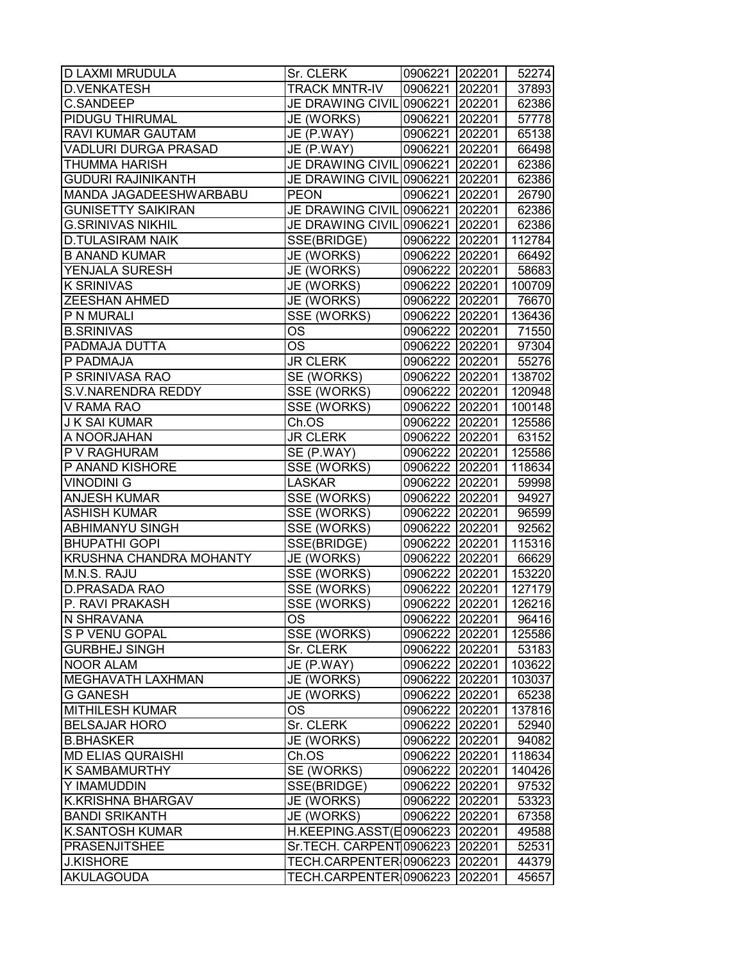| <b>D LAXMI MRUDULA</b>         | Sr. CLERK                       | 0906221 202201 |        | 52274  |
|--------------------------------|---------------------------------|----------------|--------|--------|
| <b>D.VENKATESH</b>             | <b>TRACK MNTR-IV</b>            | 0906221 202201 |        | 37893  |
| <b>C.SANDEEP</b>               | JE DRAWING CIVIL 0906221 202201 |                |        | 62386  |
| PIDUGU THIRUMAL                | JE (WORKS)                      | 0906221 202201 |        | 57778  |
| <b>RAVI KUMAR GAUTAM</b>       | JE (P.WAY)                      | 0906221 202201 |        | 65138  |
| VADLURI DURGA PRASAD           | JE (P.WAY)                      | 0906221 202201 |        | 66498  |
| <b>THUMMA HARISH</b>           | JE DRAWING CIVIL 0906221 202201 |                |        | 62386  |
| <b>GUDURI RAJINIKANTH</b>      | JE DRAWING CIVIL 0906221 202201 |                |        | 62386  |
| MANDA JAGADEESHWARBABU         | <b>PEON</b>                     | 0906221 202201 |        | 26790  |
| <b>GUNISETTY SAIKIRAN</b>      | JE DRAWING CIVIL 0906221 202201 |                |        | 62386  |
| <b>G.SRINIVAS NIKHIL</b>       | JE DRAWING CIVIL 0906221 202201 |                |        | 62386  |
| <b>D.TULASIRAM NAIK</b>        | SSE(BRIDGE)                     | 0906222 202201 |        | 112784 |
| <b>B ANAND KUMAR</b>           | JE (WORKS)                      | 0906222 202201 |        | 66492  |
| YENJALA SURESH                 | JE (WORKS)                      | 0906222 202201 |        | 58683  |
| <b>K SRINIVAS</b>              | JE (WORKS)                      | 0906222 202201 |        | 100709 |
| <b>ZEESHAN AHMED</b>           | JE (WORKS)                      | 0906222 202201 |        | 76670  |
| P N MURALI                     | SSE (WORKS)                     | 0906222 202201 |        | 136436 |
| <b>B.SRINIVAS</b>              | <b>OS</b>                       | 0906222 202201 |        | 71550  |
| PADMAJA DUTTA                  | <b>OS</b>                       | 0906222 202201 |        | 97304  |
| P PADMAJA                      | <b>JR CLERK</b>                 | 0906222 202201 |        | 55276  |
| P SRINIVASA RAO                | SE (WORKS)                      | 0906222 202201 |        | 138702 |
| <b>S.V.NARENDRA REDDY</b>      | <b>SSE (WORKS)</b>              | 0906222 202201 |        | 120948 |
| V RAMA RAO                     | SSE (WORKS)                     | 0906222 202201 |        | 100148 |
| <b>J K SAI KUMAR</b>           | Ch.OS                           | 0906222 202201 |        | 125586 |
| A NOORJAHAN                    | <b>JR CLERK</b>                 | 0906222 202201 |        | 63152  |
| P V RAGHURAM                   | SE (P.WAY)                      | 0906222 202201 |        | 125586 |
| P ANAND KISHORE                | SSE (WORKS)                     | 0906222 202201 |        | 118634 |
| <b>VINODINI G</b>              | <b>LASKAR</b>                   | 0906222 202201 |        | 59998  |
| <b>ANJESH KUMAR</b>            | SSE (WORKS)                     | 0906222 202201 |        | 94927  |
| <b>ASHISH KUMAR</b>            | SSE (WORKS)                     | 0906222 202201 |        | 96599  |
| <b>ABHIMANYU SINGH</b>         | SSE (WORKS)                     | 0906222 202201 |        | 92562  |
| <b>BHUPATHI GOPI</b>           | SSE(BRIDGE)                     | 0906222 202201 |        | 115316 |
| <b>KRUSHNA CHANDRA MOHANTY</b> | JE (WORKS)                      | 0906222 202201 |        | 66629  |
| M.N.S. RAJU                    | SSE (WORKS)                     | 0906222 202201 |        | 153220 |
| D.PRASADA RAO                  | SSE (WORKS)                     | 0906222 202201 |        | 127179 |
| P. RAVI PRAKASH                | <b>SSE (WORKS)</b>              | 0906222 202201 |        | 126216 |
| N SHRAVANA                     | <b>OS</b>                       | 0906222 202201 |        | 96416  |
| S P VENU GOPAL                 | SSE (WORKS)                     | 0906222 202201 |        | 125586 |
| <b>GURBHEJ SINGH</b>           | Sr. CLERK                       | 0906222 202201 |        | 53183  |
| <b>NOOR ALAM</b>               | JE (P.WAY)                      | 0906222 202201 |        | 103622 |
| <b>MEGHAVATH LAXHMAN</b>       | JE (WORKS)                      | 0906222 202201 |        | 103037 |
| <b>G GANESH</b>                | JE (WORKS)                      | 0906222 202201 |        | 65238  |
| <b>MITHILESH KUMAR</b>         | <b>OS</b>                       | 0906222 202201 |        | 137816 |
| <b>BELSAJAR HORO</b>           | Sr. CLERK                       | 0906222 202201 |        | 52940  |
| <b>B.BHASKER</b>               | JE (WORKS)                      | 0906222 202201 |        | 94082  |
| <b>MD ELIAS QURAISHI</b>       | Ch.OS                           | 0906222 202201 |        | 118634 |
| <b>K SAMBAMURTHY</b>           | SE (WORKS)                      | 0906222 202201 |        | 140426 |
| Y IMAMUDDIN                    | SSE(BRIDGE)                     | 0906222 202201 |        | 97532  |
| <b>K.KRISHNA BHARGAV</b>       | JE (WORKS)                      | 0906222 202201 |        | 53323  |
| <b>BANDI SRIKANTH</b>          | JE (WORKS)                      | 0906222        | 202201 | 67358  |
| <b>K.SANTOSH KUMAR</b>         | H.KEEPING.ASST(E0906223         |                | 202201 | 49588  |
| <b>PRASENJITSHEE</b>           | Sr.TECH. CARPENT0906223         |                | 202201 | 52531  |
| <b>J.KISHORE</b>               | TECH.CARPENTER 0906223          |                | 202201 | 44379  |
| <b>AKULAGOUDA</b>              | TECH.CARPENTER 0906223          |                | 202201 | 45657  |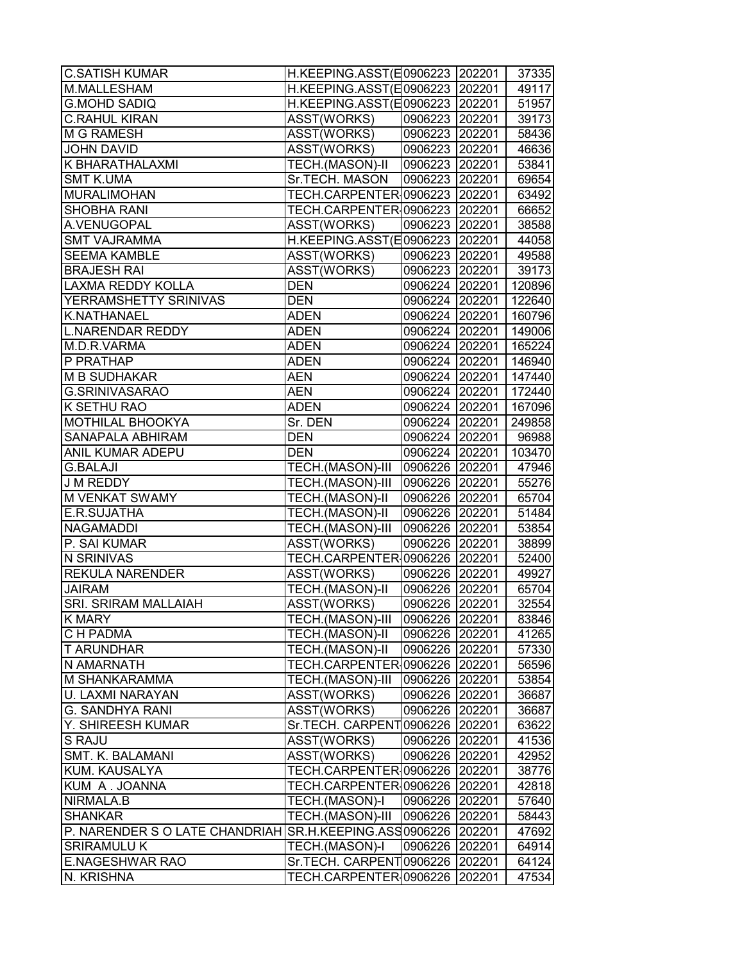| <b>C.SATISH KUMAR</b>                                          | H.KEEPING.ASST(E0906223 202201 |                |        | 37335  |
|----------------------------------------------------------------|--------------------------------|----------------|--------|--------|
| M.MALLESHAM                                                    | H.KEEPING.ASST(E0906223 202201 |                |        | 49117  |
| <b>G.MOHD SADIQ</b>                                            | H.KEEPING.ASST(E0906223 202201 |                |        | 51957  |
| <b>C.RAHUL KIRAN</b>                                           | ASST(WORKS)                    | 0906223 202201 |        | 39173  |
| <b>M G RAMESH</b>                                              | ASST(WORKS)                    | 0906223 202201 |        | 58436  |
| <b>JOHN DAVID</b>                                              | ASST(WORKS)                    | 0906223 202201 |        | 46636  |
| K BHARATHALAXMI                                                | TECH.(MASON)-II                | 0906223 202201 |        | 53841  |
| <b>SMT K.UMA</b>                                               | Sr.TECH. MASON                 | 0906223 202201 |        | 69654  |
| <b>MURALIMOHAN</b>                                             | TECH.CARPENTER 0906223 202201  |                |        | 63492  |
| <b>SHOBHA RANI</b>                                             | TECH.CARPENTER 0906223 202201  |                |        | 66652  |
| A.VENUGOPAL                                                    | ASST(WORKS)                    | 0906223 202201 |        | 38588  |
| <b>SMT VAJRAMMA</b>                                            | H.KEEPING.ASST(E0906223 202201 |                |        | 44058  |
| <b>SEEMA KAMBLE</b>                                            | ASST(WORKS)                    | 0906223 202201 |        | 49588  |
| <b>BRAJESH RAI</b>                                             | ASST(WORKS)                    | 0906223 202201 |        | 39173  |
| <b>LAXMA REDDY KOLLA</b>                                       | <b>DEN</b>                     | 0906224 202201 |        | 120896 |
| YERRAMSHETTY SRINIVAS                                          | <b>DEN</b>                     | 0906224 202201 |        | 122640 |
| <b>K.NATHANAEL</b>                                             | <b>ADEN</b>                    | 0906224 202201 |        | 160796 |
| <b>L.NARENDAR REDDY</b>                                        | <b>ADEN</b>                    | 0906224 202201 |        | 149006 |
| M.D.R.VARMA                                                    | <b>ADEN</b>                    | 0906224 202201 |        | 165224 |
| P PRATHAP                                                      | <b>ADEN</b>                    | 0906224 202201 |        | 146940 |
| <b>M B SUDHAKAR</b>                                            | AEN                            | 0906224 202201 |        | 147440 |
| G.SRINIVASARAO                                                 | <b>AEN</b>                     | 0906224 202201 |        | 172440 |
| K SETHU RAO                                                    | <b>ADEN</b>                    | 0906224 202201 |        | 167096 |
| <b>MOTHILAL BHOOKYA</b>                                        | Sr. DEN                        | 0906224 202201 |        | 249858 |
| <b>SANAPALA ABHIRAM</b>                                        | <b>DEN</b>                     | 0906224 202201 |        | 96988  |
| ANIL KUMAR ADEPU                                               | <b>DEN</b>                     | 0906224 202201 |        | 103470 |
| <b>G.BALAJI</b>                                                | TECH.(MASON)-III               | 0906226 202201 |        | 47946  |
| J M REDDY                                                      | TECH.(MASON)-III               | 0906226 202201 |        | 55276  |
| <b>M VENKAT SWAMY</b>                                          | TECH.(MASON)-II                | 0906226 202201 |        | 65704  |
| E.R.SUJATHA                                                    | TECH.(MASON)-II                | 0906226 202201 |        | 51484  |
| <b>NAGAMADDI</b>                                               | TECH.(MASON)-III               | 0906226 202201 |        | 53854  |
| P. SAI KUMAR                                                   | ASST(WORKS)                    | 0906226 202201 |        | 38899  |
| <b>N SRINIVAS</b>                                              | TECH.CARPENTER 0906226 202201  |                |        | 52400  |
| <b>REKULA NARENDER</b>                                         | ASST(WORKS)                    | 0906226 202201 |        |        |
| <b>JAIRAM</b>                                                  | TECH.(MASON)-II                | 0906226 202201 |        | 49927  |
| <b>SRI. SRIRAM MALLAIAH</b>                                    |                                | 0906226 202201 |        | 65704  |
|                                                                | ASST(WORKS)                    |                |        | 32554  |
| <b>K MARY</b>                                                  | TECH.(MASON)-III               | 0906226 202201 |        | 83846  |
| C H PADMA                                                      | <b>TECH.(MASON)-II</b>         | 0906226 202201 |        | 41265  |
| <b>T ARUNDHAR</b>                                              | TECH.(MASON)-II                | 0906226 202201 |        | 57330  |
| N AMARNATH                                                     | TECH.CARPENTER 0906226 202201  |                |        | 56596  |
| <b>M SHANKARAMMA</b>                                           | TECH.(MASON)-III               | 0906226 202201 |        | 53854  |
| U. LAXMI NARAYAN                                               | ASST(WORKS)                    | 0906226 202201 |        | 36687  |
| <b>G. SANDHYA RANI</b>                                         | ASST(WORKS)                    | 0906226 202201 |        | 36687  |
| Y. SHIREESH KUMAR                                              | Sr.TECH. CARPENT0906226 202201 |                |        | 63622  |
| S RAJU                                                         | ASST(WORKS)                    | 0906226 202201 |        | 41536  |
| SMT. K. BALAMANI                                               | ASST(WORKS)                    | 0906226 202201 |        | 42952  |
| KUM. KAUSALYA                                                  | TECH.CARPENTER 0906226 202201  |                |        | 38776  |
| KUM A. JOANNA                                                  | TECH.CARPENTER 0906226 202201  |                |        | 42818  |
| NIRMALA.B                                                      | TECH.(MASON)-I                 | 0906226 202201 |        | 57640  |
| <b>SHANKAR</b>                                                 | TECH.(MASON)-III               | 0906226 202201 |        | 58443  |
| P. NARENDER S O LATE CHANDRIAH SR.H.KEEPING.ASS 0906226 202201 |                                |                |        | 47692  |
| <b>SRIRAMULU K</b>                                             | TECH.(MASON)-I                 | 0906226 202201 |        | 64914  |
| <b>E.NAGESHWAR RAO</b>                                         | Sr.TECH. CARPENT 0906226       |                | 202201 | 64124  |
| N. KRISHNA                                                     | TECH.CARPENTER 0906226         |                | 202201 | 47534  |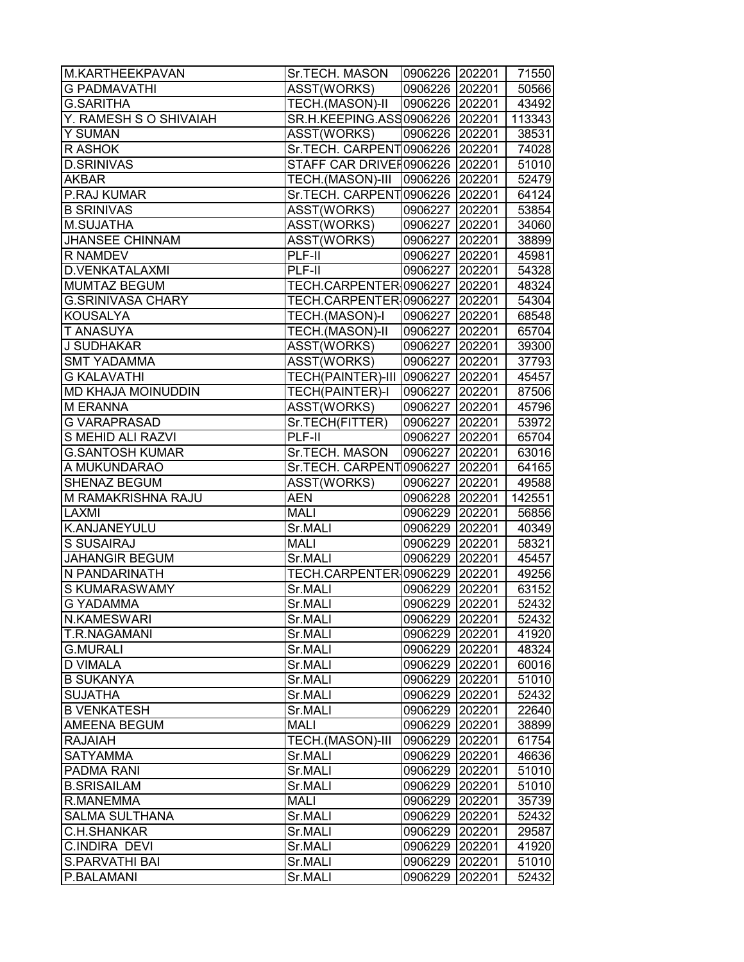| M.KARTHEEKPAVAN           | Sr.TECH. MASON                      | 0906226 202201 |        | 71550  |
|---------------------------|-------------------------------------|----------------|--------|--------|
| <b>G PADMAVATHI</b>       | ASST(WORKS)                         | 0906226 202201 |        | 50566  |
| <b>G.SARITHA</b>          | TECH.(MASON)-II                     | 0906226 202201 |        | 43492  |
| Y. RAMESH S O SHIVAIAH    | SR.H.KEEPING.ASS0906226 202201      |                |        | 113343 |
| <b>Y SUMAN</b>            | ASST(WORKS)                         | 0906226 202201 |        | 38531  |
| R ASHOK                   | Sr.TECH. CARPENT0906226 202201      |                |        | 74028  |
| <b>D.SRINIVAS</b>         | STAFF CAR DRIVER0906226 202201      |                |        | 51010  |
| <b>AKBAR</b>              | TECH.(MASON)-III   0906226   202201 |                |        | 52479  |
| P.RAJ KUMAR               | Sr.TECH. CARPENT0906226 202201      |                |        | 64124  |
| <b>B SRINIVAS</b>         | ASST(WORKS)                         | 0906227 202201 |        | 53854  |
| <b>M.SUJATHA</b>          | ASST(WORKS)                         | 0906227 202201 |        | 34060  |
| <b>JHANSEE CHINNAM</b>    | ASST(WORKS)                         | 0906227 202201 |        | 38899  |
| R NAMDEV                  | PLF-II                              | 0906227 202201 |        | 45981  |
| D.VENKATALAXMI            | PLF-II                              | 0906227 202201 |        | 54328  |
| MUMTAZ BEGUM              | TECH.CARPENTER 0906227              |                | 202201 | 48324  |
| <b>G.SRINIVASA CHARY</b>  | TECH.CARPENTER 0906227              |                | 202201 | 54304  |
| <b>KOUSALYA</b>           | TECH.(MASON)-I                      | 0906227 202201 |        | 68548  |
| <b>T ANASUYA</b>          | TECH.(MASON)-II                     | 0906227 202201 |        | 65704  |
| J SUDHAKAR                | ASST(WORKS)                         | 0906227 202201 |        | 39300  |
| <b>SMT YADAMMA</b>        | ASST(WORKS)                         | 0906227 202201 |        | 37793  |
| <b>G KALAVATHI</b>        | TECH(PAINTER)-III 0906227 202201    |                |        | 45457  |
| <b>MD KHAJA MOINUDDIN</b> | TECH(PAINTER)-I                     | 0906227 202201 |        | 87506  |
| <b>M ERANNA</b>           | ASST(WORKS)                         | 0906227 202201 |        | 45796  |
| <b>G VARAPRASAD</b>       | Sr.TECH(FITTER)                     | 0906227 202201 |        | 53972  |
| S MEHID ALI RAZVI         | PLF-II                              | 0906227 202201 |        | 65704  |
| <b>G.SANTOSH KUMAR</b>    | Sr.TECH. MASON                      | 0906227 202201 |        | 63016  |
| A MUKUNDARAO              | Sr.TECH. CARPENT0906227   202201    |                |        | 64165  |
| <b>SHENAZ BEGUM</b>       | ASST(WORKS)                         | 0906227 202201 |        | 49588  |
| M RAMAKRISHNA RAJU        | AEN                                 | 0906228 202201 |        | 142551 |
| LAXMI                     | MALI                                | 0906229 202201 |        | 56856  |
| K.ANJANEYULU              | Sr.MALI                             | 0906229 202201 |        | 40349  |
| <b>S SUSAIRAJ</b>         | <b>MALI</b>                         | 0906229 202201 |        | 58321  |
| <b>JAHANGIR BEGUM</b>     | Sr.MALI                             | 0906229 202201 |        | 45457  |
| N PANDARINATH             | TECH.CARPENTER 0906229 202201       |                |        | 49256  |
| S KUMARASWAMY             | Sr.MALI                             | 0906229 202201 |        | 63152  |
| <b>G YADAMMA</b>          | Sr.MALI                             | 0906229 202201 |        | 52432  |
| N.KAMESWARI               | Sr.MALI                             | 0906229 202201 |        | 52432  |
| <b>T.R.NAGAMANI</b>       | Sr.MALI                             | 0906229        | 202201 | 41920  |
| <b>G.MURALI</b>           | Sr.MALI                             | 0906229 202201 |        | 48324  |
| <b>D VIMALA</b>           | Sr.MALI                             | 0906229        | 202201 | 60016  |
| <b>B SUKANYA</b>          | Sr.MALI                             | 0906229 202201 |        | 51010  |
| <b>SUJATHA</b>            | Sr.MALI                             | 0906229 202201 |        | 52432  |
| <b>B VENKATESH</b>        | Sr.MALI                             | 0906229 202201 |        | 22640  |
| AMEENA BEGUM              | <b>MALI</b>                         | 0906229 202201 |        | 38899  |
| <b>RAJAIAH</b>            | TECH.(MASON)-III                    | 0906229        | 202201 | 61754  |
| <b>SATYAMMA</b>           | Sr.MALI                             | 0906229        | 202201 | 46636  |
| PADMA RANI                | Sr.MALI                             | 0906229        | 202201 | 51010  |
| <b>B.SRISAILAM</b>        | Sr.MALI                             | 0906229 202201 |        | 51010  |
| R.MANEMMA                 | <b>MALI</b>                         | 0906229 202201 |        | 35739  |
| <b>SALMA SULTHANA</b>     | Sr.MALI                             | 0906229 202201 |        | 52432  |
| C.H.SHANKAR               | Sr.MALI                             | 0906229        | 202201 | 29587  |
| C.INDIRA DEVI             | Sr.MALI                             | 0906229        | 202201 | 41920  |
| <b>S.PARVATHI BAI</b>     | Sr.MALI                             | 0906229        | 202201 | 51010  |
| P.BALAMANI                | Sr.MALI                             | 0906229        | 202201 | 52432  |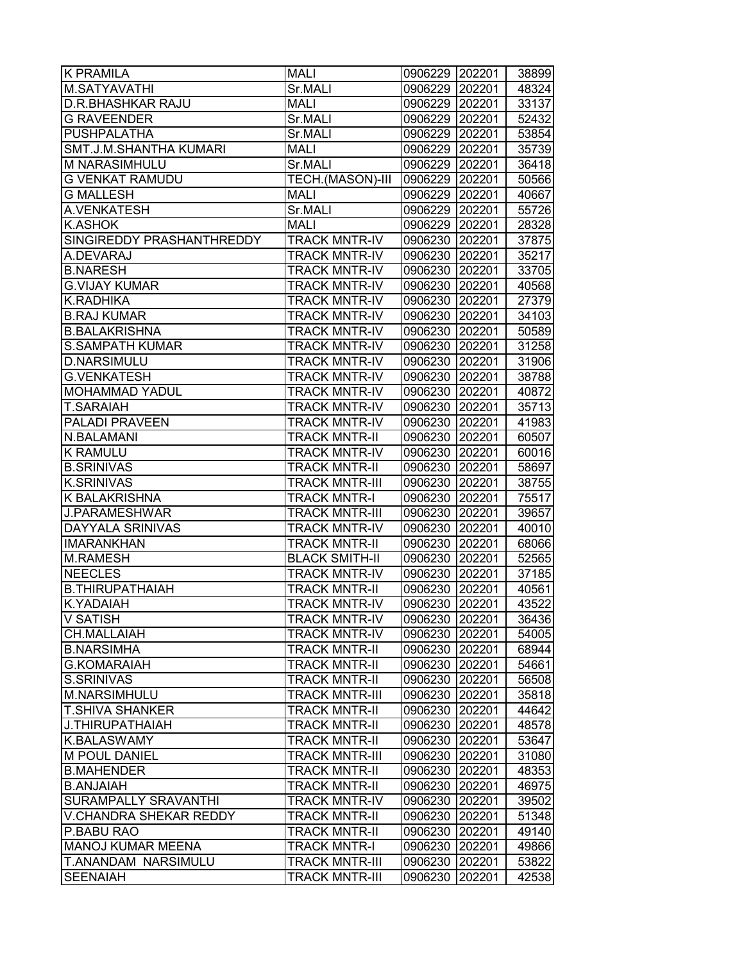| <b>K PRAMILA</b>            | MALI                  | 0906229 202201 |        | 38899 |
|-----------------------------|-----------------------|----------------|--------|-------|
| M.SATYAVATHI                | Sr.MALI               | 0906229 202201 |        | 48324 |
| <b>D.R.BHASHKAR RAJU</b>    | <b>MALI</b>           | 0906229 202201 |        | 33137 |
| <b>G RAVEENDER</b>          | Sr.MALI               | 0906229 202201 |        | 52432 |
| PUSHPALATHA                 | Sr.MALI               | 0906229 202201 |        | 53854 |
| SMT.J.M.SHANTHA KUMARI      | <b>MALI</b>           | 0906229 202201 |        | 35739 |
| M NARASIMHULU               | Sr.MALI               | 0906229 202201 |        | 36418 |
| <b>G VENKAT RAMUDU</b>      | TECH.(MASON)-III      | 0906229 202201 |        | 50566 |
| <b>G MALLESH</b>            | <b>MALI</b>           | 0906229 202201 |        | 40667 |
| A.VENKATESH                 | Sr.MALI               | 0906229 202201 |        | 55726 |
| <b>K.ASHOK</b>              | <b>MALI</b>           | 0906229        | 202201 | 28328 |
| SINGIREDDY PRASHANTHREDDY   | <b>TRACK MNTR-IV</b>  | 0906230        | 202201 | 37875 |
| A.DEVARAJ                   | <b>TRACK MNTR-IV</b>  | 0906230        | 202201 | 35217 |
| <b>B.NARESH</b>             | <b>TRACK MNTR-IV</b>  | 0906230 202201 |        | 33705 |
| <b>G.VIJAY KUMAR</b>        | <b>TRACK MNTR-IV</b>  | 0906230 202201 |        | 40568 |
| K.RADHIKA                   | <b>TRACK MNTR-IV</b>  | 0906230 202201 |        | 27379 |
| <b>B.RAJ KUMAR</b>          | <b>TRACK MNTR-IV</b>  | 0906230 202201 |        | 34103 |
| <b>B.BALAKRISHNA</b>        | <b>TRACK MNTR-IV</b>  | 0906230 202201 |        | 50589 |
| <b>S.SAMPATH KUMAR</b>      | <b>TRACK MNTR-IV</b>  | 0906230 202201 |        | 31258 |
| <b>D.NARSIMULU</b>          | <b>TRACK MNTR-IV</b>  | 0906230 202201 |        | 31906 |
| <b>G.VENKATESH</b>          | <b>TRACK MNTR-IV</b>  |                |        |       |
|                             |                       | 0906230 202201 |        | 38788 |
| <b>MOHAMMAD YADUL</b>       | <b>TRACK MNTR-IV</b>  | 0906230 202201 |        | 40872 |
| <b>T.SARAIAH</b>            | <b>TRACK MNTR-IV</b>  | 0906230 202201 |        | 35713 |
| <b>PALADI PRAVEEN</b>       | <b>TRACK MNTR-IV</b>  | 0906230 202201 |        | 41983 |
| N.BALAMANI                  | <b>TRACK MNTR-II</b>  | 0906230 202201 |        | 60507 |
| <b>K RAMULU</b>             | <b>TRACK MNTR-IV</b>  | 0906230 202201 |        | 60016 |
| <b>B.SRINIVAS</b>           | <b>TRACK MNTR-II</b>  | 0906230 202201 |        | 58697 |
| <b>K.SRINIVAS</b>           | <b>TRACK MNTR-III</b> | 0906230 202201 |        | 38755 |
| <b>K BALAKRISHNA</b>        | <b>TRACK MNTR-I</b>   | 0906230 202201 |        | 75517 |
| J.PARAMESHWAR               | <b>TRACK MNTR-III</b> | 0906230 202201 |        | 39657 |
| <b>DAYYALA SRINIVAS</b>     | <b>TRACK MNTR-IV</b>  | 0906230 202201 |        | 40010 |
| <b>IMARANKHAN</b>           | <b>TRACK MNTR-II</b>  | 0906230 202201 |        | 68066 |
| <b>M.RAMESH</b>             | <b>BLACK SMITH-II</b> | 0906230 202201 |        | 52565 |
| <b>NEECLES</b>              | <b>TRACK MNTR-IV</b>  | 0906230 202201 |        | 37185 |
| <b>B.THIRUPATHAIAH</b>      | <b>TRACK MNTR-II</b>  | 0906230        | 202201 | 40561 |
| <b>K.YADAIAH</b>            | <b>TRACK MNTR-IV</b>  | 0906230 202201 |        | 43522 |
| <b>V SATISH</b>             | <b>TRACK MNTR-IV</b>  | 0906230 202201 |        | 36436 |
| CH.MALLAIAH                 | <b>TRACK MNTR-IV</b>  | 0906230 202201 |        | 54005 |
| <b>B.NARSIMHA</b>           | <b>TRACK MNTR-II</b>  | 0906230 202201 |        | 68944 |
| <b>G.KOMARAIAH</b>          | <b>TRACK MNTR-II</b>  | 0906230 202201 |        | 54661 |
| <b>S.SRINIVAS</b>           | <b>TRACK MNTR-II</b>  | 0906230 202201 |        | 56508 |
| M.NARSIMHULU                | <b>TRACK MNTR-III</b> | 0906230 202201 |        | 35818 |
| <b>T.SHIVA SHANKER</b>      | <b>TRACK MNTR-II</b>  | 0906230 202201 |        | 44642 |
| J.THIRUPATHAIAH             | <b>TRACK MNTR-II</b>  | 0906230 202201 |        | 48578 |
| <b>K.BALASWAMY</b>          | <b>TRACK MNTR-II</b>  | 0906230 202201 |        | 53647 |
| M POUL DANIEL               | <b>TRACK MNTR-III</b> | 0906230 202201 |        | 31080 |
| <b>B.MAHENDER</b>           | <b>TRACK MNTR-II</b>  | 0906230 202201 |        | 48353 |
| <b>B.ANJAIAH</b>            | <b>TRACK MNTR-II</b>  | 0906230 202201 |        | 46975 |
| <b>SURAMPALLY SRAVANTHI</b> | <b>TRACK MNTR-IV</b>  | 0906230 202201 |        | 39502 |
| V.CHANDRA SHEKAR REDDY      | <b>TRACK MNTR-II</b>  | 0906230 202201 |        | 51348 |
| P.BABU RAO                  | <b>TRACK MNTR-II</b>  | 0906230 202201 |        | 49140 |
| <b>MANOJ KUMAR MEENA</b>    | <b>TRACK MNTR-I</b>   | 0906230 202201 |        | 49866 |
| T.ANANDAM NARSIMULU         | <b>TRACK MNTR-III</b> | 0906230 202201 |        | 53822 |
| <b>SEENAIAH</b>             | <b>TRACK MNTR-III</b> | 0906230        | 202201 | 42538 |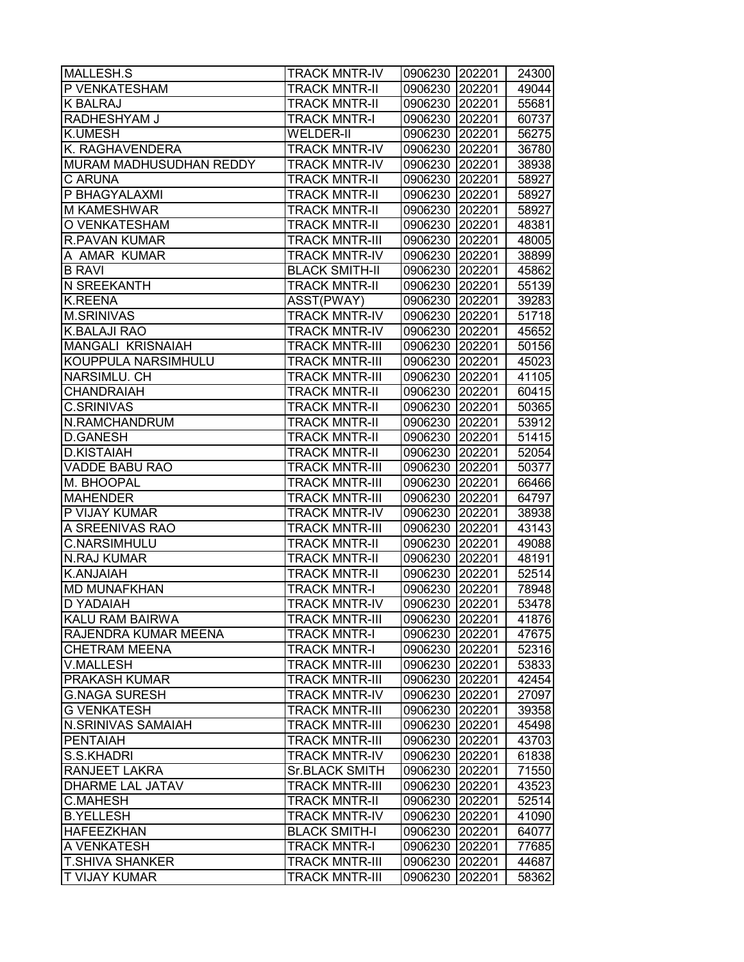| P VENKATESHAM<br><b>TRACK MNTR-II</b><br>202201<br>0906230<br><b>K BALRAJ</b><br><b>TRACK MNTR-II</b><br>202201<br>0906230<br>RADHESHYAM J<br>0906230 202201<br><b>TRACK MNTR-I</b><br><b>K.UMESH</b><br>WELDER-II<br>0906230 202201<br>K. RAGHAVENDERA<br><b>TRACK MNTR-IV</b><br>0906230 202201<br>MURAM MADHUSUDHAN REDDY<br><b>TRACK MNTR-IV</b><br>0906230 202201<br>C ARUNA<br><b>TRACK MNTR-II</b><br>0906230 202201<br>P BHAGYALAXMI<br><b>TRACK MNTR-II</b><br>0906230 202201<br><b>M KAMESHWAR</b><br><b>TRACK MNTR-II</b><br>0906230 202201<br>O VENKATESHAM<br>48381<br><b>TRACK MNTR-II</b><br>0906230 202201<br><b>R.PAVAN KUMAR</b><br><b>TRACK MNTR-III</b><br>0906230<br>202201<br>48005<br>A AMAR KUMAR<br><b>TRACK MNTR-IV</b><br>0906230<br>202201<br><b>B RAVI</b><br><b>BLACK SMITH-II</b><br>202201<br>0906230<br>N SREEKANTH<br><b>TRACK MNTR-II</b><br>0906230<br>202201<br><b>K.REENA</b><br>ASST(PWAY)<br>0906230<br>202201<br><b>M.SRINIVAS</b><br><b>TRACK MNTR-IV</b><br>0906230 202201<br><b>K.BALAJI RAO</b><br><b>TRACK MNTR-IV</b><br>0906230 202201<br>MANGALI KRISNAIAH<br><b>TRACK MNTR-III</b><br>0906230 202201<br>KOUPPULA NARSIMHULU<br><b>TRACK MNTR-III</b><br>0906230 202201<br>45023<br>NARSIMLU. CH<br><b>TRACK MNTR-III</b><br>0906230 202201<br><b>CHANDRAIAH</b><br><b>TRACK MNTR-II</b><br>0906230<br>202201<br><b>C.SRINIVAS</b><br>50365<br><b>TRACK MNTR-II</b><br>0906230 202201<br>N.RAMCHANDRUM<br><b>TRACK MNTR-II</b><br>0906230 202201<br><b>D.GANESH</b><br>51415<br><b>TRACK MNTR-II</b><br>0906230<br>202201<br><b>D.KISTAIAH</b><br><b>TRACK MNTR-II</b><br>0906230<br>202201<br>VADDE BABU RAO<br><b>TRACK MNTR-III</b><br>0906230<br>202201<br>M. BHOOPAL<br><b>TRACK MNTR-III</b><br>202201<br>0906230<br><b>MAHENDER</b><br><b>TRACK MNTR-III</b><br>0906230<br>202201<br>P VIJAY KUMAR<br><b>TRACK MNTR-IV</b><br>0906230 202201<br>A SREENIVAS RAO<br>0906230 202201<br><b>TRACK MNTR-III</b><br><b>C.NARSIMHULU</b><br><b>TRACK MNTR-II</b><br>0906230<br>202201<br><b>N.RAJ KUMAR</b><br><b>TRACK MNTR-II</b><br>202201<br>0906230<br><b>K.ANJAIAH</b><br><b>TRACK MNTR-II</b><br>0906230<br>202201<br><b>MD MUNAFKHAN</b><br><b>TRACK MNTR-I</b><br>202201<br>0906230<br>202201<br><b>D YADAIAH</b><br><b>TRACK MNTR-IV</b><br>0906230<br>KALU RAM BAIRWA<br><b>TRACK MNTR-III</b><br>0906230 202201<br>RAJENDRA KUMAR MEENA<br><b>TRACK MNTR-I</b><br>0906230<br>202201<br>47675<br><b>CHETRAM MEENA</b><br><b>TRACK MNTR-I</b><br>0906230<br>202201<br>V.MALLESH<br><b>TRACK MNTR-III</b><br>0906230<br>202201<br><b>PRAKASH KUMAR</b><br><b>TRACK MNTR-III</b><br>0906230<br>202201<br><b>G.NAGA SURESH</b><br><b>TRACK MNTR-IV</b><br>0906230 202201<br><b>G VENKATESH</b><br><b>TRACK MNTR-III</b><br>0906230 202201<br>39358<br>N.SRINIVAS SAMAIAH<br><b>TRACK MNTR-III</b><br>0906230 202201<br>45498<br><b>TRACK MNTR-III</b><br>43703<br><b>PENTAIAH</b><br>0906230<br>202201<br>S.S.KHADRI<br><b>TRACK MNTR-IV</b><br>0906230<br>202201<br><b>Sr.BLACK SMITH</b><br><b>RANJEET LAKRA</b><br>202201<br>0906230<br><b>DHARME LAL JATAV</b><br><b>TRACK MNTR-III</b><br>0906230 202201<br>43523<br><b>C.MAHESH</b><br><b>TRACK MNTR-II</b><br>0906230 202201<br>52514<br><b>B.YELLESH</b><br><b>TRACK MNTR-IV</b><br>0906230<br>202201<br><b>HAFEEZKHAN</b><br><b>BLACK SMITH-I</b><br>0906230<br>202201<br>A VENKATESH<br><b>TRACK MNTR-I</b><br>0906230<br>202201<br><b>T.SHIVA SHANKER</b><br><b>TRACK MNTR-III</b><br>0906230<br>202201<br><b>T VIJAY KUMAR</b><br><b>TRACK MNTR-III</b><br>202201<br>0906230 | MALLESH.S | <b>TRACK MNTR-IV</b> | 0906230 202201 | 24300 |
|--------------------------------------------------------------------------------------------------------------------------------------------------------------------------------------------------------------------------------------------------------------------------------------------------------------------------------------------------------------------------------------------------------------------------------------------------------------------------------------------------------------------------------------------------------------------------------------------------------------------------------------------------------------------------------------------------------------------------------------------------------------------------------------------------------------------------------------------------------------------------------------------------------------------------------------------------------------------------------------------------------------------------------------------------------------------------------------------------------------------------------------------------------------------------------------------------------------------------------------------------------------------------------------------------------------------------------------------------------------------------------------------------------------------------------------------------------------------------------------------------------------------------------------------------------------------------------------------------------------------------------------------------------------------------------------------------------------------------------------------------------------------------------------------------------------------------------------------------------------------------------------------------------------------------------------------------------------------------------------------------------------------------------------------------------------------------------------------------------------------------------------------------------------------------------------------------------------------------------------------------------------------------------------------------------------------------------------------------------------------------------------------------------------------------------------------------------------------------------------------------------------------------------------------------------------------------------------------------------------------------------------------------------------------------------------------------------------------------------------------------------------------------------------------------------------------------------------------------------------------------------------------------------------------------------------------------------------------------------------------------------------------------------------------------------------------------------------------------------------------------------------------------------------------------------------------------------------------------------------------------------------------------------------------------------------------------------------------------------------------------------------------------------------------------------------------------------------------------------------------------------------------------------------------------------------------------------------------------|-----------|----------------------|----------------|-------|
| 55681                                                                                                                                                                                                                                                                                                                                                                                                                                                                                                                                                                                                                                                                                                                                                                                                                                                                                                                                                                                                                                                                                                                                                                                                                                                                                                                                                                                                                                                                                                                                                                                                                                                                                                                                                                                                                                                                                                                                                                                                                                                                                                                                                                                                                                                                                                                                                                                                                                                                                                                                                                                                                                                                                                                                                                                                                                                                                                                                                                                                                                                                                                                                                                                                                                                                                                                                                                                                                                                                                                                                                                                            |           |                      |                | 49044 |
| 60737<br>56275<br>36780<br>38938<br>58927<br>58927<br>58927<br>38899<br>45862<br>55139<br>39283<br>51718<br>45652<br>50156<br>41105<br>60415<br>53912<br>50377<br>66466<br>38938<br>43143<br>49088<br>48191<br>52514<br>78948<br>41876<br>52316<br>53833<br>42454<br>27097<br>61838<br>71550<br>41090<br>64077<br>77685                                                                                                                                                                                                                                                                                                                                                                                                                                                                                                                                                                                                                                                                                                                                                                                                                                                                                                                                                                                                                                                                                                                                                                                                                                                                                                                                                                                                                                                                                                                                                                                                                                                                                                                                                                                                                                                                                                                                                                                                                                                                                                                                                                                                                                                                                                                                                                                                                                                                                                                                                                                                                                                                                                                                                                                                                                                                                                                                                                                                                                                                                                                                                                                                                                                                          |           |                      |                |       |
|                                                                                                                                                                                                                                                                                                                                                                                                                                                                                                                                                                                                                                                                                                                                                                                                                                                                                                                                                                                                                                                                                                                                                                                                                                                                                                                                                                                                                                                                                                                                                                                                                                                                                                                                                                                                                                                                                                                                                                                                                                                                                                                                                                                                                                                                                                                                                                                                                                                                                                                                                                                                                                                                                                                                                                                                                                                                                                                                                                                                                                                                                                                                                                                                                                                                                                                                                                                                                                                                                                                                                                                                  |           |                      |                |       |
|                                                                                                                                                                                                                                                                                                                                                                                                                                                                                                                                                                                                                                                                                                                                                                                                                                                                                                                                                                                                                                                                                                                                                                                                                                                                                                                                                                                                                                                                                                                                                                                                                                                                                                                                                                                                                                                                                                                                                                                                                                                                                                                                                                                                                                                                                                                                                                                                                                                                                                                                                                                                                                                                                                                                                                                                                                                                                                                                                                                                                                                                                                                                                                                                                                                                                                                                                                                                                                                                                                                                                                                                  |           |                      |                |       |
|                                                                                                                                                                                                                                                                                                                                                                                                                                                                                                                                                                                                                                                                                                                                                                                                                                                                                                                                                                                                                                                                                                                                                                                                                                                                                                                                                                                                                                                                                                                                                                                                                                                                                                                                                                                                                                                                                                                                                                                                                                                                                                                                                                                                                                                                                                                                                                                                                                                                                                                                                                                                                                                                                                                                                                                                                                                                                                                                                                                                                                                                                                                                                                                                                                                                                                                                                                                                                                                                                                                                                                                                  |           |                      |                |       |
|                                                                                                                                                                                                                                                                                                                                                                                                                                                                                                                                                                                                                                                                                                                                                                                                                                                                                                                                                                                                                                                                                                                                                                                                                                                                                                                                                                                                                                                                                                                                                                                                                                                                                                                                                                                                                                                                                                                                                                                                                                                                                                                                                                                                                                                                                                                                                                                                                                                                                                                                                                                                                                                                                                                                                                                                                                                                                                                                                                                                                                                                                                                                                                                                                                                                                                                                                                                                                                                                                                                                                                                                  |           |                      |                |       |
|                                                                                                                                                                                                                                                                                                                                                                                                                                                                                                                                                                                                                                                                                                                                                                                                                                                                                                                                                                                                                                                                                                                                                                                                                                                                                                                                                                                                                                                                                                                                                                                                                                                                                                                                                                                                                                                                                                                                                                                                                                                                                                                                                                                                                                                                                                                                                                                                                                                                                                                                                                                                                                                                                                                                                                                                                                                                                                                                                                                                                                                                                                                                                                                                                                                                                                                                                                                                                                                                                                                                                                                                  |           |                      |                |       |
|                                                                                                                                                                                                                                                                                                                                                                                                                                                                                                                                                                                                                                                                                                                                                                                                                                                                                                                                                                                                                                                                                                                                                                                                                                                                                                                                                                                                                                                                                                                                                                                                                                                                                                                                                                                                                                                                                                                                                                                                                                                                                                                                                                                                                                                                                                                                                                                                                                                                                                                                                                                                                                                                                                                                                                                                                                                                                                                                                                                                                                                                                                                                                                                                                                                                                                                                                                                                                                                                                                                                                                                                  |           |                      |                |       |
|                                                                                                                                                                                                                                                                                                                                                                                                                                                                                                                                                                                                                                                                                                                                                                                                                                                                                                                                                                                                                                                                                                                                                                                                                                                                                                                                                                                                                                                                                                                                                                                                                                                                                                                                                                                                                                                                                                                                                                                                                                                                                                                                                                                                                                                                                                                                                                                                                                                                                                                                                                                                                                                                                                                                                                                                                                                                                                                                                                                                                                                                                                                                                                                                                                                                                                                                                                                                                                                                                                                                                                                                  |           |                      |                |       |
|                                                                                                                                                                                                                                                                                                                                                                                                                                                                                                                                                                                                                                                                                                                                                                                                                                                                                                                                                                                                                                                                                                                                                                                                                                                                                                                                                                                                                                                                                                                                                                                                                                                                                                                                                                                                                                                                                                                                                                                                                                                                                                                                                                                                                                                                                                                                                                                                                                                                                                                                                                                                                                                                                                                                                                                                                                                                                                                                                                                                                                                                                                                                                                                                                                                                                                                                                                                                                                                                                                                                                                                                  |           |                      |                |       |
|                                                                                                                                                                                                                                                                                                                                                                                                                                                                                                                                                                                                                                                                                                                                                                                                                                                                                                                                                                                                                                                                                                                                                                                                                                                                                                                                                                                                                                                                                                                                                                                                                                                                                                                                                                                                                                                                                                                                                                                                                                                                                                                                                                                                                                                                                                                                                                                                                                                                                                                                                                                                                                                                                                                                                                                                                                                                                                                                                                                                                                                                                                                                                                                                                                                                                                                                                                                                                                                                                                                                                                                                  |           |                      |                |       |
|                                                                                                                                                                                                                                                                                                                                                                                                                                                                                                                                                                                                                                                                                                                                                                                                                                                                                                                                                                                                                                                                                                                                                                                                                                                                                                                                                                                                                                                                                                                                                                                                                                                                                                                                                                                                                                                                                                                                                                                                                                                                                                                                                                                                                                                                                                                                                                                                                                                                                                                                                                                                                                                                                                                                                                                                                                                                                                                                                                                                                                                                                                                                                                                                                                                                                                                                                                                                                                                                                                                                                                                                  |           |                      |                |       |
|                                                                                                                                                                                                                                                                                                                                                                                                                                                                                                                                                                                                                                                                                                                                                                                                                                                                                                                                                                                                                                                                                                                                                                                                                                                                                                                                                                                                                                                                                                                                                                                                                                                                                                                                                                                                                                                                                                                                                                                                                                                                                                                                                                                                                                                                                                                                                                                                                                                                                                                                                                                                                                                                                                                                                                                                                                                                                                                                                                                                                                                                                                                                                                                                                                                                                                                                                                                                                                                                                                                                                                                                  |           |                      |                |       |
|                                                                                                                                                                                                                                                                                                                                                                                                                                                                                                                                                                                                                                                                                                                                                                                                                                                                                                                                                                                                                                                                                                                                                                                                                                                                                                                                                                                                                                                                                                                                                                                                                                                                                                                                                                                                                                                                                                                                                                                                                                                                                                                                                                                                                                                                                                                                                                                                                                                                                                                                                                                                                                                                                                                                                                                                                                                                                                                                                                                                                                                                                                                                                                                                                                                                                                                                                                                                                                                                                                                                                                                                  |           |                      |                |       |
|                                                                                                                                                                                                                                                                                                                                                                                                                                                                                                                                                                                                                                                                                                                                                                                                                                                                                                                                                                                                                                                                                                                                                                                                                                                                                                                                                                                                                                                                                                                                                                                                                                                                                                                                                                                                                                                                                                                                                                                                                                                                                                                                                                                                                                                                                                                                                                                                                                                                                                                                                                                                                                                                                                                                                                                                                                                                                                                                                                                                                                                                                                                                                                                                                                                                                                                                                                                                                                                                                                                                                                                                  |           |                      |                |       |
| 52054<br>64797<br>53478<br>44687<br>58362                                                                                                                                                                                                                                                                                                                                                                                                                                                                                                                                                                                                                                                                                                                                                                                                                                                                                                                                                                                                                                                                                                                                                                                                                                                                                                                                                                                                                                                                                                                                                                                                                                                                                                                                                                                                                                                                                                                                                                                                                                                                                                                                                                                                                                                                                                                                                                                                                                                                                                                                                                                                                                                                                                                                                                                                                                                                                                                                                                                                                                                                                                                                                                                                                                                                                                                                                                                                                                                                                                                                                        |           |                      |                |       |
|                                                                                                                                                                                                                                                                                                                                                                                                                                                                                                                                                                                                                                                                                                                                                                                                                                                                                                                                                                                                                                                                                                                                                                                                                                                                                                                                                                                                                                                                                                                                                                                                                                                                                                                                                                                                                                                                                                                                                                                                                                                                                                                                                                                                                                                                                                                                                                                                                                                                                                                                                                                                                                                                                                                                                                                                                                                                                                                                                                                                                                                                                                                                                                                                                                                                                                                                                                                                                                                                                                                                                                                                  |           |                      |                |       |
|                                                                                                                                                                                                                                                                                                                                                                                                                                                                                                                                                                                                                                                                                                                                                                                                                                                                                                                                                                                                                                                                                                                                                                                                                                                                                                                                                                                                                                                                                                                                                                                                                                                                                                                                                                                                                                                                                                                                                                                                                                                                                                                                                                                                                                                                                                                                                                                                                                                                                                                                                                                                                                                                                                                                                                                                                                                                                                                                                                                                                                                                                                                                                                                                                                                                                                                                                                                                                                                                                                                                                                                                  |           |                      |                |       |
|                                                                                                                                                                                                                                                                                                                                                                                                                                                                                                                                                                                                                                                                                                                                                                                                                                                                                                                                                                                                                                                                                                                                                                                                                                                                                                                                                                                                                                                                                                                                                                                                                                                                                                                                                                                                                                                                                                                                                                                                                                                                                                                                                                                                                                                                                                                                                                                                                                                                                                                                                                                                                                                                                                                                                                                                                                                                                                                                                                                                                                                                                                                                                                                                                                                                                                                                                                                                                                                                                                                                                                                                  |           |                      |                |       |
|                                                                                                                                                                                                                                                                                                                                                                                                                                                                                                                                                                                                                                                                                                                                                                                                                                                                                                                                                                                                                                                                                                                                                                                                                                                                                                                                                                                                                                                                                                                                                                                                                                                                                                                                                                                                                                                                                                                                                                                                                                                                                                                                                                                                                                                                                                                                                                                                                                                                                                                                                                                                                                                                                                                                                                                                                                                                                                                                                                                                                                                                                                                                                                                                                                                                                                                                                                                                                                                                                                                                                                                                  |           |                      |                |       |
|                                                                                                                                                                                                                                                                                                                                                                                                                                                                                                                                                                                                                                                                                                                                                                                                                                                                                                                                                                                                                                                                                                                                                                                                                                                                                                                                                                                                                                                                                                                                                                                                                                                                                                                                                                                                                                                                                                                                                                                                                                                                                                                                                                                                                                                                                                                                                                                                                                                                                                                                                                                                                                                                                                                                                                                                                                                                                                                                                                                                                                                                                                                                                                                                                                                                                                                                                                                                                                                                                                                                                                                                  |           |                      |                |       |
|                                                                                                                                                                                                                                                                                                                                                                                                                                                                                                                                                                                                                                                                                                                                                                                                                                                                                                                                                                                                                                                                                                                                                                                                                                                                                                                                                                                                                                                                                                                                                                                                                                                                                                                                                                                                                                                                                                                                                                                                                                                                                                                                                                                                                                                                                                                                                                                                                                                                                                                                                                                                                                                                                                                                                                                                                                                                                                                                                                                                                                                                                                                                                                                                                                                                                                                                                                                                                                                                                                                                                                                                  |           |                      |                |       |
|                                                                                                                                                                                                                                                                                                                                                                                                                                                                                                                                                                                                                                                                                                                                                                                                                                                                                                                                                                                                                                                                                                                                                                                                                                                                                                                                                                                                                                                                                                                                                                                                                                                                                                                                                                                                                                                                                                                                                                                                                                                                                                                                                                                                                                                                                                                                                                                                                                                                                                                                                                                                                                                                                                                                                                                                                                                                                                                                                                                                                                                                                                                                                                                                                                                                                                                                                                                                                                                                                                                                                                                                  |           |                      |                |       |
|                                                                                                                                                                                                                                                                                                                                                                                                                                                                                                                                                                                                                                                                                                                                                                                                                                                                                                                                                                                                                                                                                                                                                                                                                                                                                                                                                                                                                                                                                                                                                                                                                                                                                                                                                                                                                                                                                                                                                                                                                                                                                                                                                                                                                                                                                                                                                                                                                                                                                                                                                                                                                                                                                                                                                                                                                                                                                                                                                                                                                                                                                                                                                                                                                                                                                                                                                                                                                                                                                                                                                                                                  |           |                      |                |       |
|                                                                                                                                                                                                                                                                                                                                                                                                                                                                                                                                                                                                                                                                                                                                                                                                                                                                                                                                                                                                                                                                                                                                                                                                                                                                                                                                                                                                                                                                                                                                                                                                                                                                                                                                                                                                                                                                                                                                                                                                                                                                                                                                                                                                                                                                                                                                                                                                                                                                                                                                                                                                                                                                                                                                                                                                                                                                                                                                                                                                                                                                                                                                                                                                                                                                                                                                                                                                                                                                                                                                                                                                  |           |                      |                |       |
|                                                                                                                                                                                                                                                                                                                                                                                                                                                                                                                                                                                                                                                                                                                                                                                                                                                                                                                                                                                                                                                                                                                                                                                                                                                                                                                                                                                                                                                                                                                                                                                                                                                                                                                                                                                                                                                                                                                                                                                                                                                                                                                                                                                                                                                                                                                                                                                                                                                                                                                                                                                                                                                                                                                                                                                                                                                                                                                                                                                                                                                                                                                                                                                                                                                                                                                                                                                                                                                                                                                                                                                                  |           |                      |                |       |
|                                                                                                                                                                                                                                                                                                                                                                                                                                                                                                                                                                                                                                                                                                                                                                                                                                                                                                                                                                                                                                                                                                                                                                                                                                                                                                                                                                                                                                                                                                                                                                                                                                                                                                                                                                                                                                                                                                                                                                                                                                                                                                                                                                                                                                                                                                                                                                                                                                                                                                                                                                                                                                                                                                                                                                                                                                                                                                                                                                                                                                                                                                                                                                                                                                                                                                                                                                                                                                                                                                                                                                                                  |           |                      |                |       |
|                                                                                                                                                                                                                                                                                                                                                                                                                                                                                                                                                                                                                                                                                                                                                                                                                                                                                                                                                                                                                                                                                                                                                                                                                                                                                                                                                                                                                                                                                                                                                                                                                                                                                                                                                                                                                                                                                                                                                                                                                                                                                                                                                                                                                                                                                                                                                                                                                                                                                                                                                                                                                                                                                                                                                                                                                                                                                                                                                                                                                                                                                                                                                                                                                                                                                                                                                                                                                                                                                                                                                                                                  |           |                      |                |       |
|                                                                                                                                                                                                                                                                                                                                                                                                                                                                                                                                                                                                                                                                                                                                                                                                                                                                                                                                                                                                                                                                                                                                                                                                                                                                                                                                                                                                                                                                                                                                                                                                                                                                                                                                                                                                                                                                                                                                                                                                                                                                                                                                                                                                                                                                                                                                                                                                                                                                                                                                                                                                                                                                                                                                                                                                                                                                                                                                                                                                                                                                                                                                                                                                                                                                                                                                                                                                                                                                                                                                                                                                  |           |                      |                |       |
|                                                                                                                                                                                                                                                                                                                                                                                                                                                                                                                                                                                                                                                                                                                                                                                                                                                                                                                                                                                                                                                                                                                                                                                                                                                                                                                                                                                                                                                                                                                                                                                                                                                                                                                                                                                                                                                                                                                                                                                                                                                                                                                                                                                                                                                                                                                                                                                                                                                                                                                                                                                                                                                                                                                                                                                                                                                                                                                                                                                                                                                                                                                                                                                                                                                                                                                                                                                                                                                                                                                                                                                                  |           |                      |                |       |
|                                                                                                                                                                                                                                                                                                                                                                                                                                                                                                                                                                                                                                                                                                                                                                                                                                                                                                                                                                                                                                                                                                                                                                                                                                                                                                                                                                                                                                                                                                                                                                                                                                                                                                                                                                                                                                                                                                                                                                                                                                                                                                                                                                                                                                                                                                                                                                                                                                                                                                                                                                                                                                                                                                                                                                                                                                                                                                                                                                                                                                                                                                                                                                                                                                                                                                                                                                                                                                                                                                                                                                                                  |           |                      |                |       |
|                                                                                                                                                                                                                                                                                                                                                                                                                                                                                                                                                                                                                                                                                                                                                                                                                                                                                                                                                                                                                                                                                                                                                                                                                                                                                                                                                                                                                                                                                                                                                                                                                                                                                                                                                                                                                                                                                                                                                                                                                                                                                                                                                                                                                                                                                                                                                                                                                                                                                                                                                                                                                                                                                                                                                                                                                                                                                                                                                                                                                                                                                                                                                                                                                                                                                                                                                                                                                                                                                                                                                                                                  |           |                      |                |       |
|                                                                                                                                                                                                                                                                                                                                                                                                                                                                                                                                                                                                                                                                                                                                                                                                                                                                                                                                                                                                                                                                                                                                                                                                                                                                                                                                                                                                                                                                                                                                                                                                                                                                                                                                                                                                                                                                                                                                                                                                                                                                                                                                                                                                                                                                                                                                                                                                                                                                                                                                                                                                                                                                                                                                                                                                                                                                                                                                                                                                                                                                                                                                                                                                                                                                                                                                                                                                                                                                                                                                                                                                  |           |                      |                |       |
|                                                                                                                                                                                                                                                                                                                                                                                                                                                                                                                                                                                                                                                                                                                                                                                                                                                                                                                                                                                                                                                                                                                                                                                                                                                                                                                                                                                                                                                                                                                                                                                                                                                                                                                                                                                                                                                                                                                                                                                                                                                                                                                                                                                                                                                                                                                                                                                                                                                                                                                                                                                                                                                                                                                                                                                                                                                                                                                                                                                                                                                                                                                                                                                                                                                                                                                                                                                                                                                                                                                                                                                                  |           |                      |                |       |
|                                                                                                                                                                                                                                                                                                                                                                                                                                                                                                                                                                                                                                                                                                                                                                                                                                                                                                                                                                                                                                                                                                                                                                                                                                                                                                                                                                                                                                                                                                                                                                                                                                                                                                                                                                                                                                                                                                                                                                                                                                                                                                                                                                                                                                                                                                                                                                                                                                                                                                                                                                                                                                                                                                                                                                                                                                                                                                                                                                                                                                                                                                                                                                                                                                                                                                                                                                                                                                                                                                                                                                                                  |           |                      |                |       |
|                                                                                                                                                                                                                                                                                                                                                                                                                                                                                                                                                                                                                                                                                                                                                                                                                                                                                                                                                                                                                                                                                                                                                                                                                                                                                                                                                                                                                                                                                                                                                                                                                                                                                                                                                                                                                                                                                                                                                                                                                                                                                                                                                                                                                                                                                                                                                                                                                                                                                                                                                                                                                                                                                                                                                                                                                                                                                                                                                                                                                                                                                                                                                                                                                                                                                                                                                                                                                                                                                                                                                                                                  |           |                      |                |       |
|                                                                                                                                                                                                                                                                                                                                                                                                                                                                                                                                                                                                                                                                                                                                                                                                                                                                                                                                                                                                                                                                                                                                                                                                                                                                                                                                                                                                                                                                                                                                                                                                                                                                                                                                                                                                                                                                                                                                                                                                                                                                                                                                                                                                                                                                                                                                                                                                                                                                                                                                                                                                                                                                                                                                                                                                                                                                                                                                                                                                                                                                                                                                                                                                                                                                                                                                                                                                                                                                                                                                                                                                  |           |                      |                |       |
|                                                                                                                                                                                                                                                                                                                                                                                                                                                                                                                                                                                                                                                                                                                                                                                                                                                                                                                                                                                                                                                                                                                                                                                                                                                                                                                                                                                                                                                                                                                                                                                                                                                                                                                                                                                                                                                                                                                                                                                                                                                                                                                                                                                                                                                                                                                                                                                                                                                                                                                                                                                                                                                                                                                                                                                                                                                                                                                                                                                                                                                                                                                                                                                                                                                                                                                                                                                                                                                                                                                                                                                                  |           |                      |                |       |
|                                                                                                                                                                                                                                                                                                                                                                                                                                                                                                                                                                                                                                                                                                                                                                                                                                                                                                                                                                                                                                                                                                                                                                                                                                                                                                                                                                                                                                                                                                                                                                                                                                                                                                                                                                                                                                                                                                                                                                                                                                                                                                                                                                                                                                                                                                                                                                                                                                                                                                                                                                                                                                                                                                                                                                                                                                                                                                                                                                                                                                                                                                                                                                                                                                                                                                                                                                                                                                                                                                                                                                                                  |           |                      |                |       |
|                                                                                                                                                                                                                                                                                                                                                                                                                                                                                                                                                                                                                                                                                                                                                                                                                                                                                                                                                                                                                                                                                                                                                                                                                                                                                                                                                                                                                                                                                                                                                                                                                                                                                                                                                                                                                                                                                                                                                                                                                                                                                                                                                                                                                                                                                                                                                                                                                                                                                                                                                                                                                                                                                                                                                                                                                                                                                                                                                                                                                                                                                                                                                                                                                                                                                                                                                                                                                                                                                                                                                                                                  |           |                      |                |       |
|                                                                                                                                                                                                                                                                                                                                                                                                                                                                                                                                                                                                                                                                                                                                                                                                                                                                                                                                                                                                                                                                                                                                                                                                                                                                                                                                                                                                                                                                                                                                                                                                                                                                                                                                                                                                                                                                                                                                                                                                                                                                                                                                                                                                                                                                                                                                                                                                                                                                                                                                                                                                                                                                                                                                                                                                                                                                                                                                                                                                                                                                                                                                                                                                                                                                                                                                                                                                                                                                                                                                                                                                  |           |                      |                |       |
|                                                                                                                                                                                                                                                                                                                                                                                                                                                                                                                                                                                                                                                                                                                                                                                                                                                                                                                                                                                                                                                                                                                                                                                                                                                                                                                                                                                                                                                                                                                                                                                                                                                                                                                                                                                                                                                                                                                                                                                                                                                                                                                                                                                                                                                                                                                                                                                                                                                                                                                                                                                                                                                                                                                                                                                                                                                                                                                                                                                                                                                                                                                                                                                                                                                                                                                                                                                                                                                                                                                                                                                                  |           |                      |                |       |
|                                                                                                                                                                                                                                                                                                                                                                                                                                                                                                                                                                                                                                                                                                                                                                                                                                                                                                                                                                                                                                                                                                                                                                                                                                                                                                                                                                                                                                                                                                                                                                                                                                                                                                                                                                                                                                                                                                                                                                                                                                                                                                                                                                                                                                                                                                                                                                                                                                                                                                                                                                                                                                                                                                                                                                                                                                                                                                                                                                                                                                                                                                                                                                                                                                                                                                                                                                                                                                                                                                                                                                                                  |           |                      |                |       |
|                                                                                                                                                                                                                                                                                                                                                                                                                                                                                                                                                                                                                                                                                                                                                                                                                                                                                                                                                                                                                                                                                                                                                                                                                                                                                                                                                                                                                                                                                                                                                                                                                                                                                                                                                                                                                                                                                                                                                                                                                                                                                                                                                                                                                                                                                                                                                                                                                                                                                                                                                                                                                                                                                                                                                                                                                                                                                                                                                                                                                                                                                                                                                                                                                                                                                                                                                                                                                                                                                                                                                                                                  |           |                      |                |       |
|                                                                                                                                                                                                                                                                                                                                                                                                                                                                                                                                                                                                                                                                                                                                                                                                                                                                                                                                                                                                                                                                                                                                                                                                                                                                                                                                                                                                                                                                                                                                                                                                                                                                                                                                                                                                                                                                                                                                                                                                                                                                                                                                                                                                                                                                                                                                                                                                                                                                                                                                                                                                                                                                                                                                                                                                                                                                                                                                                                                                                                                                                                                                                                                                                                                                                                                                                                                                                                                                                                                                                                                                  |           |                      |                |       |
|                                                                                                                                                                                                                                                                                                                                                                                                                                                                                                                                                                                                                                                                                                                                                                                                                                                                                                                                                                                                                                                                                                                                                                                                                                                                                                                                                                                                                                                                                                                                                                                                                                                                                                                                                                                                                                                                                                                                                                                                                                                                                                                                                                                                                                                                                                                                                                                                                                                                                                                                                                                                                                                                                                                                                                                                                                                                                                                                                                                                                                                                                                                                                                                                                                                                                                                                                                                                                                                                                                                                                                                                  |           |                      |                |       |
|                                                                                                                                                                                                                                                                                                                                                                                                                                                                                                                                                                                                                                                                                                                                                                                                                                                                                                                                                                                                                                                                                                                                                                                                                                                                                                                                                                                                                                                                                                                                                                                                                                                                                                                                                                                                                                                                                                                                                                                                                                                                                                                                                                                                                                                                                                                                                                                                                                                                                                                                                                                                                                                                                                                                                                                                                                                                                                                                                                                                                                                                                                                                                                                                                                                                                                                                                                                                                                                                                                                                                                                                  |           |                      |                |       |
|                                                                                                                                                                                                                                                                                                                                                                                                                                                                                                                                                                                                                                                                                                                                                                                                                                                                                                                                                                                                                                                                                                                                                                                                                                                                                                                                                                                                                                                                                                                                                                                                                                                                                                                                                                                                                                                                                                                                                                                                                                                                                                                                                                                                                                                                                                                                                                                                                                                                                                                                                                                                                                                                                                                                                                                                                                                                                                                                                                                                                                                                                                                                                                                                                                                                                                                                                                                                                                                                                                                                                                                                  |           |                      |                |       |
|                                                                                                                                                                                                                                                                                                                                                                                                                                                                                                                                                                                                                                                                                                                                                                                                                                                                                                                                                                                                                                                                                                                                                                                                                                                                                                                                                                                                                                                                                                                                                                                                                                                                                                                                                                                                                                                                                                                                                                                                                                                                                                                                                                                                                                                                                                                                                                                                                                                                                                                                                                                                                                                                                                                                                                                                                                                                                                                                                                                                                                                                                                                                                                                                                                                                                                                                                                                                                                                                                                                                                                                                  |           |                      |                |       |
|                                                                                                                                                                                                                                                                                                                                                                                                                                                                                                                                                                                                                                                                                                                                                                                                                                                                                                                                                                                                                                                                                                                                                                                                                                                                                                                                                                                                                                                                                                                                                                                                                                                                                                                                                                                                                                                                                                                                                                                                                                                                                                                                                                                                                                                                                                                                                                                                                                                                                                                                                                                                                                                                                                                                                                                                                                                                                                                                                                                                                                                                                                                                                                                                                                                                                                                                                                                                                                                                                                                                                                                                  |           |                      |                |       |
|                                                                                                                                                                                                                                                                                                                                                                                                                                                                                                                                                                                                                                                                                                                                                                                                                                                                                                                                                                                                                                                                                                                                                                                                                                                                                                                                                                                                                                                                                                                                                                                                                                                                                                                                                                                                                                                                                                                                                                                                                                                                                                                                                                                                                                                                                                                                                                                                                                                                                                                                                                                                                                                                                                                                                                                                                                                                                                                                                                                                                                                                                                                                                                                                                                                                                                                                                                                                                                                                                                                                                                                                  |           |                      |                |       |
|                                                                                                                                                                                                                                                                                                                                                                                                                                                                                                                                                                                                                                                                                                                                                                                                                                                                                                                                                                                                                                                                                                                                                                                                                                                                                                                                                                                                                                                                                                                                                                                                                                                                                                                                                                                                                                                                                                                                                                                                                                                                                                                                                                                                                                                                                                                                                                                                                                                                                                                                                                                                                                                                                                                                                                                                                                                                                                                                                                                                                                                                                                                                                                                                                                                                                                                                                                                                                                                                                                                                                                                                  |           |                      |                |       |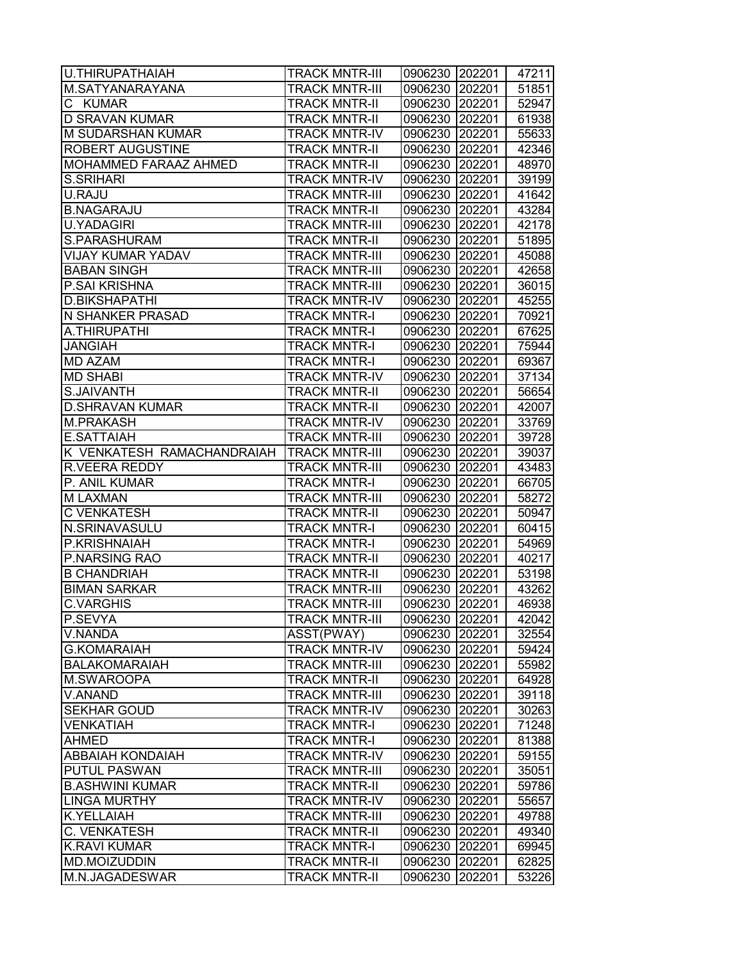| <b>U.THIRUPATHAIAH</b>                     | <b>TRACK MNTR-III</b>                       | 0906230 202201     |                  | 47211          |
|--------------------------------------------|---------------------------------------------|--------------------|------------------|----------------|
| M.SATYANARAYANA                            | <b>TRACK MNTR-III</b>                       | 0906230            | 202201           | 51851          |
| C KUMAR                                    | <b>TRACK MNTR-II</b>                        | 0906230            | 202201           | 52947          |
| <b>D SRAVAN KUMAR</b>                      | <b>TRACK MNTR-II</b>                        | 0906230 202201     |                  | 61938          |
| <b>M SUDARSHAN KUMAR</b>                   | <b>TRACK MNTR-IV</b>                        | 0906230 202201     |                  | 55633          |
| <b>ROBERT AUGUSTINE</b>                    | <b>TRACK MNTR-II</b>                        | 0906230 202201     |                  | 42346          |
| <b>MOHAMMED FARAAZ AHMED</b>               | <b>TRACK MNTR-II</b>                        | 0906230 202201     |                  | 48970          |
| <b>S.SRIHARI</b>                           | <b>TRACK MNTR-IV</b>                        | 0906230            | 202201           | 39199          |
| U.RAJU                                     | <b>TRACK MNTR-III</b>                       | 0906230            | 202201           | 41642          |
| <b>B.NAGARAJU</b>                          | <b>TRACK MNTR-II</b>                        | 0906230 202201     |                  | 43284          |
| <b>U.YADAGIRI</b>                          | <b>TRACK MNTR-III</b>                       | 0906230            | 202201           | 42178          |
| S.PARASHURAM                               | <b>TRACK MNTR-II</b>                        | 0906230            | 202201           | 51895          |
| <b>VIJAY KUMAR YADAV</b>                   | <b>TRACK MNTR-III</b>                       | 0906230            | 202201           | 45088          |
| <b>BABAN SINGH</b>                         | <b>TRACK MNTR-III</b>                       | 0906230            | 202201           | 42658          |
| <b>P.SAI KRISHNA</b>                       | <b>TRACK MNTR-III</b>                       | 0906230            | 202201           | 36015          |
| <b>D.BIKSHAPATHI</b>                       | <b>TRACK MNTR-IV</b>                        | 0906230            | 202201           | 45255          |
| <b>N SHANKER PRASAD</b>                    | <b>TRACK MNTR-I</b>                         | 0906230 202201     |                  | 70921          |
| A.THIRUPATHI                               | <b>TRACK MNTR-I</b>                         | 0906230 202201     |                  | 67625          |
| <b>JANGIAH</b>                             | <b>TRACK MNTR-I</b>                         | 0906230            | 202201           | 75944          |
| <b>MD AZAM</b>                             | <b>TRACK MNTR-I</b>                         | 0906230            | 202201           | 69367          |
| <b>MD SHABI</b>                            | <b>TRACK MNTR-IV</b>                        | 0906230            | 202201           | 37134          |
| S.JAIVANTH                                 | <b>TRACK MNTR-II</b>                        | 0906230 202201     |                  | 56654          |
| <b>D.SHRAVAN KUMAR</b>                     | <b>TRACK MNTR-II</b>                        | 0906230 202201     |                  | 42007          |
| <b>M.PRAKASH</b>                           | <b>TRACK MNTR-IV</b>                        | 0906230            | 202201           | 33769          |
| E.SATTAIAH                                 | <b>TRACK MNTR-III</b>                       | 0906230            | 202201           | 39728          |
| K VENKATESH RAMACHANDRAIAH                 | <b>TRACK MNTR-III</b>                       | 0906230            | 202201           | 39037          |
| R.VEERA REDDY                              | <b>TRACK MNTR-III</b>                       | 0906230            | 202201           | 43483          |
| P. ANIL KUMAR                              | <b>TRACK MNTR-I</b>                         | 0906230            | 202201           | 66705          |
| <b>MLAXMAN</b>                             | <b>TRACK MNTR-III</b>                       | 0906230 202201     |                  | 58272          |
| C VENKATESH                                | <b>TRACK MNTR-II</b>                        | 0906230            | 202201           | 50947          |
| N.SRINAVASULU                              | <b>TRACK MNTR-I</b>                         | 0906230            | 202201           | 60415          |
| P.KRISHNAIAH                               | <b>TRACK MNTR-I</b>                         | 0906230            | 202201           | 54969          |
| P.NARSING RAO                              | <b>TRACK MNTR-II</b>                        | 0906230            | 202201           | 40217          |
| <b>B CHANDRIAH</b>                         | <b>TRACK MNTR-II</b>                        | 0906230            | 202201           | 53198          |
| <b>BIMAN SARKAR</b>                        | <b>TRACK MNTR-III</b>                       | 0906230            | 202201           | 43262          |
| <b>C.VARGHIS</b>                           | <b>TRACK MNTR-III</b>                       | 0906230            | 202201           | 46938          |
| P.SEVYA                                    | <b>TRACK MNTR-III</b>                       | 0906230 202201     |                  | 42042          |
| V.NANDA                                    | ASST(PWAY)                                  | 0906230            | 202201           | 32554          |
| <b>G.KOMARAIAH</b>                         | <b>TRACK MNTR-IV</b>                        | 0906230            | 202201           | 59424          |
| <b>BALAKOMARAIAH</b>                       | <b>TRACK MNTR-III</b>                       | 0906230            | 202201           | 55982          |
| M.SWAROOPA                                 | <b>TRACK MNTR-II</b>                        | 0906230            | 202201           | 64928          |
| V.ANAND                                    | <b>TRACK MNTR-III</b>                       | 0906230 202201     |                  | 39118          |
| <b>SEKHAR GOUD</b>                         | <b>TRACK MNTR-IV</b>                        | 0906230            | 202201           | 30263          |
| <b>VENKATIAH</b>                           | <b>TRACK MNTR-I</b>                         | 0906230            | 202201           | 71248          |
| <b>AHMED</b>                               | <b>TRACK MNTR-I</b>                         | 0906230            | 202201           | 81388          |
| <b>ABBAIAH KONDAIAH</b>                    | <b>TRACK MNTR-IV</b>                        | 0906230            | 202201           | 59155          |
| <b>PUTUL PASWAN</b>                        | <b>TRACK MNTR-III</b>                       | 0906230            | 202201           | 35051          |
| <b>B.ASHWINI KUMAR</b>                     | <b>TRACK MNTR-II</b>                        | 0906230 202201     |                  | 59786          |
| <b>LINGA MURTHY</b>                        | <b>TRACK MNTR-IV</b>                        | 0906230            | 202201           | 55657          |
| <b>K.YELLAIAH</b>                          | <b>TRACK MNTR-III</b>                       | 0906230            | 202201           | 49788          |
| C. VENKATESH                               | <b>TRACK MNTR-II</b>                        | 0906230            | 202201           | 49340          |
| <b>K.RAVI KUMAR</b><br><b>MD.MOIZUDDIN</b> | <b>TRACK MNTR-I</b><br><b>TRACK MNTR-II</b> | 0906230            | 202201           | 69945          |
| M.N.JAGADESWAR                             | <b>TRACK MNTR-II</b>                        | 0906230<br>0906230 | 202201<br>202201 | 62825<br>53226 |
|                                            |                                             |                    |                  |                |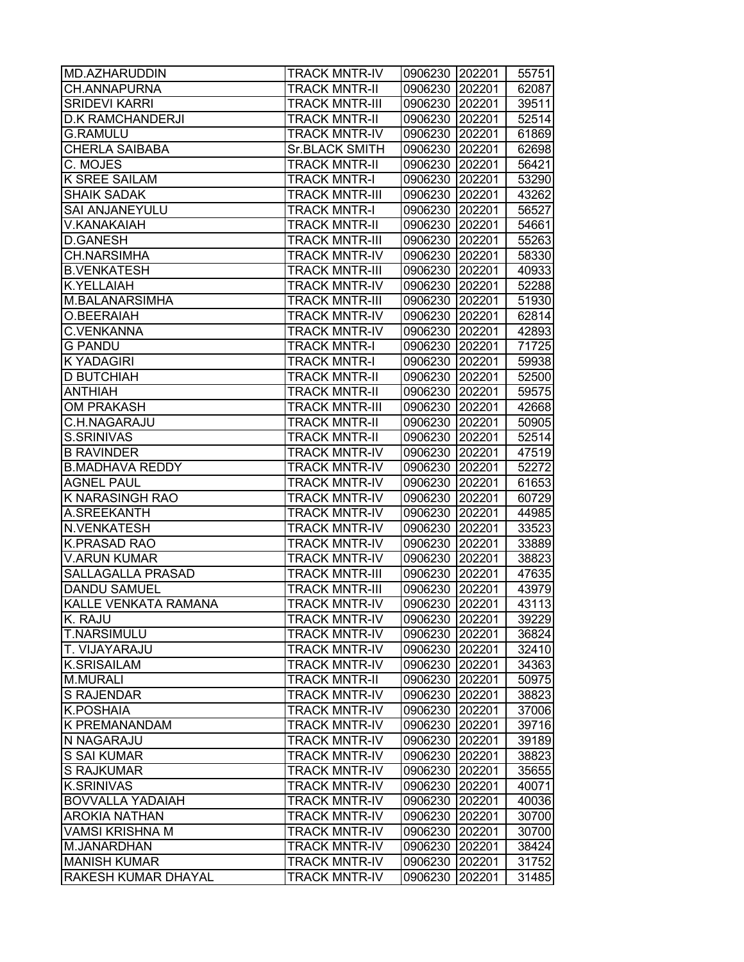| <b>MD.AZHARUDDIN</b>                  | <b>TRACK MNTR-IV</b>                         | 0906230 202201     |                  | 55751          |
|---------------------------------------|----------------------------------------------|--------------------|------------------|----------------|
| CH.ANNAPURNA                          | <b>TRACK MNTR-II</b>                         | 0906230            | 202201           | 62087          |
| <b>SRIDEVI KARRI</b>                  | <b>TRACK MNTR-III</b>                        | 0906230            | 202201           | 39511          |
| <b>D.K RAMCHANDERJI</b>               | <b>TRACK MNTR-II</b>                         | 0906230 202201     |                  | 52514          |
| <b>G.RAMULU</b>                       | <b>TRACK MNTR-IV</b>                         | 0906230 202201     |                  | 61869          |
| <b>CHERLA SAIBABA</b>                 | <b>Sr.BLACK SMITH</b>                        | 0906230 202201     |                  | 62698          |
| C. MOJES                              | <b>TRACK MNTR-II</b>                         | 0906230 202201     |                  | 56421          |
| <b>K SREE SAILAM</b>                  | <b>TRACK MNTR-I</b>                          | 0906230 202201     |                  | 53290          |
| <b>SHAIK SADAK</b>                    | <b>TRACK MNTR-III</b>                        | 0906230 202201     |                  | 43262          |
| <b>SAI ANJANEYULU</b>                 | <b>TRACK MNTR-I</b>                          | 0906230 202201     |                  | 56527          |
| V.KANAKAIAH                           | <b>TRACK MNTR-II</b>                         | 0906230 202201     |                  | 54661          |
| <b>D.GANESH</b>                       | <b>TRACK MNTR-III</b>                        | 0906230 202201     |                  | 55263          |
| <b>CH.NARSIMHA</b>                    | <b>TRACK MNTR-IV</b>                         | 0906230            | 202201           | 58330          |
| <b>B.VENKATESH</b>                    | <b>TRACK MNTR-III</b>                        | 0906230            | 202201           | 40933          |
| <b>K.YELLAIAH</b>                     | <b>TRACK MNTR-IV</b>                         | 0906230            | 202201           | 52288          |
| M.BALANARSIMHA                        | <b>TRACK MNTR-III</b>                        | 0906230            | 202201           | 51930          |
| O.BEERAIAH                            | <b>TRACK MNTR-IV</b>                         | 0906230 202201     |                  | 62814          |
| <b>C.VENKANNA</b>                     | <b>TRACK MNTR-IV</b>                         | 0906230 202201     |                  | 42893          |
| <b>G PANDU</b>                        | <b>TRACK MNTR-I</b>                          | 0906230 202201     |                  | 71725          |
| <b>KYADAGIRI</b>                      | <b>TRACK MNTR-I</b>                          | 0906230 202201     |                  | 59938          |
| <b>D BUTCHIAH</b>                     | <b>TRACK MNTR-II</b>                         | 0906230 202201     |                  | 52500          |
| <b>ANTHIAH</b>                        | <b>TRACK MNTR-II</b>                         | 0906230 202201     |                  | 59575          |
| <b>OM PRAKASH</b>                     | <b>TRACK MNTR-III</b>                        | 0906230 202201     |                  | 42668          |
| <b>C.H.NAGARAJU</b>                   | <b>TRACK MNTR-II</b>                         | 0906230 202201     |                  | 50905          |
| S.SRINIVAS                            | <b>TRACK MNTR-II</b>                         | 0906230            | 202201           | 52514          |
| <b>B RAVINDER</b>                     | <b>TRACK MNTR-IV</b>                         | 0906230            | 202201           | 47519          |
| <b>B.MADHAVA REDDY</b>                | <b>TRACK MNTR-IV</b>                         | 0906230            | 202201           | 52272          |
| <b>AGNEL PAUL</b>                     | <b>TRACK MNTR-IV</b>                         | 0906230            | 202201           | 61653          |
| <b>KNARASINGH RAO</b>                 | <b>TRACK MNTR-IV</b>                         | 0906230            | 202201           | 60729          |
| A.SREEKANTH                           | <b>TRACK MNTR-IV</b>                         | 0906230 202201     |                  | 44985          |
| <b>N.VENKATESH</b>                    | <b>TRACK MNTR-IV</b>                         | 0906230 202201     |                  | 33523          |
| <b>K.PRASAD RAO</b>                   | <b>TRACK MNTR-IV</b>                         | 0906230            | 202201           | 33889          |
| <b>V.ARUN KUMAR</b>                   | <b>TRACK MNTR-IV</b>                         | 0906230 202201     |                  | 38823          |
| SALLAGALLA PRASAD                     | <b>TRACK MNTR-III</b>                        | 0906230 202201     |                  | 47635          |
| <b>DANDU SAMUEL</b>                   | <b>TRACK MNTR-III</b>                        | 0906230 202201     |                  | 43979          |
| KALLE VENKATA RAMANA                  | <b>TRACK MNTR-IV</b>                         | 0906230            | 202201           | 43113          |
| K. RAJU                               | <b>TRACK MNTR-IV</b>                         | 0906230 202201     |                  | 39229          |
| <b>T.NARSIMULU</b>                    | <b>TRACK MNTR-IV</b>                         | 0906230            | 202201           | 36824          |
| T. VIJAYARAJU                         | <b>TRACK MNTR-IV</b>                         | 0906230            | 202201           | 32410          |
| <b>K.SRISAILAM</b>                    | <b>TRACK MNTR-IV</b>                         | 0906230            | 202201           | 34363          |
| <b>M.MURALI</b>                       | <b>TRACK MNTR-II</b>                         | 0906230            | 202201           | 50975          |
| <b>S RAJENDAR</b>                     | <b>TRACK MNTR-IV</b>                         | 0906230 202201     |                  | 38823          |
| <b>K.POSHAIA</b>                      | <b>TRACK MNTR-IV</b>                         | 0906230 202201     |                  | 37006          |
| <b>K PREMANANDAM</b>                  | <b>TRACK MNTR-IV</b>                         | 0906230 202201     |                  | 39716          |
| N NAGARAJU                            | <b>TRACK MNTR-IV</b>                         | 0906230            | 202201           | 39189          |
| S SAI KUMAR                           | <b>TRACK MNTR-IV</b>                         | 0906230            | 202201           | 38823          |
| <b>S RAJKUMAR</b>                     | <b>TRACK MNTR-IV</b>                         | 0906230            | 202201           | 35655          |
| <b>K.SRINIVAS</b>                     | <b>TRACK MNTR-IV</b>                         | 0906230 202201     |                  | 40071          |
| <b>BOVVALLA YADAIAH</b>               | <b>TRACK MNTR-IV</b>                         | 0906230 202201     |                  | 40036          |
| <b>AROKIA NATHAN</b>                  | <b>TRACK MNTR-IV</b>                         | 0906230            | 202201           | 30700          |
| <b>VAMSI KRISHNA M</b><br>M.JANARDHAN | <b>TRACK MNTR-IV</b>                         | 0906230<br>0906230 | 202201           | 30700          |
| <b>MANISH KUMAR</b>                   | <b>TRACK MNTR-IV</b><br><b>TRACK MNTR-IV</b> | 0906230            | 202201<br>202201 | 38424<br>31752 |
| <b>RAKESH KUMAR DHAYAL</b>            | <b>TRACK MNTR-IV</b>                         | 0906230            | 202201           | 31485          |
|                                       |                                              |                    |                  |                |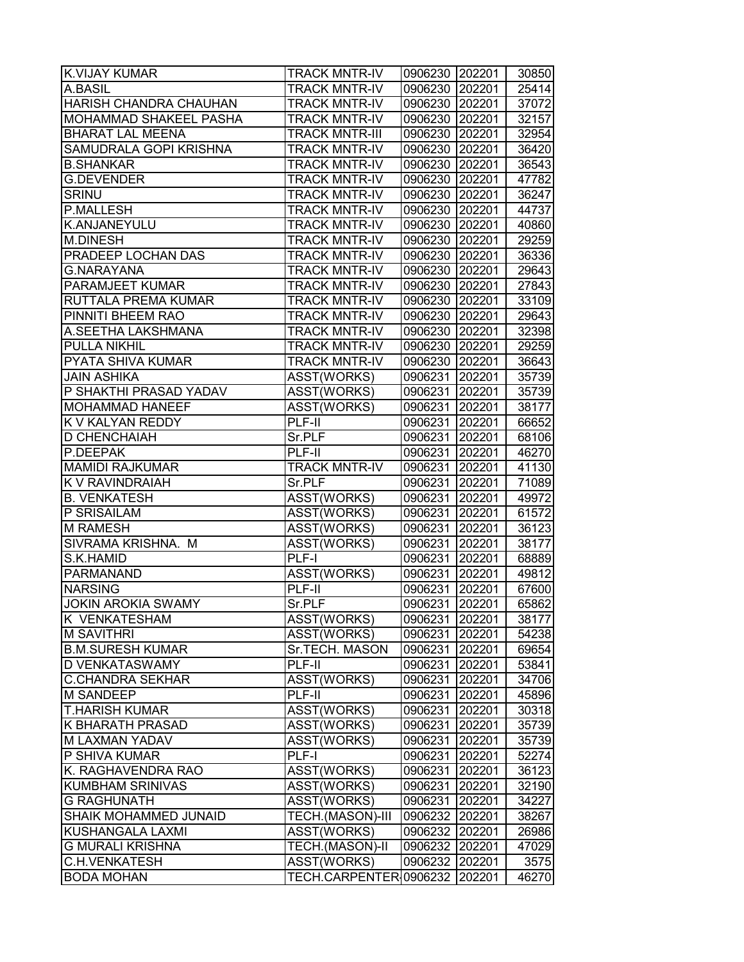| <b>K.VIJAY KUMAR</b>      | <b>TRACK MNTR-IV</b>   | 0906230 202201 |        | 30850 |
|---------------------------|------------------------|----------------|--------|-------|
| A.BASIL                   | <b>TRACK MNTR-IV</b>   | 0906230 202201 |        | 25414 |
| HARISH CHANDRA CHAUHAN    | <b>TRACK MNTR-IV</b>   | 0906230 202201 |        | 37072 |
| MOHAMMAD SHAKEEL PASHA    | <b>TRACK MNTR-IV</b>   | 0906230 202201 |        | 32157 |
| <b>BHARAT LAL MEENA</b>   | <b>TRACK MNTR-III</b>  | 0906230 202201 |        | 32954 |
| SAMUDRALA GOPI KRISHNA    | <b>TRACK MNTR-IV</b>   | 0906230 202201 |        | 36420 |
| <b>B.SHANKAR</b>          | <b>TRACK MNTR-IV</b>   | 0906230 202201 |        | 36543 |
| <b>G.DEVENDER</b>         | <b>TRACK MNTR-IV</b>   | 0906230 202201 |        | 47782 |
| <b>SRINU</b>              | <b>TRACK MNTR-IV</b>   | 0906230 202201 |        | 36247 |
| <b>P.MALLESH</b>          | <b>TRACK MNTR-IV</b>   | 0906230 202201 |        | 44737 |
| K.ANJANEYULU              | <b>TRACK MNTR-IV</b>   | 0906230 202201 |        | 40860 |
| <b>M.DINESH</b>           | <b>TRACK MNTR-IV</b>   | 0906230 202201 |        | 29259 |
| PRADEEP LOCHAN DAS        | <b>TRACK MNTR-IV</b>   | 0906230 202201 |        | 36336 |
| <b>G.NARAYANA</b>         | <b>TRACK MNTR-IV</b>   | 0906230 202201 |        | 29643 |
| PARAMJEET KUMAR           | <b>TRACK MNTR-IV</b>   | 0906230 202201 |        | 27843 |
| RUTTALA PREMA KUMAR       | <b>TRACK MNTR-IV</b>   | 0906230 202201 |        | 33109 |
| PINNITI BHEEM RAO         | <b>TRACK MNTR-IV</b>   | 0906230 202201 |        | 29643 |
| A.SEETHA LAKSHMANA        | <b>TRACK MNTR-IV</b>   | 0906230 202201 |        | 32398 |
| PULLA NIKHIL              | <b>TRACK MNTR-IV</b>   | 0906230 202201 |        | 29259 |
| PYATA SHIVA KUMAR         | <b>TRACK MNTR-IV</b>   | 0906230 202201 |        | 36643 |
| <b>JAIN ASHIKA</b>        | ASST(WORKS)            | 0906231        | 202201 | 35739 |
| P SHAKTHI PRASAD YADAV    | ASST(WORKS)            | 0906231        | 202201 | 35739 |
| <b>MOHAMMAD HANEEF</b>    | ASST(WORKS)            | 0906231 202201 |        | 38177 |
| K V KALYAN REDDY          | PLF-II                 | 0906231 202201 |        | 66652 |
| D CHENCHAIAH              | Sr.PLF                 | 0906231 202201 |        | 68106 |
| P.DEEPAK                  | PLF-II                 | 0906231        | 202201 | 46270 |
| <b>MAMIDI RAJKUMAR</b>    | <b>TRACK MNTR-IV</b>   | 0906231 202201 |        | 41130 |
| K V RAVINDRAIAH           | Sr.PLF                 | 0906231        | 202201 | 71089 |
| <b>B. VENKATESH</b>       | ASST(WORKS)            | 0906231 202201 |        | 49972 |
| P SRISAILAM               | ASST(WORKS)            | 0906231 202201 |        | 61572 |
| <b>M RAMESH</b>           | ASST(WORKS)            | 0906231 202201 |        | 36123 |
| SIVRAMA KRISHNA. M        | ASST(WORKS)            | 0906231        | 202201 | 38177 |
| S.K.HAMID                 | PLF-I                  | 0906231        | 202201 | 68889 |
| PARMANAND                 | ASST(WORKS)            | 0906231        | 202201 | 49812 |
| <b>NARSING</b>            | PLF-II                 | 0906231        | 202201 | 67600 |
| <b>JOKIN AROKIA SWAMY</b> | Sr.PLF                 | 0906231 202201 |        | 65862 |
| K VENKATESHAM             | ASST(WORKS)            | 0906231 202201 |        | 38177 |
| <b>M SAVITHRI</b>         | ASST(WORKS)            | 0906231        | 202201 | 54238 |
| <b>B.M.SURESH KUMAR</b>   | Sr.TECH. MASON         | 0906231        | 202201 | 69654 |
| D VENKATASWAMY            | PLF-II                 | 0906231        | 202201 | 53841 |
| <b>C.CHANDRA SEKHAR</b>   | ASST(WORKS)            | 0906231        | 202201 | 34706 |
| M SANDEEP                 | PLF-II                 | 0906231        | 202201 | 45896 |
| <b>T.HARISH KUMAR</b>     | ASST(WORKS)            | 0906231        | 202201 | 30318 |
| K BHARATH PRASAD          | ASST(WORKS)            | 0906231        | 202201 | 35739 |
| M LAXMAN YADAV            | ASST(WORKS)            | 0906231        | 202201 | 35739 |
| P SHIVA KUMAR             | PLF-I                  | 0906231        | 202201 | 52274 |
| K. RAGHAVENDRA RAO        | ASST(WORKS)            | 0906231        | 202201 | 36123 |
| <b>KUMBHAM SRINIVAS</b>   | ASST(WORKS)            | 0906231        | 202201 | 32190 |
| <b>G RAGHUNATH</b>        | ASST(WORKS)            | 0906231 202201 |        | 34227 |
| SHAIK MOHAMMED JUNAID     | TECH.(MASON)-III       | 0906232 202201 |        | 38267 |
| KUSHANGALA LAXMI          | ASST(WORKS)            | 0906232 202201 |        | 26986 |
| G MURALI KRISHNA          | <b>TECH.(MASON)-II</b> | 0906232 202201 |        | 47029 |
| <b>C.H.VENKATESH</b>      | ASST(WORKS)            | 0906232        | 202201 | 3575  |
| <b>BODA MOHAN</b>         | TECH.CARPENTER 0906232 |                | 202201 | 46270 |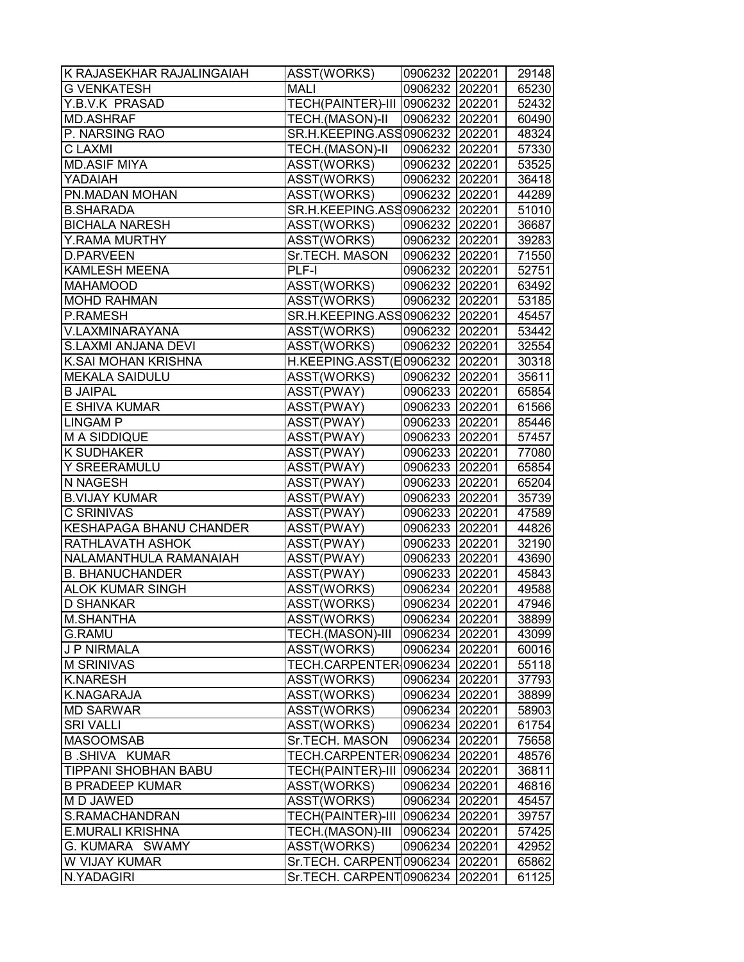| K RAJASEKHAR RAJALINGAIAH      | ASST(WORKS)                      | 0906232 202201 |        | 29148 |
|--------------------------------|----------------------------------|----------------|--------|-------|
| <b>G VENKATESH</b>             | <b>MALI</b>                      | 0906232 202201 |        | 65230 |
| Y.B.V.K PRASAD                 | TECH(PAINTER)-III 0906232 202201 |                |        | 52432 |
| <b>MD.ASHRAF</b>               | TECH.(MASON)-II                  | 0906232 202201 |        | 60490 |
| P. NARSING RAO                 | SR.H.KEEPING.ASS0906232 202201   |                |        | 48324 |
| C LAXMI                        | TECH.(MASON)-II                  | 0906232 202201 |        | 57330 |
| <b>MD.ASIF MIYA</b>            | ASST(WORKS)                      | 0906232 202201 |        | 53525 |
| YADAIAH                        | ASST(WORKS)                      | 0906232 202201 |        | 36418 |
| PN.MADAN MOHAN                 | ASST(WORKS)                      | 0906232 202201 |        | 44289 |
| <b>B.SHARADA</b>               | SR.H.KEEPING.ASS0906232 202201   |                |        | 51010 |
| <b>BICHALA NARESH</b>          | ASST(WORKS)                      | 0906232 202201 |        | 36687 |
| Y.RAMA MURTHY                  | ASST(WORKS)                      | 0906232 202201 |        | 39283 |
| <b>D.PARVEEN</b>               | Sr.TECH. MASON                   | 0906232 202201 |        | 71550 |
| <b>KAMLESH MEENA</b>           | PLF-I                            | 0906232 202201 |        | 52751 |
| <b>MAHAMOOD</b>                | ASST(WORKS)                      | 0906232 202201 |        | 63492 |
| <b>MOHD RAHMAN</b>             | ASST(WORKS)                      | 0906232 202201 |        | 53185 |
| P.RAMESH                       | SR.H.KEEPING.ASS0906232 202201   |                |        | 45457 |
| V.LAXMINARAYANA                | ASST(WORKS)                      | 0906232 202201 |        | 53442 |
| <b>S.LAXMI ANJANA DEVI</b>     | ASST(WORKS)                      | 0906232 202201 |        | 32554 |
| K.SAI MOHAN KRISHNA            | H.KEEPING.ASST(E0906232 202201   |                |        | 30318 |
| <b>MEKALA SAIDULU</b>          | ASST(WORKS)                      | 0906232 202201 |        | 35611 |
| <b>B JAIPAL</b>                | ASST(PWAY)                       | 0906233 202201 |        | 65854 |
| <b>E SHIVA KUMAR</b>           | ASST(PWAY)                       | 0906233 202201 |        | 61566 |
| <b>LINGAM P</b>                | ASST(PWAY)                       | 0906233 202201 |        | 85446 |
| <b>M A SIDDIQUE</b>            | ASST(PWAY)                       | 0906233 202201 |        | 57457 |
| <b>K SUDHAKER</b>              | ASST(PWAY)                       | 0906233 202201 |        | 77080 |
| Y SREERAMULU                   | ASST(PWAY)                       | 0906233 202201 |        | 65854 |
| N NAGESH                       | ASST(PWAY)                       | 0906233 202201 |        | 65204 |
| <b>B.VIJAY KUMAR</b>           | ASST(PWAY)                       | 0906233 202201 |        | 35739 |
| <b>C SRINIVAS</b>              | ASST(PWAY)                       | 0906233 202201 |        | 47589 |
| <b>KESHAPAGA BHANU CHANDER</b> | ASST(PWAY)                       | 0906233 202201 |        | 44826 |
| <b>RATHLAVATH ASHOK</b>        | ASST(PWAY)                       | 0906233 202201 |        | 32190 |
| NALAMANTHULA RAMANAIAH         | ASST(PWAY)                       | 0906233 202201 |        | 43690 |
| <b>B. BHANUCHANDER</b>         | ASST(PWAY)                       | 0906233 202201 |        | 45843 |
| <b>ALOK KUMAR SINGH</b>        | ASST(WORKS)                      | 0906234 202201 |        | 49588 |
| <b>D SHANKAR</b>               | ASST(WORKS)                      | 0906234 202201 |        | 47946 |
| <b>M.SHANTHA</b>               | ASST(WORKS)                      | 0906234 202201 |        | 38899 |
| <b>G.RAMU</b>                  | TECH.(MASON)-III                 | 0906234 202201 |        | 43099 |
| <b>J P NIRMALA</b>             | ASST(WORKS)                      | 0906234 202201 |        | 60016 |
| <b>M SRINIVAS</b>              | TECH.CARPENTER 0906234 202201    |                |        | 55118 |
| <b>K.NARESH</b>                | ASST(WORKS)                      | 0906234 202201 |        | 37793 |
| K.NAGARAJA                     | ASST(WORKS)                      | 0906234 202201 |        | 38899 |
| <b>MD SARWAR</b>               | ASST(WORKS)                      | 0906234 202201 |        | 58903 |
| <b>SRI VALLI</b>               | ASST(WORKS)                      | 0906234 202201 |        | 61754 |
| <b>MASOOMSAB</b>               | Sr.TECH. MASON                   | 0906234 202201 |        | 75658 |
| <b>B.SHIVA KUMAR</b>           | TECH.CARPENTER 0906234 202201    |                |        | 48576 |
| <b>TIPPANI SHOBHAN BABU</b>    | TECH(PAINTER)-III 0906234 202201 |                |        | 36811 |
| <b>B PRADEEP KUMAR</b>         | ASST(WORKS)                      | 0906234 202201 |        | 46816 |
| M D JAWED                      | ASST(WORKS)                      | 0906234 202201 |        | 45457 |
| S.RAMACHANDRAN                 | TECH(PAINTER)-III 0906234 202201 |                |        | 39757 |
| <b>E.MURALI KRISHNA</b>        | TECH.(MASON)-III                 | 0906234 202201 |        | 57425 |
| G. KUMARA SWAMY                | ASST(WORKS)                      | 0906234 202201 |        | 42952 |
| W VIJAY KUMAR                  | Sr.TECH. CARPENT 0906234         |                | 202201 | 65862 |
| N.YADAGIRI                     | Sr.TECH. CARPENT0906234          |                | 202201 | 61125 |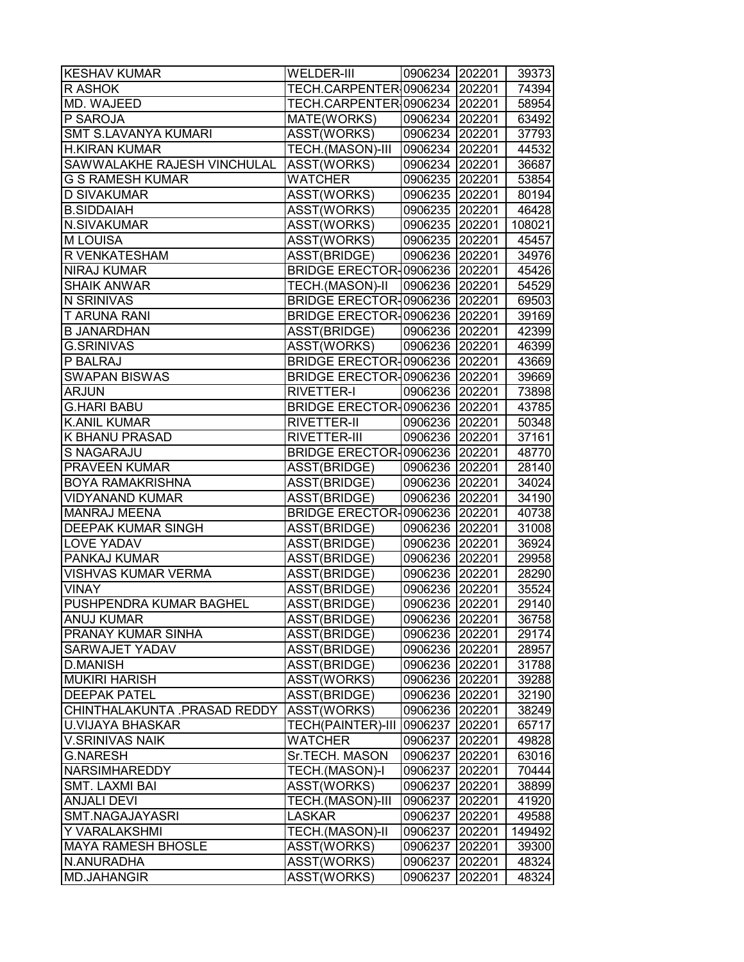| <b>KESHAV KUMAR</b>          | WELDER-III                      | 0906234 202201 |        | 39373  |
|------------------------------|---------------------------------|----------------|--------|--------|
| R ASHOK                      | TECH.CARPENTER 0906234 202201   |                |        | 74394  |
| MD. WAJEED                   | TECH.CARPENTER 0906234   202201 |                |        | 58954  |
| P SAROJA                     | MATE(WORKS)                     | 0906234 202201 |        | 63492  |
| <b>SMT S.LAVANYA KUMARI</b>  | ASST(WORKS)                     | 0906234 202201 |        | 37793  |
| <b>H.KIRAN KUMAR</b>         | TECH.(MASON)-III                | 0906234 202201 |        | 44532  |
| SAWWALAKHE RAJESH VINCHULAL  | ASST(WORKS)                     | 0906234 202201 |        | 36687  |
| G S RAMESH KUMAR             | <b>WATCHER</b>                  | 0906235 202201 |        | 53854  |
| <b>D SIVAKUMAR</b>           | ASST(WORKS)                     | 0906235 202201 |        | 80194  |
| <b>B.SIDDAIAH</b>            | ASST(WORKS)                     | 0906235 202201 |        | 46428  |
| N.SIVAKUMAR                  | ASST(WORKS)                     | 0906235 202201 |        | 108021 |
| <b>MLOUISA</b>               | ASST(WORKS)                     | 0906235 202201 |        | 45457  |
| R VENKATESHAM                | ASST(BRIDGE)                    | 0906236 202201 |        | 34976  |
| <b>NIRAJ KUMAR</b>           | BRIDGE ERECTOR-0906236 202201   |                |        | 45426  |
| <b>SHAIK ANWAR</b>           | TECH.(MASON)-II                 | 0906236 202201 |        | 54529  |
| N SRINIVAS                   | BRIDGE ERECTOR-0906236 202201   |                |        | 69503  |
| <b>T ARUNA RANI</b>          | BRIDGE ERECTOR-0906236 202201   |                |        | 39169  |
| <b>B JANARDHAN</b>           | ASST(BRIDGE)                    | 0906236 202201 |        | 42399  |
| <b>G.SRINIVAS</b>            | ASST(WORKS)                     | 0906236 202201 |        | 46399  |
| P BALRAJ                     | BRIDGE ERECTOR-0906236 202201   |                |        | 43669  |
| <b>SWAPAN BISWAS</b>         | BRIDGE ERECTOR-0906236 202201   |                |        | 39669  |
| <b>ARJUN</b>                 | <b>RIVETTER-I</b>               | 0906236 202201 |        | 73898  |
| <b>G.HARI BABU</b>           | BRIDGE ERECTOR-0906236 202201   |                |        | 43785  |
| <b>K.ANIL KUMAR</b>          | <b>RIVETTER-II</b>              | 0906236 202201 |        | 50348  |
| K BHANU PRASAD               | RIVETTER-III                    | 0906236 202201 |        | 37161  |
| S NAGARAJU                   | BRIDGE ERECTOR-0906236   202201 |                |        | 48770  |
| <b>PRAVEEN KUMAR</b>         | ASST(BRIDGE)                    | 0906236 202201 |        | 28140  |
| <b>BOYA RAMAKRISHNA</b>      | ASST(BRIDGE)                    | 0906236 202201 |        | 34024  |
| <b>VIDYANAND KUMAR</b>       | ASST(BRIDGE)                    | 0906236 202201 |        | 34190  |
| <b>MANRAJ MEENA</b>          | BRIDGE ERECTOR-0906236 202201   |                |        | 40738  |
| DEEPAK KUMAR SINGH           | ASST(BRIDGE)                    | 0906236 202201 |        | 31008  |
| LOVE YADAV                   | ASST(BRIDGE)                    | 0906236 202201 |        | 36924  |
| PANKAJ KUMAR                 | ASST(BRIDGE)                    | 0906236 202201 |        | 29958  |
| <b>VISHVAS KUMAR VERMA</b>   | ASST(BRIDGE)                    | 0906236 202201 |        | 28290  |
| <b>VINAY</b>                 | ASST(BRIDGE)                    | 0906236 202201 |        | 35524  |
| PUSHPENDRA KUMAR BAGHEL      | ASST(BRIDGE)                    | 0906236 202201 |        | 29140  |
| <b>ANUJ KUMAR</b>            | ASST(BRIDGE)                    | 0906236 202201 |        | 36758  |
| PRANAY KUMAR SINHA           | ASST(BRIDGE)                    | 0906236        | 202201 | 29174  |
| SARWAJET YADAV               | ASST(BRIDGE)                    | 0906236        | 202201 | 28957  |
| <b>D.MANISH</b>              | ASST(BRIDGE)                    | 0906236 202201 |        | 31788  |
| <b>MUKIRI HARISH</b>         | ASST(WORKS)                     | 0906236 202201 |        | 39288  |
| <b>DEEPAK PATEL</b>          | ASST(BRIDGE)                    | 0906236 202201 |        | 32190  |
| CHINTHALAKUNTA .PRASAD REDDY | ASST(WORKS)                     | 0906236 202201 |        | 38249  |
| <b>U.VIJAYA BHASKAR</b>      | <b>TECH(PAINTER)-III</b>        | 0906237        | 202201 | 65717  |
| <b>V.SRINIVAS NAIK</b>       | <b>WATCHER</b>                  | 0906237        | 202201 | 49828  |
| <b>G.NARESH</b>              | Sr.TECH. MASON                  | 0906237        | 202201 | 63016  |
| <b>NARSIMHAREDDY</b>         | TECH.(MASON)-I                  | 0906237        | 202201 | 70444  |
| <b>SMT. LAXMI BAI</b>        | ASST(WORKS)                     | 0906237        | 202201 | 38899  |
| <b>ANJALI DEVI</b>           | TECH.(MASON)-III                | 0906237        | 202201 | 41920  |
| SMT.NAGAJAYASRI              | <b>LASKAR</b>                   | 0906237        | 202201 | 49588  |
| Y VARALAKSHMI                | TECH.(MASON)-II                 | 0906237        | 202201 | 149492 |
| <b>MAYA RAMESH BHOSLE</b>    | ASST(WORKS)                     | 0906237        | 202201 | 39300  |
| N.ANURADHA                   | ASST(WORKS)                     | 0906237        | 202201 | 48324  |
| <b>MD.JAHANGIR</b>           | ASST(WORKS)                     | 0906237        | 202201 | 48324  |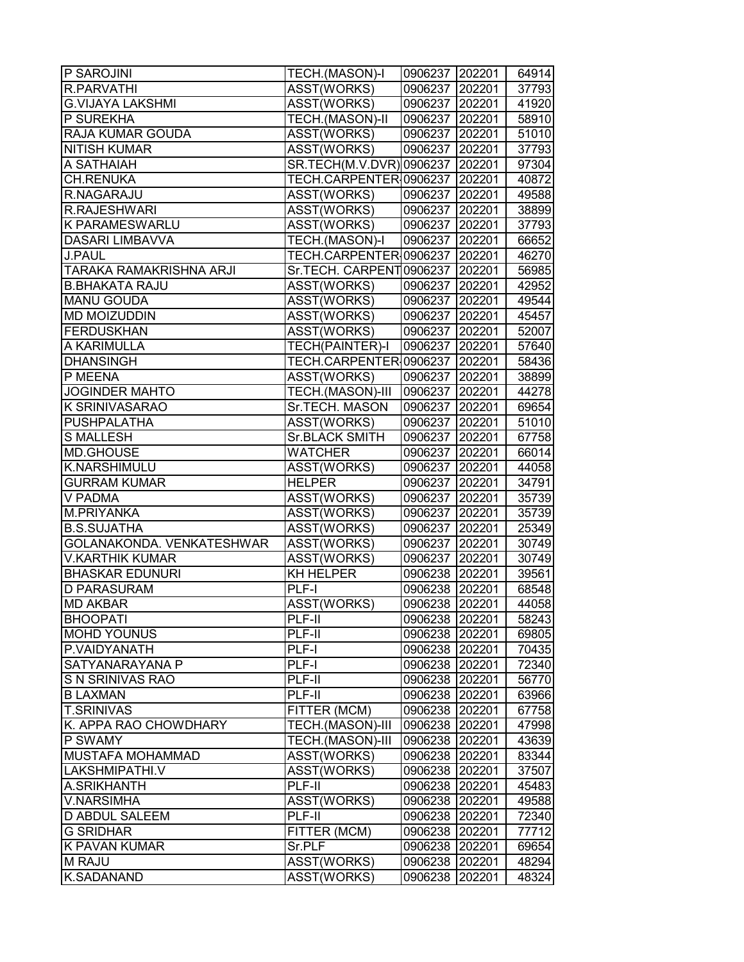| P SAROJINI                     | TECH.(MASON)-I           | 0906237 202201 |        | 64914 |
|--------------------------------|--------------------------|----------------|--------|-------|
| R.PARVATHI                     | ASST(WORKS)              | 0906237        | 202201 | 37793 |
| <b>G.VIJAYA LAKSHMI</b>        | ASST(WORKS)              | 0906237        | 202201 | 41920 |
| P SUREKHA                      | <b>TECH.(MASON)-II</b>   | 0906237 202201 |        | 58910 |
| <b>RAJA KUMAR GOUDA</b>        | ASST(WORKS)              | 0906237 202201 |        | 51010 |
| <b>NITISH KUMAR</b>            | ASST(WORKS)              | 0906237 202201 |        | 37793 |
| A SATHAIAH                     | SR.TECH(M.V.DVR) 0906237 |                | 202201 | 97304 |
| <b>CH.RENUKA</b>               | TECH.CARPENTER 0906237   |                | 202201 | 40872 |
| R.NAGARAJU                     | ASST(WORKS)              | 0906237        | 202201 | 49588 |
| R.RAJESHWARI                   | ASST(WORKS)              | 0906237 202201 |        | 38899 |
| <b>K PARAMESWARLU</b>          | ASST(WORKS)              | 0906237 202201 |        | 37793 |
| <b>DASARI LIMBAVVA</b>         | TECH.(MASON)-I           | 0906237        | 202201 | 66652 |
| J.PAUL                         | TECH.CARPENTER 0906237   |                | 202201 | 46270 |
| <b>TARAKA RAMAKRISHNA ARJI</b> | Sr.TECH. CARPENT0906237  |                | 202201 | 56985 |
| <b>B.BHAKATA RAJU</b>          | ASST(WORKS)              | 0906237        | 202201 | 42952 |
| <b>MANU GOUDA</b>              | ASST(WORKS)              | 0906237        | 202201 | 49544 |
| <b>MD MOIZUDDIN</b>            | ASST(WORKS)              | 0906237 202201 |        | 45457 |
| <b>FERDUSKHAN</b>              | ASST(WORKS)              | 0906237 202201 |        | 52007 |
| A KARIMULLA                    | <b>TECH(PAINTER)-I</b>   | 0906237        | 202201 | 57640 |
| <b>DHANSINGH</b>               | TECH.CARPENTER 0906237   |                | 202201 | 58436 |
| P MEENA                        | ASST(WORKS)              | 0906237        | 202201 | 38899 |
| <b>JOGINDER MAHTO</b>          | <b>TECH.(MASON)-III</b>  | 0906237        | 202201 | 44278 |
| <b>K SRINIVASARAO</b>          | Sr.TECH. MASON           | 0906237 202201 |        | 69654 |
| <b>PUSHPALATHA</b>             | ASST(WORKS)              | 0906237        | 202201 | 51010 |
| <b>S MALLESH</b>               | Sr.BLACK SMITH           | 0906237        | 202201 | 67758 |
| MD.GHOUSE                      | <b>WATCHER</b>           | 0906237        | 202201 | 66014 |
| K.NARSHIMULU                   | ASST(WORKS)              | 0906237        | 202201 | 44058 |
| <b>GURRAM KUMAR</b>            | <b>HELPER</b>            | 0906237        | 202201 | 34791 |
| V PADMA                        | ASST(WORKS)              | 0906237 202201 |        | 35739 |
| M.PRIYANKA                     | ASST(WORKS)              | 0906237 202201 |        | 35739 |
| <b>B.S.SUJATHA</b>             | ASST(WORKS)              | 0906237 202201 |        | 25349 |
| GOLANAKONDA. VENKATESHWAR      | ASST(WORKS)              | 0906237        | 202201 | 30749 |
| <b>V.KARTHIK KUMAR</b>         | ASST(WORKS)              | 0906237        | 202201 | 30749 |
| <b>BHASKAR EDUNURI</b>         | <b>KH HELPER</b>         | 0906238 202201 |        | 39561 |
| <b>D PARASURAM</b>             | PLF-I                    | 0906238 202201 |        | 68548 |
| <b>MD AKBAR</b>                | ASST(WORKS)              | 0906238        | 202201 | 44058 |
| <b>BHOOPATI</b>                | PLF-II                   | 0906238 202201 |        | 58243 |
| <b>MOHD YOUNUS</b>             | PLF-II                   | 0906238 202201 |        | 69805 |
| P.VAIDYANATH                   | PLF-I                    | 0906238 202201 |        | 70435 |
| SATYANARAYANA P                | PLF-I                    | 0906238        | 202201 | 72340 |
| S N SRINIVAS RAO               | PLF-II                   | 0906238 202201 |        | 56770 |
| <b>B LAXMAN</b>                | PLF-II                   | 0906238 202201 |        | 63966 |
| <b>T.SRINIVAS</b>              | FITTER (MCM)             | 0906238 202201 |        | 67758 |
| K. APPA RAO CHOWDHARY          | TECH.(MASON)-III         | 0906238 202201 |        | 47998 |
| P SWAMY                        | TECH.(MASON)-III         | 0906238        | 202201 | 43639 |
| MUSTAFA MOHAMMAD               | ASST(WORKS)              | 0906238        | 202201 | 83344 |
| LAKSHMIPATHI.V                 | ASST(WORKS)              | 0906238        | 202201 | 37507 |
| A.SRIKHANTH                    | PLF-II                   | 0906238 202201 |        | 45483 |
| <b>V.NARSIMHA</b>              | ASST(WORKS)              | 0906238 202201 |        | 49588 |
| <b>D ABDUL SALEEM</b>          | PLF-II                   | 0906238        | 202201 | 72340 |
| <b>G SRIDHAR</b>               | FITTER (MCM)             | 0906238        | 202201 | 77712 |
| <b>K PAVAN KUMAR</b>           | Sr.PLF                   | 0906238        | 202201 | 69654 |
| <b>M RAJU</b>                  | ASST(WORKS)              | 0906238        | 202201 | 48294 |
| <b>K.SADANAND</b>              | ASST(WORKS)              | 0906238        | 202201 | 48324 |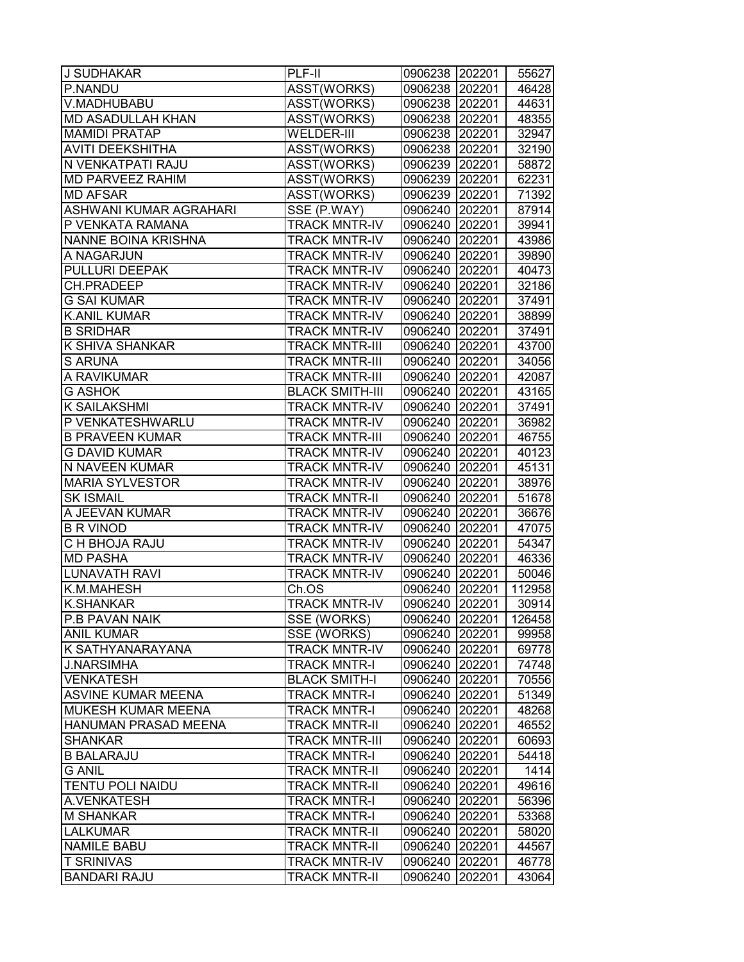| J SUDHAKAR                | PLF-II                 | 0906238 202201 |        | 55627  |
|---------------------------|------------------------|----------------|--------|--------|
| P.NANDU                   | ASST(WORKS)            | 0906238 202201 |        | 46428  |
| V.MADHUBABU               | ASST(WORKS)            | 0906238 202201 |        | 44631  |
| <b>MD ASADULLAH KHAN</b>  | ASST(WORKS)            | 0906238 202201 |        | 48355  |
| <b>MAMIDI PRATAP</b>      | <b>WELDER-III</b>      | 0906238 202201 |        | 32947  |
| <b>AVITI DEEKSHITHA</b>   | ASST(WORKS)            | 0906238 202201 |        | 32190  |
| N VENKATPATI RAJU         | ASST(WORKS)            | 0906239 202201 |        | 58872  |
| <b>MD PARVEEZ RAHIM</b>   | ASST(WORKS)            | 0906239 202201 |        | 62231  |
| <b>MD AFSAR</b>           | ASST(WORKS)            | 0906239 202201 |        | 71392  |
| ASHWANI KUMAR AGRAHARI    | SSE (P.WAY)            | 0906240 202201 |        | 87914  |
| P VENKATA RAMANA          | <b>TRACK MNTR-IV</b>   | 0906240 202201 |        | 39941  |
| NANNE BOINA KRISHNA       | <b>TRACK MNTR-IV</b>   | 0906240 202201 |        | 43986  |
| A NAGARJUN                | <b>TRACK MNTR-IV</b>   | 0906240        | 202201 | 39890  |
| PULLURI DEEPAK            | <b>TRACK MNTR-IV</b>   | 0906240        | 202201 | 40473  |
| CH.PRADEEP                | <b>TRACK MNTR-IV</b>   | 0906240        | 202201 | 32186  |
| <b>G SAI KUMAR</b>        | <b>TRACK MNTR-IV</b>   | 0906240 202201 |        | 37491  |
| <b>K.ANIL KUMAR</b>       | <b>TRACK MNTR-IV</b>   | 0906240 202201 |        | 38899  |
| <b>B SRIDHAR</b>          | <b>TRACK MNTR-IV</b>   | 0906240 202201 |        | 37491  |
| K SHIVA SHANKAR           | <b>TRACK MNTR-III</b>  | 0906240 202201 |        | 43700  |
| <b>S ARUNA</b>            | <b>TRACK MNTR-III</b>  | 0906240 202201 |        | 34056  |
| A RAVIKUMAR               | <b>TRACK MNTR-III</b>  | 0906240 202201 |        | 42087  |
| <b>G ASHOK</b>            | <b>BLACK SMITH-III</b> | 0906240 202201 |        | 43165  |
| K SAILAKSHMI              | <b>TRACK MNTR-IV</b>   | 0906240 202201 |        | 37491  |
| P VENKATESHWARLU          | <b>TRACK MNTR-IV</b>   | 0906240 202201 |        | 36982  |
| <b>B PRAVEEN KUMAR</b>    | <b>TRACK MNTR-III</b>  | 0906240        | 202201 | 46755  |
| G DAVID KUMAR             | <b>TRACK MNTR-IV</b>   | 0906240        | 202201 | 40123  |
| N NAVEEN KUMAR            | <b>TRACK MNTR-IV</b>   | 0906240        | 202201 | 45131  |
| <b>MARIA SYLVESTOR</b>    | <b>TRACK MNTR-IV</b>   | 0906240 202201 |        | 38976  |
| <b>SK ISMAIL</b>          | <b>TRACK MNTR-II</b>   | 0906240 202201 |        | 51678  |
| A JEEVAN KUMAR            | <b>TRACK MNTR-IV</b>   | 0906240 202201 |        | 36676  |
| <b>B R VINOD</b>          | <b>TRACK MNTR-IV</b>   | 0906240 202201 |        | 47075  |
| C H BHOJA RAJU            | <b>TRACK MNTR-IV</b>   | 0906240 202201 |        | 54347  |
| <b>MD PASHA</b>           | <b>TRACK MNTR-IV</b>   | 0906240 202201 |        | 46336  |
| <b>LUNAVATH RAVI</b>      | <b>TRACK MNTR-IV</b>   | 0906240 202201 |        | 50046  |
| K.M.MAHESH                | Ch.OS                  | 0906240 202201 |        | 112958 |
| <b>K.SHANKAR</b>          | <b>TRACK MNTR-IV</b>   | 0906240 202201 |        | 30914  |
| P.B PAVAN NAIK            | SSE (WORKS)            | 0906240 202201 |        | 126458 |
| <b>ANIL KUMAR</b>         | SSE (WORKS)            | 0906240        | 202201 | 99958  |
| K SATHYANARAYANA          | <b>TRACK MNTR-IV</b>   | 0906240        | 202201 | 69778  |
| <b>J.NARSIMHA</b>         | <b>TRACK MNTR-I</b>    | 0906240        | 202201 | 74748  |
| <b>VENKATESH</b>          | <b>BLACK SMITH-I</b>   | 0906240        | 202201 | 70556  |
| <b>ASVINE KUMAR MEENA</b> | <b>TRACK MNTR-I</b>    | 0906240 202201 |        | 51349  |
| MUKESH KUMAR MEENA        | <b>TRACK MNTR-I</b>    | 0906240        | 202201 | 48268  |
| HANUMAN PRASAD MEENA      | <b>TRACK MNTR-II</b>   | 0906240        | 202201 | 46552  |
| <b>SHANKAR</b>            | <b>TRACK MNTR-III</b>  | 0906240        | 202201 | 60693  |
| <b>B BALARAJU</b>         | <b>TRACK MNTR-I</b>    | 0906240 202201 |        | 54418  |
| <b>G ANIL</b>             | <b>TRACK MNTR-II</b>   | 0906240 202201 |        | 1414   |
| <b>TENTU POLI NAIDU</b>   | <b>TRACK MNTR-II</b>   | 0906240 202201 |        | 49616  |
| A.VENKATESH               | <b>TRACK MNTR-I</b>    | 0906240 202201 |        | 56396  |
| <b>M SHANKAR</b>          | <b>TRACK MNTR-I</b>    | 0906240        | 202201 | 53368  |
| <b>LALKUMAR</b>           | <b>TRACK MNTR-II</b>   | 0906240        | 202201 | 58020  |
| <b>NAMILE BABU</b>        | <b>TRACK MNTR-II</b>   | 0906240        | 202201 | 44567  |
| <b>T SRINIVAS</b>         | <b>TRACK MNTR-IV</b>   | 0906240        | 202201 | 46778  |
| <b>BANDARI RAJU</b>       | <b>TRACK MNTR-II</b>   | 0906240        | 202201 | 43064  |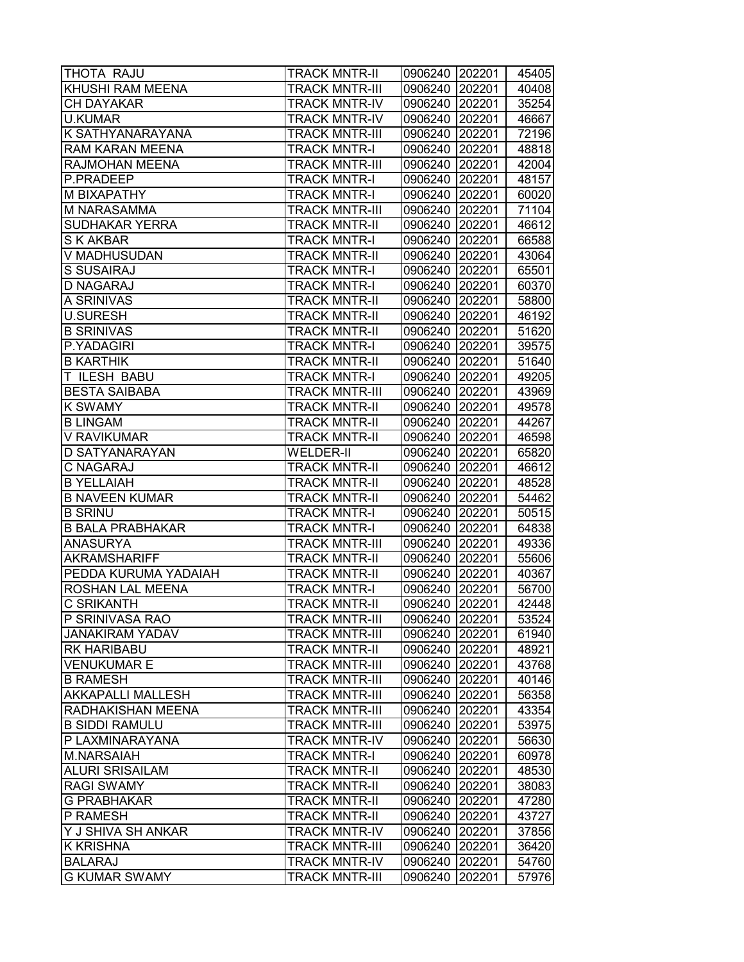| THOTA RAJU               | <b>TRACK MNTR-II</b>  | 0906240 202201 |        | 45405 |
|--------------------------|-----------------------|----------------|--------|-------|
| KHUSHI RAM MEENA         | <b>TRACK MNTR-III</b> | 0906240        | 202201 | 40408 |
| CH DAYAKAR               | <b>TRACK MNTR-IV</b>  | 0906240 202201 |        | 35254 |
| <b>U.KUMAR</b>           | <b>TRACK MNTR-IV</b>  | 0906240 202201 |        | 46667 |
| K SATHYANARAYANA         | <b>TRACK MNTR-III</b> | 0906240 202201 |        | 72196 |
| <b>RAM KARAN MEENA</b>   | <b>TRACK MNTR-I</b>   | 0906240 202201 |        | 48818 |
| RAJMOHAN MEENA           | <b>TRACK MNTR-III</b> | 0906240 202201 |        | 42004 |
| P.PRADEEP                | <b>TRACK MNTR-I</b>   | 0906240 202201 |        | 48157 |
| M BIXAPATHY              | <b>TRACK MNTR-I</b>   | 0906240 202201 |        | 60020 |
| M NARASAMMA              | <b>TRACK MNTR-III</b> | 0906240 202201 |        | 71104 |
| <b>SUDHAKAR YERRA</b>    | <b>TRACK MNTR-II</b>  | 0906240        | 202201 | 46612 |
| S K AKBAR                | <b>TRACK MNTR-I</b>   | 0906240        | 202201 | 66588 |
| V MADHUSUDAN             | <b>TRACK MNTR-II</b>  | 0906240        | 202201 | 43064 |
| <b>S SUSAIRAJ</b>        | <b>TRACK MNTR-I</b>   | 0906240        | 202201 | 65501 |
| <b>D NAGARAJ</b>         | <b>TRACK MNTR-I</b>   | 0906240        | 202201 | 60370 |
| A SRINIVAS               | <b>TRACK MNTR-II</b>  | 0906240        | 202201 | 58800 |
| <b>U.SURESH</b>          | <b>TRACK MNTR-II</b>  | 0906240 202201 |        | 46192 |
| <b>B SRINIVAS</b>        | <b>TRACK MNTR-II</b>  | 0906240 202201 |        | 51620 |
| P.YADAGIRI               | <b>TRACK MNTR-I</b>   | 0906240 202201 |        | 39575 |
| <b>B KARTHIK</b>         | <b>TRACK MNTR-II</b>  | 0906240 202201 |        | 51640 |
| T ILESH BABU             | <b>TRACK MNTR-I</b>   | 0906240 202201 |        | 49205 |
| <b>BESTA SAIBABA</b>     | <b>TRACK MNTR-III</b> | 0906240 202201 |        | 43969 |
| <b>K SWAMY</b>           | <b>TRACK MNTR-II</b>  | 0906240 202201 |        | 49578 |
| <b>B LINGAM</b>          | <b>TRACK MNTR-II</b>  | 0906240        | 202201 | 44267 |
| V RAVIKUMAR              | <b>TRACK MNTR-II</b>  | 0906240        | 202201 | 46598 |
| D SATYANARAYAN           | <b>WELDER-II</b>      | 0906240        | 202201 | 65820 |
| C NAGARAJ                | <b>TRACK MNTR-II</b>  | 0906240        | 202201 | 46612 |
| <b>B YELLAIAH</b>        | <b>TRACK MNTR-II</b>  | 0906240        | 202201 | 48528 |
| <b>B NAVEEN KUMAR</b>    | <b>TRACK MNTR-II</b>  | 0906240 202201 |        | 54462 |
| <b>B SRINU</b>           | <b>TRACK MNTR-I</b>   | 0906240        | 202201 | 50515 |
| <b>B BALA PRABHAKAR</b>  | <b>TRACK MNTR-I</b>   | 0906240 202201 |        | 64838 |
| <b>ANASURYA</b>          | <b>TRACK MNTR-III</b> | 0906240 202201 |        | 49336 |
| <b>AKRAMSHARIFF</b>      | <b>TRACK MNTR-II</b>  | 0906240        | 202201 | 55606 |
| PEDDA KURUMA YADAIAH     | <b>TRACK MNTR-II</b>  | 0906240        | 202201 | 40367 |
| ROSHAN LAL MEENA         | <b>TRACK MNTR-I</b>   | 0906240        | 202201 | 56700 |
| <b>C SRIKANTH</b>        | <b>TRACK MNTR-II</b>  | 0906240        | 202201 | 42448 |
| P SRINIVASA RAO          | <b>TRACK MNTR-III</b> | 0906240 202201 |        | 53524 |
| <b>JANAKIRAM YADAV</b>   | <b>TRACK MNTR-III</b> | 0906240        | 202201 | 61940 |
| <b>RK HARIBABU</b>       | <b>TRACK MNTR-II</b>  | 0906240        | 202201 | 48921 |
| <b>VENUKUMAR E</b>       | <b>TRACK MNTR-III</b> | 0906240        | 202201 | 43768 |
| <b>B RAMESH</b>          | <b>TRACK MNTR-III</b> | 0906240        | 202201 | 40146 |
| <b>AKKAPALLI MALLESH</b> | <b>TRACK MNTR-III</b> | 0906240        | 202201 | 56358 |
| RADHAKISHAN MEENA        | <b>TRACK MNTR-III</b> | 0906240        | 202201 | 43354 |
| <b>B SIDDI RAMULU</b>    | <b>TRACK MNTR-III</b> | 0906240        | 202201 | 53975 |
| P LAXMINARAYANA          | <b>TRACK MNTR-IV</b>  | 0906240        | 202201 | 56630 |
| <b>M.NARSAIAH</b>        | <b>TRACK MNTR-I</b>   | 0906240        | 202201 | 60978 |
| <b>ALURI SRISAILAM</b>   | <b>TRACK MNTR-II</b>  | 0906240        | 202201 | 48530 |
| <b>RAGI SWAMY</b>        | <b>TRACK MNTR-II</b>  | 0906240        | 202201 | 38083 |
| <b>G PRABHAKAR</b>       | <b>TRACK MNTR-II</b>  | 0906240        | 202201 | 47280 |
| P RAMESH                 | <b>TRACK MNTR-II</b>  | 0906240        | 202201 | 43727 |
| Y J SHIVA SH ANKAR       | <b>TRACK MNTR-IV</b>  | 0906240        | 202201 | 37856 |
| <b>K KRISHNA</b>         | <b>TRACK MNTR-III</b> | 0906240        | 202201 | 36420 |
| <b>BALARAJ</b>           | <b>TRACK MNTR-IV</b>  | 0906240        | 202201 | 54760 |
| <b>G KUMAR SWAMY</b>     | <b>TRACK MNTR-III</b> | 0906240        | 202201 | 57976 |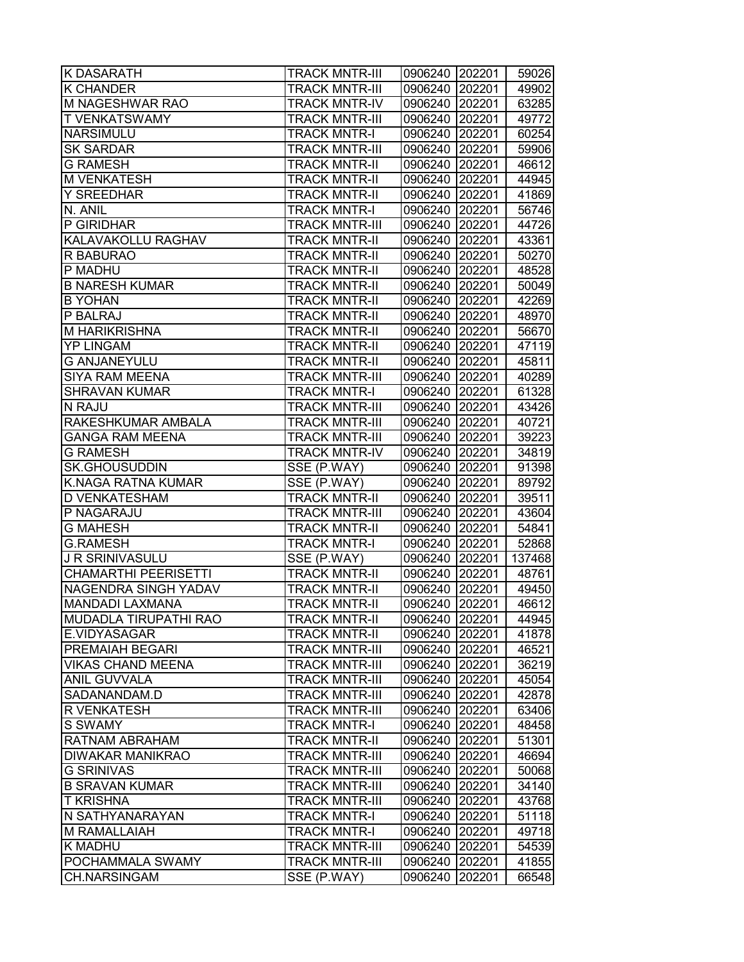| <b>K DASARATH</b>           | <b>TRACK MNTR-III</b> | 0906240 202201 |        | 59026  |
|-----------------------------|-----------------------|----------------|--------|--------|
| <b>K CHANDER</b>            | <b>TRACK MNTR-III</b> | 0906240        | 202201 | 49902  |
| M NAGESHWAR RAO             | <b>TRACK MNTR-IV</b>  | 0906240        | 202201 | 63285  |
| <b>T VENKATSWAMY</b>        | <b>TRACK MNTR-III</b> | 0906240 202201 |        | 49772  |
| <b>NARSIMULU</b>            | <b>TRACK MNTR-I</b>   | 0906240 202201 |        | 60254  |
| <b>SK SARDAR</b>            | <b>TRACK MNTR-III</b> | 0906240 202201 |        | 59906  |
| <b>G RAMESH</b>             | <b>TRACK MNTR-II</b>  | 0906240 202201 |        | 46612  |
| <b>M VENKATESH</b>          | <b>TRACK MNTR-II</b>  | 0906240 202201 |        | 44945  |
| Y SREEDHAR                  | <b>TRACK MNTR-II</b>  | 0906240 202201 |        | 41869  |
| N. ANIL                     | <b>TRACK MNTR-I</b>   | 0906240 202201 |        | 56746  |
| P GIRIDHAR                  | <b>TRACK MNTR-III</b> | 0906240 202201 |        | 44726  |
| KALAVAKOLLU RAGHAV          | <b>TRACK MNTR-II</b>  | 0906240 202201 |        | 43361  |
| R BABURAO                   | <b>TRACK MNTR-II</b>  | 0906240        | 202201 | 50270  |
| P MADHU                     | <b>TRACK MNTR-II</b>  | 0906240        | 202201 | 48528  |
| <b>B NARESH KUMAR</b>       | <b>TRACK MNTR-II</b>  | 0906240        | 202201 | 50049  |
| <b>B YOHAN</b>              | <b>TRACK MNTR-II</b>  | 0906240        | 202201 | 42269  |
| P BALRAJ                    | <b>TRACK MNTR-II</b>  | 0906240 202201 |        | 48970  |
| <b>M HARIKRISHNA</b>        | <b>TRACK MNTR-II</b>  | 0906240 202201 |        | 56670  |
| <b>YP LINGAM</b>            | <b>TRACK MNTR-II</b>  | 0906240 202201 |        | 47119  |
| <b>G ANJANEYULU</b>         | <b>TRACK MNTR-II</b>  | 0906240 202201 |        | 45811  |
| SIYA RAM MEENA              | <b>TRACK MNTR-III</b> | 0906240 202201 |        | 40289  |
| <b>SHRAVAN KUMAR</b>        | <b>TRACK MNTR-I</b>   | 0906240 202201 |        | 61328  |
| N RAJU                      | <b>TRACK MNTR-III</b> | 0906240 202201 |        | 43426  |
| RAKESHKUMAR AMBALA          | <b>TRACK MNTR-III</b> | 0906240 202201 |        | 40721  |
| <b>GANGA RAM MEENA</b>      | <b>TRACK MNTR-III</b> | 0906240        | 202201 | 39223  |
| <b>G RAMESH</b>             | <b>TRACK MNTR-IV</b>  | 0906240        | 202201 | 34819  |
| <b>SK.GHOUSUDDIN</b>        | SSE (P.WAY)           | 0906240        | 202201 | 91398  |
| K.NAGA RATNA KUMAR          | SSE (P.WAY)           | 0906240        | 202201 | 89792  |
| D VENKATESHAM               | <b>TRACK MNTR-II</b>  | 0906240        | 202201 | 39511  |
| P NAGARAJU                  | <b>TRACK MNTR-III</b> | 0906240 202201 |        | 43604  |
| <b>G MAHESH</b>             | <b>TRACK MNTR-II</b>  | 0906240 202201 |        | 54841  |
| <b>G.RAMESH</b>             | <b>TRACK MNTR-I</b>   | 0906240 202201 |        | 52868  |
| J R SRINIVASULU             | SSE (P.WAY)           | 0906240 202201 |        | 137468 |
| <b>CHAMARTHI PEERISETTI</b> | <b>TRACK MNTR-II</b>  | 0906240 202201 |        | 48761  |
| NAGENDRA SINGH YADAV        | <b>TRACK MNTR-II</b>  | 0906240 202201 |        | 49450  |
| <b>MANDADI LAXMANA</b>      | <b>TRACK MNTR-II</b>  | 0906240        | 202201 | 46612  |
| MUDADLA TIRUPATHI RAO       | <b>TRACK MNTR-II</b>  | 0906240 202201 |        | 44945  |
| E.VIDYASAGAR                | <b>TRACK MNTR-II</b>  | 0906240        | 202201 | 41878  |
| PREMAIAH BEGARI             | <b>TRACK MNTR-III</b> | 0906240        | 202201 | 46521  |
| VIKAS CHAND MEENA           | <b>TRACK MNTR-III</b> | 0906240        | 202201 | 36219  |
| <b>ANIL GUVVALA</b>         | <b>TRACK MNTR-III</b> | 0906240        | 202201 | 45054  |
| SADANANDAM.D                | <b>TRACK MNTR-III</b> | 0906240        | 202201 | 42878  |
| R VENKATESH                 | <b>TRACK MNTR-III</b> | 0906240        | 202201 | 63406  |
| S SWAMY                     | <b>TRACK MNTR-I</b>   | 0906240 202201 |        | 48458  |
| RATNAM ABRAHAM              | <b>TRACK MNTR-II</b>  | 0906240        | 202201 | 51301  |
| DIWAKAR MANIKRAO            | <b>TRACK MNTR-III</b> | 0906240        | 202201 | 46694  |
| <b>G SRINIVAS</b>           | <b>TRACK MNTR-III</b> | 0906240        | 202201 | 50068  |
| <b>B SRAVAN KUMAR</b>       | <b>TRACK MNTR-III</b> | 0906240        | 202201 | 34140  |
| <b>T KRISHNA</b>            | <b>TRACK MNTR-III</b> | 0906240        | 202201 | 43768  |
| N SATHYANARAYAN             | <b>TRACK MNTR-I</b>   | 0906240        | 202201 | 51118  |
| M RAMALLAIAH                | <b>TRACK MNTR-I</b>   | 0906240        | 202201 | 49718  |
| K MADHU                     | <b>TRACK MNTR-III</b> | 0906240        | 202201 | 54539  |
| POCHAMMALA SWAMY            | <b>TRACK MNTR-III</b> | 0906240        | 202201 | 41855  |
| <b>CH.NARSINGAM</b>         | SSE (P.WAY)           | 0906240        | 202201 | 66548  |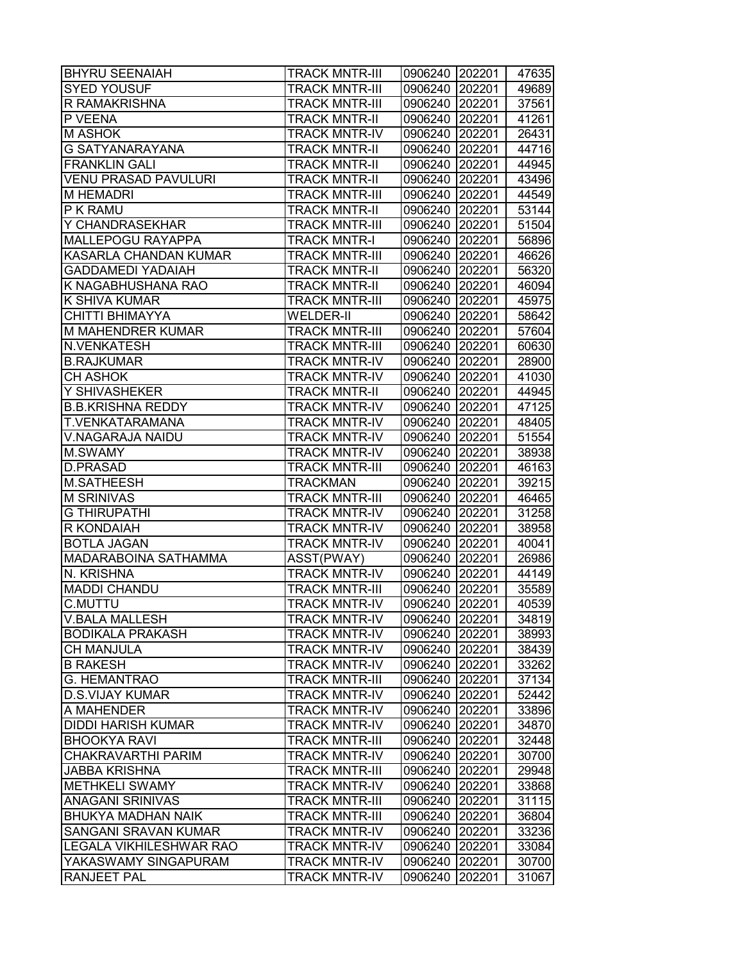| <b>BHYRU SEENAIAH</b>          | <b>TRACK MNTR-III</b> | 0906240 202201 |        | 47635 |
|--------------------------------|-----------------------|----------------|--------|-------|
| <b>SYED YOUSUF</b>             | <b>TRACK MNTR-III</b> | 0906240        | 202201 | 49689 |
| R RAMAKRISHNA                  | <b>TRACK MNTR-III</b> | 0906240        | 202201 | 37561 |
| P VEENA                        | <b>TRACK MNTR-II</b>  | 0906240 202201 |        | 41261 |
| <b>M ASHOK</b>                 | <b>TRACK MNTR-IV</b>  | 0906240 202201 |        | 26431 |
| <b>G SATYANARAYANA</b>         | <b>TRACK MNTR-II</b>  | 0906240 202201 |        | 44716 |
| <b>FRANKLIN GALI</b>           | <b>TRACK MNTR-II</b>  | 0906240 202201 |        | 44945 |
| <b>VENU PRASAD PAVULURI</b>    | <b>TRACK MNTR-II</b>  | 0906240        | 202201 | 43496 |
| <b>M HEMADRI</b>               | <b>TRACK MNTR-III</b> | 0906240        | 202201 | 44549 |
| P K RAMU                       | <b>TRACK MNTR-II</b>  | 0906240 202201 |        | 53144 |
| <b>Y CHANDRASEKHAR</b>         | <b>TRACK MNTR-III</b> | 0906240        | 202201 | 51504 |
| <b>MALLEPOGU RAYAPPA</b>       | <b>TRACK MNTR-I</b>   | 0906240        | 202201 | 56896 |
| KASARLA CHANDAN KUMAR          | <b>TRACK MNTR-III</b> | 0906240        | 202201 | 46626 |
| <b>GADDAMEDI YADAIAH</b>       | <b>TRACK MNTR-II</b>  | 0906240        | 202201 | 56320 |
| K NAGABHUSHANA RAO             | <b>TRACK MNTR-II</b>  | 0906240        | 202201 | 46094 |
| <b>K SHIVA KUMAR</b>           | <b>TRACK MNTR-III</b> | 0906240        | 202201 | 45975 |
| <b>CHITTI BHIMAYYA</b>         | <b>WELDER-II</b>      | 0906240 202201 |        | 58642 |
| <b>M MAHENDRER KUMAR</b>       | <b>TRACK MNTR-III</b> | 0906240 202201 |        | 57604 |
| N.VENKATESH                    | <b>TRACK MNTR-III</b> | 0906240        | 202201 | 60630 |
| <b>B.RAJKUMAR</b>              | <b>TRACK MNTR-IV</b>  | 0906240 202201 |        | 28900 |
| <b>CH ASHOK</b>                | <b>TRACK MNTR-IV</b>  | 0906240        | 202201 | 41030 |
| Y SHIVASHEKER                  | <b>TRACK MNTR-II</b>  | 0906240 202201 |        | 44945 |
| <b>B.B.KRISHNA REDDY</b>       | <b>TRACK MNTR-IV</b>  | 0906240 202201 |        | 47125 |
| <b>T.VENKATARAMANA</b>         | <b>TRACK MNTR-IV</b>  | 0906240        | 202201 | 48405 |
| V.NAGARAJA NAIDU               | <b>TRACK MNTR-IV</b>  | 0906240        | 202201 | 51554 |
| M.SWAMY                        | <b>TRACK MNTR-IV</b>  | 0906240        | 202201 | 38938 |
| <b>D.PRASAD</b>                | <b>TRACK MNTR-III</b> | 0906240        | 202201 | 46163 |
| M.SATHEESH                     | <b>TRACKMAN</b>       | 0906240        | 202201 | 39215 |
| <b>M SRINIVAS</b>              | <b>TRACK MNTR-III</b> | 0906240 202201 |        | 46465 |
| <b>G THIRUPATHI</b>            | <b>TRACK MNTR-IV</b>  | 0906240        | 202201 | 31258 |
| R KONDAIAH                     | <b>TRACK MNTR-IV</b>  | 0906240        | 202201 | 38958 |
| <b>BOTLA JAGAN</b>             | <b>TRACK MNTR-IV</b>  | 0906240        | 202201 | 40041 |
| <b>MADARABOINA SATHAMMA</b>    | ASST(PWAY)            | 0906240        | 202201 | 26986 |
| N. KRISHNA                     | <b>TRACK MNTR-IV</b>  | 0906240        | 202201 | 44149 |
| <b>MADDI CHANDU</b>            | <b>TRACK MNTR-III</b> | 0906240        | 202201 | 35589 |
| <b>C.MUTTU</b>                 | <b>TRACK MNTR-IV</b>  | 0906240        | 202201 | 40539 |
| <b>V.BALA MALLESH</b>          | <b>TRACK MNTR-IV</b>  | 0906240 202201 |        | 34819 |
| <b>BODIKALA PRAKASH</b>        | <b>TRACK MNTR-IV</b>  | 0906240        | 202201 | 38993 |
| <b>CH MANJULA</b>              | <b>TRACK MNTR-IV</b>  | 0906240        | 202201 | 38439 |
| <b>B RAKESH</b>                | <b>TRACK MNTR-IV</b>  | 0906240        | 202201 | 33262 |
| <b>G. HEMANTRAO</b>            | <b>TRACK MNTR-III</b> | 0906240        | 202201 | 37134 |
| <b>D.S.VIJAY KUMAR</b>         | <b>TRACK MNTR-IV</b>  | 0906240 202201 |        | 52442 |
| A MAHENDER                     | <b>TRACK MNTR-IV</b>  | 0906240 202201 |        | 33896 |
| <b>DIDDI HARISH KUMAR</b>      | <b>TRACK MNTR-IV</b>  | 0906240        | 202201 | 34870 |
| <b>BHOOKYA RAVI</b>            | <b>TRACK MNTR-III</b> | 0906240        | 202201 | 32448 |
| CHAKRAVARTHI PARIM             | <b>TRACK MNTR-IV</b>  | 0906240        | 202201 | 30700 |
| <b>JABBA KRISHNA</b>           | <b>TRACK MNTR-III</b> | 0906240        | 202201 | 29948 |
| <b>METHKELI SWAMY</b>          | <b>TRACK MNTR-IV</b>  | 0906240 202201 |        | 33868 |
| <b>ANAGANI SRINIVAS</b>        | <b>TRACK MNTR-III</b> | 0906240        | 202201 | 31115 |
| <b>BHUKYA MADHAN NAIK</b>      | <b>TRACK MNTR-III</b> | 0906240        | 202201 | 36804 |
| SANGANI SRAVAN KUMAR           | <b>TRACK MNTR-IV</b>  | 0906240        | 202201 | 33236 |
| <b>LEGALA VIKHILESHWAR RAO</b> | <b>TRACK MNTR-IV</b>  | 0906240        | 202201 | 33084 |
| YAKASWAMY SINGAPURAM           | <b>TRACK MNTR-IV</b>  | 0906240        | 202201 | 30700 |
| <b>RANJEET PAL</b>             | <b>TRACK MNTR-IV</b>  | 0906240        | 202201 | 31067 |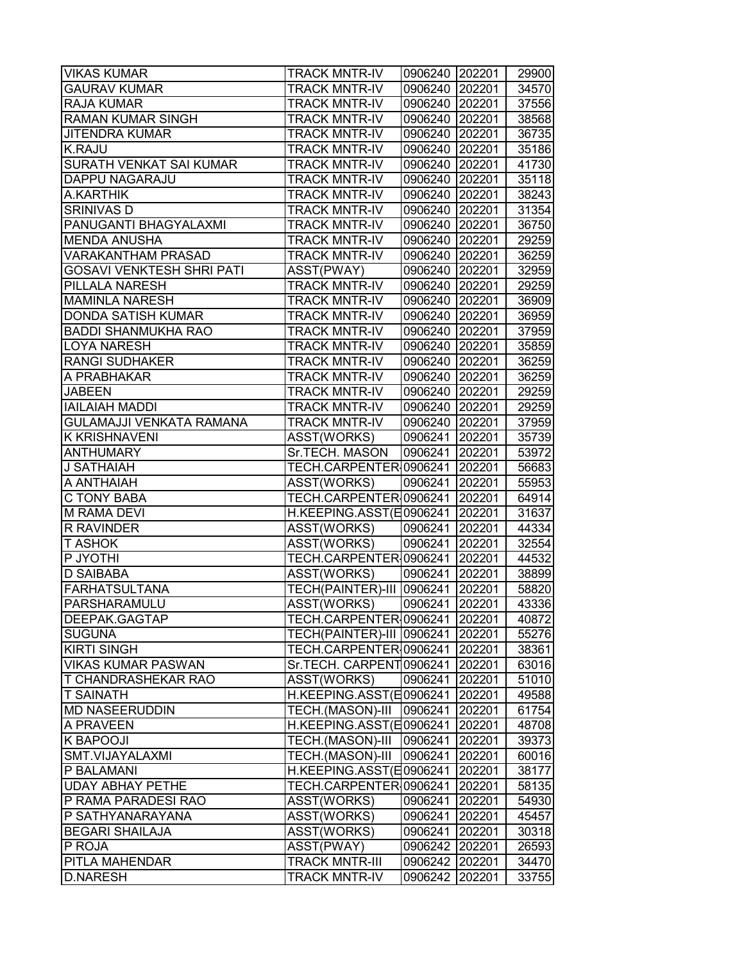| <b>VIKAS KUMAR</b>               | <b>TRACK MNTR-IV</b>             | 0906240 202201 |        | 29900 |
|----------------------------------|----------------------------------|----------------|--------|-------|
| <b>GAURAV KUMAR</b>              | <b>TRACK MNTR-IV</b>             | 0906240        | 202201 | 34570 |
| <b>RAJA KUMAR</b>                | <b>TRACK MNTR-IV</b>             | 0906240        | 202201 | 37556 |
| <b>RAMAN KUMAR SINGH</b>         | <b>TRACK MNTR-IV</b>             | 0906240 202201 |        | 38568 |
| <b>JITENDRA KUMAR</b>            | <b>TRACK MNTR-IV</b>             | 0906240 202201 |        | 36735 |
| <b>K.RAJU</b>                    | <b>TRACK MNTR-IV</b>             | 0906240 202201 |        | 35186 |
| SURATH VENKAT SAI KUMAR          | <b>TRACK MNTR-IV</b>             | 0906240 202201 |        | 41730 |
| DAPPU NAGARAJU                   | <b>TRACK MNTR-IV</b>             | 0906240 202201 |        | 35118 |
| A.KARTHIK                        | <b>TRACK MNTR-IV</b>             | 0906240 202201 |        | 38243 |
| <b>SRINIVAS D</b>                | <b>TRACK MNTR-IV</b>             | 0906240 202201 |        | 31354 |
| PANUGANTI BHAGYALAXMI            | <b>TRACK MNTR-IV</b>             | 0906240 202201 |        | 36750 |
| <b>MENDA ANUSHA</b>              | <b>TRACK MNTR-IV</b>             | 0906240        | 202201 | 29259 |
| <b>VARAKANTHAM PRASAD</b>        | <b>TRACK MNTR-IV</b>             | 0906240        | 202201 | 36259 |
| <b>GOSAVI VENKTESH SHRI PATI</b> | ASST(PWAY)                       | 0906240        | 202201 | 32959 |
| PILLALA NARESH                   | <b>TRACK MNTR-IV</b>             | 0906240        | 202201 | 29259 |
| <b>MAMINLA NARESH</b>            | <b>TRACK MNTR-IV</b>             | 0906240        | 202201 | 36909 |
| <b>DONDA SATISH KUMAR</b>        | <b>TRACK MNTR-IV</b>             | 0906240 202201 |        | 36959 |
| <b>BADDI SHANMUKHA RAO</b>       | <b>TRACK MNTR-IV</b>             | 0906240 202201 |        | 37959 |
| <b>LOYA NARESH</b>               | <b>TRACK MNTR-IV</b>             | 0906240 202201 |        | 35859 |
| <b>RANGI SUDHAKER</b>            | <b>TRACK MNTR-IV</b>             | 0906240 202201 |        | 36259 |
| A PRABHAKAR                      | <b>TRACK MNTR-IV</b>             | 0906240 202201 |        | 36259 |
| <b>JABEEN</b>                    | <b>TRACK MNTR-IV</b>             | 0906240 202201 |        | 29259 |
| <b>IAILAIAH MADDI</b>            | <b>TRACK MNTR-IV</b>             | 0906240 202201 |        | 29259 |
| <b>GULAMAJJI VENKATA RAMANA</b>  | <b>TRACK MNTR-IV</b>             | 0906240 202201 |        | 37959 |
| <b>K KRISHNAVENI</b>             | ASST(WORKS)                      | 0906241        | 202201 | 35739 |
| <b>ANTHUMARY</b>                 | Sr.TECH. MASON                   | 0906241        | 202201 | 53972 |
| J SATHAIAH                       | TECH.CARPENTER 0906241           |                | 202201 | 56683 |
| A ANTHAIAH                       | ASST(WORKS)                      | 0906241        | 202201 | 55953 |
| C TONY BABA                      | TECH.CARPENTER 0906241           |                | 202201 | 64914 |
| <b>M RAMA DEVI</b>               | H.KEEPING.ASST(E0906241   202201 |                |        | 31637 |
| R RAVINDER                       | ASST(WORKS)                      | 0906241        | 202201 | 44334 |
| <b>T ASHOK</b>                   | ASST(WORKS)                      | 0906241        | 202201 | 32554 |
| P JYOTHI                         | TECH.CARPENTER 0906241           |                | 202201 | 44532 |
| <b>D SAIBABA</b>                 | ASST(WORKS)                      | 0906241        | 202201 | 38899 |
| <b>FARHATSULTANA</b>             | TECH(PAINTER)-III 0906241        |                | 202201 | 58820 |
| PARSHARAMULU                     | <b>ASST(WORKS)</b>               | 0906241        | 202201 | 43336 |
| DEEPAK.GAGTAP                    | TECH.CARPENTER 0906241           |                | 202201 | 40872 |
| <b>SUGUNA</b>                    | TECH(PAINTER)-III 0906241        |                | 202201 | 55276 |
| <b>KIRTI SINGH</b>               | TECH.CARPENTER 0906241           |                | 202201 | 38361 |
| <b>VIKAS KUMAR PASWAN</b>        | Sr.TECH. CARPENT0906241          |                | 202201 | 63016 |
| <b>T CHANDRASHEKAR RAO</b>       | ASST(WORKS)                      | 0906241        | 202201 | 51010 |
| <b>T SAINATH</b>                 | H.KEEPING.ASST(E0906241          |                | 202201 | 49588 |
| <b>MD NASEERUDDIN</b>            | TECH.(MASON)-III                 | 0906241        | 202201 | 61754 |
| A PRAVEEN                        | H.KEEPING.ASST(E0906241          |                | 202201 | 48708 |
| K BAPOOJI                        | TECH.(MASON)-III                 | 0906241        | 202201 | 39373 |
| SMT.VIJAYALAXMI                  | TECH.(MASON)-III                 | 0906241        | 202201 | 60016 |
| P BALAMANI                       | H.KEEPING.ASST(E0906241          |                | 202201 | 38177 |
| <b>UDAY ABHAY PETHE</b>          | TECH.CARPENTER 0906241           |                | 202201 | 58135 |
| P RAMA PARADESI RAO              | ASST(WORKS)                      | 0906241        | 202201 | 54930 |
| P SATHYANARAYANA                 | ASST(WORKS)                      | 0906241        | 202201 | 45457 |
| <b>BEGARI SHAILAJA</b>           | ASST(WORKS)                      | 0906241        | 202201 | 30318 |
| P ROJA                           | ASST(PWAY)                       | 0906242        | 202201 | 26593 |
| PITLA MAHENDAR                   | <b>TRACK MNTR-III</b>            | 0906242        | 202201 | 34470 |
| <b>D.NARESH</b>                  | <b>TRACK MNTR-IV</b>             | 0906242        | 202201 | 33755 |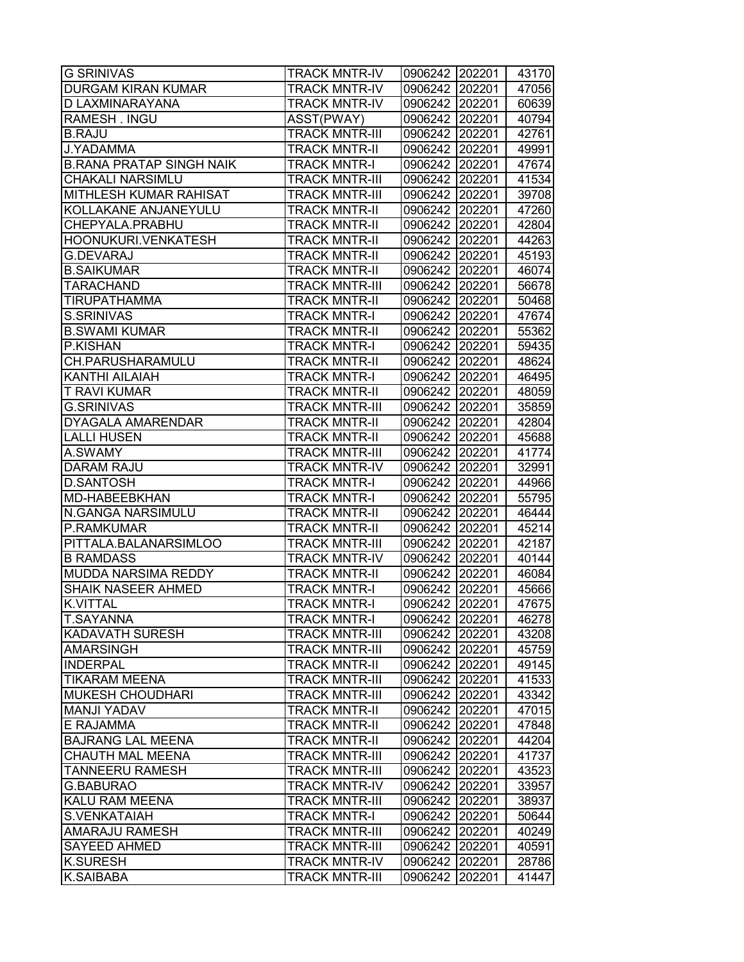| <b>DURGAM KIRAN KUMAR</b><br><b>TRACK MNTR-IV</b><br>0906242<br>202201<br>47056<br>D LAXMINARAYANA<br><b>TRACK MNTR-IV</b><br>0906242 202201<br>RAMESH. INGU<br>ASST(PWAY)<br>0906242 202201<br>42761<br><b>B.RAJU</b><br><b>TRACK MNTR-III</b><br>0906242 202201<br><b>J.YADAMMA</b><br><b>TRACK MNTR-II</b><br>0906242 202201<br><b>B.RANA PRATAP SINGH NAIK</b><br><b>TRACK MNTR-I</b><br>0906242 202201<br>CHAKALI NARSIMLU<br><b>TRACK MNTR-III</b><br>0906242 202201<br>MITHLESH KUMAR RAHISAT<br><b>TRACK MNTR-III</b><br>0906242 202201<br>39708<br>KOLLAKANE ANJANEYULU<br>0906242 202201<br><b>TRACK MNTR-II</b><br>42804<br>CHEPYALA.PRABHU<br><b>TRACK MNTR-II</b><br>202201<br>0906242<br>HOONUKURI.VENKATESH<br><b>TRACK MNTR-II</b><br>0906242<br>202201<br>44263<br><b>G.DEVARAJ</b><br><b>TRACK MNTR-II</b><br>0906242<br>202201<br><b>B.SAIKUMAR</b><br><b>TRACK MNTR-II</b><br>0906242<br>202201<br><b>TARACHAND</b><br><b>TRACK MNTR-III</b><br>0906242<br>202201<br><b>TIRUPATHAMMA</b><br><b>TRACK MNTR-II</b><br>0906242<br>202201<br>S.SRINIVAS<br><b>TRACK MNTR-I</b><br>0906242 202201<br><b>B.SWAMI KUMAR</b><br><b>TRACK MNTR-II</b><br>0906242 202201<br>55362<br>P.KISHAN<br><b>TRACK MNTR-I</b><br>0906242 202201<br>59435<br>CH.PARUSHARAMULU<br><b>TRACK MNTR-II</b><br>0906242 202201<br>KANTHI AILAIAH<br><b>TRACK MNTR-I</b><br>0906242 202201<br>46495<br><b>T RAVI KUMAR</b><br>0906242 202201<br><b>TRACK MNTR-II</b><br><b>G.SRINIVAS</b><br><b>TRACK MNTR-III</b><br>0906242 202201<br><b>DYAGALA AMARENDAR</b><br><b>TRACK MNTR-II</b><br>202201<br>42804<br>0906242<br><b>LALLI HUSEN</b><br><b>TRACK MNTR-II</b><br>0906242<br>202201<br>A.SWAMY<br><b>TRACK MNTR-III</b><br>0906242<br>202201<br>DARAM RAJU<br><b>TRACK MNTR-IV</b><br>0906242<br>202201<br><b>D.SANTOSH</b><br><b>TRACK MNTR-I</b><br>0906242<br>202201<br>MD-HABEEBKHAN<br>0906242 202201<br><b>TRACK MNTR-I</b><br>N.GANGA NARSIMULU<br><b>TRACK MNTR-II</b><br>0906242 202201<br>P.RAMKUMAR<br><b>TRACK MNTR-II</b><br>0906242 202201<br>PITTALA.BALANARSIMLOO<br><b>TRACK MNTR-III</b><br>0906242 202201<br>42187 |
|-------------------------------------------------------------------------------------------------------------------------------------------------------------------------------------------------------------------------------------------------------------------------------------------------------------------------------------------------------------------------------------------------------------------------------------------------------------------------------------------------------------------------------------------------------------------------------------------------------------------------------------------------------------------------------------------------------------------------------------------------------------------------------------------------------------------------------------------------------------------------------------------------------------------------------------------------------------------------------------------------------------------------------------------------------------------------------------------------------------------------------------------------------------------------------------------------------------------------------------------------------------------------------------------------------------------------------------------------------------------------------------------------------------------------------------------------------------------------------------------------------------------------------------------------------------------------------------------------------------------------------------------------------------------------------------------------------------------------------------------------------------------------------------------------------------------------------------------------------------------------------------------------------------------------------------------------------------------------------------------------------------------------------------------------------------------------------------------------------------------------------------|
| 60639                                                                                                                                                                                                                                                                                                                                                                                                                                                                                                                                                                                                                                                                                                                                                                                                                                                                                                                                                                                                                                                                                                                                                                                                                                                                                                                                                                                                                                                                                                                                                                                                                                                                                                                                                                                                                                                                                                                                                                                                                                                                                                                               |
| 40794<br>49991<br>47674<br>41534<br>47260<br>45193<br>46074<br>56678<br>50468<br>47674<br>48624<br>48059<br>35859<br>45688<br>41774<br>32991<br>44966<br>55795<br>46444<br>45214                                                                                                                                                                                                                                                                                                                                                                                                                                                                                                                                                                                                                                                                                                                                                                                                                                                                                                                                                                                                                                                                                                                                                                                                                                                                                                                                                                                                                                                                                                                                                                                                                                                                                                                                                                                                                                                                                                                                                    |
|                                                                                                                                                                                                                                                                                                                                                                                                                                                                                                                                                                                                                                                                                                                                                                                                                                                                                                                                                                                                                                                                                                                                                                                                                                                                                                                                                                                                                                                                                                                                                                                                                                                                                                                                                                                                                                                                                                                                                                                                                                                                                                                                     |
|                                                                                                                                                                                                                                                                                                                                                                                                                                                                                                                                                                                                                                                                                                                                                                                                                                                                                                                                                                                                                                                                                                                                                                                                                                                                                                                                                                                                                                                                                                                                                                                                                                                                                                                                                                                                                                                                                                                                                                                                                                                                                                                                     |
|                                                                                                                                                                                                                                                                                                                                                                                                                                                                                                                                                                                                                                                                                                                                                                                                                                                                                                                                                                                                                                                                                                                                                                                                                                                                                                                                                                                                                                                                                                                                                                                                                                                                                                                                                                                                                                                                                                                                                                                                                                                                                                                                     |
|                                                                                                                                                                                                                                                                                                                                                                                                                                                                                                                                                                                                                                                                                                                                                                                                                                                                                                                                                                                                                                                                                                                                                                                                                                                                                                                                                                                                                                                                                                                                                                                                                                                                                                                                                                                                                                                                                                                                                                                                                                                                                                                                     |
|                                                                                                                                                                                                                                                                                                                                                                                                                                                                                                                                                                                                                                                                                                                                                                                                                                                                                                                                                                                                                                                                                                                                                                                                                                                                                                                                                                                                                                                                                                                                                                                                                                                                                                                                                                                                                                                                                                                                                                                                                                                                                                                                     |
|                                                                                                                                                                                                                                                                                                                                                                                                                                                                                                                                                                                                                                                                                                                                                                                                                                                                                                                                                                                                                                                                                                                                                                                                                                                                                                                                                                                                                                                                                                                                                                                                                                                                                                                                                                                                                                                                                                                                                                                                                                                                                                                                     |
|                                                                                                                                                                                                                                                                                                                                                                                                                                                                                                                                                                                                                                                                                                                                                                                                                                                                                                                                                                                                                                                                                                                                                                                                                                                                                                                                                                                                                                                                                                                                                                                                                                                                                                                                                                                                                                                                                                                                                                                                                                                                                                                                     |
|                                                                                                                                                                                                                                                                                                                                                                                                                                                                                                                                                                                                                                                                                                                                                                                                                                                                                                                                                                                                                                                                                                                                                                                                                                                                                                                                                                                                                                                                                                                                                                                                                                                                                                                                                                                                                                                                                                                                                                                                                                                                                                                                     |
|                                                                                                                                                                                                                                                                                                                                                                                                                                                                                                                                                                                                                                                                                                                                                                                                                                                                                                                                                                                                                                                                                                                                                                                                                                                                                                                                                                                                                                                                                                                                                                                                                                                                                                                                                                                                                                                                                                                                                                                                                                                                                                                                     |
|                                                                                                                                                                                                                                                                                                                                                                                                                                                                                                                                                                                                                                                                                                                                                                                                                                                                                                                                                                                                                                                                                                                                                                                                                                                                                                                                                                                                                                                                                                                                                                                                                                                                                                                                                                                                                                                                                                                                                                                                                                                                                                                                     |
|                                                                                                                                                                                                                                                                                                                                                                                                                                                                                                                                                                                                                                                                                                                                                                                                                                                                                                                                                                                                                                                                                                                                                                                                                                                                                                                                                                                                                                                                                                                                                                                                                                                                                                                                                                                                                                                                                                                                                                                                                                                                                                                                     |
|                                                                                                                                                                                                                                                                                                                                                                                                                                                                                                                                                                                                                                                                                                                                                                                                                                                                                                                                                                                                                                                                                                                                                                                                                                                                                                                                                                                                                                                                                                                                                                                                                                                                                                                                                                                                                                                                                                                                                                                                                                                                                                                                     |
|                                                                                                                                                                                                                                                                                                                                                                                                                                                                                                                                                                                                                                                                                                                                                                                                                                                                                                                                                                                                                                                                                                                                                                                                                                                                                                                                                                                                                                                                                                                                                                                                                                                                                                                                                                                                                                                                                                                                                                                                                                                                                                                                     |
|                                                                                                                                                                                                                                                                                                                                                                                                                                                                                                                                                                                                                                                                                                                                                                                                                                                                                                                                                                                                                                                                                                                                                                                                                                                                                                                                                                                                                                                                                                                                                                                                                                                                                                                                                                                                                                                                                                                                                                                                                                                                                                                                     |
|                                                                                                                                                                                                                                                                                                                                                                                                                                                                                                                                                                                                                                                                                                                                                                                                                                                                                                                                                                                                                                                                                                                                                                                                                                                                                                                                                                                                                                                                                                                                                                                                                                                                                                                                                                                                                                                                                                                                                                                                                                                                                                                                     |
|                                                                                                                                                                                                                                                                                                                                                                                                                                                                                                                                                                                                                                                                                                                                                                                                                                                                                                                                                                                                                                                                                                                                                                                                                                                                                                                                                                                                                                                                                                                                                                                                                                                                                                                                                                                                                                                                                                                                                                                                                                                                                                                                     |
|                                                                                                                                                                                                                                                                                                                                                                                                                                                                                                                                                                                                                                                                                                                                                                                                                                                                                                                                                                                                                                                                                                                                                                                                                                                                                                                                                                                                                                                                                                                                                                                                                                                                                                                                                                                                                                                                                                                                                                                                                                                                                                                                     |
|                                                                                                                                                                                                                                                                                                                                                                                                                                                                                                                                                                                                                                                                                                                                                                                                                                                                                                                                                                                                                                                                                                                                                                                                                                                                                                                                                                                                                                                                                                                                                                                                                                                                                                                                                                                                                                                                                                                                                                                                                                                                                                                                     |
|                                                                                                                                                                                                                                                                                                                                                                                                                                                                                                                                                                                                                                                                                                                                                                                                                                                                                                                                                                                                                                                                                                                                                                                                                                                                                                                                                                                                                                                                                                                                                                                                                                                                                                                                                                                                                                                                                                                                                                                                                                                                                                                                     |
|                                                                                                                                                                                                                                                                                                                                                                                                                                                                                                                                                                                                                                                                                                                                                                                                                                                                                                                                                                                                                                                                                                                                                                                                                                                                                                                                                                                                                                                                                                                                                                                                                                                                                                                                                                                                                                                                                                                                                                                                                                                                                                                                     |
|                                                                                                                                                                                                                                                                                                                                                                                                                                                                                                                                                                                                                                                                                                                                                                                                                                                                                                                                                                                                                                                                                                                                                                                                                                                                                                                                                                                                                                                                                                                                                                                                                                                                                                                                                                                                                                                                                                                                                                                                                                                                                                                                     |
|                                                                                                                                                                                                                                                                                                                                                                                                                                                                                                                                                                                                                                                                                                                                                                                                                                                                                                                                                                                                                                                                                                                                                                                                                                                                                                                                                                                                                                                                                                                                                                                                                                                                                                                                                                                                                                                                                                                                                                                                                                                                                                                                     |
|                                                                                                                                                                                                                                                                                                                                                                                                                                                                                                                                                                                                                                                                                                                                                                                                                                                                                                                                                                                                                                                                                                                                                                                                                                                                                                                                                                                                                                                                                                                                                                                                                                                                                                                                                                                                                                                                                                                                                                                                                                                                                                                                     |
|                                                                                                                                                                                                                                                                                                                                                                                                                                                                                                                                                                                                                                                                                                                                                                                                                                                                                                                                                                                                                                                                                                                                                                                                                                                                                                                                                                                                                                                                                                                                                                                                                                                                                                                                                                                                                                                                                                                                                                                                                                                                                                                                     |
|                                                                                                                                                                                                                                                                                                                                                                                                                                                                                                                                                                                                                                                                                                                                                                                                                                                                                                                                                                                                                                                                                                                                                                                                                                                                                                                                                                                                                                                                                                                                                                                                                                                                                                                                                                                                                                                                                                                                                                                                                                                                                                                                     |
|                                                                                                                                                                                                                                                                                                                                                                                                                                                                                                                                                                                                                                                                                                                                                                                                                                                                                                                                                                                                                                                                                                                                                                                                                                                                                                                                                                                                                                                                                                                                                                                                                                                                                                                                                                                                                                                                                                                                                                                                                                                                                                                                     |
|                                                                                                                                                                                                                                                                                                                                                                                                                                                                                                                                                                                                                                                                                                                                                                                                                                                                                                                                                                                                                                                                                                                                                                                                                                                                                                                                                                                                                                                                                                                                                                                                                                                                                                                                                                                                                                                                                                                                                                                                                                                                                                                                     |
|                                                                                                                                                                                                                                                                                                                                                                                                                                                                                                                                                                                                                                                                                                                                                                                                                                                                                                                                                                                                                                                                                                                                                                                                                                                                                                                                                                                                                                                                                                                                                                                                                                                                                                                                                                                                                                                                                                                                                                                                                                                                                                                                     |
|                                                                                                                                                                                                                                                                                                                                                                                                                                                                                                                                                                                                                                                                                                                                                                                                                                                                                                                                                                                                                                                                                                                                                                                                                                                                                                                                                                                                                                                                                                                                                                                                                                                                                                                                                                                                                                                                                                                                                                                                                                                                                                                                     |
| <b>B RAMDASS</b><br><b>TRACK MNTR-IV</b><br>202201<br>40144<br>0906242                                                                                                                                                                                                                                                                                                                                                                                                                                                                                                                                                                                                                                                                                                                                                                                                                                                                                                                                                                                                                                                                                                                                                                                                                                                                                                                                                                                                                                                                                                                                                                                                                                                                                                                                                                                                                                                                                                                                                                                                                                                              |
| MUDDA NARSIMA REDDY<br>202201<br><b>TRACK MNTR-II</b><br>0906242<br>46084                                                                                                                                                                                                                                                                                                                                                                                                                                                                                                                                                                                                                                                                                                                                                                                                                                                                                                                                                                                                                                                                                                                                                                                                                                                                                                                                                                                                                                                                                                                                                                                                                                                                                                                                                                                                                                                                                                                                                                                                                                                           |
| <b>SHAIK NASEER AHMED</b><br>202201<br><b>TRACK MNTR-I</b><br>0906242<br>45666                                                                                                                                                                                                                                                                                                                                                                                                                                                                                                                                                                                                                                                                                                                                                                                                                                                                                                                                                                                                                                                                                                                                                                                                                                                                                                                                                                                                                                                                                                                                                                                                                                                                                                                                                                                                                                                                                                                                                                                                                                                      |
| 0906242 202201<br><b>K.VITTAL</b><br><b>TRACK MNTR-I</b><br>47675                                                                                                                                                                                                                                                                                                                                                                                                                                                                                                                                                                                                                                                                                                                                                                                                                                                                                                                                                                                                                                                                                                                                                                                                                                                                                                                                                                                                                                                                                                                                                                                                                                                                                                                                                                                                                                                                                                                                                                                                                                                                   |
| T.SAYANNA<br><b>TRACK MNTR-I</b><br>0906242 202201<br>46278                                                                                                                                                                                                                                                                                                                                                                                                                                                                                                                                                                                                                                                                                                                                                                                                                                                                                                                                                                                                                                                                                                                                                                                                                                                                                                                                                                                                                                                                                                                                                                                                                                                                                                                                                                                                                                                                                                                                                                                                                                                                         |
| <b>KADAVATH SURESH</b><br><b>TRACK MNTR-III</b><br>0906242<br>202201<br>43208                                                                                                                                                                                                                                                                                                                                                                                                                                                                                                                                                                                                                                                                                                                                                                                                                                                                                                                                                                                                                                                                                                                                                                                                                                                                                                                                                                                                                                                                                                                                                                                                                                                                                                                                                                                                                                                                                                                                                                                                                                                       |
| <b>AMARSINGH</b><br><b>TRACK MNTR-III</b><br>0906242<br>202201<br>45759                                                                                                                                                                                                                                                                                                                                                                                                                                                                                                                                                                                                                                                                                                                                                                                                                                                                                                                                                                                                                                                                                                                                                                                                                                                                                                                                                                                                                                                                                                                                                                                                                                                                                                                                                                                                                                                                                                                                                                                                                                                             |
| <b>INDERPAL</b><br><b>TRACK MNTR-II</b><br>0906242<br>202201<br>49145                                                                                                                                                                                                                                                                                                                                                                                                                                                                                                                                                                                                                                                                                                                                                                                                                                                                                                                                                                                                                                                                                                                                                                                                                                                                                                                                                                                                                                                                                                                                                                                                                                                                                                                                                                                                                                                                                                                                                                                                                                                               |
| <b>TIKARAM MEENA</b><br><b>TRACK MNTR-III</b><br>0906242 202201<br>41533                                                                                                                                                                                                                                                                                                                                                                                                                                                                                                                                                                                                                                                                                                                                                                                                                                                                                                                                                                                                                                                                                                                                                                                                                                                                                                                                                                                                                                                                                                                                                                                                                                                                                                                                                                                                                                                                                                                                                                                                                                                            |
| <b>MUKESH CHOUDHARI</b><br><b>TRACK MNTR-III</b><br>0906242 202201<br>43342                                                                                                                                                                                                                                                                                                                                                                                                                                                                                                                                                                                                                                                                                                                                                                                                                                                                                                                                                                                                                                                                                                                                                                                                                                                                                                                                                                                                                                                                                                                                                                                                                                                                                                                                                                                                                                                                                                                                                                                                                                                         |
| <b>MANJI YADAV</b><br><b>TRACK MNTR-II</b><br>0906242 202201<br>47015                                                                                                                                                                                                                                                                                                                                                                                                                                                                                                                                                                                                                                                                                                                                                                                                                                                                                                                                                                                                                                                                                                                                                                                                                                                                                                                                                                                                                                                                                                                                                                                                                                                                                                                                                                                                                                                                                                                                                                                                                                                               |
| <b>TRACK MNTR-II</b><br>0906242 202201<br>47848<br>E RAJAMMA                                                                                                                                                                                                                                                                                                                                                                                                                                                                                                                                                                                                                                                                                                                                                                                                                                                                                                                                                                                                                                                                                                                                                                                                                                                                                                                                                                                                                                                                                                                                                                                                                                                                                                                                                                                                                                                                                                                                                                                                                                                                        |
| <b>BAJRANG LAL MEENA</b><br>0906242 202201<br><b>TRACK MNTR-II</b><br>44204                                                                                                                                                                                                                                                                                                                                                                                                                                                                                                                                                                                                                                                                                                                                                                                                                                                                                                                                                                                                                                                                                                                                                                                                                                                                                                                                                                                                                                                                                                                                                                                                                                                                                                                                                                                                                                                                                                                                                                                                                                                         |
| CHAUTH MAL MEENA<br><b>TRACK MNTR-III</b><br>0906242 202201<br>41737                                                                                                                                                                                                                                                                                                                                                                                                                                                                                                                                                                                                                                                                                                                                                                                                                                                                                                                                                                                                                                                                                                                                                                                                                                                                                                                                                                                                                                                                                                                                                                                                                                                                                                                                                                                                                                                                                                                                                                                                                                                                |
| <b>TANNEERU RAMESH</b><br><b>TRACK MNTR-III</b><br>0906242 202201<br>43523                                                                                                                                                                                                                                                                                                                                                                                                                                                                                                                                                                                                                                                                                                                                                                                                                                                                                                                                                                                                                                                                                                                                                                                                                                                                                                                                                                                                                                                                                                                                                                                                                                                                                                                                                                                                                                                                                                                                                                                                                                                          |
| G.BABURAO<br><b>TRACK MNTR-IV</b><br>202201<br>33957<br>0906242                                                                                                                                                                                                                                                                                                                                                                                                                                                                                                                                                                                                                                                                                                                                                                                                                                                                                                                                                                                                                                                                                                                                                                                                                                                                                                                                                                                                                                                                                                                                                                                                                                                                                                                                                                                                                                                                                                                                                                                                                                                                     |
| KALU RAM MEENA<br><b>TRACK MNTR-III</b><br>0906242<br>202201<br>38937<br><b>S.VENKATAIAH</b><br><b>TRACK MNTR-I</b><br>50644                                                                                                                                                                                                                                                                                                                                                                                                                                                                                                                                                                                                                                                                                                                                                                                                                                                                                                                                                                                                                                                                                                                                                                                                                                                                                                                                                                                                                                                                                                                                                                                                                                                                                                                                                                                                                                                                                                                                                                                                        |
| 0906242<br>202201<br><b>AMARAJU RAMESH</b><br><b>TRACK MNTR-III</b><br>0906242<br>202201<br>40249                                                                                                                                                                                                                                                                                                                                                                                                                                                                                                                                                                                                                                                                                                                                                                                                                                                                                                                                                                                                                                                                                                                                                                                                                                                                                                                                                                                                                                                                                                                                                                                                                                                                                                                                                                                                                                                                                                                                                                                                                                   |
| <b>SAYEED AHMED</b><br><b>TRACK MNTR-III</b><br>40591<br>0906242<br>202201                                                                                                                                                                                                                                                                                                                                                                                                                                                                                                                                                                                                                                                                                                                                                                                                                                                                                                                                                                                                                                                                                                                                                                                                                                                                                                                                                                                                                                                                                                                                                                                                                                                                                                                                                                                                                                                                                                                                                                                                                                                          |
| <b>K.SURESH</b><br><b>TRACK MNTR-IV</b><br>0906242<br>202201<br>28786                                                                                                                                                                                                                                                                                                                                                                                                                                                                                                                                                                                                                                                                                                                                                                                                                                                                                                                                                                                                                                                                                                                                                                                                                                                                                                                                                                                                                                                                                                                                                                                                                                                                                                                                                                                                                                                                                                                                                                                                                                                               |
| K.SAIBABA<br><b>TRACK MNTR-III</b><br>0906242<br>202201<br>41447                                                                                                                                                                                                                                                                                                                                                                                                                                                                                                                                                                                                                                                                                                                                                                                                                                                                                                                                                                                                                                                                                                                                                                                                                                                                                                                                                                                                                                                                                                                                                                                                                                                                                                                                                                                                                                                                                                                                                                                                                                                                    |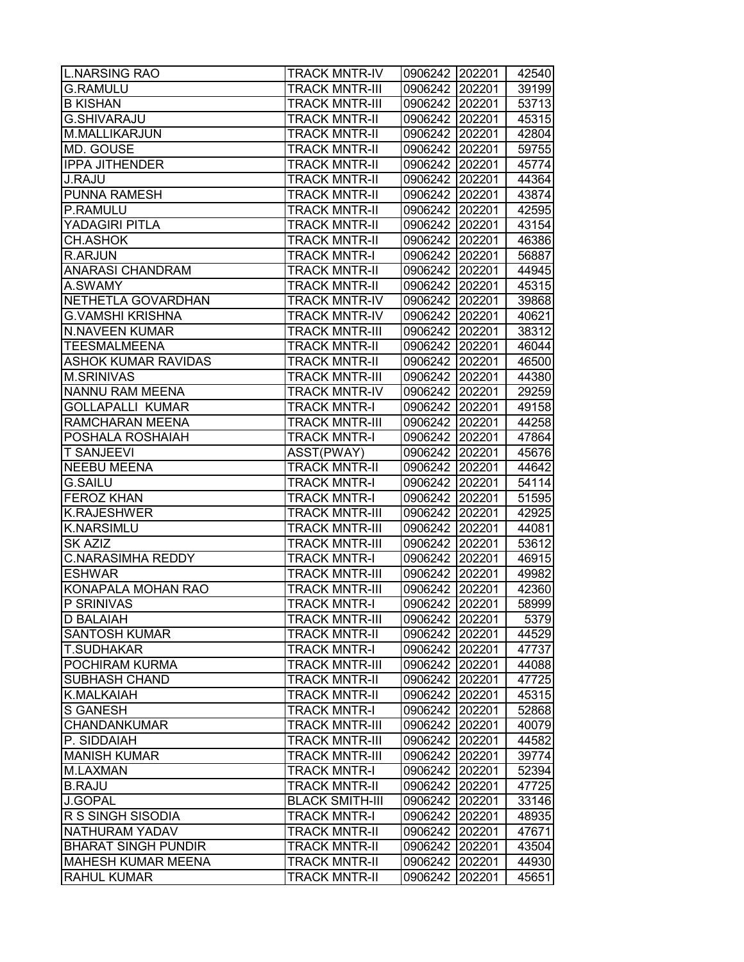| L.NARSING RAO              | <b>TRACK MNTR-IV</b>   | 0906242 202201 |        | 42540 |
|----------------------------|------------------------|----------------|--------|-------|
| <b>G.RAMULU</b>            | <b>TRACK MNTR-III</b>  | 0906242 202201 |        | 39199 |
| <b>B KISHAN</b>            | <b>TRACK MNTR-III</b>  | 0906242 202201 |        | 53713 |
| <b>G.SHIVARAJU</b>         | <b>TRACK MNTR-II</b>   | 0906242 202201 |        | 45315 |
| M.MALLIKARJUN              | <b>TRACK MNTR-II</b>   | 0906242 202201 |        | 42804 |
| MD. GOUSE                  | <b>TRACK MNTR-II</b>   | 0906242 202201 |        | 59755 |
| <b>IPPA JITHENDER</b>      | <b>TRACK MNTR-II</b>   | 0906242 202201 |        | 45774 |
| <b>J.RAJU</b>              | <b>TRACK MNTR-II</b>   | 0906242 202201 |        | 44364 |
| <b>PUNNA RAMESH</b>        | <b>TRACK MNTR-II</b>   | 0906242 202201 |        | 43874 |
| P.RAMULU                   | <b>TRACK MNTR-II</b>   | 0906242 202201 |        | 42595 |
| YADAGIRI PITLA             | <b>TRACK MNTR-II</b>   | 0906242 202201 |        | 43154 |
| CH.ASHOK                   | <b>TRACK MNTR-II</b>   | 0906242 202201 |        | 46386 |
| R.ARJUN                    | <b>TRACK MNTR-I</b>    | 0906242        | 202201 | 56887 |
| ANARASI CHANDRAM           | <b>TRACK MNTR-II</b>   | 0906242        | 202201 | 44945 |
| A.SWAMY                    | <b>TRACK MNTR-II</b>   | 0906242        | 202201 | 45315 |
| NETHETLA GOVARDHAN         | <b>TRACK MNTR-IV</b>   | 0906242 202201 |        | 39868 |
| G.VAMSHI KRISHNA           | <b>TRACK MNTR-IV</b>   | 0906242 202201 |        | 40621 |
| <b>N.NAVEEN KUMAR</b>      | <b>TRACK MNTR-III</b>  | 0906242 202201 |        | 38312 |
| <b>TEESMALMEENA</b>        | <b>TRACK MNTR-II</b>   | 0906242 202201 |        | 46044 |
| <b>ASHOK KUMAR RAVIDAS</b> | <b>TRACK MNTR-II</b>   | 0906242 202201 |        | 46500 |
| <b>M.SRINIVAS</b>          | <b>TRACK MNTR-III</b>  | 0906242 202201 |        | 44380 |
| NANNU RAM MEENA            | <b>TRACK MNTR-IV</b>   | 0906242 202201 |        | 29259 |
| <b>GOLLAPALLI KUMAR</b>    | <b>TRACK MNTR-I</b>    | 0906242 202201 |        | 49158 |
| RAMCHARAN MEENA            | <b>TRACK MNTR-III</b>  | 0906242 202201 |        | 44258 |
| POSHALA ROSHAIAH           | <b>TRACK MNTR-I</b>    | 0906242        | 202201 | 47864 |
| <b>T SANJEEVI</b>          | ASST(PWAY)             | 0906242 202201 |        | 45676 |
| <b>NEEBU MEENA</b>         | <b>TRACK MNTR-II</b>   | 0906242        | 202201 | 44642 |
| <b>G.SAILU</b>             | <b>TRACK MNTR-I</b>    | 0906242        | 202201 | 54114 |
| <b>FEROZ KHAN</b>          | <b>TRACK MNTR-I</b>    | 0906242 202201 |        | 51595 |
| <b>K.RAJESHWER</b>         | <b>TRACK MNTR-III</b>  | 0906242 202201 |        | 42925 |
| <b>K.NARSIMLU</b>          | <b>TRACK MNTR-III</b>  | 0906242 202201 |        | 44081 |
| <b>SK AZIZ</b>             | <b>TRACK MNTR-III</b>  | 0906242 202201 |        | 53612 |
| <b>C.NARASIMHA REDDY</b>   | <b>TRACK MNTR-I</b>    | 0906242 202201 |        | 46915 |
| <b>ESHWAR</b>              | <b>TRACK MNTR-III</b>  | 0906242 202201 |        | 49982 |
| KONAPALA MOHAN RAO         | <b>TRACK MNTR-III</b>  | 0906242 202201 |        | 42360 |
| P SRINIVAS                 | <b>TRACK MNTR-I</b>    | 0906242        | 202201 | 58999 |
| <b>D BALAIAH</b>           | <b>TRACK MNTR-III</b>  | 0906242 202201 |        | 5379  |
| <b>SANTOSH KUMAR</b>       | <b>TRACK MNTR-II</b>   | 0906242        | 202201 | 44529 |
| <b>T.SUDHAKAR</b>          | <b>TRACK MNTR-I</b>    | 0906242        | 202201 | 47737 |
| POCHIRAM KURMA             | <b>TRACK MNTR-III</b>  | 0906242        | 202201 | 44088 |
| <b>SUBHASH CHAND</b>       | <b>TRACK MNTR-II</b>   | 0906242        | 202201 | 47725 |
| K.MALKAIAH                 | <b>TRACK MNTR-II</b>   | 0906242 202201 |        | 45315 |
| <b>S GANESH</b>            | <b>TRACK MNTR-I</b>    | 0906242 202201 |        | 52868 |
| <b>CHANDANKUMAR</b>        | <b>TRACK MNTR-III</b>  | 0906242 202201 |        | 40079 |
| P. SIDDAIAH                | <b>TRACK MNTR-III</b>  | 0906242        | 202201 | 44582 |
| <b>MANISH KUMAR</b>        | <b>TRACK MNTR-III</b>  | 0906242        | 202201 | 39774 |
| M.LAXMAN                   | <b>TRACK MNTR-I</b>    | 0906242        | 202201 | 52394 |
| <b>B.RAJU</b>              | <b>TRACK MNTR-II</b>   | 0906242        | 202201 | 47725 |
| <b>J.GOPAL</b>             | <b>BLACK SMITH-III</b> | 0906242        | 202201 | 33146 |
| R S SINGH SISODIA          | <b>TRACK MNTR-I</b>    | 0906242        | 202201 | 48935 |
| NATHURAM YADAV             | <b>TRACK MNTR-II</b>   | 0906242        | 202201 | 47671 |
| <b>BHARAT SINGH PUNDIR</b> | <b>TRACK MNTR-II</b>   | 0906242        | 202201 | 43504 |
| <b>MAHESH KUMAR MEENA</b>  | <b>TRACK MNTR-II</b>   | 0906242        | 202201 | 44930 |
| <b>RAHUL KUMAR</b>         | <b>TRACK MNTR-II</b>   | 0906242        | 202201 | 45651 |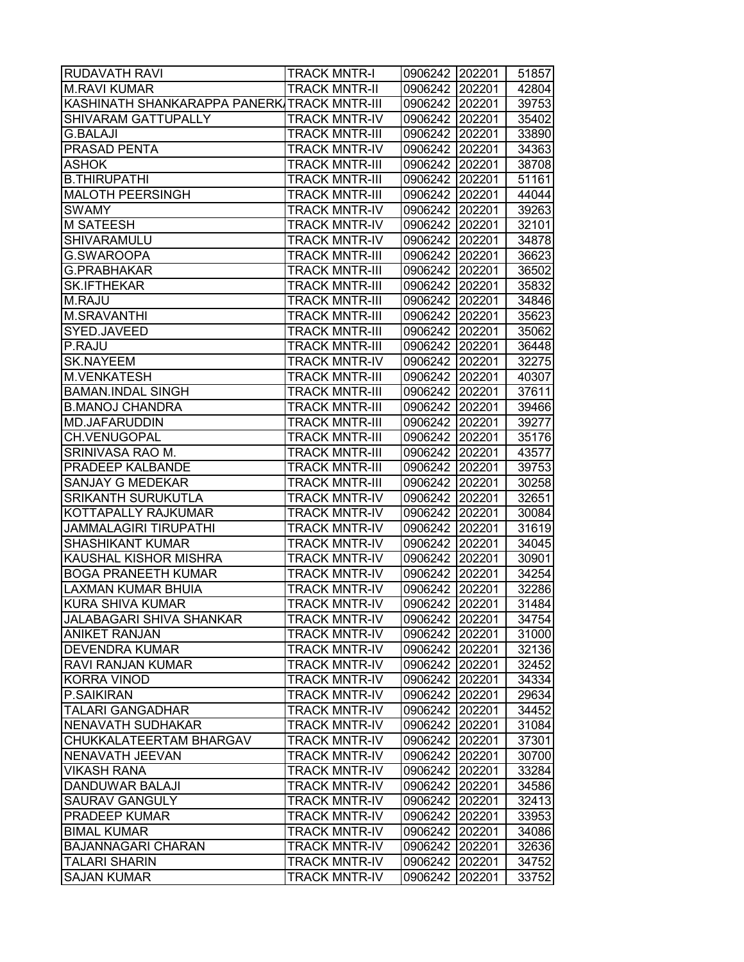| <b>RUDAVATH RAVI</b>                        | <b>TRACK MNTR-I</b>   | 0906242 202201   | 51857 |
|---------------------------------------------|-----------------------|------------------|-------|
| <b>M.RAVI KUMAR</b>                         | <b>TRACK MNTR-II</b>  | 0906242 202201   | 42804 |
| KASHINATH SHANKARAPPA PANERKITRACK MNTR-III |                       | 0906242 202201   | 39753 |
| SHIVARAM GATTUPALLY                         | <b>TRACK MNTR-IV</b>  | 0906242 202201   | 35402 |
| <b>G.BALAJI</b>                             | <b>TRACK MNTR-III</b> | 0906242 202201   | 33890 |
| <b>PRASAD PENTA</b>                         | <b>TRACK MNTR-IV</b>  | 0906242 202201   | 34363 |
| <b>ASHOK</b>                                | <b>TRACK MNTR-III</b> | 0906242 202201   | 38708 |
| <b>B.THIRUPATHI</b>                         | <b>TRACK MNTR-III</b> | 0906242 202201   | 51161 |
| <b>MALOTH PEERSINGH</b>                     | <b>TRACK MNTR-III</b> | 0906242 202201   | 44044 |
| <b>SWAMY</b>                                | <b>TRACK MNTR-IV</b>  | 0906242 202201   | 39263 |
| <b>M SATEESH</b>                            | <b>TRACK MNTR-IV</b>  | 0906242 202201   | 32101 |
| SHIVARAMULU                                 | <b>TRACK MNTR-IV</b>  | 0906242 202201   | 34878 |
| G.SWAROOPA                                  | <b>TRACK MNTR-III</b> | 0906242 202201   | 36623 |
| <b>G.PRABHAKAR</b>                          | <b>TRACK MNTR-III</b> | 0906242 202201   | 36502 |
| <b>SK.IFTHEKAR</b>                          | <b>TRACK MNTR-III</b> | 0906242 202201   | 35832 |
| M.RAJU                                      | <b>TRACK MNTR-III</b> | 0906242 202201   | 34846 |
| <b>M.SRAVANTHI</b>                          | <b>TRACK MNTR-III</b> | 0906242 202201   | 35623 |
| SYED.JAVEED                                 | <b>TRACK MNTR-III</b> | 0906242 202201   | 35062 |
| P.RAJU                                      | <b>TRACK MNTR-III</b> | 0906242 202201   | 36448 |
| <b>SK.NAYEEM</b>                            | <b>TRACK MNTR-IV</b>  | 0906242 202201   | 32275 |
| <b>M.VENKATESH</b>                          | <b>TRACK MNTR-III</b> | 0906242 202201   | 40307 |
| <b>BAMAN.INDAL SINGH</b>                    | <b>TRACK MNTR-III</b> | 0906242 202201   | 37611 |
| <b>B.MANOJ CHANDRA</b>                      | <b>TRACK MNTR-III</b> | 0906242 202201   | 39466 |
| <b>MD.JAFARUDDIN</b>                        | <b>TRACK MNTR-III</b> | 0906242 202201   | 39277 |
| CH.VENUGOPAL                                | <b>TRACK MNTR-III</b> | 0906242 202201   | 35176 |
| SRINIVASA RAO M.                            | <b>TRACK MNTR-III</b> | 0906242 202201   | 43577 |
| PRADEEP KALBANDE                            | <b>TRACK MNTR-III</b> | 0906242 202201   | 39753 |
| SANJAY G MEDEKAR                            | <b>TRACK MNTR-III</b> | 0906242 202201   | 30258 |
| <b>SRIKANTH SURUKUTLA</b>                   | <b>TRACK MNTR-IV</b>  | 0906242 202201   | 32651 |
| KOTTAPALLY RAJKUMAR                         | <b>TRACK MNTR-IV</b>  | 0906242 202201   | 30084 |
| <b>JAMMALAGIRI TIRUPATHI</b>                | <b>TRACK MNTR-IV</b>  | 0906242 202201   | 31619 |
| <b>SHASHIKANT KUMAR</b>                     | <b>TRACK MNTR-IV</b>  | 0906242 202201   | 34045 |
| KAUSHAL KISHOR MISHRA                       | <b>TRACK MNTR-IV</b>  | 0906242 202201   | 30901 |
| <b>BOGA PRANEETH KUMAR</b>                  | <b>TRACK MNTR-IV</b>  | 0906242 202201   | 34254 |
| <b>LAXMAN KUMAR BHUIA</b>                   | <b>TRACK MNTR-IV</b>  | 0906242 202201   | 32286 |
| <b>KURA SHIVA KUMAR</b>                     | <b>TRACK MNTR-IV</b>  | 0906242 202201   | 31484 |
| <b>JALABAGARI SHIVA SHANKAR</b>             | <b>TRACK MNTR-IV</b>  | 0906242 202201   | 34754 |
| <b>ANIKET RANJAN</b>                        | <b>TRACK MNTR-IV</b>  | 0906242 202201   | 31000 |
| <b>DEVENDRA KUMAR</b>                       | <b>TRACK MNTR-IV</b>  | 0906242   202201 | 32136 |
| <b>RAVI RANJAN KUMAR</b>                    | <b>TRACK MNTR-IV</b>  | 0906242 202201   | 32452 |
| <b>KORRA VINOD</b>                          | <b>TRACK MNTR-IV</b>  | 0906242 202201   | 34334 |
| P.SAIKIRAN                                  | <b>TRACK MNTR-IV</b>  | 0906242 202201   | 29634 |
| <b>TALARI GANGADHAR</b>                     | <b>TRACK MNTR-IV</b>  | 0906242 202201   | 34452 |
| <b>NENAVATH SUDHAKAR</b>                    | <b>TRACK MNTR-IV</b>  | 0906242 202201   | 31084 |
| CHUKKALATEERTAM BHARGAV                     | <b>TRACK MNTR-IV</b>  | 0906242 202201   | 37301 |
| NENAVATH JEEVAN                             | <b>TRACK MNTR-IV</b>  | 0906242 202201   | 30700 |
| <b>VIKASH RANA</b>                          | <b>TRACK MNTR-IV</b>  | 0906242 202201   | 33284 |
| <b>DANDUWAR BALAJI</b>                      | <b>TRACK MNTR-IV</b>  | 0906242 202201   | 34586 |
| <b>SAURAV GANGULY</b>                       | <b>TRACK MNTR-IV</b>  | 0906242 202201   | 32413 |
| <b>PRADEEP KUMAR</b>                        | <b>TRACK MNTR-IV</b>  | 0906242 202201   | 33953 |
| <b>BIMAL KUMAR</b>                          | <b>TRACK MNTR-IV</b>  | 0906242 202201   | 34086 |
| <b>BAJANNAGARI CHARAN</b>                   | <b>TRACK MNTR-IV</b>  | 0906242   202201 | 32636 |
| <b>TALARI SHARIN</b>                        | <b>TRACK MNTR-IV</b>  | 0906242   202201 | 34752 |
| <b>SAJAN KUMAR</b>                          | <b>TRACK MNTR-IV</b>  | 0906242 202201   | 33752 |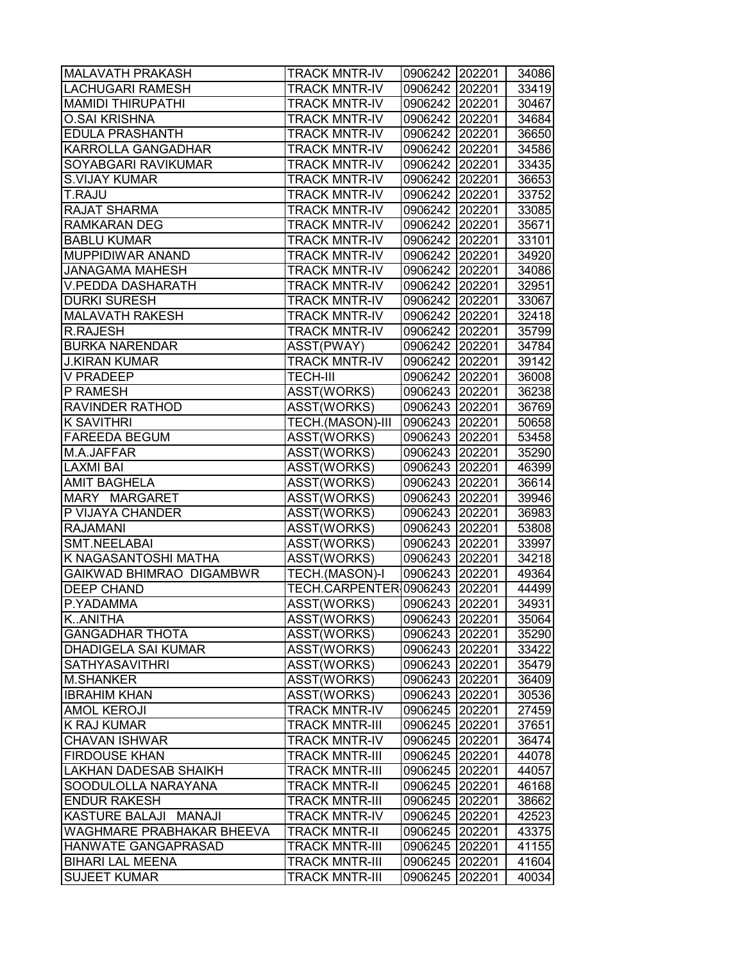| <b>MALAVATH PRAKASH</b>      | <b>TRACK MNTR-IV</b>          | 0906242 202201 |        | 34086 |
|------------------------------|-------------------------------|----------------|--------|-------|
| LACHUGARI RAMESH             | <b>TRACK MNTR-IV</b>          | 0906242 202201 |        | 33419 |
| <b>MAMIDI THIRUPATHI</b>     | <b>TRACK MNTR-IV</b>          | 0906242 202201 |        | 30467 |
| <b>O.SAI KRISHNA</b>         | <b>TRACK MNTR-IV</b>          | 0906242 202201 |        | 34684 |
| <b>EDULA PRASHANTH</b>       | <b>TRACK MNTR-IV</b>          | 0906242 202201 |        | 36650 |
| KARROLLA GANGADHAR           | <b>TRACK MNTR-IV</b>          | 0906242 202201 |        | 34586 |
| SOYABGARI RAVIKUMAR          | <b>TRACK MNTR-IV</b>          | 0906242 202201 |        | 33435 |
| <b>S.VIJAY KUMAR</b>         | <b>TRACK MNTR-IV</b>          | 0906242 202201 |        | 36653 |
| T.RAJU                       | <b>TRACK MNTR-IV</b>          | 0906242 202201 |        | 33752 |
| <b>RAJAT SHARMA</b>          | <b>TRACK MNTR-IV</b>          | 0906242 202201 |        | 33085 |
| <b>RAMKARAN DEG</b>          | <b>TRACK MNTR-IV</b>          | 0906242 202201 |        | 35671 |
| <b>BABLU KUMAR</b>           | <b>TRACK MNTR-IV</b>          | 0906242 202201 |        | 33101 |
| MUPPIDIWAR ANAND             | <b>TRACK MNTR-IV</b>          | 0906242 202201 |        | 34920 |
| <b>JANAGAMA MAHESH</b>       | <b>TRACK MNTR-IV</b>          | 0906242 202201 |        | 34086 |
| V.PEDDA DASHARATH            | <b>TRACK MNTR-IV</b>          | 0906242 202201 |        | 32951 |
| <b>DURKI SURESH</b>          | <b>TRACK MNTR-IV</b>          | 0906242 202201 |        | 33067 |
| <b>MALAVATH RAKESH</b>       | <b>TRACK MNTR-IV</b>          | 0906242 202201 |        | 32418 |
| <b>R.RAJESH</b>              | <b>TRACK MNTR-IV</b>          | 0906242 202201 |        | 35799 |
| <b>BURKA NARENDAR</b>        | ASST(PWAY)                    | 0906242 202201 |        | 34784 |
| <b>J.KIRAN KUMAR</b>         | <b>TRACK MNTR-IV</b>          | 0906242 202201 |        | 39142 |
| <b>V PRADEEP</b>             | <b>TECH-III</b>               | 0906242 202201 |        | 36008 |
| P RAMESH                     | ASST(WORKS)                   | 0906243 202201 |        | 36238 |
| RAVINDER RATHOD              | ASST(WORKS)                   | 0906243 202201 |        | 36769 |
| <b>K SAVITHRI</b>            | TECH.(MASON)-III              | 0906243 202201 |        | 50658 |
| <b>FAREEDA BEGUM</b>         | ASST(WORKS)                   | 0906243 202201 |        | 53458 |
| M.A.JAFFAR                   | ASST(WORKS)                   | 0906243 202201 |        | 35290 |
| LAXMI BAI                    | ASST(WORKS)                   | 0906243 202201 |        | 46399 |
| <b>AMIT BAGHELA</b>          | ASST(WORKS)                   | 0906243 202201 |        | 36614 |
| MARY MARGARET                | ASST(WORKS)                   | 0906243 202201 |        | 39946 |
| P VIJAYA CHANDER             | ASST(WORKS)                   | 0906243 202201 |        | 36983 |
| <b>RAJAMANI</b>              | ASST(WORKS)                   | 0906243 202201 |        | 53808 |
| <b>SMT.NEELABAI</b>          | ASST(WORKS)                   | 0906243 202201 |        | 33997 |
| K NAGASANTOSHI MATHA         | ASST(WORKS)                   | 0906243 202201 |        | 34218 |
| GAIKWAD BHIMRAO DIGAMBWR     | TECH.(MASON)-I                | 0906243 202201 |        | 49364 |
| <b>DEEP CHAND</b>            | TECH.CARPENTER 0906243 202201 |                |        | 44499 |
| P.YADAMMA                    | ASST(WORKS)                   | 0906243        | 202201 | 34931 |
| KANITHA                      | ASST(WORKS)                   | 0906243 202201 |        | 35064 |
| <b>GANGADHAR THOTA</b>       | ASST(WORKS)                   | 0906243        | 202201 | 35290 |
| DHADIGELA SAI KUMAR          | ASST(WORKS)                   | 0906243        | 202201 | 33422 |
| <b>SATHYASAVITHRI</b>        | ASST(WORKS)                   | 0906243        | 202201 | 35479 |
| M.SHANKER                    | ASST(WORKS)                   | 0906243        | 202201 | 36409 |
| <b>IBRAHIM KHAN</b>          | ASST(WORKS)                   | 0906243 202201 |        | 30536 |
| <b>AMOL KEROJI</b>           | <b>TRACK MNTR-IV</b>          | 0906245 202201 |        | 27459 |
| K RAJ KUMAR                  | <b>TRACK MNTR-III</b>         | 0906245 202201 |        | 37651 |
| <b>CHAVAN ISHWAR</b>         | <b>TRACK MNTR-IV</b>          | 0906245 202201 |        | 36474 |
| <b>FIRDOUSE KHAN</b>         | <b>TRACK MNTR-III</b>         | 0906245        | 202201 | 44078 |
| <b>LAKHAN DADESAB SHAIKH</b> | <b>TRACK MNTR-III</b>         | 0906245        | 202201 | 44057 |
| SOODULOLLA NARAYANA          | <b>TRACK MNTR-II</b>          | 0906245 202201 |        | 46168 |
| <b>ENDUR RAKESH</b>          | <b>TRACK MNTR-III</b>         | 0906245        | 202201 | 38662 |
| KASTURE BALAJI MANAJI        | <b>TRACK MNTR-IV</b>          | 0906245        | 202201 | 42523 |
| WAGHMARE PRABHAKAR BHEEVA    | <b>TRACK MNTR-II</b>          | 0906245        | 202201 | 43375 |
| HANWATE GANGAPRASAD          | <b>TRACK MNTR-III</b>         | 0906245        | 202201 | 41155 |
| <b>BIHARI LAL MEENA</b>      | <b>TRACK MNTR-III</b>         | 0906245        | 202201 | 41604 |
| <b>SUJEET KUMAR</b>          | <b>TRACK MNTR-III</b>         | 0906245        | 202201 | 40034 |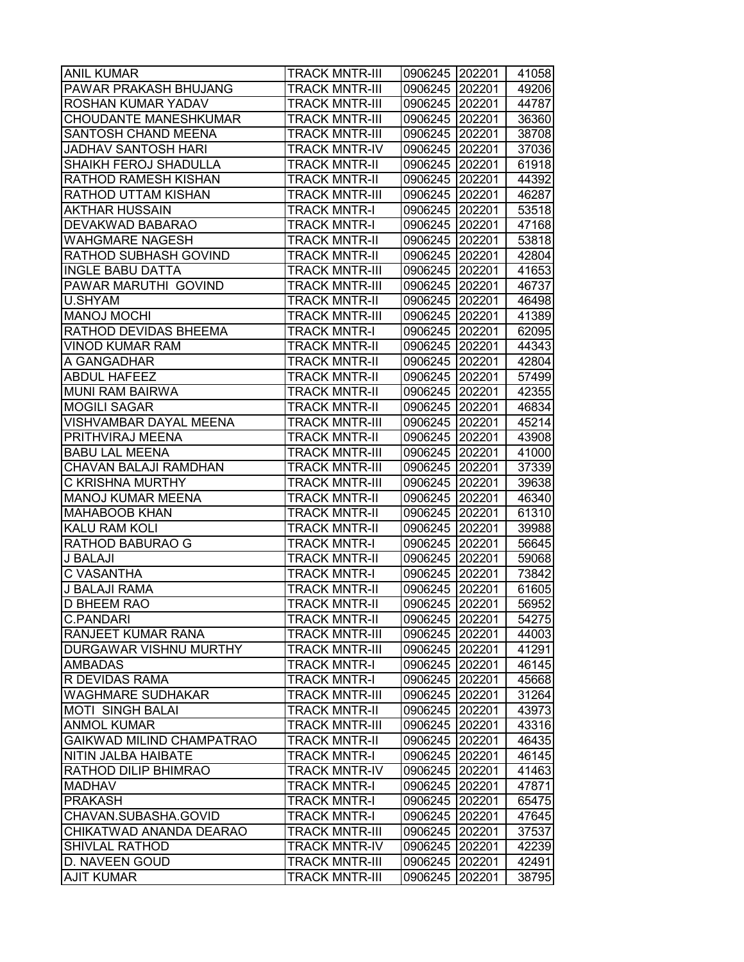| <b>ANIL KUMAR</b>                      | <b>TRACK MNTR-III</b>                      | 0906245 202201            |        | 41058          |
|----------------------------------------|--------------------------------------------|---------------------------|--------|----------------|
| PAWAR PRAKASH BHUJANG                  | <b>TRACK MNTR-III</b>                      | 0906245 202201            |        | 49206          |
| ROSHAN KUMAR YADAV                     | <b>TRACK MNTR-III</b>                      | 0906245 202201            |        | 44787          |
| CHOUDANTE MANESHKUMAR                  | <b>TRACK MNTR-III</b>                      | 0906245 202201            |        | 36360          |
| SANTOSH CHAND MEENA                    | <b>TRACK MNTR-III</b>                      | 0906245 202201            |        | 38708          |
| JADHAV SANTOSH HARI                    | <b>TRACK MNTR-IV</b>                       | 0906245 202201            |        | 37036          |
| SHAIKH FEROJ SHADULLA                  | <b>TRACK MNTR-II</b>                       | 0906245 202201            |        | 61918          |
| RATHOD RAMESH KISHAN                   | <b>TRACK MNTR-II</b>                       | 0906245 202201            |        | 44392          |
| RATHOD UTTAM KISHAN                    | <b>TRACK MNTR-III</b>                      | 0906245 202201            |        | 46287          |
| AKTHAR HUSSAIN                         | <b>TRACK MNTR-I</b>                        | 0906245 202201            |        | 53518          |
| DEVAKWAD BABARAO                       | <b>TRACK MNTR-I</b>                        | 0906245 202201            |        | 47168          |
| <b>WAHGMARE NAGESH</b>                 | <b>TRACK MNTR-II</b>                       | 0906245 202201            |        | 53818          |
| RATHOD SUBHASH GOVIND                  | <b>TRACK MNTR-II</b>                       | 0906245 202201            |        | 42804          |
| <b>INGLE BABU DATTA</b>                | <b>TRACK MNTR-III</b>                      | 0906245 202201            |        | 41653          |
| PAWAR MARUTHI GOVIND                   | <b>TRACK MNTR-III</b>                      | 0906245 202201            |        | 46737          |
| U.SHYAM                                | <b>TRACK MNTR-II</b>                       | 0906245 202201            |        | 46498          |
| <b>MANOJ MOCHI</b>                     | <b>TRACK MNTR-III</b>                      | 0906245 202201            |        | 41389          |
| RATHOD DEVIDAS BHEEMA                  | <b>TRACK MNTR-I</b>                        | 0906245 202201            |        | 62095          |
| <b>VINOD KUMAR RAM</b>                 | <b>TRACK MNTR-II</b>                       | 0906245 202201            |        | 44343          |
| A GANGADHAR                            | <b>TRACK MNTR-II</b>                       | 0906245 202201            |        | 42804          |
| <b>ABDUL HAFEEZ</b>                    | <b>TRACK MNTR-II</b>                       | 0906245 202201            |        | 57499          |
| <b>MUNI RAM BAIRWA</b>                 | <b>TRACK MNTR-II</b>                       | 0906245 202201            |        | 42355          |
| <b>MOGILI SAGAR</b>                    | <b>TRACK MNTR-II</b>                       | 0906245 202201            |        | 46834          |
| VISHVAMBAR DAYAL MEENA                 | <b>TRACK MNTR-III</b>                      | 0906245 202201            |        | 45214          |
| PRITHVIRAJ MEENA                       | <b>TRACK MNTR-II</b>                       | 0906245 202201            |        | 43908          |
| <b>BABU LAL MEENA</b>                  | <b>TRACK MNTR-III</b>                      | 0906245 202201            |        | 41000          |
| CHAVAN BALAJI RAMDHAN                  | <b>TRACK MNTR-III</b>                      | 0906245 202201            |        | 37339          |
| C KRISHNA MURTHY                       | <b>TRACK MNTR-III</b>                      | 0906245 202201            |        | 39638          |
| <b>MANOJ KUMAR MEENA</b>               | <b>TRACK MNTR-II</b>                       | 0906245 202201            |        | 46340          |
| <b>MAHABOOB KHAN</b>                   | <b>TRACK MNTR-II</b>                       | 0906245 202201            |        | 61310          |
| <b>KALU RAM KOLI</b>                   | <b>TRACK MNTR-II</b>                       | 0906245 202201            |        | 39988          |
| RATHOD BABURAO G                       | <b>TRACK MNTR-I</b>                        | 0906245 202201            |        | 56645          |
| J BALAJI                               | <b>TRACK MNTR-II</b>                       | 0906245 202201            |        | 59068          |
| C VASANTHA                             | <b>TRACK MNTR-I</b>                        | 0906245 202201            |        | 73842          |
| <b>J BALAJI RAMA</b>                   | <b>TRACK MNTR-II</b>                       | 0906245 202201            |        | 61605          |
| <b>D BHEEM RAO</b>                     | <b>TRACK MNTR-II</b>                       | 0906245 202201            |        | 56952          |
| <b>C.PANDARI</b>                       | <b>TRACK MNTR-II</b>                       | 0906245 202201            |        | 54275          |
| RANJEET KUMAR RANA                     | <b>TRACK MNTR-III</b>                      | 0906245                   | 202201 | 44003          |
| DURGAWAR VISHNU MURTHY                 | <b>TRACK MNTR-III</b>                      | 0906245 202201            |        | 41291          |
| <b>AMBADAS</b>                         | <b>TRACK MNTR-I</b>                        | 0906245 202201            |        | 46145          |
| R DEVIDAS RAMA                         | <b>TRACK MNTR-I</b>                        | 0906245 202201            |        | 45668          |
| <b>WAGHMARE SUDHAKAR</b>               | <b>TRACK MNTR-III</b>                      | 0906245 202201            |        | 31264          |
| <b>MOTI SINGH BALAI</b>                | <b>TRACK MNTR-II</b>                       | 0906245 202201            |        | 43973          |
| <b>ANMOL KUMAR</b>                     | <b>TRACK MNTR-III</b>                      | 0906245 202201            |        | 43316          |
| GAIKWAD MILIND CHAMPATRAO              | <b>TRACK MNTR-II</b>                       | 0906245 202201            |        | 46435          |
| NITIN JALBA HAIBATE                    | <b>TRACK MNTR-I</b>                        | 0906245 202201            |        | 46145          |
| RATHOD DILIP BHIMRAO                   | <b>TRACK MNTR-IV</b>                       | 0906245 202201            |        | 41463          |
| <b>MADHAV</b>                          | <b>TRACK MNTR-I</b>                        | 0906245 202201            |        | 47871          |
| <b>PRAKASH</b><br>CHAVAN.SUBASHA.GOVID | <b>TRACK MNTR-I</b><br><b>TRACK MNTR-I</b> | 0906245 202201            |        | 65475<br>47645 |
| CHIKATWAD ANANDA DEARAO                | <b>TRACK MNTR-III</b>                      | 0906245 202201<br>0906245 | 202201 | 37537          |
| <b>SHIVLAL RATHOD</b>                  | <b>TRACK MNTR-IV</b>                       | 0906245                   | 202201 | 42239          |
| D. NAVEEN GOUD                         | <b>TRACK MNTR-III</b>                      | 0906245                   | 202201 | 42491          |
| <b>AJIT KUMAR</b>                      | <b>TRACK MNTR-III</b>                      | 0906245                   | 202201 | 38795          |
|                                        |                                            |                           |        |                |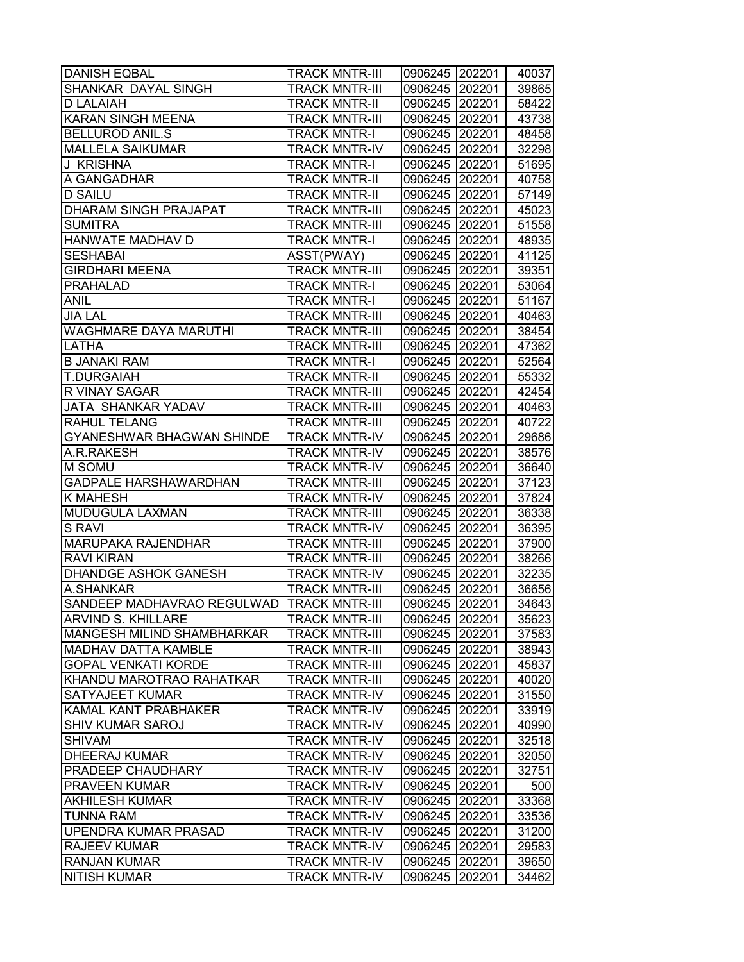| <b>DANISH EQBAL</b>                       | <b>TRACK MNTR-III</b> | 0906245 202201 |        | 40037 |
|-------------------------------------------|-----------------------|----------------|--------|-------|
| SHANKAR DAYAL SINGH                       | <b>TRACK MNTR-III</b> | 0906245        | 202201 | 39865 |
| D LALAIAH                                 | <b>TRACK MNTR-II</b>  | 0906245        | 202201 | 58422 |
| <b>KARAN SINGH MEENA</b>                  | <b>TRACK MNTR-III</b> | 0906245 202201 |        | 43738 |
| <b>BELLUROD ANIL.S</b>                    | <b>TRACK MNTR-I</b>   | 0906245 202201 |        | 48458 |
| <b>MALLELA SAIKUMAR</b>                   | <b>TRACK MNTR-IV</b>  | 0906245 202201 |        | 32298 |
| J KRISHNA                                 | <b>TRACK MNTR-I</b>   | 0906245 202201 |        | 51695 |
| A GANGADHAR                               | <b>TRACK MNTR-II</b>  | 0906245 202201 |        | 40758 |
| <b>D SAILU</b>                            | <b>TRACK MNTR-II</b>  | 0906245        | 202201 | 57149 |
| <b>DHARAM SINGH PRAJAPAT</b>              | <b>TRACK MNTR-III</b> | 0906245 202201 |        | 45023 |
| <b>SUMITRA</b>                            | <b>TRACK MNTR-III</b> | 0906245 202201 |        | 51558 |
| HANWATE MADHAV D                          | <b>TRACK MNTR-I</b>   | 0906245        | 202201 | 48935 |
| <b>SESHABAI</b>                           | ASST(PWAY)            | 0906245        | 202201 | 41125 |
| <b>GIRDHARI MEENA</b>                     | <b>TRACK MNTR-III</b> | 0906245        | 202201 | 39351 |
| <b>PRAHALAD</b>                           | <b>TRACK MNTR-I</b>   | 0906245        | 202201 | 53064 |
| <b>ANIL</b>                               | <b>TRACK MNTR-I</b>   | 0906245        | 202201 | 51167 |
| <b>JIA LAL</b>                            | <b>TRACK MNTR-III</b> | 0906245 202201 |        | 40463 |
| <b>WAGHMARE DAYA MARUTHI</b>              | <b>TRACK MNTR-III</b> | 0906245 202201 |        | 38454 |
| LATHA                                     | <b>TRACK MNTR-III</b> | 0906245 202201 |        | 47362 |
| <b>B JANAKI RAM</b>                       | <b>TRACK MNTR-I</b>   | 0906245 202201 |        | 52564 |
| <b>T.DURGAIAH</b>                         | <b>TRACK MNTR-II</b>  | 0906245        | 202201 | 55332 |
| R VINAY SAGAR                             | <b>TRACK MNTR-III</b> | 0906245        | 202201 | 42454 |
| JATA SHANKAR YADAV                        | <b>TRACK MNTR-III</b> | 0906245        | 202201 | 40463 |
| <b>RAHUL TELANG</b>                       | <b>TRACK MNTR-III</b> | 0906245 202201 |        | 40722 |
|                                           |                       |                |        |       |
| GYANESHWAR BHAGWAN SHINDE<br>A.R.RAKESH   | <b>TRACK MNTR-IV</b>  | 0906245        | 202201 | 29686 |
|                                           | <b>TRACK MNTR-IV</b>  | 0906245        | 202201 | 38576 |
| M SOMU                                    | <b>TRACK MNTR-IV</b>  | 0906245        | 202201 | 36640 |
| GADPALE HARSHAWARDHAN                     | <b>TRACK MNTR-III</b> | 0906245        | 202201 | 37123 |
| K MAHESH                                  | <b>TRACK MNTR-IV</b>  | 0906245        | 202201 | 37824 |
| MUDUGULA LAXMAN                           | <b>TRACK MNTR-III</b> | 0906245 202201 |        | 36338 |
| <b>S RAVI</b>                             | <b>TRACK MNTR-IV</b>  | 0906245 202201 |        | 36395 |
| MARUPAKA RAJENDHAR                        | <b>TRACK MNTR-III</b> | 0906245        | 202201 | 37900 |
| <b>RAVI KIRAN</b>                         | <b>TRACK MNTR-III</b> | 0906245 202201 |        | 38266 |
| DHANDGE ASHOK GANESH                      | <b>TRACK MNTR-IV</b>  | 0906245        | 202201 | 32235 |
| A.SHANKAR                                 | <b>TRACK MNTR-III</b> | 0906245        | 202201 | 36656 |
| SANDEEP MADHAVRAO REGULWAD TRACK MNTR-III |                       | 0906245        | 202201 | 34643 |
| <b>ARVIND S. KHILLARE</b>                 | <b>TRACK MNTR-III</b> | 0906245 202201 |        | 35623 |
| MANGESH MILIND SHAMBHARKAR                | <b>TRACK MNTR-III</b> | 0906245        | 202201 | 37583 |
| MADHAV DATTA KAMBLE                       | <b>TRACK MNTR-III</b> | 0906245        | 202201 | 38943 |
| GOPAL VENKATI KORDE                       | <b>TRACK MNTR-III</b> | 0906245        | 202201 | 45837 |
| KHANDU MAROTRAO RAHATKAR                  | <b>TRACK MNTR-III</b> | 0906245 202201 |        | 40020 |
| SATYAJEET KUMAR                           | <b>TRACK MNTR-IV</b>  | 0906245 202201 |        | 31550 |
| KAMAL KANT PRABHAKER                      | <b>TRACK MNTR-IV</b>  | 0906245 202201 |        | 33919 |
| <b>SHIV KUMAR SAROJ</b>                   | <b>TRACK MNTR-IV</b>  | 0906245 202201 |        | 40990 |
| <b>SHIVAM</b>                             | <b>TRACK MNTR-IV</b>  | 0906245 202201 |        | 32518 |
| <b>DHEERAJ KUMAR</b>                      | <b>TRACK MNTR-IV</b>  | 0906245 202201 |        | 32050 |
| PRADEEP CHAUDHARY                         | <b>TRACK MNTR-IV</b>  | 0906245        | 202201 | 32751 |
| <b>PRAVEEN KUMAR</b>                      | <b>TRACK MNTR-IV</b>  | 0906245 202201 |        | 500   |
| <b>AKHILESH KUMAR</b>                     | <b>TRACK MNTR-IV</b>  | 0906245 202201 |        | 33368 |
| <b>TUNNA RAM</b>                          | <b>TRACK MNTR-IV</b>  | 0906245        | 202201 | 33536 |
| UPENDRA KUMAR PRASAD                      | <b>TRACK MNTR-IV</b>  | 0906245        | 202201 | 31200 |
| <b>RAJEEV KUMAR</b>                       | <b>TRACK MNTR-IV</b>  | 0906245        | 202201 | 29583 |
| <b>RANJAN KUMAR</b>                       | <b>TRACK MNTR-IV</b>  | 0906245        | 202201 | 39650 |
| <b>NITISH KUMAR</b>                       | <b>TRACK MNTR-IV</b>  | 0906245        | 202201 | 34462 |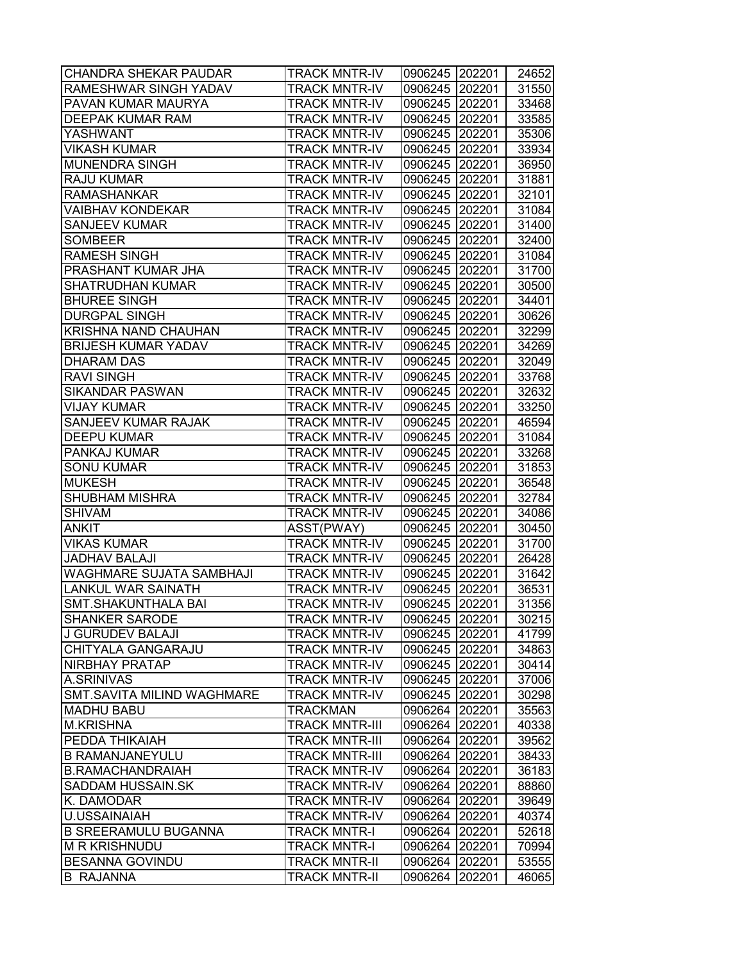| <b>CHANDRA SHEKAR PAUDAR</b>    | <b>TRACK MNTR-IV</b>  | 0906245 202201 |        | 24652 |
|---------------------------------|-----------------------|----------------|--------|-------|
| RAMESHWAR SINGH YADAV           | <b>TRACK MNTR-IV</b>  | 0906245 202201 |        | 31550 |
| PAVAN KUMAR MAURYA              | <b>TRACK MNTR-IV</b>  | 0906245 202201 |        | 33468 |
| DEEPAK KUMAR RAM                | <b>TRACK MNTR-IV</b>  | 0906245 202201 |        | 33585 |
| YASHWANT                        | <b>TRACK MNTR-IV</b>  | 0906245 202201 |        | 35306 |
| <b>VIKASH KUMAR</b>             | <b>TRACK MNTR-IV</b>  | 0906245 202201 |        | 33934 |
| <b>MUNENDRA SINGH</b>           | <b>TRACK MNTR-IV</b>  | 0906245 202201 |        | 36950 |
| <b>RAJU KUMAR</b>               | <b>TRACK MNTR-IV</b>  | 0906245 202201 |        | 31881 |
| <b>RAMASHANKAR</b>              | <b>TRACK MNTR-IV</b>  | 0906245 202201 |        | 32101 |
| <b>VAIBHAV KONDEKAR</b>         | <b>TRACK MNTR-IV</b>  | 0906245 202201 |        | 31084 |
| <b>SANJEEV KUMAR</b>            | <b>TRACK MNTR-IV</b>  | 0906245 202201 |        | 31400 |
| <b>SOMBEER</b>                  | <b>TRACK MNTR-IV</b>  | 0906245 202201 |        | 32400 |
| <b>RAMESH SINGH</b>             | <b>TRACK MNTR-IV</b>  | 0906245 202201 |        | 31084 |
| PRASHANT KUMAR JHA              | <b>TRACK MNTR-IV</b>  | 0906245 202201 |        | 31700 |
| SHATRUDHAN KUMAR                | <b>TRACK MNTR-IV</b>  | 0906245 202201 |        | 30500 |
| <b>BHUREE SINGH</b>             | <b>TRACK MNTR-IV</b>  | 0906245 202201 |        | 34401 |
| <b>DURGPAL SINGH</b>            | <b>TRACK MNTR-IV</b>  | 0906245 202201 |        | 30626 |
| <b>KRISHNA NAND CHAUHAN</b>     | <b>TRACK MNTR-IV</b>  | 0906245 202201 |        | 32299 |
| <b>BRIJESH KUMAR YADAV</b>      | <b>TRACK MNTR-IV</b>  | 0906245 202201 |        | 34269 |
| <b>DHARAM DAS</b>               | <b>TRACK MNTR-IV</b>  | 0906245 202201 |        | 32049 |
| <b>RAVI SINGH</b>               | <b>TRACK MNTR-IV</b>  | 0906245 202201 |        | 33768 |
| <b>SIKANDAR PASWAN</b>          | <b>TRACK MNTR-IV</b>  | 0906245 202201 |        | 32632 |
| <b>VIJAY KUMAR</b>              | <b>TRACK MNTR-IV</b>  | 0906245 202201 |        | 33250 |
| SANJEEV KUMAR RAJAK             | <b>TRACK MNTR-IV</b>  | 0906245 202201 |        | 46594 |
| <b>DEEPU KUMAR</b>              | <b>TRACK MNTR-IV</b>  | 0906245 202201 |        | 31084 |
| PANKAJ KUMAR                    | <b>TRACK MNTR-IV</b>  | 0906245 202201 |        | 33268 |
| <b>SONU KUMAR</b>               | <b>TRACK MNTR-IV</b>  | 0906245 202201 |        | 31853 |
| <b>MUKESH</b>                   | <b>TRACK MNTR-IV</b>  | 0906245 202201 |        | 36548 |
| SHUBHAM MISHRA                  | <b>TRACK MNTR-IV</b>  | 0906245 202201 |        | 32784 |
| <b>SHIVAM</b>                   | <b>TRACK MNTR-IV</b>  | 0906245 202201 |        | 34086 |
| <b>ANKIT</b>                    | ASST(PWAY)            | 0906245 202201 |        | 30450 |
| <b>VIKAS KUMAR</b>              | <b>TRACK MNTR-IV</b>  | 0906245 202201 |        | 31700 |
| <b>JADHAV BALAJI</b>            | <b>TRACK MNTR-IV</b>  | 0906245 202201 |        | 26428 |
| <b>WAGHMARE SUJATA SAMBHAJI</b> | <b>TRACK MNTR-IV</b>  | 0906245 202201 |        | 31642 |
| <b>LANKUL WAR SAINATH</b>       | <b>TRACK MNTR-IV</b>  | 0906245 202201 |        | 36531 |
| <b>SMT.SHAKUNTHALA BAI</b>      | <b>TRACK MNTR-IV</b>  | 0906245 202201 |        | 31356 |
| <b>SHANKER SARODE</b>           | <b>TRACK MNTR-IV</b>  | 0906245 202201 |        | 30215 |
| J GURUDEV BALAJI                | <b>TRACK MNTR-IV</b>  | 0906245 202201 |        | 41799 |
| CHITYALA GANGARAJU              | <b>TRACK MNTR-IV</b>  | 0906245 202201 |        | 34863 |
| NIRBHAY PRATAP                  | <b>TRACK MNTR-IV</b>  | 0906245 202201 |        | 30414 |
| A.SRINIVAS                      | <b>TRACK MNTR-IV</b>  | 0906245 202201 |        | 37006 |
| SMT.SAVITA MILIND WAGHMARE      | <b>TRACK MNTR-IV</b>  | 0906245 202201 |        | 30298 |
| <b>MADHU BABU</b>               | <b>TRACKMAN</b>       | 0906264 202201 |        | 35563 |
| <b>M.KRISHNA</b>                | <b>TRACK MNTR-III</b> | 0906264 202201 |        | 40338 |
| PEDDA THIKAIAH                  | <b>TRACK MNTR-III</b> | 0906264 202201 |        | 39562 |
| <b>B RAMANJANEYULU</b>          | <b>TRACK MNTR-III</b> | 0906264 202201 |        | 38433 |
| <b>B.RAMACHANDRAIAH</b>         | <b>TRACK MNTR-IV</b>  | 0906264 202201 |        | 36183 |
| SADDAM HUSSAIN.SK               | <b>TRACK MNTR-IV</b>  | 0906264 202201 |        | 88860 |
| K. DAMODAR                      | <b>TRACK MNTR-IV</b>  | 0906264 202201 |        | 39649 |
| <b>U.USSAINAIAH</b>             | <b>TRACK MNTR-IV</b>  | 0906264 202201 |        | 40374 |
| <b>B SREERAMULU BUGANNA</b>     | <b>TRACK MNTR-I</b>   | 0906264        | 202201 | 52618 |
| <b>M R KRISHNUDU</b>            | <b>TRACK MNTR-I</b>   | 0906264        | 202201 | 70994 |
| <b>BESANNA GOVINDU</b>          | <b>TRACK MNTR-II</b>  | 0906264        | 202201 | 53555 |
| <b>B RAJANNA</b>                | <b>TRACK MNTR-II</b>  | 0906264        | 202201 | 46065 |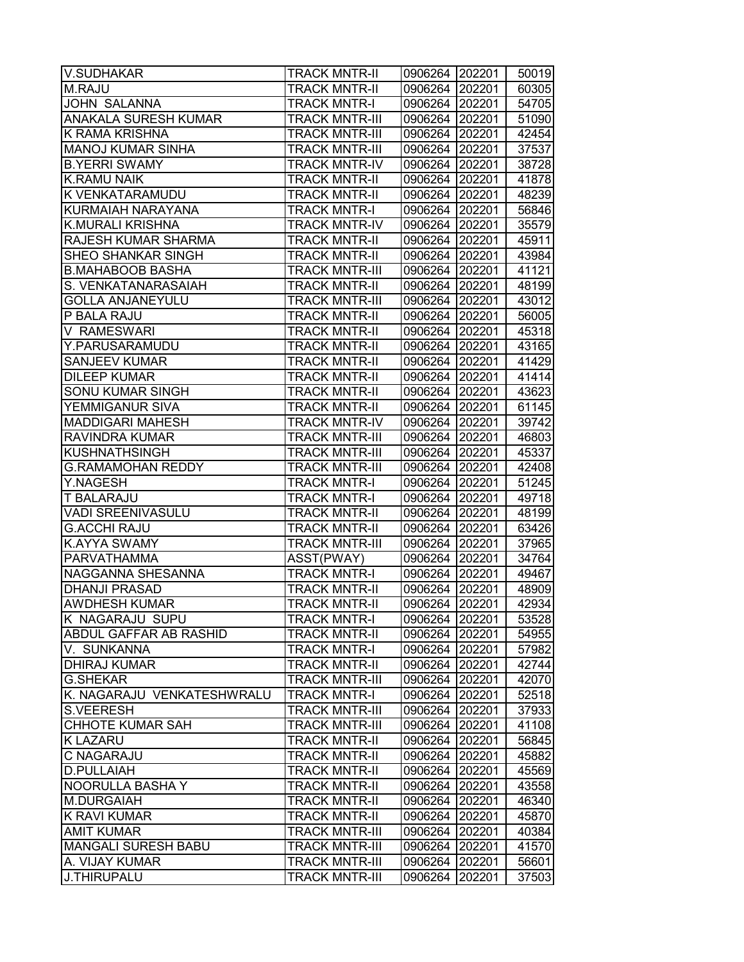| <b>V.SUDHAKAR</b>          | <b>TRACK MNTR-II</b>  | 0906264 202201 |        | 50019 |
|----------------------------|-----------------------|----------------|--------|-------|
| M.RAJU                     | <b>TRACK MNTR-II</b>  | 0906264 202201 |        | 60305 |
| <b>JOHN SALANNA</b>        | <b>TRACK MNTR-I</b>   | 0906264 202201 |        | 54705 |
| ANAKALA SURESH KUMAR       | <b>TRACK MNTR-III</b> | 0906264 202201 |        | 51090 |
| K RAMA KRISHNA             | <b>TRACK MNTR-III</b> | 0906264 202201 |        | 42454 |
| <b>MANOJ KUMAR SINHA</b>   | <b>TRACK MNTR-III</b> | 0906264 202201 |        | 37537 |
| <b>B.YERRI SWAMY</b>       | <b>TRACK MNTR-IV</b>  | 0906264 202201 |        | 38728 |
| <b>K.RAMU NAIK</b>         | <b>TRACK MNTR-II</b>  | 0906264 202201 |        | 41878 |
| K VENKATARAMUDU            | <b>TRACK MNTR-II</b>  | 0906264 202201 |        | 48239 |
| KURMAIAH NARAYANA          | <b>TRACK MNTR-I</b>   | 0906264 202201 |        | 56846 |
| <b>K.MURALI KRISHNA</b>    | <b>TRACK MNTR-IV</b>  | 0906264 202201 |        | 35579 |
| RAJESH KUMAR SHARMA        | <b>TRACK MNTR-II</b>  | 0906264 202201 |        | 45911 |
| SHEO SHANKAR SINGH         | <b>TRACK MNTR-II</b>  | 0906264        | 202201 | 43984 |
| <b>B.MAHABOOB BASHA</b>    | <b>TRACK MNTR-III</b> | 0906264        | 202201 | 41121 |
| S. VENKATANARASAIAH        | <b>TRACK MNTR-II</b>  | 0906264        | 202201 | 48199 |
| <b>GOLLA ANJANEYULU</b>    | <b>TRACK MNTR-III</b> | 0906264 202201 |        | 43012 |
| P BALA RAJU                | <b>TRACK MNTR-II</b>  | 0906264 202201 |        | 56005 |
| V RAMESWARI                | <b>TRACK MNTR-II</b>  | 0906264 202201 |        | 45318 |
| Y.PARUSARAMUDU             | <b>TRACK MNTR-II</b>  | 0906264 202201 |        | 43165 |
| <b>SANJEEV KUMAR</b>       | <b>TRACK MNTR-II</b>  | 0906264 202201 |        | 41429 |
| <b>DILEEP KUMAR</b>        | <b>TRACK MNTR-II</b>  | 0906264 202201 |        | 41414 |
| <b>SONU KUMAR SINGH</b>    | <b>TRACK MNTR-II</b>  | 0906264 202201 |        | 43623 |
| YEMMIGANUR SIVA            | <b>TRACK MNTR-II</b>  | 0906264 202201 |        | 61145 |
| <b>MADDIGARI MAHESH</b>    | <b>TRACK MNTR-IV</b>  | 0906264 202201 |        | 39742 |
| RAVINDRA KUMAR             | <b>TRACK MNTR-III</b> | 0906264        | 202201 | 46803 |
| <b>KUSHNATHSINGH</b>       | <b>TRACK MNTR-III</b> | 0906264        | 202201 | 45337 |
| G.RAMAMOHAN REDDY          | <b>TRACK MNTR-III</b> | 0906264        | 202201 | 42408 |
| Y.NAGESH                   | <b>TRACK MNTR-I</b>   | 0906264 202201 |        | 51245 |
| <b>T BALARAJU</b>          | <b>TRACK MNTR-I</b>   | 0906264 202201 |        | 49718 |
| <b>VADI SREENIVASULU</b>   | <b>TRACK MNTR-II</b>  | 0906264 202201 |        | 48199 |
| <b>G.ACCHI RAJU</b>        | <b>TRACK MNTR-II</b>  | 0906264 202201 |        | 63426 |
| <b>K.AYYA SWAMY</b>        | <b>TRACK MNTR-III</b> | 0906264 202201 |        | 37965 |
| <b>PARVATHAMMA</b>         | ASST(PWAY)            | 0906264 202201 |        | 34764 |
| NAGGANNA SHESANNA          | <b>TRACK MNTR-I</b>   | 0906264 202201 |        | 49467 |
| <b>DHANJI PRASAD</b>       | <b>TRACK MNTR-II</b>  | 0906264 202201 |        | 48909 |
| <b>AWDHESH KUMAR</b>       | <b>TRACK MNTR-II</b>  | 0906264 202201 |        | 42934 |
| K NAGARAJU SUPU            | <b>TRACK MNTR-I</b>   | 0906264 202201 |        | 53528 |
| ABDUL GAFFAR AB RASHID     | <b>TRACK MNTR-II</b>  | 0906264        | 202201 | 54955 |
| V. SUNKANNA                | <b>TRACK MNTR-I</b>   | 0906264        | 202201 | 57982 |
| <b>DHIRAJ KUMAR</b>        | <b>TRACK MNTR-II</b>  | 0906264        | 202201 | 42744 |
| <b>G.SHEKAR</b>            | <b>TRACK MNTR-III</b> | 0906264        | 202201 | 42070 |
| K. NAGARAJU VENKATESHWRALU | <b>TRACK MNTR-I</b>   | 0906264 202201 |        | 52518 |
| <b>S.VEERESH</b>           | <b>TRACK MNTR-III</b> | 0906264 202201 |        | 37933 |
| <b>CHHOTE KUMAR SAH</b>    | <b>TRACK MNTR-III</b> | 0906264 202201 |        | 41108 |
| <b>K LAZARU</b>            | <b>TRACK MNTR-II</b>  | 0906264 202201 |        | 56845 |
| C NAGARAJU                 | <b>TRACK MNTR-II</b>  | 0906264 202201 |        | 45882 |
| D.PULLAIAH                 | <b>TRACK MNTR-II</b>  | 0906264 202201 |        | 45569 |
| NOORULLA BASHA Y           | <b>TRACK MNTR-II</b>  | 0906264        | 202201 | 43558 |
| M.DURGAIAH                 | <b>TRACK MNTR-II</b>  | 0906264        | 202201 | 46340 |
| <b>K RAVI KUMAR</b>        | <b>TRACK MNTR-II</b>  | 0906264        | 202201 | 45870 |
| <b>AMIT KUMAR</b>          | <b>TRACK MNTR-III</b> | 0906264        | 202201 | 40384 |
| <b>MANGALI SURESH BABU</b> | <b>TRACK MNTR-III</b> | 0906264        | 202201 | 41570 |
| A. VIJAY KUMAR             | <b>TRACK MNTR-III</b> | 0906264        | 202201 | 56601 |
| J.THIRUPALU                | <b>TRACK MNTR-III</b> | 0906264        | 202201 | 37503 |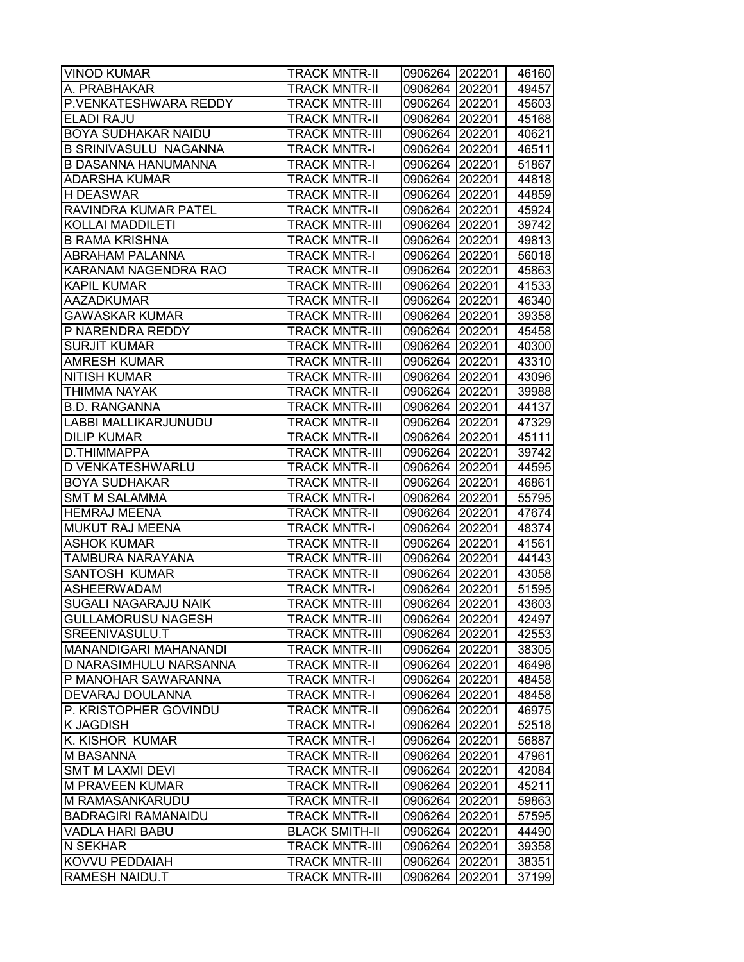| <b>VINOD KUMAR</b>                            | <b>TRACK MNTR-II</b>                         | 0906264 202201     |                  | 46160          |
|-----------------------------------------------|----------------------------------------------|--------------------|------------------|----------------|
| A. PRABHAKAR                                  | <b>TRACK MNTR-II</b>                         | 0906264 202201     |                  | 49457          |
| P.VENKATESHWARA REDDY                         | <b>TRACK MNTR-III</b>                        | 0906264 202201     |                  | 45603          |
| <b>ELADI RAJU</b>                             | <b>TRACK MNTR-II</b>                         | 0906264 202201     |                  | 45168          |
| <b>BOYA SUDHAKAR NAIDU</b>                    | <b>TRACK MNTR-III</b>                        | 0906264 202201     |                  | 40621          |
| <b>B SRINIVASULU NAGANNA</b>                  | <b>TRACK MNTR-I</b>                          | 0906264 202201     |                  | 46511          |
| <b>B DASANNA HANUMANNA</b>                    | <b>TRACK MNTR-I</b>                          | 0906264 202201     |                  | 51867          |
| <b>ADARSHA KUMAR</b>                          | <b>TRACK MNTR-II</b>                         | 0906264 202201     |                  | 44818          |
| <b>H DEASWAR</b>                              | <b>TRACK MNTR-II</b>                         | 0906264 202201     |                  | 44859          |
| <b>RAVINDRA KUMAR PATEL</b>                   | <b>TRACK MNTR-II</b>                         | 0906264 202201     |                  | 45924          |
| <b>KOLLAI MADDILETI</b>                       | <b>TRACK MNTR-III</b>                        | 0906264 202201     |                  | 39742          |
| <b>B RAMA KRISHNA</b>                         | <b>TRACK MNTR-II</b>                         | 0906264 202201     |                  | 49813          |
| ABRAHAM PALANNA                               | <b>TRACK MNTR-I</b>                          | 0906264 202201     |                  | 56018          |
| KARANAM NAGENDRA RAO                          | <b>TRACK MNTR-II</b>                         | 0906264 202201     |                  | 45863          |
| <b>KAPIL KUMAR</b>                            | <b>TRACK MNTR-III</b>                        | 0906264 202201     |                  | 41533          |
| <b>AAZADKUMAR</b>                             | <b>TRACK MNTR-II</b>                         | 0906264 202201     |                  | 46340          |
| <b>GAWASKAR KUMAR</b>                         | <b>TRACK MNTR-III</b>                        | 0906264 202201     |                  | 39358          |
| P NARENDRA REDDY                              | <b>TRACK MNTR-III</b>                        | 0906264 202201     |                  | 45458          |
| <b>SURJIT KUMAR</b>                           | <b>TRACK MNTR-III</b>                        | 0906264 202201     |                  | 40300          |
| <b>AMRESH KUMAR</b>                           | <b>TRACK MNTR-III</b>                        | 0906264 202201     |                  | 43310          |
| <b>NITISH KUMAR</b>                           | <b>TRACK MNTR-III</b>                        | 0906264 202201     |                  | 43096          |
| <b>THIMMA NAYAK</b>                           | <b>TRACK MNTR-II</b>                         | 0906264 202201     |                  | 39988          |
| <b>B.D. RANGANNA</b>                          | <b>TRACK MNTR-III</b>                        | 0906264 202201     |                  | 44137          |
| LABBI MALLIKARJUNUDU                          | <b>TRACK MNTR-II</b>                         | 0906264 202201     |                  | 47329          |
| <b>DILIP KUMAR</b>                            | <b>TRACK MNTR-II</b>                         | 0906264 202201     |                  | 45111          |
| D.THIMMAPPA                                   | <b>TRACK MNTR-III</b>                        | 0906264 202201     |                  | 39742          |
| D VENKATESHWARLU                              | <b>TRACK MNTR-II</b>                         | 0906264 202201     |                  | 44595          |
| <b>BOYA SUDHAKAR</b>                          | TRACK MNTR-II                                | 0906264 202201     |                  | 46861          |
| <b>SMT M SALAMMA</b>                          | <b>TRACK MNTR-I</b>                          | 0906264 202201     |                  | 55795          |
| <b>HEMRAJ MEENA</b>                           | <b>TRACK MNTR-II</b>                         | 0906264 202201     |                  | 47674          |
| MUKUT RAJ MEENA                               | <b>TRACK MNTR-I</b>                          | 0906264 202201     |                  | 48374          |
| <b>ASHOK KUMAR</b>                            | <b>TRACK MNTR-II</b>                         | 0906264 202201     |                  | 41561          |
| <b>TAMBURA NARAYANA</b>                       | <b>TRACK MNTR-III</b>                        | 0906264 202201     |                  | 44143          |
| <b>SANTOSH KUMAR</b>                          | <b>TRACK MNTR-II</b>                         | 0906264 202201     |                  | 43058          |
| <b>ASHEERWADAM</b>                            | <b>TRACK MNTR-I</b>                          | 0906264 202201     |                  | 51595          |
| <b>SUGALI NAGARAJU NAIK</b>                   | <b>TRACK MNTR-III</b>                        | 0906264 202201     |                  | 43603          |
| <b>GULLAMORUSU NAGESH</b>                     | <b>TRACK MNTR-III</b>                        | 0906264 202201     |                  | 42497          |
| SREENIVASULU.T                                | <b>TRACK MNTR-III</b>                        | 0906264            | 202201           | 42553          |
| <b>MANANDIGARI MAHANANDI</b>                  | <b>TRACK MNTR-III</b>                        | 0906264 202201     |                  | 38305          |
| D NARASIMHULU NARSANNA                        | <b>TRACK MNTR-II</b>                         | 0906264 202201     |                  | 46498          |
| P MANOHAR SAWARANNA                           | <b>TRACK MNTR-I</b>                          | 0906264 202201     |                  | 48458          |
| DEVARAJ DOULANNA                              | <b>TRACK MNTR-I</b>                          | 0906264 202201     |                  | 48458          |
| P. KRISTOPHER GOVINDU                         | <b>TRACK MNTR-II</b>                         | 0906264            | 202201           | 46975          |
| <b>K JAGDISH</b>                              | <b>TRACK MNTR-I</b>                          | 0906264            | 202201           | 52518          |
| K. KISHOR KUMAR                               | <b>TRACK MNTR-I</b>                          | 0906264 202201     |                  | 56887          |
| <b>M BASANNA</b>                              | <b>TRACK MNTR-II</b>                         | 0906264 202201     |                  | 47961          |
| <b>SMT M LAXMI DEVI</b>                       | <b>TRACK MNTR-II</b>                         | 0906264 202201     |                  | 42084          |
| <b>M PRAVEEN KUMAR</b>                        | <b>TRACK MNTR-II</b>                         | 0906264 202201     |                  | 45211          |
| M RAMASANKARUDU<br><b>BADRAGIRI RAMANAIDU</b> | <b>TRACK MNTR-II</b><br><b>TRACK MNTR-II</b> | 0906264<br>0906264 | 202201<br>202201 | 59863<br>57595 |
| <b>VADLA HARI BABU</b>                        | <b>BLACK SMITH-II</b>                        | 0906264            | 202201           | 44490          |
| N SEKHAR                                      | <b>TRACK MNTR-III</b>                        | 0906264            | 202201           | 39358          |
| <b>KOVVU PEDDAIAH</b>                         | <b>TRACK MNTR-III</b>                        | 0906264            | 202201           | 38351          |
| <b>RAMESH NAIDU.T</b>                         | <b>TRACK MNTR-III</b>                        | 0906264            | 202201           | 37199          |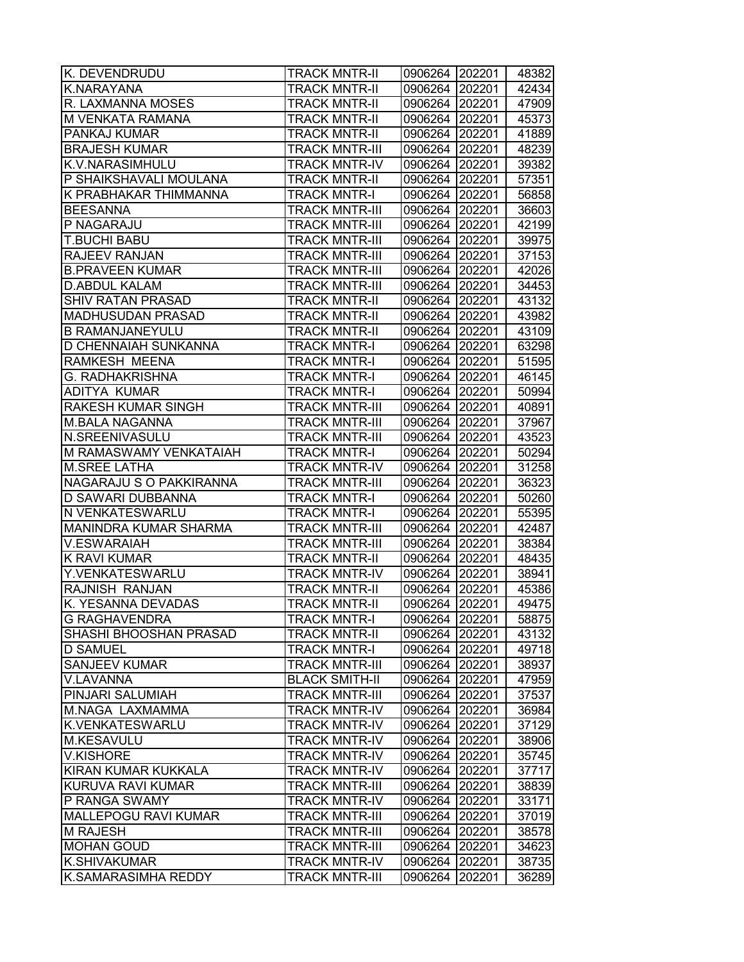| K. DEVENDRUDU             | <b>TRACK MNTR-II</b>  | 0906264 202201 |        | 48382 |
|---------------------------|-----------------------|----------------|--------|-------|
| K.NARAYANA                | <b>TRACK MNTR-II</b>  | 0906264        | 202201 | 42434 |
| R. LAXMANNA MOSES         | <b>TRACK MNTR-II</b>  | 0906264 202201 |        | 47909 |
| M VENKATA RAMANA          | <b>TRACK MNTR-II</b>  | 0906264 202201 |        | 45373 |
| PANKAJ KUMAR              | <b>TRACK MNTR-II</b>  | 0906264 202201 |        | 41889 |
| <b>BRAJESH KUMAR</b>      | <b>TRACK MNTR-III</b> | 0906264 202201 |        | 48239 |
| K.V.NARASIMHULU           | <b>TRACK MNTR-IV</b>  | 0906264 202201 |        | 39382 |
| P SHAIKSHAVALI MOULANA    | <b>TRACK MNTR-II</b>  | 0906264 202201 |        | 57351 |
| K PRABHAKAR THIMMANNA     | <b>TRACK MNTR-I</b>   | 0906264 202201 |        | 56858 |
| <b>BEESANNA</b>           | <b>TRACK MNTR-III</b> | 0906264 202201 |        | 36603 |
| P NAGARAJU                | <b>TRACK MNTR-III</b> | 0906264 202201 |        | 42199 |
| <b>T.BUCHI BABU</b>       | <b>TRACK MNTR-III</b> | 0906264        | 202201 | 39975 |
| RAJEEV RANJAN             | <b>TRACK MNTR-III</b> | 0906264        | 202201 | 37153 |
| <b>B.PRAVEEN KUMAR</b>    | <b>TRACK MNTR-III</b> | 0906264        | 202201 | 42026 |
| <b>D.ABDUL KALAM</b>      | <b>TRACK MNTR-III</b> | 0906264        | 202201 | 34453 |
| <b>SHIV RATAN PRASAD</b>  | <b>TRACK MNTR-II</b>  | 0906264 202201 |        | 43132 |
| <b>MADHUSUDAN PRASAD</b>  | <b>TRACK MNTR-II</b>  | 0906264 202201 |        | 43982 |
| <b>B RAMANJANEYULU</b>    | <b>TRACK MNTR-II</b>  | 0906264 202201 |        | 43109 |
| D CHENNAIAH SUNKANNA      | <b>TRACK MNTR-I</b>   | 0906264 202201 |        | 63298 |
| RAMKESH MEENA             | <b>TRACK MNTR-I</b>   | 0906264 202201 |        | 51595 |
| <b>G. RADHAKRISHNA</b>    | <b>TRACK MNTR-I</b>   | 0906264 202201 |        | 46145 |
| ADITYA KUMAR              | <b>TRACK MNTR-I</b>   | 0906264 202201 |        | 50994 |
| <b>RAKESH KUMAR SINGH</b> | <b>TRACK MNTR-III</b> | 0906264 202201 |        | 40891 |
| <b>M.BALA NAGANNA</b>     | <b>TRACK MNTR-III</b> | 0906264 202201 |        | 37967 |
| N.SREENIVASULU            | <b>TRACK MNTR-III</b> | 0906264        | 202201 | 43523 |
| M RAMASWAMY VENKATAIAH    | <b>TRACK MNTR-I</b>   | 0906264        | 202201 | 50294 |
| <b>M.SREE LATHA</b>       | <b>TRACK MNTR-IV</b>  | 0906264        | 202201 | 31258 |
| NAGARAJU S O PAKKIRANNA   | <b>TRACK MNTR-III</b> | 0906264 202201 |        | 36323 |
| D SAWARI DUBBANNA         | <b>TRACK MNTR-I</b>   | 0906264 202201 |        | 50260 |
| N VENKATESWARLU           | <b>TRACK MNTR-I</b>   | 0906264 202201 |        | 55395 |
| MANINDRA KUMAR SHARMA     | <b>TRACK MNTR-III</b> | 0906264 202201 |        | 42487 |
| V.ESWARAIAH               | <b>TRACK MNTR-III</b> | 0906264 202201 |        | 38384 |
| <b>K RAVI KUMAR</b>       | <b>TRACK MNTR-II</b>  | 0906264 202201 |        | 48435 |
| Y.VENKATESWARLU           | <b>TRACK MNTR-IV</b>  | 0906264 202201 |        | 38941 |
| RAJNISH RANJAN            | <b>TRACK MNTR-II</b>  | 0906264 202201 |        | 45386 |
| K. YESANNA DEVADAS        | <b>TRACK MNTR-II</b>  | 0906264 202201 |        | 49475 |
| <b>G RAGHAVENDRA</b>      | <b>TRACK MNTR-I</b>   | 0906264 202201 |        | 58875 |
| SHASHI BHOOSHAN PRASAD    | <b>TRACK MNTR-II</b>  | 0906264        | 202201 | 43132 |
| <b>D SAMUEL</b>           | <b>TRACK MNTR-I</b>   | 0906264        | 202201 | 49718 |
| <b>SANJEEV KUMAR</b>      | <b>TRACK MNTR-III</b> | 0906264        | 202201 | 38937 |
| V.LAVANNA                 | <b>BLACK SMITH-II</b> | 0906264        | 202201 | 47959 |
| PINJARI SALUMIAH          | <b>TRACK MNTR-III</b> | 0906264 202201 |        | 37537 |
| M.NAGA LAXMAMMA           | <b>TRACK MNTR-IV</b>  | 0906264 202201 |        | 36984 |
| K.VENKATESWARLU           | <b>TRACK MNTR-IV</b>  | 0906264 202201 |        | 37129 |
| M.KESAVULU                | <b>TRACK MNTR-IV</b>  | 0906264 202201 |        | 38906 |
| <b>V.KISHORE</b>          | <b>TRACK MNTR-IV</b>  | 0906264 202201 |        | 35745 |
| KIRAN KUMAR KUKKALA       | <b>TRACK MNTR-IV</b>  | 0906264 202201 |        | 37717 |
| KURUVA RAVI KUMAR         | <b>TRACK MNTR-III</b> | 0906264        | 202201 | 38839 |
| P RANGA SWAMY             | <b>TRACK MNTR-IV</b>  | 0906264        | 202201 | 33171 |
| MALLEPOGU RAVI KUMAR      | <b>TRACK MNTR-III</b> | 0906264        | 202201 | 37019 |
| <b>M RAJESH</b>           | <b>TRACK MNTR-III</b> | 0906264        | 202201 | 38578 |
| <b>MOHAN GOUD</b>         | <b>TRACK MNTR-III</b> | 0906264        | 202201 | 34623 |
| K.SHIVAKUMAR              | <b>TRACK MNTR-IV</b>  | 0906264        | 202201 | 38735 |
| K.SAMARASIMHA REDDY       | <b>TRACK MNTR-III</b> | 0906264        | 202201 | 36289 |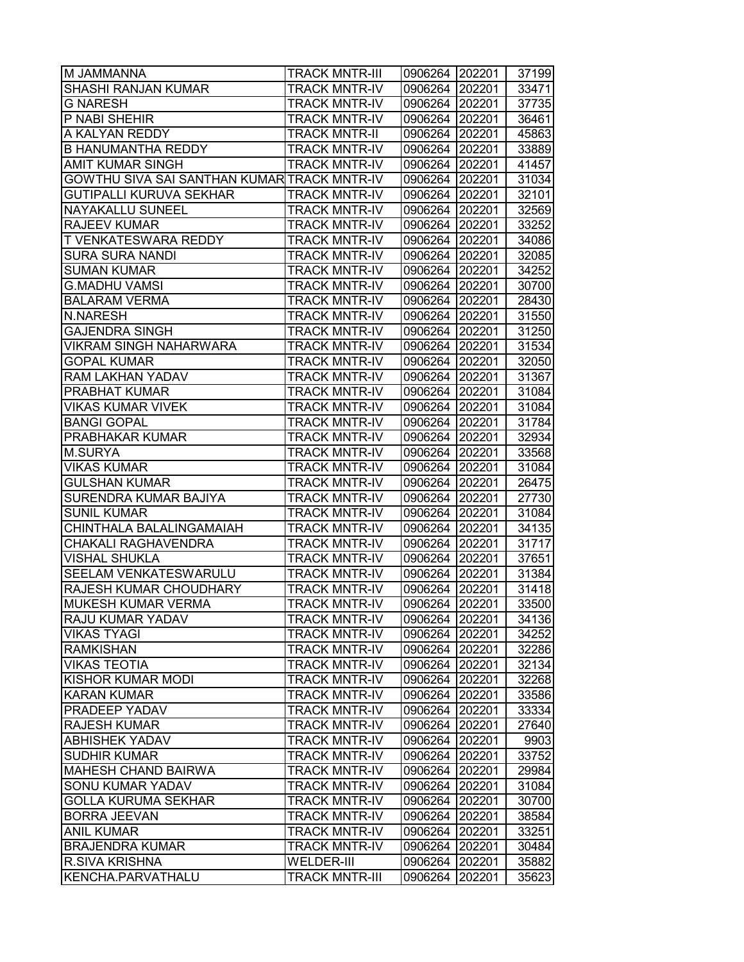| M JAMMANNA                                  | <b>TRACK MNTR-III</b> | 0906264 202201   |        | 37199 |
|---------------------------------------------|-----------------------|------------------|--------|-------|
| SHASHI RANJAN KUMAR                         | <b>TRACK MNTR-IV</b>  | 0906264 202201   |        | 33471 |
| G NARESH                                    | <b>TRACK MNTR-IV</b>  | 0906264 202201   |        | 37735 |
| P NABI SHEHIR                               | <b>TRACK MNTR-IV</b>  | 0906264 202201   |        | 36461 |
| A KALYAN REDDY                              | <b>TRACK MNTR-II</b>  | 0906264 202201   |        | 45863 |
| <b>B HANUMANTHA REDDY</b>                   | <b>TRACK MNTR-IV</b>  | 0906264 202201   |        | 33889 |
| <b>AMIT KUMAR SINGH</b>                     | <b>TRACK MNTR-IV</b>  | 0906264 202201   |        | 41457 |
| GOWTHU SIVA SAI SANTHAN KUMAR TRACK MNTR-IV |                       | 0906264 202201   |        | 31034 |
| <b>GUTIPALLI KURUVA SEKHAR</b>              | <b>TRACK MNTR-IV</b>  | 0906264 202201   |        | 32101 |
| NAYAKALLU SUNEEL                            | <b>TRACK MNTR-IV</b>  | 0906264 202201   |        | 32569 |
| <b>RAJEEV KUMAR</b>                         | <b>TRACK MNTR-IV</b>  | 0906264 202201   |        | 33252 |
| T VENKATESWARA REDDY                        | <b>TRACK MNTR-IV</b>  | 0906264 202201   |        | 34086 |
| <b>SURA SURA NANDI</b>                      | <b>TRACK MNTR-IV</b>  | 0906264 202201   |        | 32085 |
| SUMAN KUMAR                                 | <b>TRACK MNTR-IV</b>  | 0906264 202201   |        | 34252 |
| <b>G.MADHU VAMSI</b>                        | <b>TRACK MNTR-IV</b>  | 0906264   202201 |        | 30700 |
| <b>BALARAM VERMA</b>                        | <b>TRACK MNTR-IV</b>  | 0906264 202201   |        | 28430 |
| <b>N.NARESH</b>                             | <b>TRACK MNTR-IV</b>  | 0906264 202201   |        | 31550 |
| <b>GAJENDRA SINGH</b>                       | <b>TRACK MNTR-IV</b>  | 0906264 202201   |        | 31250 |
| <b>VIKRAM SINGH NAHARWARA</b>               | <b>TRACK MNTR-IV</b>  | 0906264 202201   |        | 31534 |
| <b>GOPAL KUMAR</b>                          | <b>TRACK MNTR-IV</b>  | 0906264 202201   |        | 32050 |
| RAM LAKHAN YADAV                            | <b>TRACK MNTR-IV</b>  | 0906264 202201   |        | 31367 |
| PRABHAT KUMAR                               | <b>TRACK MNTR-IV</b>  | 0906264 202201   |        | 31084 |
| <b>VIKAS KUMAR VIVEK</b>                    | <b>TRACK MNTR-IV</b>  | 0906264 202201   |        | 31084 |
| <b>BANGI GOPAL</b>                          | <b>TRACK MNTR-IV</b>  | 0906264 202201   |        | 31784 |
| PRABHAKAR KUMAR                             | <b>TRACK MNTR-IV</b>  | 0906264 202201   |        | 32934 |
| <b>M.SURYA</b>                              | <b>TRACK MNTR-IV</b>  | 0906264 202201   |        | 33568 |
| VIKAS KUMAR                                 | <b>TRACK MNTR-IV</b>  | 0906264   202201 |        | 31084 |
| <b>GULSHAN KUMAR</b>                        | <b>TRACK MNTR-IV</b>  | 0906264 202201   |        | 26475 |
| SURENDRA KUMAR BAJIYA                       | <b>TRACK MNTR-IV</b>  | 0906264 202201   |        | 27730 |
| <b>SUNIL KUMAR</b>                          | <b>TRACK MNTR-IV</b>  | 0906264 202201   |        | 31084 |
| CHINTHALA BALALINGAMAIAH                    | <b>TRACK MNTR-IV</b>  | 0906264 202201   |        | 34135 |
| <b>CHAKALI RAGHAVENDRA</b>                  | <b>TRACK MNTR-IV</b>  | 0906264 202201   |        | 31717 |
| <b>VISHAL SHUKLA</b>                        | <b>TRACK MNTR-IV</b>  | 0906264 202201   |        | 37651 |
| SEELAM VENKATESWARULU                       | <b>TRACK MNTR-IV</b>  | 0906264 202201   |        | 31384 |
| RAJESH KUMAR CHOUDHARY                      | <b>TRACK MNTR-IV</b>  | 0906264 202201   |        | 31418 |
| MUKESH KUMAR VERMA                          | <b>TRACK MNTR-IV</b>  | 0906264 202201   |        | 33500 |
| RAJU KUMAR YADAV                            | <b>TRACK MNTR-IV</b>  | 0906264 202201   |        | 34136 |
| <b>VIKAS TYAGI</b>                          | <b>TRACK MNTR-IV</b>  | 0906264          | 202201 | 34252 |
| <b>RAMKISHAN</b>                            | <b>TRACK MNTR-IV</b>  | 0906264 202201   |        | 32286 |
| <b>VIKAS TEOTIA</b>                         | <b>TRACK MNTR-IV</b>  | 0906264 202201   |        | 32134 |
| <b>KISHOR KUMAR MODI</b>                    | <b>TRACK MNTR-IV</b>  | 0906264 202201   |        | 32268 |
| <b>KARAN KUMAR</b>                          | <b>TRACK MNTR-IV</b>  | 0906264 202201   |        | 33586 |
| PRADEEP YADAV                               | <b>TRACK MNTR-IV</b>  | 0906264 202201   |        | 33334 |
| RAJESH KUMAR                                | <b>TRACK MNTR-IV</b>  | 0906264 202201   |        | 27640 |
| <b>ABHISHEK YADAV</b>                       | <b>TRACK MNTR-IV</b>  | 0906264 202201   |        | 9903  |
| <b>SUDHIR KUMAR</b>                         | <b>TRACK MNTR-IV</b>  | 0906264 202201   |        | 33752 |
| <b>MAHESH CHAND BAIRWA</b>                  | <b>TRACK MNTR-IV</b>  | 0906264 202201   |        | 29984 |
| <b>SONU KUMAR YADAV</b>                     | <b>TRACK MNTR-IV</b>  | 0906264 202201   |        | 31084 |
| <b>GOLLA KURUMA SEKHAR</b>                  | <b>TRACK MNTR-IV</b>  | 0906264 202201   |        | 30700 |
| <b>BORRA JEEVAN</b>                         | <b>TRACK MNTR-IV</b>  | 0906264 202201   |        | 38584 |
| <b>ANIL KUMAR</b>                           | <b>TRACK MNTR-IV</b>  | 0906264          | 202201 | 33251 |
| <b>BRAJENDRA KUMAR</b>                      | <b>TRACK MNTR-IV</b>  | 0906264          | 202201 | 30484 |
| <b>R.SIVA KRISHNA</b>                       | <b>WELDER-III</b>     | 0906264 202201   |        | 35882 |
| KENCHA.PARVATHALU                           | <b>TRACK MNTR-III</b> | 0906264          | 202201 | 35623 |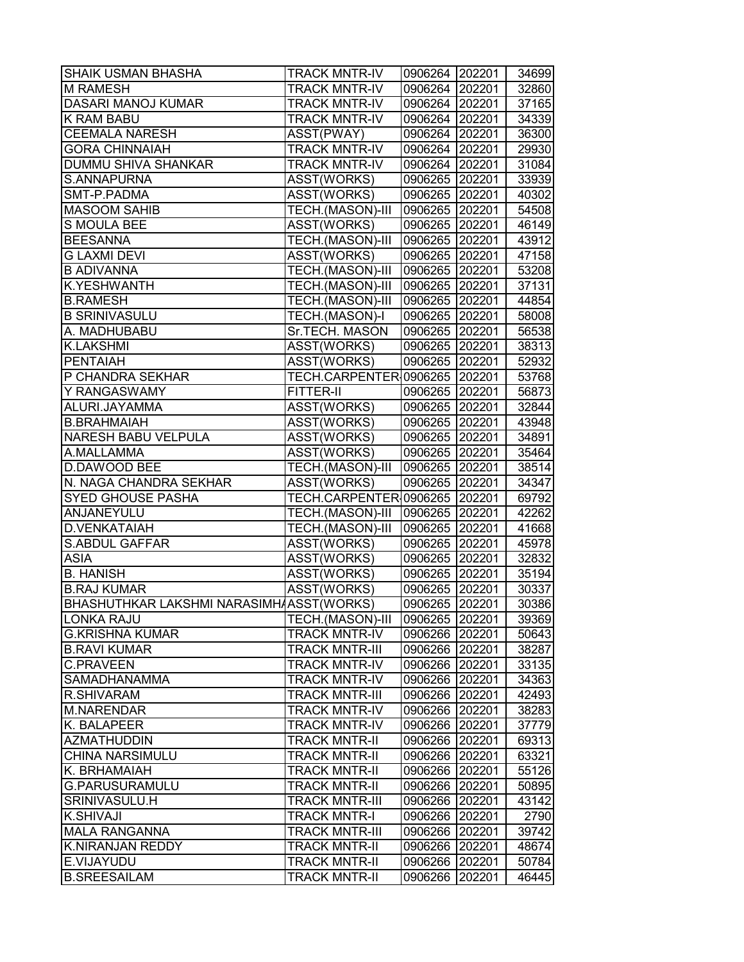| <b>SHAIK USMAN BHASHA</b>                | <b>TRACK MNTR-IV</b>          | 0906264 202201 |        | 34699 |
|------------------------------------------|-------------------------------|----------------|--------|-------|
| <b>M RAMESH</b>                          | <b>TRACK MNTR-IV</b>          | 0906264 202201 |        | 32860 |
| DASARI MANOJ KUMAR                       | <b>TRACK MNTR-IV</b>          | 0906264 202201 |        | 37165 |
| <b>K RAM BABU</b>                        | <b>TRACK MNTR-IV</b>          | 0906264 202201 |        | 34339 |
| <b>CEEMALA NARESH</b>                    | ASST(PWAY)                    | 0906264 202201 |        | 36300 |
| <b>GORA CHINNAIAH</b>                    | <b>TRACK MNTR-IV</b>          | 0906264 202201 |        | 29930 |
| DUMMU SHIVA SHANKAR                      | <b>TRACK MNTR-IV</b>          | 0906264 202201 |        | 31084 |
| S.ANNAPURNA                              | ASST(WORKS)                   | 0906265 202201 |        | 33939 |
| SMT-P.PADMA                              | ASST(WORKS)                   | 0906265 202201 |        | 40302 |
| <b>MASOOM SAHIB</b>                      | TECH.(MASON)-III              | 0906265 202201 |        | 54508 |
| S MOULA BEE                              | ASST(WORKS)                   | 0906265 202201 |        | 46149 |
| <b>BEESANNA</b>                          | TECH.(MASON)-III              | 0906265 202201 |        | 43912 |
| <b>G LAXMI DEVI</b>                      | ASST(WORKS)                   | 0906265 202201 |        | 47158 |
| <b>B ADIVANNA</b>                        | TECH.(MASON)-III              | 0906265 202201 |        | 53208 |
| K.YESHWANTH                              | TECH.(MASON)-III              | 0906265 202201 |        | 37131 |
| <b>B.RAMESH</b>                          | TECH.(MASON)-III              | 0906265 202201 |        | 44854 |
| <b>B SRINIVASULU</b>                     | TECH.(MASON)-I                | 0906265 202201 |        | 58008 |
| A. MADHUBABU                             | Sr.TECH. MASON                | 0906265 202201 |        | 56538 |
| <b>K.LAKSHMI</b>                         | ASST(WORKS)                   | 0906265 202201 |        | 38313 |
| <b>PENTAIAH</b>                          | ASST(WORKS)                   | 0906265 202201 |        | 52932 |
| P CHANDRA SEKHAR                         | TECH.CARPENTER 0906265 202201 |                |        | 53768 |
| Y RANGASWAMY                             | <b>FITTER-II</b>              | 0906265 202201 |        | 56873 |
| ALURI.JAYAMMA                            | ASST(WORKS)                   | 0906265 202201 |        | 32844 |
| <b>B.BRAHMAIAH</b>                       | ASST(WORKS)                   | 0906265 202201 |        | 43948 |
| <b>NARESH BABU VELPULA</b>               | ASST(WORKS)                   | 0906265 202201 |        | 34891 |
| A.MALLAMMA                               | ASST(WORKS)                   | 0906265 202201 |        | 35464 |
| D.DAWOOD BEE                             | TECH.(MASON)-III              | 0906265 202201 |        | 38514 |
| N. NAGA CHANDRA SEKHAR                   | ASST(WORKS)                   | 0906265 202201 |        | 34347 |
| <b>SYED GHOUSE PASHA</b>                 | TECH.CARPENTER 0906265 202201 |                |        | 69792 |
| ANJANEYULU                               | TECH.(MASON)-III              | 0906265 202201 |        | 42262 |
| <b>D.VENKATAIAH</b>                      | TECH.(MASON)-III              | 0906265 202201 |        | 41668 |
| <b>S.ABDUL GAFFAR</b>                    | ASST(WORKS)                   | 0906265 202201 |        | 45978 |
| <b>ASIA</b>                              | ASST(WORKS)                   | 0906265 202201 |        | 32832 |
| <b>B. HANISH</b>                         | ASST(WORKS)                   | 0906265 202201 |        | 35194 |
| <b>B.RAJ KUMAR</b>                       | ASST(WORKS)                   | 0906265 202201 |        | 30337 |
| BHASHUTHKAR LAKSHMI NARASIMHAASST(WORKS) |                               | 0906265 202201 |        | 30386 |
| LONKA RAJU                               | TECH.(MASON)-III              | 0906265 202201 |        | 39369 |
| <b>G.KRISHNA KUMAR</b>                   | <b>TRACK MNTR-IV</b>          | 0906266 202201 |        | 50643 |
| <b>B.RAVI KUMAR</b>                      | <b>TRACK MNTR-III</b>         | 0906266 202201 |        | 38287 |
| <b>C.PRAVEEN</b>                         | <b>TRACK MNTR-IV</b>          | 0906266 202201 |        | 33135 |
| <b>SAMADHANAMMA</b>                      | <b>TRACK MNTR-IV</b>          | 0906266 202201 |        | 34363 |
| <b>R.SHIVARAM</b>                        | <b>TRACK MNTR-III</b>         | 0906266 202201 |        | 42493 |
| <b>M.NARENDAR</b>                        | <b>TRACK MNTR-IV</b>          | 0906266 202201 |        | 38283 |
| K. BALAPEER                              | <b>TRACK MNTR-IV</b>          | 0906266 202201 |        | 37779 |
| <b>AZMATHUDDIN</b>                       | <b>TRACK MNTR-II</b>          | 0906266 202201 |        | 69313 |
| <b>CHINA NARSIMULU</b>                   | <b>TRACK MNTR-II</b>          | 0906266 202201 |        | 63321 |
| K. BRHAMAIAH                             | <b>TRACK MNTR-II</b>          | 0906266 202201 |        | 55126 |
| <b>G.PARUSURAMULU</b>                    | <b>TRACK MNTR-II</b>          | 0906266 202201 |        | 50895 |
| SRINIVASULU.H                            | <b>TRACK MNTR-III</b>         | 0906266 202201 |        | 43142 |
| K.SHIVAJI                                | <b>TRACK MNTR-I</b>           | 0906266 202201 |        | 2790  |
| <b>MALA RANGANNA</b>                     | <b>TRACK MNTR-III</b>         | 0906266 202201 |        | 39742 |
| K.NIRANJAN REDDY                         | <b>TRACK MNTR-II</b>          | 0906266        | 202201 | 48674 |
| E.VIJAYUDU                               | <b>TRACK MNTR-II</b>          | 0906266        | 202201 | 50784 |
| <b>B.SREESAILAM</b>                      | <b>TRACK MNTR-II</b>          | 0906266 202201 |        | 46445 |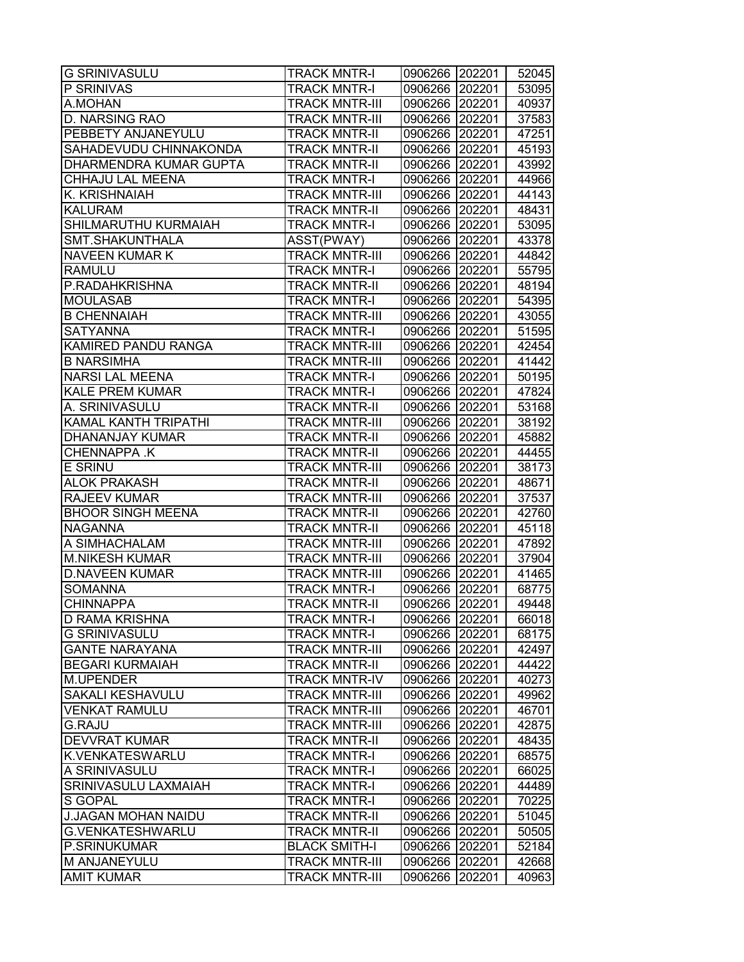| <b>G SRINIVASULU</b>        | <b>TRACK MNTR-I</b>   | 0906266 202201 |        | 52045 |
|-----------------------------|-----------------------|----------------|--------|-------|
| P SRINIVAS                  | <b>TRACK MNTR-I</b>   | 0906266        | 202201 | 53095 |
| A.MOHAN                     | <b>TRACK MNTR-III</b> | 0906266 202201 |        | 40937 |
| <b>D. NARSING RAO</b>       | <b>TRACK MNTR-III</b> | 0906266 202201 |        | 37583 |
| PEBBETY ANJANEYULU          | <b>TRACK MNTR-II</b>  | 0906266 202201 |        | 47251 |
| SAHADEVUDU CHINNAKONDA      | <b>TRACK MNTR-II</b>  | 0906266 202201 |        | 45193 |
| DHARMENDRA KUMAR GUPTA      | <b>TRACK MNTR-II</b>  | 0906266 202201 |        | 43992 |
| CHHAJU LAL MEENA            | <b>TRACK MNTR-I</b>   | 0906266        | 202201 | 44966 |
| K. KRISHNAIAH               | <b>TRACK MNTR-III</b> | 0906266        | 202201 | 44143 |
| <b>KALURAM</b>              | <b>TRACK MNTR-II</b>  | 0906266 202201 |        | 48431 |
| SHILMARUTHU KURMAIAH        | <b>TRACK MNTR-I</b>   | 0906266        | 202201 | 53095 |
| SMT.SHAKUNTHALA             | ASST(PWAY)            | 0906266        | 202201 | 43378 |
| <b>NAVEEN KUMAR K</b>       | <b>TRACK MNTR-III</b> | 0906266        | 202201 | 44842 |
| <b>RAMULU</b>               | <b>TRACK MNTR-I</b>   | 0906266        | 202201 | 55795 |
| P.RADAHKRISHNA              | <b>TRACK MNTR-II</b>  | 0906266        | 202201 | 48194 |
| <b>MOULASAB</b>             | <b>TRACK MNTR-I</b>   | 0906266 202201 |        | 54395 |
| <b>B CHENNAIAH</b>          | <b>TRACK MNTR-III</b> | 0906266 202201 |        | 43055 |
| <b>SATYANNA</b>             | <b>TRACK MNTR-I</b>   | 0906266 202201 |        | 51595 |
| KAMIRED PANDU RANGA         | <b>TRACK MNTR-III</b> | 0906266 202201 |        | 42454 |
| <b>B NARSIMHA</b>           | <b>TRACK MNTR-III</b> | 0906266 202201 |        | 41442 |
| <b>NARSI LAL MEENA</b>      | <b>TRACK MNTR-I</b>   | 0906266        | 202201 | 50195 |
| <b>KALE PREM KUMAR</b>      | <b>TRACK MNTR-I</b>   | 0906266 202201 |        | 47824 |
| A. SRINIVASULU              | <b>TRACK MNTR-II</b>  | 0906266 202201 |        | 53168 |
| <b>KAMAL KANTH TRIPATHI</b> | <b>TRACK MNTR-III</b> | 0906266        | 202201 | 38192 |
| <b>DHANANJAY KUMAR</b>      | <b>TRACK MNTR-II</b>  | 0906266        | 202201 | 45882 |
| <b>CHENNAPPA K</b>          | <b>TRACK MNTR-II</b>  | 0906266        | 202201 | 44455 |
| <b>E SRINU</b>              | <b>TRACK MNTR-III</b> | 0906266        | 202201 | 38173 |
| <b>ALOK PRAKASH</b>         | <b>TRACK MNTR-II</b>  | 0906266        | 202201 | 48671 |
| <b>RAJEEV KUMAR</b>         | <b>TRACK MNTR-III</b> | 0906266 202201 |        | 37537 |
| <b>BHOOR SINGH MEENA</b>    | <b>TRACK MNTR-II</b>  | 0906266 202201 |        | 42760 |
| <b>NAGANNA</b>              | <b>TRACK MNTR-II</b>  | 0906266 202201 |        | 45118 |
| A SIMHACHALAM               | <b>TRACK MNTR-III</b> | 0906266 202201 |        | 47892 |
| <b>M.NIKESH KUMAR</b>       | <b>TRACK MNTR-III</b> | 0906266        | 202201 | 37904 |
| <b>D.NAVEEN KUMAR</b>       | <b>TRACK MNTR-III</b> | 0906266        | 202201 | 41465 |
| <b>SOMANNA</b>              | <b>TRACK MNTR-I</b>   | 0906266 202201 |        | 68775 |
| <b>CHINNAPPA</b>            | <b>TRACK MNTR-II</b>  | 0906266        | 202201 | 49448 |
| <b>D RAMA KRISHNA</b>       | <b>TRACK MNTR-I</b>   | 0906266 202201 |        | 66018 |
| <b>G SRINIVASULU</b>        | <b>TRACK MNTR-I</b>   | 0906266        | 202201 | 68175 |
| <b>GANTE NARAYANA</b>       | <b>TRACK MNTR-III</b> | 0906266        | 202201 | 42497 |
| <b>BEGARI KURMAIAH</b>      | <b>TRACK MNTR-II</b>  | 0906266        | 202201 | 44422 |
| M.UPENDER                   | <b>TRACK MNTR-IV</b>  | 0906266        | 202201 | 40273 |
| <b>SAKALI KESHAVULU</b>     | <b>TRACK MNTR-III</b> | 0906266 202201 |        | 49962 |
| <b>VENKAT RAMULU</b>        | <b>TRACK MNTR-III</b> | 0906266 202201 |        | 46701 |
| <b>G.RAJU</b>               | <b>TRACK MNTR-III</b> | 0906266        | 202201 | 42875 |
| <b>DEVVRAT KUMAR</b>        | <b>TRACK MNTR-II</b>  | 0906266        | 202201 | 48435 |
| K.VENKATESWARLU             | <b>TRACK MNTR-I</b>   | 0906266        | 202201 | 68575 |
| A SRINIVASULU               | <b>TRACK MNTR-I</b>   | 0906266        | 202201 | 66025 |
| SRINIVASULU LAXMAIAH        | <b>TRACK MNTR-I</b>   | 0906266        | 202201 | 44489 |
| S GOPAL                     | <b>TRACK MNTR-I</b>   | 0906266        | 202201 | 70225 |
| <b>J.JAGAN MOHAN NAIDU</b>  | <b>TRACK MNTR-II</b>  | 0906266        | 202201 | 51045 |
| <b>G.VENKATESHWARLU</b>     | <b>TRACK MNTR-II</b>  | 0906266        | 202201 | 50505 |
| P.SRINUKUMAR                | <b>BLACK SMITH-I</b>  | 0906266        | 202201 | 52184 |
| M ANJANEYULU                | <b>TRACK MNTR-III</b> | 0906266        | 202201 | 42668 |
| <b>AMIT KUMAR</b>           | <b>TRACK MNTR-III</b> | 0906266        | 202201 | 40963 |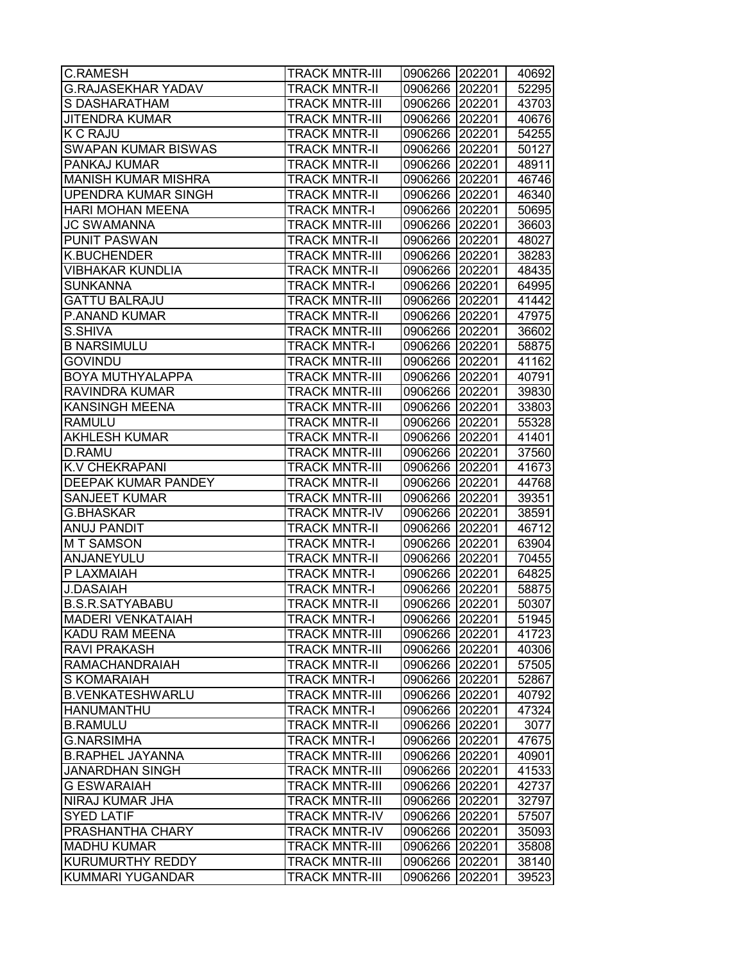| <b>C.RAMESH</b>                        | <b>TRACK MNTR-III</b>                          | 0906266 202201 |                  | 40692          |
|----------------------------------------|------------------------------------------------|----------------|------------------|----------------|
| <b>G.RAJASEKHAR YADAV</b>              | <b>TRACK MNTR-II</b>                           | 0906266 202201 |                  | 52295          |
| S DASHARATHAM                          | <b>TRACK MNTR-III</b>                          | 0906266 202201 |                  | 43703          |
| <b>JITENDRA KUMAR</b>                  | <b>TRACK MNTR-III</b>                          | 0906266 202201 |                  | 40676          |
| <b>K C RAJU</b>                        | <b>TRACK MNTR-II</b>                           | 0906266 202201 |                  | 54255          |
| <b>SWAPAN KUMAR BISWAS</b>             | <b>TRACK MNTR-II</b>                           | 0906266 202201 |                  | 50127          |
| PANKAJ KUMAR                           | <b>TRACK MNTR-II</b>                           | 0906266 202201 |                  | 48911          |
| <b>MANISH KUMAR MISHRA</b>             | <b>TRACK MNTR-II</b>                           | 0906266 202201 |                  | 46746          |
| <b>UPENDRA KUMAR SINGH</b>             | <b>TRACK MNTR-II</b>                           | 0906266 202201 |                  | 46340          |
| <b>HARI MOHAN MEENA</b>                | <b>TRACK MNTR-I</b>                            | 0906266 202201 |                  | 50695          |
| <b>JC SWAMANNA</b>                     | <b>TRACK MNTR-III</b>                          | 0906266 202201 |                  | 36603          |
| <b>PUNIT PASWAN</b>                    | <b>TRACK MNTR-II</b>                           | 0906266 202201 |                  | 48027          |
| <b>K.BUCHENDER</b>                     | <b>TRACK MNTR-III</b>                          | 0906266 202201 |                  | 38283          |
| <b>VIBHAKAR KUNDLIA</b>                | <b>TRACK MNTR-II</b>                           | 0906266        | 202201           | 48435          |
| SUNKANNA                               | <b>TRACK MNTR-I</b>                            | 0906266        | 202201           | 64995          |
| <b>GATTU BALRAJU</b>                   | <b>TRACK MNTR-III</b>                          | 0906266 202201 |                  | 41442          |
| P.ANAND KUMAR                          | <b>TRACK MNTR-II</b>                           | 0906266 202201 |                  | 47975          |
| S.SHIVA                                | <b>TRACK MNTR-III</b>                          | 0906266 202201 |                  | 36602          |
| <b>B NARSIMULU</b>                     | <b>TRACK MNTR-I</b>                            | 0906266 202201 |                  | 58875          |
| <b>GOVINDU</b>                         | <b>TRACK MNTR-III</b>                          | 0906266 202201 |                  | 41162          |
| BOYA MUTHYALAPPA                       | <b>TRACK MNTR-III</b>                          | 0906266 202201 |                  | 40791          |
| RAVINDRA KUMAR                         | <b>TRACK MNTR-III</b>                          | 0906266 202201 |                  | 39830          |
| <b>KANSINGH MEENA</b>                  | <b>TRACK MNTR-III</b>                          | 0906266 202201 |                  | 33803          |
| <b>RAMULU</b>                          | <b>TRACK MNTR-II</b>                           | 0906266 202201 |                  | 55328          |
| <b>AKHLESH KUMAR</b>                   | <b>TRACK MNTR-II</b>                           | 0906266        | 202201           | 41401          |
| D.RAMU                                 | <b>TRACK MNTR-III</b>                          | 0906266        | 202201           | 37560          |
| <b>K.V CHEKRAPANI</b>                  | <b>TRACK MNTR-III</b>                          | 0906266        | 202201           | 41673          |
| DEEPAK KUMAR PANDEY                    | <b>TRACK MNTR-II</b>                           | 0906266        | 202201           | 44768          |
| SANJEET KUMAR                          | <b>TRACK MNTR-III</b>                          | 0906266 202201 |                  | 39351          |
| <b>G.BHASKAR</b>                       | <b>TRACK MNTR-IV</b>                           | 0906266 202201 |                  | 38591          |
| <b>ANUJ PANDIT</b>                     | <b>TRACK MNTR-II</b>                           | 0906266 202201 |                  | 46712          |
| <b>MT SAMSON</b>                       | <b>TRACK MNTR-I</b>                            | 0906266 202201 |                  | 63904          |
| ANJANEYULU                             | <b>TRACK MNTR-II</b>                           | 0906266 202201 |                  | 70455          |
| P LAXMAIAH                             | <b>TRACK MNTR-I</b>                            | 0906266        | 202201           | 64825          |
| <b>J.DASAIAH</b>                       | <b>TRACK MNTR-I</b>                            | 0906266 202201 |                  | 58875          |
| <b>B.S.R.SATYABABU</b>                 | <b>TRACK MNTR-II</b>                           | 0906266        | 202201           | 50307          |
| <b>MADERI VENKATAIAH</b>               | <b>TRACK MNTR-I</b>                            | 0906266 202201 |                  | 51945          |
| KADU RAM MEENA                         | <b>TRACK MNTR-III</b>                          | 0906266        | 202201           | 41723          |
| <b>RAVI PRAKASH</b>                    | <b>TRACK MNTR-III</b>                          | 0906266        | 202201           | 40306          |
| <b>RAMACHANDRAIAH</b>                  | <b>TRACK MNTR-II</b>                           | 0906266        | 202201           | 57505          |
| S KOMARAIAH                            | TRACK MNTR-I                                   | 0906266 202201 |                  | 52867          |
| <b>B.VENKATESHWARLU</b>                | <b>TRACK MNTR-III</b>                          | 0906266 202201 |                  | 40792          |
| <b>HANUMANTHU</b>                      | <b>TRACK MNTR-I</b>                            | 0906266 202201 |                  | 47324          |
| <b>B.RAMULU</b>                        | <b>TRACK MNTR-II</b>                           | 0906266 202201 |                  | 3077           |
| <b>G.NARSIMHA</b>                      | <b>TRACK MNTR-I</b>                            | 0906266        | 202201           | 47675          |
| <b>B.RAPHEL JAYANNA</b>                | <b>TRACK MNTR-III</b>                          | 0906266        | 202201           | 40901          |
| <b>JANARDHAN SINGH</b>                 | <b>TRACK MNTR-III</b>                          | 0906266        | 202201           | 41533          |
| <b>G ESWARAIAH</b>                     | <b>TRACK MNTR-III</b>                          | 0906266        | 202201           | 42737          |
| NIRAJ KUMAR JHA                        | <b>TRACK MNTR-III</b>                          | 0906266        | 202201           | 32797          |
| <b>SYED LATIF</b>                      | <b>TRACK MNTR-IV</b>                           | 0906266        | 202201           | 57507          |
| PRASHANTHA CHARY                       | <b>TRACK MNTR-IV</b>                           | 0906266        | 202201           | 35093          |
| <b>MADHU KUMAR</b><br>KURUMURTHY REDDY | <b>TRACK MNTR-III</b><br><b>TRACK MNTR-III</b> | 0906266        | 202201           | 35808          |
| KUMMARI YUGANDAR                       | <b>TRACK MNTR-III</b>                          | 0906266        | 202201<br>202201 | 38140<br>39523 |
|                                        |                                                | 0906266        |                  |                |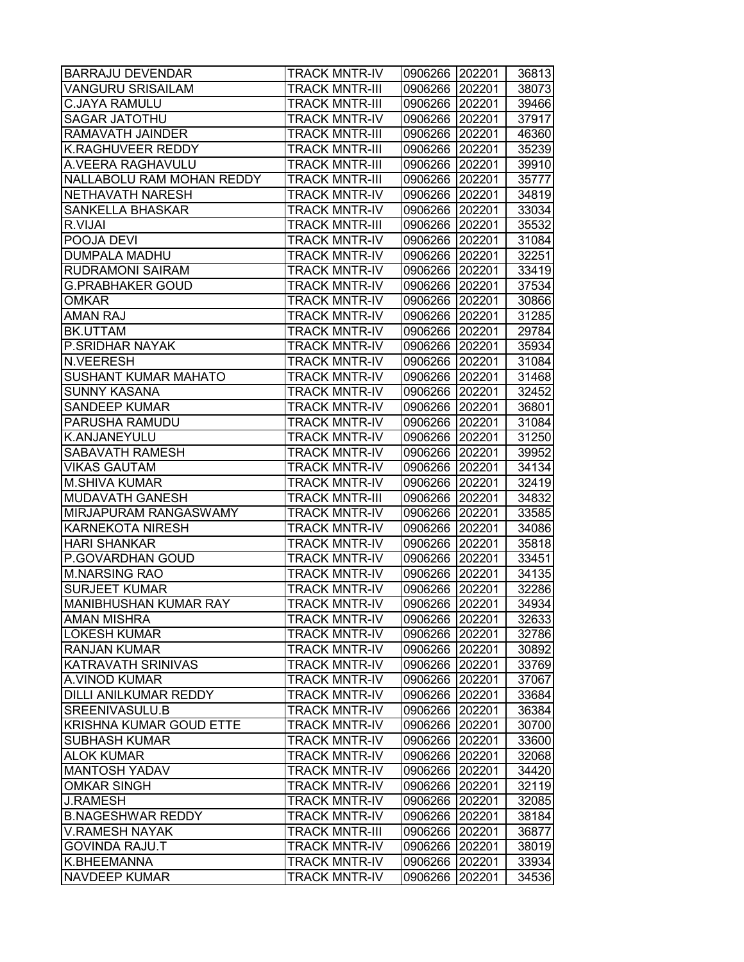| <b>BARRAJU DEVENDAR</b>      | <b>TRACK MNTR-IV</b>  | 0906266 202201 |        | 36813 |
|------------------------------|-----------------------|----------------|--------|-------|
| VANGURU SRISAILAM            | <b>TRACK MNTR-III</b> | 0906266 202201 |        | 38073 |
| <b>C.JAYA RAMULU</b>         | <b>TRACK MNTR-III</b> | 0906266 202201 |        | 39466 |
| <b>SAGAR JATOTHU</b>         | <b>TRACK MNTR-IV</b>  | 0906266 202201 |        | 37917 |
| RAMAVATH JAINDER             | <b>TRACK MNTR-III</b> | 0906266 202201 |        | 46360 |
| K.RAGHUVEER REDDY            | <b>TRACK MNTR-III</b> | 0906266 202201 |        | 35239 |
| A.VEERA RAGHAVULU            | <b>TRACK MNTR-III</b> | 0906266 202201 |        | 39910 |
| NALLABOLU RAM MOHAN REDDY    | <b>TRACK MNTR-III</b> | 0906266 202201 |        | 35777 |
| NETHAVATH NARESH             | <b>TRACK MNTR-IV</b>  | 0906266 202201 |        | 34819 |
| <b>SANKELLA BHASKAR</b>      | <b>TRACK MNTR-IV</b>  | 0906266 202201 |        | 33034 |
| R.VIJAI                      | <b>TRACK MNTR-III</b> | 0906266 202201 |        | 35532 |
| POOJA DEVI                   | <b>TRACK MNTR-IV</b>  | 0906266 202201 |        | 31084 |
| DUMPALA MADHU                | <b>TRACK MNTR-IV</b>  | 0906266 202201 |        | 32251 |
| RUDRAMONI SAIRAM             | <b>TRACK MNTR-IV</b>  | 0906266 202201 |        | 33419 |
| G.PRABHAKER GOUD             | <b>TRACK MNTR-IV</b>  | 0906266 202201 |        | 37534 |
| OMKAR                        | <b>TRACK MNTR-IV</b>  | 0906266 202201 |        | 30866 |
| <b>AMAN RAJ</b>              | <b>TRACK MNTR-IV</b>  | 0906266 202201 |        | 31285 |
| BK.UTTAM                     | <b>TRACK MNTR-IV</b>  | 0906266 202201 |        | 29784 |
| P.SRIDHAR NAYAK              | <b>TRACK MNTR-IV</b>  | 0906266 202201 |        | 35934 |
| <b>N.VEERESH</b>             | <b>TRACK MNTR-IV</b>  | 0906266 202201 |        | 31084 |
| <b>SUSHANT KUMAR MAHATO</b>  | <b>TRACK MNTR-IV</b>  | 0906266 202201 |        | 31468 |
| <b>SUNNY KASANA</b>          | <b>TRACK MNTR-IV</b>  | 0906266 202201 |        | 32452 |
| <b>SANDEEP KUMAR</b>         | <b>TRACK MNTR-IV</b>  | 0906266 202201 |        | 36801 |
| PARUSHA RAMUDU               | <b>TRACK MNTR-IV</b>  | 0906266 202201 |        | 31084 |
| K.ANJANEYULU                 | <b>TRACK MNTR-IV</b>  | 0906266 202201 |        | 31250 |
| SABAVATH RAMESH              | <b>TRACK MNTR-IV</b>  | 0906266 202201 |        | 39952 |
| <b>VIKAS GAUTAM</b>          | <b>TRACK MNTR-IV</b>  | 0906266 202201 |        | 34134 |
| <b>M.SHIVA KUMAR</b>         | <b>TRACK MNTR-IV</b>  | 0906266 202201 |        | 32419 |
| MUDAVATH GANESH              | <b>TRACK MNTR-III</b> | 0906266 202201 |        | 34832 |
| MIRJAPURAM RANGASWAMY        | <b>TRACK MNTR-IV</b>  | 0906266 202201 |        | 33585 |
| <b>KARNEKOTA NIRESH</b>      | <b>TRACK MNTR-IV</b>  | 0906266 202201 |        | 34086 |
| <b>HARI SHANKAR</b>          | <b>TRACK MNTR-IV</b>  | 0906266 202201 |        | 35818 |
| P.GOVARDHAN GOUD             | <b>TRACK MNTR-IV</b>  | 0906266 202201 |        | 33451 |
| <b>M.NARSING RAO</b>         | <b>TRACK MNTR-IV</b>  | 0906266 202201 |        | 34135 |
| <b>SURJEET KUMAR</b>         | <b>TRACK MNTR-IV</b>  | 0906266 202201 |        | 32286 |
| <b>MANIBHUSHAN KUMAR RAY</b> | <b>TRACK MNTR-IV</b>  | 0906266 202201 |        | 34934 |
| <b>AMAN MISHRA</b>           | <b>TRACK MNTR-IV</b>  | 0906266 202201 |        | 32633 |
| <b>LOKESH KUMAR</b>          | <b>TRACK MNTR-IV</b>  | 0906266 202201 |        | 32786 |
| <b>RANJAN KUMAR</b>          | <b>TRACK MNTR-IV</b>  | 0906266 202201 |        | 30892 |
| KATRAVATH SRINIVAS           | <b>TRACK MNTR-IV</b>  | 0906266 202201 |        | 33769 |
| A.VINOD KUMAR                | <b>TRACK MNTR-IV</b>  | 0906266 202201 |        | 37067 |
| <b>DILLI ANILKUMAR REDDY</b> | <b>TRACK MNTR-IV</b>  | 0906266 202201 |        | 33684 |
| <b>SREENIVASULU.B</b>        | <b>TRACK MNTR-IV</b>  | 0906266 202201 |        | 36384 |
| KRISHNA KUMAR GOUD ETTE      | <b>TRACK MNTR-IV</b>  | 0906266 202201 |        | 30700 |
| <b>SUBHASH KUMAR</b>         | <b>TRACK MNTR-IV</b>  | 0906266 202201 |        | 33600 |
| <b>ALOK KUMAR</b>            | <b>TRACK MNTR-IV</b>  | 0906266 202201 |        | 32068 |
| <b>MANTOSH YADAV</b>         | <b>TRACK MNTR-IV</b>  | 0906266 202201 |        | 34420 |
| <b>OMKAR SINGH</b>           | <b>TRACK MNTR-IV</b>  | 0906266 202201 |        | 32119 |
| <b>J.RAMESH</b>              | <b>TRACK MNTR-IV</b>  | 0906266 202201 |        | 32085 |
| <b>B.NAGESHWAR REDDY</b>     | <b>TRACK MNTR-IV</b>  | 0906266 202201 |        | 38184 |
| <b>V.RAMESH NAYAK</b>        | <b>TRACK MNTR-III</b> | 0906266 202201 |        | 36877 |
| GOVINDA RAJU.T               | <b>TRACK MNTR-IV</b>  | 0906266        | 202201 | 38019 |
| K.BHEEMANNA                  | <b>TRACK MNTR-IV</b>  | 0906266        | 202201 | 33934 |
| NAVDEEP KUMAR                | <b>TRACK MNTR-IV</b>  | 0906266        | 202201 | 34536 |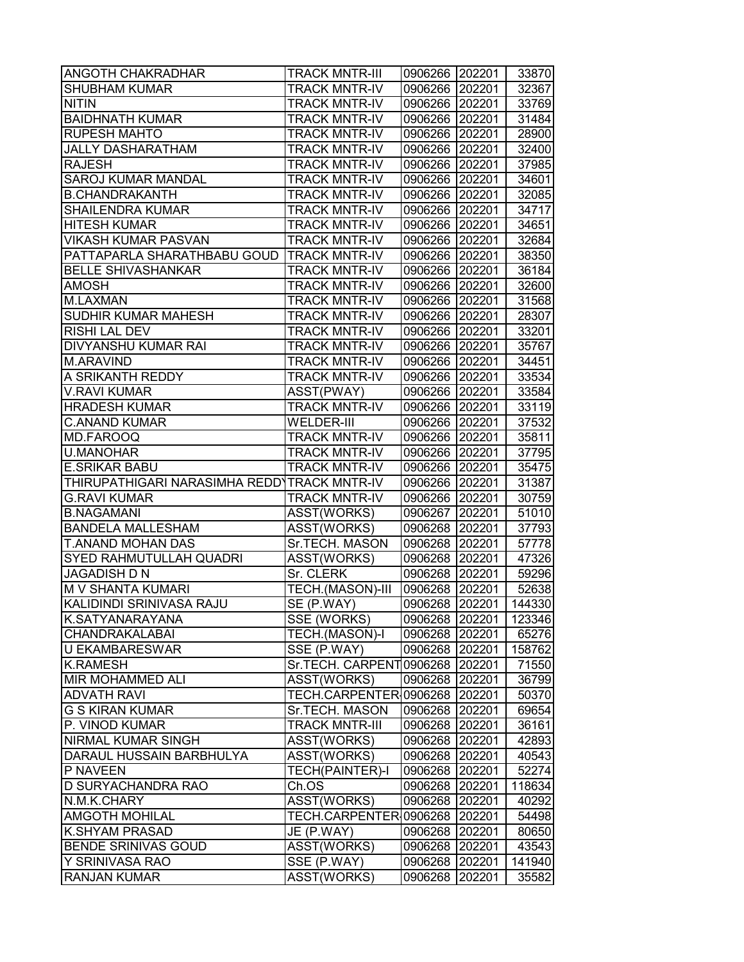| <b>ANGOTH CHAKRADHAR</b>                    | <b>TRACK MNTR-III</b>            | 0906266 202201 |        | 33870  |
|---------------------------------------------|----------------------------------|----------------|--------|--------|
| <b>SHUBHAM KUMAR</b>                        | <b>TRACK MNTR-IV</b>             | 0906266 202201 |        | 32367  |
| <b>NITIN</b>                                | <b>TRACK MNTR-IV</b>             | 0906266 202201 |        | 33769  |
| <b>BAIDHNATH KUMAR</b>                      | <b>TRACK MNTR-IV</b>             | 0906266 202201 |        | 31484  |
| <b>RUPESH MAHTO</b>                         | <b>TRACK MNTR-IV</b>             | 0906266 202201 |        | 28900  |
| <b>JALLY DASHARATHAM</b>                    | <b>TRACK MNTR-IV</b>             | 0906266 202201 |        | 32400  |
| <b>RAJESH</b>                               | <b>TRACK MNTR-IV</b>             | 0906266 202201 |        | 37985  |
| SAROJ KUMAR MANDAL                          | <b>TRACK MNTR-IV</b>             | 0906266 202201 |        | 34601  |
| <b>B.CHANDRAKANTH</b>                       | <b>TRACK MNTR-IV</b>             | 0906266 202201 |        | 32085  |
| <b>SHAILENDRA KUMAR</b>                     | <b>TRACK MNTR-IV</b>             | 0906266 202201 |        | 34717  |
| <b>HITESH KUMAR</b>                         | <b>TRACK MNTR-IV</b>             | 0906266 202201 |        | 34651  |
| <b>VIKASH KUMAR PASVAN</b>                  | <b>TRACK MNTR-IV</b>             | 0906266 202201 |        | 32684  |
| PATTAPARLA SHARATHBABU GOUD   TRACK MNTR-IV |                                  | 0906266 202201 |        | 38350  |
| <b>BELLE SHIVASHANKAR</b>                   | <b>TRACK MNTR-IV</b>             | 0906266 202201 |        | 36184  |
| <b>AMOSH</b>                                | <b>TRACK MNTR-IV</b>             | 0906266 202201 |        | 32600  |
| M.LAXMAN                                    | <b>TRACK MNTR-IV</b>             | 0906266        | 202201 | 31568  |
| SUDHIR KUMAR MAHESH                         | <b>TRACK MNTR-IV</b>             | 0906266 202201 |        | 28307  |
| <b>RISHI LAL DEV</b>                        | <b>TRACK MNTR-IV</b>             | 0906266 202201 |        | 33201  |
| <b>DIVYANSHU KUMAR RAI</b>                  | <b>TRACK MNTR-IV</b>             | 0906266 202201 |        | 35767  |
| <b>M.ARAVIND</b>                            | <b>TRACK MNTR-IV</b>             | 0906266 202201 |        | 34451  |
| A SRIKANTH REDDY                            | <b>TRACK MNTR-IV</b>             | 0906266 202201 |        | 33534  |
| <b>V.RAVI KUMAR</b>                         | ASST(PWAY)                       | 0906266 202201 |        | 33584  |
| <b>HRADESH KUMAR</b>                        | <b>TRACK MNTR-IV</b>             | 0906266 202201 |        | 33119  |
| <b>C.ANAND KUMAR</b>                        | WELDER-III                       | 0906266 202201 |        | 37532  |
| <b>MD.FAROOQ</b>                            | <b>TRACK MNTR-IV</b>             | 0906266 202201 |        | 35811  |
| <b>U.MANOHAR</b>                            | <b>TRACK MNTR-IV</b>             | 0906266 202201 |        | 37795  |
| <b>E.SRIKAR BABU</b>                        | <b>TRACK MNTR-IV</b>             | 0906266 202201 |        | 35475  |
| THIRUPATHIGARI NARASIMHA REDD'TRACK MNTR-IV |                                  | 0906266 202201 |        | 31387  |
| <b>G.RAVI KUMAR</b>                         | <b>TRACK MNTR-IV</b>             | 0906266 202201 |        | 30759  |
| <b>B.NAGAMANI</b>                           | ASST(WORKS)                      | 0906267 202201 |        | 51010  |
| <b>BANDELA MALLESHAM</b>                    | ASST(WORKS)                      | 0906268 202201 |        | 37793  |
| <b>T.ANAND MOHAN DAS</b>                    | Sr.TECH. MASON                   | 0906268 202201 |        | 57778  |
| <b>SYED RAHMUTULLAH QUADRI</b>              | ASST(WORKS)                      | 0906268 202201 |        | 47326  |
| JAGADISH D N                                | Sr. CLERK                        | 0906268 202201 |        | 59296  |
| M V SHANTA KUMARI                           | TECH.(MASON)-III                 | 0906268 202201 |        | 52638  |
| KALIDINDI SRINIVASA RAJU                    | SE (P.WAY)                       | 0906268 202201 |        | 144330 |
| K.SATYANARAYANA                             | SSE (WORKS)                      | 0906268 202201 |        | 123346 |
| CHANDRAKALABAI                              | TECH.(MASON)-I                   | 0906268 202201 |        | 65276  |
| <b>U EKAMBARESWAR</b>                       | SSE (P.WAY)                      | 0906268 202201 |        | 158762 |
| <b>K.RAMESH</b>                             | Sr.TECH. CARPENT0906268   202201 |                |        | 71550  |
| <b>MIR MOHAMMED ALI</b>                     | ASST(WORKS)                      | 0906268 202201 |        | 36799  |
| <b>ADVATH RAVI</b>                          | TECH.CARPENTER 0906268 202201    |                |        | 50370  |
| <b>G S KIRAN KUMAR</b>                      | Sr.TECH. MASON                   | 0906268 202201 |        | 69654  |
| P. VINOD KUMAR                              | <b>TRACK MNTR-III</b>            | 0906268 202201 |        | 36161  |
| <b>NIRMAL KUMAR SINGH</b>                   | ASST(WORKS)                      | 0906268 202201 |        | 42893  |
| DARAUL HUSSAIN BARBHULYA                    | ASST(WORKS)                      | 0906268 202201 |        | 40543  |
| P NAVEEN                                    | <b>TECH(PAINTER)-I</b>           | 0906268 202201 |        | 52274  |
| D SURYACHANDRA RAO                          | Ch.OS                            | 0906268 202201 |        | 118634 |
| N.M.K.CHARY                                 | ASST(WORKS)                      | 0906268 202201 |        | 40292  |
| <b>AMGOTH MOHILAL</b>                       | TECH.CARPENTER 0906268   202201  |                |        | 54498  |
| <b>K.SHYAM PRASAD</b>                       | JE (P.WAY)                       | 0906268 202201 |        | 80650  |
| <b>BENDE SRINIVAS GOUD</b>                  | ASST(WORKS)                      | 0906268 202201 |        | 43543  |
| Y SRINIVASA RAO                             | SSE (P.WAY)                      | 0906268        | 202201 | 141940 |
| <b>RANJAN KUMAR</b>                         | ASST(WORKS)                      | 0906268        | 202201 | 35582  |